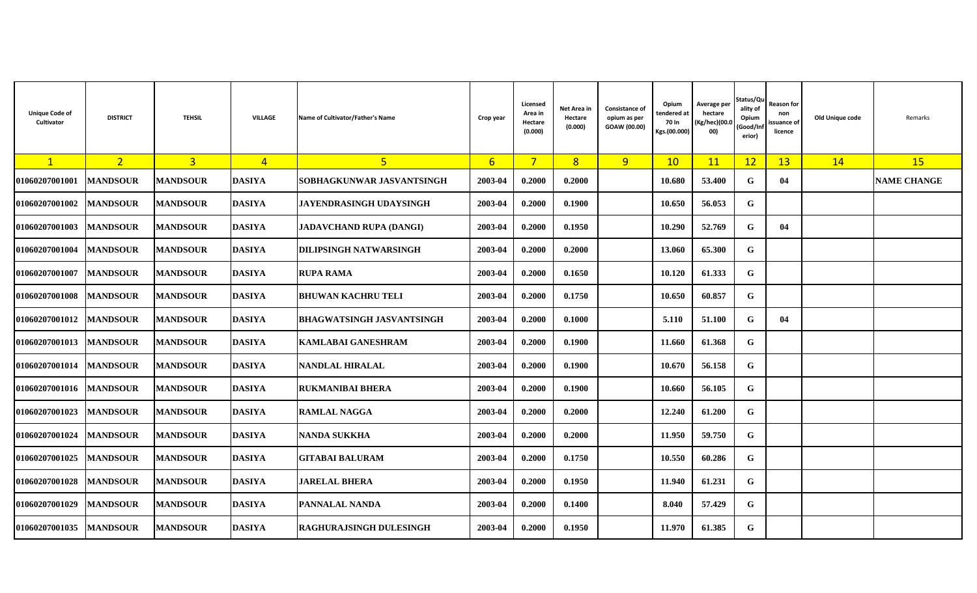| <b>Unique Code of</b><br>Cultivator | <b>DISTRICT</b>  | <b>TEHSIL</b>   | <b>VILLAGE</b> | Name of Cultivator/Father's Name | Crop year | Licensed<br>Area in<br>Hectare<br>(0.000) | Net Area in<br>Hectare<br>(0.000) | Consistance of<br>opium as per<br>GOAW (00.00) | Opium<br>tendered at<br>70 In<br>Kgs.(00.000) | Average per<br>hectare<br>(Kg/hec)(00.<br>00) | Status/Qu<br>ality of<br>Opium<br>Good/In<br>erior) | Reason for<br>non<br>ssuance of<br>licence | Old Unique code | Remarks            |
|-------------------------------------|------------------|-----------------|----------------|----------------------------------|-----------|-------------------------------------------|-----------------------------------|------------------------------------------------|-----------------------------------------------|-----------------------------------------------|-----------------------------------------------------|--------------------------------------------|-----------------|--------------------|
| $\mathbf{1}$                        | 2 <sup>1</sup>   | $\overline{3}$  | $\overline{4}$ | $\overline{5}$                   | 6         | $7\overline{}$                            | 8                                 | 9 <sup>°</sup>                                 | 10                                            | 11                                            | 12                                                  | 13                                         | 14              | <b>15</b>          |
| 01060207001001                      | <b> MANDSOUR</b> | <b>MANDSOUR</b> | <b>DASIYA</b>  | SOBHAGKUNWAR JASVANTSINGH        | 2003-04   | 0.2000                                    | 0.2000                            |                                                | 10.680                                        | 53.400                                        | G                                                   | 04                                         |                 | <b>NAME CHANGE</b> |
| 01060207001002                      | <b>MANDSOUR</b>  | <b>MANDSOUR</b> | <b>DASIYA</b>  | <b>JAYENDRASINGH UDAYSINGH</b>   | 2003-04   | 0.2000                                    | 0.1900                            |                                                | 10.650                                        | 56.053                                        | G                                                   |                                            |                 |                    |
| 01060207001003                      | <b>MANDSOUR</b>  | <b>MANDSOUR</b> | <b>DASIYA</b>  | <b>JADAVCHAND RUPA (DANGI)</b>   | 2003-04   | 0.2000                                    | 0.1950                            |                                                | 10.290                                        | 52.769                                        | G                                                   | 04                                         |                 |                    |
| 01060207001004                      | <b>MANDSOUR</b>  | <b>MANDSOUR</b> | <b>DASIYA</b>  | <b>DILIPSINGH NATWARSINGH</b>    | 2003-04   | 0.2000                                    | 0.2000                            |                                                | 13.060                                        | 65.300                                        | G                                                   |                                            |                 |                    |
| 01060207001007                      | <b> MANDSOUR</b> | <b>MANDSOUR</b> | <b>DASIYA</b>  | <b>RUPA RAMA</b>                 | 2003-04   | 0.2000                                    | 0.1650                            |                                                | 10.120                                        | 61.333                                        | G                                                   |                                            |                 |                    |
| 01060207001008                      | <b>MANDSOUR</b>  | <b>MANDSOUR</b> | <b>DASIYA</b>  | <b>BHUWAN KACHRU TELI</b>        | 2003-04   | 0.2000                                    | 0.1750                            |                                                | 10.650                                        | 60.857                                        | G                                                   |                                            |                 |                    |
| 01060207001012                      | <b>MANDSOUR</b>  | <b>MANDSOUR</b> | <b>DASIYA</b>  | <b>BHAGWATSINGH JASVANTSINGH</b> | 2003-04   | 0.2000                                    | 0.1000                            |                                                | 5.110                                         | 51.100                                        | G                                                   | 04                                         |                 |                    |
| 01060207001013                      | <b>MANDSOUR</b>  | <b>MANDSOUR</b> | <b>DASIYA</b>  | <b>KAMLABAI GANESHRAM</b>        | 2003-04   | 0.2000                                    | 0.1900                            |                                                | 11.660                                        | 61.368                                        | G                                                   |                                            |                 |                    |
| 01060207001014                      | <b>MANDSOUR</b>  | <b>MANDSOUR</b> | <b>DASIYA</b>  | <b>NANDLAL HIRALAL</b>           | 2003-04   | 0.2000                                    | 0.1900                            |                                                | 10.670                                        | 56.158                                        | G                                                   |                                            |                 |                    |
| 01060207001016                      | <b>MANDSOUR</b>  | <b>MANDSOUR</b> | <b>DASIYA</b>  | <b>RUKMANIBAI BHERA</b>          | 2003-04   | 0.2000                                    | 0.1900                            |                                                | 10.660                                        | 56.105                                        | G                                                   |                                            |                 |                    |
| 01060207001023                      | <b>MANDSOUR</b>  | <b>MANDSOUR</b> | <b>DASIYA</b>  | <b>RAMLAL NAGGA</b>              | 2003-04   | 0.2000                                    | 0.2000                            |                                                | 12.240                                        | 61.200                                        | G                                                   |                                            |                 |                    |
| 01060207001024                      | <b>MANDSOUR</b>  | <b>MANDSOUR</b> | <b>DASIYA</b>  | <b>NANDA SUKKHA</b>              | 2003-04   | 0.2000                                    | 0.2000                            |                                                | 11.950                                        | 59.750                                        | G                                                   |                                            |                 |                    |
| 01060207001025                      | <b>MANDSOUR</b>  | <b>MANDSOUR</b> | <b>DASIYA</b>  | <b>GITABAI BALURAM</b>           | 2003-04   | 0.2000                                    | 0.1750                            |                                                | 10.550                                        | 60.286                                        | G                                                   |                                            |                 |                    |
| 01060207001028                      | <b>MANDSOUR</b>  | <b>MANDSOUR</b> | <b>DASIYA</b>  | <b>JARELAL BHERA</b>             | 2003-04   | 0.2000                                    | 0.1950                            |                                                | 11.940                                        | 61.231                                        | G                                                   |                                            |                 |                    |
| 01060207001029                      | <b>MANDSOUR</b>  | <b>MANDSOUR</b> | <b>DASIYA</b>  | PANNALAL NANDA                   | 2003-04   | 0.2000                                    | 0.1400                            |                                                | 8.040                                         | 57.429                                        | G                                                   |                                            |                 |                    |
| <b>01060207001035</b>               | <b>IMANDSOUR</b> | <b>MANDSOUR</b> | <b>DASIYA</b>  | <b>RAGHURAJSINGH DULESINGH</b>   | 2003-04   | 0.2000                                    | 0.1950                            |                                                | 11.970                                        | 61.385                                        | G                                                   |                                            |                 |                    |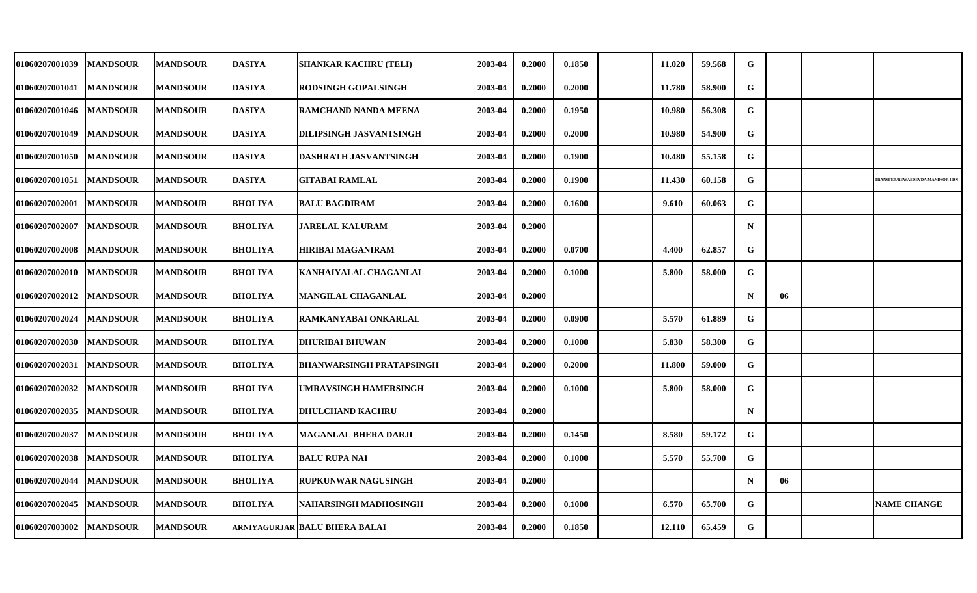| <b>01060207001039</b> | <b>MANDSOUR</b> | <b>MANDSOUR</b> | <b>DASIYA</b>  | <b>SHANKAR KACHRU (TELI)</b>    | 2003-04 | 0.2000 | 0.1850 | 11.020 | 59.568 | G           |    |                                         |
|-----------------------|-----------------|-----------------|----------------|---------------------------------|---------|--------|--------|--------|--------|-------------|----|-----------------------------------------|
| <b>01060207001041</b> | <b>MANDSOUR</b> | <b>MANDSOUR</b> | <b>DASIYA</b>  | <b>RODSINGH GOPALSINGH</b>      | 2003-04 | 0.2000 | 0.2000 | 11.780 | 58.900 | G           |    |                                         |
| <b>01060207001046</b> | <b>MANDSOUR</b> | <b>MANDSOUR</b> | <b>DASIYA</b>  | <b>RAMCHAND NANDA MEENA</b>     | 2003-04 | 0.2000 | 0.1950 | 10.980 | 56.308 | G           |    |                                         |
| <b>01060207001049</b> | <b>MANDSOUR</b> | <b>MANDSOUR</b> | <b>DASIYA</b>  | <b>DILIPSINGH JASVANTSINGH</b>  | 2003-04 | 0.2000 | 0.2000 | 10.980 | 54.900 | G           |    |                                         |
| <b>01060207001050</b> | <b>MANDSOUR</b> | <b>MANDSOUR</b> | <b>DASIYA</b>  | <b>DASHRATH JASVANTSINGH</b>    | 2003-04 | 0.2000 | 0.1900 | 10.480 | 55.158 | G           |    |                                         |
| <b>01060207001051</b> | <b>MANDSOUR</b> | <b>MANDSOUR</b> | <b>DASIYA</b>  | <b>GITABAI RAMLAL</b>           | 2003-04 | 0.2000 | 0.1900 | 11.430 | 60.158 | G           |    | <b>TRANSFER/REWASDEVDA MANDSOR I DN</b> |
| <b>01060207002001</b> | <b>MANDSOUR</b> | <b>MANDSOUR</b> | <b>BHOLIYA</b> | <b>BALU BAGDIRAM</b>            | 2003-04 | 0.2000 | 0.1600 | 9.610  | 60.063 | G           |    |                                         |
| 01060207002007        | <b>MANDSOUR</b> | <b>MANDSOUR</b> | <b>BHOLIYA</b> | <b>JARELAL KALURAM</b>          | 2003-04 | 0.2000 |        |        |        | $\mathbf N$ |    |                                         |
| 01060207002008        | <b>MANDSOUR</b> | <b>MANDSOUR</b> | <b>BHOLIYA</b> | HIRIBAI MAGANIRAM               | 2003-04 | 0.2000 | 0.0700 | 4.400  | 62.857 | G           |    |                                         |
| 01060207002010        | <b>MANDSOUR</b> | <b>MANDSOUR</b> | <b>BHOLIYA</b> | KANHAIYALAL CHAGANLAL           | 2003-04 | 0.2000 | 0.1000 | 5.800  | 58.000 | G           |    |                                         |
| <b>01060207002012</b> | <b>MANDSOUR</b> | <b>MANDSOUR</b> | <b>BHOLIYA</b> | <b>MANGILAL CHAGANLAL</b>       | 2003-04 | 0.2000 |        |        |        | $\mathbf N$ | 06 |                                         |
| <b>01060207002024</b> | <b>MANDSOUR</b> | <b>MANDSOUR</b> | <b>BHOLIYA</b> | <b>RAMKANYABAI ONKARLAL</b>     | 2003-04 | 0.2000 | 0.0900 | 5.570  | 61.889 | G           |    |                                         |
| 01060207002030        | <b>MANDSOUR</b> | <b>MANDSOUR</b> | <b>BHOLIYA</b> | <b>DHURIBAI BHUWAN</b>          | 2003-04 | 0.2000 | 0.1000 | 5.830  | 58.300 | G           |    |                                         |
| <b>01060207002031</b> | <b>MANDSOUR</b> | <b>MANDSOUR</b> | <b>BHOLIYA</b> | <b>BHANWARSINGH PRATAPSINGH</b> | 2003-04 | 0.2000 | 0.2000 | 11.800 | 59.000 | G           |    |                                         |
| 01060207002032        | <b>MANDSOUR</b> | <b>MANDSOUR</b> | <b>BHOLIYA</b> | UMRAVSINGH HAMERSINGH           | 2003-04 | 0.2000 | 0.1000 | 5.800  | 58.000 | G           |    |                                         |
| <b>01060207002035</b> | <b>MANDSOUR</b> | <b>MANDSOUR</b> | <b>BHOLIYA</b> | <b>DHULCHAND KACHRU</b>         | 2003-04 | 0.2000 |        |        |        | $\mathbf N$ |    |                                         |
| 01060207002037        | <b>MANDSOUR</b> | <b>MANDSOUR</b> | <b>BHOLIYA</b> | <b>MAGANLAL BHERA DARJI</b>     | 2003-04 | 0.2000 | 0.1450 | 8.580  | 59.172 | G           |    |                                         |
| 01060207002038        | <b>MANDSOUR</b> | <b>MANDSOUR</b> | <b>BHOLIYA</b> | <b>BALU RUPA NAI</b>            | 2003-04 | 0.2000 | 0.1000 | 5.570  | 55.700 | ${\bf G}$   |    |                                         |
| 01060207002044        | <b>MANDSOUR</b> | <b>MANDSOUR</b> | <b>BHOLIYA</b> | <b>RUPKUNWAR NAGUSINGH</b>      | 2003-04 | 0.2000 |        |        |        | $\mathbf N$ | 06 |                                         |
| 01060207002045        | <b>MANDSOUR</b> | <b>MANDSOUR</b> | <b>BHOLIYA</b> | NAHARSINGH MADHOSINGH           | 2003-04 | 0.2000 | 0.1000 | 6.570  | 65.700 | G           |    | <b>NAME CHANGE</b>                      |
| <b>01060207003002</b> | <b>MANDSOUR</b> | <b>MANDSOUR</b> |                | ARNIYAGURJAR BALU BHERA BALAI   | 2003-04 | 0.2000 | 0.1850 | 12.110 | 65.459 | G           |    |                                         |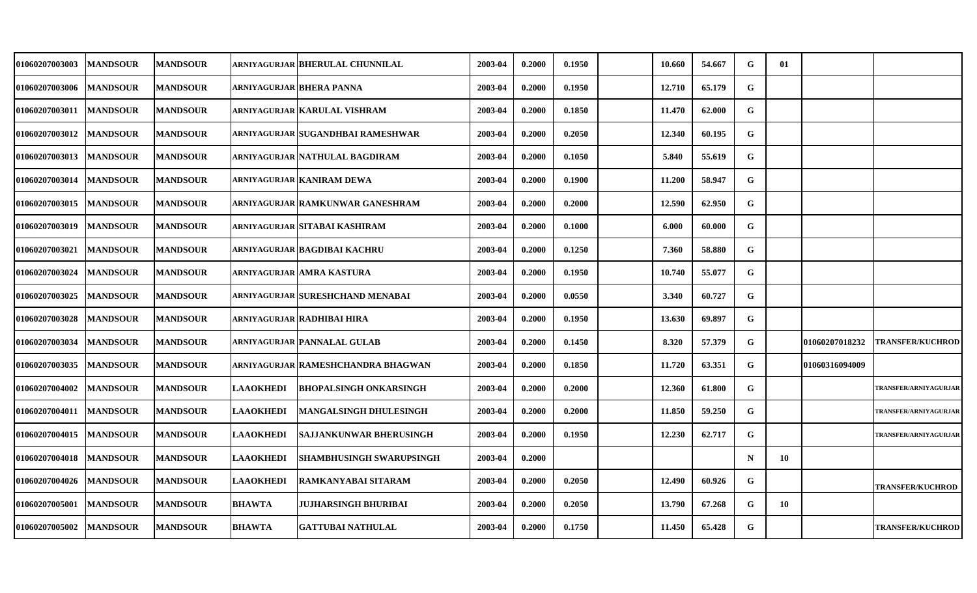| 01060207003003        | <b>MANDSOUR</b> | <b>MANDSOUR</b> |                  | ARNIYAGURJAR BHERULAL CHUNNILAL    | 2003-04 | 0.2000 | 0.1950 | 10.660 | 54.667 | G           | 01 |                |                         |
|-----------------------|-----------------|-----------------|------------------|------------------------------------|---------|--------|--------|--------|--------|-------------|----|----------------|-------------------------|
| 01060207003006        | <b>MANDSOUR</b> | <b>MANDSOUR</b> |                  | ARNIYAGURJAR BHERA PANNA           | 2003-04 | 0.2000 | 0.1950 | 12.710 | 65.179 | G           |    |                |                         |
| <b>01060207003011</b> | <b>MANDSOUR</b> | <b>MANDSOUR</b> |                  | ARNIYAGURJAR   KARULAL VISHRAM     | 2003-04 | 0.2000 | 0.1850 | 11.470 | 62.000 | G           |    |                |                         |
| 01060207003012        | <b>MANDSOUR</b> | <b>MANDSOUR</b> |                  | ARNIYAGURJAR SUGANDHBAI RAMESHWAR  | 2003-04 | 0.2000 | 0.2050 | 12.340 | 60.195 | ${\bf G}$   |    |                |                         |
| 01060207003013        | <b>MANDSOUR</b> | <b>MANDSOUR</b> |                  | ARNIYAGURJAR NATHULAL BAGDIRAM     | 2003-04 | 0.2000 | 0.1050 | 5.840  | 55.619 | G           |    |                |                         |
| 01060207003014        | <b>MANDSOUR</b> | <b>MANDSOUR</b> |                  | ARNIYAGURJAR KANIRAM DEWA          | 2003-04 | 0.2000 | 0.1900 | 11.200 | 58.947 | G           |    |                |                         |
| 01060207003015        | <b>MANDSOUR</b> | <b>MANDSOUR</b> |                  | ARNIYAGURJAR RAMKUNWAR GANESHRAM   | 2003-04 | 0.2000 | 0.2000 | 12.590 | 62.950 | G           |    |                |                         |
| 01060207003019        | <b>MANDSOUR</b> | <b>MANDSOUR</b> |                  | ARNIYAGURJAR SITABAI KASHIRAM      | 2003-04 | 0.2000 | 0.1000 | 6.000  | 60.000 | G           |    |                |                         |
| 01060207003021        | <b>MANDSOUR</b> | <b>MANDSOUR</b> |                  | ARNIYAGURJAR BAGDIBAI KACHRU       | 2003-04 | 0.2000 | 0.1250 | 7.360  | 58.880 | G           |    |                |                         |
| 01060207003024        | <b>MANDSOUR</b> | <b>MANDSOUR</b> |                  | ARNIYAGURJAR AMRA KASTURA          | 2003-04 | 0.2000 | 0.1950 | 10.740 | 55.077 | G           |    |                |                         |
| 01060207003025        | <b>MANDSOUR</b> | <b>MANDSOUR</b> |                  | ARNIYAGURJAR SURESHCHAND MENABAI   | 2003-04 | 0.2000 | 0.0550 | 3.340  | 60.727 | G           |    |                |                         |
| 01060207003028        | <b>MANDSOUR</b> | <b>MANDSOUR</b> |                  | ARNIYAGURJAR RADHIBAI HIRA         | 2003-04 | 0.2000 | 0.1950 | 13.630 | 69.897 | G           |    |                |                         |
| 01060207003034        | <b>MANDSOUR</b> | <b>MANDSOUR</b> |                  | ARNIYAGURJAR PANNALAL GULAB        | 2003-04 | 0.2000 | 0.1450 | 8.320  | 57.379 | G           |    | 01060207018232 | <b>TRANSFER/KUCHROD</b> |
| 01060207003035        | <b>MANDSOUR</b> | <b>MANDSOUR</b> |                  | ARNIYAGURJAR RAMESHCHANDRA BHAGWAN | 2003-04 | 0.2000 | 0.1850 | 11.720 | 63.351 | G           |    | 01060316094009 |                         |
| 01060207004002        | <b>MANDSOUR</b> | <b>MANDSOUR</b> | <b>LAAOKHEDI</b> | <b>BHOPALSINGH ONKARSINGH</b>      | 2003-04 | 0.2000 | 0.2000 | 12.360 | 61.800 | G           |    |                | TRANSFER/ARNIYAGURJAR   |
| <b>01060207004011</b> | <b>MANDSOUR</b> | <b>MANDSOUR</b> | <b>LAAOKHEDI</b> | <b>MANGALSINGH DHULESINGH</b>      | 2003-04 | 0.2000 | 0.2000 | 11.850 | 59.250 | G           |    |                | TRANSFER/ARNIYAGURJAR   |
| 01060207004015        | <b>MANDSOUR</b> | <b>MANDSOUR</b> | <b>LAAOKHEDI</b> | <b>SAJJANKUNWAR BHERUSINGH</b>     | 2003-04 | 0.2000 | 0.1950 | 12.230 | 62.717 | G           |    |                | TRANSFER/ARNIYAGURJAR   |
| 01060207004018        | <b>MANDSOUR</b> | <b>MANDSOUR</b> | <b>LAAOKHEDI</b> | <b>SHAMBHUSINGH SWARUPSINGH</b>    | 2003-04 | 0.2000 |        |        |        | $\mathbf N$ | 10 |                |                         |
| 01060207004026        | <b>MANDSOUR</b> | <b>MANDSOUR</b> | <b>LAAOKHEDI</b> | RAMKANYABAI SITARAM                | 2003-04 | 0.2000 | 0.2050 | 12.490 | 60.926 | G           |    |                | <b>TRANSFER/KUCHROD</b> |
| 01060207005001        | <b>MANDSOUR</b> | <b>MANDSOUR</b> | <b>BHAWTA</b>    | <b>JUJHARSINGH BHURIBAI</b>        | 2003-04 | 0.2000 | 0.2050 | 13.790 | 67.268 | G           | 10 |                |                         |
| 01060207005002        | <b>MANDSOUR</b> | <b>MANDSOUR</b> | <b>BHAWTA</b>    | <b>GATTUBAI NATHULAL</b>           | 2003-04 | 0.2000 | 0.1750 | 11.450 | 65.428 | G           |    |                | <b>TRANSFER/KUCHROD</b> |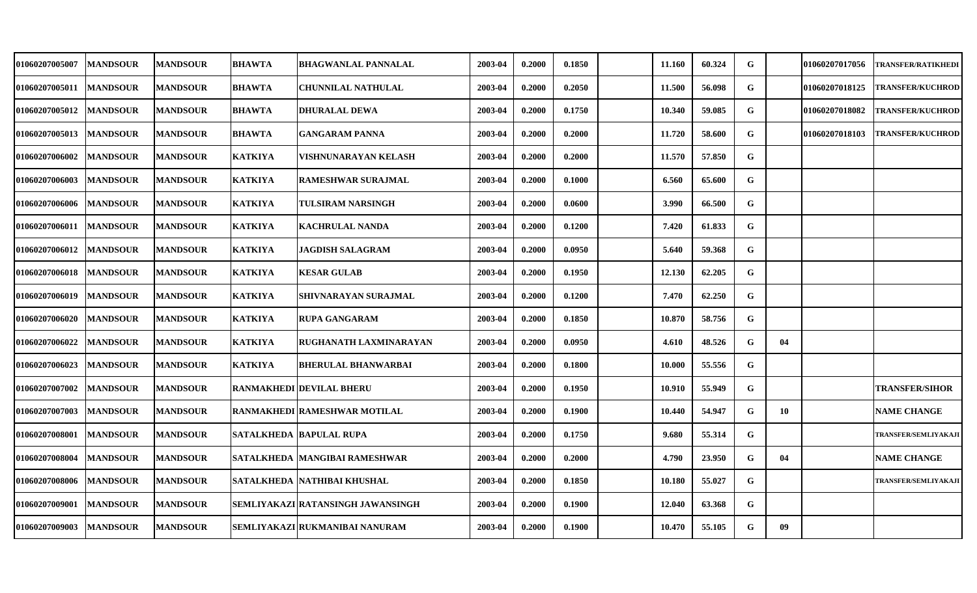| <b>01060207005007</b> | <b>MANDSOUR</b> | <b>MANDSOUR</b> | <b>BHAWTA</b>  | <b>BHAGWANLAL PANNALAL</b>        | 2003-04 | 0.2000 | 0.1850 | 11.160 | 60.324 | G           |    | <b>01060207017056</b> | <b>TRANSFER/RATIKHEDI</b>   |
|-----------------------|-----------------|-----------------|----------------|-----------------------------------|---------|--------|--------|--------|--------|-------------|----|-----------------------|-----------------------------|
| 01060207005011        | <b>MANDSOUR</b> | <b>MANDSOUR</b> | <b>BHAWTA</b>  | <b>CHUNNILAL NATHULAL</b>         | 2003-04 | 0.2000 | 0.2050 | 11.500 | 56.098 | G           |    | 01060207018125        | <b>TRANSFER/KUCHROD</b>     |
| <b>01060207005012</b> | <b>MANDSOUR</b> | <b>MANDSOUR</b> | <b>BHAWTA</b>  | <b>DHURALAL DEWA</b>              | 2003-04 | 0.2000 | 0.1750 | 10.340 | 59.085 | G           |    | 01060207018082        | <b>TRANSFER/KUCHROD</b>     |
| 01060207005013        | <b>MANDSOUR</b> | <b>MANDSOUR</b> | <b>BHAWTA</b>  | <b>GANGARAM PANNA</b>             | 2003-04 | 0.2000 | 0.2000 | 11.720 | 58.600 | G           |    | 01060207018103        | <b>TRANSFER/KUCHROD</b>     |
| <b>01060207006002</b> | <b>MANDSOUR</b> | <b>MANDSOUR</b> | <b>KATKIYA</b> | VISHNUNARAYAN KELASH              | 2003-04 | 0.2000 | 0.2000 | 11.570 | 57.850 | G           |    |                       |                             |
| 01060207006003        | <b>MANDSOUR</b> | <b>MANDSOUR</b> | <b>KATKIYA</b> | <b>RAMESHWAR SURAJMAL</b>         | 2003-04 | 0.2000 | 0.1000 | 6.560  | 65.600 | G           |    |                       |                             |
| 01060207006006        | <b>MANDSOUR</b> | <b>MANDSOUR</b> | <b>KATKIYA</b> | TULSIRAM NARSINGH                 | 2003-04 | 0.2000 | 0.0600 | 3.990  | 66.500 | G           |    |                       |                             |
| 01060207006011        | <b>MANDSOUR</b> | <b>MANDSOUR</b> | <b>KATKIYA</b> | <b>KACHRULAL NANDA</b>            | 2003-04 | 0.2000 | 0.1200 | 7.420  | 61.833 | G           |    |                       |                             |
| 01060207006012        | <b>MANDSOUR</b> | <b>MANDSOUR</b> | <b>KATKIYA</b> | <b>JAGDISH SALAGRAM</b>           | 2003-04 | 0.2000 | 0.0950 | 5.640  | 59.368 | G           |    |                       |                             |
| 01060207006018        | <b>MANDSOUR</b> | <b>MANDSOUR</b> | <b>KATKIYA</b> | <b>KESAR GULAB</b>                | 2003-04 | 0.2000 | 0.1950 | 12.130 | 62.205 | G           |    |                       |                             |
| 01060207006019        | <b>MANDSOUR</b> | <b>MANDSOUR</b> | <b>KATKIYA</b> | <b>SHIVNARAYAN SURAJMAL</b>       | 2003-04 | 0.2000 | 0.1200 | 7.470  | 62.250 | G           |    |                       |                             |
| <b>01060207006020</b> | <b>MANDSOUR</b> | <b>MANDSOUR</b> | <b>KATKIYA</b> | <b>RUPA GANGARAM</b>              | 2003-04 | 0.2000 | 0.1850 | 10.870 | 58.756 | $\mathbf G$ |    |                       |                             |
| 01060207006022        | <b>MANDSOUR</b> | <b>MANDSOUR</b> | <b>KATKIYA</b> | RUGHANATH LAXMINARAYAN            | 2003-04 | 0.2000 | 0.0950 | 4.610  | 48.526 | G           | 04 |                       |                             |
| 01060207006023        | <b>MANDSOUR</b> | <b>MANDSOUR</b> | <b>KATKIYA</b> | <b>BHERULAL BHANWARBAI</b>        | 2003-04 | 0.2000 | 0.1800 | 10.000 | 55.556 | G           |    |                       |                             |
| 01060207007002        | <b>MANDSOUR</b> | <b>MANDSOUR</b> |                | <b>RANMAKHEDI DEVILAL BHERU</b>   | 2003-04 | 0.2000 | 0.1950 | 10.910 | 55.949 | G           |    |                       | <b>TRANSFER/SIHOR</b>       |
| 01060207007003        | <b>MANDSOUR</b> | <b>MANDSOUR</b> |                | RANMAKHEDI RAMESHWAR MOTILAL      | 2003-04 | 0.2000 | 0.1900 | 10.440 | 54.947 | G           | 10 |                       | <b>NAME CHANGE</b>          |
| 01060207008001        | <b>MANDSOUR</b> | <b>MANDSOUR</b> |                | <b>SATALKHEDA BAPULAL RUPA</b>    | 2003-04 | 0.2000 | 0.1750 | 9.680  | 55.314 | $\mathbf G$ |    |                       | TRANSFER/SEMLIYAKAJI        |
| 01060207008004        | <b>MANDSOUR</b> | <b>MANDSOUR</b> |                | SATALKHEDA  MANGIBAI RAMESHWAR    | 2003-04 | 0.2000 | 0.2000 | 4.790  | 23.950 | G           | 04 |                       | <b>NAME CHANGE</b>          |
| 01060207008006        | <b>MANDSOUR</b> | <b>MANDSOUR</b> |                | SATALKHEDA NATHIBAI KHUSHAL       | 2003-04 | 0.2000 | 0.1850 | 10.180 | 55.027 | G           |    |                       | <b>TRANSFER/SEMLIYAKAJI</b> |
| 01060207009001        | <b>MANDSOUR</b> | <b>MANDSOUR</b> |                | SEMLIYAKAZI RATANSINGH JAWANSINGH | 2003-04 | 0.2000 | 0.1900 | 12.040 | 63.368 | G           |    |                       |                             |
| 01060207009003        | <b>MANDSOUR</b> | <b>MANDSOUR</b> |                | SEMLIYAKAZI RUKMANIBAI NANURAM    | 2003-04 | 0.2000 | 0.1900 | 10.470 | 55.105 | G           | 09 |                       |                             |
|                       |                 |                 |                |                                   |         |        |        |        |        |             |    |                       |                             |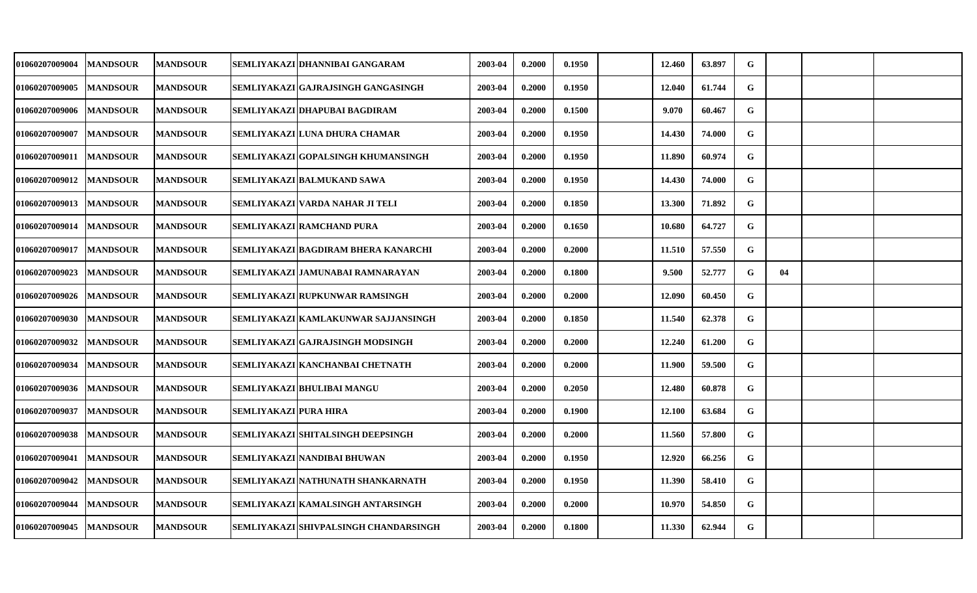| <b>01060207009004</b> | <b>MANDSOUR</b> | <b>MANDSOUR</b>  |                       | SEMLIYAKAZI DHANNIBAI GANGARAM        | 2003-04 | 0.2000 | 0.1950 | 12.460 | 63.897 | G           |    |  |
|-----------------------|-----------------|------------------|-----------------------|---------------------------------------|---------|--------|--------|--------|--------|-------------|----|--|
| <b>01060207009005</b> | <b>MANDSOUR</b> | <b>MANDSOUR</b>  |                       | SEMLIYAKAZI GAJRAJSINGH GANGASINGH    | 2003-04 | 0.2000 | 0.1950 | 12.040 | 61.744 | G           |    |  |
| <b>01060207009006</b> | <b>MANDSOUR</b> | <b>MANDSOUR</b>  |                       | SEMLIYAKAZI DHAPUBAI BAGDIRAM         | 2003-04 | 0.2000 | 0.1500 | 9.070  | 60.467 | G           |    |  |
| <b>01060207009007</b> | <b>MANDSOUR</b> | <b>MANDSOUR</b>  |                       | SEMLIYAKAZI LUNA DHURA CHAMAR         | 2003-04 | 0.2000 | 0.1950 | 14.430 | 74.000 | ${\bf G}$   |    |  |
| <b>01060207009011</b> | <b>MANDSOUR</b> | <b>MANDSOUR</b>  |                       | SEMLIYAKAZI GOPALSINGH KHUMANSINGH    | 2003-04 | 0.2000 | 0.1950 | 11.890 | 60.974 | G           |    |  |
| 01060207009012        | <b>MANDSOUR</b> | <b>MANDSOUR</b>  |                       | SEMLIYAKAZI BALMUKAND SAWA            | 2003-04 | 0.2000 | 0.1950 | 14.430 | 74.000 | G           |    |  |
| <b>01060207009013</b> | <b>MANDSOUR</b> | <b>MANDSOUR</b>  |                       | SEMLIYAKAZI VARDA NAHAR JI TELI       | 2003-04 | 0.2000 | 0.1850 | 13.300 | 71.892 | G           |    |  |
| 01060207009014        | <b>MANDSOUR</b> | <b>MANDSOUR</b>  |                       | SEMLIYAKAZI RAMCHAND PURA             | 2003-04 | 0.2000 | 0.1650 | 10.680 | 64.727 | G           |    |  |
| <b>01060207009017</b> | <b>MANDSOUR</b> | <b>MANDSOUR</b>  |                       | SEMLIYAKAZI BAGDIRAM BHERA KANARCHI   | 2003-04 | 0.2000 | 0.2000 | 11.510 | 57.550 | ${\bf G}$   |    |  |
| 01060207009023        | <b>MANDSOUR</b> | <b>MANDSOUR</b>  |                       | SEMLIYAKAZI JAMUNABAI RAMNARAYAN      | 2003-04 | 0.2000 | 0.1800 | 9.500  | 52.777 | G           | 04 |  |
| <b>01060207009026</b> | <b>MANDSOUR</b> | <b>MANDSOUR</b>  |                       | SEMLIYAKAZI RUPKUNWAR RAMSINGH        | 2003-04 | 0.2000 | 0.2000 | 12.090 | 60.450 | $\mathbf G$ |    |  |
| <b>01060207009030</b> | <b>MANDSOUR</b> | <b>MANDSOUR</b>  |                       | SEMLIYAKAZI KAMLAKUNWAR SAJJANSINGH   | 2003-04 | 0.2000 | 0.1850 | 11.540 | 62.378 | G           |    |  |
| 01060207009032        | <b>MANDSOUR</b> | <b>MANDSOUR</b>  |                       | SEMLIYAKAZI GAJRAJSINGH MODSINGH      | 2003-04 | 0.2000 | 0.2000 | 12.240 | 61.200 | ${\bf G}$   |    |  |
| <b>01060207009034</b> | <b>MANDSOUR</b> | <b>MANDSOUR</b>  |                       | SEMLIYAKAZI KANCHANBAI CHETNATH       | 2003-04 | 0.2000 | 0.2000 | 11.900 | 59.500 | G           |    |  |
| 01060207009036        | <b>MANDSOUR</b> | <b>MANDSOUR</b>  |                       | SEMLIYAKAZI BHULIBAI MANGU            | 2003-04 | 0.2000 | 0.2050 | 12.480 | 60.878 | G           |    |  |
| <b>01060207009037</b> | <b>MANDSOUR</b> | <b>MANDSOUR</b>  | SEMLIYAKAZI PURA HIRA |                                       | 2003-04 | 0.2000 | 0.1900 | 12.100 | 63.684 | G           |    |  |
| 01060207009038        | <b>MANDSOUR</b> | <b>MANDSOUR</b>  |                       | SEMLIYAKAZI SHITALSINGH DEEPSINGH     | 2003-04 | 0.2000 | 0.2000 | 11.560 | 57.800 | G           |    |  |
| 01060207009041        | <b>MANDSOUR</b> | <b>MANDSOUR</b>  |                       | SEMLIYAKAZI NANDIBAI BHUWAN           | 2003-04 | 0.2000 | 0.1950 | 12.920 | 66.256 | G           |    |  |
| 01060207009042        | <b>MANDSOUR</b> | <b>MANDSOUR</b>  |                       | SEMLIYAKAZI NATHUNATH SHANKARNATH     | 2003-04 | 0.2000 | 0.1950 | 11.390 | 58.410 | G           |    |  |
| <b>01060207009044</b> | <b>MANDSOUR</b> | <b>MANDSOUR</b>  |                       | SEMLIYAKAZI KAMALSINGH ANTARSINGH     | 2003-04 | 0.2000 | 0.2000 | 10.970 | 54.850 | G           |    |  |
| 01060207009045        | <b>MANDSOUR</b> | <b> MANDSOUR</b> |                       | SEMLIYAKAZI SHIVPALSINGH CHANDARSINGH | 2003-04 | 0.2000 | 0.1800 | 11.330 | 62.944 | G           |    |  |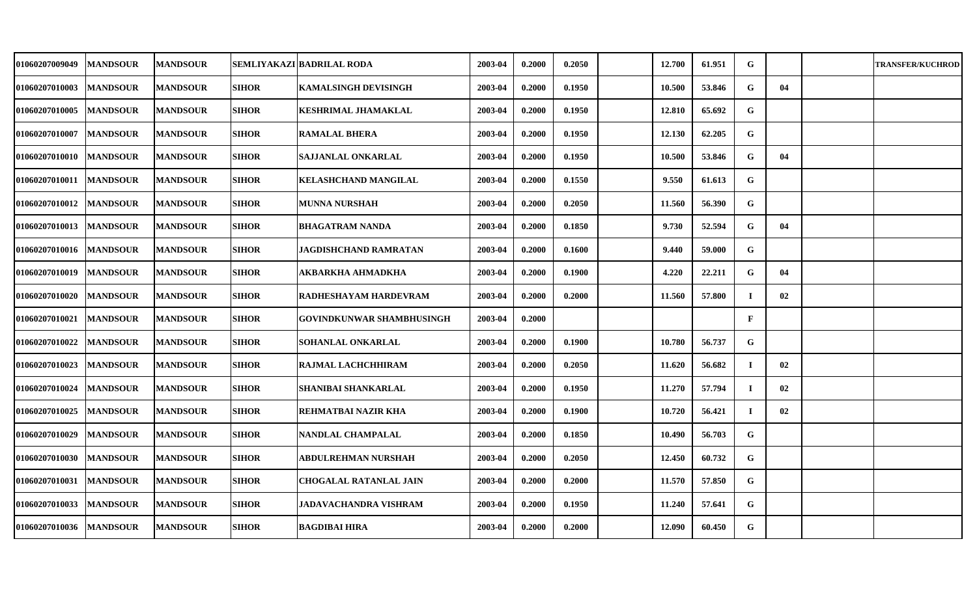| 01060207009049        | <b>MANDSOUR</b> | <b>MANDSOUR</b> |              | SEMLIYAKAZI BADRILAL RODA   | 2003-04 | 0.2000 | 0.2050 | 12.700 | 61.951 | G           |    | <b>TRANSFER/KUCHROD</b> |
|-----------------------|-----------------|-----------------|--------------|-----------------------------|---------|--------|--------|--------|--------|-------------|----|-------------------------|
| <b>01060207010003</b> | <b>MANDSOUR</b> | <b>MANDSOUR</b> | <b>SIHOR</b> | KAMALSINGH DEVISINGH        | 2003-04 | 0.2000 | 0.1950 | 10.500 | 53.846 | G           | 04 |                         |
| <b>01060207010005</b> | <b>MANDSOUR</b> | <b>MANDSOUR</b> | <b>SIHOR</b> | KESHRIMAL JHAMAKLAL         | 2003-04 | 0.2000 | 0.1950 | 12.810 | 65.692 | G           |    |                         |
| <b>01060207010007</b> | <b>MANDSOUR</b> | <b>MANDSOUR</b> | <b>SIHOR</b> | <b>RAMALAL BHERA</b>        | 2003-04 | 0.2000 | 0.1950 | 12.130 | 62.205 | G           |    |                         |
| <b>01060207010010</b> | <b>MANDSOUR</b> | <b>MANDSOUR</b> | <b>SIHOR</b> | SAJJANLAL ONKARLAL          | 2003-04 | 0.2000 | 0.1950 | 10.500 | 53.846 | G           | 04 |                         |
| 01060207010011        | <b>MANDSOUR</b> | <b>MANDSOUR</b> | <b>SIHOR</b> | <b>KELASHCHAND MANGILAL</b> | 2003-04 | 0.2000 | 0.1550 | 9.550  | 61.613 | G           |    |                         |
| 01060207010012        | <b>MANDSOUR</b> | <b>MANDSOUR</b> | <b>SIHOR</b> | MUNNA NURSHAH               | 2003-04 | 0.2000 | 0.2050 | 11.560 | 56.390 | G           |    |                         |
| 01060207010013        | <b>MANDSOUR</b> | <b>MANDSOUR</b> | <b>SIHOR</b> | BHAGATRAM NANDA             | 2003-04 | 0.2000 | 0.1850 | 9.730  | 52.594 | G           | 04 |                         |
| 01060207010016        | <b>MANDSOUR</b> | <b>MANDSOUR</b> | <b>SIHOR</b> | JAGDISHCHAND RAMRATAN       | 2003-04 | 0.2000 | 0.1600 | 9.440  | 59.000 | G           |    |                         |
| <b>01060207010019</b> | <b>MANDSOUR</b> | <b>MANDSOUR</b> | <b>SIHOR</b> | AKBARKHA AHMADKHA           | 2003-04 | 0.2000 | 0.1900 | 4.220  | 22.211 | G           | 04 |                         |
| <b>01060207010020</b> | <b>MANDSOUR</b> | <b>MANDSOUR</b> | <b>SIHOR</b> | RADHESHAYAM HARDEVRAM       | 2003-04 | 0.2000 | 0.2000 | 11.560 | 57.800 | $\bf{I}$    | 02 |                         |
| <b>01060207010021</b> | <b>MANDSOUR</b> | <b>MANDSOUR</b> | <b>SIHOR</b> | GOVINDKUNWAR SHAMBHUSINGH   | 2003-04 | 0.2000 |        |        |        | $\mathbf F$ |    |                         |
| <b>01060207010022</b> | <b>MANDSOUR</b> | <b>MANDSOUR</b> | <b>SIHOR</b> | SOHANLAL ONKARLAL           | 2003-04 | 0.2000 | 0.1900 | 10.780 | 56.737 | G           |    |                         |
| <b>01060207010023</b> | <b>MANDSOUR</b> | <b>MANDSOUR</b> | <b>SIHOR</b> | RAJMAL LACHCHHIRAM          | 2003-04 | 0.2000 | 0.2050 | 11.620 | 56.682 | $\bf{I}$    | 02 |                         |
| <b>01060207010024</b> | <b>MANDSOUR</b> | <b>MANDSOUR</b> | <b>SIHOR</b> | SHANIBAI SHANKARLAL         | 2003-04 | 0.2000 | 0.1950 | 11.270 | 57.794 | $\bf{I}$    | 02 |                         |
| <b>01060207010025</b> | <b>MANDSOUR</b> | <b>MANDSOUR</b> | SIHOR        | REHMATBAI NAZIR KHA         | 2003-04 | 0.2000 | 0.1900 | 10.720 | 56.421 | $\bf{I}$    | 02 |                         |
| <b>01060207010029</b> | <b>MANDSOUR</b> | <b>MANDSOUR</b> | <b>SIHOR</b> | NANDLAL CHAMPALAL           | 2003-04 | 0.2000 | 0.1850 | 10.490 | 56.703 | $\mathbf G$ |    |                         |
| 01060207010030        | <b>MANDSOUR</b> | <b>MANDSOUR</b> | <b>SIHOR</b> | ABDULREHMAN NURSHAH         | 2003-04 | 0.2000 | 0.2050 | 12.450 | 60.732 | G           |    |                         |
| 01060207010031        | <b>MANDSOUR</b> | <b>MANDSOUR</b> | <b>SIHOR</b> | CHOGALAL RATANLAL JAIN      | 2003-04 | 0.2000 | 0.2000 | 11.570 | 57.850 | G           |    |                         |
| <b>01060207010033</b> | <b>MANDSOUR</b> | <b>MANDSOUR</b> | <b>SIHOR</b> | JADAVACHANDRA VISHRAM       | 2003-04 | 0.2000 | 0.1950 | 11.240 | 57.641 | G           |    |                         |
| 01060207010036        | <b>MANDSOUR</b> | <b>MANDSOUR</b> | <b>SIHOR</b> | <b>BAGDIBAI HIRA</b>        | 2003-04 | 0.2000 | 0.2000 | 12.090 | 60.450 | G           |    |                         |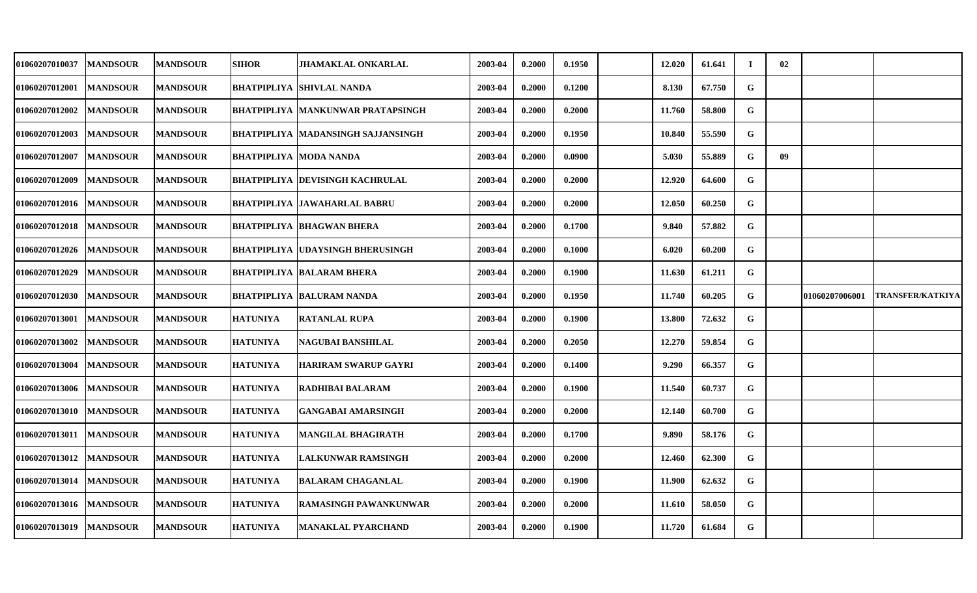| <b>01060207010037</b> | <b>MANDSOUR</b> | <b>MANDSOUR</b> | <b>SIHOR</b>                  | <b>JHAMAKLAL ONKARLAL</b>                 | 2003-04 | 0.2000 | 0.1950 | 12.020 | 61.641 | Т.        | 02 |                |                         |
|-----------------------|-----------------|-----------------|-------------------------------|-------------------------------------------|---------|--------|--------|--------|--------|-----------|----|----------------|-------------------------|
| <b>01060207012001</b> | <b>MANDSOUR</b> | <b>MANDSOUR</b> |                               | <b>BHATPIPLIYA ISHIVLAL NANDA</b>         | 2003-04 | 0.2000 | 0.1200 | 8.130  | 67.750 | G         |    |                |                         |
| <b>01060207012002</b> | <b>MANDSOUR</b> | <b>MANDSOUR</b> |                               | <b>BHATPIPLIYA  MANKUNWAR PRATAPSINGH</b> | 2003-04 | 0.2000 | 0.2000 | 11.760 | 58.800 | G         |    |                |                         |
| 01060207012003        | <b>MANDSOUR</b> | <b>MANDSOUR</b> |                               | BHATPIPLIYA MADANSINGH SAJJANSINGH        | 2003-04 | 0.2000 | 0.1950 | 10.840 | 55.590 | G         |    |                |                         |
| <b>01060207012007</b> | <b>MANDSOUR</b> | <b>MANDSOUR</b> | <b>BHATPIPLIYA MODA NANDA</b> |                                           | 2003-04 | 0.2000 | 0.0900 | 5.030  | 55.889 | G         | 09 |                |                         |
| <b>01060207012009</b> | <b>MANDSOUR</b> | <b>MANDSOUR</b> |                               | <b>BHATPIPLIYA  DEVISINGH KACHRULAL</b>   | 2003-04 | 0.2000 | 0.2000 | 12.920 | 64.600 | G         |    |                |                         |
| <b>01060207012016</b> | <b>MANDSOUR</b> | <b>MANDSOUR</b> |                               | <b>BHATPIPLIYA  JAWAHARLAL BABRU</b>      | 2003-04 | 0.2000 | 0.2000 | 12.050 | 60.250 | G         |    |                |                         |
| 01060207012018        | <b>MANDSOUR</b> | <b>MANDSOUR</b> |                               | <b>BHATPIPLIYA BHAGWAN BHERA</b>          | 2003-04 | 0.2000 | 0.1700 | 9.840  | 57.882 | G         |    |                |                         |
| 01060207012026        | <b>MANDSOUR</b> | <b>MANDSOUR</b> |                               | <b>BHATPIPLIYA UDAYSINGH BHERUSINGH</b>   | 2003-04 | 0.2000 | 0.1000 | 6.020  | 60.200 | G         |    |                |                         |
| <b>01060207012029</b> | <b>MANDSOUR</b> | <b>MANDSOUR</b> |                               | <b>BHATPIPLIYA  BALARAM BHERA</b>         | 2003-04 | 0.2000 | 0.1900 | 11.630 | 61.211 | G         |    |                |                         |
| <b>01060207012030</b> | <b>MANDSOUR</b> | <b>MANDSOUR</b> |                               | <b>BHATPIPLIYA  BALURAM NANDA</b>         | 2003-04 | 0.2000 | 0.1950 | 11.740 | 60.205 | G         |    | 01060207006001 | <b>TRANSFER/KATKIYA</b> |
| <b>01060207013001</b> | <b>MANDSOUR</b> | <b>MANDSOUR</b> | <b>HATUNIYA</b>               | <b>RATANLAL RUPA</b>                      | 2003-04 | 0.2000 | 0.1900 | 13.800 | 72.632 | G         |    |                |                         |
| <b>01060207013002</b> | <b>MANDSOUR</b> | <b>MANDSOUR</b> | <b>HATUNIYA</b>               | <b>NAGUBAI BANSHILAL</b>                  | 2003-04 | 0.2000 | 0.2050 | 12.270 | 59.854 | G         |    |                |                         |
| 01060207013004        | <b>MANDSOUR</b> | <b>MANDSOUR</b> | <b>HATUNIYA</b>               | <b>HARIRAM SWARUP GAYRI</b>               | 2003-04 | 0.2000 | 0.1400 | 9.290  | 66.357 | G         |    |                |                         |
| <b>01060207013006</b> | <b>MANDSOUR</b> | <b>MANDSOUR</b> | <b>HATUNIYA</b>               | <b>RADHIBAI BALARAM</b>                   | 2003-04 | 0.2000 | 0.1900 | 11.540 | 60.737 | G         |    |                |                         |
| <b>01060207013010</b> | <b>MANDSOUR</b> | <b>MANDSOUR</b> | <b>HATUNIYA</b>               | <b>GANGABAI AMARSINGH</b>                 | 2003-04 | 0.2000 | 0.2000 | 12.140 | 60.700 | G         |    |                |                         |
| 01060207013011        | <b>MANDSOUR</b> | <b>MANDSOUR</b> | <b>HATUNIYA</b>               | <b>MANGILAL BHAGIRATH</b>                 | 2003-04 | 0.2000 | 0.1700 | 9.890  | 58.176 | G         |    |                |                         |
| 01060207013012        | <b>MANDSOUR</b> | <b>MANDSOUR</b> | <b>HATUNIYA</b>               | LALKUNWAR RAMSINGH                        | 2003-04 | 0.2000 | 0.2000 | 12.460 | 62.300 | ${\bf G}$ |    |                |                         |
| 01060207013014        | <b>MANDSOUR</b> | <b>MANDSOUR</b> | <b>HATUNIYA</b>               | <b>BALARAM CHAGANLAL</b>                  | 2003-04 | 0.2000 | 0.1900 | 11.900 | 62.632 | G         |    |                |                         |
| 01060207013016        | <b>MANDSOUR</b> | <b>MANDSOUR</b> | <b>HATUNIYA</b>               | RAMASINGH PAWANKUNWAR                     | 2003-04 | 0.2000 | 0.2000 | 11.610 | 58.050 | ${\bf G}$ |    |                |                         |
| 01060207013019        | <b>MANDSOUR</b> | <b>MANDSOUR</b> | <b>HATUNIYA</b>               | <b>MANAKLAL PYARCHAND</b>                 | 2003-04 | 0.2000 | 0.1900 | 11.720 | 61.684 | G         |    |                |                         |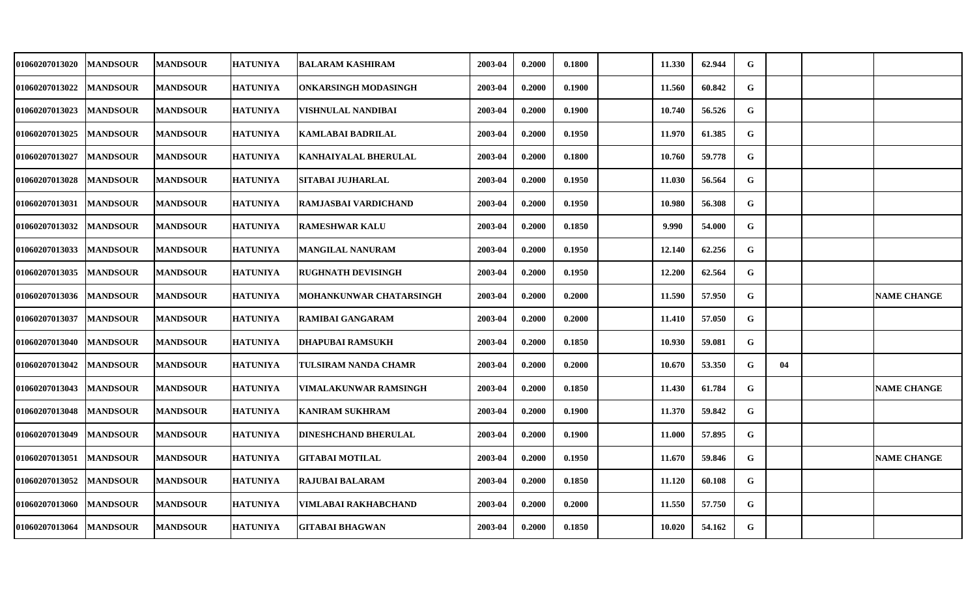| 01060207013020 | <b>MANDSOUR</b> | <b>MANDSOUR</b> | <b>HATUNIYA</b> | <b>BALARAM KASHIRAM</b>      | 2003-04 | 0.2000 | 0.1800 | 11.330 | 62.944 | G           |    |                    |
|----------------|-----------------|-----------------|-----------------|------------------------------|---------|--------|--------|--------|--------|-------------|----|--------------------|
| 01060207013022 | <b>MANDSOUR</b> | <b>MANDSOUR</b> | <b>HATUNIYA</b> | ONKARSINGH MODASINGH         | 2003-04 | 0.2000 | 0.1900 | 11.560 | 60.842 | G           |    |                    |
| 01060207013023 | <b>MANDSOUR</b> | <b>MANDSOUR</b> | <b>HATUNIYA</b> | VISHNULAL NANDIBAI           | 2003-04 | 0.2000 | 0.1900 | 10.740 | 56.526 | G           |    |                    |
| 01060207013025 | <b>MANDSOUR</b> | <b>MANDSOUR</b> | <b>HATUNIYA</b> | <b>KAMLABAI BADRILAL</b>     | 2003-04 | 0.2000 | 0.1950 | 11.970 | 61.385 | G           |    |                    |
| 01060207013027 | <b>MANDSOUR</b> | <b>MANDSOUR</b> | <b>HATUNIYA</b> | KANHAIYALAL BHERULAL         | 2003-04 | 0.2000 | 0.1800 | 10.760 | 59.778 | G           |    |                    |
| 01060207013028 | <b>MANDSOUR</b> | <b>MANDSOUR</b> | <b>HATUNIYA</b> | <b>SITABAI JUJHARLAL</b>     | 2003-04 | 0.2000 | 0.1950 | 11.030 | 56.564 | G           |    |                    |
| 01060207013031 | <b>MANDSOUR</b> | <b>MANDSOUR</b> | <b>HATUNIYA</b> | RAMJASBAI VARDICHAND         | 2003-04 | 0.2000 | 0.1950 | 10.980 | 56.308 | G           |    |                    |
| 01060207013032 | <b>MANDSOUR</b> | <b>MANDSOUR</b> | <b>HATUNIYA</b> | <b>RAMESHWAR KALU</b>        | 2003-04 | 0.2000 | 0.1850 | 9.990  | 54.000 | G           |    |                    |
| 01060207013033 | <b>MANDSOUR</b> | <b>MANDSOUR</b> | <b>HATUNIYA</b> | MANGILAL NANURAM             | 2003-04 | 0.2000 | 0.1950 | 12.140 | 62.256 | G           |    |                    |
| 01060207013035 | <b>MANDSOUR</b> | <b>MANDSOUR</b> | <b>HATUNIYA</b> | <b>RUGHNATH DEVISINGH</b>    | 2003-04 | 0.2000 | 0.1950 | 12.200 | 62.564 | G           |    |                    |
| 01060207013036 | <b>MANDSOUR</b> | <b>MANDSOUR</b> | <b>HATUNIYA</b> | MOHANKUNWAR CHATARSINGH      | 2003-04 | 0.2000 | 0.2000 | 11.590 | 57.950 | G           |    | <b>NAME CHANGE</b> |
| 01060207013037 | <b>MANDSOUR</b> | <b>MANDSOUR</b> | <b>HATUNIYA</b> | <b>RAMIBAI GANGARAM</b>      | 2003-04 | 0.2000 | 0.2000 | 11.410 | 57.050 | G           |    |                    |
| 01060207013040 | <b>MANDSOUR</b> | <b>MANDSOUR</b> | <b>HATUNIYA</b> | <b>DHAPUBAI RAMSUKH</b>      | 2003-04 | 0.2000 | 0.1850 | 10.930 | 59.081 | G           |    |                    |
| 01060207013042 | <b>MANDSOUR</b> | <b>MANDSOUR</b> | <b>HATUNIYA</b> | TULSIRAM NANDA CHAMR         | 2003-04 | 0.2000 | 0.2000 | 10.670 | 53.350 | G           | 04 |                    |
| 01060207013043 | <b>MANDSOUR</b> | <b>MANDSOUR</b> | <b>HATUNIYA</b> | <b>VIMALAKUNWAR RAMSINGH</b> | 2003-04 | 0.2000 | 0.1850 | 11.430 | 61.784 | G           |    | <b>NAME CHANGE</b> |
| 01060207013048 | <b>MANDSOUR</b> | <b>MANDSOUR</b> | <b>HATUNIYA</b> | KANIRAM SUKHRAM              | 2003-04 | 0.2000 | 0.1900 | 11.370 | 59.842 | G           |    |                    |
| 01060207013049 | <b>MANDSOUR</b> | <b>MANDSOUR</b> | <b>HATUNIYA</b> | <b>DINESHCHAND BHERULAL</b>  | 2003-04 | 0.2000 | 0.1900 | 11.000 | 57.895 | $\mathbf G$ |    |                    |
| 01060207013051 | <b>MANDSOUR</b> | <b>MANDSOUR</b> | <b>HATUNIYA</b> | <b>GITABAI MOTILAL</b>       | 2003-04 | 0.2000 | 0.1950 | 11.670 | 59.846 | G           |    | <b>NAME CHANGE</b> |
| 01060207013052 | <b>MANDSOUR</b> | <b>MANDSOUR</b> | <b>HATUNIYA</b> | <b>RAJUBAI BALARAM</b>       | 2003-04 | 0.2000 | 0.1850 | 11.120 | 60.108 | G           |    |                    |
| 01060207013060 | <b>MANDSOUR</b> | <b>MANDSOUR</b> | <b>HATUNIYA</b> | VIMLABAI RAKHABCHAND         | 2003-04 | 0.2000 | 0.2000 | 11.550 | 57.750 | G           |    |                    |
| 01060207013064 | <b>MANDSOUR</b> | <b>MANDSOUR</b> | <b>HATUNIYA</b> | <b>GITABAI BHAGWAN</b>       | 2003-04 | 0.2000 | 0.1850 | 10.020 | 54.162 | G           |    |                    |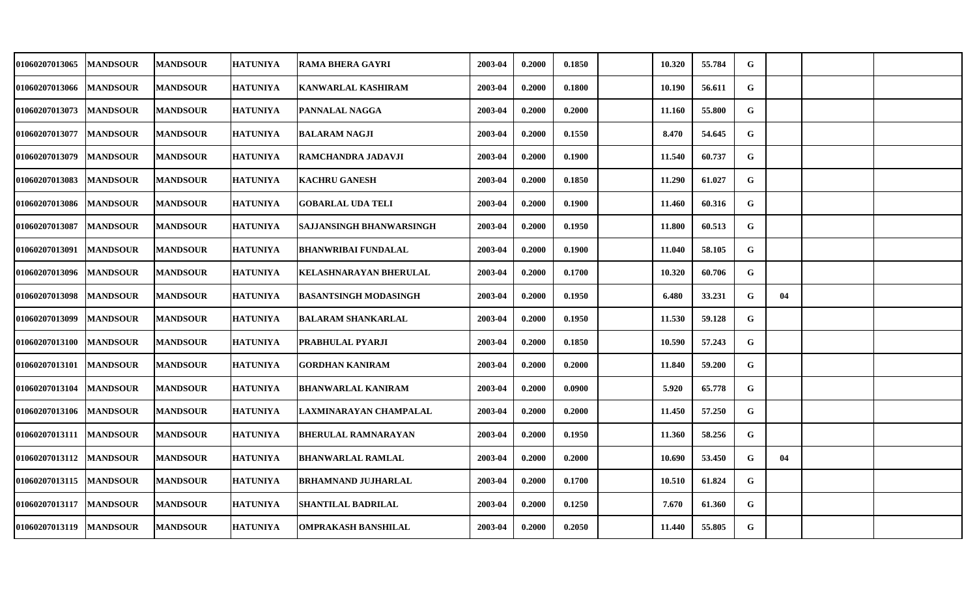| 01060207013065            | <b>MANDSOUR</b> | <b>MANDSOUR</b> | <b>HATUNIYA</b> | <b>RAMA BHERA GAYRI</b>       | 2003-04 | 0.2000 | 0.1850 | 10.320 | 55.784 | G |    |  |
|---------------------------|-----------------|-----------------|-----------------|-------------------------------|---------|--------|--------|--------|--------|---|----|--|
| 01060207013066            | <b>MANDSOUR</b> | <b>MANDSOUR</b> | <b>HATUNIYA</b> | <b>KANWARLAL KASHIRAM</b>     | 2003-04 | 0.2000 | 0.1800 | 10.190 | 56.611 | G |    |  |
| 01060207013073            | <b>MANDSOUR</b> | <b>MANDSOUR</b> | <b>HATUNIYA</b> | PANNALAL NAGGA                | 2003-04 | 0.2000 | 0.2000 | 11.160 | 55.800 | G |    |  |
| 01060207013077            | <b>MANDSOUR</b> | <b>MANDSOUR</b> | <b>HATUNIYA</b> | <b>BALARAM NAGJI</b>          | 2003-04 | 0.2000 | 0.1550 | 8.470  | 54.645 | G |    |  |
| 01060207013079            | <b>MANDSOUR</b> | <b>MANDSOUR</b> | <b>HATUNIYA</b> | RAMCHANDRA JADAVJI            | 2003-04 | 0.2000 | 0.1900 | 11.540 | 60.737 | G |    |  |
| 01060207013083            | <b>MANDSOUR</b> | <b>MANDSOUR</b> | <b>HATUNIYA</b> | <b>KACHRU GANESH</b>          | 2003-04 | 0.2000 | 0.1850 | 11.290 | 61.027 | G |    |  |
| 01060207013086            | <b>MANDSOUR</b> | <b>MANDSOUR</b> | <b>HATUNIYA</b> | GOBARLAL UDA TELI             | 2003-04 | 0.2000 | 0.1900 | 11.460 | 60.316 | G |    |  |
| 01060207013087            | <b>MANDSOUR</b> | <b>MANDSOUR</b> | <b>HATUNIYA</b> | SAJJANSINGH BHANWARSINGH      | 2003-04 | 0.2000 | 0.1950 | 11.800 | 60.513 | G |    |  |
| 01060207013091            | <b>MANDSOUR</b> | <b>MANDSOUR</b> | <b>HATUNIYA</b> | <b>BHANWRIBAI FUNDALAL</b>    | 2003-04 | 0.2000 | 0.1900 | 11.040 | 58.105 | G |    |  |
| 01060207013096            | <b>MANDSOUR</b> | <b>MANDSOUR</b> | <b>HATUNIYA</b> | <b>KELASHNARAYAN BHERULAL</b> | 2003-04 | 0.2000 | 0.1700 | 10.320 | 60.706 | G |    |  |
| 01060207013098            | <b>MANDSOUR</b> | <b>MANDSOUR</b> | <b>HATUNIYA</b> | <b>BASANTSINGH MODASINGH</b>  | 2003-04 | 0.2000 | 0.1950 | 6.480  | 33.231 | G | 04 |  |
| 01060207013099            | <b>MANDSOUR</b> | <b>MANDSOUR</b> | <b>HATUNIYA</b> | <b>BALARAM SHANKARLAL</b>     | 2003-04 | 0.2000 | 0.1950 | 11.530 | 59.128 | G |    |  |
| 01060207013100            | <b>MANDSOUR</b> | <b>MANDSOUR</b> | <b>HATUNIYA</b> | PRABHULAL PYARJI              | 2003-04 | 0.2000 | 0.1850 | 10.590 | 57.243 | G |    |  |
| 01060207013101            | <b>MANDSOUR</b> | <b>MANDSOUR</b> | <b>HATUNIYA</b> | GORDHAN KANIRAM               | 2003-04 | 0.2000 | 0.2000 | 11.840 | 59.200 | G |    |  |
| 01060207013104            | <b>MANDSOUR</b> | <b>MANDSOUR</b> | <b>HATUNIYA</b> | <b>BHANWARLAL KANIRAM</b>     | 2003-04 | 0.2000 | 0.0900 | 5.920  | 65.778 | G |    |  |
| 01060207013106   MANDSOUR |                 | <b>MANDSOUR</b> | <b>HATUNIYA</b> | LAXMINARAYAN CHAMPALAL        | 2003-04 | 0.2000 | 0.2000 | 11.450 | 57.250 | G |    |  |
| 01060207013111  MANDSOUR  |                 | <b>MANDSOUR</b> | <b>HATUNIYA</b> | <b>BHERULAL RAMNARAYAN</b>    | 2003-04 | 0.2000 | 0.1950 | 11.360 | 58.256 | G |    |  |
| 01060207013112            | <b>MANDSOUR</b> | <b>MANDSOUR</b> | <b>HATUNIYA</b> | BHANWARLAL RAMLAL             | 2003-04 | 0.2000 | 0.2000 | 10.690 | 53.450 | G | 04 |  |
| 01060207013115            | <b>MANDSOUR</b> | <b>MANDSOUR</b> | <b>HATUNIYA</b> | <b>BRHAMNAND JUJHARLAL</b>    | 2003-04 | 0.2000 | 0.1700 | 10.510 | 61.824 | G |    |  |
| 01060207013117            | <b>MANDSOUR</b> | <b>MANDSOUR</b> | <b>HATUNIYA</b> | SHANTILAL BADRILAL            | 2003-04 | 0.2000 | 0.1250 | 7.670  | 61.360 | G |    |  |
| 01060207013119   MANDSOUR |                 | <b>MANDSOUR</b> | <b>HATUNIYA</b> | OMPRAKASH BANSHILAL           | 2003-04 | 0.2000 | 0.2050 | 11.440 | 55.805 | G |    |  |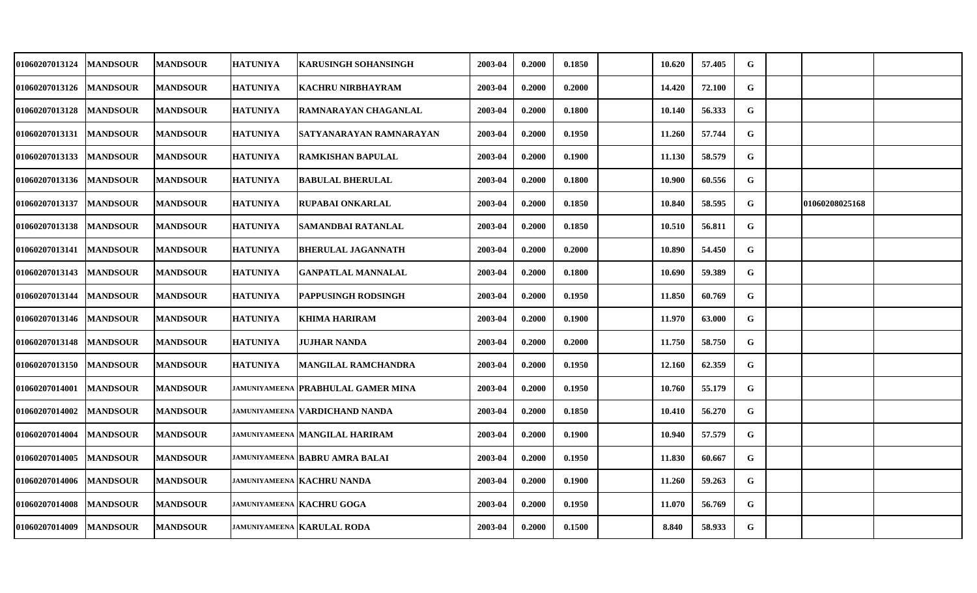| 01060207013124            | <b>MANDSOUR</b> | <b>MANDSOUR</b> | <b>HATUNIYA</b> | <b>KARUSINGH SOHANSINGH</b>         | 2003-04 | 0.2000 | 0.1850 | 10.620 | 57.405 | G           |                |  |
|---------------------------|-----------------|-----------------|-----------------|-------------------------------------|---------|--------|--------|--------|--------|-------------|----------------|--|
| 01060207013126            | <b>MANDSOUR</b> | <b>MANDSOUR</b> | <b>HATUNIYA</b> | <b>KACHRU NIRBHAYRAM</b>            | 2003-04 | 0.2000 | 0.2000 | 14.420 | 72.100 | G           |                |  |
| 01060207013128   MANDSOUR |                 | <b>MANDSOUR</b> | <b>HATUNIYA</b> | <b>RAMNARAYAN CHAGANLAL</b>         | 2003-04 | 0.2000 | 0.1800 | 10.140 | 56.333 | G           |                |  |
| 01060207013131            | <b>MANDSOUR</b> | <b>MANDSOUR</b> | <b>HATUNIYA</b> | SATYANARAYAN RAMNARAYAN             | 2003-04 | 0.2000 | 0.1950 | 11.260 | 57.744 | G           |                |  |
| 01060207013133            | <b>MANDSOUR</b> | <b>MANDSOUR</b> | <b>HATUNIYA</b> | <b>RAMKISHAN BAPULAL</b>            | 2003-04 | 0.2000 | 0.1900 | 11.130 | 58.579 | G           |                |  |
| 01060207013136   MANDSOUR |                 | <b>MANDSOUR</b> | <b>HATUNIYA</b> | <b>BABULAL BHERULAL</b>             | 2003-04 | 0.2000 | 0.1800 | 10.900 | 60.556 | G           |                |  |
| 01060207013137            | <b>MANDSOUR</b> | <b>MANDSOUR</b> | <b>HATUNIYA</b> | <b>RUPABAI ONKARLAL</b>             | 2003-04 | 0.2000 | 0.1850 | 10.840 | 58.595 | G           | 01060208025168 |  |
| 01060207013138   MANDSOUR |                 | <b>MANDSOUR</b> | <b>HATUNIYA</b> | SAMANDBAI RATANLAL                  | 2003-04 | 0.2000 | 0.1850 | 10.510 | 56.811 | $\mathbf G$ |                |  |
| 01060207013141            | <b>MANDSOUR</b> | <b>MANDSOUR</b> | <b>HATUNIYA</b> | <b>BHERULAL JAGANNATH</b>           | 2003-04 | 0.2000 | 0.2000 | 10.890 | 54.450 | G           |                |  |
| 01060207013143            | <b>MANDSOUR</b> | <b>MANDSOUR</b> | <b>HATUNIYA</b> | <b>GANPATLAL MANNALAL</b>           | 2003-04 | 0.2000 | 0.1800 | 10.690 | 59.389 | G           |                |  |
| 01060207013144            | <b>MANDSOUR</b> | <b>MANDSOUR</b> | <b>HATUNIYA</b> | PAPPUSINGH RODSINGH                 | 2003-04 | 0.2000 | 0.1950 | 11.850 | 60.769 | G           |                |  |
| 01060207013146  MANDSOUR  |                 | <b>MANDSOUR</b> | <b>HATUNIYA</b> | <b>KHIMA HARIRAM</b>                | 2003-04 | 0.2000 | 0.1900 | 11.970 | 63.000 | G           |                |  |
| 01060207013148            | <b>MANDSOUR</b> | <b>MANDSOUR</b> | <b>HATUNIYA</b> | <b>JUJHAR NANDA</b>                 | 2003-04 | 0.2000 | 0.2000 | 11.750 | 58.750 | G           |                |  |
| 01060207013150            | <b>MANDSOUR</b> | <b>MANDSOUR</b> | <b>HATUNIYA</b> | MANGILAL RAMCHANDRA                 | 2003-04 | 0.2000 | 0.1950 | 12.160 | 62.359 | G           |                |  |
| 01060207014001            | <b>MANDSOUR</b> | <b>MANDSOUR</b> |                 | JAMUNIYAMEENA PRABHULAL GAMER MINA  | 2003-04 | 0.2000 | 0.1950 | 10.760 | 55.179 | G           |                |  |
| 01060207014002            | <b>MANDSOUR</b> | <b>MANDSOUR</b> |                 | JAMUNIYAMEENA   VARDICHAND NANDA    | 2003-04 | 0.2000 | 0.1850 | 10.410 | 56.270 | G           |                |  |
| 01060207014004            | <b>MANDSOUR</b> | <b>MANDSOUR</b> |                 | JAMUNIYAMEENA MANGILAL HARIRAM      | 2003-04 | 0.2000 | 0.1900 | 10.940 | 57.579 | G           |                |  |
| 01060207014005            | <b>MANDSOUR</b> | <b>MANDSOUR</b> |                 | JAMUNIYAMEENA BABRU AMRA BALAI      | 2003-04 | 0.2000 | 0.1950 | 11.830 | 60.667 | G           |                |  |
| 01060207014006            | <b>MANDSOUR</b> | <b>MANDSOUR</b> |                 | <b>JAMUNIYAMEENA KACHRU NANDA</b>   | 2003-04 | 0.2000 | 0.1900 | 11.260 | 59.263 | G           |                |  |
| 01060207014008            | <b>MANDSOUR</b> | <b>MANDSOUR</b> |                 | JAMUNIYAMEENA KACHRU GOGA           | 2003-04 | 0.2000 | 0.1950 | 11.070 | 56.769 | G           |                |  |
| 01060207014009   MANDSOUR |                 | <b>MANDSOUR</b> |                 | <b>JAMUNIYAMEENA   KARULAL RODA</b> | 2003-04 | 0.2000 | 0.1500 | 8.840  | 58.933 | G           |                |  |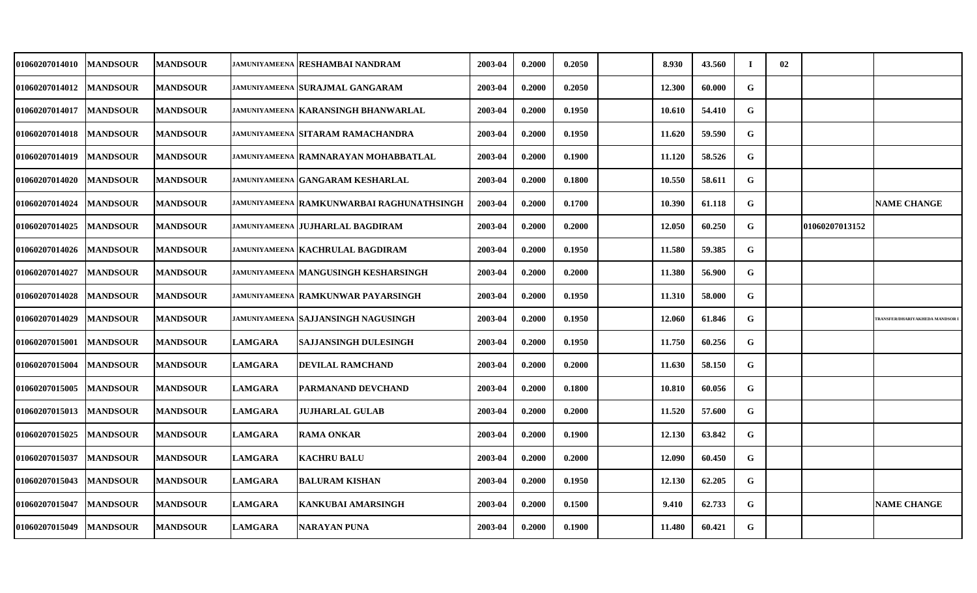| <b>01060207014010</b> | <b>MANDSOUR</b> | <b> MANDSOUR</b> |                | jamuniyameena  RESHAMBAI NANDRAM           | 2003-04 | 0.2000 | 0.2050 | 8.930  | 43.560 | - 1         | 02 |                |                                      |
|-----------------------|-----------------|------------------|----------------|--------------------------------------------|---------|--------|--------|--------|--------|-------------|----|----------------|--------------------------------------|
| <b>01060207014012</b> | <b>MANDSOUR</b> | <b>MANDSOUR</b>  |                | <b>JAMUNIYAMEENA SURAJMAL GANGARAM</b>     | 2003-04 | 0.2000 | 0.2050 | 12.300 | 60.000 | $\mathbf G$ |    |                |                                      |
| <b>01060207014017</b> | <b>MANDSOUR</b> | <b>MANDSOUR</b>  |                | jamuniyameena   KARANSINGH BHANWARLAL      | 2003-04 | 0.2000 | 0.1950 | 10.610 | 54.410 | G           |    |                |                                      |
| <b>01060207014018</b> | <b>MANDSOUR</b> | <b>MANDSOUR</b>  |                | <b>JAMUNIYAMEENA SITARAM RAMACHANDRA</b>   | 2003-04 | 0.2000 | 0.1950 | 11.620 | 59.590 | G           |    |                |                                      |
| <b>01060207014019</b> | <b>MANDSOUR</b> | <b>MANDSOUR</b>  |                | jamuniyameena   RAMNARAYAN MOHABBATLAL     | 2003-04 | 0.2000 | 0.1900 | 11.120 | 58.526 | G           |    |                |                                      |
| <b>01060207014020</b> | <b>MANDSOUR</b> | <b>MANDSOUR</b>  |                | jamuniyameena  GANGARAM KESHARLAL          | 2003-04 | 0.2000 | 0.1800 | 10.550 | 58.611 | G           |    |                |                                      |
| <b>01060207014024</b> | <b>MANDSOUR</b> | <b>MANDSOUR</b>  |                | jamuniyameena  RAMKUNWARBAI RAGHUNATHSINGH | 2003-04 | 0.2000 | 0.1700 | 10.390 | 61.118 | G           |    |                | <b>NAME CHANGE</b>                   |
| 01060207014025        | <b>MANDSOUR</b> | <b>MANDSOUR</b>  |                | JAMUNIYAMEENA JUJHARLAL BAGDIRAM           | 2003-04 | 0.2000 | 0.2000 | 12.050 | 60.250 | G           |    | 01060207013152 |                                      |
| <b>01060207014026</b> | <b>MANDSOUR</b> | <b>MANDSOUR</b>  |                | <b>JAMUNIYAMEENA KACHRULAL BAGDIRAM</b>    | 2003-04 | 0.2000 | 0.1950 | 11.580 | 59.385 | G           |    |                |                                      |
| 01060207014027        | <b>MANDSOUR</b> | <b>MANDSOUR</b>  |                | jamuniyameena  MANGUSINGH KESHARSINGH      | 2003-04 | 0.2000 | 0.2000 | 11.380 | 56.900 | G           |    |                |                                      |
| <b>01060207014028</b> | <b>MANDSOUR</b> | <b>MANDSOUR</b>  |                | <b>JAMUNIYAMEENA RAMKUNWAR PAYARSINGH</b>  | 2003-04 | 0.2000 | 0.1950 | 11.310 | 58.000 | G           |    |                |                                      |
| <b>01060207014029</b> | <b>MANDSOUR</b> | <b>MANDSOUR</b>  |                | jamuniyameena  SAJJANSINGH NAGUSINGH       | 2003-04 | 0.2000 | 0.1950 | 12.060 | 61.846 | G           |    |                | <b>TRANSFER/DHARIYAKHEDA MANDSOR</b> |
| <b>01060207015001</b> | <b>MANDSOUR</b> | <b>MANDSOUR</b>  | <b>LAMGARA</b> | <b>SAJJANSINGH DULESINGH</b>               | 2003-04 | 0.2000 | 0.1950 | 11.750 | 60.256 | ${\bf G}$   |    |                |                                      |
| <b>01060207015004</b> | <b>MANDSOUR</b> | <b>MANDSOUR</b>  | <b>LAMGARA</b> | <b>DEVILAL RAMCHAND</b>                    | 2003-04 | 0.2000 | 0.2000 | 11.630 | 58.150 | G           |    |                |                                      |
| 01060207015005        | <b>MANDSOUR</b> | <b>MANDSOUR</b>  | <b>LAMGARA</b> | PARMANAND DEVCHAND                         | 2003-04 | 0.2000 | 0.1800 | 10.810 | 60.056 | G           |    |                |                                      |
| <b>01060207015013</b> | <b>MANDSOUR</b> | <b>MANDSOUR</b>  | <b>LAMGARA</b> | <b>JUJHARLAL GULAB</b>                     | 2003-04 | 0.2000 | 0.2000 | 11.520 | 57.600 | G           |    |                |                                      |
| 01060207015025        | <b>MANDSOUR</b> | <b>MANDSOUR</b>  | <b>LAMGARA</b> | <b>RAMA ONKAR</b>                          | 2003-04 | 0.2000 | 0.1900 | 12.130 | 63.842 | G           |    |                |                                      |
| 01060207015037        | <b>MANDSOUR</b> | <b>MANDSOUR</b>  | <b>LAMGARA</b> | <b>KACHRU BALU</b>                         | 2003-04 | 0.2000 | 0.2000 | 12.090 | 60.450 | G           |    |                |                                      |
| 01060207015043        | <b>MANDSOUR</b> | <b>MANDSOUR</b>  | <b>LAMGARA</b> | <b>BALURAM KISHAN</b>                      | 2003-04 | 0.2000 | 0.1950 | 12.130 | 62.205 | G           |    |                |                                      |
| 01060207015047        | <b>MANDSOUR</b> | <b>MANDSOUR</b>  | <b>LAMGARA</b> | KANKUBAI AMARSINGH                         | 2003-04 | 0.2000 | 0.1500 | 9.410  | 62.733 | G           |    |                | <b>NAME CHANGE</b>                   |
| 01060207015049        | <b>MANDSOUR</b> | <b>MANDSOUR</b>  | <b>LAMGARA</b> | <b>NARAYAN PUNA</b>                        | 2003-04 | 0.2000 | 0.1900 | 11.480 | 60.421 | G           |    |                |                                      |
|                       |                 |                  |                |                                            |         |        |        |        |        |             |    |                |                                      |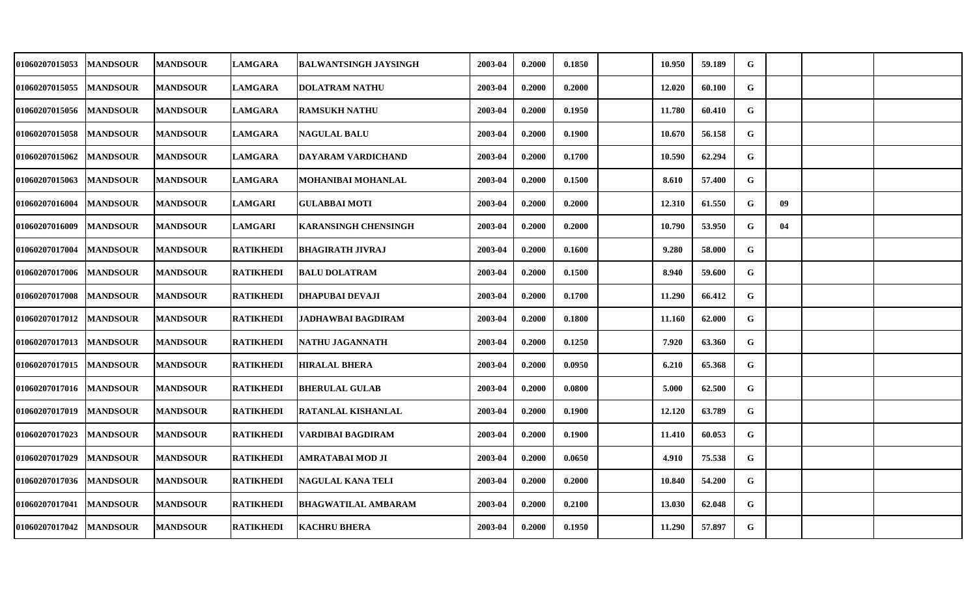| 01060207015053            | <b>MANDSOUR</b> | <b>MANDSOUR</b> | <b>LAMGARA</b>   | <b>BALWANTSINGH JAYSINGH</b> | 2003-04 | 0.2000 | 0.1850 | 10.950 | 59.189 | G           |    |  |
|---------------------------|-----------------|-----------------|------------------|------------------------------|---------|--------|--------|--------|--------|-------------|----|--|
| 01060207015055            | <b>MANDSOUR</b> | <b>MANDSOUR</b> | <b>LAMGARA</b>   | <b>DOLATRAM NATHU</b>        | 2003-04 | 0.2000 | 0.2000 | 12.020 | 60.100 | G           |    |  |
| 01060207015056   MANDSOUR |                 | <b>MANDSOUR</b> | <b>LAMGARA</b>   | <b>RAMSUKH NATHU</b>         | 2003-04 | 0.2000 | 0.1950 | 11.780 | 60.410 | G           |    |  |
| 01060207015058            | <b>MANDSOUR</b> | <b>MANDSOUR</b> | <b>LAMGARA</b>   | <b>NAGULAL BALU</b>          | 2003-04 | 0.2000 | 0.1900 | 10.670 | 56.158 | G           |    |  |
| 01060207015062            | <b>MANDSOUR</b> | <b>MANDSOUR</b> | <b>LAMGARA</b>   | <b>DAYARAM VARDICHAND</b>    | 2003-04 | 0.2000 | 0.1700 | 10.590 | 62.294 | G           |    |  |
| 01060207015063            | <b>MANDSOUR</b> | <b>MANDSOUR</b> | <b>LAMGARA</b>   | MOHANIBAI MOHANLAL           | 2003-04 | 0.2000 | 0.1500 | 8.610  | 57.400 | G           |    |  |
| 01060207016004            | <b>MANDSOUR</b> | <b>MANDSOUR</b> | <b>LAMGARI</b>   | <b>GULABBAI MOTI</b>         | 2003-04 | 0.2000 | 0.2000 | 12.310 | 61.550 | G           | 09 |  |
| 01060207016009            | <b>MANDSOUR</b> | <b>MANDSOUR</b> | <b>LAMGARI</b>   | <b>KARANSINGH CHENSINGH</b>  | 2003-04 | 0.2000 | 0.2000 | 10.790 | 53.950 | G           | 04 |  |
| 01060207017004            | <b>MANDSOUR</b> | <b>MANDSOUR</b> | <b>RATIKHEDI</b> | <b>BHAGIRATH JIVRAJ</b>      | 2003-04 | 0.2000 | 0.1600 | 9.280  | 58.000 | G           |    |  |
| 01060207017006            | <b>MANDSOUR</b> | <b>MANDSOUR</b> | <b>RATIKHEDI</b> | <b>BALU DOLATRAM</b>         | 2003-04 | 0.2000 | 0.1500 | 8.940  | 59.600 | G           |    |  |
| 01060207017008            | <b>MANDSOUR</b> | <b>MANDSOUR</b> | <b>RATIKHEDI</b> | <b>DHAPUBAI DEVAJI</b>       | 2003-04 | 0.2000 | 0.1700 | 11.290 | 66.412 | G           |    |  |
| 01060207017012   MANDSOUR |                 | <b>MANDSOUR</b> | <b>RATIKHEDI</b> | <b>JADHAWBAI BAGDIRAM</b>    | 2003-04 | 0.2000 | 0.1800 | 11.160 | 62.000 | G           |    |  |
| 01060207017013            | <b>MANDSOUR</b> | <b>MANDSOUR</b> | <b>RATIKHEDI</b> | NATHU JAGANNATH              | 2003-04 | 0.2000 | 0.1250 | 7.920  | 63.360 | G           |    |  |
| 01060207017015            | <b>MANDSOUR</b> | <b>MANDSOUR</b> | <b>RATIKHEDI</b> | <b>HIRALAL BHERA</b>         | 2003-04 | 0.2000 | 0.0950 | 6.210  | 65.368 | G           |    |  |
| 01060207017016  MANDSOUR  |                 | <b>MANDSOUR</b> | <b>RATIKHEDI</b> | <b>BHERULAL GULAB</b>        | 2003-04 | 0.2000 | 0.0800 | 5.000  | 62.500 | G           |    |  |
| 01060207017019            | <b>MANDSOUR</b> | <b>MANDSOUR</b> | <b>RATIKHEDI</b> | RATANLAL KISHANLAL           | 2003-04 | 0.2000 | 0.1900 | 12.120 | 63.789 | G           |    |  |
| 01060207017023            | <b>MANDSOUR</b> | <b>MANDSOUR</b> | <b>RATIKHEDI</b> | VARDIBAI BAGDIRAM            | 2003-04 | 0.2000 | 0.1900 | 11.410 | 60.053 | G           |    |  |
| 01060207017029            | <b>MANDSOUR</b> | <b>MANDSOUR</b> | <b>RATIKHEDI</b> | AMRATABAI MOD JI             | 2003-04 | 0.2000 | 0.0650 | 4.910  | 75.538 | G           |    |  |
| 01060207017036            | <b>MANDSOUR</b> | <b>MANDSOUR</b> | <b>RATIKHEDI</b> | <b>NAGULAL KANA TELI</b>     | 2003-04 | 0.2000 | 0.2000 | 10.840 | 54.200 | G           |    |  |
| 01060207017041            | <b>MANDSOUR</b> | <b>MANDSOUR</b> | <b>RATIKHEDI</b> | <b>BHAGWATILAL AMBARAM</b>   | 2003-04 | 0.2000 | 0.2100 | 13.030 | 62.048 | G           |    |  |
| 01060207017042  MANDSOUR  |                 | <b>MANDSOUR</b> | <b>RATIKHEDI</b> | <b>KACHRU BHERA</b>          | 2003-04 | 0.2000 | 0.1950 | 11.290 | 57.897 | $\mathbf G$ |    |  |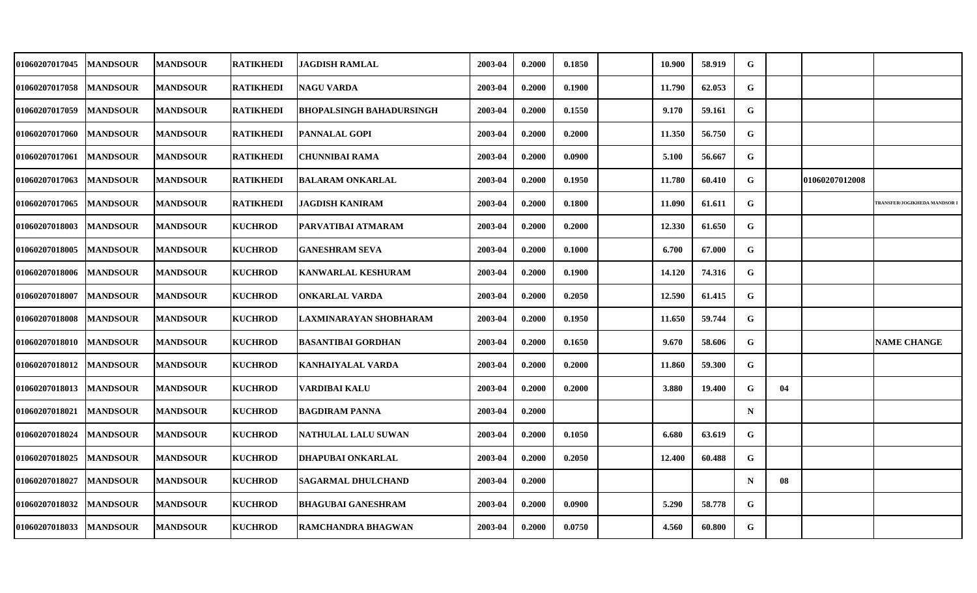| <b>01060207017045</b> | <b>MANDSOUR</b> | <b>MANDSOUR</b> | <b>RATIKHEDI</b> | <b>JAGDISH RAMLAL</b>      | 2003-04 | 0.2000 | 0.1850 | 10.900 | 58.919 | G           |    |                |                             |
|-----------------------|-----------------|-----------------|------------------|----------------------------|---------|--------|--------|--------|--------|-------------|----|----------------|-----------------------------|
| <b>01060207017058</b> | <b>MANDSOUR</b> | <b>MANDSOUR</b> | <b>RATIKHEDI</b> | <b>NAGU VARDA</b>          | 2003-04 | 0.2000 | 0.1900 | 11.790 | 62.053 | G           |    |                |                             |
| <b>01060207017059</b> | <b>MANDSOUR</b> | <b>MANDSOUR</b> | <b>RATIKHEDI</b> | BHOPALSINGH BAHADURSINGH   | 2003-04 | 0.2000 | 0.1550 | 9.170  | 59.161 | G           |    |                |                             |
| <b>01060207017060</b> | <b>MANDSOUR</b> | <b>MANDSOUR</b> | <b>RATIKHEDI</b> | <b>PANNALAL GOPI</b>       | 2003-04 | 0.2000 | 0.2000 | 11.350 | 56.750 | G           |    |                |                             |
| 01060207017061        | <b>MANDSOUR</b> | <b>MANDSOUR</b> | <b>RATIKHEDI</b> | <b>CHUNNIBAI RAMA</b>      | 2003-04 | 0.2000 | 0.0900 | 5.100  | 56.667 | G           |    |                |                             |
| 01060207017063        | <b>MANDSOUR</b> | <b>MANDSOUR</b> | <b>RATIKHEDI</b> | <b>BALARAM ONKARLAL</b>    | 2003-04 | 0.2000 | 0.1950 | 11.780 | 60.410 | G           |    | 01060207012008 |                             |
| <b>01060207017065</b> | <b>MANDSOUR</b> | <b>MANDSOUR</b> | <b>RATIKHEDI</b> | JAGDISH KANIRAM            | 2003-04 | 0.2000 | 0.1800 | 11.090 | 61.611 | G           |    |                | RANSFER/JOGIKHEDA MANDSOR I |
| 01060207018003        | <b>MANDSOUR</b> | <b>MANDSOUR</b> | <b>KUCHROD</b>   | PARVATIBAI ATMARAM         | 2003-04 | 0.2000 | 0.2000 | 12.330 | 61.650 | G           |    |                |                             |
| 01060207018005        | <b>MANDSOUR</b> | <b>MANDSOUR</b> | <b>KUCHROD</b>   | <b>GANESHRAM SEVA</b>      | 2003-04 | 0.2000 | 0.1000 | 6.700  | 67.000 | G           |    |                |                             |
| 01060207018006        | <b>MANDSOUR</b> | <b>MANDSOUR</b> | <b>KUCHROD</b>   | <b>KANWARLAL KESHURAM</b>  | 2003-04 | 0.2000 | 0.1900 | 14.120 | 74.316 | G           |    |                |                             |
| <b>01060207018007</b> | <b>MANDSOUR</b> | <b>MANDSOUR</b> | <b>KUCHROD</b>   | <b>ONKARLAL VARDA</b>      | 2003-04 | 0.2000 | 0.2050 | 12.590 | 61.415 | G           |    |                |                             |
| <b>01060207018008</b> | <b>MANDSOUR</b> | <b>MANDSOUR</b> | <b>KUCHROD</b>   | LAXMINARAYAN SHOBHARAM     | 2003-04 | 0.2000 | 0.1950 | 11.650 | 59.744 | G           |    |                |                             |
| <b>01060207018010</b> | <b>MANDSOUR</b> | <b>MANDSOUR</b> | <b>KUCHROD</b>   | <b>BASANTIBAI GORDHAN</b>  | 2003-04 | 0.2000 | 0.1650 | 9.670  | 58.606 | G           |    |                | <b>NAME CHANGE</b>          |
| 01060207018012        | <b>MANDSOUR</b> | <b>MANDSOUR</b> | <b>KUCHROD</b>   | <b>KANHAIYALAL VARDA</b>   | 2003-04 | 0.2000 | 0.2000 | 11.860 | 59.300 | G           |    |                |                             |
| 01060207018013        | <b>MANDSOUR</b> | <b>MANDSOUR</b> | <b>KUCHROD</b>   | VARDIBAI KALU              | 2003-04 | 0.2000 | 0.2000 | 3.880  | 19.400 | G           | 04 |                |                             |
| <b>01060207018021</b> | <b>MANDSOUR</b> | <b>MANDSOUR</b> | <b>KUCHROD</b>   | <b>BAGDIRAM PANNA</b>      | 2003-04 | 0.2000 |        |        |        | $\mathbf N$ |    |                |                             |
| <b>01060207018024</b> | <b>MANDSOUR</b> | <b>MANDSOUR</b> | <b>KUCHROD</b>   | <b>NATHULAL LALU SUWAN</b> | 2003-04 | 0.2000 | 0.1050 | 6.680  | 63.619 | G           |    |                |                             |
| 01060207018025        | <b>MANDSOUR</b> | <b>MANDSOUR</b> | <b>KUCHROD</b>   | <b>DHAPUBAI ONKARLAL</b>   | 2003-04 | 0.2000 | 0.2050 | 12.400 | 60.488 | G           |    |                |                             |
| 01060207018027        | <b>MANDSOUR</b> | <b>MANDSOUR</b> | <b>KUCHROD</b>   | <b>SAGARMAL DHULCHAND</b>  | 2003-04 | 0.2000 |        |        |        | $\mathbf N$ | 08 |                |                             |
| 01060207018032        | <b>MANDSOUR</b> | <b>MANDSOUR</b> | <b>KUCHROD</b>   | <b>BHAGUBAI GANESHRAM</b>  | 2003-04 | 0.2000 | 0.0900 | 5.290  | 58.778 | G           |    |                |                             |
| 01060207018033        | <b>MANDSOUR</b> | <b>MANDSOUR</b> | <b>KUCHROD</b>   | <b>RAMCHANDRA BHAGWAN</b>  | 2003-04 | 0.2000 | 0.0750 | 4.560  | 60.800 | G           |    |                |                             |
|                       |                 |                 |                  |                            |         |        |        |        |        |             |    |                |                             |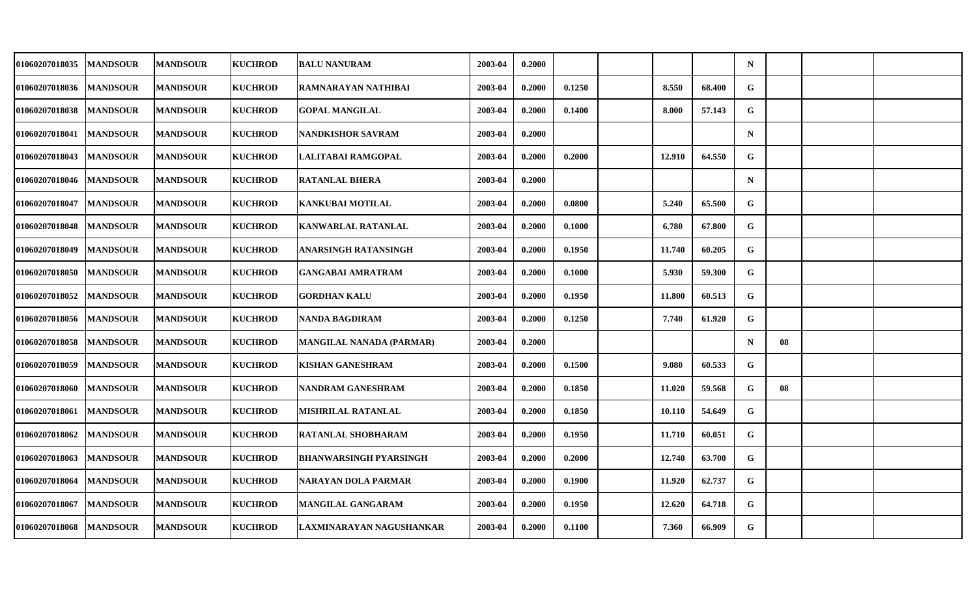| 01060207018035 | <b>MANDSOUR</b> | <b>MANDSOUR</b> | <b>KUCHROD</b> | <b>BALU NANURAM</b>           | 2003-04 | 0.2000 |        |        |        | $\mathbf N$ |    |  |
|----------------|-----------------|-----------------|----------------|-------------------------------|---------|--------|--------|--------|--------|-------------|----|--|
| 01060207018036 | <b>MANDSOUR</b> | <b>MANDSOUR</b> | <b>KUCHROD</b> | RAMNARAYAN NATHIBAI           | 2003-04 | 0.2000 | 0.1250 | 8.550  | 68.400 | G           |    |  |
| 01060207018038 | <b>MANDSOUR</b> | <b>MANDSOUR</b> | <b>KUCHROD</b> | <b>GOPAL MANGILAL</b>         | 2003-04 | 0.2000 | 0.1400 | 8.000  | 57.143 | G           |    |  |
| 01060207018041 | <b>MANDSOUR</b> | <b>MANDSOUR</b> | <b>KUCHROD</b> | <b>NANDKISHOR SAVRAM</b>      | 2003-04 | 0.2000 |        |        |        | $\mathbf N$ |    |  |
| 01060207018043 | <b>MANDSOUR</b> | <b>MANDSOUR</b> | <b>KUCHROD</b> | LALITABAI RAMGOPAL            | 2003-04 | 0.2000 | 0.2000 | 12.910 | 64.550 | G           |    |  |
| 01060207018046 | <b>MANDSOUR</b> | <b>MANDSOUR</b> | <b>KUCHROD</b> | <b>RATANLAL BHERA</b>         | 2003-04 | 0.2000 |        |        |        | $\mathbf N$ |    |  |
| 01060207018047 | <b>MANDSOUR</b> | <b>MANDSOUR</b> | <b>KUCHROD</b> | <b>KANKUBAI MOTILAL</b>       | 2003-04 | 0.2000 | 0.0800 | 5.240  | 65.500 | G           |    |  |
| 01060207018048 | <b>MANDSOUR</b> | <b>MANDSOUR</b> | <b>KUCHROD</b> | <b>KANWARLAL RATANLAL</b>     | 2003-04 | 0.2000 | 0.1000 | 6.780  | 67.800 | G           |    |  |
| 01060207018049 | <b>MANDSOUR</b> | <b>MANDSOUR</b> | <b>KUCHROD</b> | ANARSINGH RATANSINGH          | 2003-04 | 0.2000 | 0.1950 | 11.740 | 60.205 | G           |    |  |
| 01060207018050 | <b>MANDSOUR</b> | <b>MANDSOUR</b> | <b>KUCHROD</b> | <b>GANGABAI AMRATRAM</b>      | 2003-04 | 0.2000 | 0.1000 | 5.930  | 59.300 | G           |    |  |
| 01060207018052 | <b>MANDSOUR</b> | <b>MANDSOUR</b> | <b>KUCHROD</b> | <b>GORDHAN KALU</b>           | 2003-04 | 0.2000 | 0.1950 | 11.800 | 60.513 | G           |    |  |
| 01060207018056 | <b>MANDSOUR</b> | <b>MANDSOUR</b> | <b>KUCHROD</b> | NANDA BAGDIRAM                | 2003-04 | 0.2000 | 0.1250 | 7.740  | 61.920 | G           |    |  |
| 01060207018058 | <b>MANDSOUR</b> | <b>MANDSOUR</b> | <b>KUCHROD</b> | MANGILAL NANADA (PARMAR)      | 2003-04 | 0.2000 |        |        |        | $\mathbf N$ | 08 |  |
| 01060207018059 | <b>MANDSOUR</b> | <b>MANDSOUR</b> | <b>KUCHROD</b> | <b>KISHAN GANESHRAM</b>       | 2003-04 | 0.2000 | 0.1500 | 9.080  | 60.533 | G           |    |  |
| 01060207018060 | <b>MANDSOUR</b> | <b>MANDSOUR</b> | <b>KUCHROD</b> | NANDRAM GANESHRAM             | 2003-04 | 0.2000 | 0.1850 | 11.020 | 59.568 | G           | 08 |  |
| 01060207018061 | <b>MANDSOUR</b> | <b>MANDSOUR</b> | <b>KUCHROD</b> | MISHRILAL RATANLAL            | 2003-04 | 0.2000 | 0.1850 | 10.110 | 54.649 | G           |    |  |
| 01060207018062 | <b>MANDSOUR</b> | <b>MANDSOUR</b> | <b>KUCHROD</b> | <b>RATANLAL SHOBHARAM</b>     | 2003-04 | 0.2000 | 0.1950 | 11.710 | 60.051 | G           |    |  |
| 01060207018063 | <b>MANDSOUR</b> | <b>MANDSOUR</b> | <b>KUCHROD</b> | <b>BHANWARSINGH PYARSINGH</b> | 2003-04 | 0.2000 | 0.2000 | 12.740 | 63.700 | G           |    |  |
| 01060207018064 | <b>MANDSOUR</b> | <b>MANDSOUR</b> | <b>KUCHROD</b> | <b>NARAYAN DOLA PARMAR</b>    | 2003-04 | 0.2000 | 0.1900 | 11.920 | 62.737 | G           |    |  |
| 01060207018067 | <b>MANDSOUR</b> | <b>MANDSOUR</b> | <b>KUCHROD</b> | <b>MANGILAL GANGARAM</b>      | 2003-04 | 0.2000 | 0.1950 | 12.620 | 64.718 | G           |    |  |
| 01060207018068 | <b>MANDSOUR</b> | <b>MANDSOUR</b> | <b>KUCHROD</b> | LAXMINARAYAN NAGUSHANKAR      | 2003-04 | 0.2000 | 0.1100 | 7.360  | 66.909 | G           |    |  |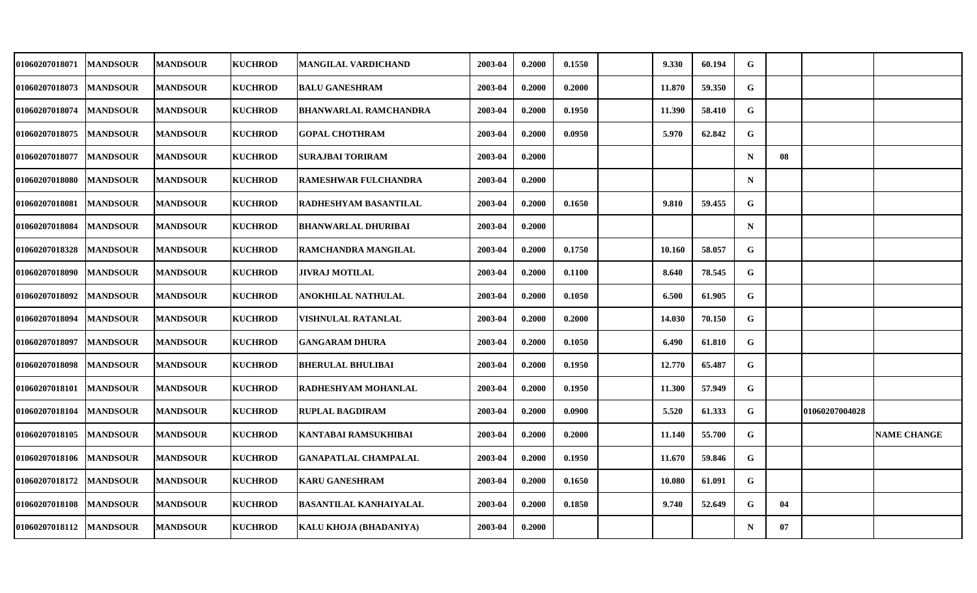| 01060207018071 | <b>MANDSOUR</b> | <b>MANDSOUR</b> | <b>KUCHROD</b> | MANGILAL VARDICHAND           | 2003-04 | 0.2000 | 0.1550 | 9.330  | 60.194 | G           |    |                |                    |
|----------------|-----------------|-----------------|----------------|-------------------------------|---------|--------|--------|--------|--------|-------------|----|----------------|--------------------|
| 01060207018073 | <b>MANDSOUR</b> | <b>MANDSOUR</b> | <b>KUCHROD</b> | <b>BALU GANESHRAM</b>         | 2003-04 | 0.2000 | 0.2000 | 11.870 | 59.350 | G           |    |                |                    |
| 01060207018074 | <b>MANDSOUR</b> | <b>MANDSOUR</b> | <b>KUCHROD</b> | <b>BHANWARLAL RAMCHANDRA</b>  | 2003-04 | 0.2000 | 0.1950 | 11.390 | 58.410 | G           |    |                |                    |
| 01060207018075 | <b>MANDSOUR</b> | <b>MANDSOUR</b> | <b>KUCHROD</b> | <b>GOPAL CHOTHRAM</b>         | 2003-04 | 0.2000 | 0.0950 | 5.970  | 62.842 | G           |    |                |                    |
| 01060207018077 | <b>MANDSOUR</b> | <b>MANDSOUR</b> | <b>KUCHROD</b> | <b>SURAJBAI TORIRAM</b>       | 2003-04 | 0.2000 |        |        |        | $\mathbf N$ | 08 |                |                    |
| 01060207018080 | <b>MANDSOUR</b> | <b>MANDSOUR</b> | <b>KUCHROD</b> | <b>RAMESHWAR FULCHANDRA</b>   | 2003-04 | 0.2000 |        |        |        | $\mathbf N$ |    |                |                    |
| 01060207018081 | <b>MANDSOUR</b> | <b>MANDSOUR</b> | <b>KUCHROD</b> | RADHESHYAM BASANTILAL         | 2003-04 | 0.2000 | 0.1650 | 9.810  | 59.455 | G           |    |                |                    |
| 01060207018084 | <b>MANDSOUR</b> | <b>MANDSOUR</b> | <b>KUCHROD</b> | <b>BHANWARLAL DHURIBAI</b>    | 2003-04 | 0.2000 |        |        |        | $\mathbf N$ |    |                |                    |
| 01060207018328 | <b>MANDSOUR</b> | <b>MANDSOUR</b> | <b>KUCHROD</b> | RAMCHANDRA MANGILAL           | 2003-04 | 0.2000 | 0.1750 | 10.160 | 58.057 | G           |    |                |                    |
| 01060207018090 | <b>MANDSOUR</b> | <b>MANDSOUR</b> | <b>KUCHROD</b> | <b>JIVRAJ MOTILAL</b>         | 2003-04 | 0.2000 | 0.1100 | 8.640  | 78.545 | G           |    |                |                    |
| 01060207018092 | <b>MANDSOUR</b> | <b>MANDSOUR</b> | <b>KUCHROD</b> | ANOKHILAL NATHULAL            | 2003-04 | 0.2000 | 0.1050 | 6.500  | 61.905 | G           |    |                |                    |
| 01060207018094 | <b>MANDSOUR</b> | <b>MANDSOUR</b> | <b>KUCHROD</b> | VISHNULAL RATANLAL            | 2003-04 | 0.2000 | 0.2000 | 14.030 | 70.150 | G           |    |                |                    |
| 01060207018097 | <b>MANDSOUR</b> | <b>MANDSOUR</b> | <b>KUCHROD</b> | <b>GANGARAM DHURA</b>         | 2003-04 | 0.2000 | 0.1050 | 6.490  | 61.810 | G           |    |                |                    |
| 01060207018098 | <b>MANDSOUR</b> | <b>MANDSOUR</b> | <b>KUCHROD</b> | <b>BHERULAL BHULIBAI</b>      | 2003-04 | 0.2000 | 0.1950 | 12.770 | 65.487 | G           |    |                |                    |
| 01060207018101 | <b>MANDSOUR</b> | <b>MANDSOUR</b> | <b>KUCHROD</b> | <b>RADHESHYAM MOHANLAL</b>    | 2003-04 | 0.2000 | 0.1950 | 11.300 | 57.949 | G           |    |                |                    |
| 01060207018104 | <b>MANDSOUR</b> | <b>MANDSOUR</b> | <b>KUCHROD</b> | <b>RUPLAL BAGDIRAM</b>        | 2003-04 | 0.2000 | 0.0900 | 5.520  | 61.333 | G           |    | 01060207004028 |                    |
| 01060207018105 | <b>MANDSOUR</b> | <b>MANDSOUR</b> | <b>KUCHROD</b> | KANTABAI RAMSUKHIBAI          | 2003-04 | 0.2000 | 0.2000 | 11.140 | 55.700 | G           |    |                | <b>NAME CHANGE</b> |
| 01060207018106 | <b>MANDSOUR</b> | <b>MANDSOUR</b> | <b>KUCHROD</b> | <b>GANAPATLAL CHAMPALAL</b>   | 2003-04 | 0.2000 | 0.1950 | 11.670 | 59.846 | G           |    |                |                    |
| 01060207018172 | <b>MANDSOUR</b> | <b>MANDSOUR</b> | <b>KUCHROD</b> | <b>KARU GANESHRAM</b>         | 2003-04 | 0.2000 | 0.1650 | 10.080 | 61.091 | G           |    |                |                    |
| 01060207018108 | <b>MANDSOUR</b> | <b>MANDSOUR</b> | <b>KUCHROD</b> | <b>BASANTILAL KANHAIYALAL</b> | 2003-04 | 0.2000 | 0.1850 | 9.740  | 52.649 | G           | 04 |                |                    |
| 01060207018112 | <b>MANDSOUR</b> | <b>MANDSOUR</b> | <b>KUCHROD</b> | KALU KHOJA (BHADANIYA)        | 2003-04 | 0.2000 |        |        |        | $\mathbf N$ | 07 |                |                    |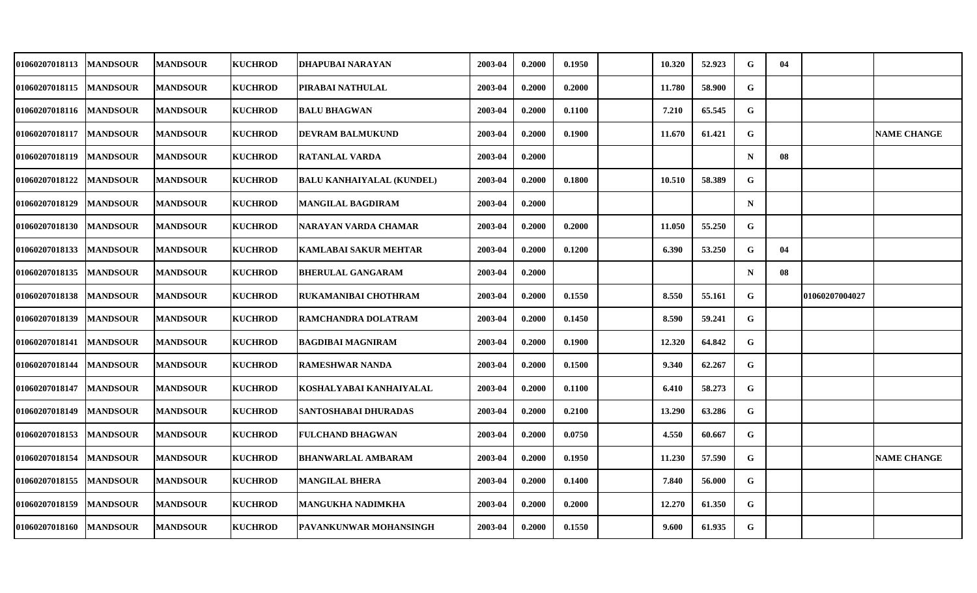| 01060207018113 | <b>MANDSOUR</b> | <b>MANDSOUR</b> | <b>KUCHROD</b> | DHAPUBAI NARAYAN                 | 2003-04 | 0.2000 | 0.1950 | 10.320 | 52.923 | G           | 04 |                |                    |
|----------------|-----------------|-----------------|----------------|----------------------------------|---------|--------|--------|--------|--------|-------------|----|----------------|--------------------|
| 01060207018115 | <b>MANDSOUR</b> | <b>MANDSOUR</b> | <b>KUCHROD</b> | PIRABAI NATHULAL                 | 2003-04 | 0.2000 | 0.2000 | 11.780 | 58.900 | G           |    |                |                    |
| 01060207018116 | <b>MANDSOUR</b> | <b>MANDSOUR</b> | <b>KUCHROD</b> | <b>BALU BHAGWAN</b>              | 2003-04 | 0.2000 | 0.1100 | 7.210  | 65.545 | G           |    |                |                    |
| 01060207018117 | <b>MANDSOUR</b> | <b>MANDSOUR</b> | <b>KUCHROD</b> | DEVRAM BALMUKUND                 | 2003-04 | 0.2000 | 0.1900 | 11.670 | 61.421 | G           |    |                | <b>NAME CHANGE</b> |
| 01060207018119 | <b>MANDSOUR</b> | <b>MANDSOUR</b> | <b>KUCHROD</b> | <b>RATANLAL VARDA</b>            | 2003-04 | 0.2000 |        |        |        | $\mathbf N$ | 08 |                |                    |
| 01060207018122 | <b>MANDSOUR</b> | <b>MANDSOUR</b> | <b>KUCHROD</b> | <b>BALU KANHAIYALAL (KUNDEL)</b> | 2003-04 | 0.2000 | 0.1800 | 10.510 | 58.389 | G           |    |                |                    |
| 01060207018129 | <b>MANDSOUR</b> | <b>MANDSOUR</b> | <b>KUCHROD</b> | MANGILAL BAGDIRAM                | 2003-04 | 0.2000 |        |        |        | $\mathbf N$ |    |                |                    |
| 01060207018130 | <b>MANDSOUR</b> | <b>MANDSOUR</b> | <b>KUCHROD</b> | NARAYAN VARDA CHAMAR             | 2003-04 | 0.2000 | 0.2000 | 11.050 | 55.250 | G           |    |                |                    |
| 01060207018133 | <b>MANDSOUR</b> | <b>MANDSOUR</b> | <b>KUCHROD</b> | <b>KAMLABAI SAKUR MEHTAR</b>     | 2003-04 | 0.2000 | 0.1200 | 6.390  | 53.250 | G           | 04 |                |                    |
| 01060207018135 | <b>MANDSOUR</b> | <b>MANDSOUR</b> | <b>KUCHROD</b> | <b>BHERULAL GANGARAM</b>         | 2003-04 | 0.2000 |        |        |        | $\mathbf N$ | 08 |                |                    |
| 01060207018138 | <b>MANDSOUR</b> | <b>MANDSOUR</b> | <b>KUCHROD</b> | RUKAMANIBAI CHOTHRAM             | 2003-04 | 0.2000 | 0.1550 | 8.550  | 55.161 | G           |    | 01060207004027 |                    |
| 01060207018139 | <b>MANDSOUR</b> | <b>MANDSOUR</b> | <b>KUCHROD</b> | RAMCHANDRA DOLATRAM              | 2003-04 | 0.2000 | 0.1450 | 8.590  | 59.241 | G           |    |                |                    |
| 01060207018141 | <b>MANDSOUR</b> | <b>MANDSOUR</b> | <b>KUCHROD</b> | <b>BAGDIBAI MAGNIRAM</b>         | 2003-04 | 0.2000 | 0.1900 | 12.320 | 64.842 | G           |    |                |                    |
| 01060207018144 | <b>MANDSOUR</b> | <b>MANDSOUR</b> | <b>KUCHROD</b> | <b>RAMESHWAR NANDA</b>           | 2003-04 | 0.2000 | 0.1500 | 9.340  | 62.267 | G           |    |                |                    |
| 01060207018147 | <b>MANDSOUR</b> | <b>MANDSOUR</b> | <b>KUCHROD</b> | KOSHALYABAI KANHAIYALAL          | 2003-04 | 0.2000 | 0.1100 | 6.410  | 58.273 | G           |    |                |                    |
| 01060207018149 | <b>MANDSOUR</b> | <b>MANDSOUR</b> | <b>KUCHROD</b> | SANTOSHABAI DHURADAS             | 2003-04 | 0.2000 | 0.2100 | 13.290 | 63.286 | G           |    |                |                    |
| 01060207018153 | <b>MANDSOUR</b> | <b>MANDSOUR</b> | <b>KUCHROD</b> | <b>FULCHAND BHAGWAN</b>          | 2003-04 | 0.2000 | 0.0750 | 4.550  | 60.667 | G           |    |                |                    |
| 01060207018154 | <b>MANDSOUR</b> | <b>MANDSOUR</b> | <b>KUCHROD</b> | <b>BHANWARLAL AMBARAM</b>        | 2003-04 | 0.2000 | 0.1950 | 11.230 | 57.590 | G           |    |                | <b>NAME CHANGE</b> |
| 01060207018155 | <b>MANDSOUR</b> | <b>MANDSOUR</b> | <b>KUCHROD</b> | <b>MANGILAL BHERA</b>            | 2003-04 | 0.2000 | 0.1400 | 7.840  | 56.000 | G           |    |                |                    |
| 01060207018159 | <b>MANDSOUR</b> | <b>MANDSOUR</b> | <b>KUCHROD</b> | MANGUKHA NADIMKHA                | 2003-04 | 0.2000 | 0.2000 | 12.270 | 61.350 | G           |    |                |                    |
| 01060207018160 | <b>MANDSOUR</b> | <b>MANDSOUR</b> | <b>KUCHROD</b> | PAVANKUNWAR MOHANSINGH           | 2003-04 | 0.2000 | 0.1550 | 9.600  | 61.935 | G           |    |                |                    |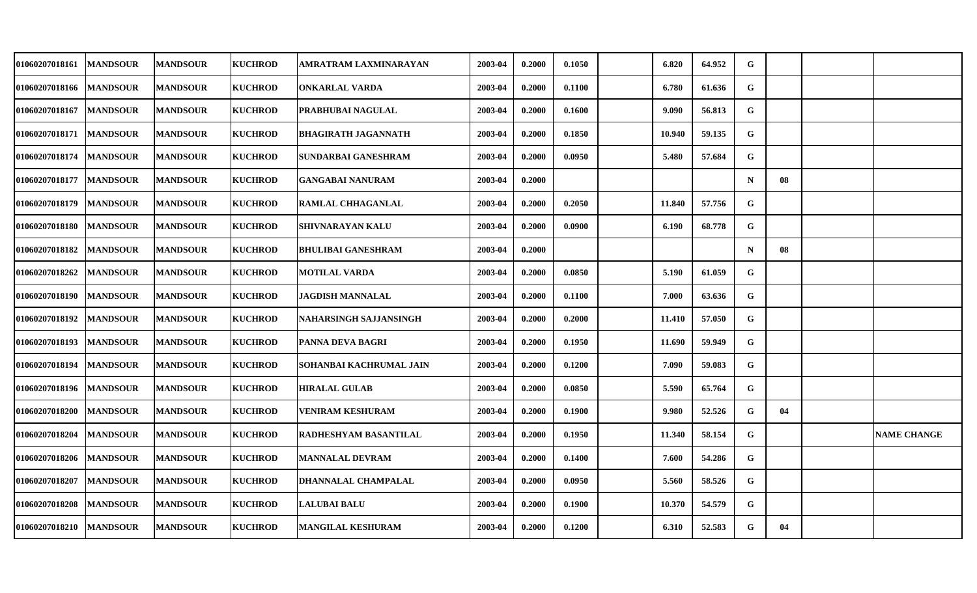| 01060207018161 | <b>MANDSOUR</b> | <b>MANDSOUR</b> | <b>KUCHROD</b> | AMRATRAM LAXMINARAYAN     | 2003-04 | 0.2000 | 0.1050 | 6.820  | 64.952 | G           |    |                    |
|----------------|-----------------|-----------------|----------------|---------------------------|---------|--------|--------|--------|--------|-------------|----|--------------------|
| 01060207018166 | <b>MANDSOUR</b> | <b>MANDSOUR</b> | <b>KUCHROD</b> | ONKARLAL VARDA            | 2003-04 | 0.2000 | 0.1100 | 6.780  | 61.636 | G           |    |                    |
| 01060207018167 | <b>MANDSOUR</b> | <b>MANDSOUR</b> | <b>KUCHROD</b> | PRABHUBAI NAGULAL         | 2003-04 | 0.2000 | 0.1600 | 9.090  | 56.813 | G           |    |                    |
| 01060207018171 | <b>MANDSOUR</b> | <b>MANDSOUR</b> | <b>KUCHROD</b> | BHAGIRATH JAGANNATH       | 2003-04 | 0.2000 | 0.1850 | 10.940 | 59.135 | G           |    |                    |
| 01060207018174 | <b>MANDSOUR</b> | <b>MANDSOUR</b> | <b>KUCHROD</b> | SUNDARBAI GANESHRAM       | 2003-04 | 0.2000 | 0.0950 | 5.480  | 57.684 | G           |    |                    |
| 01060207018177 | <b>MANDSOUR</b> | <b>MANDSOUR</b> | <b>KUCHROD</b> | <b>GANGABAI NANURAM</b>   | 2003-04 | 0.2000 |        |        |        | $\mathbf N$ | 08 |                    |
| 01060207018179 | <b>MANDSOUR</b> | <b>MANDSOUR</b> | <b>KUCHROD</b> | RAMLAL CHHAGANLAL         | 2003-04 | 0.2000 | 0.2050 | 11.840 | 57.756 | G           |    |                    |
| 01060207018180 | <b>MANDSOUR</b> | <b>MANDSOUR</b> | <b>KUCHROD</b> | <b>SHIVNARAYAN KALU</b>   | 2003-04 | 0.2000 | 0.0900 | 6.190  | 68.778 | G           |    |                    |
| 01060207018182 | <b>MANDSOUR</b> | <b>MANDSOUR</b> | <b>KUCHROD</b> | <b>BHULIBAI GANESHRAM</b> | 2003-04 | 0.2000 |        |        |        | $\mathbf N$ | 08 |                    |
| 01060207018262 | <b>MANDSOUR</b> | <b>MANDSOUR</b> | <b>KUCHROD</b> | <b>MOTILAL VARDA</b>      | 2003-04 | 0.2000 | 0.0850 | 5.190  | 61.059 | G           |    |                    |
| 01060207018190 | <b>MANDSOUR</b> | <b>MANDSOUR</b> | <b>KUCHROD</b> | <b>JAGDISH MANNALAL</b>   | 2003-04 | 0.2000 | 0.1100 | 7.000  | 63.636 | G           |    |                    |
| 01060207018192 | <b>MANDSOUR</b> | <b>MANDSOUR</b> | <b>KUCHROD</b> | NAHARSINGH SAJJANSINGH    | 2003-04 | 0.2000 | 0.2000 | 11.410 | 57.050 | G           |    |                    |
| 01060207018193 | <b>MANDSOUR</b> | <b>MANDSOUR</b> | <b>KUCHROD</b> | PANNA DEVA BAGRI          | 2003-04 | 0.2000 | 0.1950 | 11.690 | 59.949 | G           |    |                    |
| 01060207018194 | <b>MANDSOUR</b> | <b>MANDSOUR</b> | <b>KUCHROD</b> | SOHANBAI KACHRUMAL JAIN   | 2003-04 | 0.2000 | 0.1200 | 7.090  | 59.083 | G           |    |                    |
| 01060207018196 | <b>MANDSOUR</b> | <b>MANDSOUR</b> | <b>KUCHROD</b> | <b>HIRALAL GULAB</b>      | 2003-04 | 0.2000 | 0.0850 | 5.590  | 65.764 | G           |    |                    |
| 01060207018200 | <b>MANDSOUR</b> | <b>MANDSOUR</b> | <b>KUCHROD</b> | VENIRAM KESHURAM          | 2003-04 | 0.2000 | 0.1900 | 9.980  | 52.526 | G           | 04 |                    |
| 01060207018204 | <b>MANDSOUR</b> | <b>MANDSOUR</b> | <b>KUCHROD</b> | RADHESHYAM BASANTILAL     | 2003-04 | 0.2000 | 0.1950 | 11.340 | 58.154 | G           |    | <b>NAME CHANGE</b> |
| 01060207018206 | <b>MANDSOUR</b> | <b>MANDSOUR</b> | <b>KUCHROD</b> | <b>MANNALAL DEVRAM</b>    | 2003-04 | 0.2000 | 0.1400 | 7.600  | 54.286 | G           |    |                    |
| 01060207018207 | <b>MANDSOUR</b> | <b>MANDSOUR</b> | <b>KUCHROD</b> | DHANNALAL CHAMPALAL       | 2003-04 | 0.2000 | 0.0950 | 5.560  | 58.526 | G           |    |                    |
| 01060207018208 | <b>MANDSOUR</b> | <b>MANDSOUR</b> | <b>KUCHROD</b> | <b>LALUBAI BALU</b>       | 2003-04 | 0.2000 | 0.1900 | 10.370 | 54.579 | G           |    |                    |
| 01060207018210 | <b>MANDSOUR</b> | <b>MANDSOUR</b> | <b>KUCHROD</b> | <b>MANGILAL KESHURAM</b>  | 2003-04 | 0.2000 | 0.1200 | 6.310  | 52.583 | G           | 04 |                    |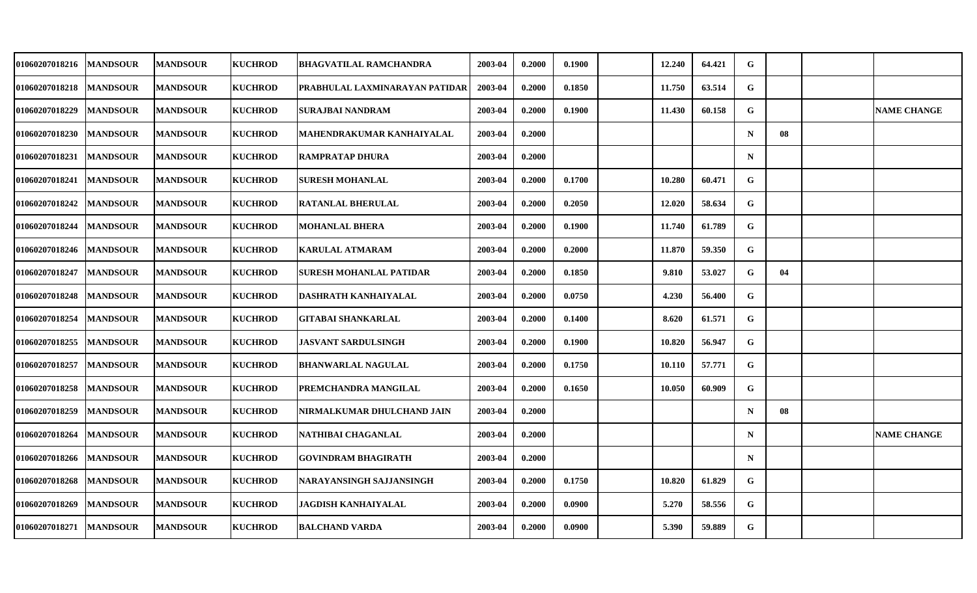|                 | <b>MANDSOUR</b>                                                                                                                                                                                                                                                                                                                                                       | <b>KUCHROD</b> | BHAGVATILAL RAMCHANDRA                | 2003-04 | 0.2000 | 0.1900 | 12.240 | 64.421 | G           |    |                    |
|-----------------|-----------------------------------------------------------------------------------------------------------------------------------------------------------------------------------------------------------------------------------------------------------------------------------------------------------------------------------------------------------------------|----------------|---------------------------------------|---------|--------|--------|--------|--------|-------------|----|--------------------|
|                 | <b>MANDSOUR</b>                                                                                                                                                                                                                                                                                                                                                       | <b>KUCHROD</b> | <b>PRABHULAL LAXMINARAYAN PATIDAR</b> | 2003-04 | 0.2000 | 0.1850 | 11.750 | 63.514 | $\mathbf G$ |    |                    |
|                 | <b>MANDSOUR</b>                                                                                                                                                                                                                                                                                                                                                       | <b>KUCHROD</b> | <b>SURAJBAI NANDRAM</b>               | 2003-04 | 0.2000 | 0.1900 | 11.430 | 60.158 | $\mathbf G$ |    | <b>NAME CHANGE</b> |
| <b>MANDSOUR</b> | <b>MANDSOUR</b>                                                                                                                                                                                                                                                                                                                                                       | <b>KUCHROD</b> | MAHENDRAKUMAR KANHAIYALAL             | 2003-04 | 0.2000 |        |        |        | $\mathbf N$ | 08 |                    |
|                 | <b>MANDSOUR</b>                                                                                                                                                                                                                                                                                                                                                       | <b>KUCHROD</b> | <b>RAMPRATAP DHURA</b>                | 2003-04 | 0.2000 |        |        |        | $\mathbf N$ |    |                    |
|                 | <b>MANDSOUR</b>                                                                                                                                                                                                                                                                                                                                                       | <b>KUCHROD</b> | <b>SURESH MOHANLAL</b>                | 2003-04 | 0.2000 | 0.1700 | 10.280 | 60.471 | G           |    |                    |
|                 | <b>MANDSOUR</b>                                                                                                                                                                                                                                                                                                                                                       | <b>KUCHROD</b> | <b>RATANLAL BHERULAL</b>              | 2003-04 | 0.2000 | 0.2050 | 12.020 | 58.634 | $\mathbf G$ |    |                    |
|                 | <b>MANDSOUR</b>                                                                                                                                                                                                                                                                                                                                                       | <b>KUCHROD</b> | <b>MOHANLAL BHERA</b>                 | 2003-04 | 0.2000 | 0.1900 | 11.740 | 61.789 | G           |    |                    |
|                 | <b>MANDSOUR</b>                                                                                                                                                                                                                                                                                                                                                       | <b>KUCHROD</b> | <b>KARULAL ATMARAM</b>                | 2003-04 | 0.2000 | 0.2000 | 11.870 | 59.350 | G           |    |                    |
|                 | <b>MANDSOUR</b>                                                                                                                                                                                                                                                                                                                                                       | <b>KUCHROD</b> | SURESH MOHANLAL PATIDAR               | 2003-04 | 0.2000 | 0.1850 | 9.810  | 53.027 | G           | 04 |                    |
|                 | <b>MANDSOUR</b>                                                                                                                                                                                                                                                                                                                                                       | <b>KUCHROD</b> | DASHRATH KANHAIYALAL                  | 2003-04 | 0.2000 | 0.0750 | 4.230  | 56.400 | G           |    |                    |
|                 | <b>MANDSOUR</b>                                                                                                                                                                                                                                                                                                                                                       | <b>KUCHROD</b> | <b>GITABAI SHANKARLAL</b>             | 2003-04 | 0.2000 | 0.1400 | 8.620  | 61.571 | G           |    |                    |
|                 | <b>MANDSOUR</b>                                                                                                                                                                                                                                                                                                                                                       | <b>KUCHROD</b> | <b>JASVANT SARDULSINGH</b>            | 2003-04 | 0.2000 | 0.1900 | 10.820 | 56.947 | G           |    |                    |
|                 | <b>MANDSOUR</b>                                                                                                                                                                                                                                                                                                                                                       | <b>KUCHROD</b> | <b>BHANWARLAL NAGULAL</b>             | 2003-04 | 0.2000 | 0.1750 | 10.110 | 57.771 | G           |    |                    |
|                 | <b>MANDSOUR</b>                                                                                                                                                                                                                                                                                                                                                       | <b>KUCHROD</b> | <b>IPREMCHANDRA MANGILAL</b>          | 2003-04 | 0.2000 | 0.1650 | 10.050 | 60.909 | G           |    |                    |
| <b>MANDSOUR</b> | <b>MANDSOUR</b>                                                                                                                                                                                                                                                                                                                                                       | <b>KUCHROD</b> | NIRMALKUMAR DHULCHAND JAIN            | 2003-04 | 0.2000 |        |        |        | N           | 08 |                    |
|                 | <b>MANDSOUR</b>                                                                                                                                                                                                                                                                                                                                                       | <b>KUCHROD</b> | NATHIBAI CHAGANLAL                    | 2003-04 | 0.2000 |        |        |        | ${\bf N}$   |    | <b>NAME CHANGE</b> |
|                 | <b>MANDSOUR</b>                                                                                                                                                                                                                                                                                                                                                       | <b>KUCHROD</b> | <b>GOVINDRAM BHAGIRATH</b>            | 2003-04 | 0.2000 |        |        |        | $\mathbf N$ |    |                    |
|                 | <b>MANDSOUR</b>                                                                                                                                                                                                                                                                                                                                                       | <b>KUCHROD</b> | NARAYANSINGH SAJJANSINGH              | 2003-04 | 0.2000 | 0.1750 | 10.820 | 61.829 | G           |    |                    |
|                 | <b>MANDSOUR</b>                                                                                                                                                                                                                                                                                                                                                       | <b>KUCHROD</b> | JAGDISH KANHAIYALAL                   | 2003-04 | 0.2000 | 0.0900 | 5.270  | 58.556 | G           |    |                    |
|                 | <b>MANDSOUR</b>                                                                                                                                                                                                                                                                                                                                                       | <b>KUCHROD</b> | <b>BALCHAND VARDA</b>                 | 2003-04 | 0.2000 | 0.0900 | 5.390  | 59.889 | $\mathbf G$ |    |                    |
|                 | <b>MANDSOUR</b><br><b>MANDSOUR</b><br><b>MANDSOUR</b><br><b>MANDSOUR</b><br><b>MANDSOUR</b><br><b>MANDSOUR</b><br><b>MANDSOUR</b><br><b>MANDSOUR</b><br><b>MANDSOUR</b><br><b>MANDSOUR</b><br><b>MANDSOUR</b><br><b>MANDSOUR</b><br><b>MANDSOUR</b><br><b>MANDSOUR</b><br><b>MANDSOUR</b><br><b>MANDSOUR</b><br><b>MANDSOUR</b><br><b>MANDSOUR</b><br><b>MANDSOUR</b> |                |                                       |         |        |        |        |        |             |    |                    |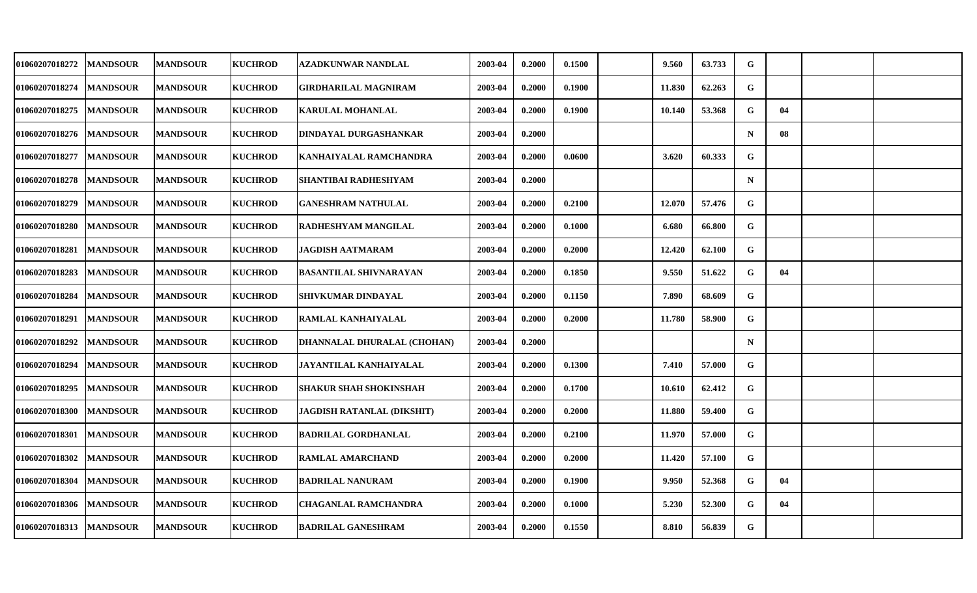| 01060207018272 | <b>MANDSOUR</b> | <b>MANDSOUR</b> | <b>KUCHROD</b> | AZADKUNWAR NANDLAL            | 2003-04 | 0.2000 | 0.1500 | 9.560  | 63.733 | G           |    |  |
|----------------|-----------------|-----------------|----------------|-------------------------------|---------|--------|--------|--------|--------|-------------|----|--|
| 01060207018274 | <b>MANDSOUR</b> | <b>MANDSOUR</b> | <b>KUCHROD</b> | GIRDHARILAL MAGNIRAM          | 2003-04 | 0.2000 | 0.1900 | 11.830 | 62.263 | G           |    |  |
| 01060207018275 | <b>MANDSOUR</b> | <b>MANDSOUR</b> | <b>KUCHROD</b> | <b>KARULAL MOHANLAL</b>       | 2003-04 | 0.2000 | 0.1900 | 10.140 | 53.368 | G           | 04 |  |
| 01060207018276 | <b>MANDSOUR</b> | <b>MANDSOUR</b> | <b>KUCHROD</b> | DINDAYAL DURGASHANKAR         | 2003-04 | 0.2000 |        |        |        | $\mathbf N$ | 08 |  |
| 01060207018277 | <b>MANDSOUR</b> | <b>MANDSOUR</b> | <b>KUCHROD</b> | KANHAIYALAL RAMCHANDRA        | 2003-04 | 0.2000 | 0.0600 | 3.620  | 60.333 | G           |    |  |
| 01060207018278 | <b>MANDSOUR</b> | <b>MANDSOUR</b> | <b>KUCHROD</b> | SHANTIBAI RADHESHYAM          | 2003-04 | 0.2000 |        |        |        | $\mathbf N$ |    |  |
| 01060207018279 | <b>MANDSOUR</b> | <b>MANDSOUR</b> | <b>KUCHROD</b> | GANESHRAM NATHULAL            | 2003-04 | 0.2000 | 0.2100 | 12.070 | 57.476 | G           |    |  |
| 01060207018280 | <b>MANDSOUR</b> | <b>MANDSOUR</b> | <b>KUCHROD</b> | RADHESHYAM MANGILAL           | 2003-04 | 0.2000 | 0.1000 | 6.680  | 66.800 | G           |    |  |
| 01060207018281 | <b>MANDSOUR</b> | <b>MANDSOUR</b> | <b>KUCHROD</b> | JAGDISH AATMARAM              | 2003-04 | 0.2000 | 0.2000 | 12.420 | 62.100 | G           |    |  |
| 01060207018283 | <b>MANDSOUR</b> | <b>MANDSOUR</b> | <b>KUCHROD</b> | <b>BASANTILAL SHIVNARAYAN</b> | 2003-04 | 0.2000 | 0.1850 | 9.550  | 51.622 | G           | 04 |  |
| 01060207018284 | <b>MANDSOUR</b> | <b>MANDSOUR</b> | <b>KUCHROD</b> | SHIVKUMAR DINDAYAL            | 2003-04 | 0.2000 | 0.1150 | 7.890  | 68.609 | $\mathbf G$ |    |  |
| 01060207018291 | <b>MANDSOUR</b> | <b>MANDSOUR</b> | <b>KUCHROD</b> | <b>RAMLAL KANHAIYALAL</b>     | 2003-04 | 0.2000 | 0.2000 | 11.780 | 58.900 | G           |    |  |
| 01060207018292 | <b>MANDSOUR</b> | <b>MANDSOUR</b> | <b>KUCHROD</b> | DHANNALAL DHURALAL (CHOHAN)   | 2003-04 | 0.2000 |        |        |        | $\mathbf N$ |    |  |
| 01060207018294 | <b>MANDSOUR</b> | <b>MANDSOUR</b> | <b>KUCHROD</b> | JAYANTILAL KANHAIYALAL        | 2003-04 | 0.2000 | 0.1300 | 7.410  | 57.000 | G           |    |  |
| 01060207018295 | <b>MANDSOUR</b> | <b>MANDSOUR</b> | <b>KUCHROD</b> | <b>SHAKUR SHAH SHOKINSHAH</b> | 2003-04 | 0.2000 | 0.1700 | 10.610 | 62.412 | G           |    |  |
| 01060207018300 | <b>MANDSOUR</b> | <b>MANDSOUR</b> | <b>KUCHROD</b> | JAGDISH RATANLAL (DIKSHIT)    | 2003-04 | 0.2000 | 0.2000 | 11.880 | 59.400 | G           |    |  |
| 01060207018301 | <b>MANDSOUR</b> | <b>MANDSOUR</b> | <b>KUCHROD</b> | <b>BADRILAL GORDHANLAL</b>    | 2003-04 | 0.2000 | 0.2100 | 11.970 | 57.000 | G           |    |  |
| 01060207018302 | <b>MANDSOUR</b> | <b>MANDSOUR</b> | <b>KUCHROD</b> | <b>RAMLAL AMARCHAND</b>       | 2003-04 | 0.2000 | 0.2000 | 11.420 | 57.100 | G           |    |  |
| 01060207018304 | <b>MANDSOUR</b> | <b>MANDSOUR</b> | <b>KUCHROD</b> | <b>BADRILAL NANURAM</b>       | 2003-04 | 0.2000 | 0.1900 | 9.950  | 52.368 | G           | 04 |  |
| 01060207018306 | <b>MANDSOUR</b> | <b>MANDSOUR</b> | <b>KUCHROD</b> | CHAGANLAL RAMCHANDRA          | 2003-04 | 0.2000 | 0.1000 | 5.230  | 52.300 | G           | 04 |  |
| 01060207018313 | <b>MANDSOUR</b> | <b>MANDSOUR</b> | <b>KUCHROD</b> | <b>BADRILAL GANESHRAM</b>     | 2003-04 | 0.2000 | 0.1550 | 8.810  | 56.839 | G           |    |  |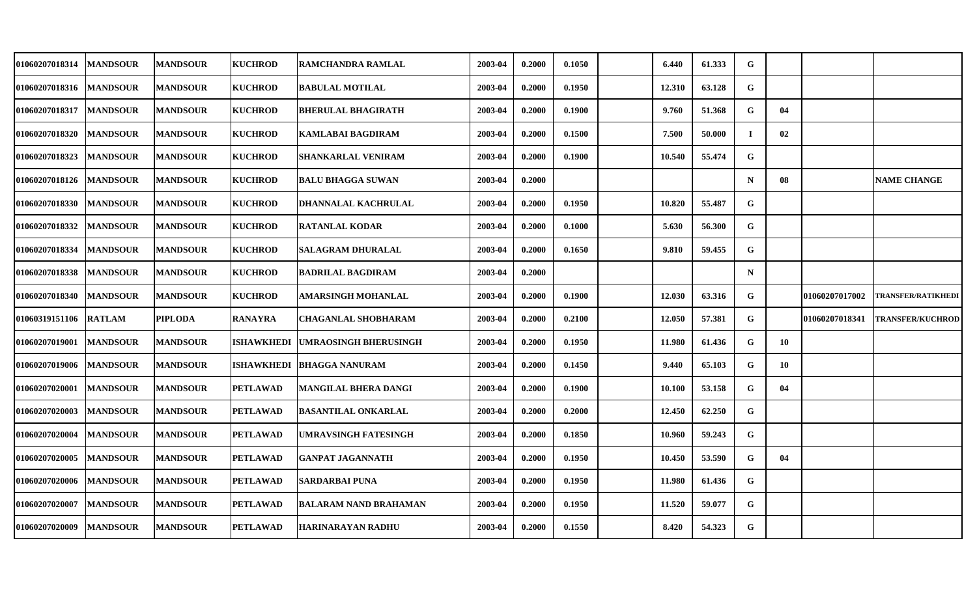| <b>01060207018314</b> | <b>MANDSOUR</b>  | <b>MANDSOUR</b> | <b>KUCHROD</b>  | <b>RAMCHANDRA RAMLAL</b>     | 2003-04 | 0.2000 | 0.1050 | 6.440  | 61.333 | G           |    |                |                           |
|-----------------------|------------------|-----------------|-----------------|------------------------------|---------|--------|--------|--------|--------|-------------|----|----------------|---------------------------|
| 01060207018316        | <b>MANDSOUR</b>  | <b>MANDSOUR</b> | <b>KUCHROD</b>  | <b>BABULAL MOTILAL</b>       | 2003-04 | 0.2000 | 0.1950 | 12.310 | 63.128 | G           |    |                |                           |
| 01060207018317        | <b>MANDSOUR</b>  | <b>MANDSOUR</b> | <b>KUCHROD</b>  | <b>BHERULAL BHAGIRATH</b>    | 2003-04 | 0.2000 | 0.1900 | 9.760  | 51.368 | G           | 04 |                |                           |
| 01060207018320        | <b>MANDSOUR</b>  | <b>MANDSOUR</b> | <b>KUCHROD</b>  | <b>KAMLABAI BAGDIRAM</b>     | 2003-04 | 0.2000 | 0.1500 | 7.500  | 50.000 | $\mathbf I$ | 02 |                |                           |
| 01060207018323        | <b>MANDSOUR</b>  | <b>MANDSOUR</b> | <b>KUCHROD</b>  | SHANKARLAL VENIRAM           | 2003-04 | 0.2000 | 0.1900 | 10.540 | 55.474 | G           |    |                |                           |
| 01060207018126        | <b>MANDSOUR</b>  | <b>MANDSOUR</b> | <b>KUCHROD</b>  | <b>BALU BHAGGA SUWAN</b>     | 2003-04 | 0.2000 |        |        |        | $\mathbf N$ | 08 |                | <b>NAME CHANGE</b>        |
| 01060207018330        | <b>MANDSOUR</b>  | <b>MANDSOUR</b> | <b>KUCHROD</b>  | DHANNALAL KACHRULAL          | 2003-04 | 0.2000 | 0.1950 | 10.820 | 55.487 | G           |    |                |                           |
| 01060207018332        | <b>MANDSOUR</b>  | <b>MANDSOUR</b> | <b>KUCHROD</b>  | <b>RATANLAL KODAR</b>        | 2003-04 | 0.2000 | 0.1000 | 5.630  | 56.300 | G           |    |                |                           |
| 01060207018334        | <b>MANDSOUR</b>  | <b>MANDSOUR</b> | <b>KUCHROD</b>  | <b>SALAGRAM DHURALAL</b>     | 2003-04 | 0.2000 | 0.1650 | 9.810  | 59.455 | G           |    |                |                           |
| 01060207018338        | <b>MANDSOUR</b>  | <b>MANDSOUR</b> | <b>KUCHROD</b>  | <b>BADRILAL BAGDIRAM</b>     | 2003-04 | 0.2000 |        |        |        | $\mathbf N$ |    |                |                           |
| 01060207018340        | <b>MANDSOUR</b>  | <b>MANDSOUR</b> | <b>KUCHROD</b>  | AMARSINGH MOHANLAL           | 2003-04 | 0.2000 | 0.1900 | 12.030 | 63.316 | G           |    | 01060207017002 | <b>TRANSFER/RATIKHEDI</b> |
| 01060319151106 RATLAM |                  | <b>PIPLODA</b>  | <b>RANAYRA</b>  | <b>CHAGANLAL SHOBHARAM</b>   | 2003-04 | 0.2000 | 0.2100 | 12.050 | 57.381 | G           |    | 01060207018341 | <b>TRANSFER/KUCHROD</b>   |
| 01060207019001        | <b>IMANDSOUR</b> | <b>MANDSOUR</b> | ISHAWKHEDI      | <b>UMRAOSINGH BHERUSINGH</b> | 2003-04 | 0.2000 | 0.1950 | 11.980 | 61.436 | G           | 10 |                |                           |
| 01060207019006        | <b>MANDSOUR</b>  | <b>MANDSOUR</b> | ISHAWKHEDI      | <b>BHAGGA NANURAM</b>        | 2003-04 | 0.2000 | 0.1450 | 9.440  | 65.103 | G           | 10 |                |                           |
| 01060207020001        | <b>MANDSOUR</b>  | <b>MANDSOUR</b> | <b>PETLAWAD</b> | <b>MANGILAL BHERA DANGI</b>  | 2003-04 | 0.2000 | 0.1900 | 10.100 | 53.158 | G           | 04 |                |                           |
| 01060207020003        | <b>MANDSOUR</b>  | <b>MANDSOUR</b> | PETLAWAD        | <b>BASANTILAL ONKARLAL</b>   | 2003-04 | 0.2000 | 0.2000 | 12.450 | 62.250 | G           |    |                |                           |
| 01060207020004        | <b>MANDSOUR</b>  | <b>MANDSOUR</b> | <b>PETLAWAD</b> | <b>UMRAVSINGH FATESINGH</b>  | 2003-04 | 0.2000 | 0.1850 | 10.960 | 59.243 | G           |    |                |                           |
| 01060207020005        | <b>MANDSOUR</b>  | <b>MANDSOUR</b> | <b>PETLAWAD</b> | <b>GANPAT JAGANNATH</b>      | 2003-04 | 0.2000 | 0.1950 | 10.450 | 53.590 | G           | 04 |                |                           |
| 01060207020006        | <b>MANDSOUR</b>  | <b>MANDSOUR</b> | <b>PETLAWAD</b> | <b>SARDARBAI PUNA</b>        | 2003-04 | 0.2000 | 0.1950 | 11.980 | 61.436 | G           |    |                |                           |
| 01060207020007        | <b>MANDSOUR</b>  | <b>MANDSOUR</b> | <b>PETLAWAD</b> | <b>BALARAM NAND BRAHAMAN</b> | 2003-04 | 0.2000 | 0.1950 | 11.520 | 59.077 | G           |    |                |                           |
| 01060207020009        | <b>MANDSOUR</b>  | <b>MANDSOUR</b> | <b>PETLAWAD</b> | HARINARAYAN RADHU            | 2003-04 | 0.2000 | 0.1550 | 8.420  | 54.323 | G           |    |                |                           |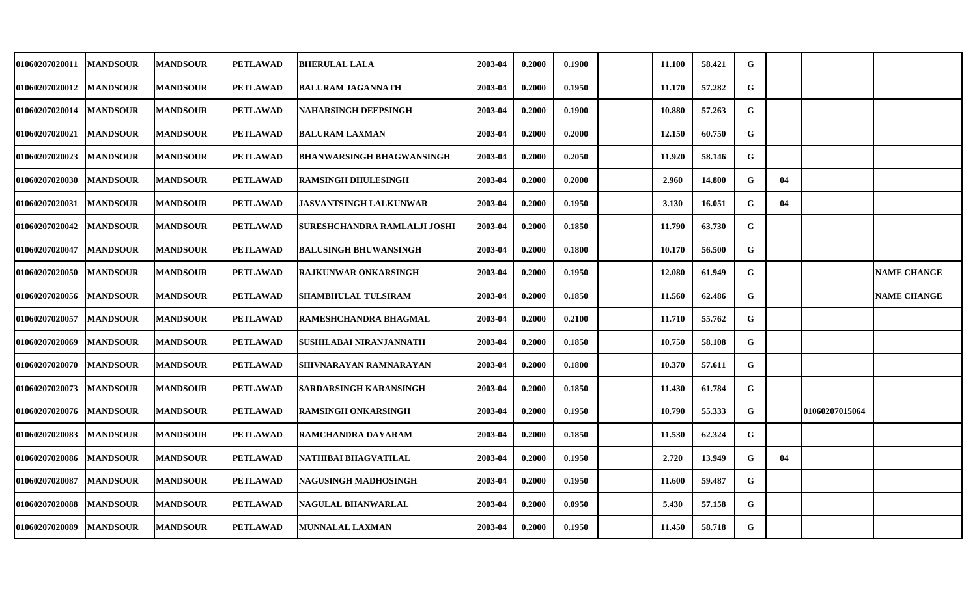| <b>01060207020011</b> | <b>MANDSOUR</b> | <b> MANDSOUR</b> | <b>PETLAWAD</b> | <b>BHERULAL LALA</b>         | 2003-04 | 0.2000 | 0.1900 | 11.100 | 58.421 | G           |    |                |                    |
|-----------------------|-----------------|------------------|-----------------|------------------------------|---------|--------|--------|--------|--------|-------------|----|----------------|--------------------|
| <b>01060207020012</b> | <b>MANDSOUR</b> | <b>MANDSOUR</b>  | <b>PETLAWAD</b> | <b>BALURAM JAGANNATH</b>     | 2003-04 | 0.2000 | 0.1950 | 11.170 | 57.282 | G           |    |                |                    |
| <b>01060207020014</b> | <b>MANDSOUR</b> | <b>MANDSOUR</b>  | <b>PETLAWAD</b> | NAHARSINGH DEEPSINGH         | 2003-04 | 0.2000 | 0.1900 | 10.880 | 57.263 | G           |    |                |                    |
| <b>01060207020021</b> | <b>MANDSOUR</b> | <b>MANDSOUR</b>  | <b>PETLAWAD</b> | <b>BALURAM LAXMAN</b>        | 2003-04 | 0.2000 | 0.2000 | 12.150 | 60.750 | G           |    |                |                    |
| <b>01060207020023</b> | <b>MANDSOUR</b> | <b>MANDSOUR</b>  | <b>PETLAWAD</b> | BHANWARSINGH BHAGWANSINGH    | 2003-04 | 0.2000 | 0.2050 | 11.920 | 58.146 | G           |    |                |                    |
| <b>01060207020030</b> | <b>MANDSOUR</b> | <b>MANDSOUR</b>  | <b>PETLAWAD</b> | <b>RAMSINGH DHULESINGH</b>   | 2003-04 | 0.2000 | 0.2000 | 2.960  | 14.800 | G           | 04 |                |                    |
| 01060207020031        | <b>MANDSOUR</b> | <b>MANDSOUR</b>  | <b>PETLAWAD</b> | JASVANTSINGH LALKUNWAR       | 2003-04 | 0.2000 | 0.1950 | 3.130  | 16.051 | G           | 04 |                |                    |
| <b>01060207020042</b> | <b>MANDSOUR</b> | <b>MANDSOUR</b>  | <b>PETLAWAD</b> | SURESHCHANDRA RAMLALJI JOSHI | 2003-04 | 0.2000 | 0.1850 | 11.790 | 63.730 | G           |    |                |                    |
| 01060207020047        | <b>MANDSOUR</b> | <b>MANDSOUR</b>  | <b>PETLAWAD</b> | <b>BALUSINGH BHUWANSINGH</b> | 2003-04 | 0.2000 | 0.1800 | 10.170 | 56.500 | G           |    |                |                    |
| 01060207020050        | <b>MANDSOUR</b> | <b>MANDSOUR</b>  | <b>PETLAWAD</b> | <b>RAJKUNWAR ONKARSINGH</b>  | 2003-04 | 0.2000 | 0.1950 | 12.080 | 61.949 | G           |    |                | <b>NAME CHANGE</b> |
| <b>01060207020056</b> | <b>MANDSOUR</b> | <b>MANDSOUR</b>  | <b>PETLAWAD</b> | SHAMBHULAL TULSIRAM          | 2003-04 | 0.2000 | 0.1850 | 11.560 | 62.486 | G           |    |                | <b>NAME CHANGE</b> |
| <b>01060207020057</b> | <b>MANDSOUR</b> | <b>MANDSOUR</b>  | <b>PETLAWAD</b> | RAMESHCHANDRA BHAGMAL        | 2003-04 | 0.2000 | 0.2100 | 11.710 | 55.762 | G           |    |                |                    |
| 01060207020069        | <b>MANDSOUR</b> | <b>MANDSOUR</b>  | <b>PETLAWAD</b> | SUSHILABAI NIRANJANNATH      | 2003-04 | 0.2000 | 0.1850 | 10.750 | 58.108 | G           |    |                |                    |
| <b>01060207020070</b> | <b>MANDSOUR</b> | <b>MANDSOUR</b>  | <b>PETLAWAD</b> | SHIVNARAYAN RAMNARAYAN       | 2003-04 | 0.2000 | 0.1800 | 10.370 | 57.611 | G           |    |                |                    |
| 01060207020073        | <b>MANDSOUR</b> | <b>MANDSOUR</b>  | <b>PETLAWAD</b> | SARDARSINGH KARANSINGH       | 2003-04 | 0.2000 | 0.1850 | 11.430 | 61.784 | G           |    |                |                    |
| <b>01060207020076</b> | <b>MANDSOUR</b> | <b>MANDSOUR</b>  | PETLAWAD        | RAMSINGH ONKARSINGH          | 2003-04 | 0.2000 | 0.1950 | 10.790 | 55.333 | G           |    | 01060207015064 |                    |
| 01060207020083        | <b>MANDSOUR</b> | <b>MANDSOUR</b>  | <b>PETLAWAD</b> | RAMCHANDRA DAYARAM           | 2003-04 | 0.2000 | 0.1850 | 11.530 | 62.324 | $\mathbf G$ |    |                |                    |
| 01060207020086        | <b>MANDSOUR</b> | <b>MANDSOUR</b>  | <b>PETLAWAD</b> | NATHIBAI BHAGVATILAL         | 2003-04 | 0.2000 | 0.1950 | 2.720  | 13.949 | G           | 04 |                |                    |
| 01060207020087        | <b>MANDSOUR</b> | <b>MANDSOUR</b>  | <b>PETLAWAD</b> | NAGUSINGH MADHOSINGH         | 2003-04 | 0.2000 | 0.1950 | 11.600 | 59.487 | G           |    |                |                    |
| <b>01060207020088</b> | <b>MANDSOUR</b> | <b>MANDSOUR</b>  | <b>PETLAWAD</b> | <b>NAGULAL BHANWARLAL</b>    | 2003-04 | 0.2000 | 0.0950 | 5.430  | 57.158 | G           |    |                |                    |
| 01060207020089        | <b>MANDSOUR</b> | <b>MANDSOUR</b>  | <b>PETLAWAD</b> | <b>MUNNALAL LAXMAN</b>       | 2003-04 | 0.2000 | 0.1950 | 11.450 | 58.718 | G           |    |                |                    |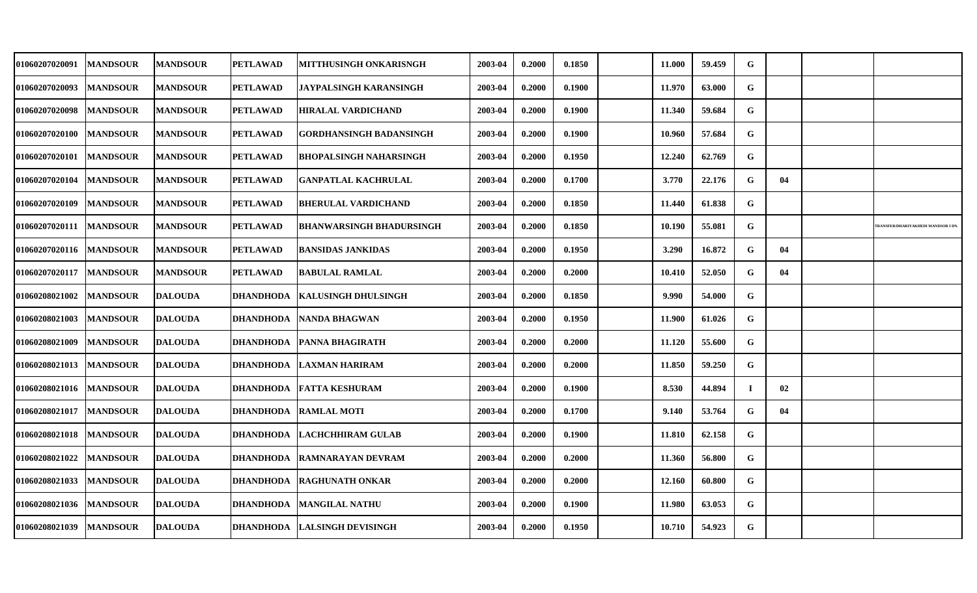| <b>01060207020091</b> | <b>MANDSOUR</b> | <b>MANDSOUR</b> | <b>PETLAWAD</b>  | MITTHUSINGH ONKARISNGH          | 2003-04 | 0.2000 | 0.1850 | 11.000 | 59.459 | G           |    |                                          |
|-----------------------|-----------------|-----------------|------------------|---------------------------------|---------|--------|--------|--------|--------|-------------|----|------------------------------------------|
| <b>01060207020093</b> | <b>MANDSOUR</b> | <b>MANDSOUR</b> | <b>PETLAWAD</b>  | JAYPALSINGH KARANSINGH          | 2003-04 | 0.2000 | 0.1900 | 11.970 | 63.000 | G           |    |                                          |
| <b>01060207020098</b> | <b>MANDSOUR</b> | <b>MANDSOUR</b> | <b>PETLAWAD</b>  | HIRALAL VARDICHAND              | 2003-04 | 0.2000 | 0.1900 | 11.340 | 59.684 | G           |    |                                          |
| <b>01060207020100</b> | <b>MANDSOUR</b> | <b>MANDSOUR</b> | <b>PETLAWAD</b>  | <b>GORDHANSINGH BADANSINGH</b>  | 2003-04 | 0.2000 | 0.1900 | 10.960 | 57.684 | G           |    |                                          |
| <b>01060207020101</b> | <b>MANDSOUR</b> | <b>MANDSOUR</b> | <b>PETLAWAD</b>  | BHOPALSINGH NAHARSINGH          | 2003-04 | 0.2000 | 0.1950 | 12.240 | 62.769 | G           |    |                                          |
| 01060207020104        | <b>MANDSOUR</b> | <b>MANDSOUR</b> | <b>PETLAWAD</b>  | <b>GANPATLAL KACHRULAL</b>      | 2003-04 | 0.2000 | 0.1700 | 3.770  | 22.176 | G           | 04 |                                          |
| <b>01060207020109</b> | <b>MANDSOUR</b> | <b>MANDSOUR</b> | PETLAWAD         | BHERULAL VARDICHAND             | 2003-04 | 0.2000 | 0.1850 | 11.440 | 61.838 | G           |    |                                          |
| 01060207020111        | <b>MANDSOUR</b> | <b>MANDSOUR</b> | <b>PETLAWAD</b>  | <b>BHANWARSINGH BHADURSINGH</b> | 2003-04 | 0.2000 | 0.1850 | 10.190 | 55.081 | G           |    | <b>RANSFER/DHARIVAKHEDI MANDSOR I DN</b> |
| 01060207020116        | <b>MANDSOUR</b> | <b>MANDSOUR</b> | PETLAWAD         | <b>BANSIDAS JANKIDAS</b>        | 2003-04 | 0.2000 | 0.1950 | 3.290  | 16.872 | G           | 04 |                                          |
| 01060207020117        | <b>MANDSOUR</b> | <b>MANDSOUR</b> | <b>PETLAWAD</b>  | <b>BABULAL RAMLAL</b>           | 2003-04 | 0.2000 | 0.2000 | 10.410 | 52.050 | G           | 04 |                                          |
| <b>01060208021002</b> | <b>MANDSOUR</b> | <b>DALOUDA</b>  | DHANDHODA        | KALUSINGH DHULSINGH             | 2003-04 | 0.2000 | 0.1850 | 9.990  | 54.000 | $\mathbf G$ |    |                                          |
| <b>01060208021003</b> | <b>MANDSOUR</b> | <b>DALOUDA</b>  | DHANDHODA        | NANDA BHAGWAN                   | 2003-04 | 0.2000 | 0.1950 | 11.900 | 61.026 | G           |    |                                          |
| <b>01060208021009</b> | <b>MANDSOUR</b> | <b>DALOUDA</b>  | <b>DHANDHODA</b> | <b>PANNA BHAGIRATH</b>          | 2003-04 | 0.2000 | 0.2000 | 11.120 | 55.600 | G           |    |                                          |
| 01060208021013        | <b>MANDSOUR</b> | <b>DALOUDA</b>  | <b>DHANDHODA</b> | <b>LAXMAN HARIRAM</b>           | 2003-04 | 0.2000 | 0.2000 | 11.850 | 59.250 | G           |    |                                          |
| 01060208021016        | <b>MANDSOUR</b> | <b>DALOUDA</b>  | <b>DHANDHODA</b> | <b>FATTA KESHURAM</b>           | 2003-04 | 0.2000 | 0.1900 | 8.530  | 44.894 | $\mathbf I$ | 02 |                                          |
| <b>01060208021017</b> | <b>MANDSOUR</b> | <b>DALOUDA</b>  | DHANDHODA        | <b>RAMLAL MOTI</b>              | 2003-04 | 0.2000 | 0.1700 | 9.140  | 53.764 | G           | 04 |                                          |
| 01060208021018        | <b>MANDSOUR</b> | <b>DALOUDA</b>  | DHANDHODA        | LACHCHHIRAM GULAB               | 2003-04 | 0.2000 | 0.1900 | 11.810 | 62.158 | G           |    |                                          |
| 01060208021022        | <b>MANDSOUR</b> | <b>DALOUDA</b>  | <b>DHANDHODA</b> | <b>RAMNARAYAN DEVRAM</b>        | 2003-04 | 0.2000 | 0.2000 | 11.360 | 56.800 | G           |    |                                          |
| 01060208021033        | <b>MANDSOUR</b> | <b>DALOUDA</b>  | DHANDHODA        | <b>RAGHUNATH ONKAR</b>          | 2003-04 | 0.2000 | 0.2000 | 12.160 | 60.800 | G           |    |                                          |
| 01060208021036        | <b>MANDSOUR</b> | <b>DALOUDA</b>  | <b>DHANDHODA</b> | <b>MANGILAL NATHU</b>           | 2003-04 | 0.2000 | 0.1900 | 11.980 | 63.053 | G           |    |                                          |
| 01060208021039        | <b>MANDSOUR</b> | <b>DALOUDA</b>  | DHANDHODA        | <b>LALSINGH DEVISINGH</b>       | 2003-04 | 0.2000 | 0.1950 | 10.710 | 54.923 | G           |    |                                          |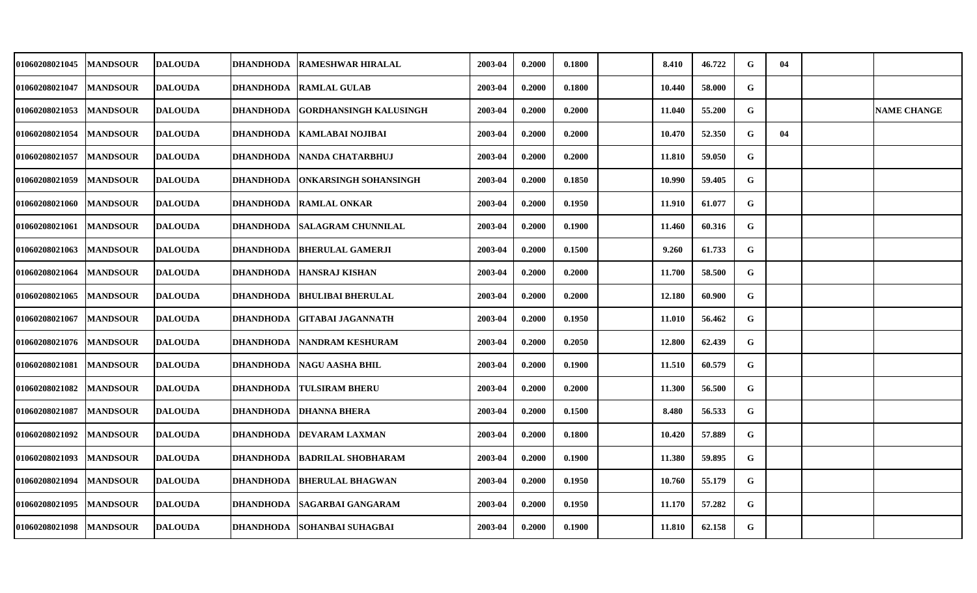| <b>01060208021045</b> | <b>MANDSOUR</b> | <b>DALOUDA</b> | <b>DHANDHODA</b> | <b>RAMESHWAR HIRALAL</b>      | 2003-04 | 0.2000 | 0.1800 | 8.410  | 46.722 | G           | 04 |                    |
|-----------------------|-----------------|----------------|------------------|-------------------------------|---------|--------|--------|--------|--------|-------------|----|--------------------|
| <b>01060208021047</b> | <b>MANDSOUR</b> | <b>DALOUDA</b> | <b>DHANDHODA</b> | <b>RAMLAL GULAB</b>           | 2003-04 | 0.2000 | 0.1800 | 10.440 | 58.000 | $\mathbf G$ |    |                    |
| <b>01060208021053</b> | <b>MANDSOUR</b> | <b>DALOUDA</b> | <b>DHANDHODA</b> | <b>GORDHANSINGH KALUSINGH</b> | 2003-04 | 0.2000 | 0.2000 | 11.040 | 55.200 | G           |    | <b>NAME CHANGE</b> |
| <b>01060208021054</b> | <b>MANDSOUR</b> | <b>DALOUDA</b> | <b>DHANDHODA</b> | <b>KAMLABAI NOJIBAI</b>       | 2003-04 | 0.2000 | 0.2000 | 10.470 | 52.350 | G           | 04 |                    |
| <b>01060208021057</b> | <b>MANDSOUR</b> | <b>DALOUDA</b> | <b>DHANDHODA</b> | <b>NANDA CHATARBHUJ</b>       | 2003-04 | 0.2000 | 0.2000 | 11.810 | 59.050 | G           |    |                    |
| 01060208021059        | <b>MANDSOUR</b> | <b>DALOUDA</b> | DHANDHODA        | ONKARSINGH SOHANSINGH         | 2003-04 | 0.2000 | 0.1850 | 10.990 | 59.405 | G           |    |                    |
| <b>01060208021060</b> | <b>MANDSOUR</b> | <b>DALOUDA</b> | DHANDHODA        | <b>RAMLAL ONKAR</b>           | 2003-04 | 0.2000 | 0.1950 | 11.910 | 61.077 | G           |    |                    |
| 01060208021061        | <b>MANDSOUR</b> | <b>DALOUDA</b> | DHANDHODA        | <b>SALAGRAM CHUNNILAL</b>     | 2003-04 | 0.2000 | 0.1900 | 11.460 | 60.316 | $\mathbf G$ |    |                    |
| 01060208021063        | <b>MANDSOUR</b> | <b>DALOUDA</b> | <b>DHANDHODA</b> | <b>BHERULAL GAMERJI</b>       | 2003-04 | 0.2000 | 0.1500 | 9.260  | 61.733 | G           |    |                    |
| 01060208021064        | <b>MANDSOUR</b> | <b>DALOUDA</b> | <b>DHANDHODA</b> | <b>HANSRAJ KISHAN</b>         | 2003-04 | 0.2000 | 0.2000 | 11.700 | 58.500 | G           |    |                    |
| 01060208021065        | <b>MANDSOUR</b> | <b>DALOUDA</b> | DHANDHODA        | <b>BHULIBAI BHERULAL</b>      | 2003-04 | 0.2000 | 0.2000 | 12.180 | 60.900 | G           |    |                    |
| <b>01060208021067</b> | <b>MANDSOUR</b> | <b>DALOUDA</b> | <b>DHANDHODA</b> | <b>GITABAI JAGANNATH</b>      | 2003-04 | 0.2000 | 0.1950 | 11.010 | 56.462 | G           |    |                    |
| <b>01060208021076</b> | <b>MANDSOUR</b> | <b>DALOUDA</b> | <b>DHANDHODA</b> | <b>NANDRAM KESHURAM</b>       | 2003-04 | 0.2000 | 0.2050 | 12.800 | 62.439 | ${\bf G}$   |    |                    |
| <b>01060208021081</b> | <b>MANDSOUR</b> | <b>DALOUDA</b> | <b>DHANDHODA</b> | <b>NAGU AASHA BHIL</b>        | 2003-04 | 0.2000 | 0.1900 | 11.510 | 60.579 | G           |    |                    |
| 01060208021082        | <b>MANDSOUR</b> | <b>DALOUDA</b> | <b>DHANDHODA</b> | <b>TULSIRAM BHERU</b>         | 2003-04 | 0.2000 | 0.2000 | 11.300 | 56.500 | G           |    |                    |
| <b>01060208021087</b> | <b>MANDSOUR</b> | <b>DALOUDA</b> | DHANDHODA        | <b>DHANNA BHERA</b>           | 2003-04 | 0.2000 | 0.1500 | 8.480  | 56.533 | $\mathbf G$ |    |                    |
| 01060208021092        | <b>MANDSOUR</b> | <b>DALOUDA</b> | DHANDHODA        | <b>DEVARAM LAXMAN</b>         | 2003-04 | 0.2000 | 0.1800 | 10.420 | 57.889 | G           |    |                    |
| 01060208021093        | <b>MANDSOUR</b> | <b>DALOUDA</b> | <b>DHANDHODA</b> | <b>BADRILAL SHOBHARAM</b>     | 2003-04 | 0.2000 | 0.1900 | 11.380 | 59.895 | G           |    |                    |
| 01060208021094        | <b>MANDSOUR</b> | <b>DALOUDA</b> | <b>DHANDHODA</b> | <b>BHERULAL BHAGWAN</b>       | 2003-04 | 0.2000 | 0.1950 | 10.760 | 55.179 | G           |    |                    |
| <b>01060208021095</b> | <b>MANDSOUR</b> | <b>DALOUDA</b> | <b>DHANDHODA</b> | SAGARBAI GANGARAM             | 2003-04 | 0.2000 | 0.1950 | 11.170 | 57.282 | G           |    |                    |
| 01060208021098        | <b>MANDSOUR</b> | <b>DALOUDA</b> | DHANDHODA        | <b>SOHANBAI SUHAGBAI</b>      | 2003-04 | 0.2000 | 0.1900 | 11.810 | 62.158 | G           |    |                    |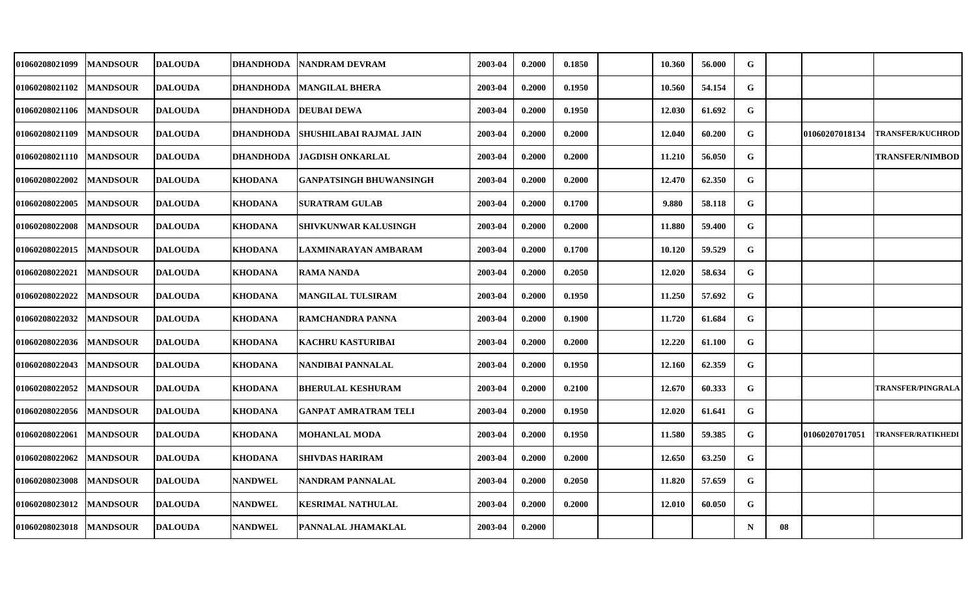| <b>01060208021099</b> | <b>MANDSOUR</b> | <b>DALOUDA</b> | DHANDHODA         | INANDRAM DEVRAM                | 2003-04 | 0.2000 | 0.1850 | 10.360 | 56.000 | G           |    |                |                           |
|-----------------------|-----------------|----------------|-------------------|--------------------------------|---------|--------|--------|--------|--------|-------------|----|----------------|---------------------------|
| <b>01060208021102</b> | <b>MANDSOUR</b> | <b>DALOUDA</b> | <b> DHANDHODA</b> | <b>MANGILAL BHERA</b>          | 2003-04 | 0.2000 | 0.1950 | 10.560 | 54.154 | $\mathbf G$ |    |                |                           |
| <b>01060208021106</b> | <b>MANDSOUR</b> | <b>DALOUDA</b> |                   | DHANDHODA DEUBAI DEWA          | 2003-04 | 0.2000 | 0.1950 | 12.030 | 61.692 | G           |    |                |                           |
| 01060208021109        | <b>MANDSOUR</b> | <b>DALOUDA</b> | <b>DHANDHODA</b>  | <b>SHUSHILABAI RAJMAL JAIN</b> | 2003-04 | 0.2000 | 0.2000 | 12.040 | 60.200 | G           |    | 01060207018134 | <b>TRANSFER/KUCHROD</b>   |
| <b>01060208021110</b> | <b>MANDSOUR</b> | <b>DALOUDA</b> | <b>DHANDHODA</b>  | JAGDISH ONKARLAL               | 2003-04 | 0.2000 | 0.2000 | 11.210 | 56.050 | G           |    |                | <b>TRANSFER/NIMBOD</b>    |
| <b>01060208022002</b> | <b>MANDSOUR</b> | <b>DALOUDA</b> | <b>KHODANA</b>    | GANPATSINGH BHUWANSINGH        | 2003-04 | 0.2000 | 0.2000 | 12.470 | 62.350 | G           |    |                |                           |
| <b>01060208022005</b> | <b>MANDSOUR</b> | <b>DALOUDA</b> | <b>KHODANA</b>    | <b>SURATRAM GULAB</b>          | 2003-04 | 0.2000 | 0.1700 | 9.880  | 58.118 | G           |    |                |                           |
| 01060208022008        | <b>MANDSOUR</b> | <b>DALOUDA</b> | <b>KHODANA</b>    | <b>SHIVKUNWAR KALUSINGH</b>    | 2003-04 | 0.2000 | 0.2000 | 11.880 | 59.400 | G           |    |                |                           |
| <b>01060208022015</b> | <b>MANDSOUR</b> | <b>DALOUDA</b> | <b>KHODANA</b>    | LAXMINARAYAN AMBARAM           | 2003-04 | 0.2000 | 0.1700 | 10.120 | 59.529 | G           |    |                |                           |
| 01060208022021        | <b>MANDSOUR</b> | <b>DALOUDA</b> | <b>KHODANA</b>    | <b>RAMA NANDA</b>              | 2003-04 | 0.2000 | 0.2050 | 12.020 | 58.634 | G           |    |                |                           |
| <b>01060208022022</b> | <b>MANDSOUR</b> | <b>DALOUDA</b> | <b>KHODANA</b>    | <b>MANGILAL TULSIRAM</b>       | 2003-04 | 0.2000 | 0.1950 | 11.250 | 57.692 | G           |    |                |                           |
| <b>01060208022032</b> | <b>MANDSOUR</b> | <b>DALOUDA</b> | <b>KHODANA</b>    | RAMCHANDRA PANNA               | 2003-04 | 0.2000 | 0.1900 | 11.720 | 61.684 | ${\bf G}$   |    |                |                           |
| <b>01060208022036</b> | <b>MANDSOUR</b> | <b>DALOUDA</b> | <b>KHODANA</b>    | <b>KACHRU KASTURIBAI</b>       | 2003-04 | 0.2000 | 0.2000 | 12.220 | 61.100 | G           |    |                |                           |
| <b>01060208022043</b> | <b>MANDSOUR</b> | <b>DALOUDA</b> | <b>KHODANA</b>    | NANDIBAI PANNALAL              | 2003-04 | 0.2000 | 0.1950 | 12.160 | 62.359 | G           |    |                |                           |
| <b>01060208022052</b> | <b>MANDSOUR</b> | <b>DALOUDA</b> | <b>KHODANA</b>    | <b>BHERULAL KESHURAM</b>       | 2003-04 | 0.2000 | 0.2100 | 12.670 | 60.333 | G           |    |                | <b>TRANSFER/PINGRALA</b>  |
| <b>01060208022056</b> | <b>MANDSOUR</b> | <b>DALOUDA</b> | KHODANA           | <b>GANPAT AMRATRAM TELI</b>    | 2003-04 | 0.2000 | 0.1950 | 12.020 | 61.641 | G           |    |                |                           |
| <b>01060208022061</b> | <b>MANDSOUR</b> | <b>DALOUDA</b> | <b>KHODANA</b>    | <b>MOHANLAL MODA</b>           | 2003-04 | 0.2000 | 0.1950 | 11.580 | 59.385 | G           |    | 01060207017051 | <b>TRANSFER/RATIKHEDI</b> |
| 01060208022062        | <b>MANDSOUR</b> | <b>DALOUDA</b> | <b>KHODANA</b>    | SHIVDAS HARIRAM                | 2003-04 | 0.2000 | 0.2000 | 12.650 | 63.250 | G           |    |                |                           |
| 01060208023008        | <b>MANDSOUR</b> | <b>DALOUDA</b> | <b>NANDWEL</b>    | <b>NANDRAM PANNALAL</b>        | 2003-04 | 0.2000 | 0.2050 | 11.820 | 57.659 | G           |    |                |                           |
| 01060208023012        | <b>MANDSOUR</b> | <b>DALOUDA</b> | <b>NANDWEL</b>    | <b>KESRIMAL NATHULAL</b>       | 2003-04 | 0.2000 | 0.2000 | 12.010 | 60.050 | G           |    |                |                           |
| 01060208023018        | <b>MANDSOUR</b> | <b>DALOUDA</b> | <b>NANDWEL</b>    | <b>PANNALAL JHAMAKLAL</b>      | 2003-04 | 0.2000 |        |        |        | N           | 08 |                |                           |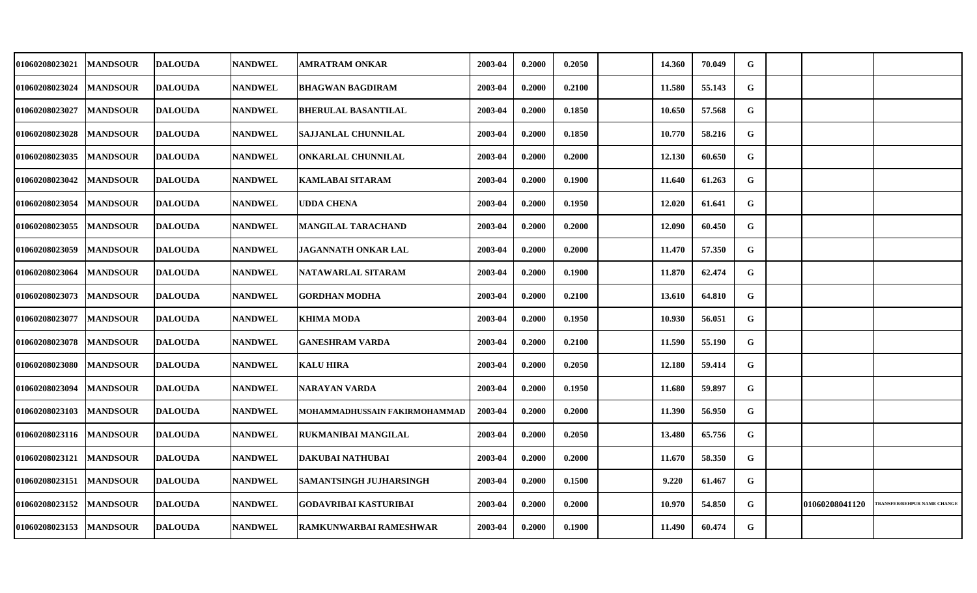| 01060208023021           | <b>MANDSOUR</b> | <b>DALOUDA</b> | <b>NANDWEL</b> | AMRATRAM ONKAR                | 2003-04 | 0.2000 | 0.2050 | 14.360 | 70.049 | G |                |                                   |
|--------------------------|-----------------|----------------|----------------|-------------------------------|---------|--------|--------|--------|--------|---|----------------|-----------------------------------|
| 01060208023024           | <b>MANDSOUR</b> | <b>DALOUDA</b> | <b>NANDWEL</b> | <b>BHAGWAN BAGDIRAM</b>       | 2003-04 | 0.2000 | 0.2100 | 11.580 | 55.143 | G |                |                                   |
| 01060208023027           | <b>MANDSOUR</b> | <b>DALOUDA</b> | <b>NANDWEL</b> | <b>BHERULAL BASANTILAL</b>    | 2003-04 | 0.2000 | 0.1850 | 10.650 | 57.568 | G |                |                                   |
| 01060208023028           | <b>MANDSOUR</b> | <b>DALOUDA</b> | <b>NANDWEL</b> | <b>SAJJANLAL CHUNNILAL</b>    | 2003-04 | 0.2000 | 0.1850 | 10.770 | 58.216 | G |                |                                   |
| 01060208023035           | <b>MANDSOUR</b> | <b>DALOUDA</b> | <b>NANDWEL</b> | ONKARLAL CHUNNILAL            | 2003-04 | 0.2000 | 0.2000 | 12.130 | 60.650 | G |                |                                   |
| 01060208023042           | <b>MANDSOUR</b> | <b>DALOUDA</b> | <b>NANDWEL</b> | <b>KAMLABAI SITARAM</b>       | 2003-04 | 0.2000 | 0.1900 | 11.640 | 61.263 | G |                |                                   |
| 01060208023054           | <b>MANDSOUR</b> | <b>DALOUDA</b> | <b>NANDWEL</b> | <b>UDDA CHENA</b>             | 2003-04 | 0.2000 | 0.1950 | 12.020 | 61.641 | G |                |                                   |
| 01060208023055           | <b>MANDSOUR</b> | <b>DALOUDA</b> | <b>NANDWEL</b> | <b>MANGILAL TARACHAND</b>     | 2003-04 | 0.2000 | 0.2000 | 12.090 | 60.450 | G |                |                                   |
| 01060208023059           | <b>MANDSOUR</b> | <b>DALOUDA</b> | <b>NANDWEL</b> | JAGANNATH ONKAR LAL           | 2003-04 | 0.2000 | 0.2000 | 11.470 | 57.350 | G |                |                                   |
| 01060208023064           | <b>MANDSOUR</b> | <b>DALOUDA</b> | <b>NANDWEL</b> | NATAWARLAL SITARAM            | 2003-04 | 0.2000 | 0.1900 | 11.870 | 62.474 | G |                |                                   |
| 01060208023073           | <b>MANDSOUR</b> | <b>DALOUDA</b> | <b>NANDWEL</b> | <b>GORDHAN MODHA</b>          | 2003-04 | 0.2000 | 0.2100 | 13.610 | 64.810 | G |                |                                   |
| 01060208023077           | <b>MANDSOUR</b> | <b>DALOUDA</b> | <b>NANDWEL</b> | <b>KHIMA MODA</b>             | 2003-04 | 0.2000 | 0.1950 | 10.930 | 56.051 | G |                |                                   |
| 01060208023078           | <b>MANDSOUR</b> | <b>DALOUDA</b> | <b>NANDWEL</b> | <b>GANESHRAM VARDA</b>        | 2003-04 | 0.2000 | 0.2100 | 11.590 | 55.190 | G |                |                                   |
| 01060208023080           | <b>MANDSOUR</b> | <b>DALOUDA</b> | <b>NANDWEL</b> | <b>KALU HIRA</b>              | 2003-04 | 0.2000 | 0.2050 | 12.180 | 59.414 | G |                |                                   |
| 01060208023094           | <b>MANDSOUR</b> | <b>DALOUDA</b> | <b>NANDWEL</b> | NARAYAN VARDA                 | 2003-04 | 0.2000 | 0.1950 | 11.680 | 59.897 | G |                |                                   |
| 01060208023103           | <b>MANDSOUR</b> | <b>DALOUDA</b> | <b>NANDWEL</b> | MOHAMMADHUSSAIN FAKIRMOHAMMAD | 2003-04 | 0.2000 | 0.2000 | 11.390 | 56.950 | G |                |                                   |
| 01060208023116  MANDSOUR |                 | <b>DALOUDA</b> | <b>NANDWEL</b> | RUKMANIBAI MANGILAL           | 2003-04 | 0.2000 | 0.2050 | 13.480 | 65.756 | G |                |                                   |
| 01060208023121           | <b>MANDSOUR</b> | <b>DALOUDA</b> | <b>NANDWEL</b> | DAKUBAI NATHUBAI              | 2003-04 | 0.2000 | 0.2000 | 11.670 | 58.350 | G |                |                                   |
| 01060208023151           | <b>MANDSOUR</b> | <b>DALOUDA</b> | <b>NANDWEL</b> | SAMANTSINGH JUJHARSINGH       | 2003-04 | 0.2000 | 0.1500 | 9.220  | 61.467 | G |                |                                   |
| 01060208023152           | <b>MANDSOUR</b> | <b>DALOUDA</b> | <b>NANDWEL</b> | <b>GODAVRIBAI KASTURIBAI</b>  | 2003-04 | 0.2000 | 0.2000 | 10.970 | 54.850 | G | 01060208041120 | <b>RANSFER/BEHPUR NAME CHANGE</b> |
| 01060208023153  MANDSOUR |                 | <b>DALOUDA</b> | <b>NANDWEL</b> | RAMKUNWARBAI RAMESHWAR        | 2003-04 | 0.2000 | 0.1900 | 11.490 | 60.474 | G |                |                                   |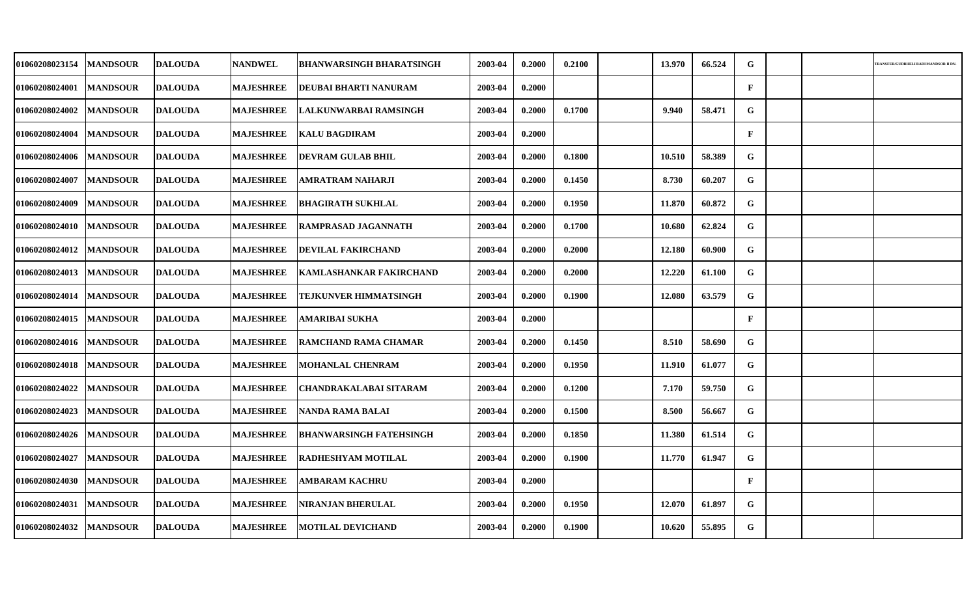| <b>01060208023154</b> | <b>MANDSOUR</b> | DALOUDA        | <b>NANDWEL</b>   | <b>BHANWARSINGH BHARATSINGH</b> | 2003-04 | 0.2000 | 0.2100 | 13.970 | 66.524 | G            |  | RANSFER/GUDBHELI BADI MANDSOR II D |
|-----------------------|-----------------|----------------|------------------|---------------------------------|---------|--------|--------|--------|--------|--------------|--|------------------------------------|
|                       |                 |                |                  |                                 |         |        |        |        |        |              |  |                                    |
| 01060208024001        | <b>MANDSOUR</b> | <b>DALOUDA</b> | <b>MAJESHREE</b> | DEUBAI BHARTI NANURAM           | 2003-04 | 0.2000 |        |        |        | $\mathbf{F}$ |  |                                    |
| <b>01060208024002</b> | <b>MANDSOUR</b> | <b>DALOUDA</b> | <b>MAJESHREE</b> | LALKUNWARBAI RAMSINGH           | 2003-04 | 0.2000 | 0.1700 | 9.940  | 58.471 | G            |  |                                    |
| 01060208024004        | <b>MANDSOUR</b> | <b>DALOUDA</b> | <b>MAJESHREE</b> | <b>KALU BAGDIRAM</b>            | 2003-04 | 0.2000 |        |        |        | $\mathbf{F}$ |  |                                    |
| <b>01060208024006</b> | <b>MANDSOUR</b> | <b>DALOUDA</b> | <b>MAJESHREE</b> | <b>DEVRAM GULAB BHIL</b>        | 2003-04 | 0.2000 | 0.1800 | 10.510 | 58.389 | G            |  |                                    |
| 01060208024007        | <b>MANDSOUR</b> | <b>DALOUDA</b> | <b>MAJESHREE</b> | AMRATRAM NAHARJI                | 2003-04 | 0.2000 | 0.1450 | 8.730  | 60.207 | ${\bf G}$    |  |                                    |
| 01060208024009        | <b>MANDSOUR</b> | <b>DALOUDA</b> | <b>MAJESHREE</b> | <b>BHAGIRATH SUKHLAL</b>        | 2003-04 | 0.2000 | 0.1950 | 11.870 | 60.872 | G            |  |                                    |
| 01060208024010        | <b>MANDSOUR</b> | <b>DALOUDA</b> | <b>MAJESHREE</b> | <b>RAMPRASAD JAGANNATH</b>      | 2003-04 | 0.2000 | 0.1700 | 10.680 | 62.824 | G            |  |                                    |
| 01060208024012        | <b>MANDSOUR</b> | <b>DALOUDA</b> | <b>MAJESHREE</b> | <b>DEVILAL FAKIRCHAND</b>       | 2003-04 | 0.2000 | 0.2000 | 12.180 | 60.900 | G            |  |                                    |
| 01060208024013        | <b>MANDSOUR</b> | <b>DALOUDA</b> | <b>MAJESHREE</b> | <b>KAMLASHANKAR FAKIRCHAND</b>  | 2003-04 | 0.2000 | 0.2000 | 12.220 | 61.100 | G            |  |                                    |
| 01060208024014        | <b>MANDSOUR</b> | <b>DALOUDA</b> | <b>MAJESHREE</b> | TEJKUNVER HIMMATSINGH           | 2003-04 | 0.2000 | 0.1900 | 12.080 | 63.579 | G            |  |                                    |
| <b>01060208024015</b> | <b>MANDSOUR</b> | <b>DALOUDA</b> | <b>MAJESHREE</b> | AMARIBAI SUKHA                  | 2003-04 | 0.2000 |        |        |        | $\mathbf{F}$ |  |                                    |
| 01060208024016        | <b>MANDSOUR</b> | <b>DALOUDA</b> | <b>MAJESHREE</b> | <b>RAMCHAND RAMA CHAMAR</b>     | 2003-04 | 0.2000 | 0.1450 | 8.510  | 58.690 | G            |  |                                    |
| 01060208024018        | <b>MANDSOUR</b> | <b>DALOUDA</b> | <b>MAJESHREE</b> | <b>MOHANLAL CHENRAM</b>         | 2003-04 | 0.2000 | 0.1950 | 11.910 | 61.077 | G            |  |                                    |
| 01060208024022        | <b>MANDSOUR</b> | <b>DALOUDA</b> | <b>MAJESHREE</b> | <b>CHANDRAKALABAI SITARAM</b>   | 2003-04 | 0.2000 | 0.1200 | 7.170  | 59.750 | G            |  |                                    |
| 01060208024023        | <b>MANDSOUR</b> | <b>DALOUDA</b> | <b>MAJESHREE</b> | NANDA RAMA BALAI                | 2003-04 | 0.2000 | 0.1500 | 8.500  | 56.667 | G            |  |                                    |
| 01060208024026        | <b>MANDSOUR</b> | <b>DALOUDA</b> | <b>MAJESHREE</b> | <b>BHANWARSINGH FATEHSINGH</b>  | 2003-04 | 0.2000 | 0.1850 | 11.380 | 61.514 | ${\bf G}$    |  |                                    |
| 01060208024027        | <b>MANDSOUR</b> | <b>DALOUDA</b> | <b>MAJESHREE</b> | <b>RADHESHYAM MOTILAL</b>       | 2003-04 | 0.2000 | 0.1900 | 11.770 | 61.947 | ${\bf G}$    |  |                                    |
| 01060208024030        | <b>MANDSOUR</b> | <b>DALOUDA</b> | <b>MAJESHREE</b> | AMBARAM KACHRU                  | 2003-04 | 0.2000 |        |        |        | $\mathbf{F}$ |  |                                    |
| 01060208024031        | <b>MANDSOUR</b> | <b>DALOUDA</b> | <b>MAJESHREE</b> | NIRANJAN BHERULAL               | 2003-04 | 0.2000 | 0.1950 | 12.070 | 61.897 | G            |  |                                    |
| 01060208024032        | <b>MANDSOUR</b> | <b>DALOUDA</b> | <b>MAJESHREE</b> | <b>MOTILAL DEVICHAND</b>        | 2003-04 | 0.2000 | 0.1900 | 10.620 | 55.895 | G            |  |                                    |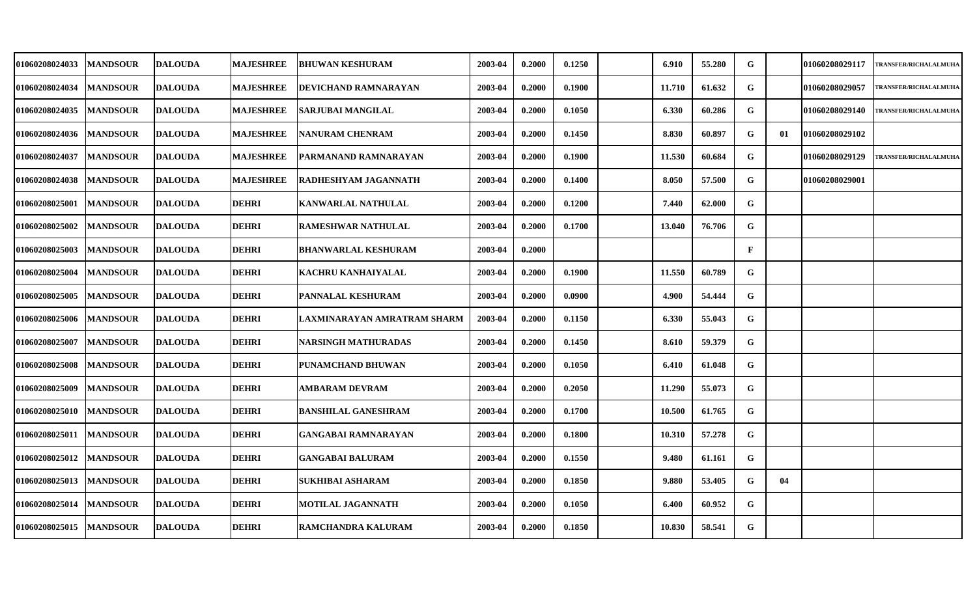| <b>01060208024033</b> | <b>MANDSOUR</b> | <b>IDALOUDA</b> | <b>MAJESHREE</b> | <b>BHUWAN KESHURAM</b>      | 2003-04 | 0.2000 | 0.1250 | 6.910  | 55.280 | G            |    | 01060208029117        | <b>TRANSFER/RICHALALMUHA</b> |
|-----------------------|-----------------|-----------------|------------------|-----------------------------|---------|--------|--------|--------|--------|--------------|----|-----------------------|------------------------------|
| 01060208024034        | <b>MANDSOUR</b> | <b>DALOUDA</b>  | <b>MAJESHREE</b> | DEVICHAND RAMNARAYAN        | 2003-04 | 0.2000 | 0.1900 | 11.710 | 61.632 | $\mathbf G$  |    | 01060208029057        | TRANSFER/RICHALALMUHA        |
| <b>01060208024035</b> | <b>MANDSOUR</b> | <b>DALOUDA</b>  | <b>MAJESHREE</b> | SARJUBAI MANGILAL           | 2003-04 | 0.2000 | 0.1050 | 6.330  | 60.286 | G            |    | 01060208029140        | TRANSFER/RICHALALMUHA        |
| 01060208024036        | <b>MANDSOUR</b> | <b>DALOUDA</b>  | <b>MAJESHREE</b> | NANURAM CHENRAM             | 2003-04 | 0.2000 | 0.1450 | 8.830  | 60.897 | G            | 01 | <b>01060208029102</b> |                              |
| <b>01060208024037</b> | <b>MANDSOUR</b> | <b>DALOUDA</b>  | <b>MAJESHREE</b> | PARMANAND RAMNARAYAN        | 2003-04 | 0.2000 | 0.1900 | 11.530 | 60.684 | G            |    | 01060208029129        | <b>TRANSFER/RICHALALMUHA</b> |
| <b>01060208024038</b> | <b>MANDSOUR</b> | <b>DALOUDA</b>  | <b>MAJESHREE</b> | RADHESHYAM JAGANNATH        | 2003-04 | 0.2000 | 0.1400 | 8.050  | 57.500 | G            |    | 01060208029001        |                              |
| <b>01060208025001</b> | <b>MANDSOUR</b> | <b>DALOUDA</b>  | <b>DEHRI</b>     | KANWARLAL NATHULAL          | 2003-04 | 0.2000 | 0.1200 | 7.440  | 62.000 | G            |    |                       |                              |
| <b>01060208025002</b> | <b>MANDSOUR</b> | <b>DALOUDA</b>  | <b>DEHRI</b>     | RAMESHWAR NATHULAL          | 2003-04 | 0.2000 | 0.1700 | 13.040 | 76.706 | $\mathbf G$  |    |                       |                              |
| <b>01060208025003</b> | <b>MANDSOUR</b> | <b>DALOUDA</b>  | <b>DEHRI</b>     | <b>BHANWARLAL KESHURAM</b>  | 2003-04 | 0.2000 |        |        |        | $\mathbf{F}$ |    |                       |                              |
| 01060208025004        | <b>MANDSOUR</b> | <b>DALOUDA</b>  | <b>DEHRI</b>     | KACHRU KANHAIYALAL          | 2003-04 | 0.2000 | 0.1900 | 11.550 | 60.789 | G            |    |                       |                              |
| <b>01060208025005</b> | <b>MANDSOUR</b> | <b>DALOUDA</b>  | <b>DEHRI</b>     | PANNALAL KESHURAM           | 2003-04 | 0.2000 | 0.0900 | 4.900  | 54.444 | G            |    |                       |                              |
| <b>01060208025006</b> | <b>MANDSOUR</b> | <b>DALOUDA</b>  | <b>DEHRI</b>     | LAXMINARAYAN AMRATRAM SHARM | 2003-04 | 0.2000 | 0.1150 | 6.330  | 55.043 | G            |    |                       |                              |
| <b>01060208025007</b> | <b>MANDSOUR</b> | <b>DALOUDA</b>  | <b>DEHRI</b>     | NARSINGH MATHURADAS         | 2003-04 | 0.2000 | 0.1450 | 8.610  | 59.379 | G            |    |                       |                              |
| <b>01060208025008</b> | <b>MANDSOUR</b> | <b>DALOUDA</b>  | <b>DEHRI</b>     | PUNAMCHAND BHUWAN           | 2003-04 | 0.2000 | 0.1050 | 6.410  | 61.048 | G            |    |                       |                              |
| <b>01060208025009</b> | <b>MANDSOUR</b> | <b>DALOUDA</b>  | <b>DEHRI</b>     | <b>AMBARAM DEVRAM</b>       | 2003-04 | 0.2000 | 0.2050 | 11.290 | 55.073 | G            |    |                       |                              |
| <b>01060208025010</b> | <b>MANDSOUR</b> | <b>DALOUDA</b>  | <b>DEHRI</b>     | <b>BANSHILAL GANESHRAM</b>  | 2003-04 | 0.2000 | 0.1700 | 10.500 | 61.765 | G            |    |                       |                              |
| 01060208025011        | <b>MANDSOUR</b> | <b>DALOUDA</b>  | <b>DEHRI</b>     | <b>GANGABAI RAMNARAYAN</b>  | 2003-04 | 0.2000 | 0.1800 | 10.310 | 57.278 | G            |    |                       |                              |
| <b>01060208025012</b> | <b>MANDSOUR</b> | <b>DALOUDA</b>  | <b>DEHRI</b>     | <b>GANGABAI BALURAM</b>     | 2003-04 | 0.2000 | 0.1550 | 9.480  | 61.161 | G            |    |                       |                              |
| 01060208025013        | <b>MANDSOUR</b> | <b>DALOUDA</b>  | <b>DEHRI</b>     | SUKHIBAI ASHARAM            | 2003-04 | 0.2000 | 0.1850 | 9.880  | 53.405 | G            | 04 |                       |                              |
| <b>01060208025014</b> | <b>MANDSOUR</b> | <b>DALOUDA</b>  | <b>DEHRI</b>     | MOTILAL JAGANNATH           | 2003-04 | 0.2000 | 0.1050 | 6.400  | 60.952 | G            |    |                       |                              |
| 01060208025015        | <b>MANDSOUR</b> | <b>DALOUDA</b>  | <b>DEHRI</b>     | RAMCHANDRA KALURAM          | 2003-04 | 0.2000 | 0.1850 | 10.830 | 58.541 | G            |    |                       |                              |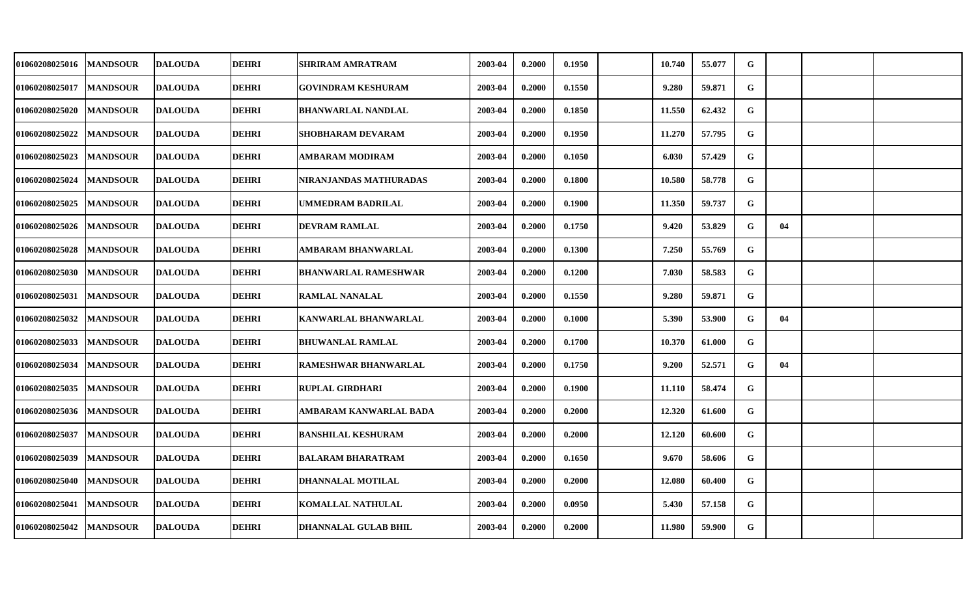| 01060208025016 | <b>MANDSOUR</b> | <b>DALOUDA</b> | <b>DEHRI</b> | SHRIRAM AMRATRAM            | 2003-04 | 0.2000 | 0.1950 | 10.740 | 55.077 | G           |    |  |
|----------------|-----------------|----------------|--------------|-----------------------------|---------|--------|--------|--------|--------|-------------|----|--|
| 01060208025017 | <b>MANDSOUR</b> | <b>DALOUDA</b> | <b>DEHRI</b> | <b>GOVINDRAM KESHURAM</b>   | 2003-04 | 0.2000 | 0.1550 | 9.280  | 59.871 | G           |    |  |
| 01060208025020 | <b>MANDSOUR</b> | <b>DALOUDA</b> | <b>DEHRI</b> | <b>BHANWARLAL NANDLAL</b>   | 2003-04 | 0.2000 | 0.1850 | 11.550 | 62.432 | G           |    |  |
| 01060208025022 | <b>MANDSOUR</b> | <b>DALOUDA</b> | <b>DEHRI</b> | SHOBHARAM DEVARAM           | 2003-04 | 0.2000 | 0.1950 | 11.270 | 57.795 | G           |    |  |
| 01060208025023 | <b>MANDSOUR</b> | <b>DALOUDA</b> | <b>DEHRI</b> | AMBARAM MODIRAM             | 2003-04 | 0.2000 | 0.1050 | 6.030  | 57.429 | G           |    |  |
| 01060208025024 | <b>MANDSOUR</b> | <b>DALOUDA</b> | <b>DEHRI</b> | NIRANJANDAS MATHURADAS      | 2003-04 | 0.2000 | 0.1800 | 10.580 | 58.778 | G           |    |  |
| 01060208025025 | <b>MANDSOUR</b> | <b>DALOUDA</b> | <b>DEHRI</b> | UMMEDRAM BADRILAL           | 2003-04 | 0.2000 | 0.1900 | 11.350 | 59.737 | G           |    |  |
| 01060208025026 | <b>MANDSOUR</b> | <b>DALOUDA</b> | <b>DEHRI</b> | <b>DEVRAM RAMLAL</b>        | 2003-04 | 0.2000 | 0.1750 | 9.420  | 53.829 | $\mathbf G$ | 04 |  |
| 01060208025028 | <b>MANDSOUR</b> | <b>DALOUDA</b> | <b>DEHRI</b> | AMBARAM BHANWARLAL          | 2003-04 | 0.2000 | 0.1300 | 7.250  | 55.769 | G           |    |  |
| 01060208025030 | <b>MANDSOUR</b> | <b>DALOUDA</b> | <b>DEHRI</b> | <b>BHANWARLAL RAMESHWAR</b> | 2003-04 | 0.2000 | 0.1200 | 7.030  | 58.583 | G           |    |  |
| 01060208025031 | <b>MANDSOUR</b> | <b>DALOUDA</b> | <b>DEHRI</b> | <b>RAMLAL NANALAL</b>       | 2003-04 | 0.2000 | 0.1550 | 9.280  | 59.871 | G           |    |  |
| 01060208025032 | <b>MANDSOUR</b> | <b>DALOUDA</b> | <b>DEHRI</b> | <b>KANWARLAL BHANWARLAL</b> | 2003-04 | 0.2000 | 0.1000 | 5.390  | 53.900 | G           | 04 |  |
| 01060208025033 | <b>MANDSOUR</b> | <b>DALOUDA</b> | <b>DEHRI</b> | <b>BHUWANLAL RAMLAL</b>     | 2003-04 | 0.2000 | 0.1700 | 10.370 | 61.000 | G           |    |  |
| 01060208025034 | <b>MANDSOUR</b> | <b>DALOUDA</b> | <b>DEHRI</b> | <b>RAMESHWAR BHANWARLAL</b> | 2003-04 | 0.2000 | 0.1750 | 9.200  | 52.571 | G           | 04 |  |
| 01060208025035 | <b>MANDSOUR</b> | <b>DALOUDA</b> | <b>DEHRI</b> | <b>RUPLAL GIRDHARI</b>      | 2003-04 | 0.2000 | 0.1900 | 11.110 | 58.474 | $\mathbf G$ |    |  |
| 01060208025036 | <b>MANDSOUR</b> | <b>DALOUDA</b> | <b>DEHRI</b> | AMBARAM KANWARLAL BADA      | 2003-04 | 0.2000 | 0.2000 | 12.320 | 61.600 | G           |    |  |
| 01060208025037 | <b>MANDSOUR</b> | <b>DALOUDA</b> | <b>DEHRI</b> | <b>BANSHILAL KESHURAM</b>   | 2003-04 | 0.2000 | 0.2000 | 12.120 | 60.600 | G           |    |  |
| 01060208025039 | <b>MANDSOUR</b> | <b>DALOUDA</b> | <b>DEHRI</b> | <b>BALARAM BHARATRAM</b>    | 2003-04 | 0.2000 | 0.1650 | 9.670  | 58.606 | G           |    |  |
| 01060208025040 | <b>MANDSOUR</b> | <b>DALOUDA</b> | <b>DEHRI</b> | DHANNALAL MOTILAL           | 2003-04 | 0.2000 | 0.2000 | 12.080 | 60.400 | G           |    |  |
| 01060208025041 | <b>MANDSOUR</b> | <b>DALOUDA</b> | <b>DEHRI</b> | KOMALLAL NATHULAL           | 2003-04 | 0.2000 | 0.0950 | 5.430  | 57.158 | G           |    |  |
| 01060208025042 | <b>MANDSOUR</b> | <b>DALOUDA</b> | <b>DEHRI</b> | <b>DHANNALAL GULAB BHIL</b> | 2003-04 | 0.2000 | 0.2000 | 11.980 | 59.900 | G           |    |  |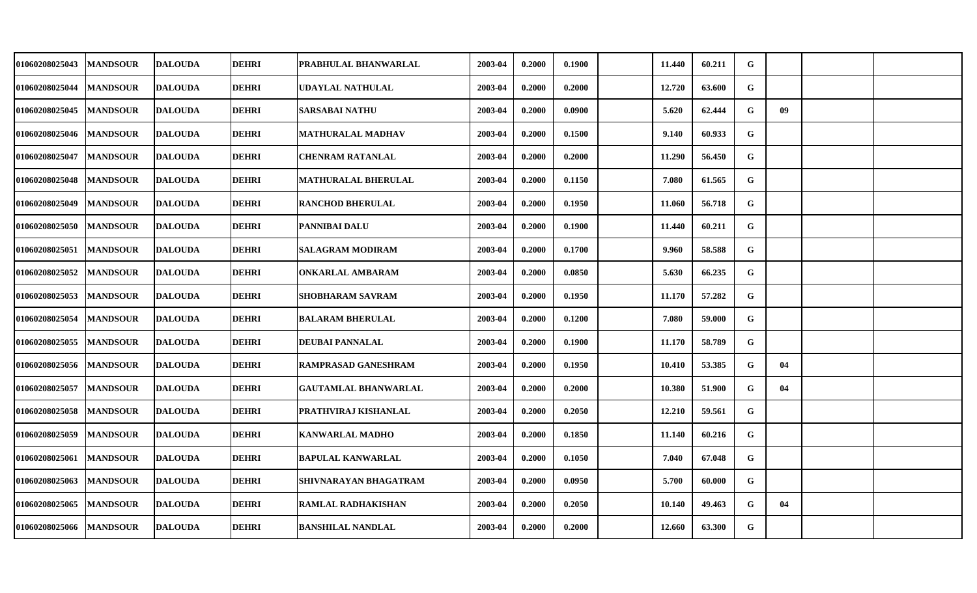| 01060208025043 | <b>MANDSOUR</b> | <b>DALOUDA</b> | <b>DEHRI</b> | PRABHULAL BHANWARLAL        | 2003-04 | 0.2000 | 0.1900 | 11.440 | 60.211 | G           |    |  |
|----------------|-----------------|----------------|--------------|-----------------------------|---------|--------|--------|--------|--------|-------------|----|--|
| 01060208025044 | <b>MANDSOUR</b> | <b>DALOUDA</b> | <b>DEHRI</b> | UDAYLAL NATHULAL            | 2003-04 | 0.2000 | 0.2000 | 12.720 | 63.600 | G           |    |  |
| 01060208025045 | <b>MANDSOUR</b> | <b>DALOUDA</b> | <b>DEHRI</b> | <b>SARSABAI NATHU</b>       | 2003-04 | 0.2000 | 0.0900 | 5.620  | 62.444 | G           | 09 |  |
| 01060208025046 | <b>MANDSOUR</b> | <b>DALOUDA</b> | <b>DEHRI</b> | <b>MATHURALAL MADHAV</b>    | 2003-04 | 0.2000 | 0.1500 | 9.140  | 60.933 | G           |    |  |
| 01060208025047 | <b>MANDSOUR</b> | <b>DALOUDA</b> | <b>DEHRI</b> | <b>CHENRAM RATANLAL</b>     | 2003-04 | 0.2000 | 0.2000 | 11.290 | 56.450 | G           |    |  |
| 01060208025048 | <b>MANDSOUR</b> | <b>DALOUDA</b> | <b>DEHRI</b> | <b>MATHURALAL BHERULAL</b>  | 2003-04 | 0.2000 | 0.1150 | 7.080  | 61.565 | G           |    |  |
| 01060208025049 | <b>MANDSOUR</b> | <b>DALOUDA</b> | <b>DEHRI</b> | <b>RANCHOD BHERULAL</b>     | 2003-04 | 0.2000 | 0.1950 | 11.060 | 56.718 | G           |    |  |
| 01060208025050 | <b>MANDSOUR</b> | <b>DALOUDA</b> | <b>DEHRI</b> | <b>PANNIBAI DALU</b>        | 2003-04 | 0.2000 | 0.1900 | 11.440 | 60.211 | G           |    |  |
| 01060208025051 | <b>MANDSOUR</b> | <b>DALOUDA</b> | <b>DEHRI</b> | <b>SALAGRAM MODIRAM</b>     | 2003-04 | 0.2000 | 0.1700 | 9.960  | 58.588 | G           |    |  |
| 01060208025052 | <b>MANDSOUR</b> | <b>DALOUDA</b> | <b>DEHRI</b> | <b>ONKARLAL AMBARAM</b>     | 2003-04 | 0.2000 | 0.0850 | 5.630  | 66.235 | G           |    |  |
| 01060208025053 | <b>MANDSOUR</b> | <b>DALOUDA</b> | <b>DEHRI</b> | <b>SHOBHARAM SAVRAM</b>     | 2003-04 | 0.2000 | 0.1950 | 11.170 | 57.282 | G           |    |  |
| 01060208025054 | <b>MANDSOUR</b> | <b>DALOUDA</b> | <b>DEHRI</b> | <b>BALARAM BHERULAL</b>     | 2003-04 | 0.2000 | 0.1200 | 7.080  | 59.000 | G           |    |  |
| 01060208025055 | <b>MANDSOUR</b> | <b>DALOUDA</b> | <b>DEHRI</b> | <b>DEUBAI PANNALAL</b>      | 2003-04 | 0.2000 | 0.1900 | 11.170 | 58.789 | G           |    |  |
| 01060208025056 | <b>MANDSOUR</b> | <b>DALOUDA</b> | <b>DEHRI</b> | <b>RAMPRASAD GANESHRAM</b>  | 2003-04 | 0.2000 | 0.1950 | 10.410 | 53.385 | G           | 04 |  |
| 01060208025057 | <b>MANDSOUR</b> | <b>DALOUDA</b> | <b>DEHRI</b> | <b>GAUTAMLAL BHANWARLAL</b> | 2003-04 | 0.2000 | 0.2000 | 10.380 | 51.900 | G           | 04 |  |
| 01060208025058 | <b>MANDSOUR</b> | <b>DALOUDA</b> | <b>DEHRI</b> | PRATHVIRAJ KISHANLAL        | 2003-04 | 0.2000 | 0.2050 | 12.210 | 59.561 | G           |    |  |
| 01060208025059 | <b>MANDSOUR</b> | <b>DALOUDA</b> | <b>DEHRI</b> | <b>KANWARLAL MADHO</b>      | 2003-04 | 0.2000 | 0.1850 | 11.140 | 60.216 | $\mathbf G$ |    |  |
| 01060208025061 | <b>MANDSOUR</b> | <b>DALOUDA</b> | <b>DEHRI</b> | <b>BAPULAL KANWARLAL</b>    | 2003-04 | 0.2000 | 0.1050 | 7.040  | 67.048 | G           |    |  |
| 01060208025063 | <b>MANDSOUR</b> | <b>DALOUDA</b> | <b>DEHRI</b> | SHIVNARAYAN BHAGATRAM       | 2003-04 | 0.2000 | 0.0950 | 5.700  | 60.000 | G           |    |  |
| 01060208025065 | <b>MANDSOUR</b> | <b>DALOUDA</b> | <b>DEHRI</b> | <b>RAMLAL RADHAKISHAN</b>   | 2003-04 | 0.2000 | 0.2050 | 10.140 | 49.463 | $\mathbf G$ | 04 |  |
| 01060208025066 | <b>MANDSOUR</b> | <b>DALOUDA</b> | <b>DEHRI</b> | <b>BANSHILAL NANDLAL</b>    | 2003-04 | 0.2000 | 0.2000 | 12.660 | 63.300 | G           |    |  |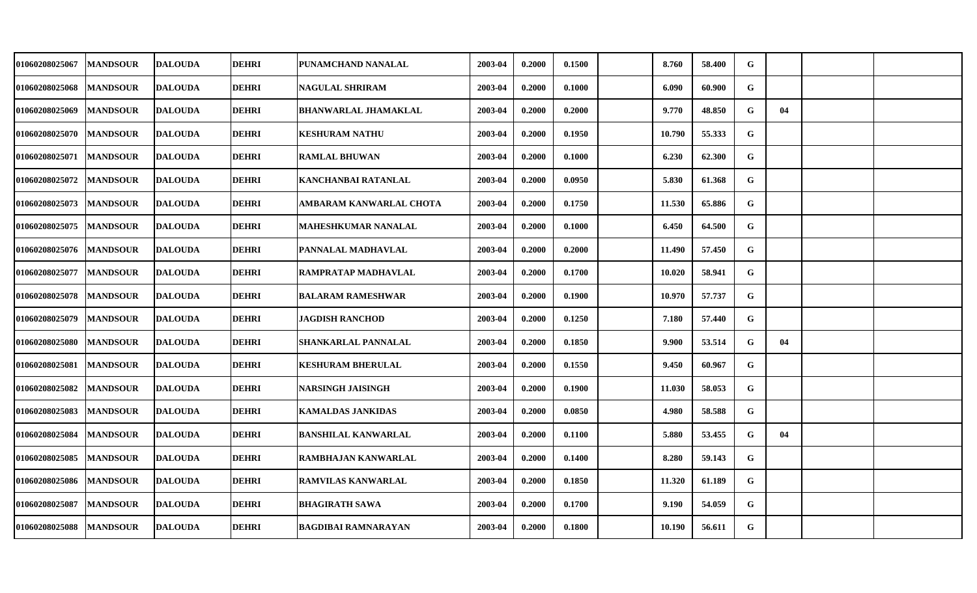| 01060208025067 | <b>MANDSOUR</b> | <b>DALOUDA</b> | <b>DEHRI</b> | PUNAMCHAND NANALAL          | 2003-04 | 0.2000 | 0.1500 | 8.760  | 58.400 | G |    |  |
|----------------|-----------------|----------------|--------------|-----------------------------|---------|--------|--------|--------|--------|---|----|--|
| 01060208025068 | <b>MANDSOUR</b> | <b>DALOUDA</b> | <b>DEHRI</b> | <b>NAGULAL SHRIRAM</b>      | 2003-04 | 0.2000 | 0.1000 | 6.090  | 60.900 | G |    |  |
| 01060208025069 | <b>MANDSOUR</b> | <b>DALOUDA</b> | <b>DEHRI</b> | <b>BHANWARLAL JHAMAKLAL</b> | 2003-04 | 0.2000 | 0.2000 | 9.770  | 48.850 | G | 04 |  |
| 01060208025070 | <b>MANDSOUR</b> | <b>DALOUDA</b> | <b>DEHRI</b> | <b>KESHURAM NATHU</b>       | 2003-04 | 0.2000 | 0.1950 | 10.790 | 55.333 | G |    |  |
| 01060208025071 | <b>MANDSOUR</b> | <b>DALOUDA</b> | <b>DEHRI</b> | <b>RAMLAL BHUWAN</b>        | 2003-04 | 0.2000 | 0.1000 | 6.230  | 62.300 | G |    |  |
| 01060208025072 | <b>MANDSOUR</b> | <b>DALOUDA</b> | <b>DEHRI</b> | <b>KANCHANBAI RATANLAL</b>  | 2003-04 | 0.2000 | 0.0950 | 5.830  | 61.368 | G |    |  |
| 01060208025073 | <b>MANDSOUR</b> | <b>DALOUDA</b> | <b>DEHRI</b> | AMBARAM KANWARLAL CHOTA     | 2003-04 | 0.2000 | 0.1750 | 11.530 | 65.886 | G |    |  |
| 01060208025075 | <b>MANDSOUR</b> | <b>DALOUDA</b> | <b>DEHRI</b> | MAHESHKUMAR NANALAL         | 2003-04 | 0.2000 | 0.1000 | 6.450  | 64.500 | G |    |  |
| 01060208025076 | <b>MANDSOUR</b> | <b>DALOUDA</b> | <b>DEHRI</b> | PANNALAL MADHAVLAL          | 2003-04 | 0.2000 | 0.2000 | 11.490 | 57.450 | G |    |  |
| 01060208025077 | <b>MANDSOUR</b> | <b>DALOUDA</b> | <b>DEHRI</b> | RAMPRATAP MADHAVLAL         | 2003-04 | 0.2000 | 0.1700 | 10.020 | 58.941 | G |    |  |
| 01060208025078 | <b>MANDSOUR</b> | <b>DALOUDA</b> | <b>DEHRI</b> | <b>BALARAM RAMESHWAR</b>    | 2003-04 | 0.2000 | 0.1900 | 10.970 | 57.737 | G |    |  |
| 01060208025079 | <b>MANDSOUR</b> | <b>DALOUDA</b> | <b>DEHRI</b> | <b>JAGDISH RANCHOD</b>      | 2003-04 | 0.2000 | 0.1250 | 7.180  | 57.440 | G |    |  |
| 01060208025080 | <b>MANDSOUR</b> | <b>DALOUDA</b> | <b>DEHRI</b> | <b>SHANKARLAL PANNALAL</b>  | 2003-04 | 0.2000 | 0.1850 | 9.900  | 53.514 | G | 04 |  |
| 01060208025081 | <b>MANDSOUR</b> | <b>DALOUDA</b> | <b>DEHRI</b> | <b>KESHURAM BHERULAL</b>    | 2003-04 | 0.2000 | 0.1550 | 9.450  | 60.967 | G |    |  |
| 01060208025082 | <b>MANDSOUR</b> | <b>DALOUDA</b> | <b>DEHRI</b> | <b>NARSINGH JAISINGH</b>    | 2003-04 | 0.2000 | 0.1900 | 11.030 | 58.053 | G |    |  |
| 01060208025083 | <b>MANDSOUR</b> | <b>DALOUDA</b> | <b>DEHRI</b> | <b>KAMALDAS JANKIDAS</b>    | 2003-04 | 0.2000 | 0.0850 | 4.980  | 58.588 | G |    |  |
| 01060208025084 | <b>MANDSOUR</b> | <b>DALOUDA</b> | <b>DEHRI</b> | <b>BANSHILAL KANWARLAL</b>  | 2003-04 | 0.2000 | 0.1100 | 5.880  | 53.455 | G | 04 |  |
| 01060208025085 | <b>MANDSOUR</b> | <b>DALOUDA</b> | <b>DEHRI</b> | RAMBHAJAN KANWARLAL         | 2003-04 | 0.2000 | 0.1400 | 8.280  | 59.143 | G |    |  |
| 01060208025086 | <b>MANDSOUR</b> | <b>DALOUDA</b> | <b>DEHRI</b> | <b>RAMVILAS KANWARLAL</b>   | 2003-04 | 0.2000 | 0.1850 | 11.320 | 61.189 | G |    |  |
| 01060208025087 | <b>MANDSOUR</b> | <b>DALOUDA</b> | <b>DEHRI</b> | <b>BHAGIRATH SAWA</b>       | 2003-04 | 0.2000 | 0.1700 | 9.190  | 54.059 | G |    |  |
| 01060208025088 | <b>MANDSOUR</b> | <b>DALOUDA</b> | <b>DEHRI</b> | <b>BAGDIBAI RAMNARAYAN</b>  | 2003-04 | 0.2000 | 0.1800 | 10.190 | 56.611 | G |    |  |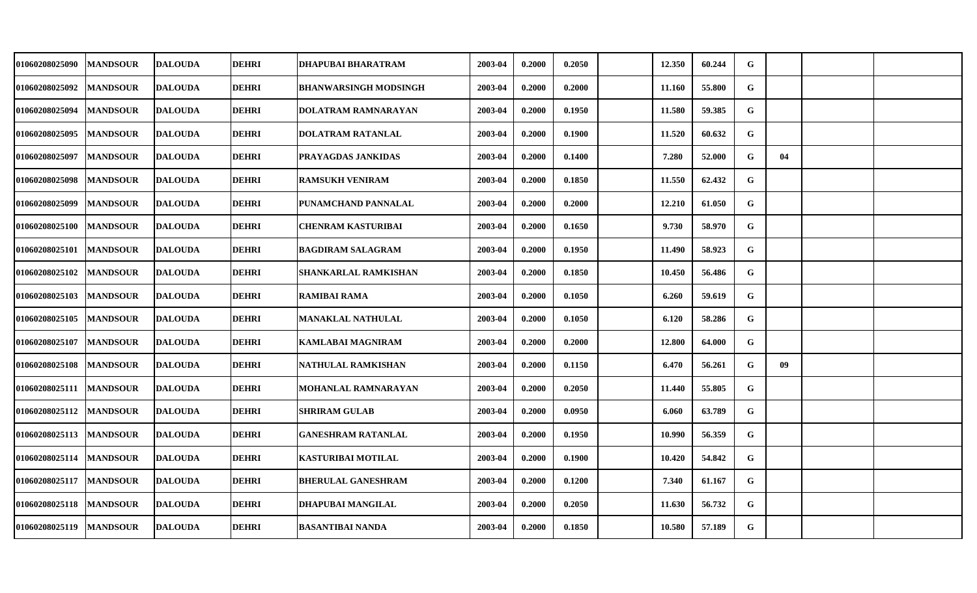| 01060208025090            | <b>MANDSOUR</b> | <b>DALOUDA</b> | <b>DEHRI</b> | DHAPUBAI BHARATRAM           | 2003-04 | 0.2000 | 0.2050 | 12.350 | 60.244 | G            |                 |  |
|---------------------------|-----------------|----------------|--------------|------------------------------|---------|--------|--------|--------|--------|--------------|-----------------|--|
| 01060208025092            | <b>MANDSOUR</b> | <b>DALOUDA</b> | <b>DEHRI</b> | <b>BHANWARSINGH MODSINGH</b> | 2003-04 | 0.2000 | 0.2000 | 11.160 | 55.800 | G            |                 |  |
| 01060208025094            | <b>MANDSOUR</b> | <b>DALOUDA</b> | <b>DEHRI</b> | DOLATRAM RAMNARAYAN          | 2003-04 | 0.2000 | 0.1950 | 11.580 | 59.385 | G            |                 |  |
| 01060208025095            | <b>MANDSOUR</b> | <b>DALOUDA</b> | <b>DEHRI</b> | DOLATRAM RATANLAL            | 2003-04 | 0.2000 | 0.1900 | 11.520 | 60.632 | G            |                 |  |
| 01060208025097            | <b>MANDSOUR</b> | <b>DALOUDA</b> | <b>DEHRI</b> | PRAYAGDAS JANKIDAS           | 2003-04 | 0.2000 | 0.1400 | 7.280  | 52.000 | G            | 04              |  |
| 01060208025098            | <b>MANDSOUR</b> | <b>DALOUDA</b> | <b>DEHRI</b> | <b>RAMSUKH VENIRAM</b>       | 2003-04 | 0.2000 | 0.1850 | 11.550 | 62.432 | G            |                 |  |
| 01060208025099            | <b>MANDSOUR</b> | <b>DALOUDA</b> | <b>DEHRI</b> | PUNAMCHAND PANNALAL          | 2003-04 | 0.2000 | 0.2000 | 12.210 | 61.050 | G            |                 |  |
| 01060208025100            | <b>MANDSOUR</b> | <b>DALOUDA</b> | <b>DEHRI</b> | <b>CHENRAM KASTURIBAI</b>    | 2003-04 | 0.2000 | 0.1650 | 9.730  | 58.970 | G            |                 |  |
| 01060208025101            | <b>MANDSOUR</b> | <b>DALOUDA</b> | <b>DEHRI</b> | <b>BAGDIRAM SALAGRAM</b>     | 2003-04 | 0.2000 | 0.1950 | 11.490 | 58.923 | G            |                 |  |
| 01060208025102            | <b>MANDSOUR</b> | <b>DALOUDA</b> | <b>DEHRI</b> | <b>SHANKARLAL RAMKISHAN</b>  | 2003-04 | 0.2000 | 0.1850 | 10.450 | 56.486 | G            |                 |  |
| 01060208025103            | <b>MANDSOUR</b> | <b>DALOUDA</b> | <b>DEHRI</b> | <b>RAMIBAI RAMA</b>          | 2003-04 | 0.2000 | 0.1050 | 6.260  | 59.619 | G            |                 |  |
| 01060208025105            | <b>MANDSOUR</b> | <b>DALOUDA</b> | <b>DEHRI</b> | MANAKLAL NATHULAL            | 2003-04 | 0.2000 | 0.1050 | 6.120  | 58.286 | G            |                 |  |
| 01060208025107            | <b>MANDSOUR</b> | <b>DALOUDA</b> | <b>DEHRI</b> | <b>KAMLABAI MAGNIRAM</b>     | 2003-04 | 0.2000 | 0.2000 | 12.800 | 64.000 | $\mathbf{G}$ |                 |  |
| 01060208025108            | <b>MANDSOUR</b> | <b>DALOUDA</b> | <b>DEHRI</b> | NATHULAL RAMKISHAN           | 2003-04 | 0.2000 | 0.1150 | 6.470  | 56.261 | G            | 09 <sup>°</sup> |  |
| 01060208025111            | <b>MANDSOUR</b> | <b>DALOUDA</b> | <b>DEHRI</b> | <b>MOHANLAL RAMNARAYAN</b>   | 2003-04 | 0.2000 | 0.2050 | 11.440 | 55.805 | G            |                 |  |
| 01060208025112            | <b>MANDSOUR</b> | <b>DALOUDA</b> | <b>DEHRI</b> | <b>SHRIRAM GULAB</b>         | 2003-04 | 0.2000 | 0.0950 | 6.060  | 63.789 | G            |                 |  |
| 01060208025113            | <b>MANDSOUR</b> | <b>DALOUDA</b> | <b>DEHRI</b> | <b>GANESHRAM RATANLAL</b>    | 2003-04 | 0.2000 | 0.1950 | 10.990 | 56.359 | $\mathbf{G}$ |                 |  |
| 01060208025114            | <b>MANDSOUR</b> | <b>DALOUDA</b> | <b>DEHRI</b> | <b>KASTURIBAI MOTILAL</b>    | 2003-04 | 0.2000 | 0.1900 | 10.420 | 54.842 | G            |                 |  |
| 01060208025117            | <b>MANDSOUR</b> | <b>DALOUDA</b> | <b>DEHRI</b> | <b>BHERULAL GANESHRAM</b>    | 2003-04 | 0.2000 | 0.1200 | 7.340  | 61.167 | G            |                 |  |
| 01060208025118            | <b>MANDSOUR</b> | <b>DALOUDA</b> | <b>DEHRI</b> | DHAPUBAI MANGILAL            | 2003-04 | 0.2000 | 0.2050 | 11.630 | 56.732 | G            |                 |  |
| 01060208025119   MANDSOUR |                 | <b>DALOUDA</b> | <b>DEHRI</b> | <b>BASANTIBAI NANDA</b>      | 2003-04 | 0.2000 | 0.1850 | 10.580 | 57.189 | $\mathbf{G}$ |                 |  |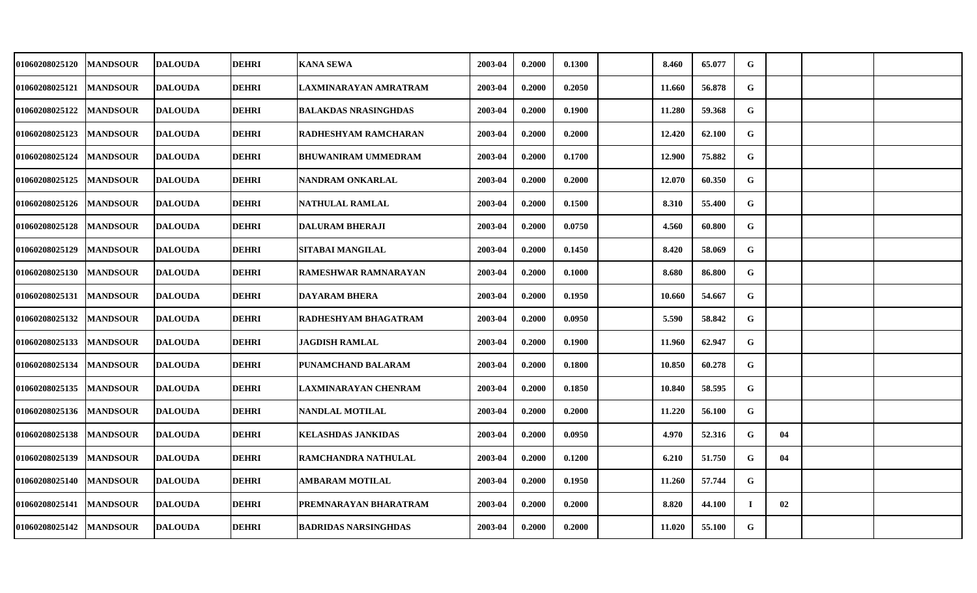| 01060208025120        | <b>MANDSOUR</b> | <b>DALOUDA</b> | <b>DEHRI</b> | <b>KANA SEWA</b>            | 2003-04 | 0.2000 | 0.1300 | 8.460  | 65.077 | G           |    |  |
|-----------------------|-----------------|----------------|--------------|-----------------------------|---------|--------|--------|--------|--------|-------------|----|--|
| 01060208025121        | <b>MANDSOUR</b> | <b>DALOUDA</b> | <b>DEHRI</b> | LAXMINARAYAN AMRATRAM       | 2003-04 | 0.2000 | 0.2050 | 11.660 | 56.878 | G           |    |  |
| <b>01060208025122</b> | <b>MANDSOUR</b> | <b>DALOUDA</b> | <b>DEHRI</b> | <b>BALAKDAS NRASINGHDAS</b> | 2003-04 | 0.2000 | 0.1900 | 11.280 | 59.368 | G           |    |  |
| 01060208025123        | <b>MANDSOUR</b> | <b>DALOUDA</b> | <b>DEHRI</b> | RADHESHYAM RAMCHARAN        | 2003-04 | 0.2000 | 0.2000 | 12.420 | 62.100 | G           |    |  |
| 01060208025124        | <b>MANDSOUR</b> | <b>DALOUDA</b> | <b>DEHRI</b> | BHUWANIRAM UMMEDRAM         | 2003-04 | 0.2000 | 0.1700 | 12.900 | 75.882 | G           |    |  |
| 01060208025125        | <b>MANDSOUR</b> | <b>DALOUDA</b> | <b>DEHRI</b> | NANDRAM ONKARLAL            | 2003-04 | 0.2000 | 0.2000 | 12.070 | 60.350 | G           |    |  |
| 01060208025126        | <b>MANDSOUR</b> | <b>DALOUDA</b> | <b>DEHRI</b> | NATHULAL RAMLAL             | 2003-04 | 0.2000 | 0.1500 | 8.310  | 55.400 | G           |    |  |
| 01060208025128        | <b>MANDSOUR</b> | <b>DALOUDA</b> | <b>DEHRI</b> | <b>DALURAM BHERAJI</b>      | 2003-04 | 0.2000 | 0.0750 | 4.560  | 60.800 | G           |    |  |
| 01060208025129        | <b>MANDSOUR</b> | <b>DALOUDA</b> | <b>DEHRI</b> | SITABAI MANGILAL            | 2003-04 | 0.2000 | 0.1450 | 8.420  | 58.069 | G           |    |  |
| 01060208025130        | <b>MANDSOUR</b> | <b>DALOUDA</b> | <b>DEHRI</b> | <b>RAMESHWAR RAMNARAYAN</b> | 2003-04 | 0.2000 | 0.1000 | 8.680  | 86.800 | G           |    |  |
| 01060208025131        | <b>MANDSOUR</b> | <b>DALOUDA</b> | <b>DEHRI</b> | <b>DAYARAM BHERA</b>        | 2003-04 | 0.2000 | 0.1950 | 10.660 | 54.667 | G           |    |  |
| 01060208025132        | <b>MANDSOUR</b> | <b>DALOUDA</b> | <b>DEHRI</b> | RADHESHYAM BHAGATRAM        | 2003-04 | 0.2000 | 0.0950 | 5.590  | 58.842 | $\mathbf G$ |    |  |
| 01060208025133        | <b>MANDSOUR</b> | <b>DALOUDA</b> | <b>DEHRI</b> | <b>JAGDISH RAMLAL</b>       | 2003-04 | 0.2000 | 0.1900 | 11.960 | 62.947 | G           |    |  |
| 01060208025134        | <b>MANDSOUR</b> | <b>DALOUDA</b> | <b>DEHRI</b> | PUNAMCHAND BALARAM          | 2003-04 | 0.2000 | 0.1800 | 10.850 | 60.278 | G           |    |  |
| 01060208025135        | <b>MANDSOUR</b> | <b>DALOUDA</b> | <b>DEHRI</b> | LAXMINARAYAN CHENRAM        | 2003-04 | 0.2000 | 0.1850 | 10.840 | 58.595 | G           |    |  |
| 01060208025136        | <b>MANDSOUR</b> | <b>DALOUDA</b> | <b>DEHRI</b> | <b>NANDLAL MOTILAL</b>      | 2003-04 | 0.2000 | 0.2000 | 11.220 | 56.100 | G           |    |  |
| 01060208025138        | <b>MANDSOUR</b> | <b>DALOUDA</b> | <b>DEHRI</b> | <b>KELASHDAS JANKIDAS</b>   | 2003-04 | 0.2000 | 0.0950 | 4.970  | 52.316 | G           | 04 |  |
| 01060208025139        | <b>MANDSOUR</b> | <b>DALOUDA</b> | <b>DEHRI</b> | RAMCHANDRA NATHULAL         | 2003-04 | 0.2000 | 0.1200 | 6.210  | 51.750 | G           | 04 |  |
| 01060208025140        | <b>MANDSOUR</b> | <b>DALOUDA</b> | <b>DEHRI</b> | AMBARAM MOTILAL             | 2003-04 | 0.2000 | 0.1950 | 11.260 | 57.744 | G           |    |  |
| 01060208025141        | <b>MANDSOUR</b> | <b>DALOUDA</b> | <b>DEHRI</b> | PREMNARAYAN BHARATRAM       | 2003-04 | 0.2000 | 0.2000 | 8.820  | 44.100 | $\bf{I}$    | 02 |  |
| 01060208025142        | <b>MANDSOUR</b> | <b>DALOUDA</b> | <b>DEHRI</b> | <b>BADRIDAS NARSINGHDAS</b> | 2003-04 | 0.2000 | 0.2000 | 11.020 | 55.100 | G           |    |  |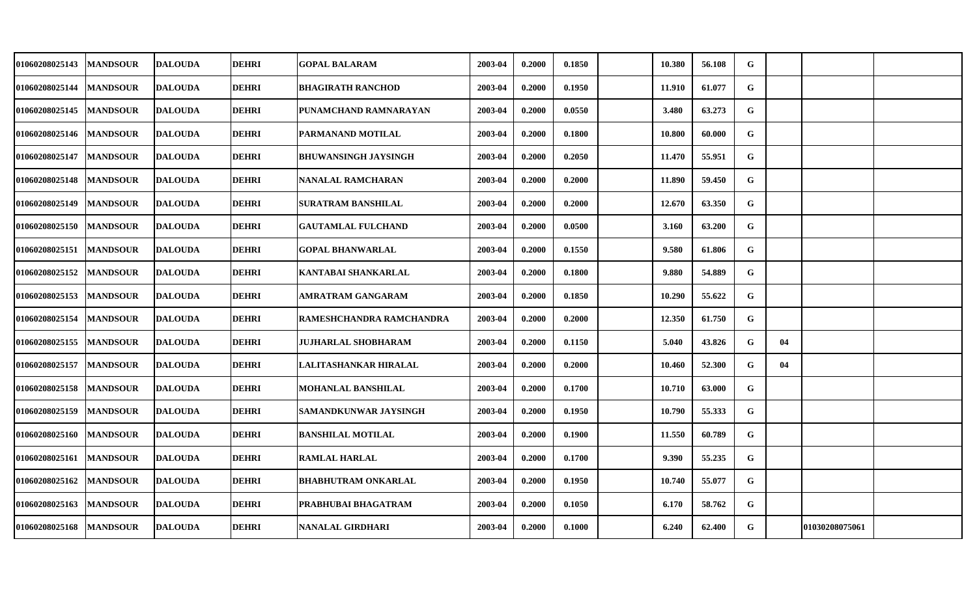| 01060208025143 | <b>MANDSOUR</b> | <b>DALOUDA</b> | <b>DEHRI</b> | <b>GOPAL BALARAM</b>        | 2003-04 | 0.2000 | 0.1850 | 10.380 | 56.108 | G            |    |                |  |
|----------------|-----------------|----------------|--------------|-----------------------------|---------|--------|--------|--------|--------|--------------|----|----------------|--|
| 01060208025144 | <b>MANDSOUR</b> | <b>DALOUDA</b> | <b>DEHRI</b> | <b>BHAGIRATH RANCHOD</b>    | 2003-04 | 0.2000 | 0.1950 | 11.910 | 61.077 | G            |    |                |  |
| 01060208025145 | <b>MANDSOUR</b> | <b>DALOUDA</b> | <b>DEHRI</b> | PUNAMCHAND RAMNARAYAN       | 2003-04 | 0.2000 | 0.0550 | 3.480  | 63.273 | G            |    |                |  |
| 01060208025146 | <b>MANDSOUR</b> | <b>DALOUDA</b> | <b>DEHRI</b> | PARMANAND MOTILAL           | 2003-04 | 0.2000 | 0.1800 | 10.800 | 60.000 | G            |    |                |  |
| 01060208025147 | <b>MANDSOUR</b> | <b>DALOUDA</b> | <b>DEHRI</b> | <b>BHUWANSINGH JAYSINGH</b> | 2003-04 | 0.2000 | 0.2050 | 11.470 | 55.951 | G            |    |                |  |
| 01060208025148 | <b>MANDSOUR</b> | <b>DALOUDA</b> | <b>DEHRI</b> | <b>NANALAL RAMCHARAN</b>    | 2003-04 | 0.2000 | 0.2000 | 11.890 | 59.450 | G            |    |                |  |
| 01060208025149 | <b>MANDSOUR</b> | <b>DALOUDA</b> | <b>DEHRI</b> | SURATRAM BANSHILAL          | 2003-04 | 0.2000 | 0.2000 | 12.670 | 63.350 | G            |    |                |  |
| 01060208025150 | <b>MANDSOUR</b> | <b>DALOUDA</b> | <b>DEHRI</b> | <b>GAUTAMLAL FULCHAND</b>   | 2003-04 | 0.2000 | 0.0500 | 3.160  | 63.200 | G            |    |                |  |
| 01060208025151 | <b>MANDSOUR</b> | <b>DALOUDA</b> | <b>DEHRI</b> | <b>GOPAL BHANWARLAL</b>     | 2003-04 | 0.2000 | 0.1550 | 9.580  | 61.806 | G            |    |                |  |
| 01060208025152 | <b>MANDSOUR</b> | <b>DALOUDA</b> | <b>DEHRI</b> | KANTABAI SHANKARLAL         | 2003-04 | 0.2000 | 0.1800 | 9.880  | 54.889 | G            |    |                |  |
| 01060208025153 | <b>MANDSOUR</b> | <b>DALOUDA</b> | <b>DEHRI</b> | AMRATRAM GANGARAM           | 2003-04 | 0.2000 | 0.1850 | 10.290 | 55.622 | G            |    |                |  |
| 01060208025154 | <b>MANDSOUR</b> | <b>DALOUDA</b> | <b>DEHRI</b> | RAMESHCHANDRA RAMCHANDRA    | 2003-04 | 0.2000 | 0.2000 | 12.350 | 61.750 | G            |    |                |  |
| 01060208025155 | <b>MANDSOUR</b> | <b>DALOUDA</b> | <b>DEHRI</b> | <b>JUJHARLAL SHOBHARAM</b>  | 2003-04 | 0.2000 | 0.1150 | 5.040  | 43.826 | $\mathbf{G}$ | 04 |                |  |
| 01060208025157 | <b>MANDSOUR</b> | <b>DALOUDA</b> | <b>DEHRI</b> | LALITASHANKAR HIRALAL       | 2003-04 | 0.2000 | 0.2000 | 10.460 | 52.300 | G            | 04 |                |  |
| 01060208025158 | <b>MANDSOUR</b> | <b>DALOUDA</b> | <b>DEHRI</b> | MOHANLAL BANSHILAL          | 2003-04 | 0.2000 | 0.1700 | 10.710 | 63.000 | G            |    |                |  |
| 01060208025159 | <b>MANDSOUR</b> | <b>DALOUDA</b> | <b>DEHRI</b> | SAMANDKUNWAR JAYSINGH       | 2003-04 | 0.2000 | 0.1950 | 10.790 | 55.333 | G            |    |                |  |
| 01060208025160 | <b>MANDSOUR</b> | <b>DALOUDA</b> | <b>DEHRI</b> | <b>BANSHILAL MOTILAL</b>    | 2003-04 | 0.2000 | 0.1900 | 11.550 | 60.789 | G            |    |                |  |
| 01060208025161 | <b>MANDSOUR</b> | <b>DALOUDA</b> | <b>DEHRI</b> | <b>RAMLAL HARLAL</b>        | 2003-04 | 0.2000 | 0.1700 | 9.390  | 55.235 | G            |    |                |  |
| 01060208025162 | <b>MANDSOUR</b> | <b>DALOUDA</b> | <b>DEHRI</b> | <b>BHABHUTRAM ONKARLAL</b>  | 2003-04 | 0.2000 | 0.1950 | 10.740 | 55.077 | G            |    |                |  |
| 01060208025163 | <b>MANDSOUR</b> | <b>DALOUDA</b> | <b>DEHRI</b> | PRABHUBAI BHAGATRAM         | 2003-04 | 0.2000 | 0.1050 | 6.170  | 58.762 | G            |    |                |  |
| 01060208025168 | <b>MANDSOUR</b> | <b>DALOUDA</b> | <b>DEHRI</b> | <b>NANALAL GIRDHARI</b>     | 2003-04 | 0.2000 | 0.1000 | 6.240  | 62.400 | G            |    | 01030208075061 |  |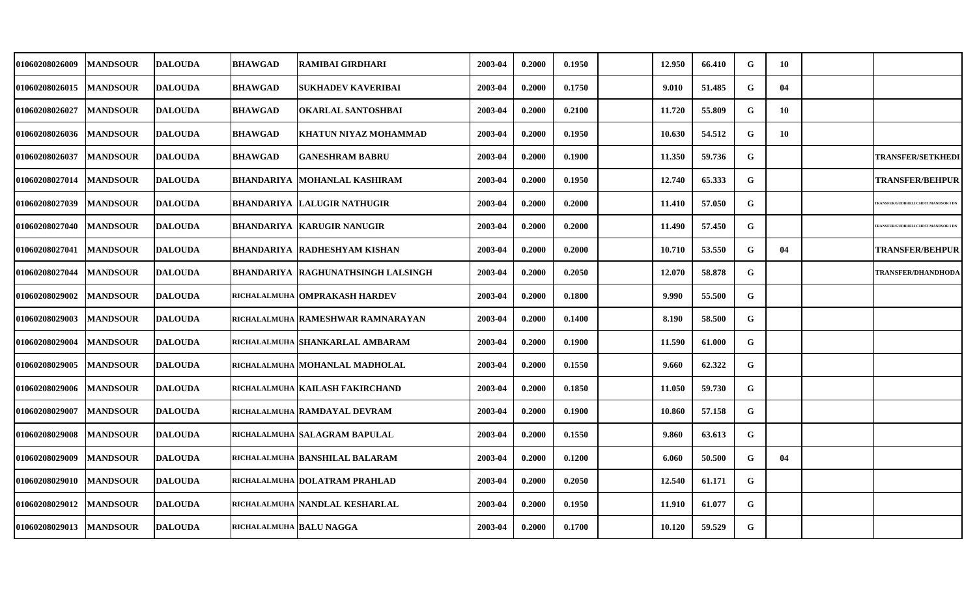| <b>01060208026009</b> | <b>MANDSOUR</b> | DALOUDA        | <b>BHAWGAD</b>          | RAMIBAI GIRDHARI                            | 2003-04 | 0.2000 | 0.1950 | 12.950 | 66.410 | G         | -10 |                                     |
|-----------------------|-----------------|----------------|-------------------------|---------------------------------------------|---------|--------|--------|--------|--------|-----------|-----|-------------------------------------|
| 01060208026015        | <b>MANDSOUR</b> | <b>DALOUDA</b> | <b>BHAWGAD</b>          | <b>SUKHADEV KAVERIBAI</b>                   | 2003-04 | 0.2000 | 0.1750 | 9.010  | 51.485 | ${\bf G}$ | 04  |                                     |
| <b>01060208026027</b> | <b>MANDSOUR</b> | <b>DALOUDA</b> | <b>BHAWGAD</b>          | OKARLAL SANTOSHBAI                          | 2003-04 | 0.2000 | 0.2100 | 11.720 | 55.809 | G         | 10  |                                     |
| 01060208026036        | <b>MANDSOUR</b> | <b>DALOUDA</b> | <b>BHAWGAD</b>          | <b>KHATUN NIYAZ MOHAMMAD</b>                | 2003-04 | 0.2000 | 0.1950 | 10.630 | 54.512 | G         | 10  |                                     |
| 01060208026037        | <b>MANDSOUR</b> | <b>DALOUDA</b> | <b>BHAWGAD</b>          | <b>GANESHRAM BABRU</b>                      | 2003-04 | 0.2000 | 0.1900 | 11.350 | 59.736 | G         |     | <b>TRANSFER/SETKHEDI</b>            |
| 01060208027014        | <b>MANDSOUR</b> | DALOUDA        |                         | BHANDARIYA   MOHANLAL KASHIRAM              | 2003-04 | 0.2000 | 0.1950 | 12.740 | 65.333 | G         |     | <b>TRANSFER/BEHPUR</b>              |
| 01060208027039        | <b>MANDSOUR</b> | <b>DALOUDA</b> |                         | <b>BHANDARIYA LALUGIR NATHUGIR</b>          | 2003-04 | 0.2000 | 0.2000 | 11.410 | 57.050 | G         |     | RANSFER/GUDBHELI CHOTI MANDSOR I DN |
| 01060208027040        | <b>MANDSOUR</b> | <b>DALOUDA</b> |                         | <b>BHANDARIYA   KARUGIR NANUGIR</b>         | 2003-04 | 0.2000 | 0.2000 | 11.490 | 57.450 | ${\bf G}$ |     | RANSFER/GUDBHELI CHOTI MANDSOR I DN |
| 01060208027041        | <b>MANDSOUR</b> | <b>DALOUDA</b> |                         | <b>BHANDARIYA RADHESHYAM KISHAN</b>         | 2003-04 | 0.2000 | 0.2000 | 10.710 | 53.550 | G         | 04  | <b>TRANSFER/BEHPUR</b>              |
| <b>01060208027044</b> | <b>MANDSOUR</b> | <b>DALOUDA</b> |                         | <b>BHANDARIYA   RAGHUNATHSINGH LALSINGH</b> | 2003-04 | 0.2000 | 0.2050 | 12.070 | 58.878 | G         |     | TRANSFER/DHANDHODA                  |
| 01060208029002        | <b>MANDSOUR</b> | <b>DALOUDA</b> |                         | RICHALALMUHA OMPRAKASH HARDEV               | 2003-04 | 0.2000 | 0.1800 | 9.990  | 55.500 | G         |     |                                     |
| <b>01060208029003</b> | <b>MANDSOUR</b> | <b>DALOUDA</b> |                         | RICHALALMUHA RAMESHWAR RAMNARAYAN           | 2003-04 | 0.2000 | 0.1400 | 8.190  | 58.500 | G         |     |                                     |
| 01060208029004        | <b>MANDSOUR</b> | <b>DALOUDA</b> |                         | RICHALALMUHA SHANKARLAL AMBARAM             | 2003-04 | 0.2000 | 0.1900 | 11.590 | 61.000 | G         |     |                                     |
| 01060208029005        | <b>MANDSOUR</b> | <b>DALOUDA</b> |                         | RICHALALMUHA MOHANLAL MADHOLAL              | 2003-04 | 0.2000 | 0.1550 | 9.660  | 62.322 | G         |     |                                     |
| 01060208029006        | <b>MANDSOUR</b> | <b>DALOUDA</b> |                         | RICHALALMUHA   KAILASH FAKIRCHAND           | 2003-04 | 0.2000 | 0.1850 | 11.050 | 59.730 | G         |     |                                     |
| 01060208029007        | <b>MANDSOUR</b> | <b>DALOUDA</b> |                         | RICHALALMUHA RAMDAYAL DEVRAM                | 2003-04 | 0.2000 | 0.1900 | 10.860 | 57.158 | G         |     |                                     |
| 01060208029008        | <b>MANDSOUR</b> | <b>DALOUDA</b> |                         | RICHALALMUHA SALAGRAM BAPULAL               | 2003-04 | 0.2000 | 0.1550 | 9.860  | 63.613 | G         |     |                                     |
| 01060208029009        | <b>MANDSOUR</b> | <b>DALOUDA</b> |                         | RICHALALMUHA BANSHILAL BALARAM              | 2003-04 | 0.2000 | 0.1200 | 6.060  | 50.500 | G         | 04  |                                     |
| 01060208029010        | <b>MANDSOUR</b> | <b>DALOUDA</b> |                         | RICHALALMUHA DOLATRAM PRAHLAD               | 2003-04 | 0.2000 | 0.2050 | 12.540 | 61.171 | G         |     |                                     |
| 01060208029012        | <b>MANDSOUR</b> | <b>DALOUDA</b> |                         | RICHALALMUHA NANDLAL KESHARLAL              | 2003-04 | 0.2000 | 0.1950 | 11.910 | 61.077 | G         |     |                                     |
| <b>01060208029013</b> | <b>MANDSOUR</b> | <b>DALOUDA</b> | RICHALALMUHA BALU NAGGA |                                             | 2003-04 | 0.2000 | 0.1700 | 10.120 | 59.529 | G         |     |                                     |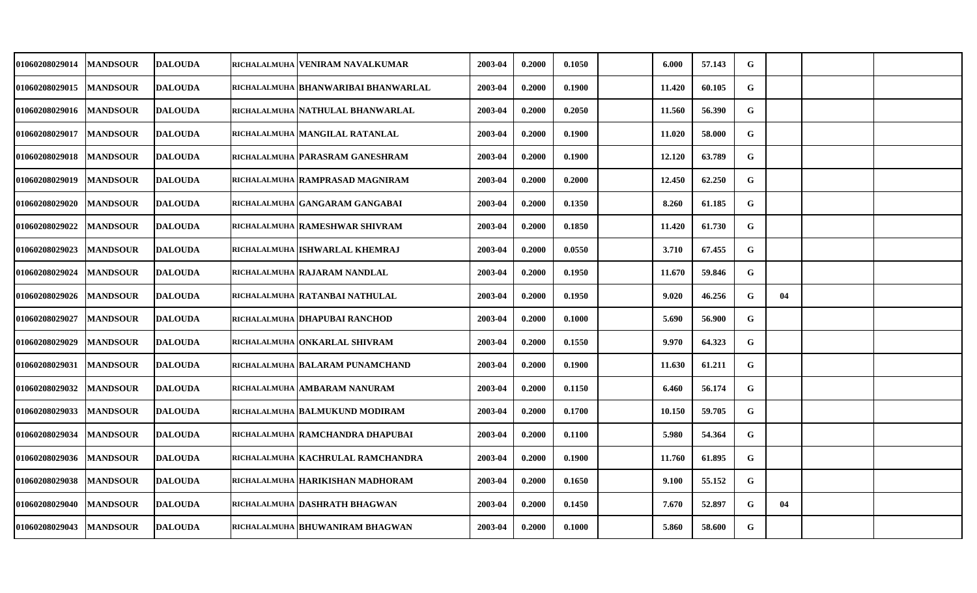| <b>01060208029014</b> | <b>MANDSOUR</b> | <b>DALOUDA</b> | richalalmuha   VENIRAM NAVALKUMAR    | 2003-04 | 0.2000 | 0.1050 | 6.000  | 57.143 | G           |    |  |
|-----------------------|-----------------|----------------|--------------------------------------|---------|--------|--------|--------|--------|-------------|----|--|
| 01060208029015        | <b>MANDSOUR</b> | <b>DALOUDA</b> | richalalmuha  BHANWARIBAI BHANWARLAL | 2003-04 | 0.2000 | 0.1900 | 11.420 | 60.105 | $\mathbf G$ |    |  |
| <b>01060208029016</b> | <b>MANDSOUR</b> | <b>DALOUDA</b> | RICHALALMUHA NATHULAL BHANWARLAL     | 2003-04 | 0.2000 | 0.2050 | 11.560 | 56.390 | G           |    |  |
| <b>01060208029017</b> | <b>MANDSOUR</b> | <b>DALOUDA</b> | RICHALALMUHA MANGILAL RATANLAL       | 2003-04 | 0.2000 | 0.1900 | 11.020 | 58.000 | G           |    |  |
| <b>01060208029018</b> | <b>MANDSOUR</b> | <b>DALOUDA</b> | RICHALALMUHA PARASRAM GANESHRAM      | 2003-04 | 0.2000 | 0.1900 | 12.120 | 63.789 | G           |    |  |
| <b>01060208029019</b> | <b>MANDSOUR</b> | <b>DALOUDA</b> | RICHALALMUHA RAMPRASAD MAGNIRAM      | 2003-04 | 0.2000 | 0.2000 | 12.450 | 62.250 | $\mathbf G$ |    |  |
| <b>01060208029020</b> | <b>MANDSOUR</b> | <b>DALOUDA</b> | RICHALALMUHA GANGARAM GANGABAI       | 2003-04 | 0.2000 | 0.1350 | 8.260  | 61.185 | G           |    |  |
| 01060208029022        | <b>MANDSOUR</b> | <b>DALOUDA</b> | RICHALALMUHA RAMESHWAR SHIVRAM       | 2003-04 | 0.2000 | 0.1850 | 11.420 | 61.730 | G           |    |  |
| <b>01060208029023</b> | <b>MANDSOUR</b> | <b>DALOUDA</b> | richalalmuha ISHWARLAL KHEMRAJ       | 2003-04 | 0.2000 | 0.0550 | 3.710  | 67.455 | G           |    |  |
| 01060208029024        | <b>MANDSOUR</b> | <b>DALOUDA</b> | richalalmuha   RAJARAM NANDLAL       | 2003-04 | 0.2000 | 0.1950 | 11.670 | 59.846 | G           |    |  |
| <b>01060208029026</b> | <b>MANDSOUR</b> | <b>DALOUDA</b> | RICHALALMUHA RATANBAI NATHULAL       | 2003-04 | 0.2000 | 0.1950 | 9.020  | 46.256 | G           | 04 |  |
| <b>01060208029027</b> | <b>MANDSOUR</b> | <b>DALOUDA</b> | RICHALALMUHA   DHAPUBAI RANCHOD      | 2003-04 | 0.2000 | 0.1000 | 5.690  | 56.900 | G           |    |  |
| <b>01060208029029</b> | <b>MANDSOUR</b> | <b>DALOUDA</b> | RICHALALMUHA ONKARLAL SHIVRAM        | 2003-04 | 0.2000 | 0.1550 | 9.970  | 64.323 | G           |    |  |
| 01060208029031        | <b>MANDSOUR</b> | <b>DALOUDA</b> | RICHALALMUHA BALARAM PUNAMCHAND      | 2003-04 | 0.2000 | 0.1900 | 11.630 | 61.211 | G           |    |  |
| 01060208029032        | <b>MANDSOUR</b> | <b>DALOUDA</b> | RICHALALMUHA AMBARAM NANURAM         | 2003-04 | 0.2000 | 0.1150 | 6.460  | 56.174 | G           |    |  |
| <b>01060208029033</b> | <b>MANDSOUR</b> | <b>DALOUDA</b> | RICHALALMUHA BALMUKUND MODIRAM       | 2003-04 | 0.2000 | 0.1700 | 10.150 | 59.705 | G           |    |  |
| 01060208029034        | <b>MANDSOUR</b> | <b>DALOUDA</b> | RICHALALMUHA RAMCHANDRA DHAPUBAI     | 2003-04 | 0.2000 | 0.1100 | 5.980  | 54.364 | G           |    |  |
| 01060208029036        | <b>MANDSOUR</b> | <b>DALOUDA</b> | RICHALALMUHA KACHRULAL RAMCHANDRA    | 2003-04 | 0.2000 | 0.1900 | 11.760 | 61.895 | ${\bf G}$   |    |  |
| 01060208029038        | <b>MANDSOUR</b> | <b>DALOUDA</b> | RICHALALMUHA HARIKISHAN MADHORAM     | 2003-04 | 0.2000 | 0.1650 | 9.100  | 55.152 | G           |    |  |
| <b>01060208029040</b> | <b>MANDSOUR</b> | <b>DALOUDA</b> | richalalmuha   DASHRATH BHAGWAN      | 2003-04 | 0.2000 | 0.1450 | 7.670  | 52.897 | G           | 04 |  |
| 01060208029043        | <b>MANDSOUR</b> | <b>DALOUDA</b> | richalalmuha  BHUWANIRAM BHAGWAN     | 2003-04 | 0.2000 | 0.1000 | 5.860  | 58.600 | G           |    |  |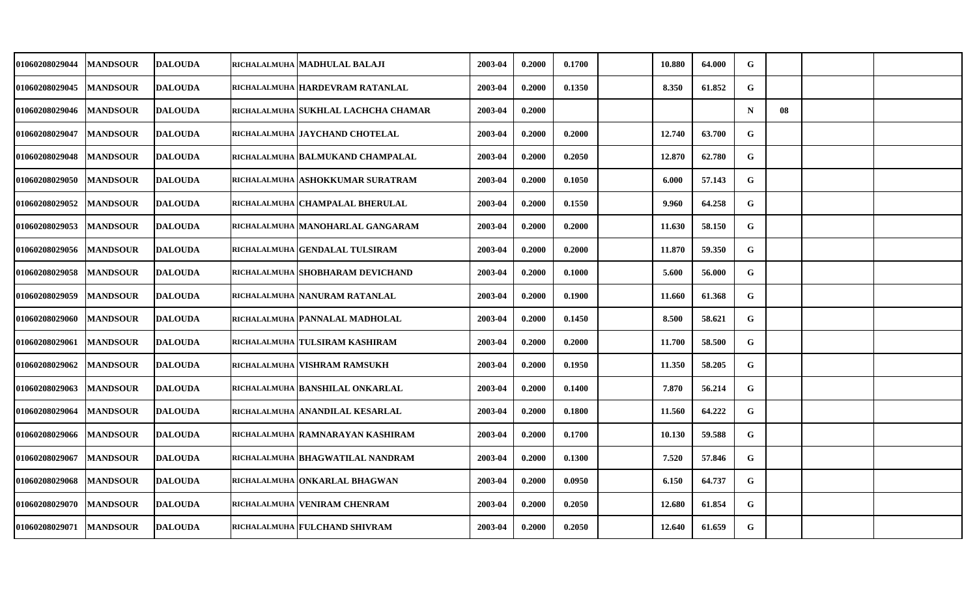| 01060208029044 | <b>MANDSOUR</b> | <b>DALOUDA</b> | RICHALALMUHA   MADHULAL BALAJI      | 2003-04 | 0.2000 | 0.1700 | 10.880 | 64.000 | G           |    |  |
|----------------|-----------------|----------------|-------------------------------------|---------|--------|--------|--------|--------|-------------|----|--|
| 01060208029045 | <b>MANDSOUR</b> | <b>DALOUDA</b> | RICHALALMUHA HARDEVRAM RATANLAL     | 2003-04 | 0.2000 | 0.1350 | 8.350  | 61.852 | G           |    |  |
| 01060208029046 | <b>MANDSOUR</b> | <b>DALOUDA</b> | RICHALALMUHA SUKHLAL LACHCHA CHAMAR | 2003-04 | 0.2000 |        |        |        | $\mathbf N$ | 08 |  |
| 01060208029047 | <b>MANDSOUR</b> | <b>DALOUDA</b> | RICHALALMUHA JAYCHAND CHOTELAL      | 2003-04 | 0.2000 | 0.2000 | 12.740 | 63.700 | G           |    |  |
| 01060208029048 | <b>MANDSOUR</b> | <b>DALOUDA</b> | RICHALALMUHA BALMUKAND CHAMPALAL    | 2003-04 | 0.2000 | 0.2050 | 12.870 | 62.780 | G           |    |  |
| 01060208029050 | <b>MANDSOUR</b> | <b>DALOUDA</b> | RICHALALMUHA ASHOKKUMAR SURATRAM    | 2003-04 | 0.2000 | 0.1050 | 6.000  | 57.143 | G           |    |  |
| 01060208029052 | <b>MANDSOUR</b> | <b>DALOUDA</b> | RICHALALMUHA CHAMPALAL BHERULAL     | 2003-04 | 0.2000 | 0.1550 | 9.960  | 64.258 | G           |    |  |
| 01060208029053 | <b>MANDSOUR</b> | <b>DALOUDA</b> | RICHALALMUHA MANOHARLAL GANGARAM    | 2003-04 | 0.2000 | 0.2000 | 11.630 | 58.150 | G           |    |  |
| 01060208029056 | <b>MANDSOUR</b> | <b>DALOUDA</b> | RICHALALMUHA   GENDALAL TULSIRAM    | 2003-04 | 0.2000 | 0.2000 | 11.870 | 59.350 | G           |    |  |
| 01060208029058 | <b>MANDSOUR</b> | <b>DALOUDA</b> | RICHALALMUHA SHOBHARAM DEVICHAND    | 2003-04 | 0.2000 | 0.1000 | 5.600  | 56.000 | G           |    |  |
| 01060208029059 | <b>MANDSOUR</b> | <b>DALOUDA</b> | RICHALALMUHA NANURAM RATANLAL       | 2003-04 | 0.2000 | 0.1900 | 11.660 | 61.368 | G           |    |  |
| 01060208029060 | <b>MANDSOUR</b> | <b>DALOUDA</b> | RICHALALMUHA PANNALAL MADHOLAL      | 2003-04 | 0.2000 | 0.1450 | 8.500  | 58.621 | G           |    |  |
| 01060208029061 | <b>MANDSOUR</b> | <b>DALOUDA</b> | RICHALALMUHA TULSIRAM KASHIRAM      | 2003-04 | 0.2000 | 0.2000 | 11.700 | 58.500 | G           |    |  |
| 01060208029062 | <b>MANDSOUR</b> | <b>DALOUDA</b> | RICHALALMUHA   VISHRAM RAMSUKH      | 2003-04 | 0.2000 | 0.1950 | 11.350 | 58.205 | G           |    |  |
| 01060208029063 | <b>MANDSOUR</b> | <b>DALOUDA</b> | RICHALALMUHA BANSHILAL ONKARLAL     | 2003-04 | 0.2000 | 0.1400 | 7.870  | 56.214 | G           |    |  |
| 01060208029064 | <b>MANDSOUR</b> | <b>DALOUDA</b> | RICHALALMUHA ANANDILAL KESARLAL     | 2003-04 | 0.2000 | 0.1800 | 11.560 | 64.222 | G           |    |  |
| 01060208029066 | <b>MANDSOUR</b> | <b>DALOUDA</b> | RICHALALMUHA RAMNARAYAN KASHIRAM    | 2003-04 | 0.2000 | 0.1700 | 10.130 | 59.588 | G           |    |  |
| 01060208029067 | <b>MANDSOUR</b> | <b>DALOUDA</b> | RICHALALMUHA BHAGWATILAL NANDRAM    | 2003-04 | 0.2000 | 0.1300 | 7.520  | 57.846 | G           |    |  |
| 01060208029068 | <b>MANDSOUR</b> | <b>DALOUDA</b> | RICHALALMUHA ONKARLAL BHAGWAN       | 2003-04 | 0.2000 | 0.0950 | 6.150  | 64.737 | G           |    |  |
| 01060208029070 | <b>MANDSOUR</b> | <b>DALOUDA</b> | RICHALALMUHA VENIRAM CHENRAM        | 2003-04 | 0.2000 | 0.2050 | 12.680 | 61.854 | G           |    |  |
| 01060208029071 | <b>MANDSOUR</b> | <b>DALOUDA</b> | RICHALALMUHA FULCHAND SHIVRAM       | 2003-04 | 0.2000 | 0.2050 | 12.640 | 61.659 | G           |    |  |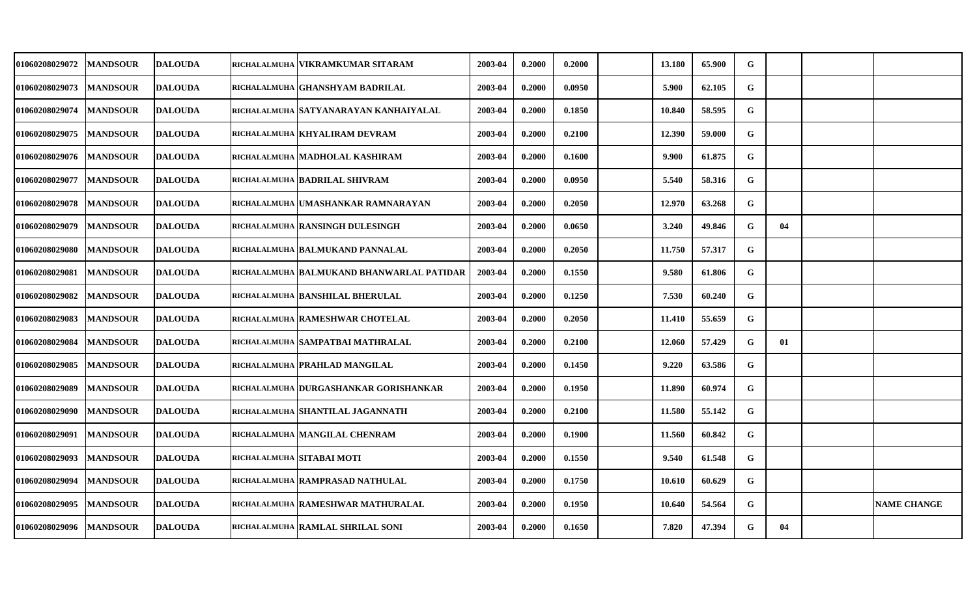| <b>01060208029072</b> | <b>MANDSOUR</b> | <b>DALOUDA</b> | RICHALALMUHA VIKRAMKUMAR SITARAM          | 2003-04 | 0.2000 | 0.2000 | 13.180 | 65.900 | G         |    |                    |
|-----------------------|-----------------|----------------|-------------------------------------------|---------|--------|--------|--------|--------|-----------|----|--------------------|
| <b>01060208029073</b> | <b>MANDSOUR</b> | <b>DALOUDA</b> | RICHALALMUHA GHANSHYAM BADRILAL           | 2003-04 | 0.2000 | 0.0950 | 5.900  | 62.105 | G         |    |                    |
| <b>01060208029074</b> | <b>MANDSOUR</b> | <b>DALOUDA</b> | RICHALALMUHA SATYANARAYAN KANHAIYALAL     | 2003-04 | 0.2000 | 0.1850 | 10.840 | 58.595 | G         |    |                    |
| <b>01060208029075</b> | <b>MANDSOUR</b> | <b>DALOUDA</b> | RICHALALMUHA KHYALIRAM DEVRAM             | 2003-04 | 0.2000 | 0.2100 | 12.390 | 59.000 | G         |    |                    |
| <b>01060208029076</b> | <b>MANDSOUR</b> | <b>DALOUDA</b> | RICHALALMUHA MADHOLAL KASHIRAM            | 2003-04 | 0.2000 | 0.1600 | 9.900  | 61.875 | G         |    |                    |
| <b>01060208029077</b> | <b>MANDSOUR</b> | <b>DALOUDA</b> | RICHALALMUHA BADRILAL SHIVRAM             | 2003-04 | 0.2000 | 0.0950 | 5.540  | 58.316 | G         |    |                    |
| <b>01060208029078</b> | <b>MANDSOUR</b> | <b>DALOUDA</b> | RICHALALMUHA UMASHANKAR RAMNARAYAN        | 2003-04 | 0.2000 | 0.2050 | 12.970 | 63.268 | G         |    |                    |
| 01060208029079        | <b>MANDSOUR</b> | <b>DALOUDA</b> | RICHALALMUHA RANSINGH DULESINGH           | 2003-04 | 0.2000 | 0.0650 | 3.240  | 49.846 | G         | 04 |                    |
| <b>01060208029080</b> | <b>MANDSOUR</b> | <b>DALOUDA</b> | RICHALALMUHA BALMUKAND PANNALAL           | 2003-04 | 0.2000 | 0.2050 | 11.750 | 57.317 | ${\bf G}$ |    |                    |
| 01060208029081        | <b>MANDSOUR</b> | <b>DALOUDA</b> | RICHALALMUHA BALMUKAND BHANWARLAL PATIDAR | 2003-04 | 0.2000 | 0.1550 | 9.580  | 61.806 | G         |    |                    |
| <b>01060208029082</b> | <b>MANDSOUR</b> | <b>DALOUDA</b> | RICHALALMUHA BANSHILAL BHERULAL           | 2003-04 | 0.2000 | 0.1250 | 7.530  | 60.240 | G         |    |                    |
| <b>01060208029083</b> | <b>MANDSOUR</b> | <b>DALOUDA</b> | RICHALALMUHA RAMESHWAR CHOTELAL           | 2003-04 | 0.2000 | 0.2050 | 11.410 | 55.659 | G         |    |                    |
| 01060208029084        | <b>MANDSOUR</b> | <b>DALOUDA</b> | RICHALALMUHA SAMPATBAI MATHRALAL          | 2003-04 | 0.2000 | 0.2100 | 12.060 | 57.429 | G         | 01 |                    |
| <b>01060208029085</b> | <b>MANDSOUR</b> | <b>DALOUDA</b> | RICHALALMUHA PRAHLAD MANGILAL             | 2003-04 | 0.2000 | 0.1450 | 9.220  | 63.586 | G         |    |                    |
| 01060208029089        | <b>MANDSOUR</b> | <b>DALOUDA</b> | RICHALALMUHA DURGASHANKAR GORISHANKAR     | 2003-04 | 0.2000 | 0.1950 | 11.890 | 60.974 | G         |    |                    |
| <b>01060208029090</b> | <b>MANDSOUR</b> | <b>DALOUDA</b> | RICHALALMUHA SHANTILAL JAGANNATH          | 2003-04 | 0.2000 | 0.2100 | 11.580 | 55.142 | G         |    |                    |
| 01060208029091        | <b>MANDSOUR</b> | <b>DALOUDA</b> | RICHALALMUHA MANGILAL CHENRAM             | 2003-04 | 0.2000 | 0.1900 | 11.560 | 60.842 | G         |    |                    |
| 01060208029093        | <b>MANDSOUR</b> | <b>DALOUDA</b> | RICHALALMUHA SITABAI MOTI                 | 2003-04 | 0.2000 | 0.1550 | 9.540  | 61.548 | G         |    |                    |
| 01060208029094        | <b>MANDSOUR</b> | <b>DALOUDA</b> | RICHALALMUHA RAMPRASAD NATHULAL           | 2003-04 | 0.2000 | 0.1750 | 10.610 | 60.629 | G         |    |                    |
| <b>01060208029095</b> | <b>MANDSOUR</b> | <b>DALOUDA</b> | RICHALALMUHA RAMESHWAR MATHURALAL         | 2003-04 | 0.2000 | 0.1950 | 10.640 | 54.564 | G         |    | <b>NAME CHANGE</b> |
| 01060208029096        | <b>MANDSOUR</b> | <b>DALOUDA</b> | RICHALALMUHA RAMLAL SHRILAL SONI          | 2003-04 | 0.2000 | 0.1650 | 7.820  | 47.394 | G         | 04 |                    |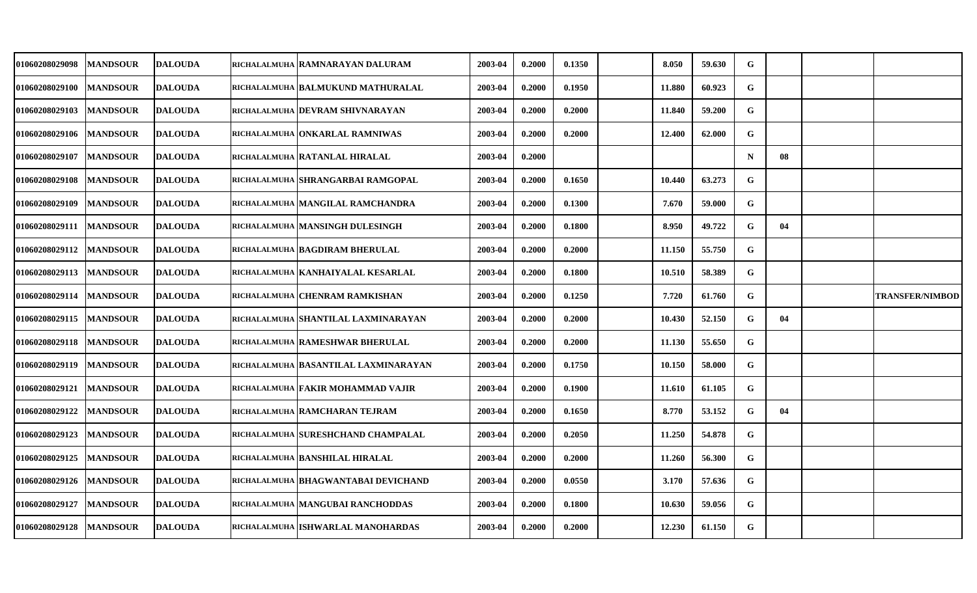| <b>01060208029098</b> | <b>MANDSOUR</b> | <b>DALOUDA</b> | RICHALALMUHA   RAMNARAYAN DALURAM    | 2003-04 | 0.2000 | 0.1350 | 8.050  | 59.630 | G         |    |                        |
|-----------------------|-----------------|----------------|--------------------------------------|---------|--------|--------|--------|--------|-----------|----|------------------------|
| <b>01060208029100</b> | <b>MANDSOUR</b> | <b>DALOUDA</b> | RICHALALMUHA BALMUKUND MATHURALAL    | 2003-04 | 0.2000 | 0.1950 | 11.880 | 60.923 | G         |    |                        |
| <b>01060208029103</b> | <b>MANDSOUR</b> | <b>DALOUDA</b> | RICHALALMUHA DEVRAM SHIVNARAYAN      | 2003-04 | 0.2000 | 0.2000 | 11.840 | 59.200 | G         |    |                        |
| <b>01060208029106</b> | <b>MANDSOUR</b> | <b>DALOUDA</b> | RICHALALMUHA ONKARLAL RAMNIWAS       | 2003-04 | 0.2000 | 0.2000 | 12.400 | 62.000 | G         |    |                        |
| <b>01060208029107</b> | <b>MANDSOUR</b> | <b>DALOUDA</b> | RICHALALMUHA RATANLAL HIRALAL        | 2003-04 | 0.2000 |        |        |        | N         | 08 |                        |
| <b>01060208029108</b> | <b>MANDSOUR</b> | <b>DALOUDA</b> | RICHALALMUHA SHRANGARBAI RAMGOPAL    | 2003-04 | 0.2000 | 0.1650 | 10.440 | 63.273 | G         |    |                        |
| <b>01060208029109</b> | <b>MANDSOUR</b> | <b>DALOUDA</b> | RICHALALMUHA MANGILAL RAMCHANDRA     | 2003-04 | 0.2000 | 0.1300 | 7.670  | 59.000 | G         |    |                        |
| 01060208029111        | <b>MANDSOUR</b> | <b>DALOUDA</b> | RICHALALMUHA MANSINGH DULESINGH      | 2003-04 | 0.2000 | 0.1800 | 8.950  | 49.722 | ${\bf G}$ | 04 |                        |
| 01060208029112        | <b>MANDSOUR</b> | <b>DALOUDA</b> | RICHALALMUHA BAGDIRAM BHERULAL       | 2003-04 | 0.2000 | 0.2000 | 11.150 | 55.750 | G         |    |                        |
| 01060208029113        | <b>MANDSOUR</b> | <b>DALOUDA</b> | RICHALALMUHA KANHAIYALAL KESARLAL    | 2003-04 | 0.2000 | 0.1800 | 10.510 | 58.389 | G         |    |                        |
| <b>01060208029114</b> | <b>MANDSOUR</b> | <b>DALOUDA</b> | RICHALALMUHA CHENRAM RAMKISHAN       | 2003-04 | 0.2000 | 0.1250 | 7.720  | 61.760 | G         |    | <b>TRANSFER/NIMBOD</b> |
| <b>01060208029115</b> | <b>MANDSOUR</b> | <b>DALOUDA</b> | RICHALALMUHA SHANTILAL LAXMINARAYAN  | 2003-04 | 0.2000 | 0.2000 | 10.430 | 52.150 | G         | 04 |                        |
| 01060208029118        | <b>MANDSOUR</b> | <b>DALOUDA</b> | RICHALALMUHA RAMESHWAR BHERULAL      | 2003-04 | 0.2000 | 0.2000 | 11.130 | 55.650 | G         |    |                        |
| 01060208029119        | <b>MANDSOUR</b> | <b>DALOUDA</b> | RICHALALMUHA BASANTILAL LAXMINARAYAN | 2003-04 | 0.2000 | 0.1750 | 10.150 | 58.000 | G         |    |                        |
| 01060208029121        | <b>MANDSOUR</b> | <b>DALOUDA</b> | RICHALALMUHA FAKIR MOHAMMAD VAJIR    | 2003-04 | 0.2000 | 0.1900 | 11.610 | 61.105 | G         |    |                        |
| <b>01060208029122</b> | <b>MANDSOUR</b> | <b>DALOUDA</b> | RICHALALMUHA RAMCHARAN TEJRAM        | 2003-04 | 0.2000 | 0.1650 | 8.770  | 53.152 | G         | 04 |                        |
| 01060208029123        | <b>MANDSOUR</b> | <b>DALOUDA</b> | RICHALALMUHA SURESHCHAND CHAMPALAL   | 2003-04 | 0.2000 | 0.2050 | 11.250 | 54.878 | G         |    |                        |
| 01060208029125        | <b>MANDSOUR</b> | <b>DALOUDA</b> | RICHALALMUHA BANSHILAL HIRALAL       | 2003-04 | 0.2000 | 0.2000 | 11.260 | 56.300 | G         |    |                        |
| 01060208029126        | <b>MANDSOUR</b> | <b>DALOUDA</b> | RICHALALMUHA BHAGWANTABAI DEVICHAND  | 2003-04 | 0.2000 | 0.0550 | 3.170  | 57.636 | G         |    |                        |
| <b>01060208029127</b> | <b>MANDSOUR</b> | <b>DALOUDA</b> | RICHALALMUHA MANGUBAI RANCHODDAS     | 2003-04 | 0.2000 | 0.1800 | 10.630 | 59.056 | G         |    |                        |
| 01060208029128        | <b>MANDSOUR</b> | <b>DALOUDA</b> | RICHALALMUHA ISHWARLAL MANOHARDAS    | 2003-04 | 0.2000 | 0.2000 | 12.230 | 61.150 | G         |    |                        |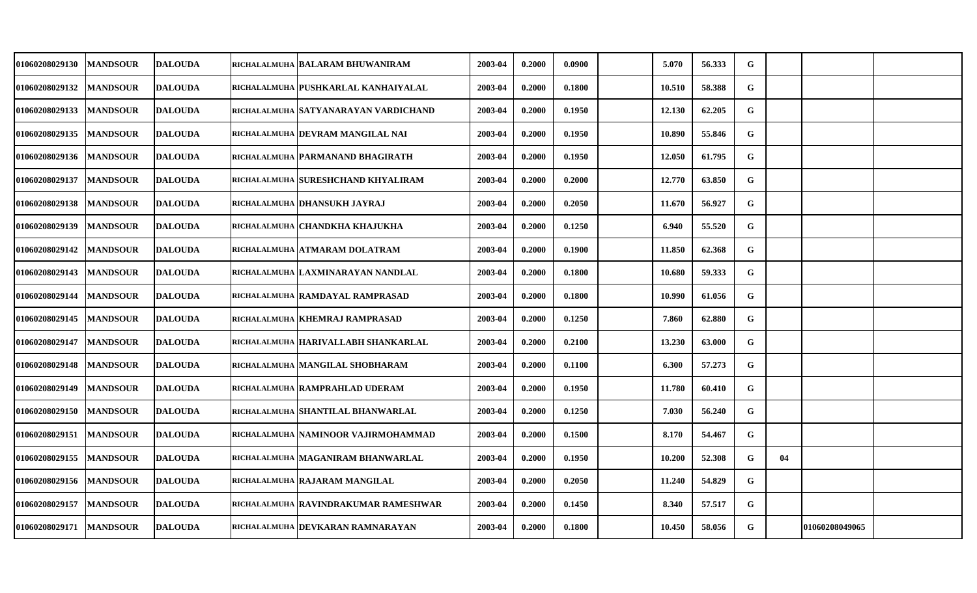| <b>01060208029130</b> | <b>MANDSOUR</b> | <b>DALOUDA</b> | RICHALALMUHA   BALARAM BHUWANIRAM    | 2003-04 | 0.2000 | 0.0900 | 5.070  | 56.333 | G |    |                |  |
|-----------------------|-----------------|----------------|--------------------------------------|---------|--------|--------|--------|--------|---|----|----------------|--|
| 01060208029132        | <b>MANDSOUR</b> | <b>DALOUDA</b> | RICHALALMUHA PUSHKARLAL KANHAIYALAL  | 2003-04 | 0.2000 | 0.1800 | 10.510 | 58.388 | G |    |                |  |
| <b>01060208029133</b> | <b>MANDSOUR</b> | <b>DALOUDA</b> | RICHALALMUHA SATYANARAYAN VARDICHAND | 2003-04 | 0.2000 | 0.1950 | 12.130 | 62.205 | G |    |                |  |
| 01060208029135        | <b>MANDSOUR</b> | <b>DALOUDA</b> | RICHALALMUHA DEVRAM MANGILAL NAI     | 2003-04 | 0.2000 | 0.1950 | 10.890 | 55.846 | G |    |                |  |
| <b>01060208029136</b> | <b>MANDSOUR</b> | <b>DALOUDA</b> | RICHALALMUHA PARMANAND BHAGIRATH     | 2003-04 | 0.2000 | 0.1950 | 12.050 | 61.795 | G |    |                |  |
| <b>01060208029137</b> | <b>MANDSOUR</b> | <b>DALOUDA</b> | RICHALALMUHA SURESHCHAND KHYALIRAM   | 2003-04 | 0.2000 | 0.2000 | 12.770 | 63.850 | G |    |                |  |
| 01060208029138        | <b>MANDSOUR</b> | <b>DALOUDA</b> | RICHALALMUHA DHANSUKH JAYRAJ         | 2003-04 | 0.2000 | 0.2050 | 11.670 | 56.927 | G |    |                |  |
| 01060208029139        | <b>MANDSOUR</b> | <b>DALOUDA</b> | RICHALALMUHA CHANDKHA KHAJUKHA       | 2003-04 | 0.2000 | 0.1250 | 6.940  | 55.520 | G |    |                |  |
| 01060208029142        | <b>MANDSOUR</b> | <b>DALOUDA</b> | RICHALALMUHA ATMARAM DOLATRAM        | 2003-04 | 0.2000 | 0.1900 | 11.850 | 62.368 | G |    |                |  |
| <b>01060208029143</b> | <b>MANDSOUR</b> | <b>DALOUDA</b> | RICHALALMUHA LAXMINARAYAN NANDLAL    | 2003-04 | 0.2000 | 0.1800 | 10.680 | 59.333 | G |    |                |  |
| <b>01060208029144</b> | <b>MANDSOUR</b> | <b>DALOUDA</b> | RICHALALMUHA RAMDAYAL RAMPRASAD      | 2003-04 | 0.2000 | 0.1800 | 10.990 | 61.056 | G |    |                |  |
| <b>01060208029145</b> | <b>MANDSOUR</b> | <b>DALOUDA</b> | RICHALALMUHA KHEMRAJ RAMPRASAD       | 2003-04 | 0.2000 | 0.1250 | 7.860  | 62.880 | G |    |                |  |
| 01060208029147        | <b>MANDSOUR</b> | <b>DALOUDA</b> | RICHALALMUHA HARIVALLABH SHANKARLAL  | 2003-04 | 0.2000 | 0.2100 | 13.230 | 63.000 | G |    |                |  |
| 01060208029148        | <b>MANDSOUR</b> | <b>DALOUDA</b> | RICHALALMUHA MANGILAL SHOBHARAM      | 2003-04 | 0.2000 | 0.1100 | 6.300  | 57.273 | G |    |                |  |
| <b>01060208029149</b> | <b>MANDSOUR</b> | <b>DALOUDA</b> | RICHALALMUHA RAMPRAHLAD UDERAM       | 2003-04 | 0.2000 | 0.1950 | 11.780 | 60.410 | G |    |                |  |
| <b>01060208029150</b> | <b>MANDSOUR</b> | <b>DALOUDA</b> | RICHALALMUHA SHANTILAL BHANWARLAL    | 2003-04 | 0.2000 | 0.1250 | 7.030  | 56.240 | G |    |                |  |
| <b>01060208029151</b> | <b>MANDSOUR</b> | <b>DALOUDA</b> | RICHALALMUHA NAMINOOR VAJIRMOHAMMAD  | 2003-04 | 0.2000 | 0.1500 | 8.170  | 54.467 | G |    |                |  |
| 01060208029155        | <b>MANDSOUR</b> | <b>DALOUDA</b> | RICHALALMUHA MAGANIRAM BHANWARLAL    | 2003-04 | 0.2000 | 0.1950 | 10.200 | 52.308 | G | 04 |                |  |
| 01060208029156        | <b>MANDSOUR</b> | <b>DALOUDA</b> | RICHALALMUHA RAJARAM MANGILAL        | 2003-04 | 0.2000 | 0.2050 | 11.240 | 54.829 | G |    |                |  |
| 01060208029157        | <b>MANDSOUR</b> | <b>DALOUDA</b> | RICHALALMUHA RAVINDRAKUMAR RAMESHWAR | 2003-04 | 0.2000 | 0.1450 | 8.340  | 57.517 | G |    |                |  |
| <b>01060208029171</b> | <b>MANDSOUR</b> | <b>DALOUDA</b> | RICHALALMUHA DEVKARAN RAMNARAYAN     | 2003-04 | 0.2000 | 0.1800 | 10.450 | 58.056 | G |    | 01060208049065 |  |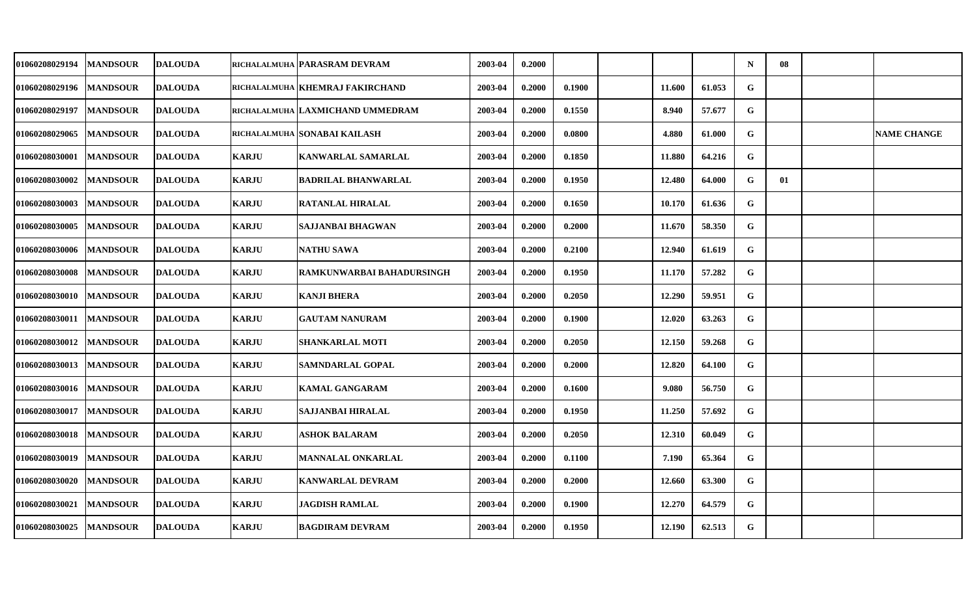| <b>01060208029194</b> | <b>MANDSOUR</b> | <b>DALOUDA</b> |              | richalalmuha   PARASRAM DEVRAM   | 2003-04 | 0.2000 |        |        |        | $\mathbf N$ | 08 |                    |
|-----------------------|-----------------|----------------|--------------|----------------------------------|---------|--------|--------|--------|--------|-------------|----|--------------------|
| <b>01060208029196</b> | <b>MANDSOUR</b> | <b>DALOUDA</b> |              | RICHALALMUHA KHEMRAJ FAKIRCHAND  | 2003-04 | 0.2000 | 0.1900 | 11.600 | 61.053 | ${\bf G}$   |    |                    |
| <b>01060208029197</b> | <b>MANDSOUR</b> | <b>DALOUDA</b> |              | RICHALALMUHA LAXMICHAND UMMEDRAM | 2003-04 | 0.2000 | 0.1550 | 8.940  | 57.677 | G           |    |                    |
| 01060208029065        | <b>MANDSOUR</b> | <b>DALOUDA</b> |              | RICHALALMUHA SONABAI KAILASH     | 2003-04 | 0.2000 | 0.0800 | 4.880  | 61.000 | G           |    | <b>NAME CHANGE</b> |
| 01060208030001        | <b>MANDSOUR</b> | <b>DALOUDA</b> | <b>KARJU</b> | <b>KANWARLAL SAMARLAL</b>        | 2003-04 | 0.2000 | 0.1850 | 11.880 | 64.216 | G           |    |                    |
| 01060208030002        | <b>MANDSOUR</b> | <b>DALOUDA</b> | <b>KARJU</b> | <b>BADRILAL BHANWARLAL</b>       | 2003-04 | 0.2000 | 0.1950 | 12.480 | 64.000 | G           | 01 |                    |
| <b>01060208030003</b> | <b>MANDSOUR</b> | <b>DALOUDA</b> | <b>KARJU</b> | <b>RATANLAL HIRALAL</b>          | 2003-04 | 0.2000 | 0.1650 | 10.170 | 61.636 | G           |    |                    |
| 01060208030005        | <b>MANDSOUR</b> | <b>DALOUDA</b> | <b>KARJU</b> | SAJJANBAI BHAGWAN                | 2003-04 | 0.2000 | 0.2000 | 11.670 | 58.350 | G           |    |                    |
| <b>01060208030006</b> | <b>MANDSOUR</b> | <b>DALOUDA</b> | <b>KARJU</b> | NATHU SAWA                       | 2003-04 | 0.2000 | 0.2100 | 12.940 | 61.619 | G           |    |                    |
| 01060208030008        | <b>MANDSOUR</b> | <b>DALOUDA</b> | <b>KARJU</b> | RAMKUNWARBAI BAHADURSINGH        | 2003-04 | 0.2000 | 0.1950 | 11.170 | 57.282 | G           |    |                    |
| <b>01060208030010</b> | <b>MANDSOUR</b> | <b>DALOUDA</b> | <b>KARJU</b> | <b>KANJI BHERA</b>               | 2003-04 | 0.2000 | 0.2050 | 12.290 | 59.951 | ${\bf G}$   |    |                    |
| <b>01060208030011</b> | <b>MANDSOUR</b> | <b>DALOUDA</b> | <b>KARJU</b> | <b>GAUTAM NANURAM</b>            | 2003-04 | 0.2000 | 0.1900 | 12.020 | 63.263 | G           |    |                    |
| 01060208030012        | <b>MANDSOUR</b> | <b>DALOUDA</b> | <b>KARJU</b> | <b>SHANKARLAL MOTI</b>           | 2003-04 | 0.2000 | 0.2050 | 12.150 | 59.268 | $\mathbf G$ |    |                    |
| 01060208030013        | <b>MANDSOUR</b> | <b>DALOUDA</b> | <b>KARJU</b> | SAMNDARLAL GOPAL                 | 2003-04 | 0.2000 | 0.2000 | 12.820 | 64.100 | G           |    |                    |
| 01060208030016        | <b>MANDSOUR</b> | <b>DALOUDA</b> | <b>KARJU</b> | <b>KAMAL GANGARAM</b>            | 2003-04 | 0.2000 | 0.1600 | 9.080  | 56.750 | G           |    |                    |
| <b>01060208030017</b> | <b>MANDSOUR</b> | <b>DALOUDA</b> | <b>KARJU</b> | SAJJANBAI HIRALAL                | 2003-04 | 0.2000 | 0.1950 | 11.250 | 57.692 | G           |    |                    |
| 01060208030018        | <b>MANDSOUR</b> | <b>DALOUDA</b> | <b>KARJU</b> | <b>ASHOK BALARAM</b>             | 2003-04 | 0.2000 | 0.2050 | 12.310 | 60.049 | G           |    |                    |
| 01060208030019        | <b>MANDSOUR</b> | <b>DALOUDA</b> | <b>KARJU</b> | MANNALAL ONKARLAL                | 2003-04 | 0.2000 | 0.1100 | 7.190  | 65.364 | G           |    |                    |
| 01060208030020        | <b>MANDSOUR</b> | <b>DALOUDA</b> | <b>KARJU</b> | <b>KANWARLAL DEVRAM</b>          | 2003-04 | 0.2000 | 0.2000 | 12.660 | 63.300 | G           |    |                    |
| 01060208030021        | <b>MANDSOUR</b> | <b>DALOUDA</b> | <b>KARJU</b> | <b>JAGDISH RAMLAL</b>            | 2003-04 | 0.2000 | 0.1900 | 12.270 | 64.579 | G           |    |                    |
| 01060208030025        | <b>MANDSOUR</b> | <b>DALOUDA</b> | <b>KARJU</b> | <b>BAGDIRAM DEVRAM</b>           | 2003-04 | 0.2000 | 0.1950 | 12.190 | 62.513 | G           |    |                    |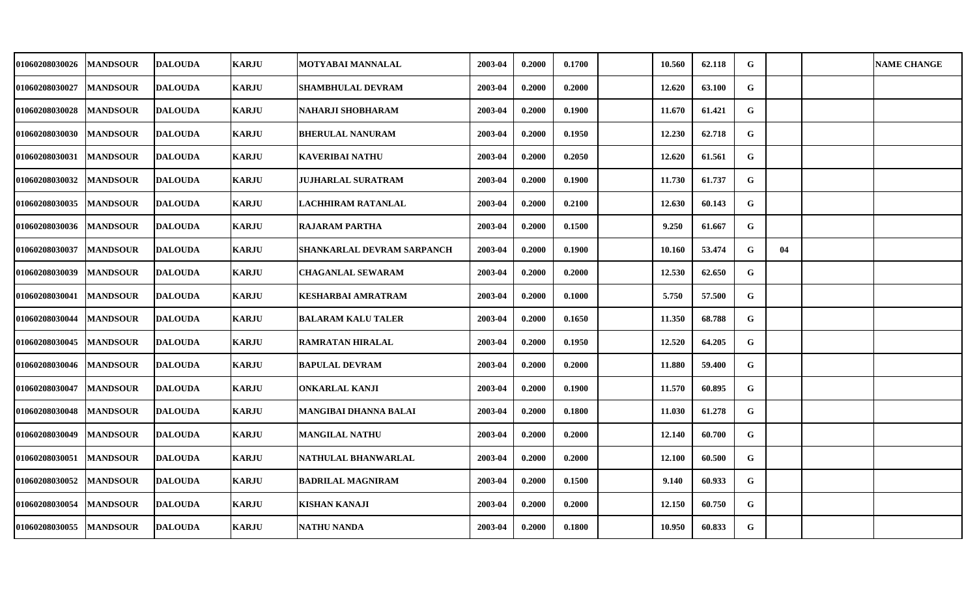| <b>01060208030026</b> | <b>MANDSOUR</b> | <b>DALOUDA</b> | <b>KARJU</b> | MOTYABAI MANNALAL          | 2003-04 | 0.2000 | 0.1700 | 10.560 | 62.118 | G           |    | <b>NAME CHANGE</b> |
|-----------------------|-----------------|----------------|--------------|----------------------------|---------|--------|--------|--------|--------|-------------|----|--------------------|
| 01060208030027        | <b>MANDSOUR</b> | <b>DALOUDA</b> | <b>KARJU</b> | <b>SHAMBHULAL DEVRAM</b>   | 2003-04 | 0.2000 | 0.2000 | 12.620 | 63.100 | $\mathbf G$ |    |                    |
| <b>01060208030028</b> | <b>MANDSOUR</b> | <b>DALOUDA</b> | <b>KARJU</b> | NAHARJI SHOBHARAM          | 2003-04 | 0.2000 | 0.1900 | 11.670 | 61.421 | G           |    |                    |
| 01060208030030        | <b>MANDSOUR</b> | <b>DALOUDA</b> | <b>KARJU</b> | <b>BHERULAL NANURAM</b>    | 2003-04 | 0.2000 | 0.1950 | 12.230 | 62.718 | G           |    |                    |
| <b>01060208030031</b> | <b>MANDSOUR</b> | <b>DALOUDA</b> | <b>KARJU</b> | KAVERIBAI NATHU            | 2003-04 | 0.2000 | 0.2050 | 12.620 | 61.561 | G           |    |                    |
| 01060208030032        | <b>MANDSOUR</b> | <b>DALOUDA</b> | <b>KARJU</b> | <b>JUJHARLAL SURATRAM</b>  | 2003-04 | 0.2000 | 0.1900 | 11.730 | 61.737 | G           |    |                    |
| 01060208030035        | <b>MANDSOUR</b> | <b>DALOUDA</b> | <b>KARJU</b> | LACHHIRAM RATANLAL         | 2003-04 | 0.2000 | 0.2100 | 12.630 | 60.143 | G           |    |                    |
| 01060208030036        | <b>MANDSOUR</b> | <b>DALOUDA</b> | <b>KARJU</b> | <b>RAJARAM PARTHA</b>      | 2003-04 | 0.2000 | 0.1500 | 9.250  | 61.667 | G           |    |                    |
| 01060208030037        | <b>MANDSOUR</b> | <b>DALOUDA</b> | <b>KARJU</b> | SHANKARLAL DEVRAM SARPANCH | 2003-04 | 0.2000 | 0.1900 | 10.160 | 53.474 | G           | 04 |                    |
| 01060208030039        | <b>MANDSOUR</b> | <b>DALOUDA</b> | <b>KARJU</b> | <b>CHAGANLAL SEWARAM</b>   | 2003-04 | 0.2000 | 0.2000 | 12.530 | 62.650 | G           |    |                    |
| <b>01060208030041</b> | <b>MANDSOUR</b> | <b>DALOUDA</b> | <b>KARJU</b> | KESHARBAI AMRATRAM         | 2003-04 | 0.2000 | 0.1000 | 5.750  | 57.500 | $\mathbf G$ |    |                    |
| <b>01060208030044</b> | <b>MANDSOUR</b> | <b>DALOUDA</b> | <b>KARJU</b> | <b>BALARAM KALU TALER</b>  | 2003-04 | 0.2000 | 0.1650 | 11.350 | 68.788 | G           |    |                    |
| 01060208030045        | <b>MANDSOUR</b> | <b>DALOUDA</b> | <b>KARJU</b> | <b>RAMRATAN HIRALAL</b>    | 2003-04 | 0.2000 | 0.1950 | 12.520 | 64.205 | G           |    |                    |
| 01060208030046        | <b>MANDSOUR</b> | <b>DALOUDA</b> | <b>KARJU</b> | <b>BAPULAL DEVRAM</b>      | 2003-04 | 0.2000 | 0.2000 | 11.880 | 59.400 | G           |    |                    |
| 01060208030047        | <b>MANDSOUR</b> | <b>DALOUDA</b> | <b>KARJU</b> | <b>ONKARLAL KANJI</b>      | 2003-04 | 0.2000 | 0.1900 | 11.570 | 60.895 | G           |    |                    |
| <b>01060208030048</b> | <b>MANDSOUR</b> | <b>DALOUDA</b> | <b>KARJU</b> | MANGIBAI DHANNA BALAI      | 2003-04 | 0.2000 | 0.1800 | 11.030 | 61.278 | G           |    |                    |
| 01060208030049        | <b>MANDSOUR</b> | <b>DALOUDA</b> | <b>KARJU</b> | <b>MANGILAL NATHU</b>      | 2003-04 | 0.2000 | 0.2000 | 12.140 | 60.700 | G           |    |                    |
| 01060208030051        | <b>MANDSOUR</b> | <b>DALOUDA</b> | <b>KARJU</b> | NATHULAL BHANWARLAL        | 2003-04 | 0.2000 | 0.2000 | 12.100 | 60.500 | G           |    |                    |
| 01060208030052        | <b>MANDSOUR</b> | <b>DALOUDA</b> | <b>KARJU</b> | <b>BADRILAL MAGNIRAM</b>   | 2003-04 | 0.2000 | 0.1500 | 9.140  | 60.933 | G           |    |                    |
| 01060208030054        | <b>MANDSOUR</b> | <b>DALOUDA</b> | <b>KARJU</b> | KISHAN KANAJI              | 2003-04 | 0.2000 | 0.2000 | 12.150 | 60.750 | $\mathbf G$ |    |                    |
| 01060208030055        | <b>MANDSOUR</b> | <b>DALOUDA</b> | <b>KARJU</b> | NATHU NANDA                | 2003-04 | 0.2000 | 0.1800 | 10.950 | 60.833 | $\mathbf G$ |    |                    |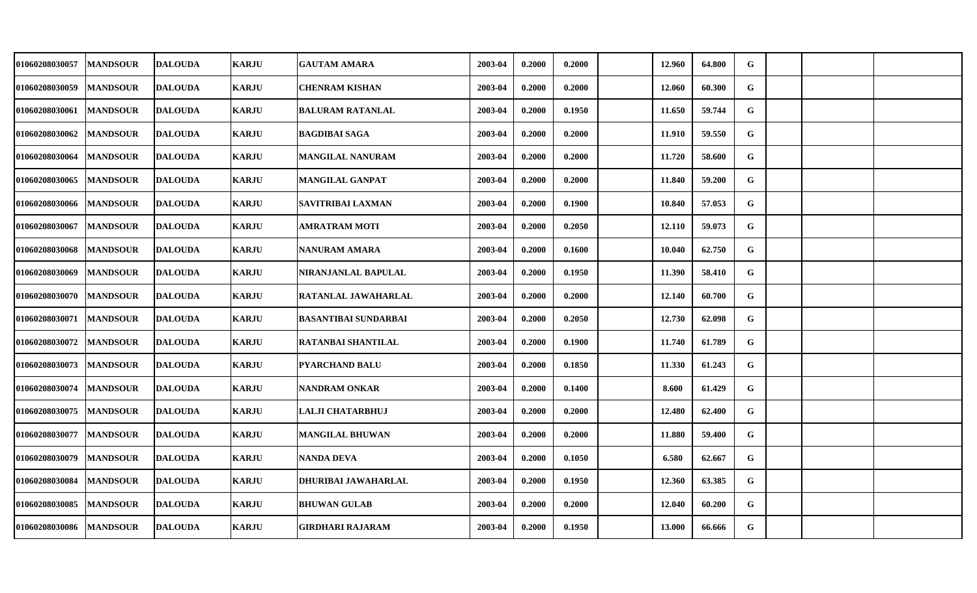| 01060208030057 | <b>MANDSOUR</b> | <b>DALOUDA</b> | <b>KARJU</b> | <b>GAUTAM AMARA</b>         | 2003-04 | 0.2000 | 0.2000 | 12.960 | 64.800 | G         |  |  |
|----------------|-----------------|----------------|--------------|-----------------------------|---------|--------|--------|--------|--------|-----------|--|--|
| 01060208030059 | <b>MANDSOUR</b> | <b>DALOUDA</b> | <b>KARJU</b> | <b>CHENRAM KISHAN</b>       | 2003-04 | 0.2000 | 0.2000 | 12.060 | 60.300 | G         |  |  |
| 01060208030061 | <b>MANDSOUR</b> | <b>DALOUDA</b> | <b>KARJU</b> | <b>BALURAM RATANLAL</b>     | 2003-04 | 0.2000 | 0.1950 | 11.650 | 59.744 | G         |  |  |
| 01060208030062 | <b>MANDSOUR</b> | <b>DALOUDA</b> | <b>KARJU</b> | <b>BAGDIBAI SAGA</b>        | 2003-04 | 0.2000 | 0.2000 | 11.910 | 59.550 | G         |  |  |
| 01060208030064 | <b>MANDSOUR</b> | <b>DALOUDA</b> | <b>KARJU</b> | <b>MANGILAL NANURAM</b>     | 2003-04 | 0.2000 | 0.2000 | 11.720 | 58.600 | G         |  |  |
| 01060208030065 | <b>MANDSOUR</b> | <b>DALOUDA</b> | <b>KARJU</b> | <b>MANGILAL GANPAT</b>      | 2003-04 | 0.2000 | 0.2000 | 11.840 | 59.200 | G         |  |  |
| 01060208030066 | <b>MANDSOUR</b> | <b>DALOUDA</b> | <b>KARJU</b> | SAVITRIBAI LAXMAN           | 2003-04 | 0.2000 | 0.1900 | 10.840 | 57.053 | G         |  |  |
| 01060208030067 | <b>MANDSOUR</b> | <b>DALOUDA</b> | <b>KARJU</b> | <b>AMRATRAM MOTI</b>        | 2003-04 | 0.2000 | 0.2050 | 12.110 | 59.073 | G         |  |  |
| 01060208030068 | <b>MANDSOUR</b> | <b>DALOUDA</b> | <b>KARJU</b> | NANURAM AMARA               | 2003-04 | 0.2000 | 0.1600 | 10.040 | 62.750 | G         |  |  |
| 01060208030069 | <b>MANDSOUR</b> | <b>DALOUDA</b> | <b>KARJU</b> | NIRANJANLAL BAPULAL         | 2003-04 | 0.2000 | 0.1950 | 11.390 | 58.410 | G         |  |  |
| 01060208030070 | <b>MANDSOUR</b> | <b>DALOUDA</b> | <b>KARJU</b> | RATANLAL JAWAHARLAL         | 2003-04 | 0.2000 | 0.2000 | 12.140 | 60.700 | ${\bf G}$ |  |  |
| 01060208030071 | <b>MANDSOUR</b> | <b>DALOUDA</b> | <b>KARJU</b> | <b>BASANTIBAI SUNDARBAI</b> | 2003-04 | 0.2000 | 0.2050 | 12.730 | 62.098 | G         |  |  |
| 01060208030072 | <b>MANDSOUR</b> | <b>DALOUDA</b> | <b>KARJU</b> | <b>RATANBAI SHANTILAL</b>   | 2003-04 | 0.2000 | 0.1900 | 11.740 | 61.789 | G         |  |  |
| 01060208030073 | <b>MANDSOUR</b> | <b>DALOUDA</b> | <b>KARJU</b> | <b>PYARCHAND BALU</b>       | 2003-04 | 0.2000 | 0.1850 | 11.330 | 61.243 | G         |  |  |
| 01060208030074 | <b>MANDSOUR</b> | <b>DALOUDA</b> | <b>KARJU</b> | <b>NANDRAM ONKAR</b>        | 2003-04 | 0.2000 | 0.1400 | 8.600  | 61.429 | G         |  |  |
| 01060208030075 | <b>MANDSOUR</b> | <b>DALOUDA</b> | <b>KARJU</b> | LALJI CHATARBHUJ            | 2003-04 | 0.2000 | 0.2000 | 12.480 | 62.400 | G         |  |  |
| 01060208030077 | <b>MANDSOUR</b> | <b>DALOUDA</b> | <b>KARJU</b> | <b>MANGILAL BHUWAN</b>      | 2003-04 | 0.2000 | 0.2000 | 11.880 | 59.400 | G         |  |  |
| 01060208030079 | <b>MANDSOUR</b> | <b>DALOUDA</b> | <b>KARJU</b> | NANDA DEVA                  | 2003-04 | 0.2000 | 0.1050 | 6.580  | 62.667 | G         |  |  |
| 01060208030084 | <b>MANDSOUR</b> | <b>DALOUDA</b> | <b>KARJU</b> | DHURIBAI JAWAHARLAL         | 2003-04 | 0.2000 | 0.1950 | 12.360 | 63.385 | G         |  |  |
| 01060208030085 | <b>MANDSOUR</b> | <b>DALOUDA</b> | <b>KARJU</b> | <b>BHUWAN GULAB</b>         | 2003-04 | 0.2000 | 0.2000 | 12.040 | 60.200 | G         |  |  |
| 01060208030086 | <b>MANDSOUR</b> | <b>DALOUDA</b> | <b>KARJU</b> | <b>GIRDHARI RAJARAM</b>     | 2003-04 | 0.2000 | 0.1950 | 13.000 | 66.666 | G         |  |  |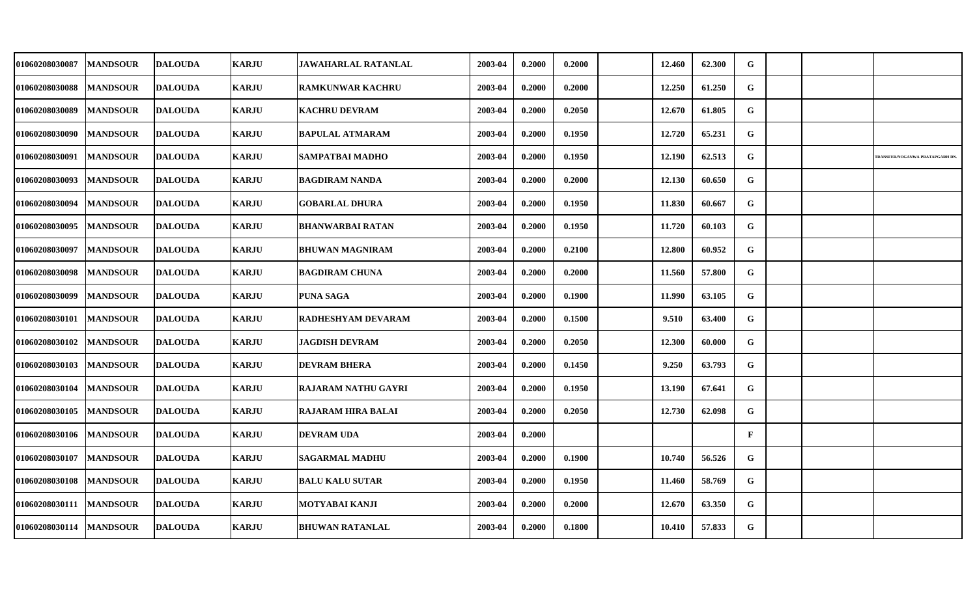| 01060208030087           | <b>MANDSOUR</b> | <b>DALOUDA</b> | <b>KARJU</b> | <b>JAWAHARLAL RATANLAL</b> | 2003-04 | 0.2000 | 0.2000 | 12.460 | 62.300 | G            |  |                                |
|--------------------------|-----------------|----------------|--------------|----------------------------|---------|--------|--------|--------|--------|--------------|--|--------------------------------|
| 01060208030088           | <b>MANDSOUR</b> | <b>DALOUDA</b> | <b>KARJU</b> | <b>RAMKUNWAR KACHRU</b>    | 2003-04 | 0.2000 | 0.2000 | 12.250 | 61.250 | G            |  |                                |
| 01060208030089           | <b>MANDSOUR</b> | <b>DALOUDA</b> | <b>KARJU</b> | <b>KACHRU DEVRAM</b>       | 2003-04 | 0.2000 | 0.2050 | 12.670 | 61.805 | G            |  |                                |
| 01060208030090           | <b>MANDSOUR</b> | <b>DALOUDA</b> | <b>KARJU</b> | <b>BAPULAL ATMARAM</b>     | 2003-04 | 0.2000 | 0.1950 | 12.720 | 65.231 | G            |  |                                |
| 01060208030091           | <b>MANDSOUR</b> | <b>DALOUDA</b> | <b>KARJU</b> | SAMPATBAI MADHO            | 2003-04 | 0.2000 | 0.1950 | 12.190 | 62.513 | G            |  | RANSFER/NOGANWA PRATAPGARH DN. |
| 01060208030093           | <b>MANDSOUR</b> | <b>DALOUDA</b> | <b>KARJU</b> | <b>BAGDIRAM NANDA</b>      | 2003-04 | 0.2000 | 0.2000 | 12.130 | 60.650 | G            |  |                                |
| 01060208030094           | <b>MANDSOUR</b> | <b>DALOUDA</b> | <b>KARJU</b> | <b>GOBARLAL DHURA</b>      | 2003-04 | 0.2000 | 0.1950 | 11.830 | 60.667 | G            |  |                                |
| 01060208030095           | <b>MANDSOUR</b> | <b>DALOUDA</b> | <b>KARJU</b> | <b>BHANWARBAI RATAN</b>    | 2003-04 | 0.2000 | 0.1950 | 11.720 | 60.103 | G            |  |                                |
| 01060208030097           | <b>MANDSOUR</b> | <b>DALOUDA</b> | <b>KARJU</b> | <b>BHUWAN MAGNIRAM</b>     | 2003-04 | 0.2000 | 0.2100 | 12.800 | 60.952 | G            |  |                                |
| 01060208030098           | <b>MANDSOUR</b> | <b>DALOUDA</b> | <b>KARJU</b> | <b>BAGDIRAM CHUNA</b>      | 2003-04 | 0.2000 | 0.2000 | 11.560 | 57.800 | G            |  |                                |
| 01060208030099           | <b>MANDSOUR</b> | <b>DALOUDA</b> | <b>KARJU</b> | PUNA SAGA                  | 2003-04 | 0.2000 | 0.1900 | 11.990 | 63.105 | G            |  |                                |
| 01060208030101           | <b>MANDSOUR</b> | <b>DALOUDA</b> | <b>KARJU</b> | RADHESHYAM DEVARAM         | 2003-04 | 0.2000 | 0.1500 | 9.510  | 63.400 | G            |  |                                |
| 01060208030102           | <b>MANDSOUR</b> | <b>DALOUDA</b> | <b>KARJU</b> | <b>JAGDISH DEVRAM</b>      | 2003-04 | 0.2000 | 0.2050 | 12.300 | 60.000 | G            |  |                                |
| 01060208030103           | <b>MANDSOUR</b> | <b>DALOUDA</b> | <b>KARJU</b> | <b>DEVRAM BHERA</b>        | 2003-04 | 0.2000 | 0.1450 | 9.250  | 63.793 | G            |  |                                |
| 01060208030104           | <b>MANDSOUR</b> | <b>DALOUDA</b> | <b>KARJU</b> | <b>RAJARAM NATHU GAYRI</b> | 2003-04 | 0.2000 | 0.1950 | 13.190 | 67.641 | G            |  |                                |
| 01060208030105           | <b>MANDSOUR</b> | <b>DALOUDA</b> | <b>KARJU</b> | <b>RAJARAM HIRA BALAI</b>  | 2003-04 | 0.2000 | 0.2050 | 12.730 | 62.098 | G            |  |                                |
| 01060208030106           | <b>MANDSOUR</b> | <b>DALOUDA</b> | <b>KARJU</b> | <b>DEVRAM UDA</b>          | 2003-04 | 0.2000 |        |        |        | $\mathbf{F}$ |  |                                |
| 01060208030107           | <b>MANDSOUR</b> | <b>DALOUDA</b> | <b>KARJU</b> | <b>SAGARMAL MADHU</b>      | 2003-04 | 0.2000 | 0.1900 | 10.740 | 56.526 | G            |  |                                |
| 01060208030108           | <b>MANDSOUR</b> | <b>DALOUDA</b> | <b>KARJU</b> | <b>BALU KALU SUTAR</b>     | 2003-04 | 0.2000 | 0.1950 | 11.460 | 58.769 | G            |  |                                |
| 01060208030111           | <b>MANDSOUR</b> | <b>DALOUDA</b> | <b>KARJU</b> | MOTYABAI KANJI             | 2003-04 | 0.2000 | 0.2000 | 12.670 | 63.350 | G            |  |                                |
| 01060208030114  MANDSOUR |                 | <b>DALOUDA</b> | <b>KARJU</b> | <b>BHUWAN RATANLAL</b>     | 2003-04 | 0.2000 | 0.1800 | 10.410 | 57.833 | G            |  |                                |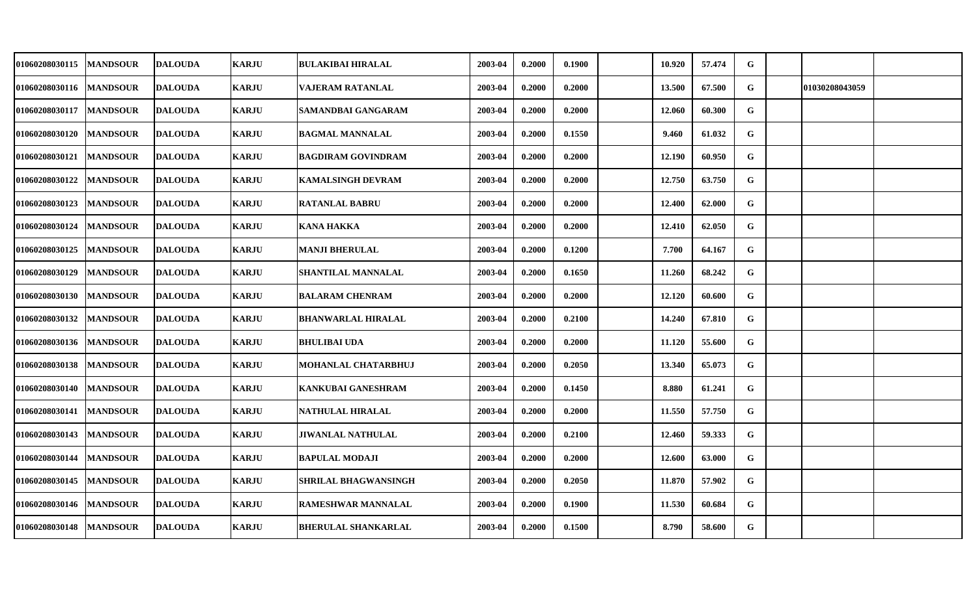| 01060208030115 | <b>MANDSOUR</b> | <b>DALOUDA</b> | <b>KARJU</b> | <b>BULAKIBAI HIRALAL</b>    | 2003-04 | 0.2000 | 0.1900 | 10.920 | 57.474 | ${\bf G}$   |                |  |
|----------------|-----------------|----------------|--------------|-----------------------------|---------|--------|--------|--------|--------|-------------|----------------|--|
| 01060208030116 | <b>MANDSOUR</b> | <b>DALOUDA</b> | <b>KARJU</b> | <b>VAJERAM RATANLAL</b>     | 2003-04 | 0.2000 | 0.2000 | 13.500 | 67.500 | G           | 01030208043059 |  |
| 01060208030117 | <b>MANDSOUR</b> | <b>DALOUDA</b> | <b>KARJU</b> | SAMANDBAI GANGARAM          | 2003-04 | 0.2000 | 0.2000 | 12.060 | 60.300 | G           |                |  |
| 01060208030120 | <b>MANDSOUR</b> | <b>DALOUDA</b> | <b>KARJU</b> | <b>BAGMAL MANNALAL</b>      | 2003-04 | 0.2000 | 0.1550 | 9.460  | 61.032 | G           |                |  |
| 01060208030121 | <b>MANDSOUR</b> | <b>DALOUDA</b> | <b>KARJU</b> | <b>BAGDIRAM GOVINDRAM</b>   | 2003-04 | 0.2000 | 0.2000 | 12.190 | 60.950 | G           |                |  |
| 01060208030122 | <b>MANDSOUR</b> | <b>DALOUDA</b> | <b>KARJU</b> | <b>KAMALSINGH DEVRAM</b>    | 2003-04 | 0.2000 | 0.2000 | 12.750 | 63.750 | G           |                |  |
| 01060208030123 | <b>MANDSOUR</b> | <b>DALOUDA</b> | <b>KARJU</b> | <b>RATANLAL BABRU</b>       | 2003-04 | 0.2000 | 0.2000 | 12.400 | 62.000 | G           |                |  |
| 01060208030124 | <b>MANDSOUR</b> | <b>DALOUDA</b> | <b>KARJU</b> | <b>KANA HAKKA</b>           | 2003-04 | 0.2000 | 0.2000 | 12.410 | 62.050 | G           |                |  |
| 01060208030125 | <b>MANDSOUR</b> | <b>DALOUDA</b> | <b>KARJU</b> | MANJI BHERULAL              | 2003-04 | 0.2000 | 0.1200 | 7.700  | 64.167 | G           |                |  |
| 01060208030129 | <b>MANDSOUR</b> | <b>DALOUDA</b> | <b>KARJU</b> | <b>SHANTILAL MANNALAL</b>   | 2003-04 | 0.2000 | 0.1650 | 11.260 | 68.242 | G           |                |  |
| 01060208030130 | <b>MANDSOUR</b> | <b>DALOUDA</b> | <b>KARJU</b> | <b>BALARAM CHENRAM</b>      | 2003-04 | 0.2000 | 0.2000 | 12.120 | 60.600 | G           |                |  |
| 01060208030132 | <b>MANDSOUR</b> | <b>DALOUDA</b> | <b>KARJU</b> | <b>BHANWARLAL HIRALAL</b>   | 2003-04 | 0.2000 | 0.2100 | 14.240 | 67.810 | G           |                |  |
| 01060208030136 | <b>MANDSOUR</b> | <b>DALOUDA</b> | <b>KARJU</b> | <b>BHULIBAI UDA</b>         | 2003-04 | 0.2000 | 0.2000 | 11.120 | 55.600 | G           |                |  |
| 01060208030138 | <b>MANDSOUR</b> | <b>DALOUDA</b> | <b>KARJU</b> | MOHANLAL CHATARBHUJ         | 2003-04 | 0.2000 | 0.2050 | 13.340 | 65.073 | G           |                |  |
| 01060208030140 | <b>MANDSOUR</b> | <b>DALOUDA</b> | <b>KARJU</b> | <b>KANKUBAI GANESHRAM</b>   | 2003-04 | 0.2000 | 0.1450 | 8.880  | 61.241 | G           |                |  |
| 01060208030141 | <b>MANDSOUR</b> | <b>DALOUDA</b> | <b>KARJU</b> | <b>NATHULAL HIRALAL</b>     | 2003-04 | 0.2000 | 0.2000 | 11.550 | 57.750 | G           |                |  |
| 01060208030143 | <b>MANDSOUR</b> | <b>DALOUDA</b> | <b>KARJU</b> | <b>JIWANLAL NATHULAL</b>    | 2003-04 | 0.2000 | 0.2100 | 12.460 | 59.333 | $\mathbf G$ |                |  |
| 01060208030144 | <b>MANDSOUR</b> | <b>DALOUDA</b> | <b>KARJU</b> | <b>BAPULAL MODAJI</b>       | 2003-04 | 0.2000 | 0.2000 | 12.600 | 63.000 | G           |                |  |
| 01060208030145 | <b>MANDSOUR</b> | <b>DALOUDA</b> | <b>KARJU</b> | <b>SHRILAL BHAGWANSINGH</b> | 2003-04 | 0.2000 | 0.2050 | 11.870 | 57.902 | G           |                |  |
| 01060208030146 | <b>MANDSOUR</b> | <b>DALOUDA</b> | <b>KARJU</b> | <b>RAMESHWAR MANNALAL</b>   | 2003-04 | 0.2000 | 0.1900 | 11.530 | 60.684 | G           |                |  |
| 01060208030148 | <b>MANDSOUR</b> | <b>DALOUDA</b> | <b>KARJU</b> | <b>BHERULAL SHANKARLAL</b>  | 2003-04 | 0.2000 | 0.1500 | 8.790  | 58.600 | G           |                |  |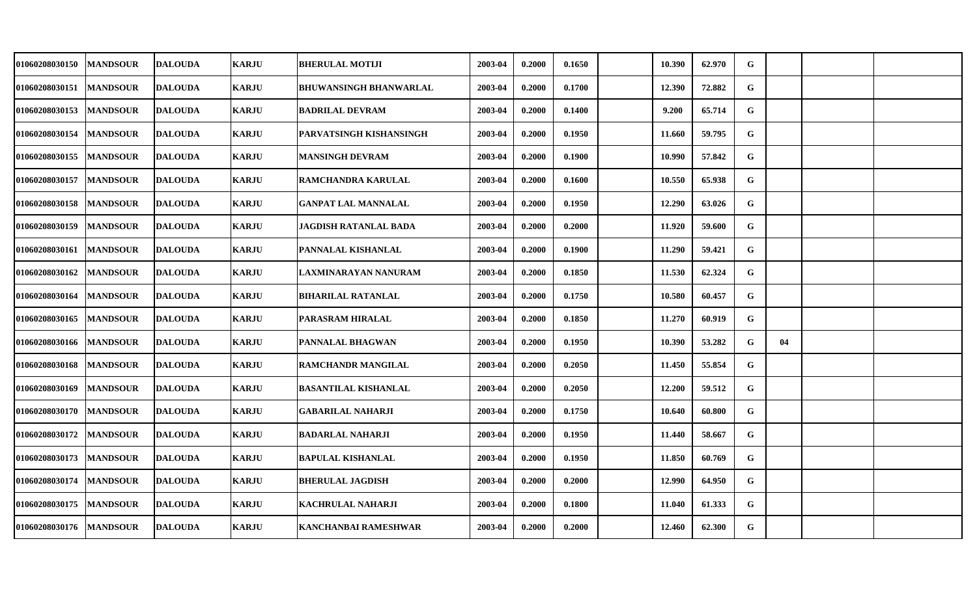| 01060208030150 | <b>MANDSOUR</b> | <b>DALOUDA</b> | <b>KARJU</b> | <b>BHERULAL MOTIJI</b>        | 2003-04 | 0.2000 | 0.1650 | 10.390 | 62.970 | G           |    |  |
|----------------|-----------------|----------------|--------------|-------------------------------|---------|--------|--------|--------|--------|-------------|----|--|
| 01060208030151 | <b>MANDSOUR</b> | <b>DALOUDA</b> | <b>KARJU</b> | <b>BHUWANSINGH BHANWARLAL</b> | 2003-04 | 0.2000 | 0.1700 | 12.390 | 72.882 | G           |    |  |
| 01060208030153 | <b>MANDSOUR</b> | <b>DALOUDA</b> | <b>KARJU</b> | <b>BADRILAL DEVRAM</b>        | 2003-04 | 0.2000 | 0.1400 | 9.200  | 65.714 | G           |    |  |
| 01060208030154 | <b>MANDSOUR</b> | <b>DALOUDA</b> | <b>KARJU</b> | PARVATSINGH KISHANSINGH       | 2003-04 | 0.2000 | 0.1950 | 11.660 | 59.795 | G           |    |  |
| 01060208030155 | <b>MANDSOUR</b> | <b>DALOUDA</b> | <b>KARJU</b> | MANSINGH DEVRAM               | 2003-04 | 0.2000 | 0.1900 | 10.990 | 57.842 | G           |    |  |
| 01060208030157 | <b>MANDSOUR</b> | <b>DALOUDA</b> | <b>KARJU</b> | RAMCHANDRA KARULAL            | 2003-04 | 0.2000 | 0.1600 | 10.550 | 65.938 | G           |    |  |
| 01060208030158 | <b>MANDSOUR</b> | <b>DALOUDA</b> | <b>KARJU</b> | <b>GANPAT LAL MANNALAL</b>    | 2003-04 | 0.2000 | 0.1950 | 12.290 | 63.026 | G           |    |  |
| 01060208030159 | <b>MANDSOUR</b> | <b>DALOUDA</b> | <b>KARJU</b> | JAGDISH RATANLAL BADA         | 2003-04 | 0.2000 | 0.2000 | 11.920 | 59.600 | G           |    |  |
| 01060208030161 | <b>MANDSOUR</b> | <b>DALOUDA</b> | <b>KARJU</b> | PANNALAL KISHANLAL            | 2003-04 | 0.2000 | 0.1900 | 11.290 | 59.421 | G           |    |  |
| 01060208030162 | <b>MANDSOUR</b> | <b>DALOUDA</b> | <b>KARJU</b> | LAXMINARAYAN NANURAM          | 2003-04 | 0.2000 | 0.1850 | 11.530 | 62.324 | G           |    |  |
| 01060208030164 | <b>MANDSOUR</b> | <b>DALOUDA</b> | <b>KARJU</b> | <b>BIHARILAL RATANLAL</b>     | 2003-04 | 0.2000 | 0.1750 | 10.580 | 60.457 | G           |    |  |
| 01060208030165 | <b>MANDSOUR</b> | <b>DALOUDA</b> | <b>KARJU</b> | PARASRAM HIRALAL              | 2003-04 | 0.2000 | 0.1850 | 11.270 | 60.919 | G           |    |  |
| 01060208030166 | <b>MANDSOUR</b> | <b>DALOUDA</b> | <b>KARJU</b> | PANNALAL BHAGWAN              | 2003-04 | 0.2000 | 0.1950 | 10.390 | 53.282 | G           | 04 |  |
| 01060208030168 | <b>MANDSOUR</b> | <b>DALOUDA</b> | <b>KARJU</b> | <b>RAMCHANDR MANGILAL</b>     | 2003-04 | 0.2000 | 0.2050 | 11.450 | 55.854 | G           |    |  |
| 01060208030169 | <b>MANDSOUR</b> | <b>DALOUDA</b> | <b>KARJU</b> | <b>BASANTILAL KISHANLAL</b>   | 2003-04 | 0.2000 | 0.2050 | 12.200 | 59.512 | G           |    |  |
| 01060208030170 | <b>MANDSOUR</b> | <b>DALOUDA</b> | <b>KARJU</b> | <b>GABARILAL NAHARJI</b>      | 2003-04 | 0.2000 | 0.1750 | 10.640 | 60.800 | G           |    |  |
| 01060208030172 | <b>MANDSOUR</b> | <b>DALOUDA</b> | <b>KARJU</b> | <b>BADARLAL NAHARJI</b>       | 2003-04 | 0.2000 | 0.1950 | 11.440 | 58.667 | $\mathbf G$ |    |  |
| 01060208030173 | <b>MANDSOUR</b> | <b>DALOUDA</b> | <b>KARJU</b> | <b>BAPULAL KISHANLAL</b>      | 2003-04 | 0.2000 | 0.1950 | 11.850 | 60.769 | G           |    |  |
| 01060208030174 | <b>MANDSOUR</b> | <b>DALOUDA</b> | <b>KARJU</b> | <b>BHERULAL JAGDISH</b>       | 2003-04 | 0.2000 | 0.2000 | 12.990 | 64.950 | G           |    |  |
| 01060208030175 | <b>MANDSOUR</b> | <b>DALOUDA</b> | <b>KARJU</b> | <b>KACHRULAL NAHARJI</b>      | 2003-04 | 0.2000 | 0.1800 | 11.040 | 61.333 | $\mathbf G$ |    |  |
| 01060208030176 | <b>MANDSOUR</b> | <b>DALOUDA</b> | <b>KARJU</b> | KANCHANBAI RAMESHWAR          | 2003-04 | 0.2000 | 0.2000 | 12.460 | 62.300 | G           |    |  |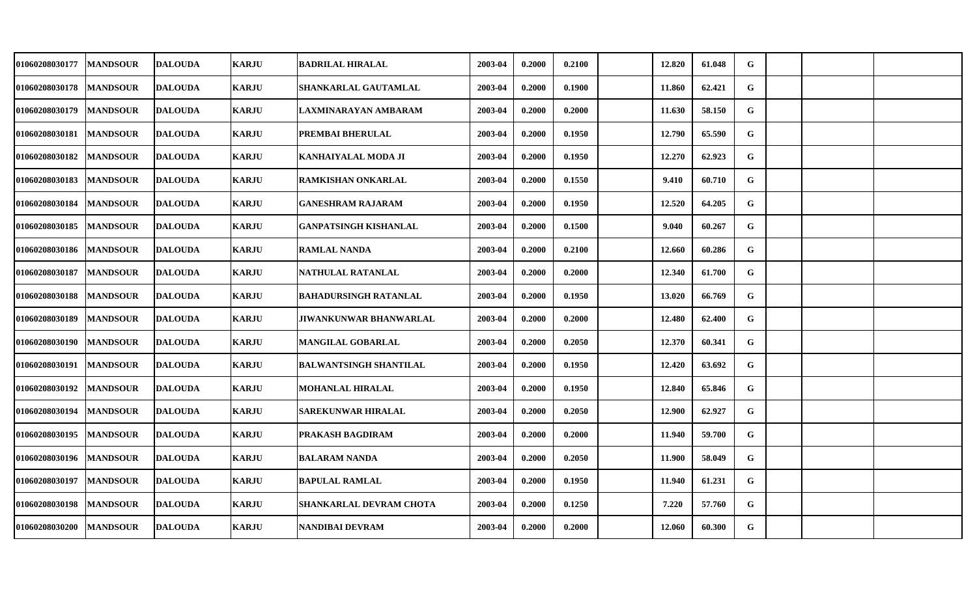| 01060208030177 | <b>MANDSOUR</b> | <b>DALOUDA</b> | <b>KARJU</b> | <b>BADRILAL HIRALAL</b>        | 2003-04 | 0.2000 | 0.2100 | 12.820 | 61.048 | G            |  |  |
|----------------|-----------------|----------------|--------------|--------------------------------|---------|--------|--------|--------|--------|--------------|--|--|
| 01060208030178 | <b>MANDSOUR</b> | <b>DALOUDA</b> | <b>KARJU</b> | SHANKARLAL GAUTAMLAL           | 2003-04 | 0.2000 | 0.1900 | 11.860 | 62.421 | $\mathbf G$  |  |  |
| 01060208030179 | <b>MANDSOUR</b> | <b>DALOUDA</b> | <b>KARJU</b> | LAXMINARAYAN AMBARAM           | 2003-04 | 0.2000 | 0.2000 | 11.630 | 58.150 | G            |  |  |
| 01060208030181 | <b>MANDSOUR</b> | <b>DALOUDA</b> | <b>KARJU</b> | PREMBAI BHERULAL               | 2003-04 | 0.2000 | 0.1950 | 12.790 | 65.590 | G            |  |  |
| 01060208030182 | <b>MANDSOUR</b> | <b>DALOUDA</b> | <b>KARJU</b> | KANHAIYALAL MODA JI            | 2003-04 | 0.2000 | 0.1950 | 12.270 | 62.923 | G            |  |  |
| 01060208030183 | <b>MANDSOUR</b> | <b>DALOUDA</b> | <b>KARJU</b> | <b>RAMKISHAN ONKARLAL</b>      | 2003-04 | 0.2000 | 0.1550 | 9.410  | 60.710 | G            |  |  |
| 01060208030184 | <b>MANDSOUR</b> | <b>DALOUDA</b> | <b>KARJU</b> | <b>GANESHRAM RAJARAM</b>       | 2003-04 | 0.2000 | 0.1950 | 12.520 | 64.205 | G            |  |  |
| 01060208030185 | <b>MANDSOUR</b> | <b>DALOUDA</b> | <b>KARJU</b> | <b>GANPATSINGH KISHANLAL</b>   | 2003-04 | 0.2000 | 0.1500 | 9.040  | 60.267 | G            |  |  |
| 01060208030186 | <b>MANDSOUR</b> | <b>DALOUDA</b> | <b>KARJU</b> | <b>RAMLAL NANDA</b>            | 2003-04 | 0.2000 | 0.2100 | 12.660 | 60.286 | G            |  |  |
| 01060208030187 | <b>MANDSOUR</b> | <b>DALOUDA</b> | <b>KARJU</b> | NATHULAL RATANLAL              | 2003-04 | 0.2000 | 0.2000 | 12.340 | 61.700 | G            |  |  |
| 01060208030188 | <b>MANDSOUR</b> | <b>DALOUDA</b> | <b>KARJU</b> | <b>BAHADURSINGH RATANLAL</b>   | 2003-04 | 0.2000 | 0.1950 | 13.020 | 66.769 | G            |  |  |
| 01060208030189 | <b>MANDSOUR</b> | <b>DALOUDA</b> | <b>KARJU</b> | <b>JIWANKUNWAR BHANWARLAL</b>  | 2003-04 | 0.2000 | 0.2000 | 12.480 | 62.400 | G            |  |  |
| 01060208030190 | <b>MANDSOUR</b> | <b>DALOUDA</b> | <b>KARJU</b> | <b>MANGILAL GOBARLAL</b>       | 2003-04 | 0.2000 | 0.2050 | 12.370 | 60.341 | G            |  |  |
| 01060208030191 | <b>MANDSOUR</b> | <b>DALOUDA</b> | <b>KARJU</b> | <b>BALWANTSINGH SHANTILAL</b>  | 2003-04 | 0.2000 | 0.1950 | 12.420 | 63.692 | G            |  |  |
| 01060208030192 | <b>MANDSOUR</b> | <b>DALOUDA</b> | <b>KARJU</b> | <b>MOHANLAL HIRALAL</b>        | 2003-04 | 0.2000 | 0.1950 | 12.840 | 65.846 | G            |  |  |
| 01060208030194 | <b>MANDSOUR</b> | <b>DALOUDA</b> | <b>KARJU</b> | <b>SAREKUNWAR HIRALAL</b>      | 2003-04 | 0.2000 | 0.2050 | 12.900 | 62.927 | G            |  |  |
| 01060208030195 | <b>MANDSOUR</b> | <b>DALOUDA</b> | <b>KARJU</b> | PRAKASH BAGDIRAM               | 2003-04 | 0.2000 | 0.2000 | 11.940 | 59.700 | $\mathbf{G}$ |  |  |
| 01060208030196 | <b>MANDSOUR</b> | <b>DALOUDA</b> | <b>KARJU</b> | <b>BALARAM NANDA</b>           | 2003-04 | 0.2000 | 0.2050 | 11.900 | 58.049 | G            |  |  |
| 01060208030197 | <b>MANDSOUR</b> | <b>DALOUDA</b> | <b>KARJU</b> | <b>BAPULAL RAMLAL</b>          | 2003-04 | 0.2000 | 0.1950 | 11.940 | 61.231 | G            |  |  |
| 01060208030198 | <b>MANDSOUR</b> | <b>DALOUDA</b> | <b>KARJU</b> | <b>SHANKARLAL DEVRAM CHOTA</b> | 2003-04 | 0.2000 | 0.1250 | 7.220  | 57.760 | G            |  |  |
| 01060208030200 | <b>MANDSOUR</b> | <b>DALOUDA</b> | <b>KARJU</b> | NANDIBAI DEVRAM                | 2003-04 | 0.2000 | 0.2000 | 12.060 | 60.300 | G            |  |  |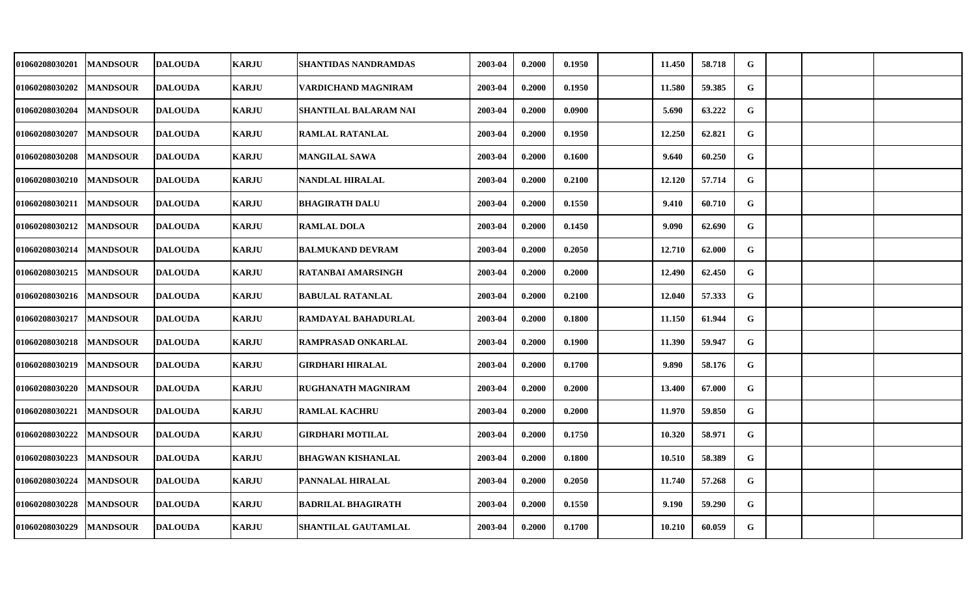| 01060208030201 | <b>MANDSOUR</b> | <b>DALOUDA</b> | <b>KARJU</b> | <b>SHANTIDAS NANDRAMDAS</b> | 2003-04 | 0.2000 | 0.1950 | 11.450 | 58.718 | G            |  |  |
|----------------|-----------------|----------------|--------------|-----------------------------|---------|--------|--------|--------|--------|--------------|--|--|
| 01060208030202 | <b>MANDSOUR</b> | <b>DALOUDA</b> | <b>KARJU</b> | VARDICHAND MAGNIRAM         | 2003-04 | 0.2000 | 0.1950 | 11.580 | 59.385 | G            |  |  |
| 01060208030204 | <b>MANDSOUR</b> | <b>DALOUDA</b> | <b>KARJU</b> | SHANTILAL BALARAM NAI       | 2003-04 | 0.2000 | 0.0900 | 5.690  | 63.222 | G            |  |  |
| 01060208030207 | <b>MANDSOUR</b> | <b>DALOUDA</b> | <b>KARJU</b> | <b>RAMLAL RATANLAL</b>      | 2003-04 | 0.2000 | 0.1950 | 12.250 | 62.821 | G            |  |  |
| 01060208030208 | <b>MANDSOUR</b> | <b>DALOUDA</b> | <b>KARJU</b> | <b>MANGILAL SAWA</b>        | 2003-04 | 0.2000 | 0.1600 | 9.640  | 60.250 | G            |  |  |
| 01060208030210 | <b>MANDSOUR</b> | <b>DALOUDA</b> | <b>KARJU</b> | <b>NANDLAL HIRALAL</b>      | 2003-04 | 0.2000 | 0.2100 | 12.120 | 57.714 | G            |  |  |
| 01060208030211 | <b>MANDSOUR</b> | <b>DALOUDA</b> | <b>KARJU</b> | <b>BHAGIRATH DALU</b>       | 2003-04 | 0.2000 | 0.1550 | 9.410  | 60.710 | G            |  |  |
| 01060208030212 | <b>MANDSOUR</b> | <b>DALOUDA</b> | <b>KARJU</b> | <b>RAMLAL DOLA</b>          | 2003-04 | 0.2000 | 0.1450 | 9.090  | 62.690 | G            |  |  |
| 01060208030214 | <b>MANDSOUR</b> | <b>DALOUDA</b> | <b>KARJU</b> | <b>BALMUKAND DEVRAM</b>     | 2003-04 | 0.2000 | 0.2050 | 12.710 | 62.000 | G            |  |  |
| 01060208030215 | <b>MANDSOUR</b> | <b>DALOUDA</b> | <b>KARJU</b> | RATANBAI AMARSINGH          | 2003-04 | 0.2000 | 0.2000 | 12.490 | 62.450 | G            |  |  |
| 01060208030216 | <b>MANDSOUR</b> | <b>DALOUDA</b> | <b>KARJU</b> | <b>BABULAL RATANLAL</b>     | 2003-04 | 0.2000 | 0.2100 | 12.040 | 57.333 | G            |  |  |
| 01060208030217 | <b>MANDSOUR</b> | <b>DALOUDA</b> | <b>KARJU</b> | RAMDAYAL BAHADURLAL         | 2003-04 | 0.2000 | 0.1800 | 11.150 | 61.944 | $\mathbf G$  |  |  |
| 01060208030218 | <b>MANDSOUR</b> | <b>DALOUDA</b> | <b>KARJU</b> | <b>RAMPRASAD ONKARLAL</b>   | 2003-04 | 0.2000 | 0.1900 | 11.390 | 59.947 | G            |  |  |
| 01060208030219 | <b>MANDSOUR</b> | <b>DALOUDA</b> | <b>KARJU</b> | GIRDHARI HIRALAL            | 2003-04 | 0.2000 | 0.1700 | 9.890  | 58.176 | G            |  |  |
| 01060208030220 | <b>MANDSOUR</b> | <b>DALOUDA</b> | <b>KARJU</b> | <b>RUGHANATH MAGNIRAM</b>   | 2003-04 | 0.2000 | 0.2000 | 13.400 | 67.000 | G            |  |  |
| 01060208030221 | <b>MANDSOUR</b> | <b>DALOUDA</b> | <b>KARJU</b> | <b>RAMLAL KACHRU</b>        | 2003-04 | 0.2000 | 0.2000 | 11.970 | 59.850 | G            |  |  |
| 01060208030222 | <b>MANDSOUR</b> | <b>DALOUDA</b> | <b>KARJU</b> | <b>GIRDHARI MOTILAL</b>     | 2003-04 | 0.2000 | 0.1750 | 10.320 | 58.971 | $\mathbf{G}$ |  |  |
| 01060208030223 | <b>MANDSOUR</b> | <b>DALOUDA</b> | <b>KARJU</b> | <b>BHAGWAN KISHANLAL</b>    | 2003-04 | 0.2000 | 0.1800 | 10.510 | 58.389 | G            |  |  |
| 01060208030224 | <b>MANDSOUR</b> | <b>DALOUDA</b> | <b>KARJU</b> | PANNALAL HIRALAL            | 2003-04 | 0.2000 | 0.2050 | 11.740 | 57.268 | G            |  |  |
| 01060208030228 | <b>MANDSOUR</b> | <b>DALOUDA</b> | <b>KARJU</b> | <b>BADRILAL BHAGIRATH</b>   | 2003-04 | 0.2000 | 0.1550 | 9.190  | 59.290 | G            |  |  |
| 01060208030229 | <b>MANDSOUR</b> | <b>DALOUDA</b> | <b>KARJU</b> | <b>SHANTILAL GAUTAMLAL</b>  | 2003-04 | 0.2000 | 0.1700 | 10.210 | 60.059 | G            |  |  |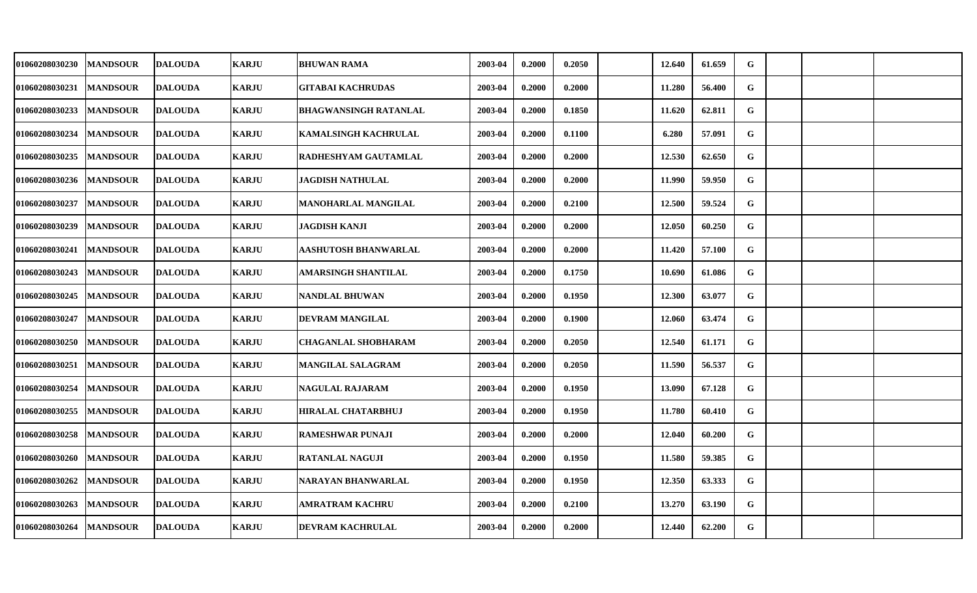| 01060208030230 | <b>MANDSOUR</b> | <b>DALOUDA</b> | <b>KARJU</b> | <b>BHUWAN RAMA</b>           | 2003-04 | 0.2000 | 0.2050 | 12.640 | 61.659 | G |  |  |
|----------------|-----------------|----------------|--------------|------------------------------|---------|--------|--------|--------|--------|---|--|--|
| 01060208030231 | <b>MANDSOUR</b> | <b>DALOUDA</b> | <b>KARJU</b> | <b>GITABAI KACHRUDAS</b>     | 2003-04 | 0.2000 | 0.2000 | 11.280 | 56.400 | G |  |  |
| 01060208030233 | <b>MANDSOUR</b> | <b>DALOUDA</b> | <b>KARJU</b> | <b>BHAGWANSINGH RATANLAL</b> | 2003-04 | 0.2000 | 0.1850 | 11.620 | 62.811 | G |  |  |
| 01060208030234 | <b>MANDSOUR</b> | <b>DALOUDA</b> | <b>KARJU</b> | <b>KAMALSINGH KACHRULAL</b>  | 2003-04 | 0.2000 | 0.1100 | 6.280  | 57.091 | G |  |  |
| 01060208030235 | <b>MANDSOUR</b> | <b>DALOUDA</b> | <b>KARJU</b> | RADHESHYAM GAUTAMLAL         | 2003-04 | 0.2000 | 0.2000 | 12.530 | 62.650 | G |  |  |
| 01060208030236 | <b>MANDSOUR</b> | <b>DALOUDA</b> | <b>KARJU</b> | <b>JAGDISH NATHULAL</b>      | 2003-04 | 0.2000 | 0.2000 | 11.990 | 59.950 | G |  |  |
| 01060208030237 | <b>MANDSOUR</b> | <b>DALOUDA</b> | <b>KARJU</b> | <b>MANOHARLAL MANGILAL</b>   | 2003-04 | 0.2000 | 0.2100 | 12.500 | 59.524 | G |  |  |
| 01060208030239 | <b>MANDSOUR</b> | <b>DALOUDA</b> | <b>KARJU</b> | <b>JAGDISH KANJI</b>         | 2003-04 | 0.2000 | 0.2000 | 12.050 | 60.250 | G |  |  |
| 01060208030241 | <b>MANDSOUR</b> | <b>DALOUDA</b> | <b>KARJU</b> | AASHUTOSH BHANWARLAL         | 2003-04 | 0.2000 | 0.2000 | 11.420 | 57.100 | G |  |  |
| 01060208030243 | <b>MANDSOUR</b> | <b>DALOUDA</b> | <b>KARJU</b> | AMARSINGH SHANTILAL          | 2003-04 | 0.2000 | 0.1750 | 10.690 | 61.086 | G |  |  |
| 01060208030245 | <b>MANDSOUR</b> | <b>DALOUDA</b> | <b>KARJU</b> | <b>NANDLAL BHUWAN</b>        | 2003-04 | 0.2000 | 0.1950 | 12.300 | 63.077 | G |  |  |
| 01060208030247 | <b>MANDSOUR</b> | <b>DALOUDA</b> | <b>KARJU</b> | DEVRAM MANGILAL              | 2003-04 | 0.2000 | 0.1900 | 12.060 | 63.474 | G |  |  |
| 01060208030250 | <b>MANDSOUR</b> | <b>DALOUDA</b> | <b>KARJU</b> | <b>CHAGANLAL SHOBHARAM</b>   | 2003-04 | 0.2000 | 0.2050 | 12.540 | 61.171 | G |  |  |
| 01060208030251 | <b>MANDSOUR</b> | <b>DALOUDA</b> | <b>KARJU</b> | <b>MANGILAL SALAGRAM</b>     | 2003-04 | 0.2000 | 0.2050 | 11.590 | 56.537 | G |  |  |
| 01060208030254 | <b>MANDSOUR</b> | <b>DALOUDA</b> | <b>KARJU</b> | <b>NAGULAL RAJARAM</b>       | 2003-04 | 0.2000 | 0.1950 | 13.090 | 67.128 | G |  |  |
| 01060208030255 | <b>MANDSOUR</b> | <b>DALOUDA</b> | <b>KARJU</b> | <b>HIRALAL CHATARBHUJ</b>    | 2003-04 | 0.2000 | 0.1950 | 11.780 | 60.410 | G |  |  |
| 01060208030258 | <b>MANDSOUR</b> | <b>DALOUDA</b> | <b>KARJU</b> | <b>RAMESHWAR PUNAJI</b>      | 2003-04 | 0.2000 | 0.2000 | 12.040 | 60.200 | G |  |  |
| 01060208030260 | <b>MANDSOUR</b> | <b>DALOUDA</b> | <b>KARJU</b> | <b>RATANLAL NAGUJI</b>       | 2003-04 | 0.2000 | 0.1950 | 11.580 | 59.385 | G |  |  |
| 01060208030262 | <b>MANDSOUR</b> | <b>DALOUDA</b> | <b>KARJU</b> | NARAYAN BHANWARLAL           | 2003-04 | 0.2000 | 0.1950 | 12.350 | 63.333 | G |  |  |
| 01060208030263 | <b>MANDSOUR</b> | <b>DALOUDA</b> | <b>KARJU</b> | AMRATRAM KACHRU              | 2003-04 | 0.2000 | 0.2100 | 13.270 | 63.190 | G |  |  |
| 01060208030264 | <b>MANDSOUR</b> | <b>DALOUDA</b> | <b>KARJU</b> | DEVRAM KACHRULAL             | 2003-04 | 0.2000 | 0.2000 | 12.440 | 62.200 | G |  |  |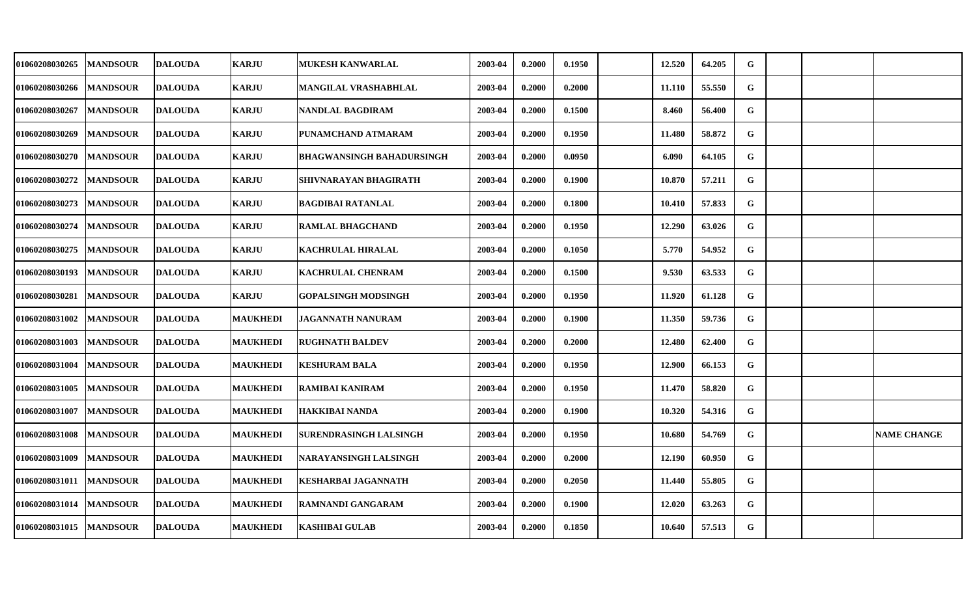| 01060208030265 | <b>MANDSOUR</b> | <b>IDALOUDA</b> | <b>KARJU</b>    | <b>MUKESH KANWARLAL</b>       | 2003-04 | 0.2000 | 0.1950 | 12.520 | 64.205 | G |  |                    |
|----------------|-----------------|-----------------|-----------------|-------------------------------|---------|--------|--------|--------|--------|---|--|--------------------|
| 01060208030266 | <b>MANDSOUR</b> | <b>DALOUDA</b>  | <b>KARJU</b>    | MANGILAL VRASHABHLAL          | 2003-04 | 0.2000 | 0.2000 | 11.110 | 55.550 | G |  |                    |
| 01060208030267 | <b>MANDSOUR</b> | <b>DALOUDA</b>  | <b>KARJU</b>    | NANDLAL BAGDIRAM              | 2003-04 | 0.2000 | 0.1500 | 8.460  | 56.400 | G |  |                    |
| 01060208030269 | <b>MANDSOUR</b> | <b>DALOUDA</b>  | <b>KARJU</b>    | PUNAMCHAND ATMARAM            | 2003-04 | 0.2000 | 0.1950 | 11.480 | 58.872 | G |  |                    |
| 01060208030270 | <b>MANDSOUR</b> | <b>DALOUDA</b>  | <b>KARJU</b>    | BHAGWANSINGH BAHADURSINGH     | 2003-04 | 0.2000 | 0.0950 | 6.090  | 64.105 | G |  |                    |
| 01060208030272 | <b>MANDSOUR</b> | <b>DALOUDA</b>  | <b>KARJU</b>    | SHIVNARAYAN BHAGIRATH         | 2003-04 | 0.2000 | 0.1900 | 10.870 | 57.211 | G |  |                    |
| 01060208030273 | <b>MANDSOUR</b> | <b>DALOUDA</b>  | <b>KARJU</b>    | <b>BAGDIBAI RATANLAL</b>      | 2003-04 | 0.2000 | 0.1800 | 10.410 | 57.833 | G |  |                    |
| 01060208030274 | <b>MANDSOUR</b> | <b>DALOUDA</b>  | <b>KARJU</b>    | <b>RAMLAL BHAGCHAND</b>       | 2003-04 | 0.2000 | 0.1950 | 12.290 | 63.026 | G |  |                    |
| 01060208030275 | <b>MANDSOUR</b> | <b>DALOUDA</b>  | <b>KARJU</b>    | <b>KACHRULAL HIRALAL</b>      | 2003-04 | 0.2000 | 0.1050 | 5.770  | 54.952 | G |  |                    |
| 01060208030193 | <b>MANDSOUR</b> | <b>DALOUDA</b>  | <b>KARJU</b>    | <b>KACHRULAL CHENRAM</b>      | 2003-04 | 0.2000 | 0.1500 | 9.530  | 63.533 | G |  |                    |
| 01060208030281 | <b>MANDSOUR</b> | <b>DALOUDA</b>  | <b>KARJU</b>    | GOPALSINGH MODSINGH           | 2003-04 | 0.2000 | 0.1950 | 11.920 | 61.128 | G |  |                    |
| 01060208031002 | <b>MANDSOUR</b> | <b>DALOUDA</b>  | <b>MAUKHEDI</b> | JAGANNATH NANURAM             | 2003-04 | 0.2000 | 0.1900 | 11.350 | 59.736 | G |  |                    |
| 01060208031003 | <b>MANDSOUR</b> | <b>DALOUDA</b>  | <b>MAUKHEDI</b> | <b>RUGHNATH BALDEV</b>        | 2003-04 | 0.2000 | 0.2000 | 12.480 | 62.400 | G |  |                    |
| 01060208031004 | <b>MANDSOUR</b> | <b>DALOUDA</b>  | <b>MAUKHEDI</b> | <b>KESHURAM BALA</b>          | 2003-04 | 0.2000 | 0.1950 | 12.900 | 66.153 | G |  |                    |
| 01060208031005 | <b>MANDSOUR</b> | <b>DALOUDA</b>  | <b>MAUKHEDI</b> | <b>RAMIBAI KANIRAM</b>        | 2003-04 | 0.2000 | 0.1950 | 11.470 | 58.820 | G |  |                    |
| 01060208031007 | <b>MANDSOUR</b> | <b>DALOUDA</b>  | <b>MAUKHEDI</b> | HAKKIBAI NANDA                | 2003-04 | 0.2000 | 0.1900 | 10.320 | 54.316 | G |  |                    |
| 01060208031008 | <b>MANDSOUR</b> | <b>DALOUDA</b>  | <b>MAUKHEDI</b> | <b>SURENDRASINGH LALSINGH</b> | 2003-04 | 0.2000 | 0.1950 | 10.680 | 54.769 | G |  | <b>NAME CHANGE</b> |
| 01060208031009 | <b>MANDSOUR</b> | <b>DALOUDA</b>  | <b>MAUKHEDI</b> | NARAYANSINGH LALSINGH         | 2003-04 | 0.2000 | 0.2000 | 12.190 | 60.950 | G |  |                    |
| 01060208031011 | <b>MANDSOUR</b> | <b>DALOUDA</b>  | <b>MAUKHEDI</b> | <b>KESHARBAI JAGANNATH</b>    | 2003-04 | 0.2000 | 0.2050 | 11.440 | 55.805 | G |  |                    |
| 01060208031014 | <b>MANDSOUR</b> | <b>DALOUDA</b>  | <b>MAUKHEDI</b> | <b>RAMNANDI GANGARAM</b>      | 2003-04 | 0.2000 | 0.1900 | 12.020 | 63.263 | G |  |                    |
| 01060208031015 | <b>MANDSOUR</b> | <b>DALOUDA</b>  | <b>MAUKHEDI</b> | <b>KASHIBAI GULAB</b>         | 2003-04 | 0.2000 | 0.1850 | 10.640 | 57.513 | G |  |                    |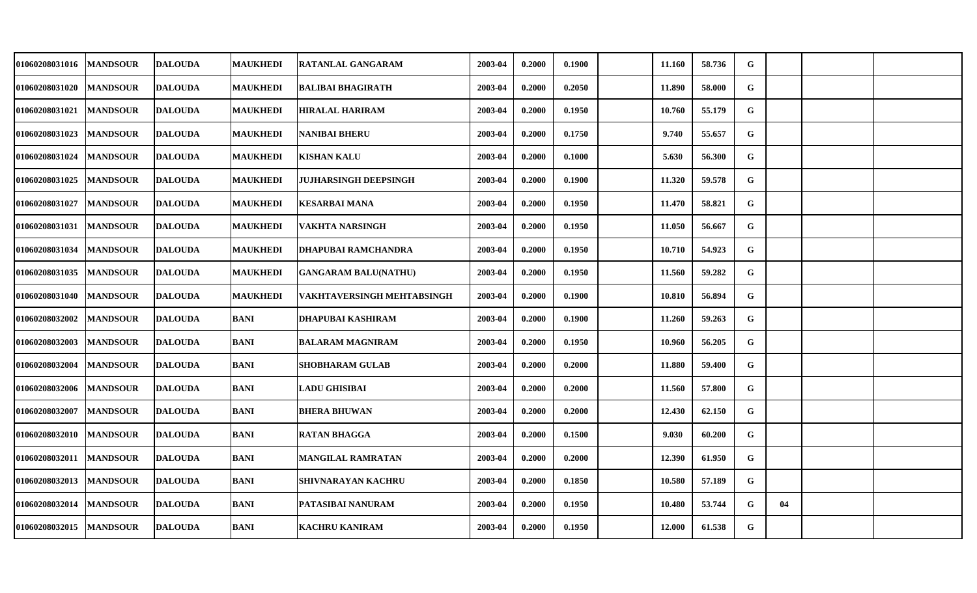| 01060208031016 | <b>MANDSOUR</b> | <b>DALOUDA</b> | <b>MAUKHEDI</b> | RATANLAL GANGARAM            | 2003-04 | 0.2000 | 0.1900 | 11.160 | 58.736 | G |    |  |
|----------------|-----------------|----------------|-----------------|------------------------------|---------|--------|--------|--------|--------|---|----|--|
| 01060208031020 | <b>MANDSOUR</b> | <b>DALOUDA</b> | <b>MAUKHEDI</b> | <b>BALIBAI BHAGIRATH</b>     | 2003-04 | 0.2000 | 0.2050 | 11.890 | 58.000 | G |    |  |
| 01060208031021 | <b>MANDSOUR</b> | <b>DALOUDA</b> | <b>MAUKHEDI</b> | <b>HIRALAL HARIRAM</b>       | 2003-04 | 0.2000 | 0.1950 | 10.760 | 55.179 | G |    |  |
| 01060208031023 | <b>MANDSOUR</b> | <b>DALOUDA</b> | <b>MAUKHEDI</b> | <b>NANIBAI BHERU</b>         | 2003-04 | 0.2000 | 0.1750 | 9.740  | 55.657 | G |    |  |
| 01060208031024 | <b>MANDSOUR</b> | <b>DALOUDA</b> | <b>MAUKHEDI</b> | KISHAN KALU                  | 2003-04 | 0.2000 | 0.1000 | 5.630  | 56.300 | G |    |  |
| 01060208031025 | <b>MANDSOUR</b> | <b>DALOUDA</b> | <b>MAUKHEDI</b> | <b>JUJHARSINGH DEEPSINGH</b> | 2003-04 | 0.2000 | 0.1900 | 11.320 | 59.578 | G |    |  |
| 01060208031027 | <b>MANDSOUR</b> | <b>DALOUDA</b> | <b>MAUKHEDI</b> | KESARBAI MANA                | 2003-04 | 0.2000 | 0.1950 | 11.470 | 58.821 | G |    |  |
| 01060208031031 | <b>MANDSOUR</b> | <b>DALOUDA</b> | <b>MAUKHEDI</b> | VAKHTA NARSINGH              | 2003-04 | 0.2000 | 0.1950 | 11.050 | 56.667 | G |    |  |
| 01060208031034 | <b>MANDSOUR</b> | <b>DALOUDA</b> | <b>MAUKHEDI</b> | <b>DHAPUBAI RAMCHANDRA</b>   | 2003-04 | 0.2000 | 0.1950 | 10.710 | 54.923 | G |    |  |
| 01060208031035 | <b>MANDSOUR</b> | <b>DALOUDA</b> | <b>MAUKHEDI</b> | <b>GANGARAM BALU(NATHU)</b>  | 2003-04 | 0.2000 | 0.1950 | 11.560 | 59.282 | G |    |  |
| 01060208031040 | <b>MANDSOUR</b> | <b>DALOUDA</b> | <b>MAUKHEDI</b> | VAKHTAVERSINGH MEHTABSINGH   | 2003-04 | 0.2000 | 0.1900 | 10.810 | 56.894 | G |    |  |
| 01060208032002 | <b>MANDSOUR</b> | <b>DALOUDA</b> | <b>BANI</b>     | <b>DHAPUBAI KASHIRAM</b>     | 2003-04 | 0.2000 | 0.1900 | 11.260 | 59.263 | G |    |  |
| 01060208032003 | <b>MANDSOUR</b> | <b>DALOUDA</b> | <b>BANI</b>     | <b>BALARAM MAGNIRAM</b>      | 2003-04 | 0.2000 | 0.1950 | 10.960 | 56.205 | G |    |  |
| 01060208032004 | <b>MANDSOUR</b> | <b>DALOUDA</b> | <b>BANI</b>     | <b>SHOBHARAM GULAB</b>       | 2003-04 | 0.2000 | 0.2000 | 11.880 | 59.400 | G |    |  |
| 01060208032006 | <b>MANDSOUR</b> | <b>DALOUDA</b> | <b>BANI</b>     | <b>LADU GHISIBAI</b>         | 2003-04 | 0.2000 | 0.2000 | 11.560 | 57.800 | G |    |  |
| 01060208032007 | <b>MANDSOUR</b> | <b>DALOUDA</b> | BANI            | <b>BHERA BHUWAN</b>          | 2003-04 | 0.2000 | 0.2000 | 12.430 | 62.150 | G |    |  |
| 01060208032010 | <b>MANDSOUR</b> | <b>DALOUDA</b> | <b>BANI</b>     | <b>RATAN BHAGGA</b>          | 2003-04 | 0.2000 | 0.1500 | 9.030  | 60.200 | G |    |  |
| 01060208032011 | <b>MANDSOUR</b> | <b>DALOUDA</b> | <b>BANI</b>     | <b>MANGILAL RAMRATAN</b>     | 2003-04 | 0.2000 | 0.2000 | 12.390 | 61.950 | G |    |  |
| 01060208032013 | <b>MANDSOUR</b> | <b>DALOUDA</b> | <b>BANI</b>     | SHIVNARAYAN KACHRU           | 2003-04 | 0.2000 | 0.1850 | 10.580 | 57.189 | G |    |  |
| 01060208032014 | <b>MANDSOUR</b> | <b>DALOUDA</b> | <b>BANI</b>     | PATASIBAI NANURAM            | 2003-04 | 0.2000 | 0.1950 | 10.480 | 53.744 | G | 04 |  |
| 01060208032015 | <b>MANDSOUR</b> | <b>DALOUDA</b> | <b>BANI</b>     | <b>KACHRU KANIRAM</b>        | 2003-04 | 0.2000 | 0.1950 | 12.000 | 61.538 | G |    |  |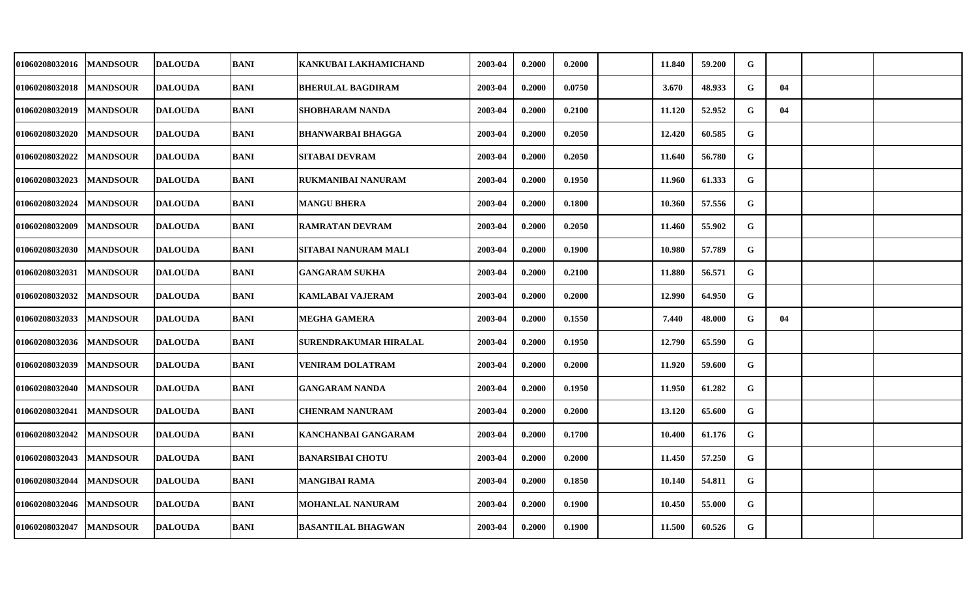| 01060208032016 | <b>MANDSOUR</b> | <b>DALOUDA</b> | BANI        | KANKUBAI LAKHAMICHAND     | 2003-04 | 0.2000 | 0.2000 | 11.840 | 59.200 | G |    |  |
|----------------|-----------------|----------------|-------------|---------------------------|---------|--------|--------|--------|--------|---|----|--|
| 01060208032018 | <b>MANDSOUR</b> | <b>DALOUDA</b> | <b>BANI</b> | <b>BHERULAL BAGDIRAM</b>  | 2003-04 | 0.2000 | 0.0750 | 3.670  | 48.933 | G | 04 |  |
| 01060208032019 | <b>MANDSOUR</b> | <b>DALOUDA</b> | <b>BANI</b> | SHOBHARAM NANDA           | 2003-04 | 0.2000 | 0.2100 | 11.120 | 52.952 | G | 04 |  |
| 01060208032020 | <b>MANDSOUR</b> | <b>DALOUDA</b> | <b>BANI</b> | <b>BHANWARBAI BHAGGA</b>  | 2003-04 | 0.2000 | 0.2050 | 12.420 | 60.585 | G |    |  |
| 01060208032022 | <b>MANDSOUR</b> | <b>DALOUDA</b> | <b>BANI</b> | <b>SITABAI DEVRAM</b>     | 2003-04 | 0.2000 | 0.2050 | 11.640 | 56.780 | G |    |  |
| 01060208032023 | <b>MANDSOUR</b> | <b>DALOUDA</b> | <b>BANI</b> | <b>RUKMANIBAI NANURAM</b> | 2003-04 | 0.2000 | 0.1950 | 11.960 | 61.333 | G |    |  |
| 01060208032024 | <b>MANDSOUR</b> | <b>DALOUDA</b> | <b>BANI</b> | <b>MANGU BHERA</b>        | 2003-04 | 0.2000 | 0.1800 | 10.360 | 57.556 | G |    |  |
| 01060208032009 | <b>MANDSOUR</b> | <b>DALOUDA</b> | <b>BANI</b> | <b>RAMRATAN DEVRAM</b>    | 2003-04 | 0.2000 | 0.2050 | 11.460 | 55.902 | G |    |  |
| 01060208032030 | <b>MANDSOUR</b> | <b>DALOUDA</b> | <b>BANI</b> | SITABAI NANURAM MALI      | 2003-04 | 0.2000 | 0.1900 | 10.980 | 57.789 | G |    |  |
| 01060208032031 | <b>MANDSOUR</b> | <b>DALOUDA</b> | <b>BANI</b> | <b>GANGARAM SUKHA</b>     | 2003-04 | 0.2000 | 0.2100 | 11.880 | 56.571 | G |    |  |
| 01060208032032 | <b>MANDSOUR</b> | <b>DALOUDA</b> | <b>BANI</b> | <b>KAMLABAI VAJERAM</b>   | 2003-04 | 0.2000 | 0.2000 | 12.990 | 64.950 | G |    |  |
| 01060208032033 | <b>MANDSOUR</b> | <b>DALOUDA</b> | <b>BANI</b> | MEGHA GAMERA              | 2003-04 | 0.2000 | 0.1550 | 7.440  | 48.000 | G | 04 |  |
| 01060208032036 | <b>MANDSOUR</b> | <b>DALOUDA</b> | <b>BANI</b> | SURENDRAKUMAR HIRALAL     | 2003-04 | 0.2000 | 0.1950 | 12.790 | 65.590 | G |    |  |
| 01060208032039 | <b>MANDSOUR</b> | <b>DALOUDA</b> | <b>BANI</b> | <b>VENIRAM DOLATRAM</b>   | 2003-04 | 0.2000 | 0.2000 | 11.920 | 59.600 | G |    |  |
| 01060208032040 | <b>MANDSOUR</b> | <b>DALOUDA</b> | <b>BANI</b> | <b>GANGARAM NANDA</b>     | 2003-04 | 0.2000 | 0.1950 | 11.950 | 61.282 | G |    |  |
| 01060208032041 | <b>MANDSOUR</b> | <b>DALOUDA</b> | <b>BANI</b> | CHENRAM NANURAM           | 2003-04 | 0.2000 | 0.2000 | 13.120 | 65.600 | G |    |  |
| 01060208032042 | <b>MANDSOUR</b> | <b>DALOUDA</b> | <b>BANI</b> | KANCHANBAI GANGARAM       | 2003-04 | 0.2000 | 0.1700 | 10.400 | 61.176 | G |    |  |
| 01060208032043 | <b>MANDSOUR</b> | <b>DALOUDA</b> | <b>BANI</b> | <b>BANARSIBAI CHOTU</b>   | 2003-04 | 0.2000 | 0.2000 | 11.450 | 57.250 | G |    |  |
| 01060208032044 | <b>MANDSOUR</b> | <b>DALOUDA</b> | <b>BANI</b> | MANGIBAI RAMA             | 2003-04 | 0.2000 | 0.1850 | 10.140 | 54.811 | G |    |  |
| 01060208032046 | <b>MANDSOUR</b> | <b>DALOUDA</b> | <b>BANI</b> | <b>MOHANLAL NANURAM</b>   | 2003-04 | 0.2000 | 0.1900 | 10.450 | 55.000 | G |    |  |
| 01060208032047 | <b>MANDSOUR</b> | <b>DALOUDA</b> | <b>BANI</b> | <b>BASANTILAL BHAGWAN</b> | 2003-04 | 0.2000 | 0.1900 | 11.500 | 60.526 | G |    |  |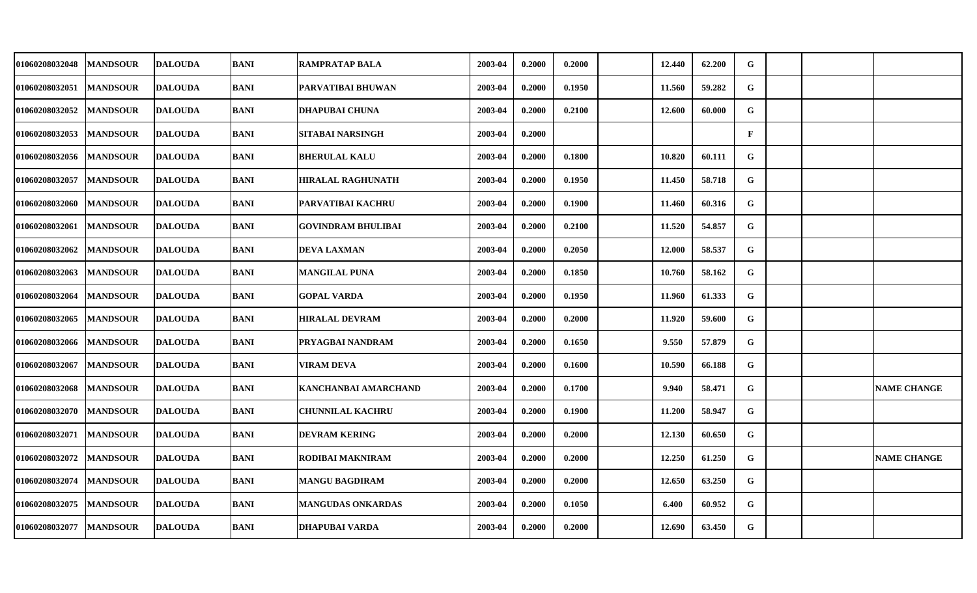| 01060208032048 | <b>MANDSOUR</b> | <b>DALOUDA</b> | BANI        | <b>RAMPRATAP BALA</b>     | 2003-04 | 0.2000 | 0.2000 | 12.440 | 62.200 | G            |  |                    |
|----------------|-----------------|----------------|-------------|---------------------------|---------|--------|--------|--------|--------|--------------|--|--------------------|
| 01060208032051 | <b>MANDSOUR</b> | <b>DALOUDA</b> | <b>BANI</b> | PARVATIBAI BHUWAN         | 2003-04 | 0.2000 | 0.1950 | 11.560 | 59.282 | $\mathbf G$  |  |                    |
| 01060208032052 | <b>MANDSOUR</b> | <b>DALOUDA</b> | <b>BANI</b> | <b>DHAPUBAI CHUNA</b>     | 2003-04 | 0.2000 | 0.2100 | 12.600 | 60.000 | G            |  |                    |
| 01060208032053 | <b>MANDSOUR</b> | <b>DALOUDA</b> | <b>BANI</b> | <b>SITABAI NARSINGH</b>   | 2003-04 | 0.2000 |        |        |        | $\mathbf{F}$ |  |                    |
| 01060208032056 | <b>MANDSOUR</b> | <b>DALOUDA</b> | <b>BANI</b> | <b>BHERULAL KALU</b>      | 2003-04 | 0.2000 | 0.1800 | 10.820 | 60.111 | G            |  |                    |
| 01060208032057 | <b>MANDSOUR</b> | <b>DALOUDA</b> | <b>BANI</b> | <b>HIRALAL RAGHUNATH</b>  | 2003-04 | 0.2000 | 0.1950 | 11.450 | 58.718 | G            |  |                    |
| 01060208032060 | <b>MANDSOUR</b> | <b>DALOUDA</b> | <b>BANI</b> | PARVATIBAI KACHRU         | 2003-04 | 0.2000 | 0.1900 | 11.460 | 60.316 | G            |  |                    |
| 01060208032061 | <b>MANDSOUR</b> | <b>DALOUDA</b> | <b>BANI</b> | <b>GOVINDRAM BHULIBAI</b> | 2003-04 | 0.2000 | 0.2100 | 11.520 | 54.857 | G            |  |                    |
| 01060208032062 | <b>MANDSOUR</b> | <b>DALOUDA</b> | <b>BANI</b> | <b>DEVA LAXMAN</b>        | 2003-04 | 0.2000 | 0.2050 | 12.000 | 58.537 | G            |  |                    |
| 01060208032063 | <b>MANDSOUR</b> | <b>DALOUDA</b> | <b>BANI</b> | <b>MANGILAL PUNA</b>      | 2003-04 | 0.2000 | 0.1850 | 10.760 | 58.162 | G            |  |                    |
| 01060208032064 | <b>MANDSOUR</b> | <b>DALOUDA</b> | <b>BANI</b> | <b>GOPAL VARDA</b>        | 2003-04 | 0.2000 | 0.1950 | 11.960 | 61.333 | G            |  |                    |
| 01060208032065 | <b>MANDSOUR</b> | <b>DALOUDA</b> | <b>BANI</b> | <b>HIRALAL DEVRAM</b>     | 2003-04 | 0.2000 | 0.2000 | 11.920 | 59.600 | $\mathbf G$  |  |                    |
| 01060208032066 | <b>MANDSOUR</b> | <b>DALOUDA</b> | <b>BANI</b> | PRYAGBAI NANDRAM          | 2003-04 | 0.2000 | 0.1650 | 9.550  | 57.879 | G            |  |                    |
| 01060208032067 | <b>MANDSOUR</b> | <b>DALOUDA</b> | <b>BANI</b> | VIRAM DEVA                | 2003-04 | 0.2000 | 0.1600 | 10.590 | 66.188 | G            |  |                    |
| 01060208032068 | <b>MANDSOUR</b> | <b>DALOUDA</b> | <b>BANI</b> | KANCHANBAI AMARCHAND      | 2003-04 | 0.2000 | 0.1700 | 9.940  | 58.471 | G            |  | <b>NAME CHANGE</b> |
| 01060208032070 | <b>MANDSOUR</b> | <b>DALOUDA</b> | BANI        | <b>CHUNNILAL KACHRU</b>   | 2003-04 | 0.2000 | 0.1900 | 11.200 | 58.947 | G            |  |                    |
| 01060208032071 | <b>MANDSOUR</b> | <b>DALOUDA</b> | <b>BANI</b> | <b>DEVRAM KERING</b>      | 2003-04 | 0.2000 | 0.2000 | 12.130 | 60.650 | G            |  |                    |
| 01060208032072 | <b>MANDSOUR</b> | <b>DALOUDA</b> | <b>BANI</b> | RODIBAI MAKNIRAM          | 2003-04 | 0.2000 | 0.2000 | 12.250 | 61.250 | G            |  | <b>NAME CHANGE</b> |
| 01060208032074 | <b>MANDSOUR</b> | <b>DALOUDA</b> | <b>BANI</b> | <b>MANGU BAGDIRAM</b>     | 2003-04 | 0.2000 | 0.2000 | 12.650 | 63.250 | G            |  |                    |
| 01060208032075 | <b>MANDSOUR</b> | <b>DALOUDA</b> | <b>BANI</b> | MANGUDAS ONKARDAS         | 2003-04 | 0.2000 | 0.1050 | 6.400  | 60.952 | G            |  |                    |
| 01060208032077 | <b>MANDSOUR</b> | <b>DALOUDA</b> | <b>BANI</b> | <b>DHAPUBAI VARDA</b>     | 2003-04 | 0.2000 | 0.2000 | 12.690 | 63.450 | G            |  |                    |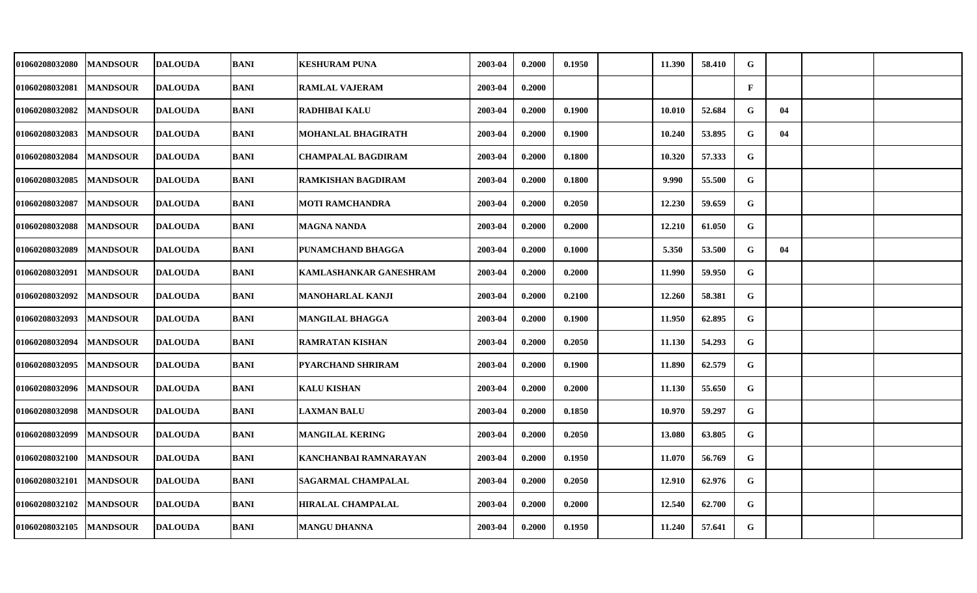| 01060208032080 | <b>MANDSOUR</b> | <b>DALOUDA</b> | BANI        | <b>KESHURAM PUNA</b>          | 2003-04 | 0.2000 | 0.1950 | 11.390 | 58.410 | G            |    |  |
|----------------|-----------------|----------------|-------------|-------------------------------|---------|--------|--------|--------|--------|--------------|----|--|
| 01060208032081 | <b>MANDSOUR</b> | <b>DALOUDA</b> | <b>BANI</b> | <b>RAMLAL VAJERAM</b>         | 2003-04 | 0.2000 |        |        |        | $\mathbf{F}$ |    |  |
| 01060208032082 | <b>MANDSOUR</b> | <b>DALOUDA</b> | <b>BANI</b> | <b>RADHIBAI KALU</b>          | 2003-04 | 0.2000 | 0.1900 | 10.010 | 52.684 | G            | 04 |  |
| 01060208032083 | <b>MANDSOUR</b> | <b>DALOUDA</b> | <b>BANI</b> | MOHANLAL BHAGIRATH            | 2003-04 | 0.2000 | 0.1900 | 10.240 | 53.895 | G            | 04 |  |
| 01060208032084 | <b>MANDSOUR</b> | <b>DALOUDA</b> | <b>BANI</b> | <b>CHAMPALAL BAGDIRAM</b>     | 2003-04 | 0.2000 | 0.1800 | 10.320 | 57.333 | G            |    |  |
| 01060208032085 | <b>MANDSOUR</b> | <b>DALOUDA</b> | <b>BANI</b> | <b>RAMKISHAN BAGDIRAM</b>     | 2003-04 | 0.2000 | 0.1800 | 9.990  | 55.500 | G            |    |  |
| 01060208032087 | <b>MANDSOUR</b> | <b>DALOUDA</b> | <b>BANI</b> | MOTI RAMCHANDRA               | 2003-04 | 0.2000 | 0.2050 | 12.230 | 59.659 | G            |    |  |
| 01060208032088 | <b>MANDSOUR</b> | <b>DALOUDA</b> | <b>BANI</b> | MAGNA NANDA                   | 2003-04 | 0.2000 | 0.2000 | 12.210 | 61.050 | G            |    |  |
| 01060208032089 | <b>MANDSOUR</b> | <b>DALOUDA</b> | <b>BANI</b> | PUNAMCHAND BHAGGA             | 2003-04 | 0.2000 | 0.1000 | 5.350  | 53.500 | G            | 04 |  |
| 01060208032091 | <b>MANDSOUR</b> | <b>DALOUDA</b> | <b>BANI</b> | <b>KAMLASHANKAR GANESHRAM</b> | 2003-04 | 0.2000 | 0.2000 | 11.990 | 59.950 | G            |    |  |
| 01060208032092 | <b>MANDSOUR</b> | <b>DALOUDA</b> | <b>BANI</b> | MANOHARLAL KANJI              | 2003-04 | 0.2000 | 0.2100 | 12.260 | 58.381 | G            |    |  |
| 01060208032093 | <b>MANDSOUR</b> | <b>DALOUDA</b> | <b>BANI</b> | MANGILAL BHAGGA               | 2003-04 | 0.2000 | 0.1900 | 11.950 | 62.895 | G            |    |  |
| 01060208032094 | <b>MANDSOUR</b> | <b>DALOUDA</b> | <b>BANI</b> | <b>RAMRATAN KISHAN</b>        | 2003-04 | 0.2000 | 0.2050 | 11.130 | 54.293 | G            |    |  |
| 01060208032095 | <b>MANDSOUR</b> | <b>DALOUDA</b> | <b>BANI</b> | <b>PYARCHAND SHRIRAM</b>      | 2003-04 | 0.2000 | 0.1900 | 11.890 | 62.579 | G            |    |  |
| 01060208032096 | <b>MANDSOUR</b> | <b>DALOUDA</b> | <b>BANI</b> | <b>KALU KISHAN</b>            | 2003-04 | 0.2000 | 0.2000 | 11.130 | 55.650 | G            |    |  |
| 01060208032098 | <b>MANDSOUR</b> | <b>DALOUDA</b> | BANI        | <b>LAXMAN BALU</b>            | 2003-04 | 0.2000 | 0.1850 | 10.970 | 59.297 | G            |    |  |
| 01060208032099 | <b>MANDSOUR</b> | <b>DALOUDA</b> | <b>BANI</b> | <b>MANGILAL KERING</b>        | 2003-04 | 0.2000 | 0.2050 | 13.080 | 63.805 | $\mathbf G$  |    |  |
| 01060208032100 | <b>MANDSOUR</b> | <b>DALOUDA</b> | <b>BANI</b> | KANCHANBAI RAMNARAYAN         | 2003-04 | 0.2000 | 0.1950 | 11.070 | 56.769 | G            |    |  |
| 01060208032101 | <b>MANDSOUR</b> | <b>DALOUDA</b> | <b>BANI</b> | <b>SAGARMAL CHAMPALAL</b>     | 2003-04 | 0.2000 | 0.2050 | 12.910 | 62.976 | G            |    |  |
| 01060208032102 | <b>MANDSOUR</b> | <b>DALOUDA</b> | BANI        | <b>HIRALAL CHAMPALAL</b>      | 2003-04 | 0.2000 | 0.2000 | 12.540 | 62.700 | $\mathbf G$  |    |  |
| 01060208032105 | <b>MANDSOUR</b> | <b>DALOUDA</b> | <b>BANI</b> | MANGU DHANNA                  | 2003-04 | 0.2000 | 0.1950 | 11.240 | 57.641 | G            |    |  |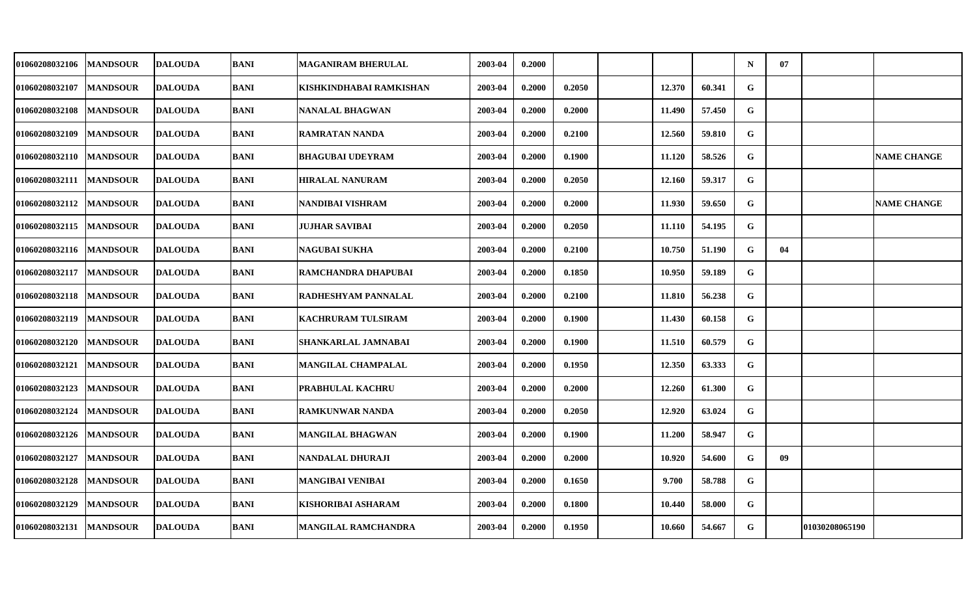| <b>01060208032106</b> | <b>MANDSOUR</b> | <b>DALOUDA</b> | <b>BANI</b> | MAGANIRAM BHERULAL      | 2003-04 | 0.2000 |        |        |        | $\mathbf N$  | 07 |                |                    |
|-----------------------|-----------------|----------------|-------------|-------------------------|---------|--------|--------|--------|--------|--------------|----|----------------|--------------------|
| 01060208032107        | <b>MANDSOUR</b> | <b>DALOUDA</b> | <b>BANI</b> | KISHKINDHABAI RAMKISHAN | 2003-04 | 0.2000 | 0.2050 | 12.370 | 60.341 | G            |    |                |                    |
| 01060208032108        | <b>MANDSOUR</b> | <b>DALOUDA</b> | <b>BANI</b> | NANALAL BHAGWAN         | 2003-04 | 0.2000 | 0.2000 | 11.490 | 57.450 | G            |    |                |                    |
| 01060208032109        | <b>MANDSOUR</b> | <b>DALOUDA</b> | <b>BANI</b> | RAMRATAN NANDA          | 2003-04 | 0.2000 | 0.2100 | 12.560 | 59.810 | G            |    |                |                    |
| 01060208032110        | <b>MANDSOUR</b> | <b>DALOUDA</b> | <b>BANI</b> | <b>BHAGUBAI UDEYRAM</b> | 2003-04 | 0.2000 | 0.1900 | 11.120 | 58.526 | G            |    |                | <b>NAME CHANGE</b> |
| 01060208032111        | <b>MANDSOUR</b> | <b>DALOUDA</b> | <b>BANI</b> | <b>HIRALAL NANURAM</b>  | 2003-04 | 0.2000 | 0.2050 | 12.160 | 59.317 | G            |    |                |                    |
| 01060208032112        | <b>MANDSOUR</b> | <b>DALOUDA</b> | <b>BANI</b> | NANDIBAI VISHRAM        | 2003-04 | 0.2000 | 0.2000 | 11.930 | 59.650 | G            |    |                | <b>NAME CHANGE</b> |
| <b>01060208032115</b> | <b>MANDSOUR</b> | <b>DALOUDA</b> | <b>BANI</b> | JUJHAR SAVIBAI          | 2003-04 | 0.2000 | 0.2050 | 11.110 | 54.195 | G            |    |                |                    |
| 01060208032116        | <b>MANDSOUR</b> | <b>DALOUDA</b> | <b>BANI</b> | NAGUBAI SUKHA           | 2003-04 | 0.2000 | 0.2100 | 10.750 | 51.190 | $\mathbf{G}$ | 04 |                |                    |
| 01060208032117        | <b>MANDSOUR</b> | <b>DALOUDA</b> | <b>BANI</b> | RAMCHANDRA DHAPUBAI     | 2003-04 | 0.2000 | 0.1850 | 10.950 | 59.189 | $\mathbf{G}$ |    |                |                    |
| 01060208032118        | <b>MANDSOUR</b> | <b>DALOUDA</b> | <b>BANI</b> | RADHESHYAM PANNALAL     | 2003-04 | 0.2000 | 0.2100 | 11.810 | 56.238 | G            |    |                |                    |
| <b>01060208032119</b> | <b>MANDSOUR</b> | <b>DALOUDA</b> | <b>BANI</b> | KACHRURAM TULSIRAM      | 2003-04 | 0.2000 | 0.1900 | 11.430 | 60.158 | G            |    |                |                    |
| 01060208032120        | <b>MANDSOUR</b> | <b>DALOUDA</b> | <b>BANI</b> | SHANKARLAL JAMNABAI     | 2003-04 | 0.2000 | 0.1900 | 11.510 | 60.579 | G            |    |                |                    |
| <b>01060208032121</b> | <b>MANDSOUR</b> | <b>DALOUDA</b> | <b>BANI</b> | MANGILAL CHAMPALAL      | 2003-04 | 0.2000 | 0.1950 | 12.350 | 63.333 | G            |    |                |                    |
| 01060208032123        | <b>MANDSOUR</b> | <b>DALOUDA</b> | <b>BANI</b> | PRABHULAL KACHRU        | 2003-04 | 0.2000 | 0.2000 | 12.260 | 61.300 | G            |    |                |                    |
| 01060208032124        | <b>MANDSOUR</b> | <b>DALOUDA</b> | <b>BANI</b> | <b>RAMKUNWAR NANDA</b>  | 2003-04 | 0.2000 | 0.2050 | 12.920 | 63.024 | G            |    |                |                    |
| 01060208032126        | <b>MANDSOUR</b> | <b>DALOUDA</b> | <b>BANI</b> | <b>MANGILAL BHAGWAN</b> | 2003-04 | 0.2000 | 0.1900 | 11.200 | 58.947 | $\mathbf{G}$ |    |                |                    |
| 01060208032127        | <b>MANDSOUR</b> | <b>DALOUDA</b> | <b>BANI</b> | NANDALAL DHURAJI        | 2003-04 | 0.2000 | 0.2000 | 10.920 | 54.600 | G            | 09 |                |                    |
| 01060208032128        | <b>MANDSOUR</b> | <b>DALOUDA</b> | <b>BANI</b> | MANGIBAI VENIBAI        | 2003-04 | 0.2000 | 0.1650 | 9.700  | 58.788 | G            |    |                |                    |
| <b>01060208032129</b> | <b>MANDSOUR</b> | <b>DALOUDA</b> | <b>BANI</b> | KISHORIBAI ASHARAM      | 2003-04 | 0.2000 | 0.1800 | 10.440 | 58.000 | G            |    |                |                    |
| <b>01060208032131</b> | <b>MANDSOUR</b> | <b>DALOUDA</b> | <b>BANI</b> | MANGILAL RAMCHANDRA     | 2003-04 | 0.2000 | 0.1950 | 10.660 | 54.667 | G            |    | 01030208065190 |                    |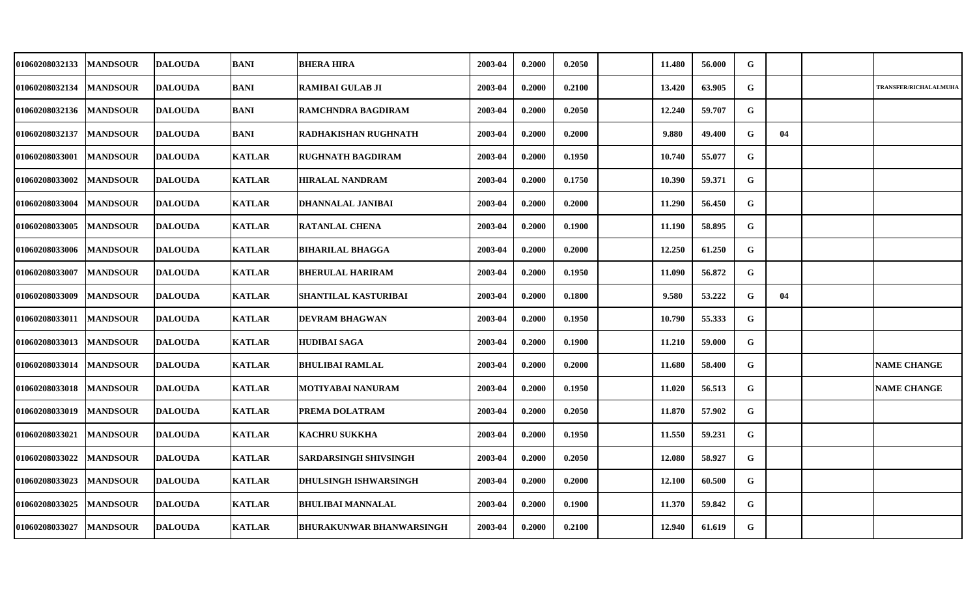| <b>01060208032133</b> | <b>MANDSOUR</b> | <b>DALOUDA</b> | <b>BANI</b>   | <b>BHERA HIRA</b>               | 2003-04 | 0.2000 | 0.2050 | 11.480 | 56.000 | G           |    |                       |
|-----------------------|-----------------|----------------|---------------|---------------------------------|---------|--------|--------|--------|--------|-------------|----|-----------------------|
| 01060208032134        | <b>MANDSOUR</b> | <b>DALOUDA</b> | <b>BANI</b>   | <b>RAMIBAI GULAB JI</b>         | 2003-04 | 0.2000 | 0.2100 | 13.420 | 63.905 | G           |    | TRANSFER/RICHALALMUHA |
| <b>01060208032136</b> | <b>MANDSOUR</b> | <b>DALOUDA</b> | <b>BANI</b>   | RAMCHNDRA BAGDIRAM              | 2003-04 | 0.2000 | 0.2050 | 12.240 | 59.707 | G           |    |                       |
| 01060208032137        | <b>MANDSOUR</b> | <b>DALOUDA</b> | <b>BANI</b>   | RADHAKISHAN RUGHNATH            | 2003-04 | 0.2000 | 0.2000 | 9.880  | 49.400 | G           | 04 |                       |
| <b>01060208033001</b> | <b>MANDSOUR</b> | <b>DALOUDA</b> | <b>KATLAR</b> | <b>RUGHNATH BAGDIRAM</b>        | 2003-04 | 0.2000 | 0.1950 | 10.740 | 55.077 | G           |    |                       |
| <b>01060208033002</b> | <b>MANDSOUR</b> | <b>DALOUDA</b> | <b>KATLAR</b> | <b>HIRALAL NANDRAM</b>          | 2003-04 | 0.2000 | 0.1750 | 10.390 | 59.371 | G           |    |                       |
| 01060208033004        | <b>MANDSOUR</b> | <b>DALOUDA</b> | <b>KATLAR</b> | DHANNALAL JANIBAI               | 2003-04 | 0.2000 | 0.2000 | 11.290 | 56.450 | G           |    |                       |
| 01060208033005        | <b>MANDSOUR</b> | <b>DALOUDA</b> | <b>KATLAR</b> | <b>RATANLAL CHENA</b>           | 2003-04 | 0.2000 | 0.1900 | 11.190 | 58.895 | G           |    |                       |
| 01060208033006        | <b>MANDSOUR</b> | <b>DALOUDA</b> | <b>KATLAR</b> | <b>BIHARILAL BHAGGA</b>         | 2003-04 | 0.2000 | 0.2000 | 12.250 | 61.250 | G           |    |                       |
| <b>01060208033007</b> | <b>MANDSOUR</b> | <b>DALOUDA</b> | <b>KATLAR</b> | <b>BHERULAL HARIRAM</b>         | 2003-04 | 0.2000 | 0.1950 | 11.090 | 56.872 | G           |    |                       |
| <b>01060208033009</b> | <b>MANDSOUR</b> | <b>DALOUDA</b> | <b>KATLAR</b> | SHANTILAL KASTURIBAI            | 2003-04 | 0.2000 | 0.1800 | 9.580  | 53.222 | G           | 04 |                       |
| <b>01060208033011</b> | <b>MANDSOUR</b> | <b>DALOUDA</b> | <b>KATLAR</b> | <b>DEVRAM BHAGWAN</b>           | 2003-04 | 0.2000 | 0.1950 | 10.790 | 55.333 | G           |    |                       |
| 01060208033013        | <b>MANDSOUR</b> | <b>DALOUDA</b> | <b>KATLAR</b> | <b>HUDIBAI SAGA</b>             | 2003-04 | 0.2000 | 0.1900 | 11.210 | 59.000 | G           |    |                       |
| <b>01060208033014</b> | <b>MANDSOUR</b> | <b>DALOUDA</b> | <b>KATLAR</b> | <b>BHULIBAI RAMLAL</b>          | 2003-04 | 0.2000 | 0.2000 | 11.680 | 58.400 | G           |    | <b>NAME CHANGE</b>    |
| 01060208033018        | <b>MANDSOUR</b> | <b>DALOUDA</b> | <b>KATLAR</b> | MOTIYABAI NANURAM               | 2003-04 | 0.2000 | 0.1950 | 11.020 | 56.513 | G           |    | <b>NAME CHANGE</b>    |
| <b>01060208033019</b> | <b>MANDSOUR</b> | <b>DALOUDA</b> | <b>KATLAR</b> | PREMA DOLATRAM                  | 2003-04 | 0.2000 | 0.2050 | 11.870 | 57.902 | G           |    |                       |
| <b>01060208033021</b> | <b>MANDSOUR</b> | <b>DALOUDA</b> | <b>KATLAR</b> | <b>KACHRU SUKKHA</b>            | 2003-04 | 0.2000 | 0.1950 | 11.550 | 59.231 | $\mathbf G$ |    |                       |
| 01060208033022        | <b>MANDSOUR</b> | <b>DALOUDA</b> | <b>KATLAR</b> | <b>SARDARSINGH SHIVSINGH</b>    | 2003-04 | 0.2000 | 0.2050 | 12.080 | 58.927 | G           |    |                       |
| 01060208033023        | <b>MANDSOUR</b> | <b>DALOUDA</b> | <b>KATLAR</b> | <b>DHULSINGH ISHWARSINGH</b>    | 2003-04 | 0.2000 | 0.2000 | 12.100 | 60.500 | G           |    |                       |
| 01060208033025        | <b>MANDSOUR</b> | <b>DALOUDA</b> | <b>KATLAR</b> | <b>BHULIBAI MANNALAL</b>        | 2003-04 | 0.2000 | 0.1900 | 11.370 | 59.842 | $\mathbf G$ |    |                       |
| <b>01060208033027</b> | <b>MANDSOUR</b> | <b>DALOUDA</b> | <b>KATLAR</b> | <b>BHURAKUNWAR BHANWARSINGH</b> | 2003-04 | 0.2000 | 0.2100 | 12.940 | 61.619 | G           |    |                       |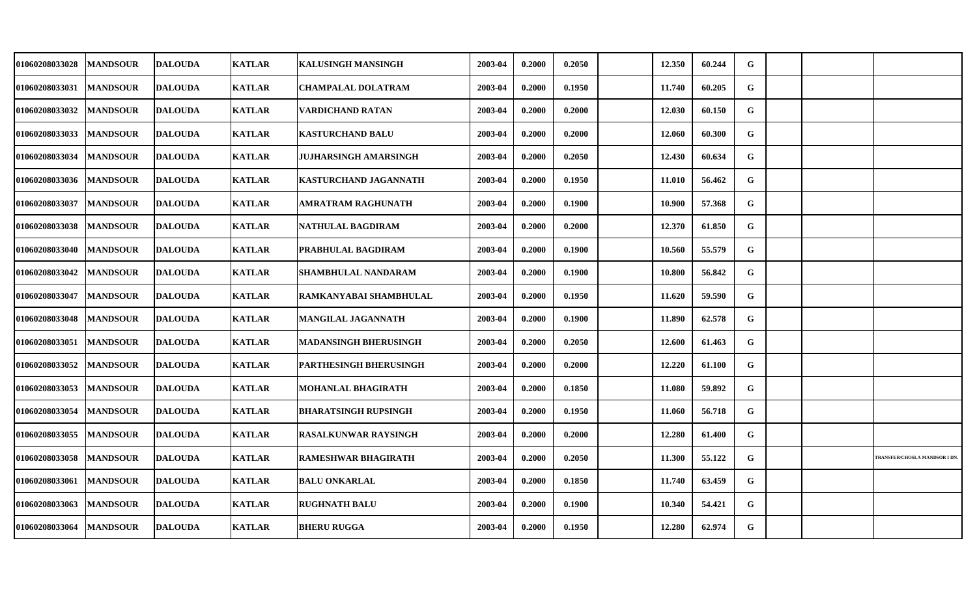| 01060208033028 | <b>MANDSOUR</b> | <b>DALOUDA</b> | <b>KATLAR</b> | <b>KALUSINGH MANSINGH</b>   | 2003-04 | 0.2000 | 0.2050 | 12.350 | 60.244 | G |  |                               |
|----------------|-----------------|----------------|---------------|-----------------------------|---------|--------|--------|--------|--------|---|--|-------------------------------|
| 01060208033031 | <b>MANDSOUR</b> | <b>DALOUDA</b> | <b>KATLAR</b> | <b>CHAMPALAL DOLATRAM</b>   | 2003-04 | 0.2000 | 0.1950 | 11.740 | 60.205 | G |  |                               |
| 01060208033032 | <b>MANDSOUR</b> | <b>DALOUDA</b> | <b>KATLAR</b> | <b>VARDICHAND RATAN</b>     | 2003-04 | 0.2000 | 0.2000 | 12.030 | 60.150 | G |  |                               |
| 01060208033033 | <b>MANDSOUR</b> | <b>DALOUDA</b> | <b>KATLAR</b> | <b>KASTURCHAND BALU</b>     | 2003-04 | 0.2000 | 0.2000 | 12.060 | 60.300 | G |  |                               |
| 01060208033034 | <b>MANDSOUR</b> | <b>DALOUDA</b> | <b>KATLAR</b> | JUJHARSINGH AMARSINGH       | 2003-04 | 0.2000 | 0.2050 | 12.430 | 60.634 | G |  |                               |
| 01060208033036 | <b>MANDSOUR</b> | <b>DALOUDA</b> | <b>KATLAR</b> | KASTURCHAND JAGANNATH       | 2003-04 | 0.2000 | 0.1950 | 11.010 | 56.462 | G |  |                               |
| 01060208033037 | <b>MANDSOUR</b> | <b>DALOUDA</b> | <b>KATLAR</b> | AMRATRAM RAGHUNATH          | 2003-04 | 0.2000 | 0.1900 | 10.900 | 57.368 | G |  |                               |
| 01060208033038 | <b>MANDSOUR</b> | <b>DALOUDA</b> | <b>KATLAR</b> | NATHULAL BAGDIRAM           | 2003-04 | 0.2000 | 0.2000 | 12.370 | 61.850 | G |  |                               |
| 01060208033040 | <b>MANDSOUR</b> | <b>DALOUDA</b> | <b>KATLAR</b> | PRABHULAL BAGDIRAM          | 2003-04 | 0.2000 | 0.1900 | 10.560 | 55.579 | G |  |                               |
| 01060208033042 | <b>MANDSOUR</b> | <b>DALOUDA</b> | <b>KATLAR</b> | SHAMBHULAL NANDARAM         | 2003-04 | 0.2000 | 0.1900 | 10.800 | 56.842 | G |  |                               |
| 01060208033047 | <b>MANDSOUR</b> | <b>DALOUDA</b> | <b>KATLAR</b> | RAMKANYABAI SHAMBHULAL      | 2003-04 | 0.2000 | 0.1950 | 11.620 | 59.590 | G |  |                               |
| 01060208033048 | <b>MANDSOUR</b> | <b>DALOUDA</b> | <b>KATLAR</b> | MANGILAL JAGANNATH          | 2003-04 | 0.2000 | 0.1900 | 11.890 | 62.578 | G |  |                               |
| 01060208033051 | <b>MANDSOUR</b> | <b>DALOUDA</b> | <b>KATLAR</b> | MADANSINGH BHERUSINGH       | 2003-04 | 0.2000 | 0.2050 | 12.600 | 61.463 | G |  |                               |
| 01060208033052 | <b>MANDSOUR</b> | <b>DALOUDA</b> | <b>KATLAR</b> | PARTHESINGH BHERUSINGH      | 2003-04 | 0.2000 | 0.2000 | 12.220 | 61.100 | G |  |                               |
| 01060208033053 | <b>MANDSOUR</b> | <b>DALOUDA</b> | <b>KATLAR</b> | MOHANLAL BHAGIRATH          | 2003-04 | 0.2000 | 0.1850 | 11.080 | 59.892 | G |  |                               |
| 01060208033054 | <b>MANDSOUR</b> | <b>DALOUDA</b> | <b>KATLAR</b> | BHARATSINGH RUPSINGH        | 2003-04 | 0.2000 | 0.1950 | 11.060 | 56.718 | G |  |                               |
| 01060208033055 | <b>MANDSOUR</b> | <b>DALOUDA</b> | <b>KATLAR</b> | <b>RASALKUNWAR RAYSINGH</b> | 2003-04 | 0.2000 | 0.2000 | 12.280 | 61.400 | G |  |                               |
| 01060208033058 | <b>MANDSOUR</b> | <b>DALOUDA</b> | <b>KATLAR</b> | <b>RAMESHWAR BHAGIRATH</b>  | 2003-04 | 0.2000 | 0.2050 | 11.300 | 55.122 | G |  | TRANSFER/CHOSLA MANDSOR I DN. |
| 01060208033061 | <b>MANDSOUR</b> | <b>DALOUDA</b> | <b>KATLAR</b> | <b>BALU ONKARLAL</b>        | 2003-04 | 0.2000 | 0.1850 | 11.740 | 63.459 | G |  |                               |
| 01060208033063 | <b>MANDSOUR</b> | <b>DALOUDA</b> | <b>KATLAR</b> | <b>RUGHNATH BALU</b>        | 2003-04 | 0.2000 | 0.1900 | 10.340 | 54.421 | G |  |                               |
| 01060208033064 | <b>MANDSOUR</b> | <b>DALOUDA</b> | <b>KATLAR</b> | <b>BHERU RUGGA</b>          | 2003-04 | 0.2000 | 0.1950 | 12.280 | 62.974 | G |  |                               |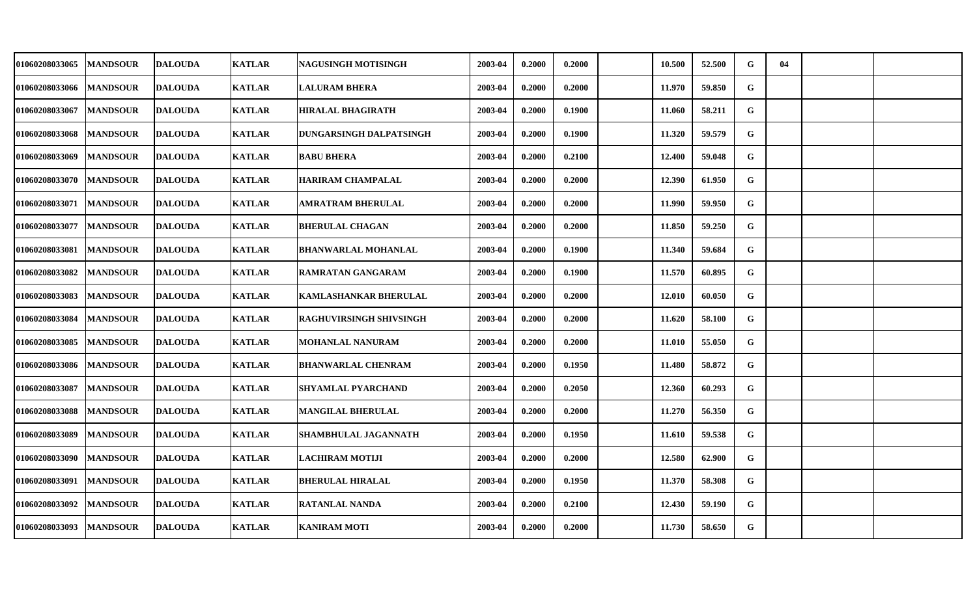| 01060208033065 | <b>MANDSOUR</b> | <b>DALOUDA</b> | <b>KATLAR</b> | NAGUSINGH MOTISINGH          | 2003-04 | 0.2000 | 0.2000 | 10.500 | 52.500 | G | 04 |  |
|----------------|-----------------|----------------|---------------|------------------------------|---------|--------|--------|--------|--------|---|----|--|
| 01060208033066 | <b>MANDSOUR</b> | <b>DALOUDA</b> | <b>KATLAR</b> | <b>LALURAM BHERA</b>         | 2003-04 | 0.2000 | 0.2000 | 11.970 | 59.850 | G |    |  |
| 01060208033067 | <b>MANDSOUR</b> | <b>DALOUDA</b> | <b>KATLAR</b> | <b>HIRALAL BHAGIRATH</b>     | 2003-04 | 0.2000 | 0.1900 | 11.060 | 58.211 | G |    |  |
| 01060208033068 | <b>MANDSOUR</b> | <b>DALOUDA</b> | <b>KATLAR</b> | DUNGARSINGH DALPATSINGH      | 2003-04 | 0.2000 | 0.1900 | 11.320 | 59.579 | G |    |  |
| 01060208033069 | <b>MANDSOUR</b> | <b>DALOUDA</b> | <b>KATLAR</b> | <b>BABU BHERA</b>            | 2003-04 | 0.2000 | 0.2100 | 12.400 | 59.048 | G |    |  |
| 01060208033070 | <b>MANDSOUR</b> | <b>DALOUDA</b> | <b>KATLAR</b> | <b>HARIRAM CHAMPALAL</b>     | 2003-04 | 0.2000 | 0.2000 | 12.390 | 61.950 | G |    |  |
| 01060208033071 | <b>MANDSOUR</b> | <b>DALOUDA</b> | <b>KATLAR</b> | AMRATRAM BHERULAL            | 2003-04 | 0.2000 | 0.2000 | 11.990 | 59.950 | G |    |  |
| 01060208033077 | <b>MANDSOUR</b> | <b>DALOUDA</b> | <b>KATLAR</b> | <b>BHERULAL CHAGAN</b>       | 2003-04 | 0.2000 | 0.2000 | 11.850 | 59.250 | G |    |  |
| 01060208033081 | <b>MANDSOUR</b> | <b>DALOUDA</b> | <b>KATLAR</b> | <b>BHANWARLAL MOHANLAL</b>   | 2003-04 | 0.2000 | 0.1900 | 11.340 | 59.684 | G |    |  |
| 01060208033082 | <b>MANDSOUR</b> | <b>DALOUDA</b> | <b>KATLAR</b> | RAMRATAN GANGARAM            | 2003-04 | 0.2000 | 0.1900 | 11.570 | 60.895 | G |    |  |
| 01060208033083 | <b>MANDSOUR</b> | <b>DALOUDA</b> | <b>KATLAR</b> | <b>KAMLASHANKAR BHERULAL</b> | 2003-04 | 0.2000 | 0.2000 | 12.010 | 60.050 | G |    |  |
| 01060208033084 | <b>MANDSOUR</b> | <b>DALOUDA</b> | <b>KATLAR</b> | RAGHUVIRSINGH SHIVSINGH      | 2003-04 | 0.2000 | 0.2000 | 11.620 | 58.100 | G |    |  |
| 01060208033085 | <b>MANDSOUR</b> | <b>DALOUDA</b> | <b>KATLAR</b> | <b>MOHANLAL NANURAM</b>      | 2003-04 | 0.2000 | 0.2000 | 11.010 | 55.050 | G |    |  |
| 01060208033086 | <b>MANDSOUR</b> | <b>DALOUDA</b> | <b>KATLAR</b> | <b>BHANWARLAL CHENRAM</b>    | 2003-04 | 0.2000 | 0.1950 | 11.480 | 58.872 | G |    |  |
| 01060208033087 | <b>MANDSOUR</b> | <b>DALOUDA</b> | <b>KATLAR</b> | <b>SHYAMLAL PYARCHAND</b>    | 2003-04 | 0.2000 | 0.2050 | 12.360 | 60.293 | G |    |  |
| 01060208033088 | <b>MANDSOUR</b> | <b>DALOUDA</b> | <b>KATLAR</b> | <b>MANGILAL BHERULAL</b>     | 2003-04 | 0.2000 | 0.2000 | 11.270 | 56.350 | G |    |  |
| 01060208033089 | <b>MANDSOUR</b> | <b>DALOUDA</b> | <b>KATLAR</b> | <b>SHAMBHULAL JAGANNATH</b>  | 2003-04 | 0.2000 | 0.1950 | 11.610 | 59.538 | G |    |  |
| 01060208033090 | <b>MANDSOUR</b> | <b>DALOUDA</b> | <b>KATLAR</b> | <b>LACHIRAM MOTIJI</b>       | 2003-04 | 0.2000 | 0.2000 | 12.580 | 62.900 | G |    |  |
| 01060208033091 | <b>MANDSOUR</b> | <b>DALOUDA</b> | <b>KATLAR</b> | <b>BHERULAL HIRALAL</b>      | 2003-04 | 0.2000 | 0.1950 | 11.370 | 58.308 | G |    |  |
| 01060208033092 | <b>MANDSOUR</b> | <b>DALOUDA</b> | <b>KATLAR</b> | <b>RATANLAL NANDA</b>        | 2003-04 | 0.2000 | 0.2100 | 12.430 | 59.190 | G |    |  |
| 01060208033093 | <b>MANDSOUR</b> | <b>DALOUDA</b> | <b>KATLAR</b> | <b>KANIRAM MOTI</b>          | 2003-04 | 0.2000 | 0.2000 | 11.730 | 58.650 | G |    |  |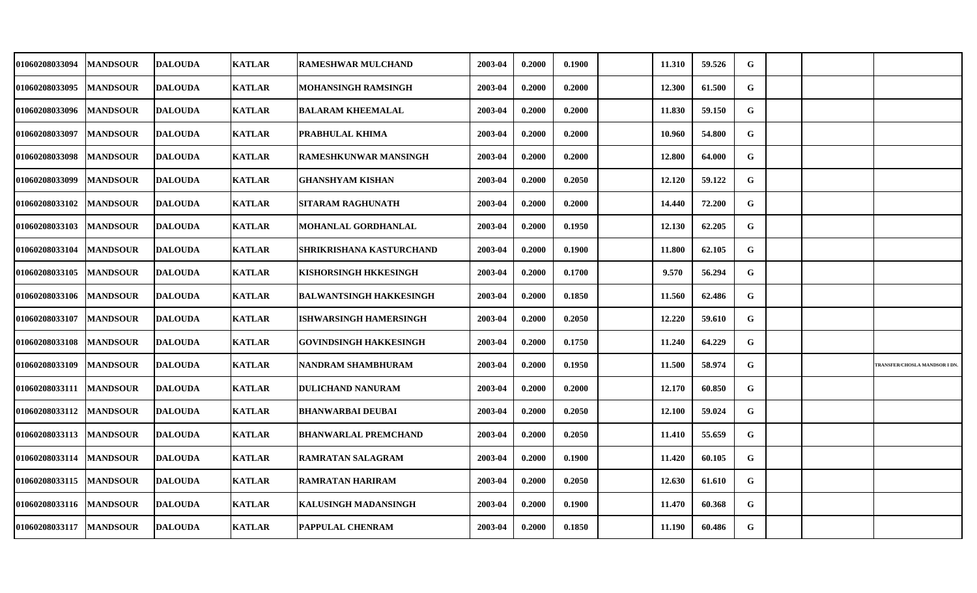| 01060208033094 | <b>MANDSOUR</b> | <b>DALOUDA</b> | <b>KATLAR</b> | <b>RAMESHWAR MULCHAND</b>      | 2003-04 | 0.2000 | 0.1900 | 11.310 | 59.526 | G |  |                               |
|----------------|-----------------|----------------|---------------|--------------------------------|---------|--------|--------|--------|--------|---|--|-------------------------------|
| 01060208033095 | <b>MANDSOUR</b> | <b>DALOUDA</b> | <b>KATLAR</b> | MOHANSINGH RAMSINGH            | 2003-04 | 0.2000 | 0.2000 | 12.300 | 61.500 | G |  |                               |
| 01060208033096 | <b>MANDSOUR</b> | <b>DALOUDA</b> | <b>KATLAR</b> | <b>BALARAM KHEEMALAL</b>       | 2003-04 | 0.2000 | 0.2000 | 11.830 | 59.150 | G |  |                               |
| 01060208033097 | <b>MANDSOUR</b> | <b>DALOUDA</b> | <b>KATLAR</b> | PRABHULAL KHIMA                | 2003-04 | 0.2000 | 0.2000 | 10.960 | 54.800 | G |  |                               |
| 01060208033098 | <b>MANDSOUR</b> | <b>DALOUDA</b> | <b>KATLAR</b> | <b>RAMESHKUNWAR MANSINGH</b>   | 2003-04 | 0.2000 | 0.2000 | 12.800 | 64.000 | G |  |                               |
| 01060208033099 | <b>MANDSOUR</b> | <b>DALOUDA</b> | <b>KATLAR</b> | <b>GHANSHYAM KISHAN</b>        | 2003-04 | 0.2000 | 0.2050 | 12.120 | 59.122 | G |  |                               |
| 01060208033102 | <b>MANDSOUR</b> | <b>DALOUDA</b> | <b>KATLAR</b> | SITARAM RAGHUNATH              | 2003-04 | 0.2000 | 0.2000 | 14.440 | 72.200 | G |  |                               |
| 01060208033103 | <b>MANDSOUR</b> | <b>DALOUDA</b> | <b>KATLAR</b> | MOHANLAL GORDHANLAL            | 2003-04 | 0.2000 | 0.1950 | 12.130 | 62.205 | G |  |                               |
| 01060208033104 | <b>MANDSOUR</b> | <b>DALOUDA</b> | <b>KATLAR</b> | SHRIKRISHANA KASTURCHAND       | 2003-04 | 0.2000 | 0.1900 | 11.800 | 62.105 | G |  |                               |
| 01060208033105 | <b>MANDSOUR</b> | <b>DALOUDA</b> | <b>KATLAR</b> | KISHORSINGH HKKESINGH          | 2003-04 | 0.2000 | 0.1700 | 9.570  | 56.294 | G |  |                               |
| 01060208033106 | <b>MANDSOUR</b> | <b>DALOUDA</b> | <b>KATLAR</b> | <b>BALWANTSINGH HAKKESINGH</b> | 2003-04 | 0.2000 | 0.1850 | 11.560 | 62.486 | G |  |                               |
| 01060208033107 | <b>MANDSOUR</b> | <b>DALOUDA</b> | <b>KATLAR</b> | ISHWARSINGH HAMERSINGH         | 2003-04 | 0.2000 | 0.2050 | 12.220 | 59.610 | G |  |                               |
| 01060208033108 | <b>MANDSOUR</b> | <b>DALOUDA</b> | <b>KATLAR</b> | <b>GOVINDSINGH HAKKESINGH</b>  | 2003-04 | 0.2000 | 0.1750 | 11.240 | 64.229 | G |  |                               |
| 01060208033109 | <b>MANDSOUR</b> | <b>DALOUDA</b> | <b>KATLAR</b> | NANDRAM SHAMBHURAM             | 2003-04 | 0.2000 | 0.1950 | 11.500 | 58.974 | G |  | TRANSFER/CHOSLA MANDSOR I DN. |
| 01060208033111 | <b>MANDSOUR</b> | <b>DALOUDA</b> | <b>KATLAR</b> | <b>DULICHAND NANURAM</b>       | 2003-04 | 0.2000 | 0.2000 | 12.170 | 60.850 | G |  |                               |
| 01060208033112 | <b>MANDSOUR</b> | <b>DALOUDA</b> | <b>KATLAR</b> | <b>BHANWARBAI DEUBAI</b>       | 2003-04 | 0.2000 | 0.2050 | 12.100 | 59.024 | G |  |                               |
| 01060208033113 | <b>MANDSOUR</b> | <b>DALOUDA</b> | <b>KATLAR</b> | <b>BHANWARLAL PREMCHAND</b>    | 2003-04 | 0.2000 | 0.2050 | 11.410 | 55.659 | G |  |                               |
| 01060208033114 | <b>MANDSOUR</b> | <b>DALOUDA</b> | <b>KATLAR</b> | <b>RAMRATAN SALAGRAM</b>       | 2003-04 | 0.2000 | 0.1900 | 11.420 | 60.105 | G |  |                               |
| 01060208033115 | <b>MANDSOUR</b> | <b>DALOUDA</b> | <b>KATLAR</b> | <b>RAMRATAN HARIRAM</b>        | 2003-04 | 0.2000 | 0.2050 | 12.630 | 61.610 | G |  |                               |
| 01060208033116 | <b>MANDSOUR</b> | <b>DALOUDA</b> | <b>KATLAR</b> | <b>KALUSINGH MADANSINGH</b>    | 2003-04 | 0.2000 | 0.1900 | 11.470 | 60.368 | G |  |                               |
| 01060208033117 | <b>MANDSOUR</b> | <b>DALOUDA</b> | <b>KATLAR</b> | PAPPULAL CHENRAM               | 2003-04 | 0.2000 | 0.1850 | 11.190 | 60.486 | G |  |                               |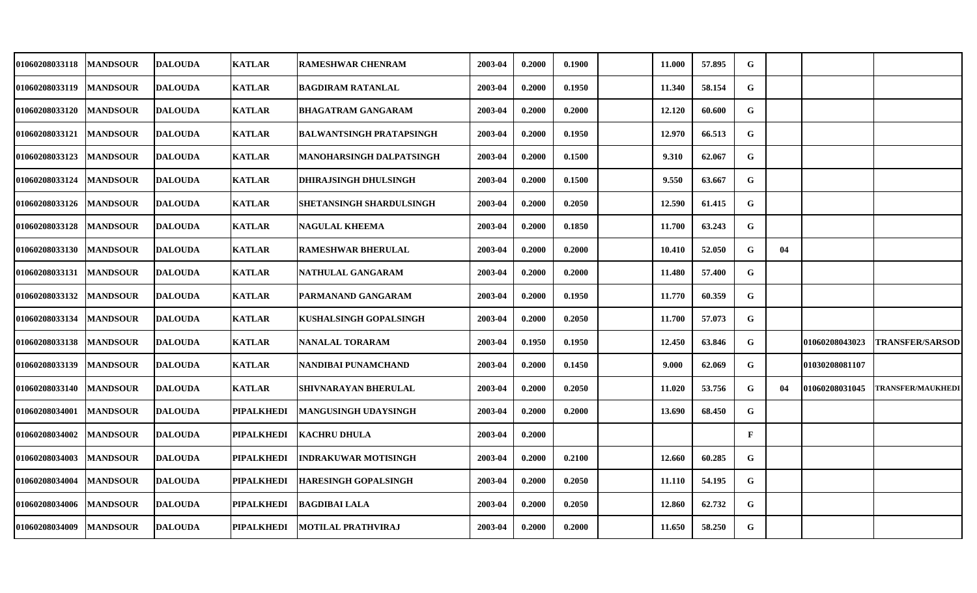| <b>01060208033118</b> | <b>MANDSOUR</b> | <b>IDALOUDA</b> | <b>KATLAR</b>     | <b>RAMESHWAR CHENRAM</b>        | 2003-04 | 0.2000 | 0.1900 | 11.000 | 57.895 | G           |    |                |                          |
|-----------------------|-----------------|-----------------|-------------------|---------------------------------|---------|--------|--------|--------|--------|-------------|----|----------------|--------------------------|
| <b>01060208033119</b> | <b>MANDSOUR</b> | <b>DALOUDA</b>  | <b>KATLAR</b>     | <b>BAGDIRAM RATANLAL</b>        | 2003-04 | 0.2000 | 0.1950 | 11.340 | 58.154 | G           |    |                |                          |
| 01060208033120        | <b>MANDSOUR</b> | <b>DALOUDA</b>  | <b>KATLAR</b>     | BHAGATRAM GANGARAM              | 2003-04 | 0.2000 | 0.2000 | 12.120 | 60.600 | G           |    |                |                          |
| 01060208033121        | <b>MANDSOUR</b> | <b>DALOUDA</b>  | <b>KATLAR</b>     | <b>BALWANTSINGH PRATAPSINGH</b> | 2003-04 | 0.2000 | 0.1950 | 12.970 | 66.513 | G           |    |                |                          |
| <b>01060208033123</b> | <b>MANDSOUR</b> | <b>DALOUDA</b>  | <b>KATLAR</b>     | MANOHARSINGH DALPATSINGH        | 2003-04 | 0.2000 | 0.1500 | 9.310  | 62.067 | G           |    |                |                          |
| 01060208033124        | <b>MANDSOUR</b> | <b>DALOUDA</b>  | <b>KATLAR</b>     | <b>DHIRAJSINGH DHULSINGH</b>    | 2003-04 | 0.2000 | 0.1500 | 9.550  | 63.667 | G           |    |                |                          |
| 01060208033126        | <b>MANDSOUR</b> | <b>DALOUDA</b>  | <b>KATLAR</b>     | SHETANSINGH SHARDULSINGH        | 2003-04 | 0.2000 | 0.2050 | 12.590 | 61.415 | G           |    |                |                          |
| 01060208033128        | <b>MANDSOUR</b> | <b>DALOUDA</b>  | <b>KATLAR</b>     | <b>NAGULAL KHEEMA</b>           | 2003-04 | 0.2000 | 0.1850 | 11.700 | 63.243 | G           |    |                |                          |
| 01060208033130        | <b>MANDSOUR</b> | <b>DALOUDA</b>  | <b>KATLAR</b>     | <b>RAMESHWAR BHERULAL</b>       | 2003-04 | 0.2000 | 0.2000 | 10.410 | 52.050 | G           | 04 |                |                          |
| 01060208033131        | <b>MANDSOUR</b> | <b>DALOUDA</b>  | <b>KATLAR</b>     | NATHULAL GANGARAM               | 2003-04 | 0.2000 | 0.2000 | 11.480 | 57.400 | G           |    |                |                          |
| <b>01060208033132</b> | <b>MANDSOUR</b> | <b>DALOUDA</b>  | <b>KATLAR</b>     | PARMANAND GANGARAM              | 2003-04 | 0.2000 | 0.1950 | 11.770 | 60.359 | G           |    |                |                          |
| <b>01060208033134</b> | <b>MANDSOUR</b> | <b>DALOUDA</b>  | <b>KATLAR</b>     | KUSHALSINGH GOPALSINGH          | 2003-04 | 0.2000 | 0.2050 | 11.700 | 57.073 | G           |    |                |                          |
| 01060208033138        | <b>MANDSOUR</b> | <b>DALOUDA</b>  | <b>KATLAR</b>     | <b>NANALAL TORARAM</b>          | 2003-04 | 0.1950 | 0.1950 | 12.450 | 63.846 | G           |    | 01060208043023 | <b>TRANSFER/SARSOD</b>   |
| 01060208033139        | <b>MANDSOUR</b> | <b>DALOUDA</b>  | <b>KATLAR</b>     | NANDIBAI PUNAMCHAND             | 2003-04 | 0.2000 | 0.1450 | 9.000  | 62.069 | G           |    | 01030208081107 |                          |
| 01060208033140        | <b>MANDSOUR</b> | <b>DALOUDA</b>  | <b>KATLAR</b>     | SHIVNARAYAN BHERULAL            | 2003-04 | 0.2000 | 0.2050 | 11.020 | 53.756 | G           | 04 | 01060208031045 | <b>TRANSFER/MAUKHEDI</b> |
| <b>01060208034001</b> | <b>MANDSOUR</b> | <b>DALOUDA</b>  | PIPALKHEDI        | <b>MANGUSINGH UDAYSINGH</b>     | 2003-04 | 0.2000 | 0.2000 | 13.690 | 68.450 | G           |    |                |                          |
| <b>01060208034002</b> | <b>MANDSOUR</b> | <b>DALOUDA</b>  | PIPALKHEDI        | <b>KACHRU DHULA</b>             | 2003-04 | 0.2000 |        |        |        | $\mathbf F$ |    |                |                          |
| 01060208034003        | <b>MANDSOUR</b> | <b>DALOUDA</b>  | <b>PIPALKHEDI</b> | INDRAKUWAR MOTISINGH            | 2003-04 | 0.2000 | 0.2100 | 12.660 | 60.285 | G           |    |                |                          |
| 01060208034004        | <b>MANDSOUR</b> | <b>DALOUDA</b>  | PIPALKHEDI        | <b>HARESINGH GOPALSINGH</b>     | 2003-04 | 0.2000 | 0.2050 | 11.110 | 54.195 | G           |    |                |                          |
| 01060208034006        | <b>MANDSOUR</b> | <b>DALOUDA</b>  | PIPALKHEDI        | <b>BAGDIBAI LALA</b>            | 2003-04 | 0.2000 | 0.2050 | 12.860 | 62.732 | G           |    |                |                          |
| 01060208034009        | <b>MANDSOUR</b> | <b>DALOUDA</b>  | PIPALKHEDI        | <b>MOTILAL PRATHVIRAJ</b>       | 2003-04 | 0.2000 | 0.2000 | 11.650 | 58.250 | G           |    |                |                          |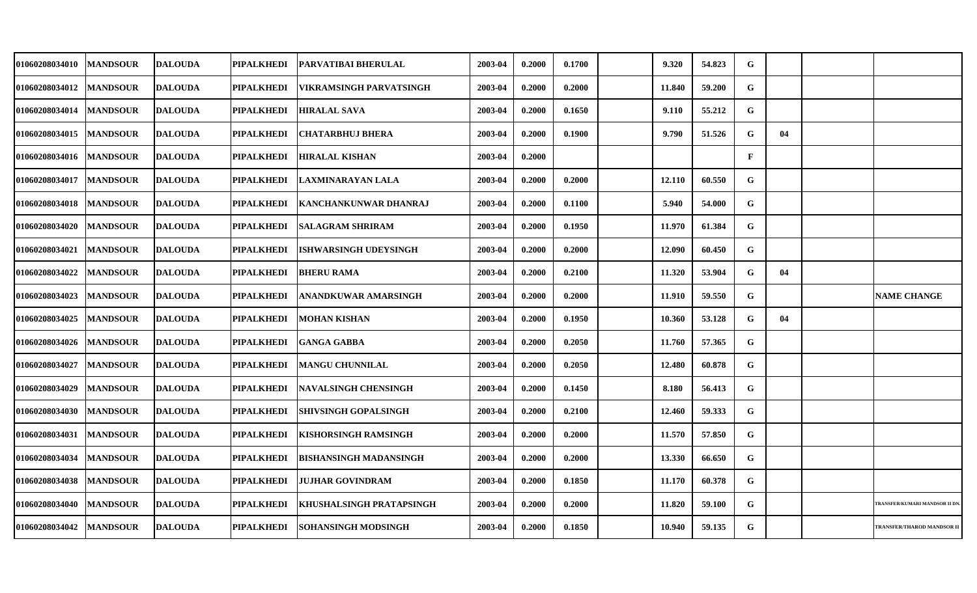| 01060208034010 | <b>MANDSOUR</b> | <b>DALOUDA</b> | <b>PIPALKHEDI</b> | <b>PARVATIBAI BHERULAL</b>    | 2003-04 | 0.2000 | 0.1700 | 9.320  | 54.823 | G           |    |                                      |
|----------------|-----------------|----------------|-------------------|-------------------------------|---------|--------|--------|--------|--------|-------------|----|--------------------------------------|
| 01060208034012 | <b>MANDSOUR</b> | <b>DALOUDA</b> | <b>PIPALKHEDI</b> | VIKRAMSINGH PARVATSINGH       | 2003-04 | 0.2000 | 0.2000 | 11.840 | 59.200 | $\mathbf G$ |    |                                      |
| 01060208034014 | <b>MANDSOUR</b> | <b>DALOUDA</b> | <b>PIPALKHEDI</b> | <b>HIRALAL SAVA</b>           | 2003-04 | 0.2000 | 0.1650 | 9.110  | 55.212 | $\mathbf G$ |    |                                      |
| 01060208034015 | <b>MANDSOUR</b> | <b>DALOUDA</b> | <b>PIPALKHEDI</b> | <b>CHATARBHUJ BHERA</b>       | 2003-04 | 0.2000 | 0.1900 | 9.790  | 51.526 | G           | 04 |                                      |
| 01060208034016 | <b>MANDSOUR</b> | <b>DALOUDA</b> | <b>PIPALKHEDI</b> | <b>HIRALAL KISHAN</b>         | 2003-04 | 0.2000 |        |        |        | $\mathbf F$ |    |                                      |
| 01060208034017 | <b>MANDSOUR</b> | <b>DALOUDA</b> | <b>PIPALKHEDI</b> | LAXMINARAYAN LALA             | 2003-04 | 0.2000 | 0.2000 | 12.110 | 60.550 | G           |    |                                      |
| 01060208034018 | <b>MANDSOUR</b> | <b>DALOUDA</b> | <b>PIPALKHEDI</b> | <b>KANCHANKUNWAR DHANRAJ</b>  | 2003-04 | 0.2000 | 0.1100 | 5.940  | 54.000 | $\mathbf G$ |    |                                      |
| 01060208034020 | <b>MANDSOUR</b> | <b>DALOUDA</b> | PIPALKHEDI        | <b>SALAGRAM SHRIRAM</b>       | 2003-04 | 0.2000 | 0.1950 | 11.970 | 61.384 | ${\bf G}$   |    |                                      |
| 01060208034021 | <b>MANDSOUR</b> | <b>DALOUDA</b> | <b>PIPALKHEDI</b> | <b>ISHWARSINGH UDEYSINGH</b>  | 2003-04 | 0.2000 | 0.2000 | 12.090 | 60.450 | G           |    |                                      |
| 01060208034022 | <b>MANDSOUR</b> | <b>DALOUDA</b> | <b>PIPALKHEDI</b> | <b>BHERU RAMA</b>             | 2003-04 | 0.2000 | 0.2100 | 11.320 | 53.904 | G           | 04 |                                      |
| 01060208034023 | <b>MANDSOUR</b> | <b>DALOUDA</b> | <b>PIPALKHEDI</b> | <b>ANANDKUWAR AMARSINGH</b>   | 2003-04 | 0.2000 | 0.2000 | 11.910 | 59.550 | $\mathbf G$ |    | <b>NAME CHANGE</b>                   |
| 01060208034025 | <b>MANDSOUR</b> | <b>DALOUDA</b> | <b>PIPALKHEDI</b> | <b>MOHAN KISHAN</b>           | 2003-04 | 0.2000 | 0.1950 | 10.360 | 53.128 | G           | 04 |                                      |
| 01060208034026 | <b>MANDSOUR</b> | <b>DALOUDA</b> | <b>PIPALKHEDI</b> | <b>GANGA GABBA</b>            | 2003-04 | 0.2000 | 0.2050 | 11.760 | 57.365 | G           |    |                                      |
| 01060208034027 | <b>MANDSOUR</b> | <b>DALOUDA</b> | <b>PIPALKHEDI</b> | <b>IMANGU CHUNNILAL</b>       | 2003-04 | 0.2000 | 0.2050 | 12.480 | 60.878 | G           |    |                                      |
| 01060208034029 | <b>MANDSOUR</b> | <b>DALOUDA</b> | <b>PIPALKHEDI</b> | <b>INAVALSINGH CHENSINGH</b>  | 2003-04 | 0.2000 | 0.1450 | 8.180  | 56.413 | G           |    |                                      |
| 01060208034030 | <b>MANDSOUR</b> | <b>DALOUDA</b> | PIPALKHEDI        | <b>SHIVSINGH GOPALSINGH</b>   | 2003-04 | 0.2000 | 0.2100 | 12.460 | 59.333 | G           |    |                                      |
| 01060208034031 | <b>MANDSOUR</b> | <b>DALOUDA</b> | <b>PIPALKHEDI</b> | <b>KISHORSINGH RAMSINGH</b>   | 2003-04 | 0.2000 | 0.2000 | 11.570 | 57.850 | $\mathbf G$ |    |                                      |
| 01060208034034 | <b>MANDSOUR</b> | <b>DALOUDA</b> | <b>PIPALKHEDI</b> | <b>BISHANSINGH MADANSINGH</b> | 2003-04 | 0.2000 | 0.2000 | 13.330 | 66.650 | ${\bf G}$   |    |                                      |
| 01060208034038 | <b>MANDSOUR</b> | <b>DALOUDA</b> | <b>PIPALKHEDI</b> | <b>JUJHAR GOVINDRAM</b>       | 2003-04 | 0.2000 | 0.1850 | 11.170 | 60.378 | $\mathbf G$ |    |                                      |
| 01060208034040 | <b>MANDSOUR</b> | <b>DALOUDA</b> | PIPALKHEDI        | KHUSHALSINGH PRATAPSINGH      | 2003-04 | 0.2000 | 0.2000 | 11.820 | 59.100 | G           |    | <b>TRANSFER/KUMARI MANDSOR II D!</b> |
| 01060208034042 | <b>MANDSOUR</b> | <b>DALOUDA</b> | <b>PIPALKHEDI</b> | <b>SOHANSINGH MODSINGH</b>    | 2003-04 | 0.2000 | 0.1850 | 10.940 | 59.135 | $\mathbf G$ |    | TRANSFER/THAROD MANDSOR II           |
|                |                 |                |                   |                               |         |        |        |        |        |             |    |                                      |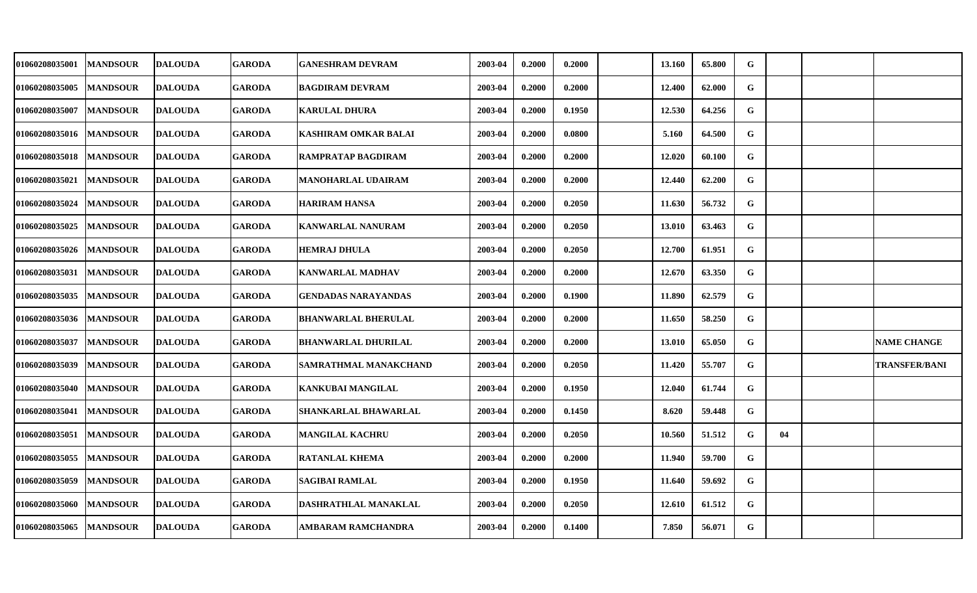| 01060208035001 | <b>MANDSOUR</b> | <b>DALOUDA</b> | <b>GARODA</b> | <b>GANESHRAM DEVRAM</b>     | 2003-04 | 0.2000 | 0.2000 | 13.160 | 65.800 | G           |    |                      |
|----------------|-----------------|----------------|---------------|-----------------------------|---------|--------|--------|--------|--------|-------------|----|----------------------|
| 01060208035005 | <b>MANDSOUR</b> | <b>DALOUDA</b> | <b>GARODA</b> | <b>BAGDIRAM DEVRAM</b>      | 2003-04 | 0.2000 | 0.2000 | 12.400 | 62.000 | G           |    |                      |
| 01060208035007 | <b>MANDSOUR</b> | <b>DALOUDA</b> | <b>GARODA</b> | <b>KARULAL DHURA</b>        | 2003-04 | 0.2000 | 0.1950 | 12.530 | 64.256 | G           |    |                      |
| 01060208035016 | <b>MANDSOUR</b> | <b>DALOUDA</b> | <b>GARODA</b> | <b>KASHIRAM OMKAR BALAI</b> | 2003-04 | 0.2000 | 0.0800 | 5.160  | 64.500 | G           |    |                      |
| 01060208035018 | <b>MANDSOUR</b> | <b>DALOUDA</b> | <b>GARODA</b> | <b>RAMPRATAP BAGDIRAM</b>   | 2003-04 | 0.2000 | 0.2000 | 12.020 | 60.100 | G           |    |                      |
| 01060208035021 | <b>MANDSOUR</b> | <b>DALOUDA</b> | <b>GARODA</b> | <b>MANOHARLAL UDAIRAM</b>   | 2003-04 | 0.2000 | 0.2000 | 12.440 | 62.200 | G           |    |                      |
| 01060208035024 | <b>MANDSOUR</b> | <b>DALOUDA</b> | <b>GARODA</b> | <b>HARIRAM HANSA</b>        | 2003-04 | 0.2000 | 0.2050 | 11.630 | 56.732 | G           |    |                      |
| 01060208035025 | <b>MANDSOUR</b> | <b>DALOUDA</b> | <b>GARODA</b> | <b>KANWARLAL NANURAM</b>    | 2003-04 | 0.2000 | 0.2050 | 13.010 | 63.463 | G           |    |                      |
| 01060208035026 | <b>MANDSOUR</b> | <b>DALOUDA</b> | <b>GARODA</b> | <b>HEMRAJ DHULA</b>         | 2003-04 | 0.2000 | 0.2050 | 12.700 | 61.951 | G           |    |                      |
| 01060208035031 | <b>MANDSOUR</b> | <b>DALOUDA</b> | <b>GARODA</b> | <b>KANWARLAL MADHAV</b>     | 2003-04 | 0.2000 | 0.2000 | 12.670 | 63.350 | $\mathbf G$ |    |                      |
| 01060208035035 | <b>MANDSOUR</b> | <b>DALOUDA</b> | <b>GARODA</b> | <b>GENDADAS NARAYANDAS</b>  | 2003-04 | 0.2000 | 0.1900 | 11.890 | 62.579 | $\mathbf G$ |    |                      |
| 01060208035036 | <b>MANDSOUR</b> | <b>DALOUDA</b> | <b>GARODA</b> | <b>BHANWARLAL BHERULAL</b>  | 2003-04 | 0.2000 | 0.2000 | 11.650 | 58.250 | G           |    |                      |
| 01060208035037 | <b>MANDSOUR</b> | <b>DALOUDA</b> | <b>GARODA</b> | <b>BHANWARLAL DHURILAL</b>  | 2003-04 | 0.2000 | 0.2000 | 13.010 | 65.050 | G           |    | <b>NAME CHANGE</b>   |
| 01060208035039 | <b>MANDSOUR</b> | <b>DALOUDA</b> | <b>GARODA</b> | SAMRATHMAL MANAKCHAND       | 2003-04 | 0.2000 | 0.2050 | 11.420 | 55.707 | G           |    | <b>TRANSFER/BANI</b> |
| 01060208035040 | <b>MANDSOUR</b> | <b>DALOUDA</b> | <b>GARODA</b> | <b>KANKUBAI MANGILAL</b>    | 2003-04 | 0.2000 | 0.1950 | 12.040 | 61.744 | G           |    |                      |
| 01060208035041 | <b>MANDSOUR</b> | <b>DALOUDA</b> | <b>GARODA</b> | SHANKARLAL BHAWARLAL        | 2003-04 | 0.2000 | 0.1450 | 8.620  | 59.448 | G           |    |                      |
| 01060208035051 | <b>MANDSOUR</b> | <b>DALOUDA</b> | <b>GARODA</b> | <b>MANGILAL KACHRU</b>      | 2003-04 | 0.2000 | 0.2050 | 10.560 | 51.512 | G           | 04 |                      |
| 01060208035055 | <b>MANDSOUR</b> | <b>DALOUDA</b> | <b>GARODA</b> | <b>RATANLAL KHEMA</b>       | 2003-04 | 0.2000 | 0.2000 | 11.940 | 59.700 | G           |    |                      |
| 01060208035059 | <b>MANDSOUR</b> | <b>DALOUDA</b> | <b>GARODA</b> | <b>SAGIBAI RAMLAL</b>       | 2003-04 | 0.2000 | 0.1950 | 11.640 | 59.692 | G           |    |                      |
| 01060208035060 | <b>MANDSOUR</b> | <b>DALOUDA</b> | <b>GARODA</b> | DASHRATHLAL MANAKLAL        | 2003-04 | 0.2000 | 0.2050 | 12.610 | 61.512 | G           |    |                      |
| 01060208035065 | <b>MANDSOUR</b> | <b>DALOUDA</b> | <b>GARODA</b> | AMBARAM RAMCHANDRA          | 2003-04 | 0.2000 | 0.1400 | 7.850  | 56.071 | G           |    |                      |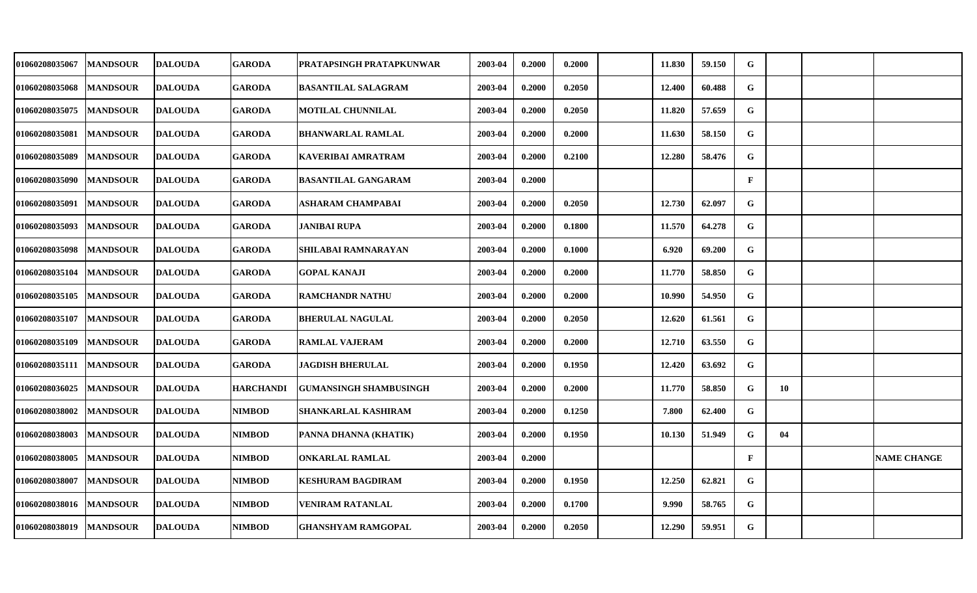| 01060208035067 | <b>MANDSOUR</b> | <b>DALOUDA</b> | <b>GARODA</b>    | PRATAPSINGH PRATAPKUNWAR      | 2003-04 | 0.2000 | 0.2000 | 11.830 | 59.150 | G            |    |                    |
|----------------|-----------------|----------------|------------------|-------------------------------|---------|--------|--------|--------|--------|--------------|----|--------------------|
| 01060208035068 | <b>MANDSOUR</b> | <b>DALOUDA</b> | <b>GARODA</b>    | <b>BASANTILAL SALAGRAM</b>    | 2003-04 | 0.2000 | 0.2050 | 12.400 | 60.488 | G            |    |                    |
| 01060208035075 | <b>MANDSOUR</b> | <b>DALOUDA</b> | <b>GARODA</b>    | <b>MOTILAL CHUNNILAL</b>      | 2003-04 | 0.2000 | 0.2050 | 11.820 | 57.659 | G            |    |                    |
| 01060208035081 | <b>MANDSOUR</b> | <b>DALOUDA</b> | <b>GARODA</b>    | <b>BHANWARLAL RAMLAL</b>      | 2003-04 | 0.2000 | 0.2000 | 11.630 | 58.150 | G            |    |                    |
| 01060208035089 | <b>MANDSOUR</b> | <b>DALOUDA</b> | <b>GARODA</b>    | KAVERIBAI AMRATRAM            | 2003-04 | 0.2000 | 0.2100 | 12.280 | 58.476 | G            |    |                    |
| 01060208035090 | <b>MANDSOUR</b> | <b>DALOUDA</b> | <b>GARODA</b>    | <b>BASANTILAL GANGARAM</b>    | 2003-04 | 0.2000 |        |        |        | $\mathbf{F}$ |    |                    |
| 01060208035091 | <b>MANDSOUR</b> | <b>DALOUDA</b> | <b>GARODA</b>    | ASHARAM CHAMPABAI             | 2003-04 | 0.2000 | 0.2050 | 12.730 | 62.097 | G            |    |                    |
| 01060208035093 | <b>MANDSOUR</b> | <b>DALOUDA</b> | <b>GARODA</b>    | <b>JANIBAI RUPA</b>           | 2003-04 | 0.2000 | 0.1800 | 11.570 | 64.278 | G            |    |                    |
| 01060208035098 | <b>MANDSOUR</b> | <b>DALOUDA</b> | <b>GARODA</b>    | SHILABAI RAMNARAYAN           | 2003-04 | 0.2000 | 0.1000 | 6.920  | 69.200 | G            |    |                    |
| 01060208035104 | <b>MANDSOUR</b> | <b>DALOUDA</b> | <b>GARODA</b>    | <b>GOPAL KANAJI</b>           | 2003-04 | 0.2000 | 0.2000 | 11.770 | 58.850 | G            |    |                    |
| 01060208035105 | <b>MANDSOUR</b> | <b>DALOUDA</b> | <b>GARODA</b>    | <b>RAMCHANDR NATHU</b>        | 2003-04 | 0.2000 | 0.2000 | 10.990 | 54.950 | G            |    |                    |
| 01060208035107 | <b>MANDSOUR</b> | <b>DALOUDA</b> | <b>GARODA</b>    | <b>BHERULAL NAGULAL</b>       | 2003-04 | 0.2000 | 0.2050 | 12.620 | 61.561 | G            |    |                    |
| 01060208035109 | <b>MANDSOUR</b> | <b>DALOUDA</b> | <b>GARODA</b>    | <b>RAMLAL VAJERAM</b>         | 2003-04 | 0.2000 | 0.2000 | 12.710 | 63.550 | G            |    |                    |
| 01060208035111 | <b>MANDSOUR</b> | <b>DALOUDA</b> | <b>GARODA</b>    | <b>JAGDISH BHERULAL</b>       | 2003-04 | 0.2000 | 0.1950 | 12.420 | 63.692 | G            |    |                    |
| 01060208036025 | <b>MANDSOUR</b> | <b>DALOUDA</b> | <b>HARCHANDI</b> | <b>GUMANSINGH SHAMBUSINGH</b> | 2003-04 | 0.2000 | 0.2000 | 11.770 | 58.850 | G            | 10 |                    |
| 01060208038002 | <b>MANDSOUR</b> | <b>DALOUDA</b> | <b>NIMBOD</b>    | SHANKARLAL KASHIRAM           | 2003-04 | 0.2000 | 0.1250 | 7.800  | 62.400 | G            |    |                    |
| 01060208038003 | <b>MANDSOUR</b> | <b>DALOUDA</b> | <b>NIMBOD</b>    | PANNA DHANNA (KHATIK)         | 2003-04 | 0.2000 | 0.1950 | 10.130 | 51.949 | G            | 04 |                    |
| 01060208038005 | <b>MANDSOUR</b> | <b>DALOUDA</b> | <b>NIMBOD</b>    | <b>ONKARLAL RAMLAL</b>        | 2003-04 | 0.2000 |        |        |        | $\mathbf{F}$ |    | <b>NAME CHANGE</b> |
| 01060208038007 | <b>MANDSOUR</b> | <b>DALOUDA</b> | <b>NIMBOD</b>    | <b>KESHURAM BAGDIRAM</b>      | 2003-04 | 0.2000 | 0.1950 | 12.250 | 62.821 | G            |    |                    |
| 01060208038016 | <b>MANDSOUR</b> | <b>DALOUDA</b> | NIMBOD           | <b>VENIRAM RATANLAL</b>       | 2003-04 | 0.2000 | 0.1700 | 9.990  | 58.765 | G            |    |                    |
| 01060208038019 | <b>MANDSOUR</b> | <b>DALOUDA</b> | NIMBOD           | <b>GHANSHYAM RAMGOPAL</b>     | 2003-04 | 0.2000 | 0.2050 | 12.290 | 59.951 | G            |    |                    |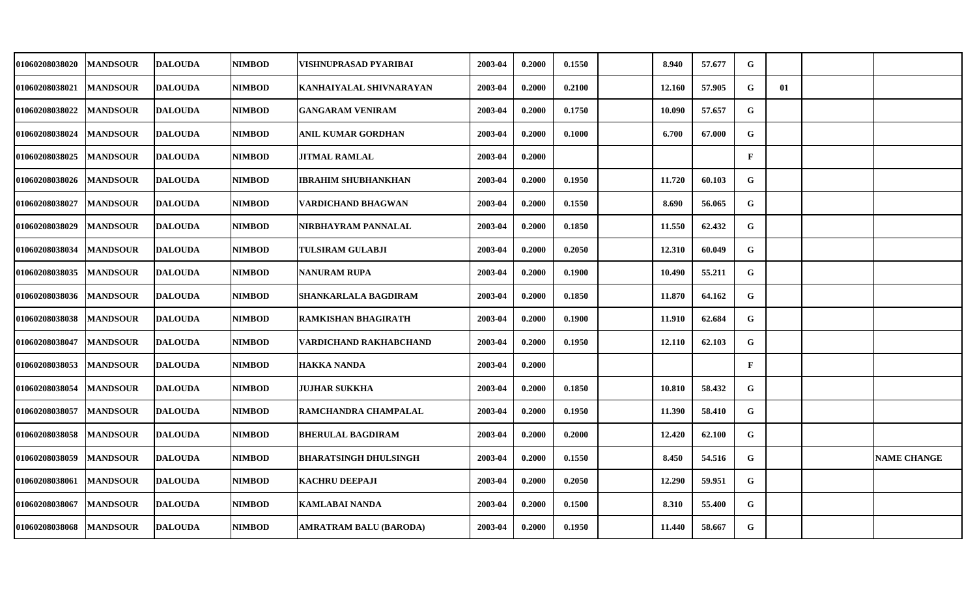| 01060208038020        | <b>MANDSOUR</b> | <b>DALOUDA</b> | <b>NIMBOD</b> | VISHNUPRASAD PYARIBAI      | 2003-04 | 0.2000 | 0.1550 | 8.940  | 57.677 | G            |    |                    |
|-----------------------|-----------------|----------------|---------------|----------------------------|---------|--------|--------|--------|--------|--------------|----|--------------------|
| <b>01060208038021</b> | <b>MANDSOUR</b> | <b>DALOUDA</b> | <b>NIMBOD</b> | KANHAIYALAL SHIVNARAYAN    | 2003-04 | 0.2000 | 0.2100 | 12.160 | 57.905 | ${\bf G}$    | 01 |                    |
| 01060208038022        | <b>MANDSOUR</b> | <b>DALOUDA</b> | <b>NIMBOD</b> | <b>GANGARAM VENIRAM</b>    | 2003-04 | 0.2000 | 0.1750 | 10.090 | 57.657 | G            |    |                    |
| 01060208038024        | <b>MANDSOUR</b> | <b>DALOUDA</b> | <b>NIMBOD</b> | ANIL KUMAR GORDHAN         | 2003-04 | 0.2000 | 0.1000 | 6.700  | 67.000 | G            |    |                    |
| 01060208038025        | <b>MANDSOUR</b> | <b>DALOUDA</b> | NIMBOD        | <b>JITMAL RAMLAL</b>       | 2003-04 | 0.2000 |        |        |        | $\mathbf{F}$ |    |                    |
| 01060208038026        | <b>MANDSOUR</b> | <b>DALOUDA</b> | <b>NIMBOD</b> | <b>IBRAHIM SHUBHANKHAN</b> | 2003-04 | 0.2000 | 0.1950 | 11.720 | 60.103 | G            |    |                    |
| <b>01060208038027</b> | <b>MANDSOUR</b> | <b>DALOUDA</b> | <b>NIMBOD</b> | VARDICHAND BHAGWAN         | 2003-04 | 0.2000 | 0.1550 | 8.690  | 56.065 | G            |    |                    |
| 01060208038029        | <b>MANDSOUR</b> | <b>DALOUDA</b> | <b>NIMBOD</b> | NIRBHAYRAM PANNALAL        | 2003-04 | 0.2000 | 0.1850 | 11.550 | 62.432 | G            |    |                    |
| 01060208038034        | <b>MANDSOUR</b> | <b>DALOUDA</b> | <b>NIMBOD</b> | <b>TULSIRAM GULABJI</b>    | 2003-04 | 0.2000 | 0.2050 | 12.310 | 60.049 | G            |    |                    |
| 01060208038035        | <b>MANDSOUR</b> | <b>DALOUDA</b> | <b>NIMBOD</b> | <b>NANURAM RUPA</b>        | 2003-04 | 0.2000 | 0.1900 | 10.490 | 55.211 | G            |    |                    |
| 01060208038036        | <b>MANDSOUR</b> | <b>DALOUDA</b> | <b>NIMBOD</b> | SHANKARLALA BAGDIRAM       | 2003-04 | 0.2000 | 0.1850 | 11.870 | 64.162 | G            |    |                    |
| 01060208038038        | <b>MANDSOUR</b> | <b>DALOUDA</b> | NIMBOD        | RAMKISHAN BHAGIRATH        | 2003-04 | 0.2000 | 0.1900 | 11.910 | 62.684 | G            |    |                    |
| 01060208038047        | <b>MANDSOUR</b> | <b>DALOUDA</b> | <b>NIMBOD</b> | VARDICHAND RAKHABCHAND     | 2003-04 | 0.2000 | 0.1950 | 12.110 | 62.103 | G            |    |                    |
| 01060208038053        | <b>MANDSOUR</b> | <b>DALOUDA</b> | <b>NIMBOD</b> | HAKKA NANDA                | 2003-04 | 0.2000 |        |        |        | $\mathbf{F}$ |    |                    |
| 01060208038054        | <b>MANDSOUR</b> | <b>DALOUDA</b> | <b>NIMBOD</b> | <b>JUJHAR SUKKHA</b>       | 2003-04 | 0.2000 | 0.1850 | 10.810 | 58.432 | G            |    |                    |
| <b>01060208038057</b> | <b>MANDSOUR</b> | <b>DALOUDA</b> | <b>NIMBOD</b> | RAMCHANDRA CHAMPALAL       | 2003-04 | 0.2000 | 0.1950 | 11.390 | 58.410 | G            |    |                    |
| 01060208038058        | <b>MANDSOUR</b> | <b>DALOUDA</b> | <b>NIMBOD</b> | <b>BHERULAL BAGDIRAM</b>   | 2003-04 | 0.2000 | 0.2000 | 12.420 | 62.100 | $\mathbf G$  |    |                    |
| 01060208038059        | <b>MANDSOUR</b> | <b>DALOUDA</b> | <b>NIMBOD</b> | BHARATSINGH DHULSINGH      | 2003-04 | 0.2000 | 0.1550 | 8.450  | 54.516 | G            |    | <b>NAME CHANGE</b> |
| 01060208038061        | <b>MANDSOUR</b> | <b>DALOUDA</b> | <b>NIMBOD</b> | <b>KACHRU DEEPAJI</b>      | 2003-04 | 0.2000 | 0.2050 | 12.290 | 59.951 | G            |    |                    |
| <b>01060208038067</b> | <b>MANDSOUR</b> | <b>DALOUDA</b> | <b>NIMBOD</b> | <b>KAMLABAI NANDA</b>      | 2003-04 | 0.2000 | 0.1500 | 8.310  | 55.400 | G            |    |                    |
| 01060208038068        | <b>MANDSOUR</b> | <b>DALOUDA</b> | <b>NIMBOD</b> | AMRATRAM BALU (BARODA)     | 2003-04 | 0.2000 | 0.1950 | 11.440 | 58.667 | G            |    |                    |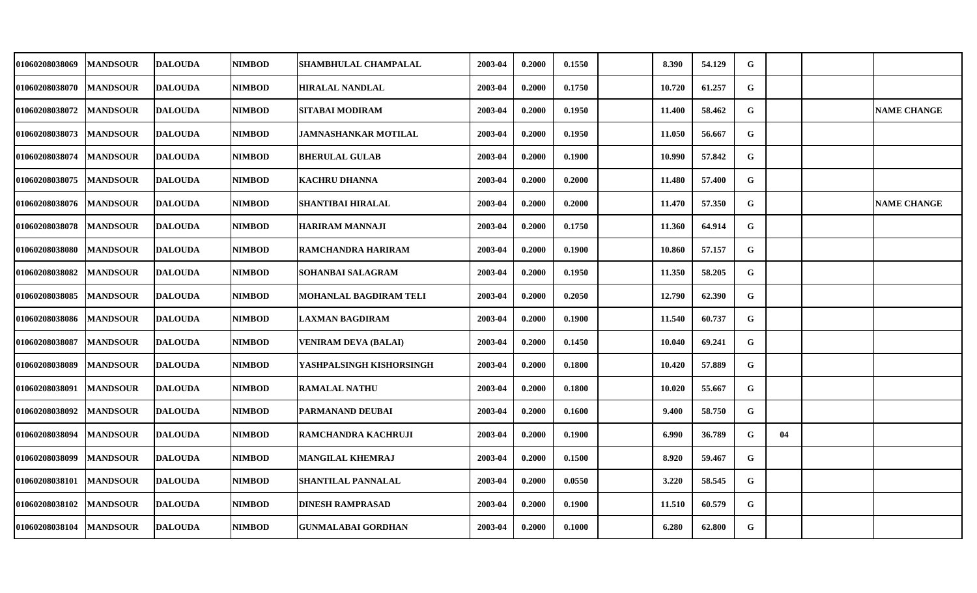| 01060208038069        | <b>MANDSOUR</b> | <b>DALOUDA</b>  | <b>NIMBOD</b> | SHAMBHULAL CHAMPALAL        | 2003-04 | 0.2000 | 0.1550 | 8.390  | 54.129 | G |    |                    |
|-----------------------|-----------------|-----------------|---------------|-----------------------------|---------|--------|--------|--------|--------|---|----|--------------------|
| <b>01060208038070</b> | <b>MANDSOUR</b> | <b>DALOUDA</b>  | <b>NIMBOD</b> | <b>HIRALAL NANDLAL</b>      | 2003-04 | 0.2000 | 0.1750 | 10.720 | 61.257 | G |    |                    |
| <b>01060208038072</b> | <b>MANDSOUR</b> | <b>DALOUDA</b>  | <b>NIMBOD</b> | SITABAI MODIRAM             | 2003-04 | 0.2000 | 0.1950 | 11.400 | 58.462 | G |    | <b>NAME CHANGE</b> |
| 01060208038073        | <b>MANDSOUR</b> | <b>DALOUDA</b>  | <b>NIMBOD</b> | <b>JAMNASHANKAR MOTILAL</b> | 2003-04 | 0.2000 | 0.1950 | 11.050 | 56.667 | G |    |                    |
| <b>01060208038074</b> | <b>MANDSOUR</b> | <b>DALOUDA</b>  | <b>NIMBOD</b> | <b>BHERULAL GULAB</b>       | 2003-04 | 0.2000 | 0.1900 | 10.990 | 57.842 | G |    |                    |
| 01060208038075        | <b>MANDSOUR</b> | <b>DALOUDA</b>  | <b>NIMBOD</b> | <b>KACHRU DHANNA</b>        | 2003-04 | 0.2000 | 0.2000 | 11.480 | 57.400 | G |    |                    |
| 01060208038076        | <b>MANDSOUR</b> | <b>DALOUDA</b>  | <b>NIMBOD</b> | <b>SHANTIBAI HIRALAL</b>    | 2003-04 | 0.2000 | 0.2000 | 11.470 | 57.350 | G |    | <b>NAME CHANGE</b> |
| 01060208038078        | <b>MANDSOUR</b> | <b>DALOUDA</b>  | <b>NIMBOD</b> | <b>HARIRAM MANNAJI</b>      | 2003-04 | 0.2000 | 0.1750 | 11.360 | 64.914 | G |    |                    |
| 01060208038080        | <b>MANDSOUR</b> | <b>DALOUDA</b>  | <b>NIMBOD</b> | RAMCHANDRA HARIRAM          | 2003-04 | 0.2000 | 0.1900 | 10.860 | 57.157 | G |    |                    |
| <b>01060208038082</b> | <b>MANDSOUR</b> | <b>DALOUDA</b>  | <b>NIMBOD</b> | SOHANBAI SALAGRAM           | 2003-04 | 0.2000 | 0.1950 | 11.350 | 58.205 | G |    |                    |
| 01060208038085        | <b>MANDSOUR</b> | <b>DALOUDA</b>  | <b>NIMBOD</b> | MOHANLAL BAGDIRAM TELI      | 2003-04 | 0.2000 | 0.2050 | 12.790 | 62.390 | G |    |                    |
| <b>01060208038086</b> | <b>MANDSOUR</b> | <b>DALOUDA</b>  | NIMBOD        | <b>LAXMAN BAGDIRAM</b>      | 2003-04 | 0.2000 | 0.1900 | 11.540 | 60.737 | G |    |                    |
| 01060208038087        | <b>MANDSOUR</b> | <b>DALOUDA</b>  | <b>NIMBOD</b> | VENIRAM DEVA (BALAI)        | 2003-04 | 0.2000 | 0.1450 | 10.040 | 69.241 | G |    |                    |
| 01060208038089        | <b>MANDSOUR</b> | <b>DALOUDA</b>  | <b>NIMBOD</b> | YASHPALSINGH KISHORSINGH    | 2003-04 | 0.2000 | 0.1800 | 10.420 | 57.889 | G |    |                    |
| 01060208038091        | <b>MANDSOUR</b> | <b>IDALOUDA</b> | <b>NIMBOD</b> | <b>RAMALAL NATHU</b>        | 2003-04 | 0.2000 | 0.1800 | 10.020 | 55.667 | G |    |                    |
| <b>01060208038092</b> | <b>MANDSOUR</b> | <b>DALOUDA</b>  | <b>NIMBOD</b> | PARMANAND DEUBAI            | 2003-04 | 0.2000 | 0.1600 | 9.400  | 58.750 | G |    |                    |
| 01060208038094        | <b>MANDSOUR</b> | <b>DALOUDA</b>  | <b>NIMBOD</b> | RAMCHANDRA KACHRUJI         | 2003-04 | 0.2000 | 0.1900 | 6.990  | 36.789 | G | 04 |                    |
| 01060208038099        | <b>MANDSOUR</b> | <b>DALOUDA</b>  | <b>NIMBOD</b> | MANGILAL KHEMRAJ            | 2003-04 | 0.2000 | 0.1500 | 8.920  | 59.467 | G |    |                    |
| 01060208038101        | <b>MANDSOUR</b> | <b>DALOUDA</b>  | <b>NIMBOD</b> | <b>SHANTILAL PANNALAL</b>   | 2003-04 | 0.2000 | 0.0550 | 3.220  | 58.545 | G |    |                    |
| <b>01060208038102</b> | <b>MANDSOUR</b> | <b>DALOUDA</b>  | <b>NIMBOD</b> | <b>DINESH RAMPRASAD</b>     | 2003-04 | 0.2000 | 0.1900 | 11.510 | 60.579 | G |    |                    |
| 01060208038104        | <b>MANDSOUR</b> | <b>DALOUDA</b>  | NIMBOD        | <b>GUNMALABAI GORDHAN</b>   | 2003-04 | 0.2000 | 0.1000 | 6.280  | 62.800 | G |    |                    |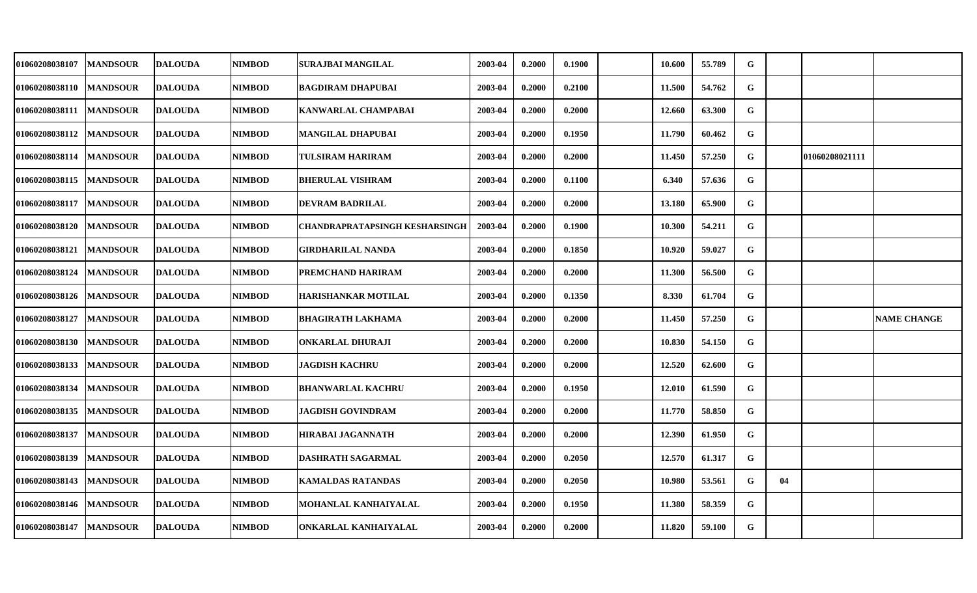| 01060208038107 | <b>MANDSOUR</b> | <b>DALOUDA</b> | <b>NIMBOD</b> | <b>SURAJBAI MANGILAL</b>       | 2003-04 | 0.2000 | 0.1900 | 10.600 | 55.789 | G           |    |                |                    |
|----------------|-----------------|----------------|---------------|--------------------------------|---------|--------|--------|--------|--------|-------------|----|----------------|--------------------|
| 01060208038110 | <b>MANDSOUR</b> | <b>DALOUDA</b> | NIMBOD        | <b>BAGDIRAM DHAPUBAI</b>       | 2003-04 | 0.2000 | 0.2100 | 11.500 | 54.762 | G           |    |                |                    |
| 01060208038111 | <b>MANDSOUR</b> | <b>DALOUDA</b> | <b>NIMBOD</b> | <b>KANWARLAL CHAMPABAI</b>     | 2003-04 | 0.2000 | 0.2000 | 12.660 | 63.300 | G           |    |                |                    |
| 01060208038112 | <b>MANDSOUR</b> | <b>DALOUDA</b> | <b>NIMBOD</b> | <b>MANGILAL DHAPUBAI</b>       | 2003-04 | 0.2000 | 0.1950 | 11.790 | 60.462 | G           |    |                |                    |
| 01060208038114 | <b>MANDSOUR</b> | <b>DALOUDA</b> | <b>NIMBOD</b> | <b>TULSIRAM HARIRAM</b>        | 2003-04 | 0.2000 | 0.2000 | 11.450 | 57.250 | G           |    | 01060208021111 |                    |
| 01060208038115 | <b>MANDSOUR</b> | <b>DALOUDA</b> | <b>NIMBOD</b> | <b>BHERULAL VISHRAM</b>        | 2003-04 | 0.2000 | 0.1100 | 6.340  | 57.636 | G           |    |                |                    |
| 01060208038117 | <b>MANDSOUR</b> | <b>DALOUDA</b> | <b>NIMBOD</b> | DEVRAM BADRILAL                | 2003-04 | 0.2000 | 0.2000 | 13.180 | 65.900 | G           |    |                |                    |
| 01060208038120 | <b>MANDSOUR</b> | <b>DALOUDA</b> | <b>NIMBOD</b> | CHANDRAPRATAPSINGH KESHARSINGH | 2003-04 | 0.2000 | 0.1900 | 10.300 | 54.211 | G           |    |                |                    |
| 01060208038121 | <b>MANDSOUR</b> | <b>DALOUDA</b> | <b>NIMBOD</b> | <b>GIRDHARILAL NANDA</b>       | 2003-04 | 0.2000 | 0.1850 | 10.920 | 59.027 | G           |    |                |                    |
| 01060208038124 | <b>MANDSOUR</b> | <b>DALOUDA</b> | <b>NIMBOD</b> | PREMCHAND HARIRAM              | 2003-04 | 0.2000 | 0.2000 | 11.300 | 56.500 | G           |    |                |                    |
| 01060208038126 | <b>MANDSOUR</b> | <b>DALOUDA</b> | <b>NIMBOD</b> | <b>HARISHANKAR MOTILAL</b>     | 2003-04 | 0.2000 | 0.1350 | 8.330  | 61.704 | $\mathbf G$ |    |                |                    |
| 01060208038127 | <b>MANDSOUR</b> | <b>DALOUDA</b> | NIMBOD        | <b>BHAGIRATH LAKHAMA</b>       | 2003-04 | 0.2000 | 0.2000 | 11.450 | 57.250 | G           |    |                | <b>NAME CHANGE</b> |
| 01060208038130 | <b>MANDSOUR</b> | <b>DALOUDA</b> | <b>NIMBOD</b> | <b>ONKARLAL DHURAJI</b>        | 2003-04 | 0.2000 | 0.2000 | 10.830 | 54.150 | G           |    |                |                    |
| 01060208038133 | <b>MANDSOUR</b> | <b>DALOUDA</b> | <b>NIMBOD</b> | <b>JAGDISH KACHRU</b>          | 2003-04 | 0.2000 | 0.2000 | 12.520 | 62.600 | G           |    |                |                    |
| 01060208038134 | <b>MANDSOUR</b> | <b>DALOUDA</b> | <b>NIMBOD</b> | <b>BHANWARLAL KACHRU</b>       | 2003-04 | 0.2000 | 0.1950 | 12.010 | 61.590 | G           |    |                |                    |
| 01060208038135 | <b>MANDSOUR</b> | <b>DALOUDA</b> | <b>NIMBOD</b> | JAGDISH GOVINDRAM              | 2003-04 | 0.2000 | 0.2000 | 11.770 | 58.850 | G           |    |                |                    |
| 01060208038137 | <b>MANDSOUR</b> | <b>DALOUDA</b> | <b>NIMBOD</b> | <b>HIRABAI JAGANNATH</b>       | 2003-04 | 0.2000 | 0.2000 | 12.390 | 61.950 | G           |    |                |                    |
| 01060208038139 | <b>MANDSOUR</b> | <b>DALOUDA</b> | <b>NIMBOD</b> | <b>DASHRATH SAGARMAL</b>       | 2003-04 | 0.2000 | 0.2050 | 12.570 | 61.317 | G           |    |                |                    |
| 01060208038143 | <b>MANDSOUR</b> | <b>DALOUDA</b> | <b>NIMBOD</b> | <b>KAMALDAS RATANDAS</b>       | 2003-04 | 0.2000 | 0.2050 | 10.980 | 53.561 | G           | 04 |                |                    |
| 01060208038146 | <b>MANDSOUR</b> | <b>DALOUDA</b> | <b>NIMBOD</b> | MOHANLAL KANHAIYALAL           | 2003-04 | 0.2000 | 0.1950 | 11.380 | 58.359 | G           |    |                |                    |
| 01060208038147 | <b>MANDSOUR</b> | <b>DALOUDA</b> | <b>NIMBOD</b> | ONKARLAL KANHAIYALAL           | 2003-04 | 0.2000 | 0.2000 | 11.820 | 59.100 | G           |    |                |                    |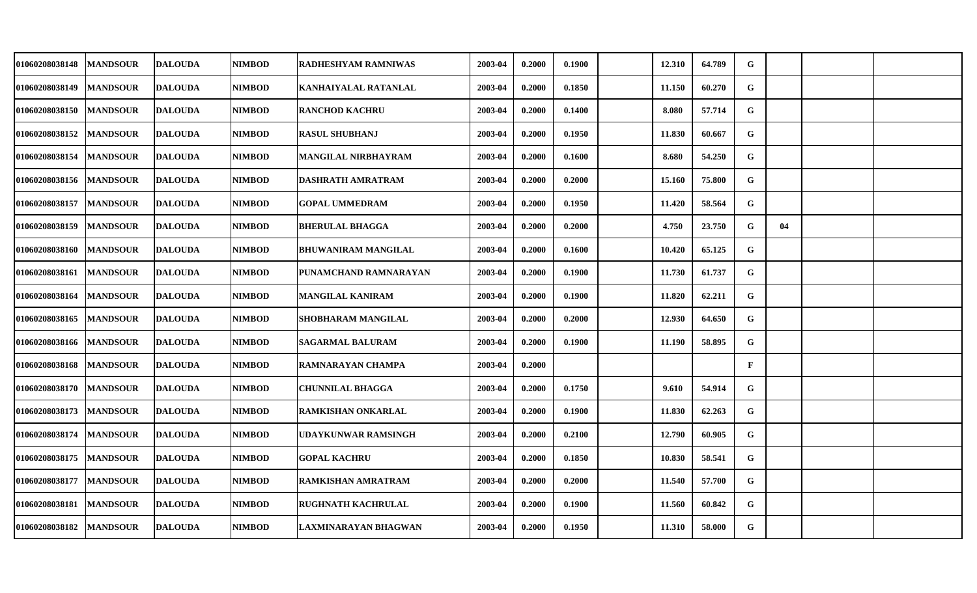| 01060208038148 | <b>MANDSOUR</b> | <b>DALOUDA</b> | NIMBOD        | RADHESHYAM RAMNIWAS        | 2003-04 | 0.2000 | 0.1900 | 12.310 | 64.789 | G            |    |  |
|----------------|-----------------|----------------|---------------|----------------------------|---------|--------|--------|--------|--------|--------------|----|--|
| 01060208038149 | <b>MANDSOUR</b> | <b>DALOUDA</b> | <b>NIMBOD</b> | KANHAIYALAL RATANLAL       | 2003-04 | 0.2000 | 0.1850 | 11.150 | 60.270 | G            |    |  |
| 01060208038150 | <b>MANDSOUR</b> | <b>DALOUDA</b> | NIMBOD        | <b>RANCHOD KACHRU</b>      | 2003-04 | 0.2000 | 0.1400 | 8.080  | 57.714 | G            |    |  |
| 01060208038152 | <b>MANDSOUR</b> | <b>DALOUDA</b> | <b>NIMBOD</b> | <b>RASUL SHUBHANJ</b>      | 2003-04 | 0.2000 | 0.1950 | 11.830 | 60.667 | G            |    |  |
| 01060208038154 | <b>MANDSOUR</b> | <b>DALOUDA</b> | <b>NIMBOD</b> | MANGILAL NIRBHAYRAM        | 2003-04 | 0.2000 | 0.1600 | 8.680  | 54.250 | G            |    |  |
| 01060208038156 | <b>MANDSOUR</b> | <b>DALOUDA</b> | <b>NIMBOD</b> | <b>DASHRATH AMRATRAM</b>   | 2003-04 | 0.2000 | 0.2000 | 15.160 | 75.800 | G            |    |  |
| 01060208038157 | <b>MANDSOUR</b> | <b>DALOUDA</b> | <b>NIMBOD</b> | <b>GOPAL UMMEDRAM</b>      | 2003-04 | 0.2000 | 0.1950 | 11.420 | 58.564 | G            |    |  |
| 01060208038159 | <b>MANDSOUR</b> | <b>DALOUDA</b> | NIMBOD        | <b>BHERULAL BHAGGA</b>     | 2003-04 | 0.2000 | 0.2000 | 4.750  | 23.750 | G            | 04 |  |
| 01060208038160 | <b>MANDSOUR</b> | <b>DALOUDA</b> | NIMBOD        | <b>BHUWANIRAM MANGILAL</b> | 2003-04 | 0.2000 | 0.1600 | 10.420 | 65.125 | G            |    |  |
| 01060208038161 | <b>MANDSOUR</b> | <b>DALOUDA</b> | <b>NIMBOD</b> | PUNAMCHAND RAMNARAYAN      | 2003-04 | 0.2000 | 0.1900 | 11.730 | 61.737 | G            |    |  |
| 01060208038164 | <b>MANDSOUR</b> | <b>DALOUDA</b> | NIMBOD        | <b>MANGILAL KANIRAM</b>    | 2003-04 | 0.2000 | 0.1900 | 11.820 | 62.211 | G            |    |  |
| 01060208038165 | <b>MANDSOUR</b> | <b>DALOUDA</b> | NIMBOD        | SHOBHARAM MANGILAL         | 2003-04 | 0.2000 | 0.2000 | 12.930 | 64.650 | G            |    |  |
| 01060208038166 | <b>MANDSOUR</b> | <b>DALOUDA</b> | NIMBOD        | <b>SAGARMAL BALURAM</b>    | 2003-04 | 0.2000 | 0.1900 | 11.190 | 58.895 | G            |    |  |
| 01060208038168 | <b>MANDSOUR</b> | <b>DALOUDA</b> | <b>NIMBOD</b> | RAMNARAYAN CHAMPA          | 2003-04 | 0.2000 |        |        |        | $\mathbf{F}$ |    |  |
| 01060208038170 | <b>MANDSOUR</b> | <b>DALOUDA</b> | <b>NIMBOD</b> | <b>CHUNNILAL BHAGGA</b>    | 2003-04 | 0.2000 | 0.1750 | 9.610  | 54.914 | G            |    |  |
| 01060208038173 | <b>MANDSOUR</b> | <b>DALOUDA</b> | <b>NIMBOD</b> | RAMKISHAN ONKARLAL         | 2003-04 | 0.2000 | 0.1900 | 11.830 | 62.263 | G            |    |  |
| 01060208038174 | <b>MANDSOUR</b> | <b>DALOUDA</b> | <b>NIMBOD</b> | <b>UDAYKUNWAR RAMSINGH</b> | 2003-04 | 0.2000 | 0.2100 | 12.790 | 60.905 | G            |    |  |
| 01060208038175 | <b>MANDSOUR</b> | <b>DALOUDA</b> | NIMBOD        | <b>GOPAL KACHRU</b>        | 2003-04 | 0.2000 | 0.1850 | 10.830 | 58.541 | G            |    |  |
| 01060208038177 | <b>MANDSOUR</b> | <b>DALOUDA</b> | <b>NIMBOD</b> | RAMKISHAN AMRATRAM         | 2003-04 | 0.2000 | 0.2000 | 11.540 | 57.700 | G            |    |  |
| 01060208038181 | <b>MANDSOUR</b> | <b>DALOUDA</b> | NIMBOD        | <b>RUGHNATH KACHRULAL</b>  | 2003-04 | 0.2000 | 0.1900 | 11.560 | 60.842 | G            |    |  |
| 01060208038182 | <b>MANDSOUR</b> | <b>DALOUDA</b> | NIMBOD        | LAXMINARAYAN BHAGWAN       | 2003-04 | 0.2000 | 0.1950 | 11.310 | 58.000 | G            |    |  |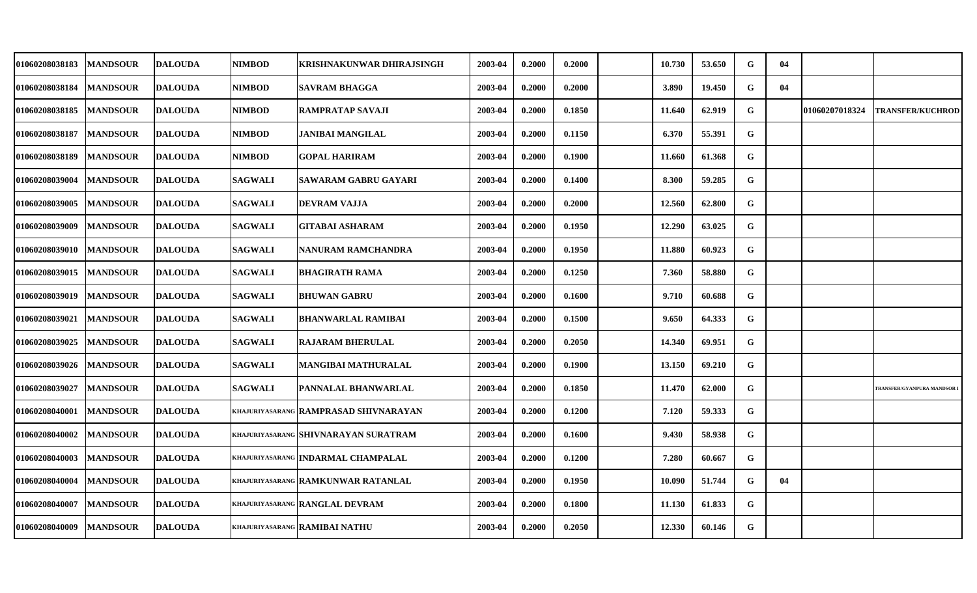| 01060208038183 | <b>MANDSOUR</b> | <b>DALOUDA</b> | NIMBOD         | KRISHNAKUNWAR DHIRAJSINGH                    | 2003-04 | 0.2000 | 0.2000 | 10.730 | 53.650 | G | 04 |                |                           |
|----------------|-----------------|----------------|----------------|----------------------------------------------|---------|--------|--------|--------|--------|---|----|----------------|---------------------------|
| 01060208038184 | <b>MANDSOUR</b> | <b>DALOUDA</b> | <b>NIMBOD</b>  | <b>SAVRAM BHAGGA</b>                         | 2003-04 | 0.2000 | 0.2000 | 3.890  | 19.450 | G | 04 |                |                           |
| 01060208038185 | <b>MANDSOUR</b> | <b>DALOUDA</b> | <b>NIMBOD</b>  | RAMPRATAP SAVAJI                             | 2003-04 | 0.2000 | 0.1850 | 11.640 | 62.919 | G |    | 01060207018324 | <b>TRANSFER/KUCHROD</b>   |
| 01060208038187 | <b>MANDSOUR</b> | <b>DALOUDA</b> | <b>NIMBOD</b>  | JANIBAI MANGILAL                             | 2003-04 | 0.2000 | 0.1150 | 6.370  | 55.391 | G |    |                |                           |
| 01060208038189 | <b>MANDSOUR</b> | <b>DALOUDA</b> | <b>NIMBOD</b>  | <b>GOPAL HARIRAM</b>                         | 2003-04 | 0.2000 | 0.1900 | 11.660 | 61.368 | G |    |                |                           |
| 01060208039004 | <b>MANDSOUR</b> | <b>DALOUDA</b> | <b>SAGWALI</b> | SAWARAM GABRU GAYARI                         | 2003-04 | 0.2000 | 0.1400 | 8.300  | 59.285 | G |    |                |                           |
| 01060208039005 | <b>MANDSOUR</b> | <b>DALOUDA</b> | <b>SAGWALI</b> | DEVRAM VAJJA                                 | 2003-04 | 0.2000 | 0.2000 | 12.560 | 62.800 | G |    |                |                           |
| 01060208039009 | <b>MANDSOUR</b> | <b>DALOUDA</b> | <b>SAGWALI</b> | <b>GITABAI ASHARAM</b>                       | 2003-04 | 0.2000 | 0.1950 | 12.290 | 63.025 | G |    |                |                           |
| 01060208039010 | <b>MANDSOUR</b> | <b>DALOUDA</b> | <b>SAGWALI</b> | NANURAM RAMCHANDRA                           | 2003-04 | 0.2000 | 0.1950 | 11.880 | 60.923 | G |    |                |                           |
| 01060208039015 | <b>MANDSOUR</b> | <b>DALOUDA</b> | <b>SAGWALI</b> | <b>BHAGIRATH RAMA</b>                        | 2003-04 | 0.2000 | 0.1250 | 7.360  | 58.880 | G |    |                |                           |
| 01060208039019 | <b>MANDSOUR</b> | <b>DALOUDA</b> | <b>SAGWALI</b> | <b>BHUWAN GABRU</b>                          | 2003-04 | 0.2000 | 0.1600 | 9.710  | 60.688 | G |    |                |                           |
| 01060208039021 | <b>MANDSOUR</b> | <b>DALOUDA</b> | <b>SAGWALI</b> | <b>BHANWARLAL RAMIBAI</b>                    | 2003-04 | 0.2000 | 0.1500 | 9.650  | 64.333 | G |    |                |                           |
| 01060208039025 | <b>MANDSOUR</b> | <b>DALOUDA</b> | <b>SAGWALI</b> | <b>RAJARAM BHERULAL</b>                      | 2003-04 | 0.2000 | 0.2050 | 14.340 | 69.951 | G |    |                |                           |
| 01060208039026 | <b>MANDSOUR</b> | <b>DALOUDA</b> | <b>SAGWALI</b> | MANGIBAI MATHURALAL                          | 2003-04 | 0.2000 | 0.1900 | 13.150 | 69.210 | G |    |                |                           |
| 01060208039027 | <b>MANDSOUR</b> | <b>DALOUDA</b> | <b>SAGWALI</b> | PANNALAL BHANWARLAL                          | 2003-04 | 0.2000 | 0.1850 | 11.470 | 62.000 | G |    |                | TRANSFER/GYANPURA MANDSOR |
| 01060208040001 | <b>MANDSOUR</b> | <b>DALOUDA</b> |                | <b>KHAJURIYASARANG RAMPRASAD SHIVNARAYAN</b> | 2003-04 | 0.2000 | 0.1200 | 7.120  | 59.333 | G |    |                |                           |
| 01060208040002 | <b>MANDSOUR</b> | <b>DALOUDA</b> |                | <b>KHAJURIYASARANG SHIVNARAYAN SURATRAM</b>  | 2003-04 | 0.2000 | 0.1600 | 9.430  | 58.938 | G |    |                |                           |
| 01060208040003 | <b>MANDSOUR</b> | <b>DALOUDA</b> |                | KHAJURIYASARANG INDARMAL CHAMPALAL           | 2003-04 | 0.2000 | 0.1200 | 7.280  | 60.667 | G |    |                |                           |
| 01060208040004 | <b>MANDSOUR</b> | <b>DALOUDA</b> |                | <b>KHAJURIYASARANG RAMKUNWAR RATANLAL</b>    | 2003-04 | 0.2000 | 0.1950 | 10.090 | 51.744 | G | 04 |                |                           |
| 01060208040007 | <b>MANDSOUR</b> | <b>DALOUDA</b> |                | KHAJURIYASARANG RANGLAL DEVRAM               | 2003-04 | 0.2000 | 0.1800 | 11.130 | 61.833 | G |    |                |                           |
| 01060208040009 | <b>MANDSOUR</b> | <b>DALOUDA</b> |                | <b>KHAJURIYASARANG RAMIBAI NATHU</b>         | 2003-04 | 0.2000 | 0.2050 | 12.330 | 60.146 | G |    |                |                           |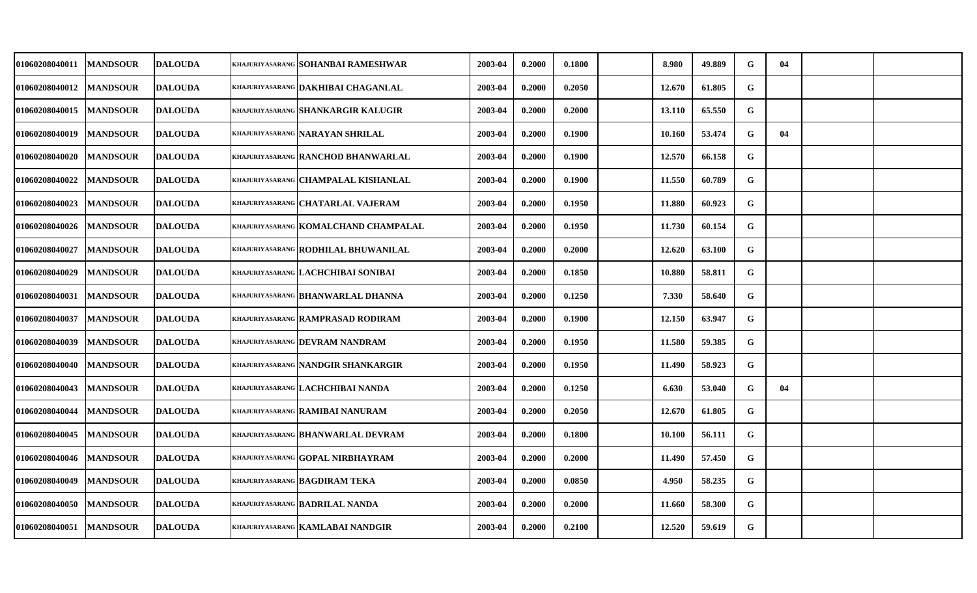| 01060208040011        | <b>MANDSOUR</b> | <b>DALOUDA</b> | khajuriyasarang SOHANBAI RAMESHWAR              | 2003-04 | 0.2000 | 0.1800 | 8.980  | 49.889 | G           | 04 |  |
|-----------------------|-----------------|----------------|-------------------------------------------------|---------|--------|--------|--------|--------|-------------|----|--|
| <b>01060208040012</b> | <b>MANDSOUR</b> | <b>DALOUDA</b> | <b>KHAJURIYASARANG DAKHIBAI CHAGANLAL</b>       | 2003-04 | 0.2000 | 0.2050 | 12.670 | 61.805 | G           |    |  |
| <b>01060208040015</b> | <b>MANDSOUR</b> | <b>DALOUDA</b> | khajuriyasarang <mark>SHANKARGIR KALUGIR</mark> | 2003-04 | 0.2000 | 0.2000 | 13.110 | 65.550 | G           |    |  |
| <b>01060208040019</b> | <b>MANDSOUR</b> | <b>DALOUDA</b> | khajuriyasarang NARAYAN SHRILAL                 | 2003-04 | 0.2000 | 0.1900 | 10.160 | 53.474 | G           | 04 |  |
| <b>01060208040020</b> | <b>MANDSOUR</b> | <b>DALOUDA</b> | khajuriyasarang <b>  RANCHOD BHANWARLAL</b>     | 2003-04 | 0.2000 | 0.1900 | 12.570 | 66.158 | G           |    |  |
| 01060208040022        | <b>MANDSOUR</b> | <b>DALOUDA</b> | KHAJURIYASARANG CHAMPALAL KISHANLAL             | 2003-04 | 0.2000 | 0.1900 | 11.550 | 60.789 | $\mathbf G$ |    |  |
| <b>01060208040023</b> | <b>MANDSOUR</b> | <b>DALOUDA</b> | khajuriyasarang CHATARLAL VAJERAM               | 2003-04 | 0.2000 | 0.1950 | 11.880 | 60.923 | G           |    |  |
| 01060208040026        | <b>MANDSOUR</b> | <b>DALOUDA</b> | KHAJURIYASARANG KOMALCHAND CHAMPALAL            | 2003-04 | 0.2000 | 0.1950 | 11.730 | 60.154 | G           |    |  |
| 01060208040027        | <b>MANDSOUR</b> | <b>DALOUDA</b> | <b>KHAJURIYASARANG RODHILAL BHUWANILAL</b>      | 2003-04 | 0.2000 | 0.2000 | 12.620 | 63.100 | G           |    |  |
| 01060208040029        | <b>MANDSOUR</b> | <b>DALOUDA</b> | khajuriyasarang LACHCHIBAI SONIBAI              | 2003-04 | 0.2000 | 0.1850 | 10.880 | 58.811 | G           |    |  |
| 01060208040031        | <b>MANDSOUR</b> | <b>DALOUDA</b> | khajuriyasarang BHANWARLAL DHANNA               | 2003-04 | 0.2000 | 0.1250 | 7.330  | 58.640 | ${\bf G}$   |    |  |
| <b>01060208040037</b> | <b>MANDSOUR</b> | <b>DALOUDA</b> | khajuriyasarang   RAMPRASAD RODIRAM             | 2003-04 | 0.2000 | 0.1900 | 12.150 | 63.947 | ${\bf G}$   |    |  |
| 01060208040039        | <b>MANDSOUR</b> | <b>DALOUDA</b> | <b>KHAJURIYASARANG DEVRAM NANDRAM</b>           | 2003-04 | 0.2000 | 0.1950 | 11.580 | 59.385 | G           |    |  |
| 01060208040040        | <b>MANDSOUR</b> | <b>DALOUDA</b> | khajuriyasarang NANDGIR SHANKARGIR              | 2003-04 | 0.2000 | 0.1950 | 11.490 | 58.923 | G           |    |  |
| 01060208040043        | <b>MANDSOUR</b> | <b>DALOUDA</b> | <b>KHAJURIYASARANG LACHCHIBAI NANDA</b>         | 2003-04 | 0.2000 | 0.1250 | 6.630  | 53.040 | G           | 04 |  |
| <b>01060208040044</b> | <b>MANDSOUR</b> | <b>DALOUDA</b> | khajuriyasarang RAMIBAI NANURAM                 | 2003-04 | 0.2000 | 0.2050 | 12.670 | 61.805 | G           |    |  |
| 01060208040045        | <b>MANDSOUR</b> | <b>DALOUDA</b> | KHAJURIYASARANG BHANWARLAL DEVRAM               | 2003-04 | 0.2000 | 0.1800 | 10.100 | 56.111 | $\mathbf G$ |    |  |
| 01060208040046        | <b>MANDSOUR</b> | <b>DALOUDA</b> | KHAJURIYASARANG GOPAL NIRBHAYRAM                | 2003-04 | 0.2000 | 0.2000 | 11.490 | 57.450 | G           |    |  |
| 01060208040049        | <b>MANDSOUR</b> | <b>DALOUDA</b> | <b>KHAJURIYASARANG BAGDIRAM TEKA</b>            | 2003-04 | 0.2000 | 0.0850 | 4.950  | 58.235 | G           |    |  |
| 01060208040050        | <b>MANDSOUR</b> | <b>DALOUDA</b> | <b>KHAJURIYASARANG BADRILAL NANDA</b>           | 2003-04 | 0.2000 | 0.2000 | 11.660 | 58.300 | ${\bf G}$   |    |  |
| 01060208040051        | <b>MANDSOUR</b> | <b>DALOUDA</b> | khajuriyasarang KAMLABAI NANDGIR                | 2003-04 | 0.2000 | 0.2100 | 12.520 | 59.619 | G           |    |  |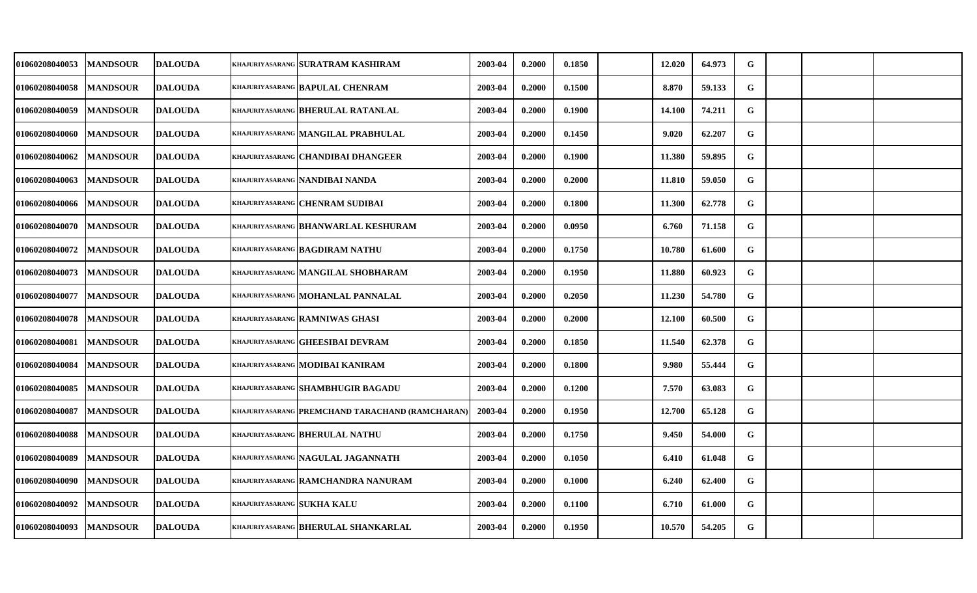| 01060208040053 | <b>MANDSOUR</b> | <b>DALOUDA</b> |                            | khajuriyasarang SURATRAM KASHIRAM               | 2003-04 | 0.2000 | 0.1850 | 12.020 | 64.973 | ${\bf G}$   |  |  |
|----------------|-----------------|----------------|----------------------------|-------------------------------------------------|---------|--------|--------|--------|--------|-------------|--|--|
| 01060208040058 | <b>MANDSOUR</b> | <b>DALOUDA</b> |                            | KHAJURIYASARANG BAPULAL CHENRAM                 | 2003-04 | 0.2000 | 0.1500 | 8.870  | 59.133 | $\mathbf G$ |  |  |
| 01060208040059 | <b>MANDSOUR</b> | <b>DALOUDA</b> |                            | KHAJURIYASARANG BHERULAL RATANLAL               | 2003-04 | 0.2000 | 0.1900 | 14.100 | 74.211 | G           |  |  |
| 01060208040060 | <b>MANDSOUR</b> | <b>DALOUDA</b> |                            | KHAJURIYASARANG MANGILAL PRABHULAL              | 2003-04 | 0.2000 | 0.1450 | 9.020  | 62.207 | G           |  |  |
| 01060208040062 | <b>MANDSOUR</b> | <b>DALOUDA</b> |                            | khajuriyasarang CHANDIBAI DHANGEER              | 2003-04 | 0.2000 | 0.1900 | 11.380 | 59.895 | G           |  |  |
| 01060208040063 | <b>MANDSOUR</b> | <b>DALOUDA</b> |                            | <b>KHAJURIYASARANG NANDIBAI NANDA</b>           | 2003-04 | 0.2000 | 0.2000 | 11.810 | 59.050 | ${\bf G}$   |  |  |
| 01060208040066 | <b>MANDSOUR</b> | <b>DALOUDA</b> |                            | KHAJURIYASARANG CHENRAM SUDIBAI                 | 2003-04 | 0.2000 | 0.1800 | 11.300 | 62.778 | G           |  |  |
| 01060208040070 | <b>MANDSOUR</b> | <b>DALOUDA</b> |                            | KHAJURIYASARANG BHANWARLAL KESHURAM             | 2003-04 | 0.2000 | 0.0950 | 6.760  | 71.158 | G           |  |  |
| 01060208040072 | <b>MANDSOUR</b> | <b>DALOUDA</b> |                            | KHAJURIYASARANG BAGDIRAM NATHU                  | 2003-04 | 0.2000 | 0.1750 | 10.780 | 61.600 | G           |  |  |
| 01060208040073 | <b>MANDSOUR</b> | <b>DALOUDA</b> |                            | khajuriyasarang MANGILAL SHOBHARAM              | 2003-04 | 0.2000 | 0.1950 | 11.880 | 60.923 | G           |  |  |
| 01060208040077 | <b>MANDSOUR</b> | <b>DALOUDA</b> |                            | KHAJURIYASARANG MOHANLAL PANNALAL               | 2003-04 | 0.2000 | 0.2050 | 11.230 | 54.780 | G           |  |  |
| 01060208040078 | <b>MANDSOUR</b> | <b>DALOUDA</b> |                            | <b>KHAJURIYASARANG RAMNIWAS GHASI</b>           | 2003-04 | 0.2000 | 0.2000 | 12.100 | 60.500 | G           |  |  |
| 01060208040081 | <b>MANDSOUR</b> | <b>DALOUDA</b> |                            | KHAJURIYASARANG GHEESIBAI DEVRAM                | 2003-04 | 0.2000 | 0.1850 | 11.540 | 62.378 | G           |  |  |
| 01060208040084 | <b>MANDSOUR</b> | <b>DALOUDA</b> |                            | KHAJURIYASARANG MODIBAI KANIRAM                 | 2003-04 | 0.2000 | 0.1800 | 9.980  | 55.444 | G           |  |  |
| 01060208040085 | <b>MANDSOUR</b> | <b>DALOUDA</b> |                            | <b>KHAJURIYASARANG SHAMBHUGIR BAGADU</b>        | 2003-04 | 0.2000 | 0.1200 | 7.570  | 63.083 | G           |  |  |
| 01060208040087 | <b>MANDSOUR</b> | <b>DALOUDA</b> |                            | KHAJURIYASARANG PREMCHAND TARACHAND (RAMCHARAN) | 2003-04 | 0.2000 | 0.1950 | 12.700 | 65.128 | G           |  |  |
| 01060208040088 | <b>MANDSOUR</b> | <b>DALOUDA</b> |                            | <b>KHAJURIYASARANG BHERULAL NATHU</b>           | 2003-04 | 0.2000 | 0.1750 | 9.450  | 54.000 | G           |  |  |
| 01060208040089 | <b>MANDSOUR</b> | <b>DALOUDA</b> |                            | KHAJURIYASARANG NAGULAL JAGANNATH               | 2003-04 | 0.2000 | 0.1050 | 6.410  | 61.048 | ${\bf G}$   |  |  |
| 01060208040090 | <b>MANDSOUR</b> | <b>DALOUDA</b> |                            | KHAJURIYASARANG RAMCHANDRA NANURAM              | 2003-04 | 0.2000 | 0.1000 | 6.240  | 62.400 | G           |  |  |
| 01060208040092 | <b>MANDSOUR</b> | <b>DALOUDA</b> | KHAJURIYASARANG SUKHA KALU |                                                 | 2003-04 | 0.2000 | 0.1100 | 6.710  | 61.000 | G           |  |  |
| 01060208040093 | <b>MANDSOUR</b> | <b>DALOUDA</b> |                            | KHAJURIYASARANG BHERULAL SHANKARLAL             | 2003-04 | 0.2000 | 0.1950 | 10.570 | 54.205 | G           |  |  |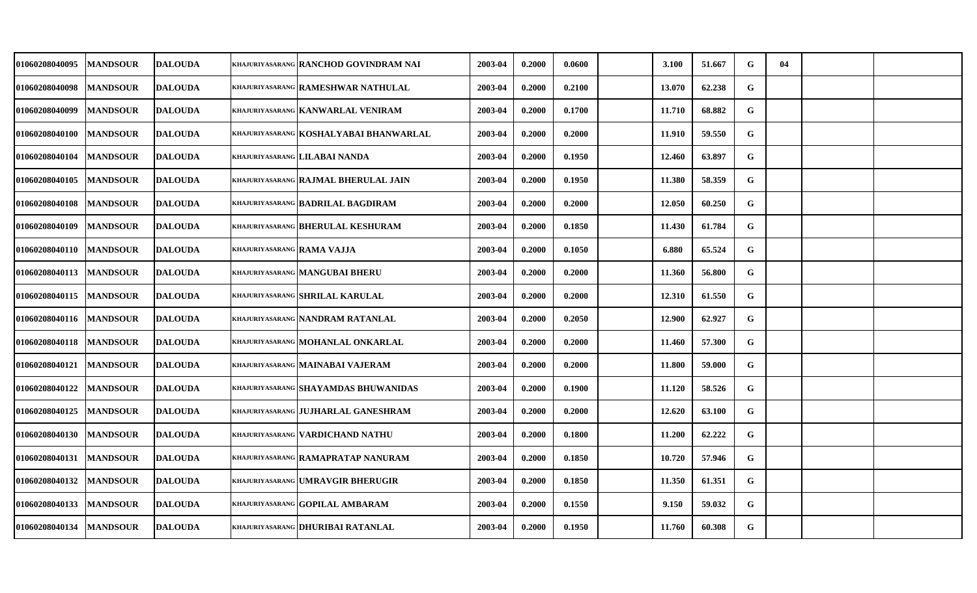| 01060208040095        | <b>MANDSOUR</b> | <b>DALOUDA</b> |                            | KHAJURIYASARANG RANCHOD GOVINDRAM NAI         | 2003-04 | 0.2000 | 0.0600 | 3.100  | 51.667 | G         | 04 |  |
|-----------------------|-----------------|----------------|----------------------------|-----------------------------------------------|---------|--------|--------|--------|--------|-----------|----|--|
| 01060208040098        | <b>MANDSOUR</b> | <b>DALOUDA</b> |                            | khajuriyasarang RAMESHWAR NATHULAL            | 2003-04 | 0.2000 | 0.2100 | 13.070 | 62.238 | G         |    |  |
| 01060208040099        | <b>MANDSOUR</b> | <b>DALOUDA</b> |                            | khajuriyasarang KANWARLAL VENIRAM             | 2003-04 | 0.2000 | 0.1700 | 11.710 | 68.882 | G         |    |  |
| <b>01060208040100</b> | <b>MANDSOUR</b> | <b>DALOUDA</b> |                            | khajuriyasarang KOSHALYABAI BHANWARLAL        | 2003-04 | 0.2000 | 0.2000 | 11.910 | 59.550 | ${\bf G}$ |    |  |
| <b>01060208040104</b> | <b>MANDSOUR</b> | <b>DALOUDA</b> |                            | khajuriyasarang   LILABAI NANDA               | 2003-04 | 0.2000 | 0.1950 | 12.460 | 63.897 | G         |    |  |
| 01060208040105        | <b>MANDSOUR</b> | <b>DALOUDA</b> |                            | khajuriyasarang RAJMAL BHERULAL JAIN          | 2003-04 | 0.2000 | 0.1950 | 11.380 | 58.359 | G         |    |  |
| <b>01060208040108</b> | <b>MANDSOUR</b> | <b>DALOUDA</b> |                            | khajuriyasarang BADRILAL BAGDIRAM             | 2003-04 | 0.2000 | 0.2000 | 12.050 | 60.250 | G         |    |  |
| 01060208040109        | <b>MANDSOUR</b> | <b>DALOUDA</b> |                            | KHAJURIYASARANG BHERULAL KESHURAM             | 2003-04 | 0.2000 | 0.1850 | 11.430 | 61.784 | G         |    |  |
| <b>01060208040110</b> | <b>MANDSOUR</b> | <b>DALOUDA</b> | khajuriyasarang RAMA VAJJA |                                               | 2003-04 | 0.2000 | 0.1050 | 6.880  | 65.524 | ${\bf G}$ |    |  |
| 01060208040113        | <b>MANDSOUR</b> | <b>DALOUDA</b> |                            | <b>KHAJURIYASARANG MANGUBAI BHERU</b>         | 2003-04 | 0.2000 | 0.2000 | 11.360 | 56.800 | G         |    |  |
| 01060208040115        | <b>MANDSOUR</b> | <b>DALOUDA</b> |                            | <b>KHAJURIYASARANG SHRILAL KARULAL</b>        | 2003-04 | 0.2000 | 0.2000 | 12.310 | 61.550 | G         |    |  |
| <b>01060208040116</b> | <b>MANDSOUR</b> | <b>DALOUDA</b> |                            | khajuriyasarang <mark>NANDRAM RATANLAL</mark> | 2003-04 | 0.2000 | 0.2050 | 12.900 | 62.927 | G         |    |  |
| 01060208040118        | <b>MANDSOUR</b> | <b>DALOUDA</b> |                            | khajuriyasarang MOHANLAL ONKARLAL             | 2003-04 | 0.2000 | 0.2000 | 11.460 | 57.300 | G         |    |  |
| 01060208040121        | <b>MANDSOUR</b> | <b>DALOUDA</b> |                            | khajuriyasarang   MAINABAI VAJERAM            | 2003-04 | 0.2000 | 0.2000 | 11.800 | 59.000 | G         |    |  |
| 01060208040122        | <b>MANDSOUR</b> | <b>DALOUDA</b> |                            | <b>KHAJURIYASARANG SHAYAMDAS BHUWANIDAS</b>   | 2003-04 | 0.2000 | 0.1900 | 11.120 | 58.526 | G         |    |  |
| <b>01060208040125</b> | <b>MANDSOUR</b> | <b>DALOUDA</b> |                            | khajuriyasarang JUJHARLAL GANESHRAM           | 2003-04 | 0.2000 | 0.2000 | 12.620 | 63.100 | G         |    |  |
| 01060208040130        | <b>MANDSOUR</b> | <b>DALOUDA</b> |                            | khajuriyasarang   VARDICHAND NATHU            | 2003-04 | 0.2000 | 0.1800 | 11.200 | 62.222 | G         |    |  |
| 01060208040131        | <b>MANDSOUR</b> | <b>DALOUDA</b> |                            | khajuriyasarang <b>  RAMAPRATAP NANURAM</b>   | 2003-04 | 0.2000 | 0.1850 | 10.720 | 57.946 | G         |    |  |
| 01060208040132        | <b>MANDSOUR</b> | <b>DALOUDA</b> |                            | <b>KHAJURIYASARANG UMRAVGIR BHERUGIR</b>      | 2003-04 | 0.2000 | 0.1850 | 11.350 | 61.351 | G         |    |  |
| <b>01060208040133</b> | <b>MANDSOUR</b> | <b>DALOUDA</b> |                            | <b>KHAJURIYASARANG GOPILAL AMBARAM</b>        | 2003-04 | 0.2000 | 0.1550 | 9.150  | 59.032 | G         |    |  |
| 01060208040134        | <b>MANDSOUR</b> | <b>DALOUDA</b> |                            | khajuriyasarang <b>DHURIBAI RATANLAL</b>      | 2003-04 | 0.2000 | 0.1950 | 11.760 | 60.308 | G         |    |  |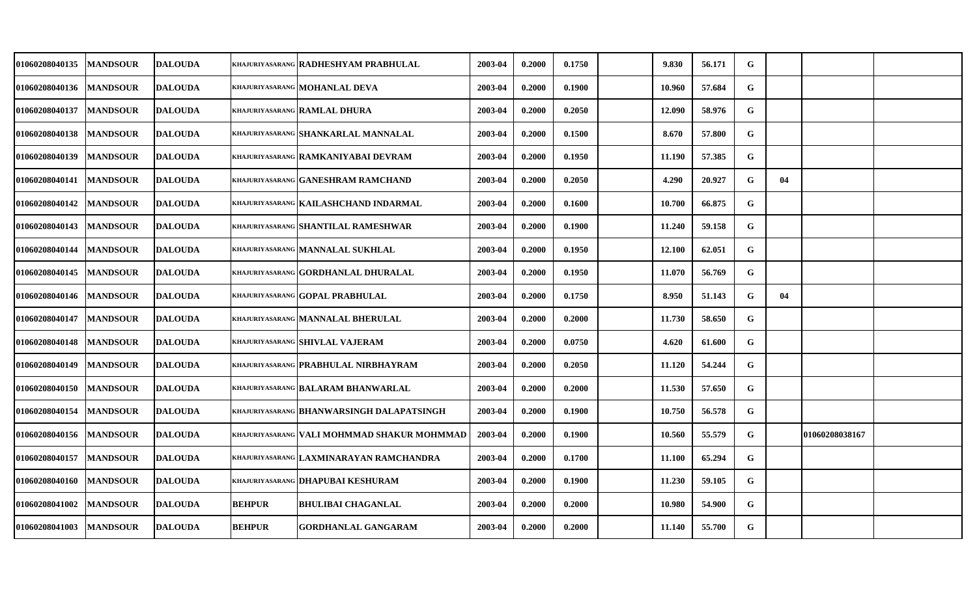| <b>01060208040135</b> | <b>MANDSOUR</b> | <b>DALOUDA</b> |               | khajuriyasarang   RADHESHYAM PRABHULAL        | 2003-04 | 0.2000 | 0.1750 | 9.830  | 56.171 | G           |    |                |  |
|-----------------------|-----------------|----------------|---------------|-----------------------------------------------|---------|--------|--------|--------|--------|-------------|----|----------------|--|
| 01060208040136        | <b>MANDSOUR</b> | <b>DALOUDA</b> |               | khajuriyasarang MOHANLAL DEVA                 | 2003-04 | 0.2000 | 0.1900 | 10.960 | 57.684 | $\mathbf G$ |    |                |  |
| <b>01060208040137</b> | <b>MANDSOUR</b> | <b>DALOUDA</b> |               | KHAJURIYASARANG RAMLAL DHURA                  | 2003-04 | 0.2000 | 0.2050 | 12.090 | 58.976 | G           |    |                |  |
| 01060208040138        | <b>MANDSOUR</b> | <b>DALOUDA</b> |               | KHAJURIYASARANG SHANKARLAL MANNALAL           | 2003-04 | 0.2000 | 0.1500 | 8.670  | 57.800 | G           |    |                |  |
| <b>01060208040139</b> | <b>MANDSOUR</b> | <b>DALOUDA</b> |               | khajuriyasarang <b>  RAMKANIYABAI DEVRAM</b>  | 2003-04 | 0.2000 | 0.1950 | 11.190 | 57.385 | G           |    |                |  |
| 01060208040141        | <b>MANDSOUR</b> | <b>DALOUDA</b> |               | khajuriyasarang GANESHRAM RAMCHAND            | 2003-04 | 0.2000 | 0.2050 | 4.290  | 20.927 | G           | 04 |                |  |
| 01060208040142        | <b>MANDSOUR</b> | <b>DALOUDA</b> |               | khajuriyasarang KAILASHCHAND INDARMAL         | 2003-04 | 0.2000 | 0.1600 | 10.700 | 66.875 | G           |    |                |  |
| 01060208040143        | <b>MANDSOUR</b> | <b>DALOUDA</b> |               | khajuriyasarang SHANTILAL RAMESHWAR           | 2003-04 | 0.2000 | 0.1900 | 11.240 | 59.158 | G           |    |                |  |
| <b>01060208040144</b> | <b>MANDSOUR</b> | <b>DALOUDA</b> |               | khajuriyasarang MANNALAL SUKHLAL              | 2003-04 | 0.2000 | 0.1950 | 12.100 | 62.051 | G           |    |                |  |
| <b>01060208040145</b> | <b>MANDSOUR</b> | <b>DALOUDA</b> |               | khajuriyasarang GORDHANLAL DHURALAL           | 2003-04 | 0.2000 | 0.1950 | 11.070 | 56.769 | G           |    |                |  |
| 01060208040146        | <b>MANDSOUR</b> | <b>DALOUDA</b> |               | khajuriyasarang GOPAL PRABHULAL               | 2003-04 | 0.2000 | 0.1750 | 8.950  | 51.143 | G           | 04 |                |  |
| <b>01060208040147</b> | <b>MANDSOUR</b> | <b>DALOUDA</b> |               | khajuriyasarang MANNALAL BHERULAL             | 2003-04 | 0.2000 | 0.2000 | 11.730 | 58.650 | G           |    |                |  |
| 01060208040148        | <b>MANDSOUR</b> | <b>DALOUDA</b> |               | khajuriyasarang SHIVLAL VAJERAM               | 2003-04 | 0.2000 | 0.0750 | 4.620  | 61.600 | G           |    |                |  |
| 01060208040149        | <b>MANDSOUR</b> | <b>DALOUDA</b> |               | KHAJURIYASARANG PRABHULAL NIRBHAYRAM          | 2003-04 | 0.2000 | 0.2050 | 11.120 | 54.244 | G           |    |                |  |
| 01060208040150        | <b>MANDSOUR</b> | <b>DALOUDA</b> |               | <b>KHAJURIYASARANG BALARAM BHANWARLAL</b>     | 2003-04 | 0.2000 | 0.2000 | 11.530 | 57.650 | G           |    |                |  |
| <b>01060208040154</b> | <b>MANDSOUR</b> | <b>DALOUDA</b> |               | khajuriyasarang BHANWARSINGH DALAPATSINGH     | 2003-04 | 0.2000 | 0.1900 | 10.750 | 56.578 | G           |    |                |  |
| <b>01060208040156</b> | <b>MANDSOUR</b> | <b>DALOUDA</b> |               | khajuriyasarang   VALI MOHMMAD SHAKUR MOHMMAD | 2003-04 | 0.2000 | 0.1900 | 10.560 | 55.579 | G           |    | 01060208038167 |  |
| 01060208040157        | <b>MANDSOUR</b> | <b>DALOUDA</b> |               | khajuriyasarang LAXMINARAYAN RAMCHANDRA       | 2003-04 | 0.2000 | 0.1700 | 11.100 | 65.294 | ${\bf G}$   |    |                |  |
| 01060208040160        | <b>MANDSOUR</b> | <b>DALOUDA</b> |               | <b>KHAJURIYASARANG DHAPUBAI KESHURAM</b>      | 2003-04 | 0.2000 | 0.1900 | 11.230 | 59.105 | G           |    |                |  |
| 01060208041002        | <b>MANDSOUR</b> | <b>DALOUDA</b> | <b>BEHPUR</b> | <b>BHULIBAI CHAGANLAL</b>                     | 2003-04 | 0.2000 | 0.2000 | 10.980 | 54.900 | G           |    |                |  |
| 01060208041003        | <b>MANDSOUR</b> | <b>DALOUDA</b> | <b>BEHPUR</b> | <b>GORDHANLAL GANGARAM</b>                    | 2003-04 | 0.2000 | 0.2000 | 11.140 | 55.700 | G           |    |                |  |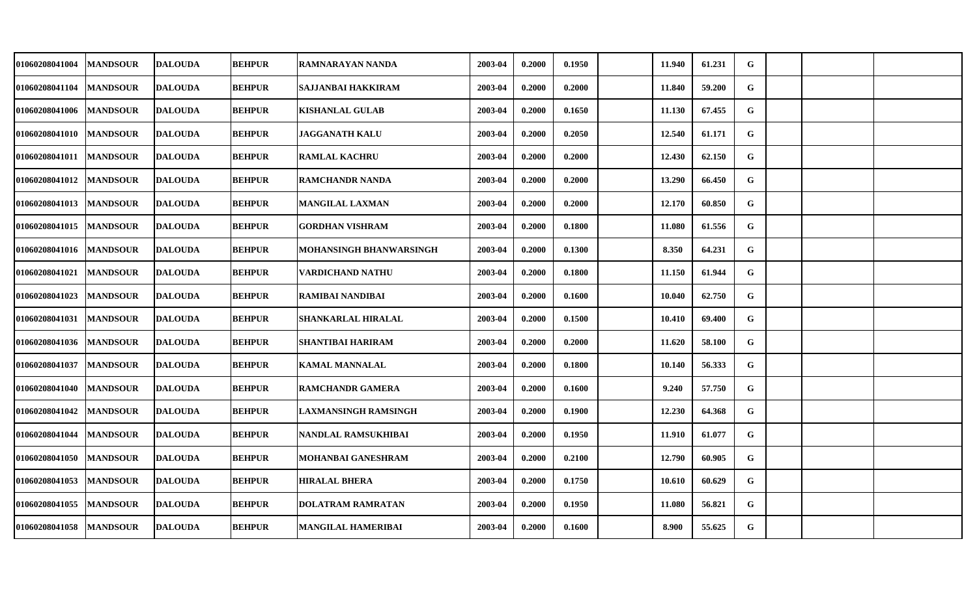| 01060208041004 | <b>MANDSOUR</b> | <b>DALOUDA</b> | <b>BEHPUR</b> | RAMNARAYAN NANDA          | 2003-04 | 0.2000 | 0.1950 | 11.940 | 61.231 | G |  |  |
|----------------|-----------------|----------------|---------------|---------------------------|---------|--------|--------|--------|--------|---|--|--|
| 01060208041104 | <b>MANDSOUR</b> | <b>DALOUDA</b> | <b>BEHPUR</b> | <b>SAJJANBAI HAKKIRAM</b> | 2003-04 | 0.2000 | 0.2000 | 11.840 | 59.200 | G |  |  |
| 01060208041006 | <b>MANDSOUR</b> | <b>DALOUDA</b> | <b>BEHPUR</b> | <b>KISHANLAL GULAB</b>    | 2003-04 | 0.2000 | 0.1650 | 11.130 | 67.455 | G |  |  |
| 01060208041010 | <b>MANDSOUR</b> | <b>DALOUDA</b> | <b>BEHPUR</b> | <b>JAGGANATH KALU</b>     | 2003-04 | 0.2000 | 0.2050 | 12.540 | 61.171 | G |  |  |
| 01060208041011 | <b>MANDSOUR</b> | <b>DALOUDA</b> | <b>BEHPUR</b> | <b>RAMLAL KACHRU</b>      | 2003-04 | 0.2000 | 0.2000 | 12.430 | 62.150 | G |  |  |
| 01060208041012 | <b>MANDSOUR</b> | <b>DALOUDA</b> | <b>BEHPUR</b> | <b>RAMCHANDR NANDA</b>    | 2003-04 | 0.2000 | 0.2000 | 13.290 | 66.450 | G |  |  |
| 01060208041013 | <b>MANDSOUR</b> | <b>DALOUDA</b> | <b>BEHPUR</b> | <b>MANGILAL LAXMAN</b>    | 2003-04 | 0.2000 | 0.2000 | 12.170 | 60.850 | G |  |  |
| 01060208041015 | <b>MANDSOUR</b> | <b>DALOUDA</b> | <b>BEHPUR</b> | <b>GORDHAN VISHRAM</b>    | 2003-04 | 0.2000 | 0.1800 | 11.080 | 61.556 | G |  |  |
| 01060208041016 | <b>MANDSOUR</b> | <b>DALOUDA</b> | <b>BEHPUR</b> | MOHANSINGH BHANWARSINGH   | 2003-04 | 0.2000 | 0.1300 | 8.350  | 64.231 | G |  |  |
| 01060208041021 | <b>MANDSOUR</b> | <b>DALOUDA</b> | <b>BEHPUR</b> | <b>VARDICHAND NATHU</b>   | 2003-04 | 0.2000 | 0.1800 | 11.150 | 61.944 | G |  |  |
| 01060208041023 | <b>MANDSOUR</b> | <b>DALOUDA</b> | <b>BEHPUR</b> | RAMIBAI NANDIBAI          | 2003-04 | 0.2000 | 0.1600 | 10.040 | 62.750 | G |  |  |
| 01060208041031 | <b>MANDSOUR</b> | <b>DALOUDA</b> | <b>BEHPUR</b> | SHANKARLAL HIRALAL        | 2003-04 | 0.2000 | 0.1500 | 10.410 | 69.400 | G |  |  |
| 01060208041036 | <b>MANDSOUR</b> | <b>DALOUDA</b> | <b>BEHPUR</b> | <b>SHANTIBAI HARIRAM</b>  | 2003-04 | 0.2000 | 0.2000 | 11.620 | 58.100 | G |  |  |
| 01060208041037 | <b>MANDSOUR</b> | <b>DALOUDA</b> | <b>BEHPUR</b> | <b>KAMAL MANNALAL</b>     | 2003-04 | 0.2000 | 0.1800 | 10.140 | 56.333 | G |  |  |
| 01060208041040 | <b>MANDSOUR</b> | <b>DALOUDA</b> | <b>BEHPUR</b> | <b>RAMCHANDR GAMERA</b>   | 2003-04 | 0.2000 | 0.1600 | 9.240  | 57.750 | G |  |  |
| 01060208041042 | <b>MANDSOUR</b> | <b>DALOUDA</b> | <b>BEHPUR</b> | LAXMANSINGH RAMSINGH      | 2003-04 | 0.2000 | 0.1900 | 12.230 | 64.368 | G |  |  |
| 01060208041044 | <b>MANDSOUR</b> | <b>DALOUDA</b> | <b>BEHPUR</b> | NANDLAL RAMSUKHIBAI       | 2003-04 | 0.2000 | 0.1950 | 11.910 | 61.077 | G |  |  |
| 01060208041050 | <b>MANDSOUR</b> | <b>DALOUDA</b> | <b>BEHPUR</b> | MOHANBAI GANESHRAM        | 2003-04 | 0.2000 | 0.2100 | 12.790 | 60.905 | G |  |  |
| 01060208041053 | <b>MANDSOUR</b> | <b>DALOUDA</b> | <b>BEHPUR</b> | <b>HIRALAL BHERA</b>      | 2003-04 | 0.2000 | 0.1750 | 10.610 | 60.629 | G |  |  |
| 01060208041055 | <b>MANDSOUR</b> | <b>DALOUDA</b> | <b>BEHPUR</b> | <b>DOLATRAM RAMRATAN</b>  | 2003-04 | 0.2000 | 0.1950 | 11.080 | 56.821 | G |  |  |
| 01060208041058 | <b>MANDSOUR</b> | <b>DALOUDA</b> | <b>BEHPUR</b> | MANGILAL HAMERIBAI        | 2003-04 | 0.2000 | 0.1600 | 8.900  | 55.625 | G |  |  |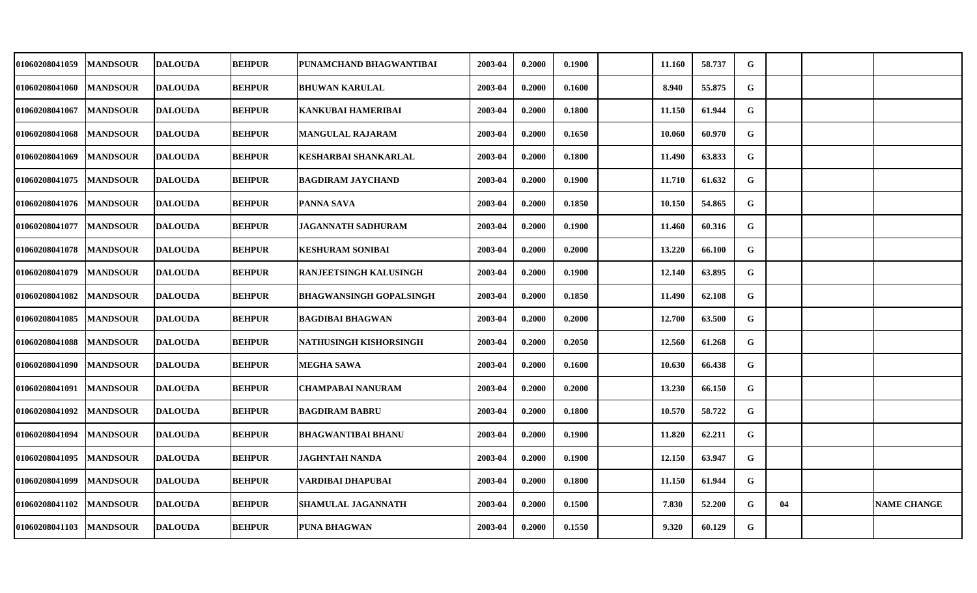| 01060208041059 | <b>MANDSOUR</b> | <b>DALOUDA</b> | <b>BEHPUR</b> | PUNAMCHAND BHAGWANTIBAI        | 2003-04 | 0.2000 | 0.1900 | 11.160 | 58.737 | G           |    |                    |
|----------------|-----------------|----------------|---------------|--------------------------------|---------|--------|--------|--------|--------|-------------|----|--------------------|
| 01060208041060 | <b>MANDSOUR</b> | <b>DALOUDA</b> | <b>BEHPUR</b> | <b>BHUWAN KARULAL</b>          | 2003-04 | 0.2000 | 0.1600 | 8.940  | 55.875 | G           |    |                    |
| 01060208041067 | <b>MANDSOUR</b> | <b>DALOUDA</b> | <b>BEHPUR</b> | <b>KANKUBAI HAMERIBAI</b>      | 2003-04 | 0.2000 | 0.1800 | 11.150 | 61.944 | G           |    |                    |
| 01060208041068 | <b>MANDSOUR</b> | <b>DALOUDA</b> | <b>BEHPUR</b> | <b>MANGULAL RAJARAM</b>        | 2003-04 | 0.2000 | 0.1650 | 10.060 | 60.970 | G           |    |                    |
| 01060208041069 | <b>MANDSOUR</b> | <b>DALOUDA</b> | <b>BEHPUR</b> | <b>KESHARBAI SHANKARLAL</b>    | 2003-04 | 0.2000 | 0.1800 | 11.490 | 63.833 | G           |    |                    |
| 01060208041075 | <b>MANDSOUR</b> | <b>DALOUDA</b> | <b>BEHPUR</b> | <b>BAGDIRAM JAYCHAND</b>       | 2003-04 | 0.2000 | 0.1900 | 11.710 | 61.632 | G           |    |                    |
| 01060208041076 | <b>MANDSOUR</b> | <b>DALOUDA</b> | <b>BEHPUR</b> | PANNA SAVA                     | 2003-04 | 0.2000 | 0.1850 | 10.150 | 54.865 | G           |    |                    |
| 01060208041077 | <b>MANDSOUR</b> | <b>DALOUDA</b> | <b>BEHPUR</b> | <b>JAGANNATH SADHURAM</b>      | 2003-04 | 0.2000 | 0.1900 | 11.460 | 60.316 | G           |    |                    |
| 01060208041078 | <b>MANDSOUR</b> | <b>DALOUDA</b> | <b>BEHPUR</b> | <b>KESHURAM SONIBAI</b>        | 2003-04 | 0.2000 | 0.2000 | 13.220 | 66.100 | G           |    |                    |
| 01060208041079 | <b>MANDSOUR</b> | <b>DALOUDA</b> | <b>BEHPUR</b> | RANJEETSINGH KALUSINGH         | 2003-04 | 0.2000 | 0.1900 | 12.140 | 63.895 | G           |    |                    |
| 01060208041082 | <b>MANDSOUR</b> | <b>DALOUDA</b> | <b>BEHPUR</b> | <b>BHAGWANSINGH GOPALSINGH</b> | 2003-04 | 0.2000 | 0.1850 | 11.490 | 62.108 | G           |    |                    |
| 01060208041085 | <b>MANDSOUR</b> | <b>DALOUDA</b> | <b>BEHPUR</b> | <b>BAGDIBAI BHAGWAN</b>        | 2003-04 | 0.2000 | 0.2000 | 12.700 | 63.500 | G           |    |                    |
| 01060208041088 | <b>MANDSOUR</b> | <b>DALOUDA</b> | <b>BEHPUR</b> | NATHUSINGH KISHORSINGH         | 2003-04 | 0.2000 | 0.2050 | 12.560 | 61.268 | G           |    |                    |
| 01060208041090 | <b>MANDSOUR</b> | <b>DALOUDA</b> | <b>BEHPUR</b> | <b>MEGHA SAWA</b>              | 2003-04 | 0.2000 | 0.1600 | 10.630 | 66.438 | G           |    |                    |
| 01060208041091 | <b>MANDSOUR</b> | <b>DALOUDA</b> | <b>BEHPUR</b> | <b>CHAMPABAI NANURAM</b>       | 2003-04 | 0.2000 | 0.2000 | 13.230 | 66.150 | G           |    |                    |
| 01060208041092 | <b>MANDSOUR</b> | <b>DALOUDA</b> | <b>BEHPUR</b> | <b>BAGDIRAM BABRU</b>          | 2003-04 | 0.2000 | 0.1800 | 10.570 | 58.722 | G           |    |                    |
| 01060208041094 | <b>MANDSOUR</b> | <b>DALOUDA</b> | <b>BEHPUR</b> | <b>BHAGWANTIBAI BHANU</b>      | 2003-04 | 0.2000 | 0.1900 | 11.820 | 62.211 | $\mathbf G$ |    |                    |
| 01060208041095 | <b>MANDSOUR</b> | <b>DALOUDA</b> | <b>BEHPUR</b> | <b>JAGHNTAH NANDA</b>          | 2003-04 | 0.2000 | 0.1900 | 12.150 | 63.947 | G           |    |                    |
| 01060208041099 | <b>MANDSOUR</b> | <b>DALOUDA</b> | <b>BEHPUR</b> | VARDIBAI DHAPUBAI              | 2003-04 | 0.2000 | 0.1800 | 11.150 | 61.944 | G           |    |                    |
| 01060208041102 | <b>MANDSOUR</b> | <b>DALOUDA</b> | <b>BEHPUR</b> | <b>SHAMULAL JAGANNATH</b>      | 2003-04 | 0.2000 | 0.1500 | 7.830  | 52.200 | G           | 04 | <b>NAME CHANGE</b> |
| 01060208041103 | <b>MANDSOUR</b> | <b>DALOUDA</b> | <b>BEHPUR</b> | PUNA BHAGWAN                   | 2003-04 | 0.2000 | 0.1550 | 9.320  | 60.129 | G           |    |                    |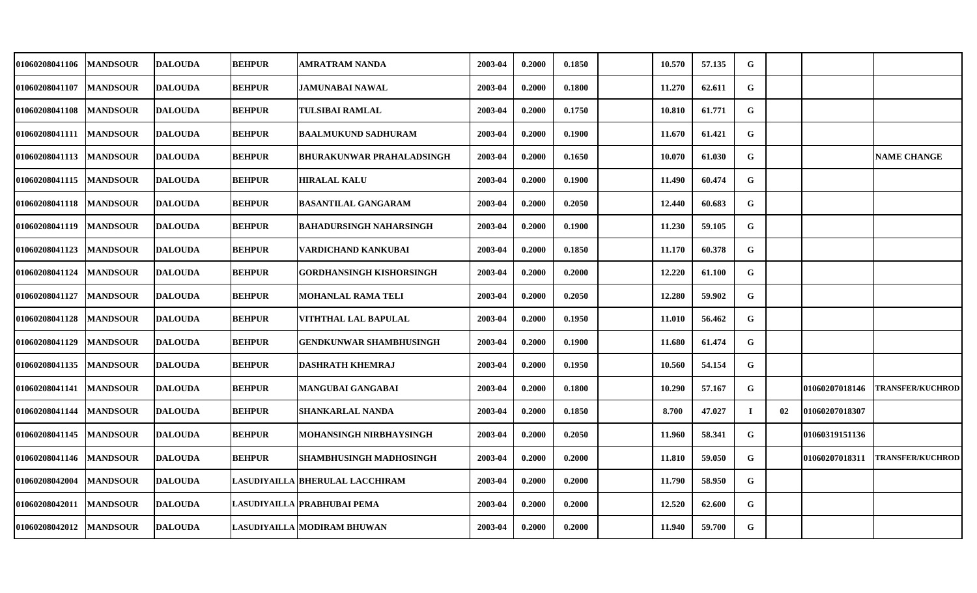| <b>MANDSOUR</b> | <b>DALOUDA</b> | <b>BEHPUR</b>                                                        | AMRATRAM NANDA                 | 2003-04                                                                                        | 0.2000 | 0.1850 | 10.570 | 57.135 | G           |    |                |                         |
|-----------------|----------------|----------------------------------------------------------------------|--------------------------------|------------------------------------------------------------------------------------------------|--------|--------|--------|--------|-------------|----|----------------|-------------------------|
| <b>MANDSOUR</b> | <b>DALOUDA</b> | <b>BEHPUR</b>                                                        | <b>JAMUNABAI NAWAL</b>         | 2003-04                                                                                        | 0.2000 | 0.1800 | 11.270 | 62.611 | G           |    |                |                         |
| <b>MANDSOUR</b> | <b>DALOUDA</b> | <b>BEHPUR</b>                                                        | TULSIBAI RAMLAL                | 2003-04                                                                                        | 0.2000 | 0.1750 | 10.810 | 61.771 | G           |    |                |                         |
| <b>MANDSOUR</b> | <b>DALOUDA</b> | <b>BEHPUR</b>                                                        | <b>BAALMUKUND SADHURAM</b>     | 2003-04                                                                                        | 0.2000 | 0.1900 | 11.670 | 61.421 | G           |    |                |                         |
| <b>MANDSOUR</b> | <b>DALOUDA</b> | <b>BEHPUR</b>                                                        | BHURAKUNWAR PRAHALADSINGH      | 2003-04                                                                                        | 0.2000 | 0.1650 | 10.070 | 61.030 | G           |    |                | <b>NAME CHANGE</b>      |
| <b>MANDSOUR</b> |                | <b>BEHPUR</b>                                                        | <b>HIRALAL KALU</b>            | 2003-04                                                                                        | 0.2000 | 0.1900 | 11.490 | 60.474 | G           |    |                |                         |
| <b>MANDSOUR</b> | <b>DALOUDA</b> | <b>BEHPUR</b>                                                        | BASANTILAL GANGARAM            | 2003-04                                                                                        | 0.2000 | 0.2050 | 12.440 | 60.683 | G           |    |                |                         |
| <b>MANDSOUR</b> | <b>DALOUDA</b> | <b>BEHPUR</b>                                                        | <b>BAHADURSINGH NAHARSINGH</b> | 2003-04                                                                                        | 0.2000 | 0.1900 | 11.230 | 59.105 | $\mathbf G$ |    |                |                         |
| <b>MANDSOUR</b> | <b>DALOUDA</b> | <b>BEHPUR</b>                                                        | VARDICHAND KANKUBAI            | 2003-04                                                                                        | 0.2000 | 0.1850 | 11.170 | 60.378 | G           |    |                |                         |
| <b>MANDSOUR</b> | <b>DALOUDA</b> | <b>BEHPUR</b>                                                        | GORDHANSINGH KISHORSINGH       | 2003-04                                                                                        | 0.2000 | 0.2000 | 12.220 | 61.100 | G           |    |                |                         |
| <b>MANDSOUR</b> | <b>DALOUDA</b> | <b>BEHPUR</b>                                                        | MOHANLAL RAMA TELI             | 2003-04                                                                                        | 0.2000 | 0.2050 | 12.280 | 59.902 | G           |    |                |                         |
| <b>MANDSOUR</b> | <b>DALOUDA</b> | <b>BEHPUR</b>                                                        | VITHTHAL LAL BAPULAL           | 2003-04                                                                                        | 0.2000 | 0.1950 | 11.010 | 56.462 | G           |    |                |                         |
| <b>MANDSOUR</b> | <b>DALOUDA</b> | <b>BEHPUR</b>                                                        | <b>GENDKUNWAR SHAMBHUSINGH</b> | 2003-04                                                                                        | 0.2000 | 0.1900 | 11.680 | 61.474 | G           |    |                |                         |
| <b>MANDSOUR</b> | <b>DALOUDA</b> | <b>BEHPUR</b>                                                        | <b>DASHRATH KHEMRAJ</b>        | 2003-04                                                                                        | 0.2000 | 0.1950 | 10.560 | 54.154 | G           |    |                |                         |
| <b>MANDSOUR</b> |                | <b>BEHPUR</b>                                                        | MANGUBAI GANGABAI              | 2003-04                                                                                        | 0.2000 | 0.1800 | 10.290 | 57.167 | G           |    | 01060207018146 | <b>TRANSFER/KUCHROD</b> |
| <b>MANDSOUR</b> | <b>DALOUDA</b> | <b>BEHPUR</b>                                                        | SHANKARLAL NANDA               | 2003-04                                                                                        | 0.2000 | 0.1850 | 8.700  | 47.027 | L           | 02 | 01060207018307 |                         |
| <b>MANDSOUR</b> | <b>DALOUDA</b> | <b>BEHPUR</b>                                                        | MOHANSINGH NIRBHAYSINGH        | 2003-04                                                                                        | 0.2000 | 0.2050 | 11.960 | 58.341 | G           |    |                |                         |
| <b>MANDSOUR</b> |                | <b>BEHPUR</b>                                                        | SHAMBHUSINGH MADHOSINGH        | 2003-04                                                                                        | 0.2000 | 0.2000 | 11.810 | 59.050 | G           |    | 01060207018311 | <b>TRANSFER/KUCHROD</b> |
| <b>MANDSOUR</b> |                |                                                                      |                                | 2003-04                                                                                        | 0.2000 | 0.2000 | 11.790 | 58.950 | G           |    |                |                         |
| <b>MANDSOUR</b> | <b>DALOUDA</b> |                                                                      |                                | 2003-04                                                                                        | 0.2000 | 0.2000 | 12.520 | 62.600 | G           |    |                |                         |
| <b>MANDSOUR</b> | <b>DALOUDA</b> |                                                                      |                                | 2003-04                                                                                        | 0.2000 | 0.2000 | 11.940 | 59.700 | G           |    |                |                         |
|                 |                | <b>DALOUDA</b><br><b>DALOUDA</b><br><b>DALOUDA</b><br><b>DALOUDA</b> |                                | LASUDIYAILLA BHERULAL LACCHIRAM<br>LASUDIYAILLA  PRABHUBAI PEMA<br>LASUDIYAILLA MODIRAM BHUWAN |        |        |        |        |             |    |                | 01060319151136          |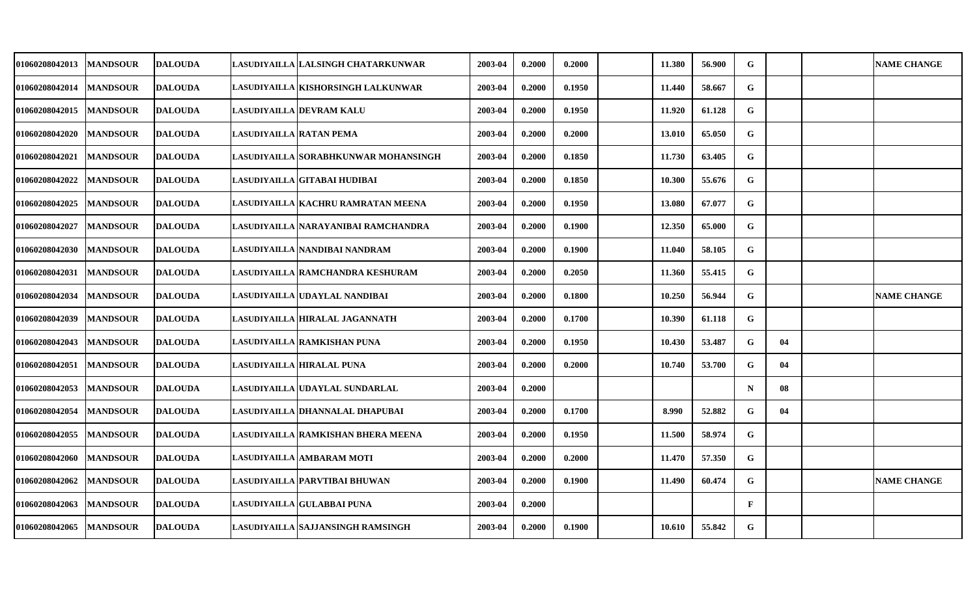| <b>01060208042013</b> | <b>MANDSOUR</b> | <b>DALOUDA</b> |                         | LASUDIYAILLA LALSINGH CHATARKUNWAR    | 2003-04 | 0.2000 | 0.2000 | 11.380 | 56.900 | G            |    | <b>NAME CHANGE</b> |
|-----------------------|-----------------|----------------|-------------------------|---------------------------------------|---------|--------|--------|--------|--------|--------------|----|--------------------|
| 01060208042014        | <b>MANDSOUR</b> | <b>DALOUDA</b> |                         | LASUDIYAILLA   KISHORSINGH LALKUNWAR  | 2003-04 | 0.2000 | 0.1950 | 11.440 | 58.667 | G            |    |                    |
| <b>01060208042015</b> | <b>MANDSOUR</b> | <b>DALOUDA</b> |                         | <b>LASUDIYAILLA DEVRAM KALU</b>       | 2003-04 | 0.2000 | 0.1950 | 11.920 | 61.128 | G            |    |                    |
| 01060208042020        | <b>MANDSOUR</b> | <b>DALOUDA</b> | LASUDIYAILLA RATAN PEMA |                                       | 2003-04 | 0.2000 | 0.2000 | 13.010 | 65.050 | G            |    |                    |
| 01060208042021        | <b>MANDSOUR</b> | <b>DALOUDA</b> |                         | LASUDIYAILLA SORABHKUNWAR MOHANSINGH  | 2003-04 | 0.2000 | 0.1850 | 11.730 | 63.405 | G            |    |                    |
| <b>01060208042022</b> | <b>MANDSOUR</b> | <b>DALOUDA</b> |                         | LASUDIYAILLA GITABAI HUDIBAI          | 2003-04 | 0.2000 | 0.1850 | 10.300 | 55.676 | ${\bf G}$    |    |                    |
| 01060208042025        | <b>MANDSOUR</b> | <b>DALOUDA</b> |                         | LASUDIYAILLA KACHRU RAMRATAN MEENA    | 2003-04 | 0.2000 | 0.1950 | 13.080 | 67.077 | G            |    |                    |
| 01060208042027        | <b>MANDSOUR</b> | <b>DALOUDA</b> |                         | LASUDIYAILLA   NARAYANIBAI RAMCHANDRA | 2003-04 | 0.2000 | 0.1900 | 12.350 | 65.000 | G            |    |                    |
| 01060208042030        | <b>MANDSOUR</b> | <b>DALOUDA</b> |                         | LASUDIYAILLA NANDIBAI NANDRAM         | 2003-04 | 0.2000 | 0.1900 | 11.040 | 58.105 | G            |    |                    |
| 01060208042031        | <b>MANDSOUR</b> | <b>DALOUDA</b> |                         | LASUDIYAILLA RAMCHANDRA KESHURAM      | 2003-04 | 0.2000 | 0.2050 | 11.360 | 55.415 | G            |    |                    |
| 01060208042034        | <b>MANDSOUR</b> | <b>DALOUDA</b> |                         | LASUDIYAILLA UDAYLAL NANDIBAI         | 2003-04 | 0.2000 | 0.1800 | 10.250 | 56.944 | G            |    | <b>NAME CHANGE</b> |
| <b>01060208042039</b> | <b>MANDSOUR</b> | <b>DALOUDA</b> |                         | LASUDIYAILLA HIRALAL JAGANNATH        | 2003-04 | 0.2000 | 0.1700 | 10.390 | 61.118 | G            |    |                    |
| 01060208042043        | <b>MANDSOUR</b> | <b>DALOUDA</b> |                         | LASUDIYAILLA RAMKISHAN PUNA           | 2003-04 | 0.2000 | 0.1950 | 10.430 | 53.487 | G            | 04 |                    |
| 01060208042051        | <b>MANDSOUR</b> | <b>DALOUDA</b> |                         | LASUDIYAILLA HIRALAL PUNA             | 2003-04 | 0.2000 | 0.2000 | 10.740 | 53.700 | G            | 04 |                    |
| 01060208042053        | <b>MANDSOUR</b> | <b>DALOUDA</b> |                         | LASUDIYAILLA UDAYLAL SUNDARLAL        | 2003-04 | 0.2000 |        |        |        | $\mathbf N$  | 08 |                    |
| 01060208042054        | <b>MANDSOUR</b> | <b>DALOUDA</b> |                         | LASUDIYAILLA DHANNALAL DHAPUBAI       | 2003-04 | 0.2000 | 0.1700 | 8.990  | 52.882 | G            | 04 |                    |
| 01060208042055        | <b>MANDSOUR</b> | <b>DALOUDA</b> |                         | LASUDIYAILLA RAMKISHAN BHERA MEENA    | 2003-04 | 0.2000 | 0.1950 | 11.500 | 58.974 | G            |    |                    |
| <b>01060208042060</b> | <b>MANDSOUR</b> | <b>DALOUDA</b> |                         | LASUDIYAILLA AMBARAM MOTI             | 2003-04 | 0.2000 | 0.2000 | 11.470 | 57.350 | ${\bf G}$    |    |                    |
| 01060208042062        | <b>MANDSOUR</b> | <b>DALOUDA</b> |                         | LASUDIYAILLA PARVTIBAI BHUWAN         | 2003-04 | 0.2000 | 0.1900 | 11.490 | 60.474 | G            |    | <b>NAME CHANGE</b> |
| 01060208042063        | <b>MANDSOUR</b> | <b>DALOUDA</b> |                         | LASUDIYAILLA GULABBAI PUNA            | 2003-04 | 0.2000 |        |        |        | $\mathbf{F}$ |    |                    |
| 01060208042065        | <b>MANDSOUR</b> | <b>DALOUDA</b> |                         | LASUDIYAILLA  SAJJANSINGH RAMSINGH    | 2003-04 | 0.2000 | 0.1900 | 10.610 | 55.842 | G            |    |                    |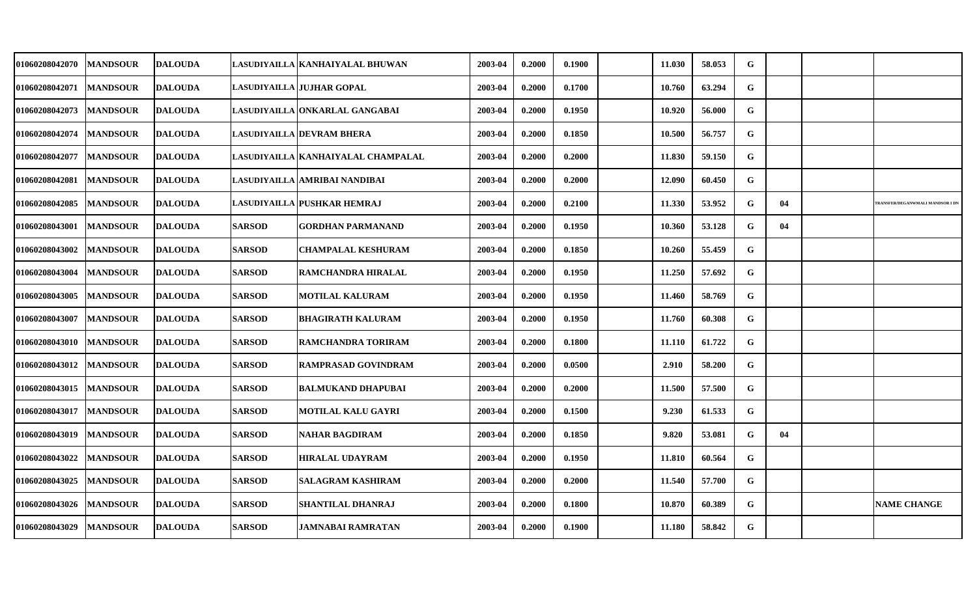| 01060208042070 | <b>MANDSOUR</b> | <b>DALOUDA</b> |               | LASUDIYAILLA   KANHAIYALAL BHUWAN  | 2003-04 | 0.2000 | 0.1900 | 11.030 | 58.053 | G         |    |                                 |
|----------------|-----------------|----------------|---------------|------------------------------------|---------|--------|--------|--------|--------|-----------|----|---------------------------------|
| 01060208042071 | <b>MANDSOUR</b> | <b>DALOUDA</b> |               | LASUDIYAILLA JUJHAR GOPAL          | 2003-04 | 0.2000 | 0.1700 | 10.760 | 63.294 | G         |    |                                 |
| 01060208042073 | <b>MANDSOUR</b> | <b>DALOUDA</b> |               | LASUDIYAILLA ONKARLAL GANGABAI     | 2003-04 | 0.2000 | 0.1950 | 10.920 | 56.000 | G         |    |                                 |
| 01060208042074 | <b>MANDSOUR</b> | <b>DALOUDA</b> |               | LASUDIYAILLA DEVRAM BHERA          | 2003-04 | 0.2000 | 0.1850 | 10.500 | 56.757 | G         |    |                                 |
| 01060208042077 | <b>MANDSOUR</b> | <b>DALOUDA</b> |               | LASUDIYAILLA KANHAIYALAL CHAMPALAL | 2003-04 | 0.2000 | 0.2000 | 11.830 | 59.150 | G         |    |                                 |
| 01060208042081 | <b>MANDSOUR</b> | <b>DALOUDA</b> |               | LASUDIYAILLA AMRIBAI NANDIBAI      | 2003-04 | 0.2000 | 0.2000 | 12.090 | 60.450 | G         |    |                                 |
| 01060208042085 | <b>MANDSOUR</b> | <b>DALOUDA</b> |               | <b>LASUDIYAILLA PUSHKAR HEMRAJ</b> | 2003-04 | 0.2000 | 0.2100 | 11.330 | 53.952 | G         | 04 | RANSFER/DEGANWMALI MANDSOR I DI |
| 01060208043001 | <b>MANDSOUR</b> | <b>DALOUDA</b> | <b>SARSOD</b> | <b>GORDHAN PARMANAND</b>           | 2003-04 | 0.2000 | 0.1950 | 10.360 | 53.128 | G         | 04 |                                 |
| 01060208043002 | <b>MANDSOUR</b> | <b>DALOUDA</b> | <b>SARSOD</b> | <b>CHAMPALAL KESHURAM</b>          | 2003-04 | 0.2000 | 0.1850 | 10.260 | 55.459 | G         |    |                                 |
| 01060208043004 | <b>MANDSOUR</b> | <b>DALOUDA</b> | <b>SARSOD</b> | <b>RAMCHANDRA HIRALAL</b>          | 2003-04 | 0.2000 | 0.1950 | 11.250 | 57.692 | G         |    |                                 |
| 01060208043005 | <b>MANDSOUR</b> | <b>DALOUDA</b> | <b>SARSOD</b> | <b>MOTILAL KALURAM</b>             | 2003-04 | 0.2000 | 0.1950 | 11.460 | 58.769 | G         |    |                                 |
| 01060208043007 | <b>MANDSOUR</b> | <b>DALOUDA</b> | <b>SARSOD</b> | <b>BHAGIRATH KALURAM</b>           | 2003-04 | 0.2000 | 0.1950 | 11.760 | 60.308 | G         |    |                                 |
| 01060208043010 | <b>MANDSOUR</b> | <b>DALOUDA</b> | <b>SARSOD</b> | <b>RAMCHANDRA TORIRAM</b>          | 2003-04 | 0.2000 | 0.1800 | 11.110 | 61.722 | G         |    |                                 |
| 01060208043012 | <b>MANDSOUR</b> | <b>DALOUDA</b> | <b>SARSOD</b> | <b>RAMPRASAD GOVINDRAM</b>         | 2003-04 | 0.2000 | 0.0500 | 2.910  | 58.200 | G         |    |                                 |
| 01060208043015 | <b>MANDSOUR</b> | <b>DALOUDA</b> | <b>SARSOD</b> | <b>BALMUKAND DHAPUBAI</b>          | 2003-04 | 0.2000 | 0.2000 | 11.500 | 57.500 | G         |    |                                 |
| 01060208043017 | <b>MANDSOUR</b> | <b>DALOUDA</b> | <b>SARSOD</b> | MOTILAL KALU GAYRI                 | 2003-04 | 0.2000 | 0.1500 | 9.230  | 61.533 | G         |    |                                 |
| 01060208043019 | <b>MANDSOUR</b> | <b>DALOUDA</b> | <b>SARSOD</b> | <b>NAHAR BAGDIRAM</b>              | 2003-04 | 0.2000 | 0.1850 | 9.820  | 53.081 | ${\bf G}$ | 04 |                                 |
| 01060208043022 | <b>MANDSOUR</b> | <b>DALOUDA</b> | <b>SARSOD</b> | <b>HIRALAL UDAYRAM</b>             | 2003-04 | 0.2000 | 0.1950 | 11.810 | 60.564 | G         |    |                                 |
| 01060208043025 | <b>MANDSOUR</b> | <b>DALOUDA</b> | <b>SARSOD</b> | <b>SALAGRAM KASHIRAM</b>           | 2003-04 | 0.2000 | 0.2000 | 11.540 | 57.700 | G         |    |                                 |
| 01060208043026 | <b>MANDSOUR</b> | <b>DALOUDA</b> | <b>SARSOD</b> | <b>SHANTILAL DHANRAJ</b>           | 2003-04 | 0.2000 | 0.1800 | 10.870 | 60.389 | G         |    | <b>NAME CHANGE</b>              |
| 01060208043029 | <b>MANDSOUR</b> | <b>DALOUDA</b> | <b>SARSOD</b> | JAMNABAI RAMRATAN                  | 2003-04 | 0.2000 | 0.1900 | 11.180 | 58.842 | G         |    |                                 |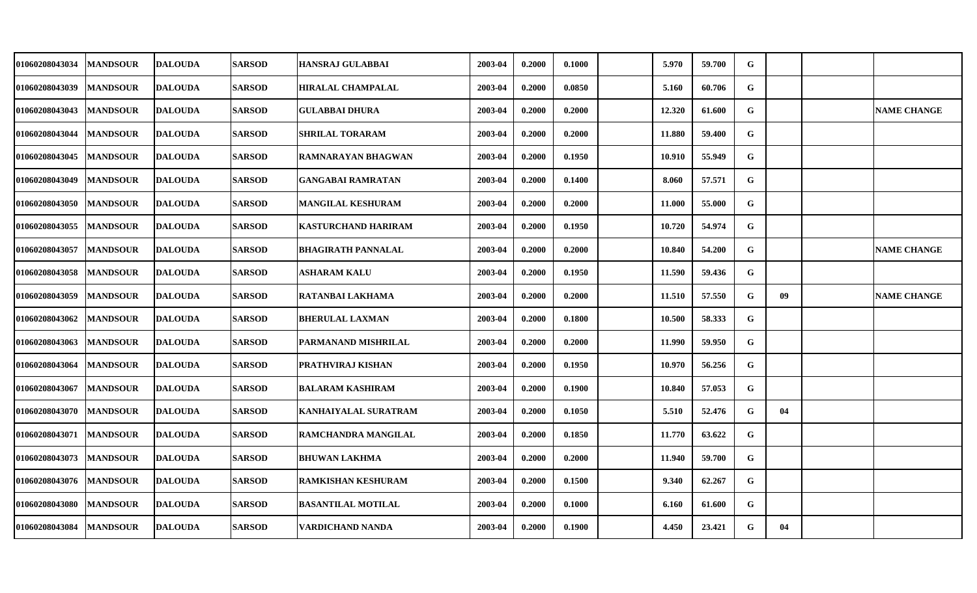| <b>01060208043034</b> | <b>MANDSOUR</b> | <b>IDALOUDA</b> | <b>SARSOD</b> | HANSRAJ GULABBAI           | 2003-04 | 0.2000 | 0.1000 | 5.970  | 59.700 | G           |    |                    |
|-----------------------|-----------------|-----------------|---------------|----------------------------|---------|--------|--------|--------|--------|-------------|----|--------------------|
| 01060208043039        | <b>MANDSOUR</b> | <b>DALOUDA</b>  | <b>SARSOD</b> | <b>HIRALAL CHAMPALAL</b>   | 2003-04 | 0.2000 | 0.0850 | 5.160  | 60.706 | G           |    |                    |
| <b>01060208043043</b> | <b>MANDSOUR</b> | <b>DALOUDA</b>  | <b>SARSOD</b> | <b>GULABBAI DHURA</b>      | 2003-04 | 0.2000 | 0.2000 | 12.320 | 61.600 | G           |    | <b>NAME CHANGE</b> |
| <b>01060208043044</b> | <b>MANDSOUR</b> | <b>DALOUDA</b>  | <b>SARSOD</b> | <b>SHRILAL TORARAM</b>     | 2003-04 | 0.2000 | 0.2000 | 11.880 | 59.400 | G           |    |                    |
| <b>01060208043045</b> | <b>MANDSOUR</b> | <b>DALOUDA</b>  | <b>SARSOD</b> | RAMNARAYAN BHAGWAN         | 2003-04 | 0.2000 | 0.1950 | 10.910 | 55.949 | G           |    |                    |
| 01060208043049        | <b>MANDSOUR</b> | <b>DALOUDA</b>  | <b>SARSOD</b> | <b>GANGABAI RAMRATAN</b>   | 2003-04 | 0.2000 | 0.1400 | 8.060  | 57.571 | G           |    |                    |
| 01060208043050        | <b>MANDSOUR</b> | <b>DALOUDA</b>  | <b>SARSOD</b> | <b>MANGILAL KESHURAM</b>   | 2003-04 | 0.2000 | 0.2000 | 11.000 | 55.000 | G           |    |                    |
| 01060208043055        | <b>MANDSOUR</b> | <b>DALOUDA</b>  | <b>SARSOD</b> | <b>KASTURCHAND HARIRAM</b> | 2003-04 | 0.2000 | 0.1950 | 10.720 | 54.974 | G           |    |                    |
| 01060208043057        | <b>MANDSOUR</b> | <b>DALOUDA</b>  | <b>SARSOD</b> | <b>BHAGIRATH PANNALAL</b>  | 2003-04 | 0.2000 | 0.2000 | 10.840 | 54.200 | G           |    | <b>NAME CHANGE</b> |
| 01060208043058        | <b>MANDSOUR</b> | <b>DALOUDA</b>  | <b>SARSOD</b> | <b>ASHARAM KALU</b>        | 2003-04 | 0.2000 | 0.1950 | 11.590 | 59.436 | G           |    |                    |
| <b>01060208043059</b> | <b>MANDSOUR</b> | <b>DALOUDA</b>  | <b>SARSOD</b> | RATANBAI LAKHAMA           | 2003-04 | 0.2000 | 0.2000 | 11.510 | 57.550 | G           | 09 | <b>NAME CHANGE</b> |
| <b>01060208043062</b> | <b>MANDSOUR</b> | <b>DALOUDA</b>  | <b>SARSOD</b> | <b>BHERULAL LAXMAN</b>     | 2003-04 | 0.2000 | 0.1800 | 10.500 | 58.333 | G           |    |                    |
| 01060208043063        | <b>MANDSOUR</b> | <b>DALOUDA</b>  | <b>SARSOD</b> | PARMANAND MISHRILAL        | 2003-04 | 0.2000 | 0.2000 | 11.990 | 59.950 | G           |    |                    |
| 01060208043064        | <b>MANDSOUR</b> | <b>DALOUDA</b>  | <b>SARSOD</b> | PRATHVIRAJ KISHAN          | 2003-04 | 0.2000 | 0.1950 | 10.970 | 56.256 | G           |    |                    |
| 01060208043067        | <b>MANDSOUR</b> | <b>DALOUDA</b>  | <b>SARSOD</b> | <b>BALARAM KASHIRAM</b>    | 2003-04 | 0.2000 | 0.1900 | 10.840 | 57.053 | G           |    |                    |
| <b>01060208043070</b> | <b>MANDSOUR</b> | <b>DALOUDA</b>  | <b>SARSOD</b> | KANHAIYALAL SURATRAM       | 2003-04 | 0.2000 | 0.1050 | 5.510  | 52.476 | G           | 04 |                    |
| 01060208043071        | <b>MANDSOUR</b> | <b>DALOUDA</b>  | <b>SARSOD</b> | RAMCHANDRA MANGILAL        | 2003-04 | 0.2000 | 0.1850 | 11.770 | 63.622 | $\mathbf G$ |    |                    |
| 01060208043073        | <b>MANDSOUR</b> | <b>DALOUDA</b>  | <b>SARSOD</b> | <b>BHUWAN LAKHMA</b>       | 2003-04 | 0.2000 | 0.2000 | 11.940 | 59.700 | G           |    |                    |
| 01060208043076        | <b>MANDSOUR</b> | <b>DALOUDA</b>  | <b>SARSOD</b> | RAMKISHAN KESHURAM         | 2003-04 | 0.2000 | 0.1500 | 9.340  | 62.267 | G           |    |                    |
| 01060208043080        | <b>MANDSOUR</b> | <b>DALOUDA</b>  | <b>SARSOD</b> | <b>BASANTILAL MOTILAL</b>  | 2003-04 | 0.2000 | 0.1000 | 6.160  | 61.600 | G           |    |                    |
| 01060208043084        | <b>MANDSOUR</b> | <b>DALOUDA</b>  | <b>SARSOD</b> | VARDICHAND NANDA           | 2003-04 | 0.2000 | 0.1900 | 4.450  | 23.421 | G           | 04 |                    |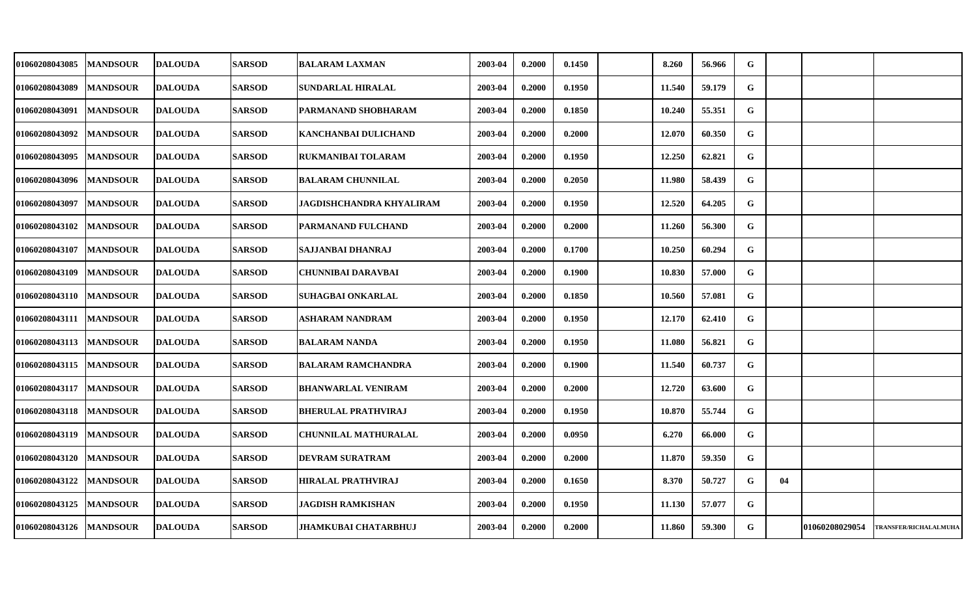| 01060208043085            | <b>MANDSOUR</b> | <b>DALOUDA</b> | <b>SARSOD</b> | <b>BALARAM LAXMAN</b>      | 2003-04 | 0.2000 | 0.1450 | 8.260  | 56.966 | G |    |                |                       |
|---------------------------|-----------------|----------------|---------------|----------------------------|---------|--------|--------|--------|--------|---|----|----------------|-----------------------|
| 01060208043089            | <b>MANDSOUR</b> | <b>DALOUDA</b> | <b>SARSOD</b> | SUNDARLAL HIRALAL          | 2003-04 | 0.2000 | 0.1950 | 11.540 | 59.179 | G |    |                |                       |
| 01060208043091            | <b>MANDSOUR</b> | <b>DALOUDA</b> | <b>SARSOD</b> | PARMANAND SHOBHARAM        | 2003-04 | 0.2000 | 0.1850 | 10.240 | 55.351 | G |    |                |                       |
| 01060208043092            | <b>MANDSOUR</b> | <b>DALOUDA</b> | <b>SARSOD</b> | KANCHANBAI DULICHAND       | 2003-04 | 0.2000 | 0.2000 | 12.070 | 60.350 | G |    |                |                       |
| 01060208043095            | <b>MANDSOUR</b> | <b>DALOUDA</b> | <b>SARSOD</b> | RUKMANIBAI TOLARAM         | 2003-04 | 0.2000 | 0.1950 | 12.250 | 62.821 | G |    |                |                       |
| 01060208043096            | <b>MANDSOUR</b> | <b>DALOUDA</b> | <b>SARSOD</b> | <b>BALARAM CHUNNILAL</b>   | 2003-04 | 0.2000 | 0.2050 | 11.980 | 58.439 | G |    |                |                       |
| 01060208043097            | <b>MANDSOUR</b> | <b>DALOUDA</b> | <b>SARSOD</b> | JAGDISHCHANDRA KHYALIRAM   | 2003-04 | 0.2000 | 0.1950 | 12.520 | 64.205 | G |    |                |                       |
| 01060208043102            | <b>MANDSOUR</b> | <b>DALOUDA</b> | <b>SARSOD</b> | PARMANAND FULCHAND         | 2003-04 | 0.2000 | 0.2000 | 11.260 | 56.300 | G |    |                |                       |
| 01060208043107            | <b>MANDSOUR</b> | <b>DALOUDA</b> | <b>SARSOD</b> | SAJJANBAI DHANRAJ          | 2003-04 | 0.2000 | 0.1700 | 10.250 | 60.294 | G |    |                |                       |
| 01060208043109            | <b>MANDSOUR</b> | <b>DALOUDA</b> | <b>SARSOD</b> | CHUNNIBAI DARAVBAI         | 2003-04 | 0.2000 | 0.1900 | 10.830 | 57.000 | G |    |                |                       |
| 01060208043110            | <b>MANDSOUR</b> | <b>DALOUDA</b> | <b>SARSOD</b> | SUHAGBAI ONKARLAL          | 2003-04 | 0.2000 | 0.1850 | 10.560 | 57.081 | G |    |                |                       |
| 01060208043111            | <b>MANDSOUR</b> | <b>DALOUDA</b> | <b>SARSOD</b> | ASHARAM NANDRAM            | 2003-04 | 0.2000 | 0.1950 | 12.170 | 62.410 | G |    |                |                       |
| 01060208043113            | <b>MANDSOUR</b> | <b>DALOUDA</b> | <b>SARSOD</b> | <b>BALARAM NANDA</b>       | 2003-04 | 0.2000 | 0.1950 | 11.080 | 56.821 | G |    |                |                       |
| 01060208043115            | <b>MANDSOUR</b> | <b>DALOUDA</b> | <b>SARSOD</b> | <b>BALARAM RAMCHANDRA</b>  | 2003-04 | 0.2000 | 0.1900 | 11.540 | 60.737 | G |    |                |                       |
| 01060208043117            | <b>MANDSOUR</b> | <b>DALOUDA</b> | <b>SARSOD</b> | <b>BHANWARLAL VENIRAM</b>  | 2003-04 | 0.2000 | 0.2000 | 12.720 | 63.600 | G |    |                |                       |
| 01060208043118            | <b>MANDSOUR</b> | <b>DALOUDA</b> | <b>SARSOD</b> | <b>BHERULAL PRATHVIRAJ</b> | 2003-04 | 0.2000 | 0.1950 | 10.870 | 55.744 | G |    |                |                       |
| 01060208043119            | <b>MANDSOUR</b> | <b>DALOUDA</b> | <b>SARSOD</b> | CHUNNILAL MATHURALAL       | 2003-04 | 0.2000 | 0.0950 | 6.270  | 66.000 | G |    |                |                       |
| 01060208043120            | <b>MANDSOUR</b> | <b>DALOUDA</b> | <b>SARSOD</b> | <b>DEVRAM SURATRAM</b>     | 2003-04 | 0.2000 | 0.2000 | 11.870 | 59.350 | G |    |                |                       |
| 01060208043122            | <b>MANDSOUR</b> | <b>DALOUDA</b> | <b>SARSOD</b> | HIRALAL PRATHVIRAJ         | 2003-04 | 0.2000 | 0.1650 | 8.370  | 50.727 | G | 04 |                |                       |
| 01060208043125            | <b>MANDSOUR</b> | <b>DALOUDA</b> | <b>SARSOD</b> | <b>JAGDISH RAMKISHAN</b>   | 2003-04 | 0.2000 | 0.1950 | 11.130 | 57.077 | G |    |                |                       |
| 01060208043126   MANDSOUR |                 | <b>DALOUDA</b> | <b>SARSOD</b> | JHAMKUBAI CHATARBHUJ       | 2003-04 | 0.2000 | 0.2000 | 11.860 | 59.300 | G |    | 01060208029054 | TRANSFER/RICHALALMUHA |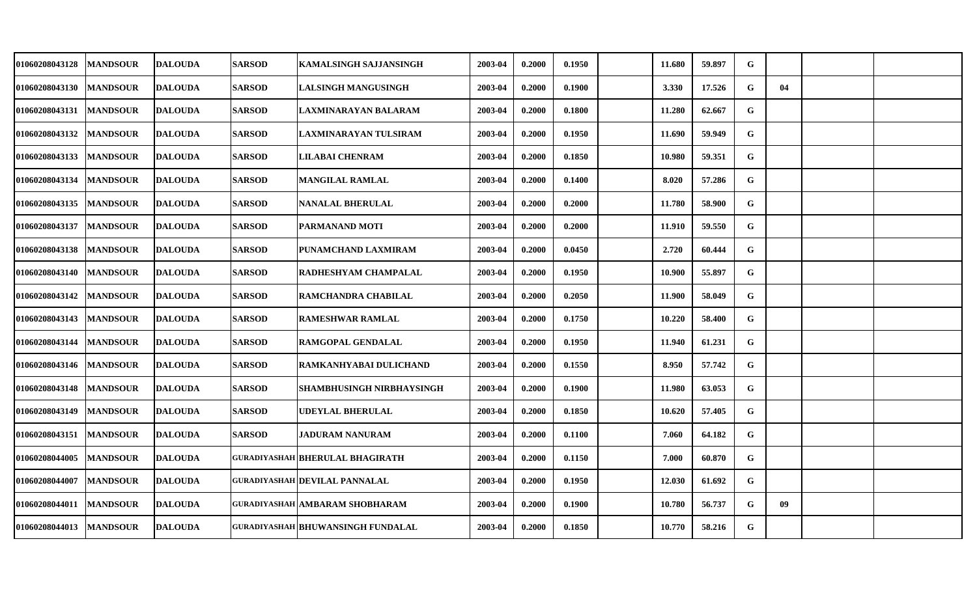| 01060208043128 | <b>MANDSOUR</b> | <b>DALOUDA</b> | <b>SARSOD</b> | KAMALSINGH SAJJANSINGH                   | 2003-04 | 0.2000 | 0.1950 | 11.680       | 59.897 | G |    |  |
|----------------|-----------------|----------------|---------------|------------------------------------------|---------|--------|--------|--------------|--------|---|----|--|
| 01060208043130 | <b>MANDSOUR</b> | <b>DALOUDA</b> | <b>SARSOD</b> | <b>LALSINGH MANGUSINGH</b>               | 2003-04 | 0.2000 | 0.1900 | <b>3.330</b> | 17.526 | G | 04 |  |
| 01060208043131 | <b>MANDSOUR</b> | <b>DALOUDA</b> | <b>SARSOD</b> | LAXMINARAYAN BALARAM                     | 2003-04 | 0.2000 | 0.1800 | 11.280       | 62.667 | G |    |  |
| 01060208043132 | <b>MANDSOUR</b> | <b>DALOUDA</b> | <b>SARSOD</b> | LAXMINARAYAN TULSIRAM                    | 2003-04 | 0.2000 | 0.1950 | 11.690       | 59.949 | G |    |  |
| 01060208043133 | <b>MANDSOUR</b> | <b>DALOUDA</b> | <b>SARSOD</b> | <b>LILABAI CHENRAM</b>                   | 2003-04 | 0.2000 | 0.1850 | 10.980       | 59.351 | G |    |  |
| 01060208043134 | <b>MANDSOUR</b> | <b>DALOUDA</b> | <b>SARSOD</b> | <b>MANGILAL RAMLAL</b>                   | 2003-04 | 0.2000 | 0.1400 | 8.020        | 57.286 | G |    |  |
| 01060208043135 | <b>MANDSOUR</b> | <b>DALOUDA</b> | <b>SARSOD</b> | <b>NANALAL BHERULAL</b>                  | 2003-04 | 0.2000 | 0.2000 | 11.780       | 58.900 | G |    |  |
| 01060208043137 | <b>MANDSOUR</b> | <b>DALOUDA</b> | <b>SARSOD</b> | PARMANAND MOTI                           | 2003-04 | 0.2000 | 0.2000 | 11.910       | 59.550 | G |    |  |
| 01060208043138 | <b>MANDSOUR</b> | <b>DALOUDA</b> | <b>SARSOD</b> | PUNAMCHAND LAXMIRAM                      | 2003-04 | 0.2000 | 0.0450 | 2.720        | 60.444 | G |    |  |
| 01060208043140 | <b>MANDSOUR</b> | <b>DALOUDA</b> | <b>SARSOD</b> | RADHESHYAM CHAMPALAL                     | 2003-04 | 0.2000 | 0.1950 | 10.900       | 55.897 | G |    |  |
| 01060208043142 | <b>MANDSOUR</b> | <b>DALOUDA</b> | <b>SARSOD</b> | RAMCHANDRA CHABILAL                      | 2003-04 | 0.2000 | 0.2050 | 11.900       | 58.049 | G |    |  |
| 01060208043143 | <b>MANDSOUR</b> | <b>DALOUDA</b> | <b>SARSOD</b> | <b>RAMESHWAR RAMLAL</b>                  | 2003-04 | 0.2000 | 0.1750 | 10.220       | 58.400 | G |    |  |
| 01060208043144 | <b>MANDSOUR</b> | <b>DALOUDA</b> | <b>SARSOD</b> | <b>RAMGOPAL GENDALAL</b>                 | 2003-04 | 0.2000 | 0.1950 | 11.940       | 61.231 | G |    |  |
| 01060208043146 | <b>MANDSOUR</b> | <b>DALOUDA</b> | <b>SARSOD</b> | RAMKANHYABAI DULICHAND                   | 2003-04 | 0.2000 | 0.1550 | 8.950        | 57.742 | G |    |  |
| 01060208043148 | <b>MANDSOUR</b> | <b>DALOUDA</b> | <b>SARSOD</b> | <b>SHAMBHUSINGH NIRBHAYSINGH</b>         | 2003-04 | 0.2000 | 0.1900 | 11.980       | 63.053 | G |    |  |
| 01060208043149 | <b>MANDSOUR</b> | <b>DALOUDA</b> | <b>SARSOD</b> | UDEYLAL BHERULAL                         | 2003-04 | 0.2000 | 0.1850 | 10.620       | 57.405 | G |    |  |
| 01060208043151 | <b>MANDSOUR</b> | <b>DALOUDA</b> | <b>SARSOD</b> | <b>JADURAM NANURAM</b>                   | 2003-04 | 0.2000 | 0.1100 | 7.060        | 64.182 | G |    |  |
| 01060208044005 | <b>MANDSOUR</b> | <b>DALOUDA</b> |               | <b>GURADIYASHAH BHERULAL BHAGIRATH</b>   | 2003-04 | 0.2000 | 0.1150 | 7.000        | 60.870 | G |    |  |
| 01060208044007 | <b>MANDSOUR</b> | <b>DALOUDA</b> |               | <b>GURADIYASHAH DEVILAL PANNALAL</b>     | 2003-04 | 0.2000 | 0.1950 | 12.030       | 61.692 | G |    |  |
| 01060208044011 | <b>MANDSOUR</b> | <b>DALOUDA</b> |               | GURADIYASHAH AMBARAM SHOBHARAM           | 2003-04 | 0.2000 | 0.1900 | 10.780       | 56.737 | G | 09 |  |
| 01060208044013 | <b>MANDSOUR</b> | <b>DALOUDA</b> |               | <b>GURADIYASHAH BHUWANSINGH FUNDALAL</b> | 2003-04 | 0.2000 | 0.1850 | 10.770       | 58.216 | G |    |  |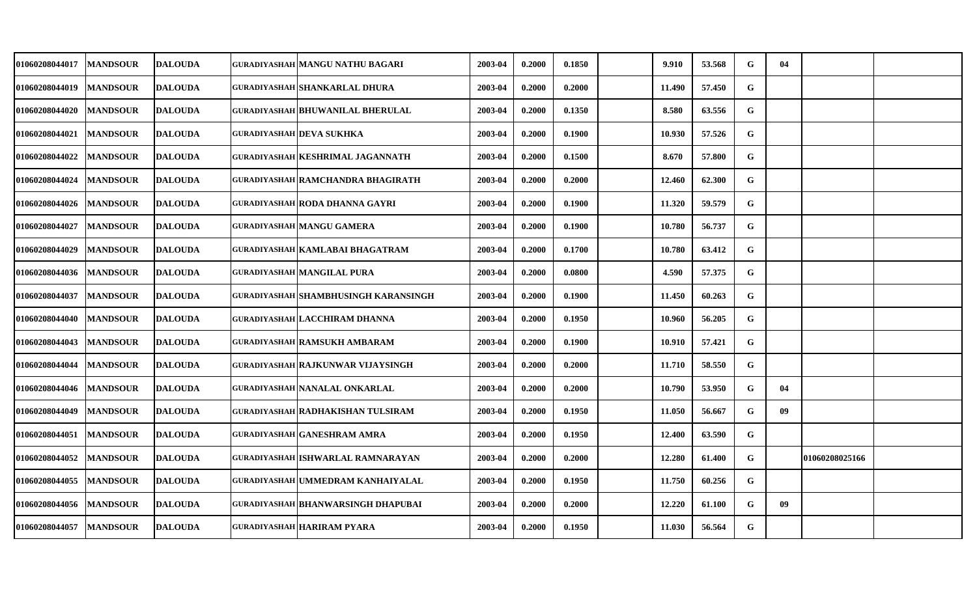| 01060208044017        | <b>MANDSOUR</b> | <b>DALOUDA</b> | GURADIYASHAH MANGU NATHU BAGARI           | 2003-04 | 0.2000 | 0.1850 | 9.910  | 53.568 | G | 04 |                |  |
|-----------------------|-----------------|----------------|-------------------------------------------|---------|--------|--------|--------|--------|---|----|----------------|--|
| 01060208044019        | <b>MANDSOUR</b> | <b>DALOUDA</b> | <b>GURADIYASHAH SHANKARLAL DHURA</b>      | 2003-04 | 0.2000 | 0.2000 | 11.490 | 57.450 | G |    |                |  |
| <b>01060208044020</b> | <b>MANDSOUR</b> | <b>DALOUDA</b> | <b>GURADIYASHAH BHUWANILAL BHERULAL</b>   | 2003-04 | 0.2000 | 0.1350 | 8.580  | 63.556 | G |    |                |  |
| <b>01060208044021</b> | <b>MANDSOUR</b> | <b>DALOUDA</b> | <b>GURADIYASHAH DEVA SUKHKA</b>           | 2003-04 | 0.2000 | 0.1900 | 10.930 | 57.526 | G |    |                |  |
| <b>01060208044022</b> | <b>MANDSOUR</b> | <b>DALOUDA</b> | <b>GURADIYASHAH KESHRIMAL JAGANNATH</b>   | 2003-04 | 0.2000 | 0.1500 | 8.670  | 57.800 | G |    |                |  |
| 01060208044024        | <b>MANDSOUR</b> | <b>DALOUDA</b> | GURADIYASHAH RAMCHANDRA BHAGIRATH         | 2003-04 | 0.2000 | 0.2000 | 12.460 | 62.300 | G |    |                |  |
| <b>01060208044026</b> | <b>MANDSOUR</b> | <b>DALOUDA</b> | <b>GURADIYASHAH RODA DHANNA GAYRI</b>     | 2003-04 | 0.2000 | 0.1900 | 11.320 | 59.579 | G |    |                |  |
| <b>01060208044027</b> | <b>MANDSOUR</b> | <b>DALOUDA</b> | <b>GURADIYASHAH MANGU GAMERA</b>          | 2003-04 | 0.2000 | 0.1900 | 10.780 | 56.737 | G |    |                |  |
| <b>01060208044029</b> | <b>MANDSOUR</b> | <b>DALOUDA</b> | GURADIYASHAH KAMLABAI BHAGATRAM           | 2003-04 | 0.2000 | 0.1700 | 10.780 | 63.412 | G |    |                |  |
| 01060208044036        | <b>MANDSOUR</b> | <b>DALOUDA</b> | <b>GURADIYASHAH MANGILAL PURA</b>         | 2003-04 | 0.2000 | 0.0800 | 4.590  | 57.375 | G |    |                |  |
| 01060208044037        | <b>MANDSOUR</b> | <b>DALOUDA</b> | GURADIYASHAH SHAMBHUSINGH KARANSINGH      | 2003-04 | 0.2000 | 0.1900 | 11.450 | 60.263 | G |    |                |  |
| <b>01060208044040</b> | <b>MANDSOUR</b> | <b>DALOUDA</b> | <b>GURADIYASHAH LACCHIRAM DHANNA</b>      | 2003-04 | 0.2000 | 0.1950 | 10.960 | 56.205 | G |    |                |  |
| <b>01060208044043</b> | <b>MANDSOUR</b> | <b>DALOUDA</b> | GURADIYASHAH RAMSUKH AMBARAM              | 2003-04 | 0.2000 | 0.1900 | 10.910 | 57.421 | G |    |                |  |
| <b>01060208044044</b> | <b>MANDSOUR</b> | <b>DALOUDA</b> | GURADIYASHAH RAJKUNWAR VIJAYSINGH         | 2003-04 | 0.2000 | 0.2000 | 11.710 | 58.550 | G |    |                |  |
| <b>01060208044046</b> | <b>MANDSOUR</b> | <b>DALOUDA</b> | <b>GURADIYASHAH NANALAL ONKARLAL</b>      | 2003-04 | 0.2000 | 0.2000 | 10.790 | 53.950 | G | 04 |                |  |
| <b>01060208044049</b> | <b>MANDSOUR</b> | <b>DALOUDA</b> | <b>GURADIYASHAH RADHAKISHAN TULSIRAM</b>  | 2003-04 | 0.2000 | 0.1950 | 11.050 | 56.667 | G | 09 |                |  |
| <b>01060208044051</b> | <b>MANDSOUR</b> | <b>DALOUDA</b> | <b>GURADIYASHAH GANESHRAM AMRA</b>        | 2003-04 | 0.2000 | 0.1950 | 12.400 | 63.590 | G |    |                |  |
| 01060208044052        | <b>MANDSOUR</b> | <b>DALOUDA</b> | <b>GURADIYASHAH ISHWARLAL RAMNARAYAN</b>  | 2003-04 | 0.2000 | 0.2000 | 12.280 | 61.400 | G |    | 01060208025166 |  |
| 01060208044055        | <b>MANDSOUR</b> | <b>DALOUDA</b> | <b>GURADIYASHAH UMMEDRAM KANHAIYALAL</b>  | 2003-04 | 0.2000 | 0.1950 | 11.750 | 60.256 | G |    |                |  |
| 01060208044056        | <b>MANDSOUR</b> | <b>DALOUDA</b> | <b>GURADIYASHAH BHANWARSINGH DHAPUBAI</b> | 2003-04 | 0.2000 | 0.2000 | 12.220 | 61.100 | G | 09 |                |  |
| <b>01060208044057</b> | <b>MANDSOUR</b> | <b>DALOUDA</b> | <b>GURADIYASHAH HARIRAM PYARA</b>         | 2003-04 | 0.2000 | 0.1950 | 11.030 | 56.564 | G |    |                |  |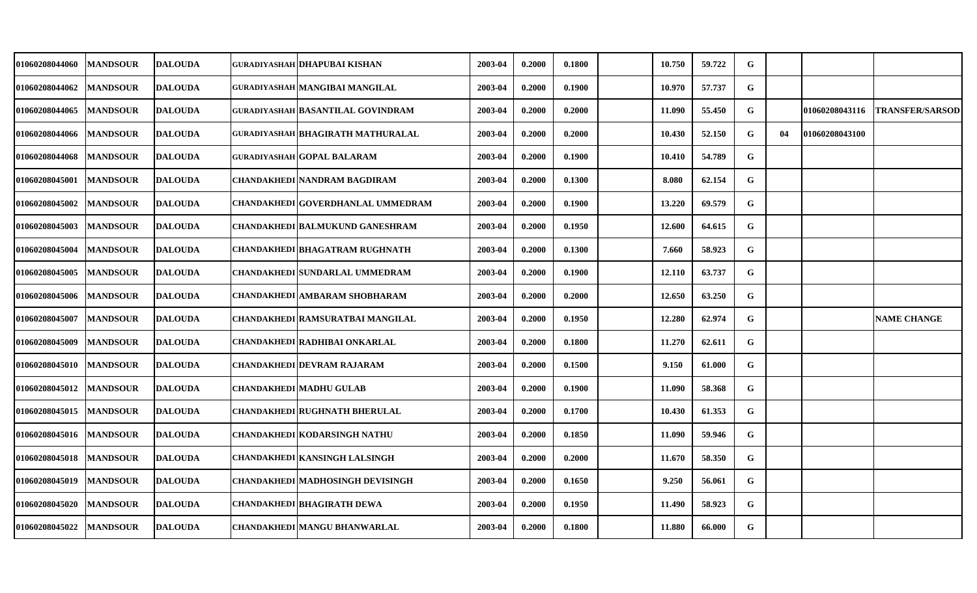| 01060208044060        | <b>MANDSOUR</b> | <b>DALOUDA</b> | GURADIYASHAH DHAPUBAI KISHAN             | 2003-04 | 0.2000 | 0.1800 | 10.750 | 59.722 | G           |    |                |                        |
|-----------------------|-----------------|----------------|------------------------------------------|---------|--------|--------|--------|--------|-------------|----|----------------|------------------------|
| 01060208044062        | <b>MANDSOUR</b> | <b>DALOUDA</b> | GURADIYASHAH MANGIBAI MANGILAL           | 2003-04 | 0.2000 | 0.1900 | 10.970 | 57.737 | $\mathbf G$ |    |                |                        |
| <b>01060208044065</b> | <b>MANDSOUR</b> | <b>DALOUDA</b> | GURADIYASHAH BASANTILAL GOVINDRAM        | 2003-04 | 0.2000 | 0.2000 | 11.090 | 55.450 | G           |    | 01060208043116 | <b>TRANSFER/SARSOD</b> |
| 01060208044066        | <b>MANDSOUR</b> | <b>DALOUDA</b> | <b>GURADIYASHAH BHAGIRATH MATHURALAL</b> | 2003-04 | 0.2000 | 0.2000 | 10.430 | 52.150 | G           | 04 | 01060208043100 |                        |
| 01060208044068        | <b>MANDSOUR</b> | <b>DALOUDA</b> | GURADIYASHAH GOPAL BALARAM               | 2003-04 | 0.2000 | 0.1900 | 10.410 | 54.789 | G           |    |                |                        |
| 01060208045001        | <b>MANDSOUR</b> | <b>DALOUDA</b> | <b>CHANDAKHEDI NANDRAM BAGDIRAM</b>      | 2003-04 | 0.2000 | 0.1300 | 8.080  | 62.154 | $\mathbf G$ |    |                |                        |
| 01060208045002        | <b>MANDSOUR</b> | <b>DALOUDA</b> | CHANDAKHEDI GOVERDHANLAL UMMEDRAM        | 2003-04 | 0.2000 | 0.1900 | 13.220 | 69.579 | G           |    |                |                        |
| 01060208045003        | <b>MANDSOUR</b> | <b>DALOUDA</b> | CHANDAKHEDI BALMUKUND GANESHRAM          | 2003-04 | 0.2000 | 0.1950 | 12.600 | 64.615 | G           |    |                |                        |
| 01060208045004        | <b>MANDSOUR</b> | <b>DALOUDA</b> | CHANDAKHEDI BHAGATRAM RUGHNATH           | 2003-04 | 0.2000 | 0.1300 | 7.660  | 58.923 | G           |    |                |                        |
| 01060208045005        | <b>MANDSOUR</b> | <b>DALOUDA</b> | CHANDAKHEDI SUNDARLAL UMMEDRAM           | 2003-04 | 0.2000 | 0.1900 | 12.110 | 63.737 | G           |    |                |                        |
| <b>01060208045006</b> | <b>MANDSOUR</b> | <b>DALOUDA</b> | CHANDAKHEDI AMBARAM SHOBHARAM            | 2003-04 | 0.2000 | 0.2000 | 12.650 | 63.250 | G           |    |                |                        |
| <b>01060208045007</b> | <b>MANDSOUR</b> | <b>DALOUDA</b> | CHANDAKHEDI RAMSURATBAI MANGILAL         | 2003-04 | 0.2000 | 0.1950 | 12.280 | 62.974 | G           |    |                | <b>NAME CHANGE</b>     |
| 01060208045009        | <b>MANDSOUR</b> | <b>DALOUDA</b> | CHANDAKHEDI RADHIBAI ONKARLAL            | 2003-04 | 0.2000 | 0.1800 | 11.270 | 62.611 | G           |    |                |                        |
| <b>01060208045010</b> | <b>MANDSOUR</b> | <b>DALOUDA</b> | CHANDAKHEDI DEVRAM RAJARAM               | 2003-04 | 0.2000 | 0.1500 | 9.150  | 61.000 | G           |    |                |                        |
| 01060208045012        | <b>MANDSOUR</b> | <b>DALOUDA</b> | <b>CHANDAKHEDI MADHU GULAB</b>           | 2003-04 | 0.2000 | 0.1900 | 11.090 | 58.368 | G           |    |                |                        |
| <b>01060208045015</b> | <b>MANDSOUR</b> | <b>DALOUDA</b> | CHANDAKHEDI RUGHNATH BHERULAL            | 2003-04 | 0.2000 | 0.1700 | 10.430 | 61.353 | G           |    |                |                        |
| 01060208045016        | <b>MANDSOUR</b> | <b>DALOUDA</b> | CHANDAKHEDI KODARSINGH NATHU             | 2003-04 | 0.2000 | 0.1850 | 11.090 | 59.946 | G           |    |                |                        |
| 01060208045018        | <b>MANDSOUR</b> | <b>DALOUDA</b> | CHANDAKHEDI KANSINGH LALSINGH            | 2003-04 | 0.2000 | 0.2000 | 11.670 | 58.350 | ${\bf G}$   |    |                |                        |
| 01060208045019        | <b>MANDSOUR</b> | <b>DALOUDA</b> | CHANDAKHEDI MADHOSINGH DEVISINGH         | 2003-04 | 0.2000 | 0.1650 | 9.250  | 56.061 | G           |    |                |                        |
| <b>01060208045020</b> | <b>MANDSOUR</b> | <b>DALOUDA</b> | CHANDAKHEDI BHAGIRATH DEWA               | 2003-04 | 0.2000 | 0.1950 | 11.490 | 58.923 | G           |    |                |                        |
| <b>01060208045022</b> | <b>MANDSOUR</b> | <b>DALOUDA</b> | CHANDAKHEDI MANGU BHANWARLAL             | 2003-04 | 0.2000 | 0.1800 | 11.880 | 66.000 | G           |    |                |                        |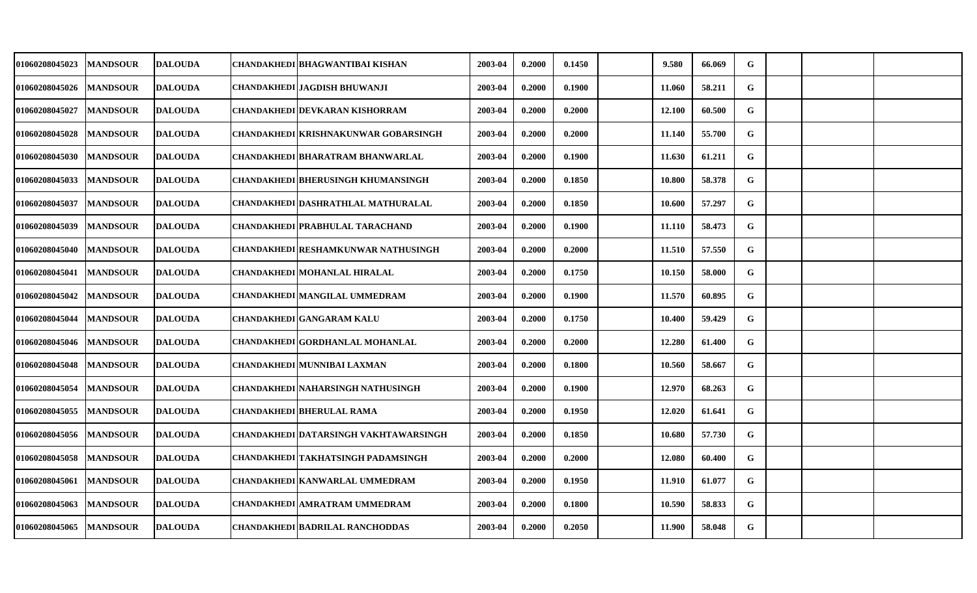| 01060208045023        | <b>MANDSOUR</b> | <b>DALOUDA</b> | CHANDAKHEDI   BHAGWANTIBAI KISHAN           | 2003-04 | 0.2000 | 0.1450 | 9.580  | 66.069 | G         |  |  |
|-----------------------|-----------------|----------------|---------------------------------------------|---------|--------|--------|--------|--------|-----------|--|--|
| <b>01060208045026</b> | <b>MANDSOUR</b> | <b>DALOUDA</b> | CHANDAKHEDI JAGDISH BHUWANJI                | 2003-04 | 0.2000 | 0.1900 | 11.060 | 58.211 | G         |  |  |
| <b>01060208045027</b> | <b>MANDSOUR</b> | <b>DALOUDA</b> | CHANDAKHEDI DEVKARAN KISHORRAM              | 2003-04 | 0.2000 | 0.2000 | 12.100 | 60.500 | G         |  |  |
| 01060208045028        | <b>MANDSOUR</b> | <b>DALOUDA</b> | <b>CHANDAKHEDI KRISHNAKUNWAR GOBARSINGH</b> | 2003-04 | 0.2000 | 0.2000 | 11.140 | 55.700 | G         |  |  |
| 01060208045030        | <b>MANDSOUR</b> | <b>DALOUDA</b> | CHANDAKHEDI BHARATRAM BHANWARLAL            | 2003-04 | 0.2000 | 0.1900 | 11.630 | 61.211 | G         |  |  |
| 01060208045033        | <b>MANDSOUR</b> | <b>DALOUDA</b> | <b>CHANDAKHEDI BHERUSINGH KHUMANSINGH</b>   | 2003-04 | 0.2000 | 0.1850 | 10.800 | 58.378 | G         |  |  |
| <b>01060208045037</b> | <b>MANDSOUR</b> | <b>DALOUDA</b> | CHANDAKHEDI DASHRATHLAL MATHURALAL          | 2003-04 | 0.2000 | 0.1850 | 10.600 | 57.297 | G         |  |  |
| 01060208045039        | <b>MANDSOUR</b> | <b>DALOUDA</b> | <b>CHANDAKHEDI PRABHULAL TARACHAND</b>      | 2003-04 | 0.2000 | 0.1900 | 11.110 | 58.473 | G         |  |  |
| <b>01060208045040</b> | <b>MANDSOUR</b> | <b>DALOUDA</b> | CHANDAKHEDI RESHAMKUNWAR NATHUSINGH         | 2003-04 | 0.2000 | 0.2000 | 11.510 | 57.550 | G         |  |  |
| 01060208045041        | <b>MANDSOUR</b> | <b>DALOUDA</b> | CHANDAKHEDI MOHANLAL HIRALAL                | 2003-04 | 0.2000 | 0.1750 | 10.150 | 58.000 | G         |  |  |
| 01060208045042        | <b>MANDSOUR</b> | <b>DALOUDA</b> | CHANDAKHEDI MANGILAL UMMEDRAM               | 2003-04 | 0.2000 | 0.1900 | 11.570 | 60.895 | G         |  |  |
| <b>01060208045044</b> | <b>MANDSOUR</b> | <b>DALOUDA</b> | <b>CHANDAKHEDI GANGARAM KALU</b>            | 2003-04 | 0.2000 | 0.1750 | 10.400 | 59.429 | ${\bf G}$ |  |  |
| 01060208045046        | <b>MANDSOUR</b> | <b>DALOUDA</b> | CHANDAKHEDI GORDHANLAL MOHANLAL             | 2003-04 | 0.2000 | 0.2000 | 12.280 | 61.400 | G         |  |  |
| 01060208045048        | <b>MANDSOUR</b> | <b>DALOUDA</b> | CHANDAKHEDI MUNNIBAI LAXMAN                 | 2003-04 | 0.2000 | 0.1800 | 10.560 | 58.667 | G         |  |  |
| 01060208045054        | <b>MANDSOUR</b> | <b>DALOUDA</b> | <b>CHANDAKHEDI NAHARSINGH NATHUSINGH</b>    | 2003-04 | 0.2000 | 0.1900 | 12.970 | 68.263 | G         |  |  |
| <b>01060208045055</b> | <b>MANDSOUR</b> | <b>DALOUDA</b> | <b>CHANDAKHEDI BHERULAL RAMA</b>            | 2003-04 | 0.2000 | 0.1950 | 12.020 | 61.641 | G         |  |  |
| 01060208045056        | <b>MANDSOUR</b> | <b>DALOUDA</b> | CHANDAKHEDI DATARSINGH VAKHTAWARSINGH       | 2003-04 | 0.2000 | 0.1850 | 10.680 | 57.730 | ${\bf G}$ |  |  |
| 01060208045058        | <b>MANDSOUR</b> | <b>DALOUDA</b> | CHANDAKHEDI TAKHATSINGH PADAMSINGH          | 2003-04 | 0.2000 | 0.2000 | 12.080 | 60.400 | G         |  |  |
| 01060208045061        | <b>MANDSOUR</b> | <b>DALOUDA</b> | CHANDAKHEDI KANWARLAL UMMEDRAM              | 2003-04 | 0.2000 | 0.1950 | 11.910 | 61.077 | G         |  |  |
| <b>01060208045063</b> | <b>MANDSOUR</b> | <b>DALOUDA</b> | CHANDAKHEDI AMRATRAM UMMEDRAM               | 2003-04 | 0.2000 | 0.1800 | 10.590 | 58.833 | ${\bf G}$ |  |  |
| <b>01060208045065</b> | <b>MANDSOUR</b> | <b>DALOUDA</b> | <b>CHANDAKHEDI BADRILAL RANCHODDAS</b>      | 2003-04 | 0.2000 | 0.2050 | 11.900 | 58.048 | G         |  |  |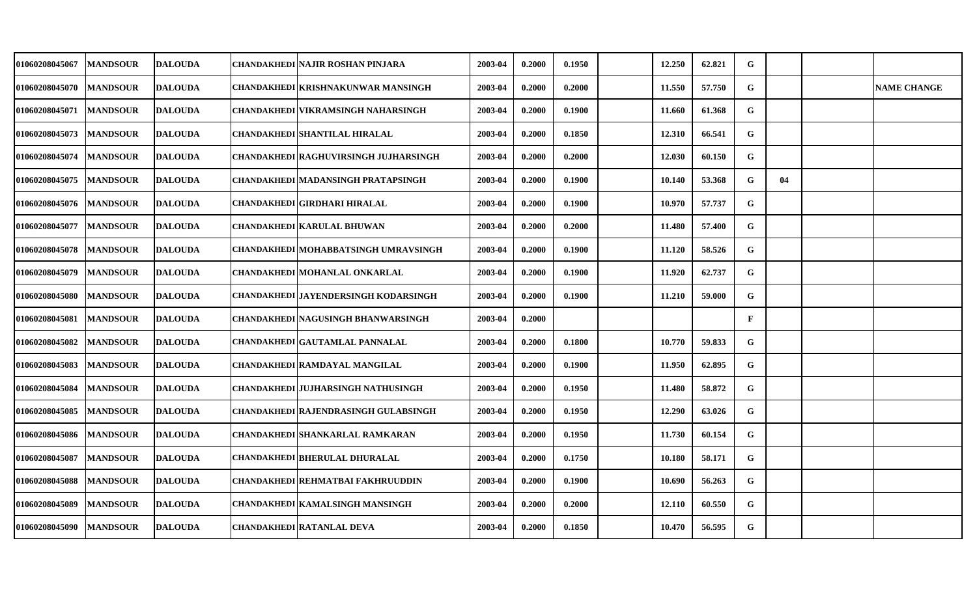| <b>01060208045067</b> | <b>MANDSOUR</b> | <b>DALOUDA</b> | CHANDAKHEDI NAJIR ROSHAN PINJARA          | 2003-04 | 0.2000 | 0.1950 | 12.250 | 62.821 | G            |    |                    |
|-----------------------|-----------------|----------------|-------------------------------------------|---------|--------|--------|--------|--------|--------------|----|--------------------|
| 01060208045070        | <b>MANDSOUR</b> | <b>DALOUDA</b> | CHANDAKHEDI KRISHNAKUNWAR MANSINGH        | 2003-04 | 0.2000 | 0.2000 | 11.550 | 57.750 | G            |    | <b>NAME CHANGE</b> |
| <b>01060208045071</b> | <b>MANDSOUR</b> | <b>DALOUDA</b> | CHANDAKHEDI VIKRAMSINGH NAHARSINGH        | 2003-04 | 0.2000 | 0.1900 | 11.660 | 61.368 | G            |    |                    |
| 01060208045073        | <b>MANDSOUR</b> | <b>DALOUDA</b> | CHANDAKHEDI SHANTILAL HIRALAL             | 2003-04 | 0.2000 | 0.1850 | 12.310 | 66.541 | G            |    |                    |
| <b>01060208045074</b> | <b>MANDSOUR</b> | <b>DALOUDA</b> | CHANDAKHEDI RAGHUVIRSINGH JUJHARSINGH     | 2003-04 | 0.2000 | 0.2000 | 12.030 | 60.150 | G            |    |                    |
| <b>01060208045075</b> | <b>MANDSOUR</b> | <b>DALOUDA</b> | <b>CHANDAKHEDI MADANSINGH PRATAPSINGH</b> | 2003-04 | 0.2000 | 0.1900 | 10.140 | 53.368 | G            | 04 |                    |
| 01060208045076        | <b>MANDSOUR</b> | <b>DALOUDA</b> | CHANDAKHEDI GIRDHARI HIRALAL              | 2003-04 | 0.2000 | 0.1900 | 10.970 | 57.737 | G            |    |                    |
| 01060208045077        | <b>MANDSOUR</b> | <b>DALOUDA</b> | <b>CHANDAKHEDI KARULAL BHUWAN</b>         | 2003-04 | 0.2000 | 0.2000 | 11.480 | 57.400 | G            |    |                    |
| 01060208045078        | <b>MANDSOUR</b> | <b>DALOUDA</b> | CHANDAKHEDI MOHABBATSINGH UMRAVSINGH      | 2003-04 | 0.2000 | 0.1900 | 11.120 | 58.526 | G            |    |                    |
| 01060208045079        | <b>MANDSOUR</b> | <b>DALOUDA</b> | CHANDAKHEDI MOHANLAL ONKARLAL             | 2003-04 | 0.2000 | 0.1900 | 11.920 | 62.737 | G            |    |                    |
| <b>01060208045080</b> | <b>MANDSOUR</b> | <b>DALOUDA</b> | CHANDAKHEDI JAYENDERSINGH KODARSINGH      | 2003-04 | 0.2000 | 0.1900 | 11.210 | 59.000 | G            |    |                    |
| 01060208045081        | <b>MANDSOUR</b> | <b>DALOUDA</b> | CHANDAKHEDI NAGUSINGH BHANWARSINGH        | 2003-04 | 0.2000 |        |        |        | $\mathbf{F}$ |    |                    |
| 01060208045082        | <b>MANDSOUR</b> | <b>DALOUDA</b> | <b>CHANDAKHEDI GAUTAMLAL PANNALAL</b>     | 2003-04 | 0.2000 | 0.1800 | 10.770 | 59.833 | G            |    |                    |
| 01060208045083        | <b>MANDSOUR</b> | <b>DALOUDA</b> | CHANDAKHEDI RAMDAYAL MANGILAL             | 2003-04 | 0.2000 | 0.1900 | 11.950 | 62.895 | G            |    |                    |
| <b>01060208045084</b> | <b>MANDSOUR</b> | <b>DALOUDA</b> | <b>CHANDAKHEDI JUJHARSINGH NATHUSINGH</b> | 2003-04 | 0.2000 | 0.1950 | 11.480 | 58.872 | G            |    |                    |
| <b>01060208045085</b> | <b>MANDSOUR</b> | <b>DALOUDA</b> | CHANDAKHEDI RAJENDRASINGH GULABSINGH      | 2003-04 | 0.2000 | 0.1950 | 12.290 | 63.026 | G            |    |                    |
| <b>01060208045086</b> | <b>MANDSOUR</b> | <b>DALOUDA</b> | CHANDAKHEDI SHANKARLAL RAMKARAN           | 2003-04 | 0.2000 | 0.1950 | 11.730 | 60.154 | G            |    |                    |
| 01060208045087        | <b>MANDSOUR</b> | <b>DALOUDA</b> | CHANDAKHEDI BHERULAL DHURALAL             | 2003-04 | 0.2000 | 0.1750 | 10.180 | 58.171 | G            |    |                    |
| 01060208045088        | <b>MANDSOUR</b> | <b>DALOUDA</b> | CHANDAKHEDI REHMATBAI FAKHRUUDDIN         | 2003-04 | 0.2000 | 0.1900 | 10.690 | 56.263 | G            |    |                    |
| 01060208045089        | <b>MANDSOUR</b> | <b>DALOUDA</b> | CHANDAKHEDI KAMALSINGH MANSINGH           | 2003-04 | 0.2000 | 0.2000 | 12.110 | 60.550 | G            |    |                    |
| <b>01060208045090</b> | <b>MANDSOUR</b> | <b>DALOUDA</b> | <b>CHANDAKHEDI RATANLAL DEVA</b>          | 2003-04 | 0.2000 | 0.1850 | 10.470 | 56.595 | G            |    |                    |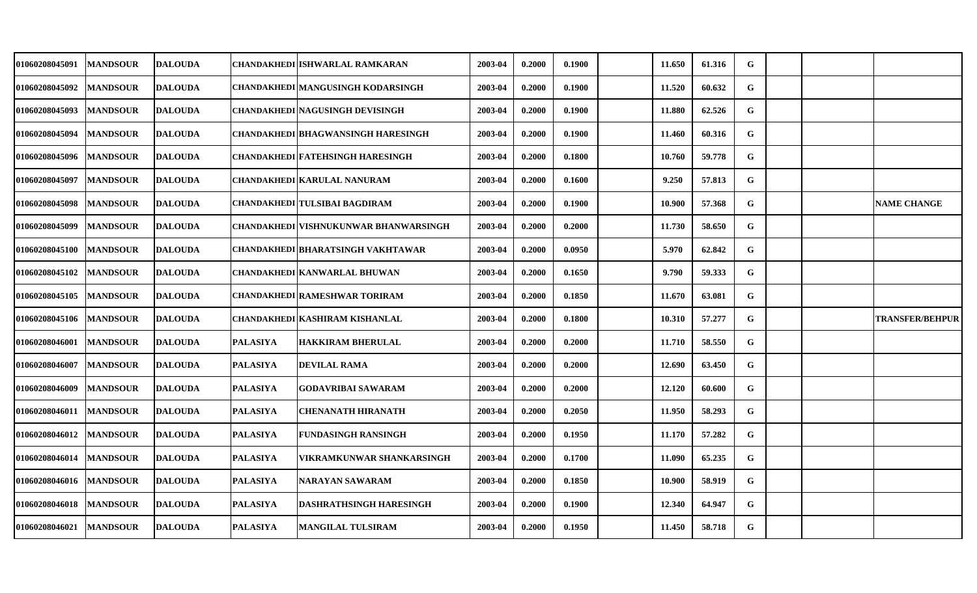| <b>01060208045091</b> | <b>MANDSOUR</b> | <b>DALOUDA</b> |                 | CHANDAKHEDI ISHWARLAL RAMKARAN               | 2003-04 | 0.2000 | 0.1900 | 11.650 | 61.316 | G |  |                        |
|-----------------------|-----------------|----------------|-----------------|----------------------------------------------|---------|--------|--------|--------|--------|---|--|------------------------|
| 01060208045092        | <b>MANDSOUR</b> | <b>DALOUDA</b> |                 | <b>CHANDAKHEDI MANGUSINGH KODARSINGH</b>     | 2003-04 | 0.2000 | 0.1900 | 11.520 | 60.632 | G |  |                        |
| <b>01060208045093</b> | <b>MANDSOUR</b> | <b>DALOUDA</b> |                 | <b>CHANDAKHEDI NAGUSINGH DEVISINGH</b>       | 2003-04 | 0.2000 | 0.1900 | 11.880 | 62.526 | G |  |                        |
| 01060208045094        | <b>MANDSOUR</b> | <b>DALOUDA</b> |                 | <b>CHANDAKHEDI BHAGWANSINGH HARESINGH</b>    | 2003-04 | 0.2000 | 0.1900 | 11.460 | 60.316 | G |  |                        |
| 01060208045096        | <b>MANDSOUR</b> | <b>DALOUDA</b> |                 | CHANDAKHEDI FATEHSINGH HARESINGH             | 2003-04 | 0.2000 | 0.1800 | 10.760 | 59.778 | G |  |                        |
| 01060208045097        | <b>MANDSOUR</b> | <b>DALOUDA</b> |                 | <b>CHANDAKHEDI KARULAL NANURAM</b>           | 2003-04 | 0.2000 | 0.1600 | 9.250  | 57.813 | G |  |                        |
| <b>01060208045098</b> | <b>MANDSOUR</b> | <b>DALOUDA</b> |                 | <b>CHANDAKHEDI TULSIBAI BAGDIRAM</b>         | 2003-04 | 0.2000 | 0.1900 | 10.900 | 57.368 | G |  | <b>NAME CHANGE</b>     |
| <b>01060208045099</b> | <b>MANDSOUR</b> | <b>DALOUDA</b> |                 | <b>CHANDAKHEDI VISHNUKUNWAR BHANWARSINGH</b> | 2003-04 | 0.2000 | 0.2000 | 11.730 | 58.650 | G |  |                        |
| <b>01060208045100</b> | <b>MANDSOUR</b> | <b>DALOUDA</b> |                 | CHANDAKHEDI BHARATSINGH VAKHTAWAR            | 2003-04 | 0.2000 | 0.0950 | 5.970  | 62.842 | G |  |                        |
| <b>01060208045102</b> | <b>MANDSOUR</b> | <b>DALOUDA</b> |                 | CHANDAKHEDI KANWARLAL BHUWAN                 | 2003-04 | 0.2000 | 0.1650 | 9.790  | 59.333 | G |  |                        |
| <b>01060208045105</b> | <b>MANDSOUR</b> | <b>DALOUDA</b> |                 | <b>CHANDAKHEDI RAMESHWAR TORIRAM</b>         | 2003-04 | 0.2000 | 0.1850 | 11.670 | 63.081 | G |  |                        |
| <b>01060208045106</b> | <b>MANDSOUR</b> | <b>DALOUDA</b> |                 | CHANDAKHEDI KASHIRAM KISHANLAL               | 2003-04 | 0.2000 | 0.1800 | 10.310 | 57.277 | G |  | <b>TRANSFER/BEHPUR</b> |
| 01060208046001        | <b>MANDSOUR</b> | <b>DALOUDA</b> | <b>PALASIYA</b> | <b>HAKKIRAM BHERULAL</b>                     | 2003-04 | 0.2000 | 0.2000 | 11.710 | 58.550 | G |  |                        |
| 01060208046007        | <b>MANDSOUR</b> | <b>DALOUDA</b> | <b>PALASIYA</b> | <b>DEVILAL RAMA</b>                          | 2003-04 | 0.2000 | 0.2000 | 12.690 | 63.450 | G |  |                        |
| 01060208046009        | <b>MANDSOUR</b> | <b>DALOUDA</b> | <b>PALASIYA</b> | <b>GODAVRIBAI SAWARAM</b>                    | 2003-04 | 0.2000 | 0.2000 | 12.120 | 60.600 | G |  |                        |
| 01060208046011        | <b>MANDSOUR</b> | <b>DALOUDA</b> | <b>PALASIYA</b> | CHENANATH HIRANATH                           | 2003-04 | 0.2000 | 0.2050 | 11.950 | 58.293 | G |  |                        |
| <b>01060208046012</b> | <b>MANDSOUR</b> | <b>DALOUDA</b> | <b>PALASIYA</b> | <b>FUNDASINGH RANSINGH</b>                   | 2003-04 | 0.2000 | 0.1950 | 11.170 | 57.282 | G |  |                        |
| 01060208046014        | <b>MANDSOUR</b> | <b>DALOUDA</b> | <b>PALASIYA</b> | VIKRAMKUNWAR SHANKARSINGH                    | 2003-04 | 0.2000 | 0.1700 | 11.090 | 65.235 | G |  |                        |
| <b>01060208046016</b> | <b>MANDSOUR</b> | <b>DALOUDA</b> | <b>PALASIYA</b> | <b>NARAYAN SAWARAM</b>                       | 2003-04 | 0.2000 | 0.1850 | 10.900 | 58.919 | G |  |                        |
| 01060208046018        | <b>MANDSOUR</b> | <b>DALOUDA</b> | <b>PALASIYA</b> | <b>DASHRATHSINGH HARESINGH</b>               | 2003-04 | 0.2000 | 0.1900 | 12.340 | 64.947 | G |  |                        |
| <b>01060208046021</b> | <b>MANDSOUR</b> | <b>DALOUDA</b> | <b>PALASIYA</b> | <b>MANGILAL TULSIRAM</b>                     | 2003-04 | 0.2000 | 0.1950 | 11.450 | 58.718 | G |  |                        |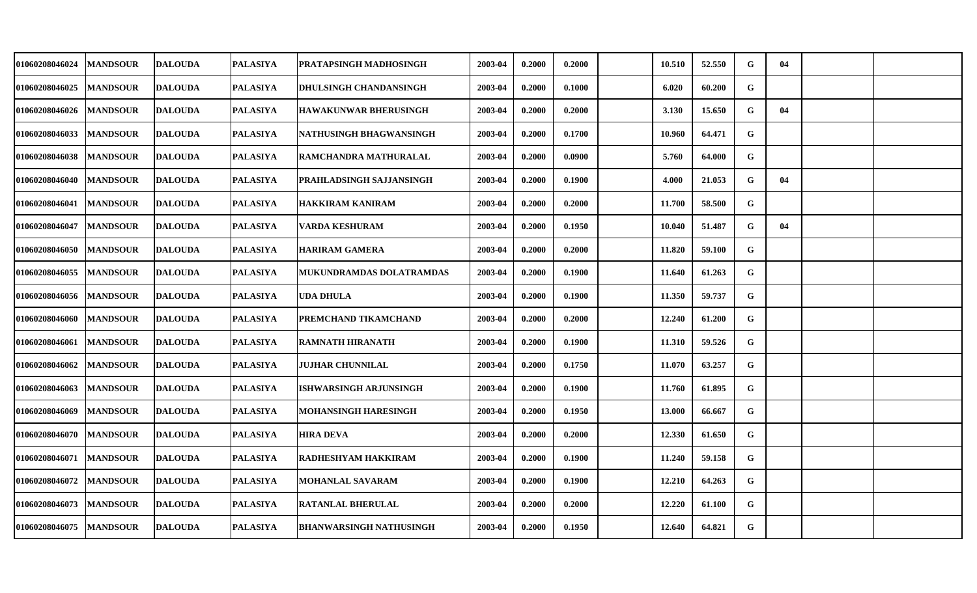| <b>01060208046024</b> | <b>MANDSOUR</b> | <b>IDALOUDA</b> | <b>PALASIYA</b> | <b>PRATAPSINGH MADHOSINGH</b>  | 2003-04 | 0.2000 | 0.2000 | 10.510 | 52.550 | G           | 04 |  |
|-----------------------|-----------------|-----------------|-----------------|--------------------------------|---------|--------|--------|--------|--------|-------------|----|--|
| <b>01060208046025</b> | <b>MANDSOUR</b> | <b>DALOUDA</b>  | <b>PALASIYA</b> | <b>DHULSINGH CHANDANSINGH</b>  | 2003-04 | 0.2000 | 0.1000 | 6.020  | 60.200 | $\mathbf G$ |    |  |
| <b>01060208046026</b> | <b>MANDSOUR</b> | <b>DALOUDA</b>  | <b>PALASIYA</b> | <b>HAWAKUNWAR BHERUSINGH</b>   | 2003-04 | 0.2000 | 0.2000 | 3.130  | 15.650 | G           | 04 |  |
| 01060208046033        | <b>MANDSOUR</b> | <b>DALOUDA</b>  | <b>PALASIYA</b> | NATHUSINGH BHAGWANSINGH        | 2003-04 | 0.2000 | 0.1700 | 10.960 | 64.471 | G           |    |  |
| 01060208046038        | <b>MANDSOUR</b> | <b>DALOUDA</b>  | <b>PALASIYA</b> | RAMCHANDRA MATHURALAL          | 2003-04 | 0.2000 | 0.0900 | 5.760  | 64.000 | G           |    |  |
| 01060208046040        | <b>MANDSOUR</b> | <b>DALOUDA</b>  | <b>PALASIYA</b> | PRAHLADSINGH SAJJANSINGH       | 2003-04 | 0.2000 | 0.1900 | 4.000  | 21.053 | G           | 04 |  |
| 01060208046041        | <b>MANDSOUR</b> | <b>DALOUDA</b>  | <b>PALASIYA</b> | HAKKIRAM KANIRAM               | 2003-04 | 0.2000 | 0.2000 | 11.700 | 58.500 | G           |    |  |
| 01060208046047        | <b>MANDSOUR</b> | <b>DALOUDA</b>  | <b>PALASIYA</b> | VARDA KESHURAM                 | 2003-04 | 0.2000 | 0.1950 | 10.040 | 51.487 | G           | 04 |  |
| <b>01060208046050</b> | <b>MANDSOUR</b> | <b>DALOUDA</b>  | <b>PALASIYA</b> | HARIRAM GAMERA                 | 2003-04 | 0.2000 | 0.2000 | 11.820 | 59.100 | G           |    |  |
| 01060208046055        | <b>MANDSOUR</b> | <b>DALOUDA</b>  | <b>PALASIYA</b> | MUKUNDRAMDAS DOLATRAMDAS       | 2003-04 | 0.2000 | 0.1900 | 11.640 | 61.263 | $\mathbf G$ |    |  |
| <b>01060208046056</b> | <b>MANDSOUR</b> | <b>DALOUDA</b>  | <b>PALASIYA</b> | UDA DHULA                      | 2003-04 | 0.2000 | 0.1900 | 11.350 | 59.737 | $\mathbf G$ |    |  |
| <b>01060208046060</b> | <b>MANDSOUR</b> | <b>DALOUDA</b>  | <b>PALASIYA</b> | PREMCHAND TIKAMCHAND           | 2003-04 | 0.2000 | 0.2000 | 12.240 | 61.200 | G           |    |  |
| 01060208046061        | <b>MANDSOUR</b> | <b>DALOUDA</b>  | <b>PALASIYA</b> | <b>RAMNATH HIRANATH</b>        | 2003-04 | 0.2000 | 0.1900 | 11.310 | 59.526 | $\mathbf G$ |    |  |
| 01060208046062        | <b>MANDSOUR</b> | <b>DALOUDA</b>  | <b>PALASIYA</b> | <b>JUJHAR CHUNNILAL</b>        | 2003-04 | 0.2000 | 0.1750 | 11.070 | 63.257 | G           |    |  |
| 01060208046063        | <b>MANDSOUR</b> | <b>DALOUDA</b>  | <b>PALASIYA</b> | <b>ISHWARSINGH ARJUNSINGH</b>  | 2003-04 | 0.2000 | 0.1900 | 11.760 | 61.895 | G           |    |  |
| 01060208046069        | <b>MANDSOUR</b> | <b>DALOUDA</b>  | <b>PALASIYA</b> | MOHANSINGH HARESINGH           | 2003-04 | 0.2000 | 0.1950 | 13.000 | 66.667 | G           |    |  |
| 01060208046070        | <b>MANDSOUR</b> | <b>DALOUDA</b>  | <b>PALASIYA</b> | <b>HIRA DEVA</b>               | 2003-04 | 0.2000 | 0.2000 | 12.330 | 61.650 | G           |    |  |
| 01060208046071        | <b>MANDSOUR</b> | <b>DALOUDA</b>  | <b>PALASIYA</b> | RADHESHYAM HAKKIRAM            | 2003-04 | 0.2000 | 0.1900 | 11.240 | 59.158 | G           |    |  |
| 01060208046072        | <b>MANDSOUR</b> | <b>DALOUDA</b>  | <b>PALASIYA</b> | <b>MOHANLAL SAVARAM</b>        | 2003-04 | 0.2000 | 0.1900 | 12.210 | 64.263 | G           |    |  |
| 01060208046073        | <b>MANDSOUR</b> | <b>DALOUDA</b>  | <b>PALASIYA</b> | <b>RATANLAL BHERULAL</b>       | 2003-04 | 0.2000 | 0.2000 | 12.220 | 61.100 | G           |    |  |
| 01060208046075        | <b>MANDSOUR</b> | <b>DALOUDA</b>  | <b>PALASIYA</b> | <b>BHANWARSINGH NATHUSINGH</b> | 2003-04 | 0.2000 | 0.1950 | 12.640 | 64.821 | G           |    |  |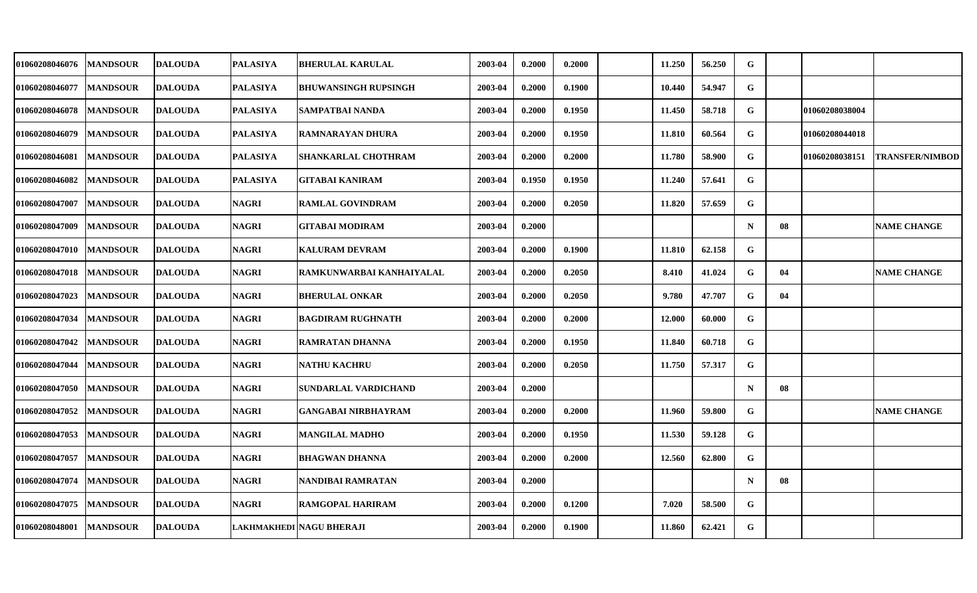| 01060208046076 | <b>MANDSOUR</b> | <b>DALOUDA</b> | <b>PALASIYA</b> | <b>BHERULAL KARULAL</b>     | 2003-04 | 0.2000 | 0.2000 | 11.250 | 56.250 | G           |    |                |                        |
|----------------|-----------------|----------------|-----------------|-----------------------------|---------|--------|--------|--------|--------|-------------|----|----------------|------------------------|
| 01060208046077 | <b>MANDSOUR</b> | <b>DALOUDA</b> | <b>PALASIYA</b> | <b>BHUWANSINGH RUPSINGH</b> | 2003-04 | 0.2000 | 0.1900 | 10.440 | 54.947 | G           |    |                |                        |
| 01060208046078 | <b>MANDSOUR</b> | <b>DALOUDA</b> | <b>PALASIYA</b> | SAMPATBAI NANDA             | 2003-04 | 0.2000 | 0.1950 | 11.450 | 58.718 | G           |    | 01060208038004 |                        |
| 01060208046079 | <b>MANDSOUR</b> | <b>DALOUDA</b> | <b>PALASIYA</b> | <b>RAMNARAYAN DHURA</b>     | 2003-04 | 0.2000 | 0.1950 | 11.810 | 60.564 | G           |    | 01060208044018 |                        |
| 01060208046081 | <b>MANDSOUR</b> | <b>DALOUDA</b> | <b>PALASIYA</b> | SHANKARLAL CHOTHRAM         | 2003-04 | 0.2000 | 0.2000 | 11.780 | 58.900 | G           |    | 01060208038151 | <b>TRANSFER/NIMBOD</b> |
| 01060208046082 | <b>MANDSOUR</b> | <b>DALOUDA</b> | <b>PALASIYA</b> | <b>GITABAI KANIRAM</b>      | 2003-04 | 0.1950 | 0.1950 | 11.240 | 57.641 | G           |    |                |                        |
| 01060208047007 | <b>MANDSOUR</b> | <b>DALOUDA</b> | <b>NAGRI</b>    | <b>RAMLAL GOVINDRAM</b>     | 2003-04 | 0.2000 | 0.2050 | 11.820 | 57.659 | G           |    |                |                        |
| 01060208047009 | <b>MANDSOUR</b> | <b>DALOUDA</b> | <b>NAGRI</b>    | <b>GITABAI MODIRAM</b>      | 2003-04 | 0.2000 |        |        |        | $\mathbf N$ | 08 |                | <b>NAME CHANGE</b>     |
| 01060208047010 | <b>MANDSOUR</b> | <b>DALOUDA</b> | <b>NAGRI</b>    | <b>KALURAM DEVRAM</b>       | 2003-04 | 0.2000 | 0.1900 | 11.810 | 62.158 | G           |    |                |                        |
| 01060208047018 | <b>MANDSOUR</b> | <b>DALOUDA</b> | <b>NAGRI</b>    | RAMKUNWARBAI KANHAIYALAL    | 2003-04 | 0.2000 | 0.2050 | 8.410  | 41.024 | G           | 04 |                | <b>NAME CHANGE</b>     |
| 01060208047023 | <b>MANDSOUR</b> | <b>DALOUDA</b> | <b>NAGRI</b>    | <b>BHERULAL ONKAR</b>       | 2003-04 | 0.2000 | 0.2050 | 9.780  | 47.707 | $\mathbf G$ | 04 |                |                        |
| 01060208047034 | <b>MANDSOUR</b> | <b>DALOUDA</b> | <b>NAGRI</b>    | <b>BAGDIRAM RUGHNATH</b>    | 2003-04 | 0.2000 | 0.2000 | 12.000 | 60.000 | G           |    |                |                        |
| 01060208047042 | <b>MANDSOUR</b> | <b>DALOUDA</b> | <b>NAGRI</b>    | <b>RAMRATAN DHANNA</b>      | 2003-04 | 0.2000 | 0.1950 | 11.840 | 60.718 | G           |    |                |                        |
| 01060208047044 | <b>MANDSOUR</b> | <b>DALOUDA</b> | <b>NAGRI</b>    | <b>NATHU KACHRU</b>         | 2003-04 | 0.2000 | 0.2050 | 11.750 | 57.317 | G           |    |                |                        |
| 01060208047050 | <b>MANDSOUR</b> | <b>DALOUDA</b> | <b>NAGRI</b>    | SUNDARLAL VARDICHAND        | 2003-04 | 0.2000 |        |        |        | $\mathbf N$ | 08 |                |                        |
| 01060208047052 | <b>MANDSOUR</b> | <b>DALOUDA</b> | <b>NAGRI</b>    | GANGABAI NIRBHAYRAM         | 2003-04 | 0.2000 | 0.2000 | 11.960 | 59.800 | G           |    |                | <b>NAME CHANGE</b>     |
| 01060208047053 | <b>MANDSOUR</b> | <b>DALOUDA</b> | <b>NAGRI</b>    | <b>MANGILAL MADHO</b>       | 2003-04 | 0.2000 | 0.1950 | 11.530 | 59.128 | G           |    |                |                        |
| 01060208047057 | <b>MANDSOUR</b> | <b>DALOUDA</b> | <b>NAGRI</b>    | <b>BHAGWAN DHANNA</b>       | 2003-04 | 0.2000 | 0.2000 | 12.560 | 62.800 | G           |    |                |                        |
| 01060208047074 | <b>MANDSOUR</b> | <b>DALOUDA</b> | <b>NAGRI</b>    | NANDIBAI RAMRATAN           | 2003-04 | 0.2000 |        |        |        | $\mathbf N$ | 08 |                |                        |
| 01060208047075 | <b>MANDSOUR</b> | <b>DALOUDA</b> | <b>NAGRI</b>    | <b>RAMGOPAL HARIRAM</b>     | 2003-04 | 0.2000 | 0.1200 | 7.020  | 58.500 | G           |    |                |                        |
| 01060208048001 | <b>MANDSOUR</b> | <b>DALOUDA</b> |                 | LAKHMAKHEDI   NAGU BHERAJI  | 2003-04 | 0.2000 | 0.1900 | 11.860 | 62.421 | G           |    |                |                        |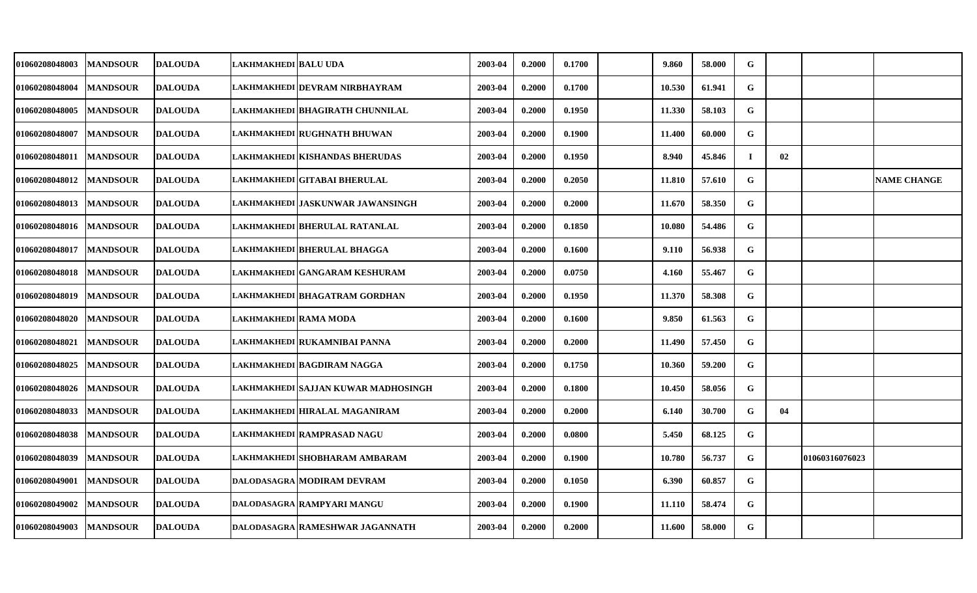| <b>01060208048003</b> | <b>MANDSOUR</b> | <b>DALOUDA</b> | LAKHMAKHEDI  BALU UDA |                                     | 2003-04 | 0.2000 | 0.1700 | 9.860  | 58.000 | G           |    |                |                    |
|-----------------------|-----------------|----------------|-----------------------|-------------------------------------|---------|--------|--------|--------|--------|-------------|----|----------------|--------------------|
| <b>01060208048004</b> | <b>MANDSOUR</b> | <b>DALOUDA</b> |                       | LAKHMAKHEDI DEVRAM NIRBHAYRAM       | 2003-04 | 0.2000 | 0.1700 | 10.530 | 61.941 | $\mathbf G$ |    |                |                    |
| <b>01060208048005</b> | <b>MANDSOUR</b> | <b>DALOUDA</b> |                       | LAKHMAKHEDI   BHAGIRATH CHUNNILAL   | 2003-04 | 0.2000 | 0.1950 | 11.330 | 58.103 | G           |    |                |                    |
| 01060208048007        | <b>MANDSOUR</b> | <b>DALOUDA</b> |                       | LAKHMAKHEDI RUGHNATH BHUWAN         | 2003-04 | 0.2000 | 0.1900 | 11.400 | 60.000 | G           |    |                |                    |
| <b>01060208048011</b> | <b>MANDSOUR</b> | <b>DALOUDA</b> |                       | LAKHMAKHEDI   KISHANDAS BHERUDAS    | 2003-04 | 0.2000 | 0.1950 | 8.940  | 45.846 | Т.          | 02 |                |                    |
| 01060208048012        | <b>MANDSOUR</b> | <b>DALOUDA</b> |                       | LAKHMAKHEDI GITABAI BHERULAL        | 2003-04 | 0.2000 | 0.2050 | 11.810 | 57.610 | $\mathbf G$ |    |                | <b>NAME CHANGE</b> |
| 01060208048013        | <b>MANDSOUR</b> | <b>DALOUDA</b> |                       | LAKHMAKHEDI JASKUNWAR JAWANSINGH    | 2003-04 | 0.2000 | 0.2000 | 11.670 | 58.350 | G           |    |                |                    |
| 01060208048016        | <b>MANDSOUR</b> | <b>DALOUDA</b> |                       | LAKHMAKHEDI BHERULAL RATANLAL       | 2003-04 | 0.2000 | 0.1850 | 10.080 | 54.486 | G           |    |                |                    |
| <b>01060208048017</b> | <b>MANDSOUR</b> | <b>DALOUDA</b> |                       | LAKHMAKHEDI BHERULAL BHAGGA         | 2003-04 | 0.2000 | 0.1600 | 9.110  | 56.938 | G           |    |                |                    |
| 01060208048018        | <b>MANDSOUR</b> | <b>DALOUDA</b> |                       | LAKHMAKHEDI GANGARAM KESHURAM       | 2003-04 | 0.2000 | 0.0750 | 4.160  | 55.467 | G           |    |                |                    |
| <b>01060208048019</b> | <b>MANDSOUR</b> | <b>DALOUDA</b> |                       | LAKHMAKHEDI BHAGATRAM GORDHAN       | 2003-04 | 0.2000 | 0.1950 | 11.370 | 58.308 | G           |    |                |                    |
| <b>01060208048020</b> | <b>MANDSOUR</b> | <b>DALOUDA</b> | LAKHMAKHEDI RAMA MODA |                                     | 2003-04 | 0.2000 | 0.1600 | 9.850  | 61.563 | G           |    |                |                    |
| 01060208048021        | <b>MANDSOUR</b> | <b>DALOUDA</b> |                       | LAKHMAKHEDI RUKAMNIBAI PANNA        | 2003-04 | 0.2000 | 0.2000 | 11.490 | 57.450 | G           |    |                |                    |
| 01060208048025        | <b>MANDSOUR</b> | <b>DALOUDA</b> |                       | LAKHMAKHEDI BAGDIRAM NAGGA          | 2003-04 | 0.2000 | 0.1750 | 10.360 | 59.200 | G           |    |                |                    |
| 01060208048026        | <b>MANDSOUR</b> | <b>DALOUDA</b> |                       | LAKHMAKHEDI SAJJAN KUWAR MADHOSINGH | 2003-04 | 0.2000 | 0.1800 | 10.450 | 58.056 | G           |    |                |                    |
| 01060208048033        | <b>MANDSOUR</b> | <b>DALOUDA</b> |                       | LAKHMAKHEDI HIRALAL MAGANIRAM       | 2003-04 | 0.2000 | 0.2000 | 6.140  | 30.700 | G           | 04 |                |                    |
| 01060208048038        | <b>MANDSOUR</b> | <b>DALOUDA</b> |                       | LAKHMAKHEDI RAMPRASAD NAGU          | 2003-04 | 0.2000 | 0.0800 | 5.450  | 68.125 | G           |    |                |                    |
| 01060208048039        | <b>MANDSOUR</b> | <b>DALOUDA</b> |                       | LAKHMAKHEDI SHOBHARAM AMBARAM       | 2003-04 | 0.2000 | 0.1900 | 10.780 | 56.737 | ${\bf G}$   |    | 01060316076023 |                    |
| 01060208049001        | <b>MANDSOUR</b> | <b>DALOUDA</b> |                       | DALODASAGRA MODIRAM DEVRAM          | 2003-04 | 0.2000 | 0.1050 | 6.390  | 60.857 | G           |    |                |                    |
| <b>01060208049002</b> | <b>MANDSOUR</b> | <b>DALOUDA</b> |                       | DALODASAGRA RAMPYARI MANGU          | 2003-04 | 0.2000 | 0.1900 | 11.110 | 58.474 | G           |    |                |                    |
| 01060208049003        | <b>MANDSOUR</b> | <b>DALOUDA</b> |                       | DALODASAGRA RAMESHWAR JAGANNATH     | 2003-04 | 0.2000 | 0.2000 | 11.600 | 58.000 | G           |    |                |                    |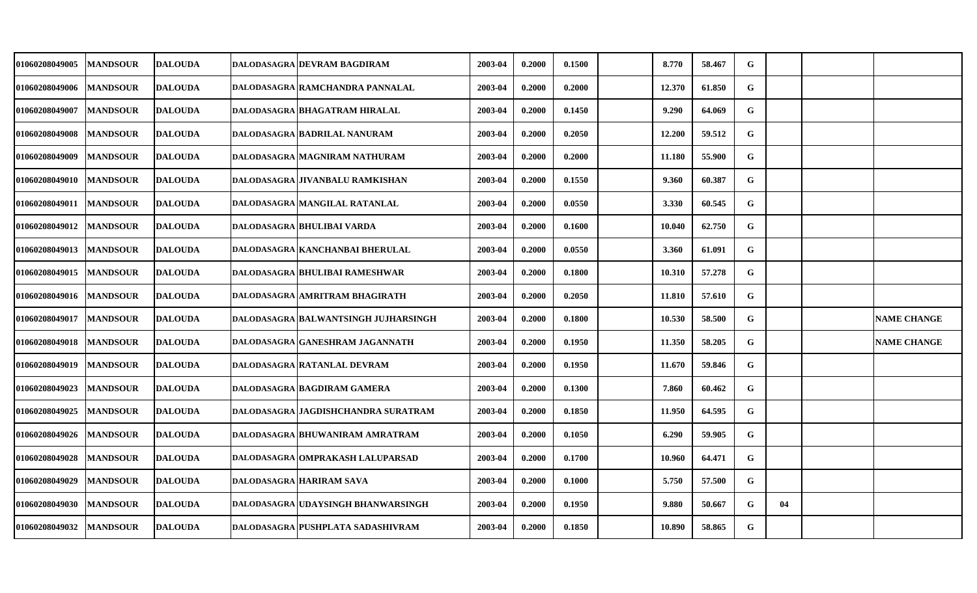| <b>01060208049005</b> | <b>MANDSOUR</b> | <b>DALOUDA</b> | DALODASAGRA DEVRAM BAGDIRAM          | 2003-04 | 0.2000 | 0.1500 | 8.770  | 58.467 | G         |    |                    |
|-----------------------|-----------------|----------------|--------------------------------------|---------|--------|--------|--------|--------|-----------|----|--------------------|
| 01060208049006        | <b>MANDSOUR</b> | <b>DALOUDA</b> | DALODASAGRA RAMCHANDRA PANNALAL      | 2003-04 | 0.2000 | 0.2000 | 12.370 | 61.850 | G         |    |                    |
| 01060208049007        | <b>MANDSOUR</b> | <b>DALOUDA</b> | DALODASAGRA BHAGATRAM HIRALAL        | 2003-04 | 0.2000 | 0.1450 | 9.290  | 64.069 | G         |    |                    |
| 01060208049008        | <b>MANDSOUR</b> | <b>DALOUDA</b> | DALODASAGRA BADRILAL NANURAM         | 2003-04 | 0.2000 | 0.2050 | 12.200 | 59.512 | G         |    |                    |
| 01060208049009        | <b>MANDSOUR</b> | <b>DALOUDA</b> | DALODASAGRA MAGNIRAM NATHURAM        | 2003-04 | 0.2000 | 0.2000 | 11.180 | 55.900 | G         |    |                    |
| 01060208049010        | <b>MANDSOUR</b> | <b>DALOUDA</b> | DALODASAGRA JIVANBALU RAMKISHAN      | 2003-04 | 0.2000 | 0.1550 | 9.360  | 60.387 | G         |    |                    |
| <b>01060208049011</b> | <b>MANDSOUR</b> | <b>DALOUDA</b> | DALODASAGRA MANGILAL RATANLAL        | 2003-04 | 0.2000 | 0.0550 | 3.330  | 60.545 | G         |    |                    |
| <b>01060208049012</b> | <b>MANDSOUR</b> | <b>DALOUDA</b> | DALODASAGRA BHULIBAI VARDA           | 2003-04 | 0.2000 | 0.1600 | 10.040 | 62.750 | G         |    |                    |
| <b>01060208049013</b> | <b>MANDSOUR</b> | <b>DALOUDA</b> | DALODASAGRA   KANCHANBAI BHERULAL    | 2003-04 | 0.2000 | 0.0550 | 3.360  | 61.091 | G         |    |                    |
| 01060208049015        | <b>MANDSOUR</b> | <b>DALOUDA</b> | DALODASAGRA BHULIBAI RAMESHWAR       | 2003-04 | 0.2000 | 0.1800 | 10.310 | 57.278 | G         |    |                    |
| 01060208049016        | <b>MANDSOUR</b> | <b>DALOUDA</b> | DALODASAGRA AMRITRAM BHAGIRATH       | 2003-04 | 0.2000 | 0.2050 | 11.810 | 57.610 | ${\bf G}$ |    |                    |
| <b>01060208049017</b> | <b>MANDSOUR</b> | <b>DALOUDA</b> | DALODASAGRA BALWANTSINGH JUJHARSINGH | 2003-04 | 0.2000 | 0.1800 | 10.530 | 58.500 | G         |    | <b>NAME CHANGE</b> |
| 01060208049018        | <b>MANDSOUR</b> | <b>DALOUDA</b> | DALODASAGRA GANESHRAM JAGANNATH      | 2003-04 | 0.2000 | 0.1950 | 11.350 | 58.205 | G         |    | <b>NAME CHANGE</b> |
| 01060208049019        | <b>MANDSOUR</b> | <b>DALOUDA</b> | DALODASAGRA RATANLAL DEVRAM          | 2003-04 | 0.2000 | 0.1950 | 11.670 | 59.846 | G         |    |                    |
| 01060208049023        | <b>MANDSOUR</b> | <b>DALOUDA</b> | DALODASAGRA BAGDIRAM GAMERA          | 2003-04 | 0.2000 | 0.1300 | 7.860  | 60.462 | G         |    |                    |
| 01060208049025        | <b>MANDSOUR</b> | <b>DALOUDA</b> | DALODASAGRA JAGDISHCHANDRA SURATRAM  | 2003-04 | 0.2000 | 0.1850 | 11.950 | 64.595 | G         |    |                    |
| <b>01060208049026</b> | <b>MANDSOUR</b> | <b>DALOUDA</b> | DALODASAGRA BHUWANIRAM AMRATRAM      | 2003-04 | 0.2000 | 0.1050 | 6.290  | 59.905 | G         |    |                    |
| 01060208049028        | <b>MANDSOUR</b> | <b>DALOUDA</b> | DALODASAGRA OMPRAKASH LALUPARSAD     | 2003-04 | 0.2000 | 0.1700 | 10.960 | 64.471 | G         |    |                    |
| 01060208049029        | <b>MANDSOUR</b> | <b>DALOUDA</b> | <b>DALODASAGRA HARIRAM SAVA</b>      | 2003-04 | 0.2000 | 0.1000 | 5.750  | 57.500 | G         |    |                    |
| 01060208049030        | <b>MANDSOUR</b> | <b>DALOUDA</b> | DALODASAGRA UDAYSINGH BHANWARSINGH   | 2003-04 | 0.2000 | 0.1950 | 9.880  | 50.667 | G         | 04 |                    |
| 01060208049032        | <b>MANDSOUR</b> | <b>DALOUDA</b> | DALODASAGRA PUSHPLATA SADASHIVRAM    | 2003-04 | 0.2000 | 0.1850 | 10.890 | 58.865 | G         |    |                    |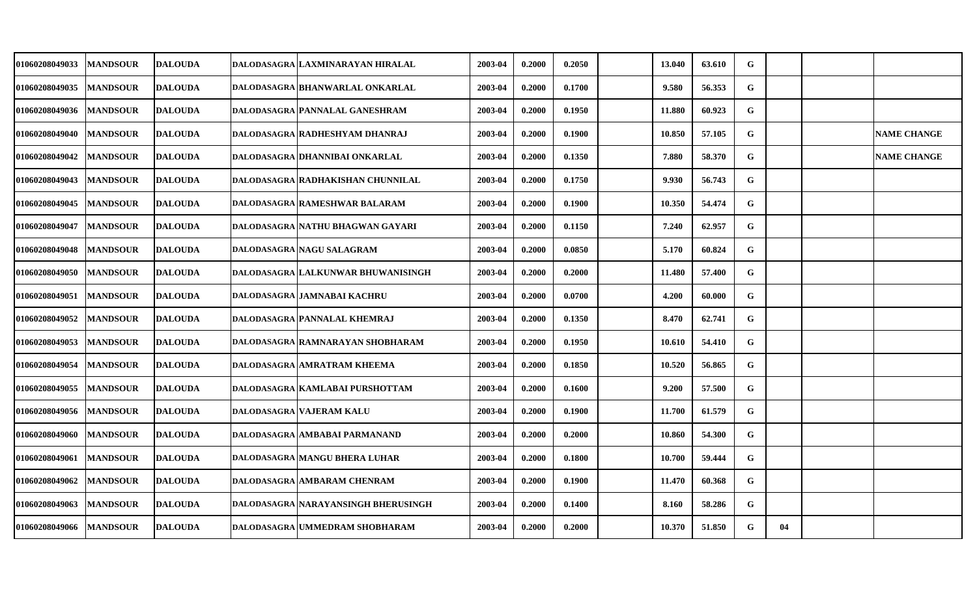| <b>01060208049033</b> | <b>MANDSOUR</b> | DALOUDA        | DALODASAGRA LAXMINARAYAN HIRALAL    | 2003-04 | 0.2000 | 0.2050 | 13.040 | 63.610 | G         |    |                    |
|-----------------------|-----------------|----------------|-------------------------------------|---------|--------|--------|--------|--------|-----------|----|--------------------|
| 01060208049035        | <b>MANDSOUR</b> | <b>DALOUDA</b> | DALODASAGRA BHANWARLAL ONKARLAL     | 2003-04 | 0.2000 | 0.1700 | 9.580  | 56.353 | G         |    |                    |
| 01060208049036        | <b>MANDSOUR</b> | <b>DALOUDA</b> | DALODASAGRA PANNALAL GANESHRAM      | 2003-04 | 0.2000 | 0.1950 | 11.880 | 60.923 | G         |    |                    |
| 01060208049040        | <b>MANDSOUR</b> | <b>DALOUDA</b> | DALODASAGRA RADHESHYAM DHANRAJ      | 2003-04 | 0.2000 | 0.1900 | 10.850 | 57.105 | G         |    | <b>NAME CHANGE</b> |
| 01060208049042        | <b>MANDSOUR</b> | <b>DALOUDA</b> | DALODASAGRA DHANNIBAI ONKARLAL      | 2003-04 | 0.2000 | 0.1350 | 7.880  | 58.370 | G         |    | <b>NAME CHANGE</b> |
| 01060208049043        | <b>MANDSOUR</b> | <b>DALOUDA</b> | DALODASAGRA RADHAKISHAN CHUNNILAL   | 2003-04 | 0.2000 | 0.1750 | 9.930  | 56.743 | G         |    |                    |
| 01060208049045        | <b>MANDSOUR</b> | <b>DALOUDA</b> | DALODASAGRA RAMESHWAR BALARAM       | 2003-04 | 0.2000 | 0.1900 | 10.350 | 54.474 | G         |    |                    |
| 01060208049047        | <b>MANDSOUR</b> | <b>DALOUDA</b> | DALODASAGRA NATHU BHAGWAN GAYARI    | 2003-04 | 0.2000 | 0.1150 | 7.240  | 62.957 | G         |    |                    |
| 01060208049048        | <b>MANDSOUR</b> | <b>DALOUDA</b> | DALODASAGRA NAGU SALAGRAM           | 2003-04 | 0.2000 | 0.0850 | 5.170  | 60.824 | G         |    |                    |
| 01060208049050        | <b>MANDSOUR</b> | <b>DALOUDA</b> | DALODASAGRA LALKUNWAR BHUWANISINGH  | 2003-04 | 0.2000 | 0.2000 | 11.480 | 57.400 | G         |    |                    |
| 01060208049051        | <b>MANDSOUR</b> | <b>DALOUDA</b> | DALODASAGRA JAMNABAI KACHRU         | 2003-04 | 0.2000 | 0.0700 | 4.200  | 60.000 | G         |    |                    |
| 01060208049052        | <b>MANDSOUR</b> | <b>DALOUDA</b> | DALODASAGRA PANNALAL KHEMRAJ        | 2003-04 | 0.2000 | 0.1350 | 8.470  | 62.741 | G         |    |                    |
| 01060208049053        | <b>MANDSOUR</b> | <b>DALOUDA</b> | DALODASAGRA RAMNARAYAN SHOBHARAM    | 2003-04 | 0.2000 | 0.1950 | 10.610 | 54.410 | G         |    |                    |
| 01060208049054        | <b>MANDSOUR</b> | <b>DALOUDA</b> | <b>DALODASAGRA AMRATRAM KHEEMA</b>  | 2003-04 | 0.2000 | 0.1850 | 10.520 | 56.865 | G         |    |                    |
| 01060208049055        | <b>MANDSOUR</b> | <b>DALOUDA</b> | DALODASAGRA KAMLABAI PURSHOTTAM     | 2003-04 | 0.2000 | 0.1600 | 9.200  | 57.500 | G         |    |                    |
| 01060208049056        | <b>MANDSOUR</b> | <b>DALOUDA</b> | DALODASAGRA VAJERAM KALU            | 2003-04 | 0.2000 | 0.1900 | 11.700 | 61.579 | G         |    |                    |
| 01060208049060        | <b>MANDSOUR</b> | <b>DALOUDA</b> | DALODASAGRA AMBABAI PARMANAND       | 2003-04 | 0.2000 | 0.2000 | 10.860 | 54.300 | G         |    |                    |
| 01060208049061        | <b>MANDSOUR</b> | <b>DALOUDA</b> | DALODASAGRA MANGU BHERA LUHAR       | 2003-04 | 0.2000 | 0.1800 | 10.700 | 59.444 | ${\bf G}$ |    |                    |
| 01060208049062        | <b>MANDSOUR</b> | <b>DALOUDA</b> | <b>DALODASAGRA AMBARAM CHENRAM</b>  | 2003-04 | 0.2000 | 0.1900 | 11.470 | 60.368 | G         |    |                    |
| 01060208049063        | <b>MANDSOUR</b> | <b>DALOUDA</b> | DALODASAGRA NARAYANSINGH BHERUSINGH | 2003-04 | 0.2000 | 0.1400 | 8.160  | 58.286 | G         |    |                    |
| 01060208049066        | <b>MANDSOUR</b> | <b>DALOUDA</b> | DALODASAGRA UMMEDRAM SHOBHARAM      | 2003-04 | 0.2000 | 0.2000 | 10.370 | 51.850 | G         | 04 |                    |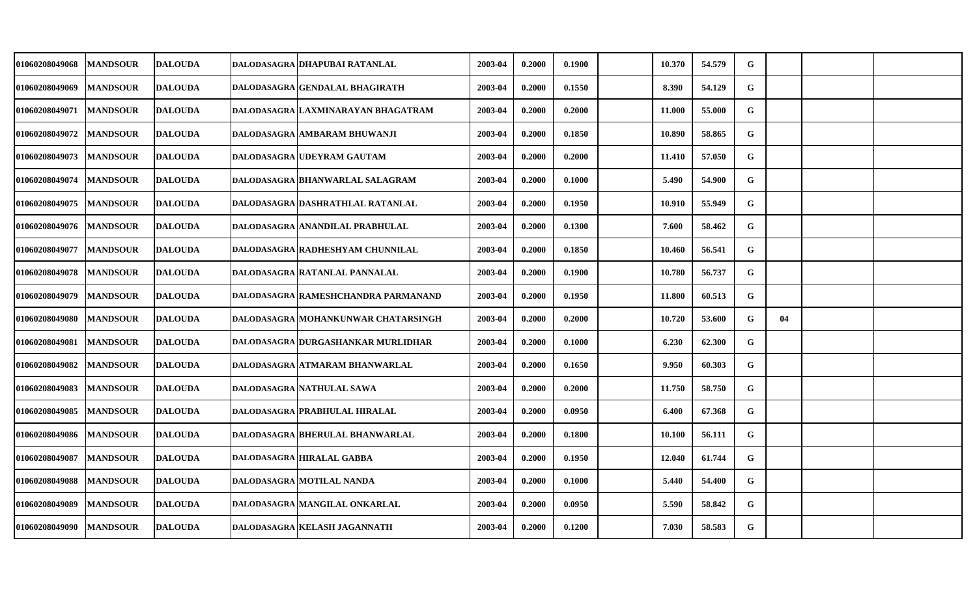| 01060208049068 | <b>MANDSOUR</b> | <b>DALOUDA</b> | DALODASAGRA   DHAPUBAI RATANLAL         | 2003-04 | 0.2000 | 0.1900 | 10.370 | 54.579 | ${\bf G}$ |    |  |
|----------------|-----------------|----------------|-----------------------------------------|---------|--------|--------|--------|--------|-----------|----|--|
| 01060208049069 | <b>MANDSOUR</b> | <b>DALOUDA</b> | <b>DALODASAGRA GENDALAL BHAGIRATH</b>   | 2003-04 | 0.2000 | 0.1550 | 8.390  | 54.129 | G         |    |  |
| 01060208049071 | <b>MANDSOUR</b> | <b>DALOUDA</b> | DALODASAGRA LAXMINARAYAN BHAGATRAM      | 2003-04 | 0.2000 | 0.2000 | 11.000 | 55.000 | G         |    |  |
| 01060208049072 | <b>MANDSOUR</b> | <b>DALOUDA</b> | DALODASAGRA AMBARAM BHUWANJI            | 2003-04 | 0.2000 | 0.1850 | 10.890 | 58.865 | G         |    |  |
| 01060208049073 | <b>MANDSOUR</b> | <b>DALOUDA</b> | DALODASAGRA UDEYRAM GAUTAM              | 2003-04 | 0.2000 | 0.2000 | 11.410 | 57.050 | G         |    |  |
| 01060208049074 | <b>MANDSOUR</b> | <b>DALOUDA</b> | DALODASAGRA BHANWARLAL SALAGRAM         | 2003-04 | 0.2000 | 0.1000 | 5.490  | 54.900 | G         |    |  |
| 01060208049075 | <b>MANDSOUR</b> | <b>DALOUDA</b> | DALODASAGRA DASHRATHLAL RATANLAL        | 2003-04 | 0.2000 | 0.1950 | 10.910 | 55.949 | G         |    |  |
| 01060208049076 | <b>MANDSOUR</b> | <b>DALOUDA</b> | DALODASAGRA ANANDILAL PRABHULAL         | 2003-04 | 0.2000 | 0.1300 | 7.600  | 58.462 | G         |    |  |
| 01060208049077 | <b>MANDSOUR</b> | <b>DALOUDA</b> | <b>DALODASAGRA RADHESHYAM CHUNNILAL</b> | 2003-04 | 0.2000 | 0.1850 | 10.460 | 56.541 | G         |    |  |
| 01060208049078 | <b>MANDSOUR</b> | <b>DALOUDA</b> | DALODASAGRA RATANLAL PANNALAL           | 2003-04 | 0.2000 | 0.1900 | 10.780 | 56.737 | G         |    |  |
| 01060208049079 | <b>MANDSOUR</b> | <b>DALOUDA</b> | DALODASAGRA RAMESHCHANDRA PARMANAND     | 2003-04 | 0.2000 | 0.1950 | 11.800 | 60.513 | G         |    |  |
| 01060208049080 | <b>MANDSOUR</b> | <b>DALOUDA</b> | DALODASAGRA MOHANKUNWAR CHATARSINGH     | 2003-04 | 0.2000 | 0.2000 | 10.720 | 53.600 | G         | 04 |  |
| 01060208049081 | <b>MANDSOUR</b> | <b>DALOUDA</b> | DALODASAGRA DURGASHANKAR MURLIDHAR      | 2003-04 | 0.2000 | 0.1000 | 6.230  | 62.300 | ${\bf G}$ |    |  |
| 01060208049082 | <b>MANDSOUR</b> | <b>DALOUDA</b> | DALODASAGRA ATMARAM BHANWARLAL          | 2003-04 | 0.2000 | 0.1650 | 9.950  | 60.303 | G         |    |  |
| 01060208049083 | <b>MANDSOUR</b> | <b>DALOUDA</b> | DALODASAGRA NATHULAL SAWA               | 2003-04 | 0.2000 | 0.2000 | 11.750 | 58.750 | G         |    |  |
| 01060208049085 | <b>MANDSOUR</b> | <b>DALOUDA</b> | DALODASAGRA PRABHULAL HIRALAL           | 2003-04 | 0.2000 | 0.0950 | 6.400  | 67.368 | G         |    |  |
| 01060208049086 | <b>MANDSOUR</b> | <b>DALOUDA</b> | DALODASAGRA BHERULAL BHANWARLAL         | 2003-04 | 0.2000 | 0.1800 | 10.100 | 56.111 | G         |    |  |
| 01060208049087 | <b>MANDSOUR</b> | <b>DALOUDA</b> | <b>DALODASAGRA HIRALAL GABBA</b>        | 2003-04 | 0.2000 | 0.1950 | 12.040 | 61.744 | G         |    |  |
| 01060208049088 | <b>MANDSOUR</b> | <b>DALOUDA</b> | DALODASAGRA MOTILAL NANDA               | 2003-04 | 0.2000 | 0.1000 | 5.440  | 54.400 | G         |    |  |
| 01060208049089 | <b>MANDSOUR</b> | <b>DALOUDA</b> | DALODASAGRA MANGILAL ONKARLAL           | 2003-04 | 0.2000 | 0.0950 | 5.590  | 58.842 | G         |    |  |
| 01060208049090 | <b>MANDSOUR</b> | <b>DALOUDA</b> | DALODASAGRA KELASH JAGANNATH            | 2003-04 | 0.2000 | 0.1200 | 7.030  | 58.583 | G         |    |  |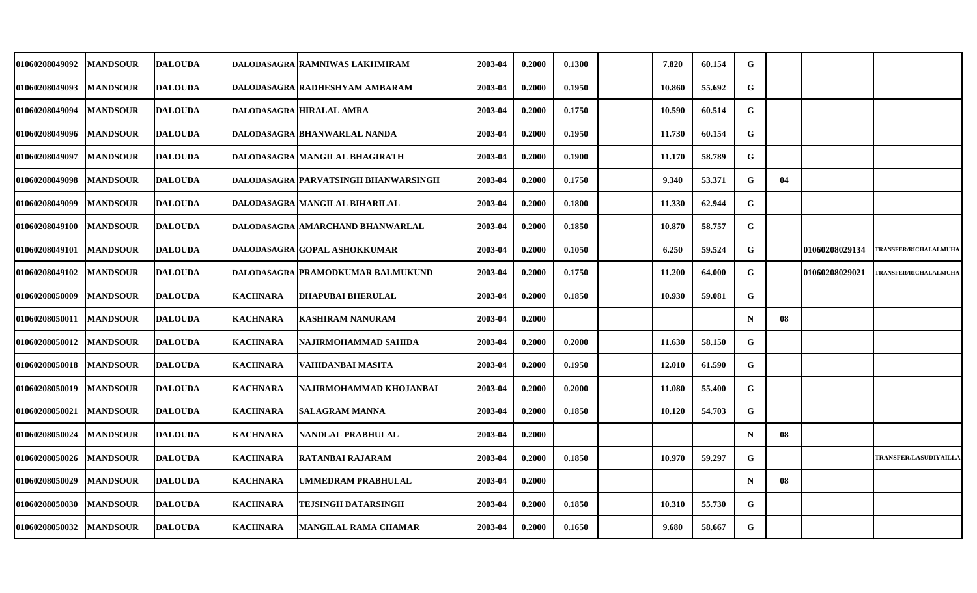| 01060208049092        | <b>MANDSOUR</b> | <b>DALOUDA</b> |                 | DALODASAGRA RAMNIWAS LAKHMIRAM       | 2003-04 | 0.2000 | 0.1300 | 7.820  | 60.154 | G           |    |                |                              |
|-----------------------|-----------------|----------------|-----------------|--------------------------------------|---------|--------|--------|--------|--------|-------------|----|----------------|------------------------------|
| 01060208049093        | <b>MANDSOUR</b> | <b>DALOUDA</b> |                 | DALODASAGRA RADHESHYAM AMBARAM       | 2003-04 | 0.2000 | 0.1950 | 10.860 | 55.692 | G           |    |                |                              |
| 01060208049094        | <b>MANDSOUR</b> | <b>DALOUDA</b> |                 | DALODASAGRA HIRALAL AMRA             | 2003-04 | 0.2000 | 0.1750 | 10.590 | 60.514 | G           |    |                |                              |
| 01060208049096        | <b>MANDSOUR</b> | <b>DALOUDA</b> |                 | DALODASAGRA BHANWARLAL NANDA         | 2003-04 | 0.2000 | 0.1950 | 11.730 | 60.154 | G           |    |                |                              |
| 01060208049097        | <b>MANDSOUR</b> | <b>DALOUDA</b> |                 | DALODASAGRA MANGILAL BHAGIRATH       | 2003-04 | 0.2000 | 0.1900 | 11.170 | 58.789 | G           |    |                |                              |
| 01060208049098        | <b>MANDSOUR</b> | <b>DALOUDA</b> |                 | DALODASAGRA PARVATSINGH BHANWARSINGH | 2003-04 | 0.2000 | 0.1750 | 9.340  | 53.371 | G           | 04 |                |                              |
| 01060208049099        | <b>MANDSOUR</b> | <b>DALOUDA</b> |                 | DALODASAGRA MANGILAL BIHARILAL       | 2003-04 | 0.2000 | 0.1800 | 11.330 | 62.944 | G           |    |                |                              |
| <b>01060208049100</b> | <b>MANDSOUR</b> | <b>DALOUDA</b> |                 | DALODASAGRA AMARCHAND BHANWARLAL     | 2003-04 | 0.2000 | 0.1850 | 10.870 | 58.757 | G           |    |                |                              |
| 01060208049101        | <b>MANDSOUR</b> | <b>DALOUDA</b> |                 | DALODASAGRA GOPAL ASHOKKUMAR         | 2003-04 | 0.2000 | 0.1050 | 6.250  | 59.524 | G           |    | 01060208029134 | <b>TRANSFER/RICHALALMUHA</b> |
| 01060208049102        | <b>MANDSOUR</b> | <b>DALOUDA</b> |                 | DALODASAGRA PRAMODKUMAR BALMUKUND    | 2003-04 | 0.2000 | 0.1750 | 11.200 | 64.000 | G           |    | 01060208029021 | <b>TRANSFER/RICHALALMUHA</b> |
| <b>01060208050009</b> | <b>MANDSOUR</b> | <b>DALOUDA</b> | <b>KACHNARA</b> | <b>DHAPUBAI BHERULAL</b>             | 2003-04 | 0.2000 | 0.1850 | 10.930 | 59.081 | G           |    |                |                              |
| <b>01060208050011</b> | <b>MANDSOUR</b> | <b>DALOUDA</b> | <b>KACHNARA</b> | KASHIRAM NANURAM                     | 2003-04 | 0.2000 |        |        |        | $\mathbf N$ | 08 |                |                              |
| <b>01060208050012</b> | <b>MANDSOUR</b> | <b>DALOUDA</b> | <b>KACHNARA</b> | NAJIRMOHAMMAD SAHIDA                 | 2003-04 | 0.2000 | 0.2000 | 11.630 | 58.150 | G           |    |                |                              |
| <b>01060208050018</b> | <b>MANDSOUR</b> | <b>DALOUDA</b> | <b>KACHNARA</b> | VAHIDANBAI MASITA                    | 2003-04 | 0.2000 | 0.1950 | 12.010 | 61.590 | G           |    |                |                              |
| <b>01060208050019</b> | <b>MANDSOUR</b> | <b>DALOUDA</b> | <b>KACHNARA</b> | NAJIRMOHAMMAD KHOJANBAI              | 2003-04 | 0.2000 | 0.2000 | 11.080 | 55.400 | G           |    |                |                              |
| 01060208050021        | <b>MANDSOUR</b> | <b>DALOUDA</b> | <b>KACHNARA</b> | <b>SALAGRAM MANNA</b>                | 2003-04 | 0.2000 | 0.1850 | 10.120 | 54.703 | G           |    |                |                              |
| <b>01060208050024</b> | <b>MANDSOUR</b> | <b>DALOUDA</b> | <b>KACHNARA</b> | <b> NANDLAL PRABHULAL</b>            | 2003-04 | 0.2000 |        |        |        | $\mathbf N$ | 08 |                |                              |
| 01060208050026        | <b>MANDSOUR</b> | <b>DALOUDA</b> | <b>KACHNARA</b> | <b>RATANBAI RAJARAM</b>              | 2003-04 | 0.2000 | 0.1850 | 10.970 | 59.297 | G           |    |                | TRANSFER/LASUDIYAILL/        |
| 01060208050029        | <b>MANDSOUR</b> | <b>DALOUDA</b> | <b>KACHNARA</b> | UMMEDRAM PRABHULAL                   | 2003-04 | 0.2000 |        |        |        | $\mathbf N$ | 08 |                |                              |
| <b>01060208050030</b> | <b>MANDSOUR</b> | <b>DALOUDA</b> | <b>KACHNARA</b> | TEJSINGH DATARSINGH                  | 2003-04 | 0.2000 | 0.1850 | 10.310 | 55.730 | G           |    |                |                              |
| <b>01060208050032</b> | <b>MANDSOUR</b> | <b>DALOUDA</b> | <b>KACHNARA</b> | <b>MANGILAL RAMA CHAMAR</b>          | 2003-04 | 0.2000 | 0.1650 | 9.680  | 58.667 | G           |    |                |                              |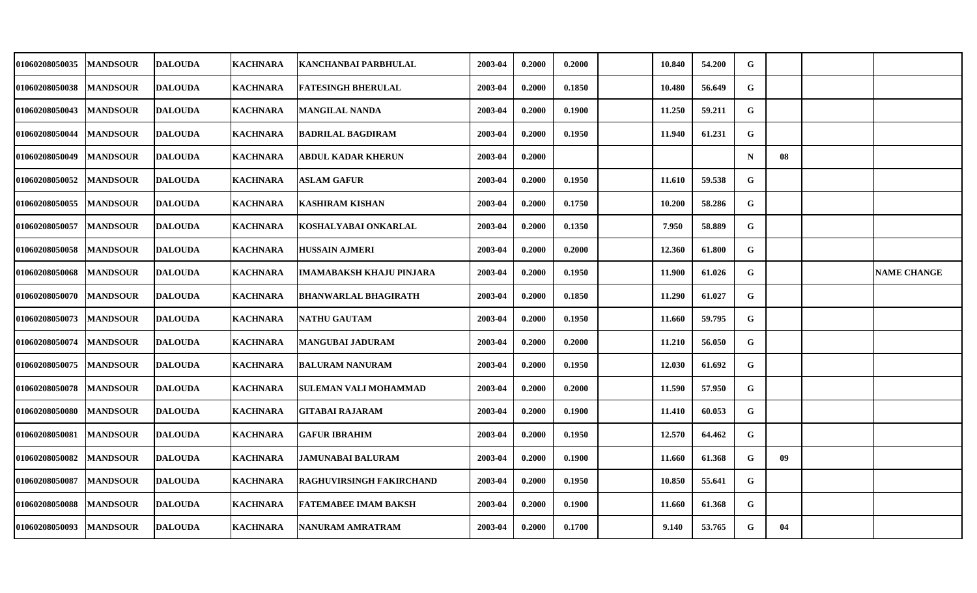| 01060208050035 | <b>MANDSOUR</b> | <b>DALOUDA</b> | <b>KACHNARA</b> | KANCHANBAI PARBHULAL            | 2003-04 | 0.2000 | 0.2000 | 10.840 | 54.200 | G           |    |                    |
|----------------|-----------------|----------------|-----------------|---------------------------------|---------|--------|--------|--------|--------|-------------|----|--------------------|
| 01060208050038 | <b>MANDSOUR</b> | <b>DALOUDA</b> | <b>KACHNARA</b> | <b>FATESINGH BHERULAL</b>       | 2003-04 | 0.2000 | 0.1850 | 10.480 | 56.649 | G           |    |                    |
| 01060208050043 | <b>MANDSOUR</b> | <b>DALOUDA</b> | <b>KACHNARA</b> | MANGILAL NANDA                  | 2003-04 | 0.2000 | 0.1900 | 11.250 | 59.211 | G           |    |                    |
| 01060208050044 | <b>MANDSOUR</b> | <b>DALOUDA</b> | <b>KACHNARA</b> | <b>BADRILAL BAGDIRAM</b>        | 2003-04 | 0.2000 | 0.1950 | 11.940 | 61.231 | G           |    |                    |
| 01060208050049 | <b>MANDSOUR</b> | <b>DALOUDA</b> | <b>KACHNARA</b> | ABDUL KADAR KHERUN              | 2003-04 | 0.2000 |        |        |        | $\mathbf N$ | 08 |                    |
| 01060208050052 | <b>MANDSOUR</b> | <b>DALOUDA</b> | <b>KACHNARA</b> | <b>ASLAM GAFUR</b>              | 2003-04 | 0.2000 | 0.1950 | 11.610 | 59.538 | G           |    |                    |
| 01060208050055 | <b>MANDSOUR</b> | <b>DALOUDA</b> | <b>KACHNARA</b> | KASHIRAM KISHAN                 | 2003-04 | 0.2000 | 0.1750 | 10.200 | 58.286 | G           |    |                    |
| 01060208050057 | <b>MANDSOUR</b> | <b>DALOUDA</b> | <b>KACHNARA</b> | KOSHALYABAI ONKARLAL            | 2003-04 | 0.2000 | 0.1350 | 7.950  | 58.889 | $\mathbf G$ |    |                    |
| 01060208050058 | <b>MANDSOUR</b> | <b>DALOUDA</b> | <b>KACHNARA</b> | <b>HUSSAIN AJMERI</b>           | 2003-04 | 0.2000 | 0.2000 | 12.360 | 61.800 | G           |    |                    |
| 01060208050068 | <b>MANDSOUR</b> | <b>DALOUDA</b> | <b>KACHNARA</b> | <b>IMAMABAKSH KHAJU PINJARA</b> | 2003-04 | 0.2000 | 0.1950 | 11.900 | 61.026 | G           |    | <b>NAME CHANGE</b> |
| 01060208050070 | <b>MANDSOUR</b> | <b>DALOUDA</b> | <b>KACHNARA</b> | <b>BHANWARLAL BHAGIRATH</b>     | 2003-04 | 0.2000 | 0.1850 | 11.290 | 61.027 | $\mathbf G$ |    |                    |
| 01060208050073 | <b>MANDSOUR</b> | <b>DALOUDA</b> | <b>KACHNARA</b> | <b>NATHU GAUTAM</b>             | 2003-04 | 0.2000 | 0.1950 | 11.660 | 59.795 | G           |    |                    |
| 01060208050074 | <b>MANDSOUR</b> | <b>DALOUDA</b> | <b>KACHNARA</b> | MANGUBAI JADURAM                | 2003-04 | 0.2000 | 0.2000 | 11.210 | 56.050 | G           |    |                    |
| 01060208050075 | <b>MANDSOUR</b> | <b>DALOUDA</b> | <b>KACHNARA</b> | BALURAM NANURAM                 | 2003-04 | 0.2000 | 0.1950 | 12.030 | 61.692 | G           |    |                    |
| 01060208050078 | <b>MANDSOUR</b> | <b>DALOUDA</b> | <b>KACHNARA</b> | <b>SULEMAN VALI MOHAMMAD</b>    | 2003-04 | 0.2000 | 0.2000 | 11.590 | 57.950 | G           |    |                    |
| 01060208050080 | <b>MANDSOUR</b> | <b>DALOUDA</b> | <b>KACHNARA</b> | GITABAI RAJARAM                 | 2003-04 | 0.2000 | 0.1900 | 11.410 | 60.053 | G           |    |                    |
| 01060208050081 | <b>MANDSOUR</b> | <b>DALOUDA</b> | <b>KACHNARA</b> | <b>GAFUR IBRAHIM</b>            | 2003-04 | 0.2000 | 0.1950 | 12.570 | 64.462 | G           |    |                    |
| 01060208050082 | <b>MANDSOUR</b> | <b>DALOUDA</b> | <b>KACHNARA</b> | <b>JAMUNABAI BALURAM</b>        | 2003-04 | 0.2000 | 0.1900 | 11.660 | 61.368 | G           | 09 |                    |
| 01060208050087 | <b>MANDSOUR</b> | <b>DALOUDA</b> | <b>KACHNARA</b> | <b>RAGHUVIRSINGH FAKIRCHAND</b> | 2003-04 | 0.2000 | 0.1950 | 10.850 | 55.641 | G           |    |                    |
| 01060208050088 | <b>MANDSOUR</b> | <b>DALOUDA</b> | <b>KACHNARA</b> | <b>FATEMABEE IMAM BAKSH</b>     | 2003-04 | 0.2000 | 0.1900 | 11.660 | 61.368 | G           |    |                    |
| 01060208050093 | <b>MANDSOUR</b> | <b>DALOUDA</b> | <b>KACHNARA</b> | NANURAM AMRATRAM                | 2003-04 | 0.2000 | 0.1700 | 9.140  | 53.765 | G           | 04 |                    |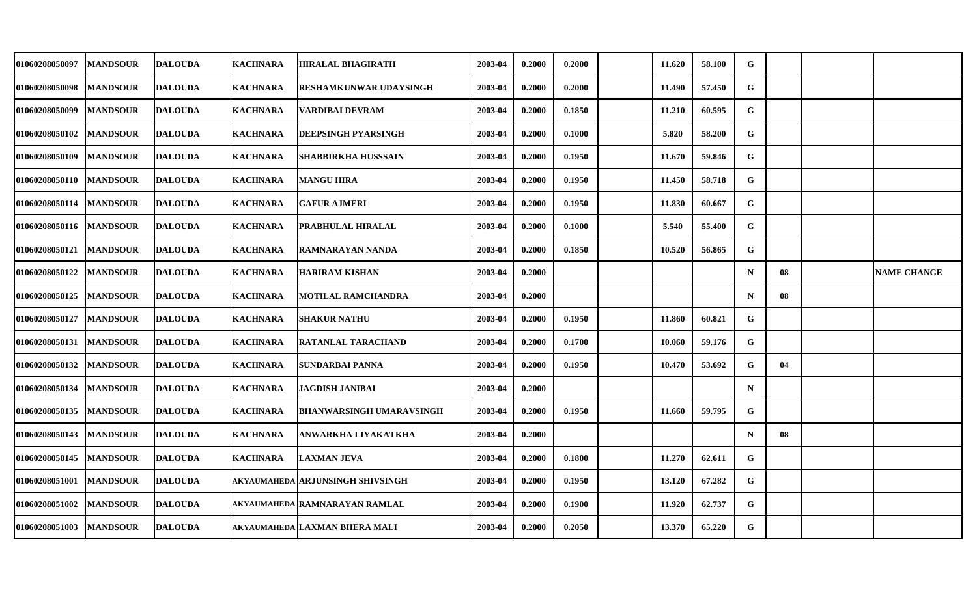| <b>01060208050097</b> | <b>MANDSOUR</b> | <b>DALOUDA</b> | <b>KACHNARA</b> | HIRALAL BHAGIRATH                | 2003-04 | 0.2000 | 0.2000 | 11.620 | 58.100 | G           |    |                    |
|-----------------------|-----------------|----------------|-----------------|----------------------------------|---------|--------|--------|--------|--------|-------------|----|--------------------|
| <b>01060208050098</b> | <b>MANDSOUR</b> | <b>DALOUDA</b> | <b>KACHNARA</b> | RESHAMKUNWAR UDAYSINGH           | 2003-04 | 0.2000 | 0.2000 | 11.490 | 57.450 | $\mathbf G$ |    |                    |
| <b>01060208050099</b> | <b>MANDSOUR</b> | <b>DALOUDA</b> | <b>KACHNARA</b> | VARDIBAI DEVRAM                  | 2003-04 | 0.2000 | 0.1850 | 11.210 | 60.595 | G           |    |                    |
| 01060208050102        | <b>MANDSOUR</b> | <b>DALOUDA</b> | <b>KACHNARA</b> | DEEPSINGH PYARSINGH              | 2003-04 | 0.2000 | 0.1000 | 5.820  | 58.200 | G           |    |                    |
| <b>01060208050109</b> | <b>MANDSOUR</b> | <b>DALOUDA</b> | <b>KACHNARA</b> | SHABBIRKHA HUSSSAIN              | 2003-04 | 0.2000 | 0.1950 | 11.670 | 59.846 | G           |    |                    |
| <b>01060208050110</b> | <b>MANDSOUR</b> | <b>DALOUDA</b> | <b>KACHNARA</b> | <b>MANGU HIRA</b>                | 2003-04 | 0.2000 | 0.1950 | 11.450 | 58.718 | $\mathbf G$ |    |                    |
| 01060208050114        | <b>MANDSOUR</b> | <b>DALOUDA</b> | <b>KACHNARA</b> | <b>GAFUR AJMERI</b>              | 2003-04 | 0.2000 | 0.1950 | 11.830 | 60.667 | G           |    |                    |
| 01060208050116        | <b>MANDSOUR</b> | <b>DALOUDA</b> | <b>KACHNARA</b> | PRABHULAL HIRALAL                | 2003-04 | 0.2000 | 0.1000 | 5.540  | 55.400 | G           |    |                    |
| 01060208050121        | <b>MANDSOUR</b> | <b>DALOUDA</b> | <b>KACHNARA</b> | RAMNARAYAN NANDA                 | 2003-04 | 0.2000 | 0.1850 | 10.520 | 56.865 | G           |    |                    |
| 01060208050122        | <b>MANDSOUR</b> | <b>DALOUDA</b> | <b>KACHNARA</b> | <b>HARIRAM KISHAN</b>            | 2003-04 | 0.2000 |        |        |        | $\mathbf N$ | 08 | <b>NAME CHANGE</b> |
| <b>01060208050125</b> | <b>MANDSOUR</b> | <b>DALOUDA</b> | <b>KACHNARA</b> | MOTILAL RAMCHANDRA               | 2003-04 | 0.2000 |        |        |        | $\mathbf N$ | 08 |                    |
| <b>01060208050127</b> | <b>MANDSOUR</b> | <b>DALOUDA</b> | <b>KACHNARA</b> | <b>SHAKUR NATHU</b>              | 2003-04 | 0.2000 | 0.1950 | 11.860 | 60.821 | G           |    |                    |
| 01060208050131        | <b>MANDSOUR</b> | <b>DALOUDA</b> | <b>KACHNARA</b> | RATANLAL TARACHAND               | 2003-04 | 0.2000 | 0.1700 | 10.060 | 59.176 | G           |    |                    |
| 01060208050132        | <b>MANDSOUR</b> | <b>DALOUDA</b> | <b>KACHNARA</b> | SUNDARBAI PANNA                  | 2003-04 | 0.2000 | 0.1950 | 10.470 | 53.692 | G           | 04 |                    |
| 01060208050134        | <b>MANDSOUR</b> | <b>DALOUDA</b> | <b>KACHNARA</b> | JAGDISH JANIBAI                  | 2003-04 | 0.2000 |        |        |        | $\mathbf N$ |    |                    |
| <b>01060208050135</b> | <b>MANDSOUR</b> | <b>DALOUDA</b> | <b>KACHNARA</b> | BHANWARSINGH UMARAVSINGH         | 2003-04 | 0.2000 | 0.1950 | 11.660 | 59.795 | G           |    |                    |
| 01060208050143        | <b>MANDSOUR</b> | <b>DALOUDA</b> | <b>KACHNARA</b> | ANWARKHA LIYAKATKHA              | 2003-04 | 0.2000 |        |        |        | $\mathbf N$ | 08 |                    |
| 01060208050145        | <b>MANDSOUR</b> | <b>DALOUDA</b> | <b>KACHNARA</b> | LAXMAN JEVA                      | 2003-04 | 0.2000 | 0.1800 | 11.270 | 62.611 | ${\bf G}$   |    |                    |
| 01060208051001        | <b>MANDSOUR</b> | <b>DALOUDA</b> |                 | AKYAUMAHEDA ARJUNSINGH SHIVSINGH | 2003-04 | 0.2000 | 0.1950 | 13.120 | 67.282 | G           |    |                    |
| 01060208051002        | <b>MANDSOUR</b> | <b>DALOUDA</b> |                 | AKYAUMAHEDA RAMNARAYAN RAMLAL    | 2003-04 | 0.2000 | 0.1900 | 11.920 | 62.737 | G           |    |                    |
| 01060208051003        | <b>MANDSOUR</b> | <b>DALOUDA</b> |                 | akyaumaheda laxman bhera mali    | 2003-04 | 0.2000 | 0.2050 | 13.370 | 65.220 | G           |    |                    |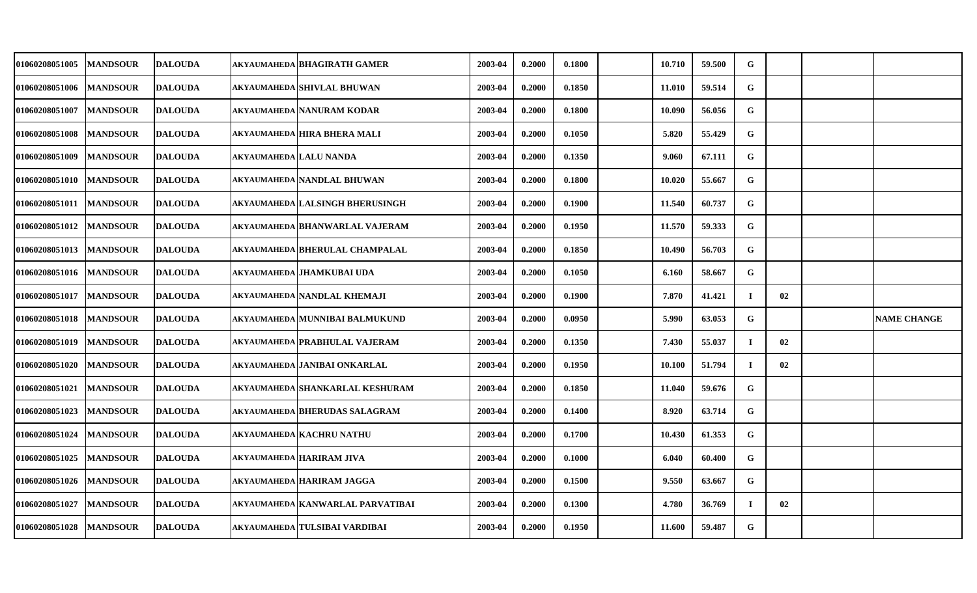| 01060208051005 | <b>MANDSOUR</b> | <b>DALOUDA</b> |                               | AKYAUMAHEDA BHAGIRATH GAMER       | 2003-04 | 0.2000 | 0.1800 | 10.710 | 59.500 | ${\bf G}$ |    |                    |
|----------------|-----------------|----------------|-------------------------------|-----------------------------------|---------|--------|--------|--------|--------|-----------|----|--------------------|
| 01060208051006 | <b>MANDSOUR</b> | <b>DALOUDA</b> |                               | <b>AKYAUMAHEDA SHIVLAL BHUWAN</b> | 2003-04 | 0.2000 | 0.1850 | 11.010 | 59.514 | G         |    |                    |
| 01060208051007 | <b>MANDSOUR</b> | <b>DALOUDA</b> |                               | AKYAUMAHEDA NANURAM KODAR         | 2003-04 | 0.2000 | 0.1800 | 10.090 | 56.056 | G         |    |                    |
| 01060208051008 | <b>MANDSOUR</b> | <b>DALOUDA</b> |                               | akyaumaheda HIRA BHERA MALI       | 2003-04 | 0.2000 | 0.1050 | 5.820  | 55.429 | G         |    |                    |
| 01060208051009 | <b>MANDSOUR</b> | <b>DALOUDA</b> | <b>AKYAUMAHEDA LALU NANDA</b> |                                   | 2003-04 | 0.2000 | 0.1350 | 9.060  | 67.111 | G         |    |                    |
| 01060208051010 | <b>MANDSOUR</b> | <b>DALOUDA</b> |                               | AKYAUMAHEDA NANDLAL BHUWAN        | 2003-04 | 0.2000 | 0.1800 | 10.020 | 55.667 | G         |    |                    |
| 01060208051011 | <b>MANDSOUR</b> | <b>DALOUDA</b> |                               | AKYAUMAHEDA LALSINGH BHERUSINGH   | 2003-04 | 0.2000 | 0.1900 | 11.540 | 60.737 | G         |    |                    |
| 01060208051012 | <b>MANDSOUR</b> | <b>DALOUDA</b> |                               | AKYAUMAHEDA BHANWARLAL VAJERAM    | 2003-04 | 0.2000 | 0.1950 | 11.570 | 59.333 | G         |    |                    |
| 01060208051013 | <b>MANDSOUR</b> | <b>DALOUDA</b> |                               | akyaumaheda BHERULAL CHAMPALAL    | 2003-04 | 0.2000 | 0.1850 | 10.490 | 56.703 | G         |    |                    |
| 01060208051016 | <b>MANDSOUR</b> | <b>DALOUDA</b> |                               | AKYAUMAHEDA JHAMKUBAI UDA         | 2003-04 | 0.2000 | 0.1050 | 6.160  | 58.667 | G         |    |                    |
| 01060208051017 | <b>MANDSOUR</b> | <b>DALOUDA</b> |                               | AKYAUMAHEDA NANDLAL KHEMAJI       | 2003-04 | 0.2000 | 0.1900 | 7.870  | 41.421 | $\bf{I}$  | 02 |                    |
| 01060208051018 | <b>MANDSOUR</b> | <b>DALOUDA</b> |                               | AKYAUMAHEDA MUNNIBAI BALMUKUND    | 2003-04 | 0.2000 | 0.0950 | 5.990  | 63.053 | G         |    | <b>NAME CHANGE</b> |
| 01060208051019 | <b>MANDSOUR</b> | <b>DALOUDA</b> |                               | AKYAUMAHEDA PRABHULAL VAJERAM     | 2003-04 | 0.2000 | 0.1350 | 7.430  | 55.037 | $\bf{I}$  | 02 |                    |
| 01060208051020 | <b>MANDSOUR</b> | <b>DALOUDA</b> |                               | AKYAUMAHEDA JANIBAI ONKARLAL      | 2003-04 | 0.2000 | 0.1950 | 10.100 | 51.794 | $\bf{I}$  | 02 |                    |
| 01060208051021 | <b>MANDSOUR</b> | <b>DALOUDA</b> |                               | AKYAUMAHEDA SHANKARLAL KESHURAM   | 2003-04 | 0.2000 | 0.1850 | 11.040 | 59.676 | G         |    |                    |
| 01060208051023 | <b>MANDSOUR</b> | <b>DALOUDA</b> |                               | AKYAUMAHEDA BHERUDAS SALAGRAM     | 2003-04 | 0.2000 | 0.1400 | 8.920  | 63.714 | G         |    |                    |
| 01060208051024 | <b>MANDSOUR</b> | <b>DALOUDA</b> |                               | <b>AKYAUMAHEDA KACHRU NATHU</b>   | 2003-04 | 0.2000 | 0.1700 | 10.430 | 61.353 | G         |    |                    |
| 01060208051025 | <b>MANDSOUR</b> | <b>DALOUDA</b> |                               | AKYAUMAHEDA HARIRAM JIVA          | 2003-04 | 0.2000 | 0.1000 | 6.040  | 60.400 | G         |    |                    |
| 01060208051026 | <b>MANDSOUR</b> | <b>DALOUDA</b> |                               | <b>AKYAUMAHEDA HARIRAM JAGGA</b>  | 2003-04 | 0.2000 | 0.1500 | 9.550  | 63.667 | G         |    |                    |
| 01060208051027 | <b>MANDSOUR</b> | <b>DALOUDA</b> |                               | AKYAUMAHEDA KANWARLAL PARVATIBAI  | 2003-04 | 0.2000 | 0.1300 | 4.780  | 36.769 | $\bf{I}$  | 02 |                    |
| 01060208051028 | <b>MANDSOUR</b> | <b>DALOUDA</b> |                               | AKYAUMAHEDA TULSIBAI VARDIBAI     | 2003-04 | 0.2000 | 0.1950 | 11.600 | 59.487 | G         |    |                    |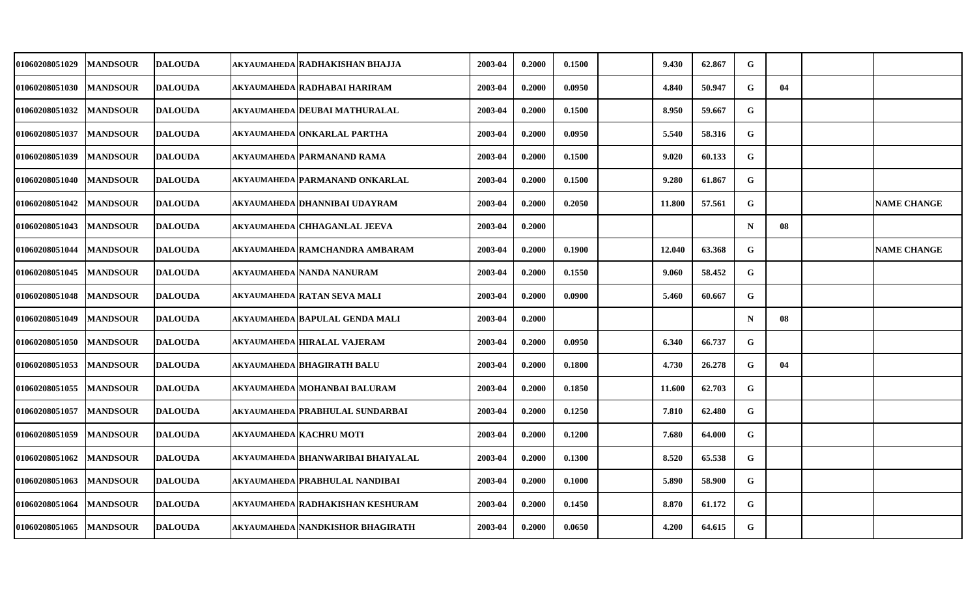| <b>01060208051029</b> | <b>MANDSOUR</b> | <b>DALOUDA</b> | AKYAUMAHEDA RADHAKISHAN BHAJJA        | 2003-04 | 0.2000 | 0.1500 | 9.430  | 62.867 | G           |    |                    |
|-----------------------|-----------------|----------------|---------------------------------------|---------|--------|--------|--------|--------|-------------|----|--------------------|
| 01060208051030        | <b>MANDSOUR</b> | <b>DALOUDA</b> | AKYAUMAHEDA RADHABAI HARIRAM          | 2003-04 | 0.2000 | 0.0950 | 4.840  | 50.947 | G           | 04 |                    |
| <b>01060208051032</b> | <b>MANDSOUR</b> | <b>DALOUDA</b> | AKYAUMAHEDA DEUBAI MATHURALAL         | 2003-04 | 0.2000 | 0.1500 | 8.950  | 59.667 | G           |    |                    |
| 01060208051037        | <b>MANDSOUR</b> | <b>DALOUDA</b> | <b>AKYAUMAHEDA ONKARLAL PARTHA</b>    | 2003-04 | 0.2000 | 0.0950 | 5.540  | 58.316 | G           |    |                    |
| 01060208051039        | <b>MANDSOUR</b> | <b>DALOUDA</b> | AKYAUMAHEDA PARMANAND RAMA            | 2003-04 | 0.2000 | 0.1500 | 9.020  | 60.133 | G           |    |                    |
| 01060208051040        | <b>MANDSOUR</b> | <b>DALOUDA</b> | akyaumaheda PARMANAND ONKARLAL        | 2003-04 | 0.2000 | 0.1500 | 9.280  | 61.867 | G           |    |                    |
| 01060208051042        | <b>MANDSOUR</b> | <b>DALOUDA</b> | AKYAUMAHEDA DHANNIBAI UDAYRAM         | 2003-04 | 0.2000 | 0.2050 | 11.800 | 57.561 | G           |    | <b>NAME CHANGE</b> |
| 01060208051043        | <b>MANDSOUR</b> | <b>DALOUDA</b> | AKYAUMAHEDA CHHAGANLAL JEEVA          | 2003-04 | 0.2000 |        |        |        | $\mathbf N$ | 08 |                    |
| 01060208051044        | <b>MANDSOUR</b> | <b>DALOUDA</b> | AKYAUMAHEDA RAMCHANDRA AMBARAM        | 2003-04 | 0.2000 | 0.1900 | 12.040 | 63.368 | G           |    | <b>NAME CHANGE</b> |
| 01060208051045        | <b>MANDSOUR</b> | <b>DALOUDA</b> | AKYAUMAHEDA NANDA NANURAM             | 2003-04 | 0.2000 | 0.1550 | 9.060  | 58.452 | G           |    |                    |
| 01060208051048        | <b>MANDSOUR</b> | <b>DALOUDA</b> | akyaumaheda RATAN SEVA MALI           | 2003-04 | 0.2000 | 0.0900 | 5.460  | 60.667 | G           |    |                    |
| 01060208051049        | <b>MANDSOUR</b> | <b>DALOUDA</b> | AKYAUMAHEDA BAPULAL GENDA MALI        | 2003-04 | 0.2000 |        |        |        | $\mathbf N$ | 08 |                    |
| 01060208051050        | <b>MANDSOUR</b> | <b>DALOUDA</b> | <b>AKYAUMAHEDA HIRALAL VAJERAM</b>    | 2003-04 | 0.2000 | 0.0950 | 6.340  | 66.737 | G           |    |                    |
| 01060208051053        | <b>MANDSOUR</b> | <b>DALOUDA</b> | AKYAUMAHEDA BHAGIRATH BALU            | 2003-04 | 0.2000 | 0.1800 | 4.730  | 26.278 | G           | 04 |                    |
| 01060208051055        | <b>MANDSOUR</b> | <b>DALOUDA</b> | AKYAUMAHEDA MOHANBAI BALURAM          | 2003-04 | 0.2000 | 0.1850 | 11.600 | 62.703 | G           |    |                    |
| 01060208051057        | <b>MANDSOUR</b> | <b>DALOUDA</b> | AKYAUMAHEDA PRABHULAL SUNDARBAI       | 2003-04 | 0.2000 | 0.1250 | 7.810  | 62.480 | G           |    |                    |
| 01060208051059        | <b>MANDSOUR</b> | <b>DALOUDA</b> | <b>AKYAUMAHEDA KACHRU MOTI</b>        | 2003-04 | 0.2000 | 0.1200 | 7.680  | 64.000 | G           |    |                    |
| <b>01060208051062</b> | <b>MANDSOUR</b> | <b>DALOUDA</b> | AKYAUMAHEDA BHANWARIBAI BHAIYALAL     | 2003-04 | 0.2000 | 0.1300 | 8.520  | 65.538 | ${\bf G}$   |    |                    |
| 01060208051063        | <b>MANDSOUR</b> | <b>DALOUDA</b> | <b>AKYAUMAHEDA PRABHULAL NANDIBAI</b> | 2003-04 | 0.2000 | 0.1000 | 5.890  | 58.900 | G           |    |                    |
| 01060208051064        | <b>MANDSOUR</b> | <b>DALOUDA</b> | akyaumaheda RADHAKISHAN KESHURAM      | 2003-04 | 0.2000 | 0.1450 | 8.870  | 61.172 | G           |    |                    |
| 01060208051065        | <b>MANDSOUR</b> | <b>DALOUDA</b> | AKYAUMAHEDA NANDKISHOR BHAGIRATH      | 2003-04 | 0.2000 | 0.0650 | 4.200  | 64.615 | G           |    |                    |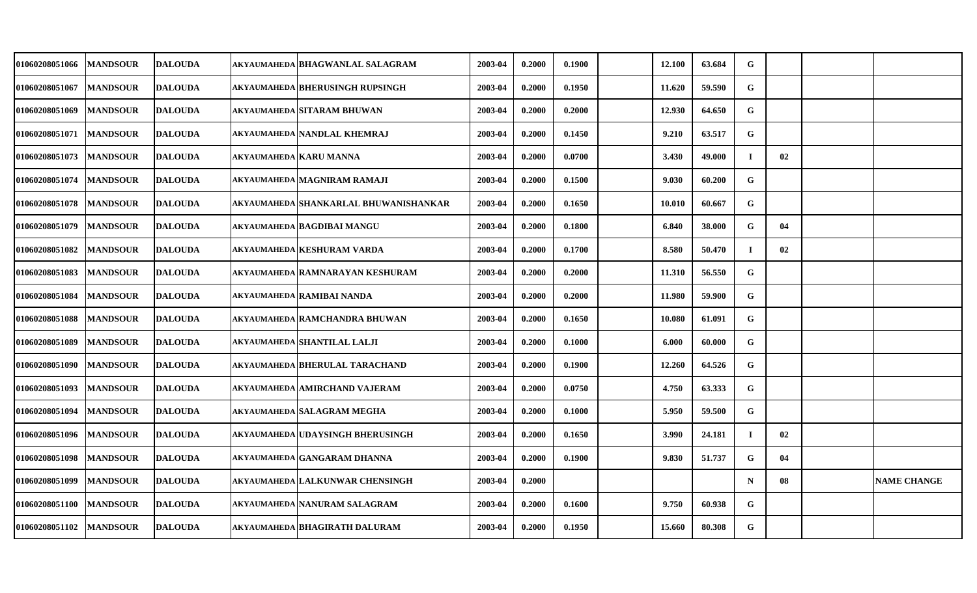| 01060208051066        | <b>MANDSOUR</b> | <b>DALOUDA</b> | AKYAUMAHEDA BHAGWANLAL SALAGRAM       | 2003-04 | 0.2000 | 0.1900 | 12.100 | 63.684 | G           |    |                    |
|-----------------------|-----------------|----------------|---------------------------------------|---------|--------|--------|--------|--------|-------------|----|--------------------|
| <b>01060208051067</b> | <b>MANDSOUR</b> | <b>DALOUDA</b> | AKYAUMAHEDA BHERUSINGH RUPSINGH       | 2003-04 | 0.2000 | 0.1950 | 11.620 | 59.590 | G           |    |                    |
| 01060208051069        | <b>MANDSOUR</b> | <b>DALOUDA</b> | <b>AKYAUMAHEDA SITARAM BHUWAN</b>     | 2003-04 | 0.2000 | 0.2000 | 12.930 | 64.650 | G           |    |                    |
| 01060208051071        | <b>MANDSOUR</b> | <b>DALOUDA</b> | akyaumaheda Nandlal khemraj           | 2003-04 | 0.2000 | 0.1450 | 9.210  | 63.517 | G           |    |                    |
| <b>01060208051073</b> | <b>MANDSOUR</b> | <b>DALOUDA</b> | AKYAUMAHEDA KARU MANNA                | 2003-04 | 0.2000 | 0.0700 | 3.430  | 49.000 | $\bf{I}$    | 02 |                    |
| 01060208051074        | <b>MANDSOUR</b> | <b>DALOUDA</b> | AKYAUMAHEDA MAGNIRAM RAMAJI           | 2003-04 | 0.2000 | 0.1500 | 9.030  | 60.200 | G           |    |                    |
| <b>01060208051078</b> | <b>MANDSOUR</b> | <b>DALOUDA</b> | AKYAUMAHEDA SHANKARLAL BHUWANISHANKAR | 2003-04 | 0.2000 | 0.1650 | 10.010 | 60.667 | G           |    |                    |
| 01060208051079        | <b>MANDSOUR</b> | <b>DALOUDA</b> | AKYAUMAHEDA BAGDIBAI MANGU            | 2003-04 | 0.2000 | 0.1800 | 6.840  | 38.000 | G           | 04 |                    |
| <b>01060208051082</b> | <b>MANDSOUR</b> | <b>DALOUDA</b> | akyaumaheda KESHURAM VARDA            | 2003-04 | 0.2000 | 0.1700 | 8.580  | 50.470 | $\bf{I}$    | 02 |                    |
| 01060208051083        | <b>MANDSOUR</b> | <b>DALOUDA</b> | akyaumaheda RAMNARAYAN KESHURAM       | 2003-04 | 0.2000 | 0.2000 | 11.310 | 56.550 | G           |    |                    |
| <b>01060208051084</b> | <b>MANDSOUR</b> | <b>DALOUDA</b> | AKYAUMAHEDA RAMIBAI NANDA             | 2003-04 | 0.2000 | 0.2000 | 11.980 | 59.900 | ${\bf G}$   |    |                    |
| <b>01060208051088</b> | <b>MANDSOUR</b> | <b>DALOUDA</b> | AKYAUMAHEDA RAMCHANDRA BHUWAN         | 2003-04 | 0.2000 | 0.1650 | 10.080 | 61.091 | G           |    |                    |
| <b>01060208051089</b> | <b>MANDSOUR</b> | <b>DALOUDA</b> | akyaumaheda SHANTILAL LALJI           | 2003-04 | 0.2000 | 0.1000 | 6.000  | 60.000 | G           |    |                    |
| <b>01060208051090</b> | <b>MANDSOUR</b> | <b>DALOUDA</b> | AKYAUMAHEDA BHERULAL TARACHAND        | 2003-04 | 0.2000 | 0.1900 | 12.260 | 64.526 | G           |    |                    |
| 01060208051093        | <b>MANDSOUR</b> | <b>DALOUDA</b> | AKYAUMAHEDA AMIRCHAND VAJERAM         | 2003-04 | 0.2000 | 0.0750 | 4.750  | 63.333 | G           |    |                    |
| 01060208051094        | <b>MANDSOUR</b> | <b>DALOUDA</b> | AKYAUMAHEDA SALAGRAM MEGHA            | 2003-04 | 0.2000 | 0.1000 | 5.950  | 59.500 | G           |    |                    |
| <b>01060208051096</b> | <b>MANDSOUR</b> | <b>DALOUDA</b> | AKYAUMAHEDA UDAYSINGH BHERUSINGH      | 2003-04 | 0.2000 | 0.1650 | 3.990  | 24.181 | $\bf{I}$    | 02 |                    |
| 01060208051098        | <b>MANDSOUR</b> | <b>DALOUDA</b> | <b>AKYAUMAHEDA GANGARAM DHANNA</b>    | 2003-04 | 0.2000 | 0.1900 | 9.830  | 51.737 | G           | 04 |                    |
| 01060208051099        | <b>MANDSOUR</b> | <b>DALOUDA</b> | akyaumaheda LALKUNWAR CHENSINGH       | 2003-04 | 0.2000 |        |        |        | $\mathbf N$ | 08 | <b>NAME CHANGE</b> |
| 01060208051100        | <b>MANDSOUR</b> | <b>DALOUDA</b> | AKYAUMAHEDA NANURAM SALAGRAM          | 2003-04 | 0.2000 | 0.1600 | 9.750  | 60.938 | G           |    |                    |
| 01060208051102        | <b>MANDSOUR</b> | <b>DALOUDA</b> | AKYAUMAHEDA BHAGIRATH DALURAM         | 2003-04 | 0.2000 | 0.1950 | 15.660 | 80.308 | G           |    |                    |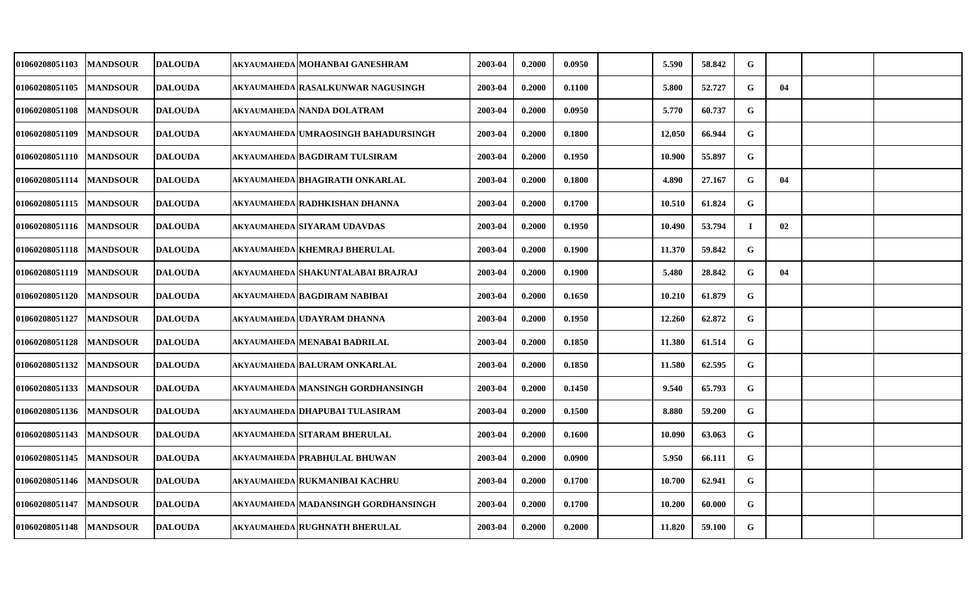| <b>01060208051103</b> | <b>MANDSOUR</b> | <b>DALOUDA</b> | AKYAUMAHEDA MOHANBAI GANESHRAM      | 2003-04 | 0.2000 | 0.0950 | 5.590  | 58.842 | G         |    |  |
|-----------------------|-----------------|----------------|-------------------------------------|---------|--------|--------|--------|--------|-----------|----|--|
| 01060208051105        | <b>MANDSOUR</b> | <b>DALOUDA</b> | AKYAUMAHEDA RASALKUNWAR NAGUSINGH   | 2003-04 | 0.2000 | 0.1100 | 5.800  | 52.727 | G         | 04 |  |
| 01060208051108        | <b>MANDSOUR</b> | <b>DALOUDA</b> | AKYAUMAHEDA NANDA DOLATRAM          | 2003-04 | 0.2000 | 0.0950 | 5.770  | 60.737 | G         |    |  |
| 01060208051109        | <b>MANDSOUR</b> | <b>DALOUDA</b> | AKYAUMAHEDA UMRAOSINGH BAHADURSINGH | 2003-04 | 0.2000 | 0.1800 | 12.050 | 66.944 | G         |    |  |
| <b>01060208051110</b> | <b>MANDSOUR</b> | <b>DALOUDA</b> | AKYAUMAHEDA BAGDIRAM TULSIRAM       | 2003-04 | 0.2000 | 0.1950 | 10.900 | 55.897 | G         |    |  |
| 01060208051114        | <b>MANDSOUR</b> | <b>DALOUDA</b> | akyaumaheda BHAGIRATH ONKARLAL      | 2003-04 | 0.2000 | 0.1800 | 4.890  | 27.167 | G         | 04 |  |
| 01060208051115        | <b>MANDSOUR</b> | <b>DALOUDA</b> | AKYAUMAHEDA RADHKISHAN DHANNA       | 2003-04 | 0.2000 | 0.1700 | 10.510 | 61.824 | G         |    |  |
| <b>01060208051116</b> | <b>MANDSOUR</b> | <b>DALOUDA</b> | AKYAUMAHEDA SIYARAM UDAVDAS         | 2003-04 | 0.2000 | 0.1950 | 10.490 | 53.794 | $\bf{I}$  | 02 |  |
| 01060208051118        | <b>MANDSOUR</b> | <b>DALOUDA</b> | AKYAUMAHEDA KHEMRAJ BHERULAL        | 2003-04 | 0.2000 | 0.1900 | 11.370 | 59.842 | G         |    |  |
| 01060208051119        | <b>MANDSOUR</b> | <b>DALOUDA</b> | AKYAUMAHEDA SHAKUNTALABAI BRAJRAJ   | 2003-04 | 0.2000 | 0.1900 | 5.480  | 28.842 | G         | 04 |  |
| <b>01060208051120</b> | <b>MANDSOUR</b> | <b>DALOUDA</b> | AKYAUMAHEDA BAGDIRAM NABIBAI        | 2003-04 | 0.2000 | 0.1650 | 10.210 | 61.879 | G         |    |  |
| <b>01060208051127</b> | <b>MANDSOUR</b> | <b>DALOUDA</b> | AKYAUMAHEDA UDAYRAM DHANNA          | 2003-04 | 0.2000 | 0.1950 | 12.260 | 62.872 | G         |    |  |
| 01060208051128        | <b>MANDSOUR</b> | <b>DALOUDA</b> | AKYAUMAHEDA MENABAI BADRILAL        | 2003-04 | 0.2000 | 0.1850 | 11.380 | 61.514 | ${\bf G}$ |    |  |
| 01060208051132        | <b>MANDSOUR</b> | <b>DALOUDA</b> | akyaumaheda BALURAM ONKARLAL        | 2003-04 | 0.2000 | 0.1850 | 11.580 | 62.595 | G         |    |  |
| 01060208051133        | <b>MANDSOUR</b> | <b>DALOUDA</b> | AKYAUMAHEDA MANSINGH GORDHANSINGH   | 2003-04 | 0.2000 | 0.1450 | 9.540  | 65.793 | G         |    |  |
| <b>01060208051136</b> | <b>MANDSOUR</b> | <b>DALOUDA</b> | AKYAUMAHEDA DHAPUBAI TULASIRAM      | 2003-04 | 0.2000 | 0.1500 | 8.880  | 59.200 | G         |    |  |
| 01060208051143        | <b>MANDSOUR</b> | <b>DALOUDA</b> | AKYAUMAHEDA SITARAM BHERULAL        | 2003-04 | 0.2000 | 0.1600 | 10.090 | 63.063 | G         |    |  |
| 01060208051145        | <b>MANDSOUR</b> | <b>DALOUDA</b> | AKYAUMAHEDA PRABHULAL BHUWAN        | 2003-04 | 0.2000 | 0.0900 | 5.950  | 66.111 | G         |    |  |
| 01060208051146        | <b>MANDSOUR</b> | <b>DALOUDA</b> | AKYAUMAHEDA RUKMANIBAI KACHRU       | 2003-04 | 0.2000 | 0.1700 | 10.700 | 62.941 | G         |    |  |
| 01060208051147        | <b>MANDSOUR</b> | <b>DALOUDA</b> | AKYAUMAHEDA MADANSINGH GORDHANSINGH | 2003-04 | 0.2000 | 0.1700 | 10.200 | 60.000 | ${\bf G}$ |    |  |
| 01060208051148        | <b>MANDSOUR</b> | <b>DALOUDA</b> | AKYAUMAHEDA RUGHNATH BHERULAL       | 2003-04 | 0.2000 | 0.2000 | 11.820 | 59.100 | G         |    |  |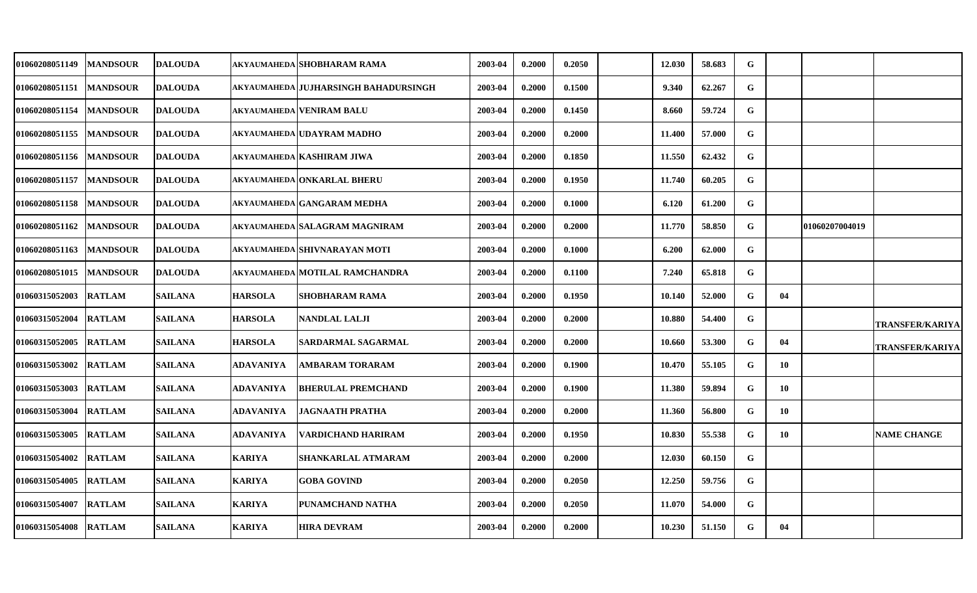| <b>01060208051149</b> | <b>MANDSOUR</b> | <b>DALOUDA</b> |                | AKYAUMAHEDA SHOBHARAM RAMA           | 2003-04 | 0.2000 | 0.2050 | 12.030 | 58.683 | G           |    |                |                        |
|-----------------------|-----------------|----------------|----------------|--------------------------------------|---------|--------|--------|--------|--------|-------------|----|----------------|------------------------|
| 01060208051151        | <b>MANDSOUR</b> | <b>DALOUDA</b> |                | AKYAUMAHEDA JUJHARSINGH BAHADURSINGH | 2003-04 | 0.2000 | 0.1500 | 9.340  | 62.267 | ${\bf G}$   |    |                |                        |
| 01060208051154        | <b>MANDSOUR</b> | <b>DALOUDA</b> |                | AKYAUMAHEDA VENIRAM BALU             | 2003-04 | 0.2000 | 0.1450 | 8.660  | 59.724 | G           |    |                |                        |
| 01060208051155        | <b>MANDSOUR</b> | <b>DALOUDA</b> |                | AKYAUMAHEDA UDAYRAM MADHO            | 2003-04 | 0.2000 | 0.2000 | 11.400 | 57.000 | G           |    |                |                        |
| 01060208051156        | <b>MANDSOUR</b> | <b>DALOUDA</b> |                | AKYAUMAHEDA KASHIRAM JIWA            | 2003-04 | 0.2000 | 0.1850 | 11.550 | 62.432 | G           |    |                |                        |
| 01060208051157        | <b>MANDSOUR</b> | <b>DALOUDA</b> |                | AKYAUMAHEDA ONKARLAL BHERU           | 2003-04 | 0.2000 | 0.1950 | 11.740 | 60.205 | G           |    |                |                        |
| <b>01060208051158</b> | <b>MANDSOUR</b> | <b>DALOUDA</b> |                | AKYAUMAHEDA GANGARAM MEDHA           | 2003-04 | 0.2000 | 0.1000 | 6.120  | 61.200 | G           |    |                |                        |
| 01060208051162        | <b>MANDSOUR</b> | <b>DALOUDA</b> |                | AKYAUMAHEDA SALAGRAM MAGNIRAM        | 2003-04 | 0.2000 | 0.2000 | 11.770 | 58.850 | G           |    | 01060207004019 |                        |
| 01060208051163        | <b>MANDSOUR</b> | <b>DALOUDA</b> |                | AKYAUMAHEDA SHIVNARAYAN MOTI         | 2003-04 | 0.2000 | 0.1000 | 6.200  | 62.000 | G           |    |                |                        |
| 01060208051015        | <b>MANDSOUR</b> | <b>DALOUDA</b> |                | AKYAUMAHEDA MOTILAL RAMCHANDRA       | 2003-04 | 0.2000 | 0.1100 | 7.240  | 65.818 | G           |    |                |                        |
| <b>01060315052003</b> | <b>RATLAM</b>   | <b>SAILANA</b> | <b>HARSOLA</b> | SHOBHARAM RAMA                       | 2003-04 | 0.2000 | 0.1950 | 10.140 | 52.000 | $\mathbf G$ | 04 |                |                        |
| <b>01060315052004</b> | <b>RATLAM</b>   | <b>SAILANA</b> | <b>HARSOLA</b> | <b>NANDLAL LALJI</b>                 | 2003-04 | 0.2000 | 0.2000 | 10.880 | 54.400 | G           |    |                | <b>TRANSFER/KARIYA</b> |
| 01060315052005        | <b>RATLAM</b>   | <b>SAILANA</b> | <b>HARSOLA</b> | SARDARMAL SAGARMAL                   | 2003-04 | 0.2000 | 0.2000 | 10.660 | 53.300 | G           | 04 |                | <b>TRANSFER/KARIYA</b> |
| <b>01060315053002</b> | <b>RATLAM</b>   | <b>SAILANA</b> | ADAVANIYA      | AMBARAM TORARAM                      | 2003-04 | 0.2000 | 0.1900 | 10.470 | 55.105 | G           | 10 |                |                        |
| 01060315053003        | <b>RATLAM</b>   | <b>SAILANA</b> | ADAVANIYA      | <b>BHERULAL PREMCHAND</b>            | 2003-04 | 0.2000 | 0.1900 | 11.380 | 59.894 | G           | 10 |                |                        |
| <b>01060315053004</b> | <b>RATLAM</b>   | <b>SAILANA</b> | ADAVANIYA      | JAGNAATH PRATHA                      | 2003-04 | 0.2000 | 0.2000 | 11.360 | 56.800 | G           | 10 |                |                        |
| 01060315053005        | <b>RATLAM</b>   | <b>SAILANA</b> | ADAVANIYA      | VARDICHAND HARIRAM                   | 2003-04 | 0.2000 | 0.1950 | 10.830 | 55.538 | G           | 10 |                | <b>NAME CHANGE</b>     |
| 01060315054002        | <b>RATLAM</b>   | <b>SAILANA</b> | <b>KARIYA</b>  | SHANKARLAL ATMARAM                   | 2003-04 | 0.2000 | 0.2000 | 12.030 | 60.150 | G           |    |                |                        |
| 01060315054005        | <b>RATLAM</b>   | <b>SAILANA</b> | <b>KARIYA</b>  | <b>GOBA GOVIND</b>                   | 2003-04 | 0.2000 | 0.2050 | 12.250 | 59.756 | G           |    |                |                        |
| 01060315054007        | <b>RATLAM</b>   | <b>SAILANA</b> | <b>KARIYA</b>  | PUNAMCHAND NATHA                     | 2003-04 | 0.2000 | 0.2050 | 11.070 | 54.000 | G           |    |                |                        |
| 01060315054008        | <b>RATLAM</b>   | <b>SAILANA</b> | <b>KARIYA</b>  | <b>HIRA DEVRAM</b>                   | 2003-04 | 0.2000 | 0.2000 | 10.230 | 51.150 | G           | 04 |                |                        |
|                       |                 |                |                |                                      |         |        |        |        |        |             |    |                |                        |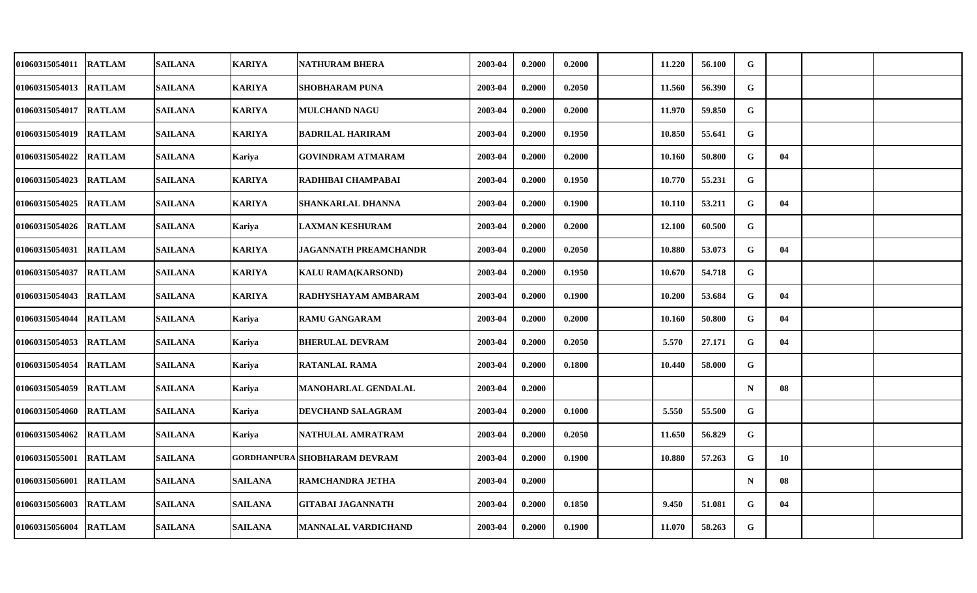| 01060315054011        | <b>RATLAM</b> | <b>SAILANA</b> | <b>KARIYA</b>  | NATHURAM BHERA            | 2003-04 | 0.2000 | 0.2000 | 11.220 | 56.100 | G            |    |  |
|-----------------------|---------------|----------------|----------------|---------------------------|---------|--------|--------|--------|--------|--------------|----|--|
| 01060315054013        | <b>RATLAM</b> | <b>SAILANA</b> | <b>KARIYA</b>  | <b>SHOBHARAM PUNA</b>     | 2003-04 | 0.2000 | 0.2050 | 11.560 | 56.390 | G            |    |  |
| 01060315054017 RATLAM |               | <b>SAILANA</b> | <b>KARIYA</b>  | <b>MULCHAND NAGU</b>      | 2003-04 | 0.2000 | 0.2000 | 11.970 | 59.850 | G            |    |  |
| 01060315054019        | <b>RATLAM</b> | <b>SAILANA</b> | <b>KARIYA</b>  | <b>BADRILAL HARIRAM</b>   | 2003-04 | 0.2000 | 0.1950 | 10.850 | 55.641 | G            |    |  |
| 01060315054022        | <b>RATLAM</b> | <b>SAILANA</b> | <b>Kariya</b>  | <b>GOVINDRAM ATMARAM</b>  | 2003-04 | 0.2000 | 0.2000 | 10.160 | 50.800 | G            | 04 |  |
| 01060315054023        | <b>RATLAM</b> | <b>SAILANA</b> | <b>KARIYA</b>  | RADHIBAI CHAMPABAI        | 2003-04 | 0.2000 | 0.1950 | 10.770 | 55.231 | G            |    |  |
| 01060315054025        | <b>RATLAM</b> | SAILANA        | <b>KARIYA</b>  | SHANKARLAL DHANNA         | 2003-04 | 0.2000 | 0.1900 | 10.110 | 53.211 | $\mathbf G$  | 04 |  |
| 01060315054026 RATLAM |               | <b>SAILANA</b> | Kariya         | <b>LAXMAN KESHURAM</b>    | 2003-04 | 0.2000 | 0.2000 | 12.100 | 60.500 | $\mathbf G$  |    |  |
| 01060315054031        | <b>RATLAM</b> | <b>SAILANA</b> | <b>KARIYA</b>  | JAGANNATH PREAMCHANDR     | 2003-04 | 0.2000 | 0.2050 | 10.880 | 53.073 | $\mathbf{G}$ | 04 |  |
| 01060315054037        | <b>RATLAM</b> | <b>SAILANA</b> | <b>KARIYA</b>  | <b>KALU RAMA(KARSOND)</b> | 2003-04 | 0.2000 | 0.1950 | 10.670 | 54.718 | G            |    |  |
| 01060315054043        | <b>RATLAM</b> | <b>SAILANA</b> | <b>KARIYA</b>  | RADHYSHAYAM AMBARAM       | 2003-04 | 0.2000 | 0.1900 | 10.200 | 53.684 | $\mathbf G$  | 04 |  |
| 01060315054044 RATLAM |               | <b>SAILANA</b> | Kariya         | <b>RAMU GANGARAM</b>      | 2003-04 | 0.2000 | 0.2000 | 10.160 | 50.800 | G            | 04 |  |
| 01060315054053        | <b>RATLAM</b> | <b>SAILANA</b> | Kariya         | <b>BHERULAL DEVRAM</b>    | 2003-04 | 0.2000 | 0.2050 | 5.570  | 27.171 | $\mathbf G$  | 04 |  |
| 01060315054054        | <b>RATLAM</b> | <b>SAILANA</b> | Kariya         | <b>RATANLAL RAMA</b>      | 2003-04 | 0.2000 | 0.1800 | 10.440 | 58.000 | G            |    |  |
| 01060315054059        | <b>RATLAM</b> | <b>SAILANA</b> | <b>Kariya</b>  | MANOHARLAL GENDALAL       | 2003-04 | 0.2000 |        |        |        | $\mathbf N$  | 08 |  |
| 01060315054060 RATLAM |               | <b>SAILANA</b> | Kariya         | DEVCHAND SALAGRAM         | 2003-04 | 0.2000 | 0.1000 | 5.550  | 55.500 | G            |    |  |
| 01060315054062        | <b>RATLAM</b> | <b>SAILANA</b> | Kariva         | NATHULAL AMRATRAM         | 2003-04 | 0.2000 | 0.2050 | 11.650 | 56.829 | $\mathbf{G}$ |    |  |
| 01060315055001        | <b>RATLAM</b> | <b>SAILANA</b> | GORDHANPURA    | <b>SHOBHARAM DEVRAM</b>   | 2003-04 | 0.2000 | 0.1900 | 10.880 | 57.263 | G            | 10 |  |
| 01060315056001        | <b>RATLAM</b> | <b>SAILANA</b> | <b>SAILANA</b> | <b>RAMCHANDRA JETHA</b>   | 2003-04 | 0.2000 |        |        |        | $\mathbf N$  | 08 |  |
| 01060315056003        | <b>RATLAM</b> | <b>SAILANA</b> | <b>SAILANA</b> | <b>GITABAI JAGANNATH</b>  | 2003-04 | 0.2000 | 0.1850 | 9.450  | 51.081 | G            | 04 |  |
| 01060315056004        | <b>RATLAM</b> | <b>SAILANA</b> | <b>SAILANA</b> | MANNALAL VARDICHAND       | 2003-04 | 0.2000 | 0.1900 | 11.070 | 58.263 | $\mathbf{G}$ |    |  |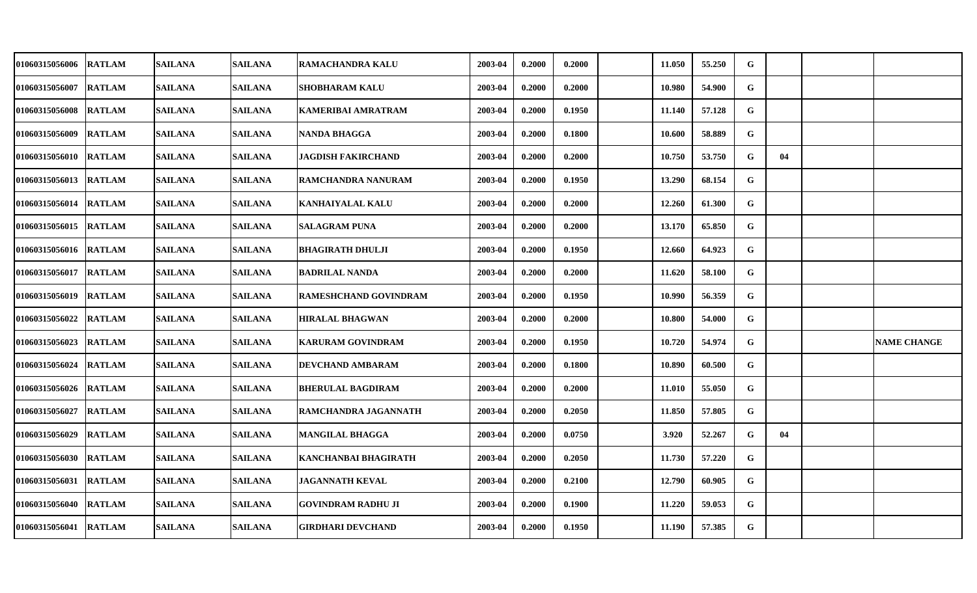| <b>01060315056006</b> | <b>RATLAM</b> | <b>SAILANA</b> | <b>SAILANA</b> | RAMACHANDRA KALU             | 2003-04 | 0.2000 | 0.2000 | 11.050 | 55,250 | ${\bf G}$   |    |                    |
|-----------------------|---------------|----------------|----------------|------------------------------|---------|--------|--------|--------|--------|-------------|----|--------------------|
| 01060315056007        | <b>RATLAM</b> | <b>SAILANA</b> | <b>SAILANA</b> | <b>SHOBHARAM KALU</b>        | 2003-04 | 0.2000 | 0.2000 | 10.980 | 54.900 | G           |    |                    |
| <b>01060315056008</b> | <b>RATLAM</b> | <b>SAILANA</b> | <b>SAILANA</b> | <b>KAMERIBAI AMRATRAM</b>    | 2003-04 | 0.2000 | 0.1950 | 11.140 | 57.128 | G           |    |                    |
| 01060315056009        | <b>RATLAM</b> | <b>SAILANA</b> | <b>SAILANA</b> | <b>NANDA BHAGGA</b>          | 2003-04 | 0.2000 | 0.1800 | 10.600 | 58.889 | G           |    |                    |
| 01060315056010        | <b>RATLAM</b> | <b>SAILANA</b> | <b>SAILANA</b> | <b>JAGDISH FAKIRCHAND</b>    | 2003-04 | 0.2000 | 0.2000 | 10.750 | 53.750 | G           | 04 |                    |
| 01060315056013        | <b>RATLAM</b> | <b>SAILANA</b> | <b>SAILANA</b> | RAMCHANDRA NANURAM           | 2003-04 | 0.2000 | 0.1950 | 13.290 | 68.154 | G           |    |                    |
| <b>01060315056014</b> | <b>RATLAM</b> | <b>SAILANA</b> | <b>SAILANA</b> | <b>KANHAIYALAL KALU</b>      | 2003-04 | 0.2000 | 0.2000 | 12.260 | 61.300 | G           |    |                    |
| 01060315056015        | <b>RATLAM</b> | <b>SAILANA</b> | <b>SAILANA</b> | <b>SALAGRAM PUNA</b>         | 2003-04 | 0.2000 | 0.2000 | 13.170 | 65.850 | G           |    |                    |
| 01060315056016        | <b>RATLAM</b> | <b>SAILANA</b> | <b>SAILANA</b> | <b>BHAGIRATH DHULJI</b>      | 2003-04 | 0.2000 | 0.1950 | 12.660 | 64.923 | G           |    |                    |
| 01060315056017        | <b>RATLAM</b> | <b>SAILANA</b> | <b>SAILANA</b> | <b>BADRILAL NANDA</b>        | 2003-04 | 0.2000 | 0.2000 | 11.620 | 58.100 | G           |    |                    |
| 01060315056019        | <b>RATLAM</b> | <b>SAILANA</b> | <b>SAILANA</b> | <b>RAMESHCHAND GOVINDRAM</b> | 2003-04 | 0.2000 | 0.1950 | 10.990 | 56.359 | $\mathbf G$ |    |                    |
| <b>01060315056022</b> | <b>RATLAM</b> | <b>SAILANA</b> | <b>SAILANA</b> | <b>HIRALAL BHAGWAN</b>       | 2003-04 | 0.2000 | 0.2000 | 10.800 | 54.000 | G           |    |                    |
| 01060315056023        | <b>RATLAM</b> | <b>SAILANA</b> | <b>SAILANA</b> | <b>KARURAM GOVINDRAM</b>     | 2003-04 | 0.2000 | 0.1950 | 10.720 | 54.974 | $\mathbf G$ |    | <b>NAME CHANGE</b> |
| 01060315056024        | <b>RATLAM</b> | <b>SAILANA</b> | <b>SAILANA</b> | DEVCHAND AMBARAM             | 2003-04 | 0.2000 | 0.1800 | 10.890 | 60.500 | G           |    |                    |
| 01060315056026        | <b>RATLAM</b> | <b>SAILANA</b> | <b>SAILANA</b> | <b>BHERULAL BAGDIRAM</b>     | 2003-04 | 0.2000 | 0.2000 | 11.010 | 55.050 | G           |    |                    |
| <b>01060315056027</b> | <b>RATLAM</b> | <b>SAILANA</b> | <b>SAILANA</b> | RAMCHANDRA JAGANNATH         | 2003-04 | 0.2000 | 0.2050 | 11.850 | 57.805 | G           |    |                    |
| 01060315056029        | <b>RATLAM</b> | <b>SAILANA</b> | <b>SAILANA</b> | <b>MANGILAL BHAGGA</b>       | 2003-04 | 0.2000 | 0.0750 | 3.920  | 52.267 | G           | 04 |                    |
| 01060315056030        | <b>RATLAM</b> | <b>SAILANA</b> | <b>SAILANA</b> | KANCHANBAI BHAGIRATH         | 2003-04 | 0.2000 | 0.2050 | 11.730 | 57.220 | G           |    |                    |
| 01060315056031        | <b>RATLAM</b> | <b>SAILANA</b> | <b>SAILANA</b> | <b>JAGANNATH KEVAL</b>       | 2003-04 | 0.2000 | 0.2100 | 12.790 | 60.905 | G           |    |                    |
| 01060315056040        | <b>RATLAM</b> | <b>SAILANA</b> | <b>SAILANA</b> | <b>GOVINDRAM RADHU JI</b>    | 2003-04 | 0.2000 | 0.1900 | 11.220 | 59.053 | G           |    |                    |
| 01060315056041        | <b>RATLAM</b> | <b>SAILANA</b> | <b>SAILANA</b> | <b>GIRDHARI DEVCHAND</b>     | 2003-04 | 0.2000 | 0.1950 | 11.190 | 57.385 | G           |    |                    |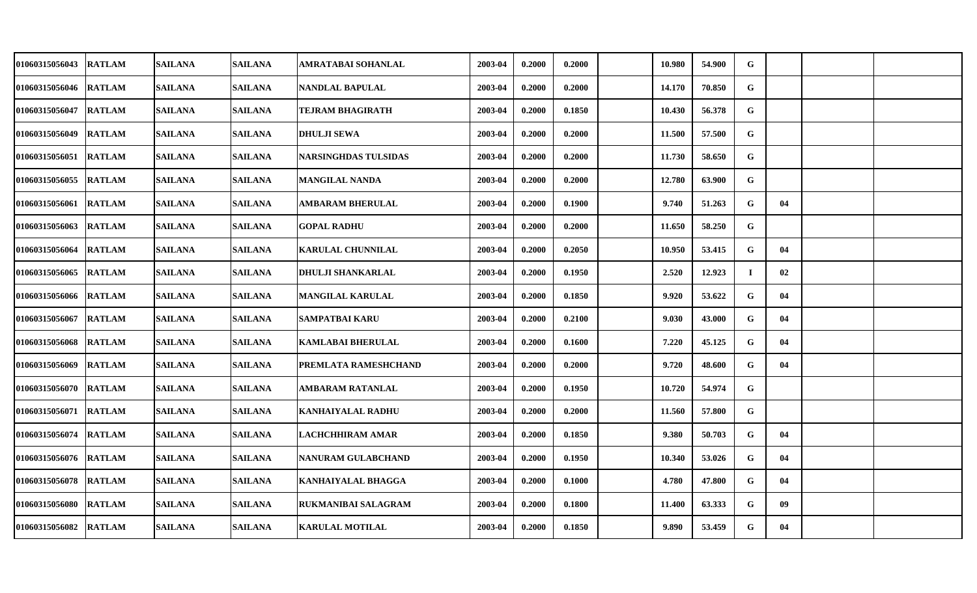| 01060315056043        | <b>RATLAM</b> | <b>SAILANA</b> | <b>SAILANA</b> | AMRATABAI SOHANLAL        | 2003-04 | 0.2000 | 0.2000 | 10.980 | 54.900 | G        |    |  |
|-----------------------|---------------|----------------|----------------|---------------------------|---------|--------|--------|--------|--------|----------|----|--|
| 01060315056046        | <b>RATLAM</b> | <b>SAILANA</b> | <b>SAILANA</b> | NANDLAL BAPULAL           | 2003-04 | 0.2000 | 0.2000 | 14.170 | 70.850 | G        |    |  |
| 01060315056047        | <b>RATLAM</b> | <b>SAILANA</b> | <b>SAILANA</b> | TEJRAM BHAGIRATH          | 2003-04 | 0.2000 | 0.1850 | 10.430 | 56.378 | G        |    |  |
| 01060315056049        | <b>RATLAM</b> | <b>SAILANA</b> | <b>SAILANA</b> | <b>DHULJI SEWA</b>        | 2003-04 | 0.2000 | 0.2000 | 11.500 | 57.500 | G        |    |  |
| 01060315056051        | <b>RATLAM</b> | <b>SAILANA</b> | <b>SAILANA</b> | NARSINGHDAS TULSIDAS      | 2003-04 | 0.2000 | 0.2000 | 11.730 | 58.650 | G        |    |  |
| 01060315056055        | <b>RATLAM</b> | <b>SAILANA</b> | <b>SAILANA</b> | <b>MANGILAL NANDA</b>     | 2003-04 | 0.2000 | 0.2000 | 12.780 | 63.900 | G        |    |  |
| 01060315056061        | <b>RATLAM</b> | <b>SAILANA</b> | <b>SAILANA</b> | <b>AMBARAM BHERULAL</b>   | 2003-04 | 0.2000 | 0.1900 | 9.740  | 51.263 | G        | 04 |  |
| 01060315056063        | <b>RATLAM</b> | <b>SAILANA</b> | <b>SAILANA</b> | <b>GOPAL RADHU</b>        | 2003-04 | 0.2000 | 0.2000 | 11.650 | 58.250 | G        |    |  |
| 01060315056064        | <b>RATLAM</b> | <b>SAILANA</b> | <b>SAILANA</b> | KARULAL CHUNNILAL         | 2003-04 | 0.2000 | 0.2050 | 10.950 | 53.415 | G        | 04 |  |
| 01060315056065        | <b>RATLAM</b> | <b>SAILANA</b> | <b>SAILANA</b> | <b>DHULJI SHANKARLAL</b>  | 2003-04 | 0.2000 | 0.1950 | 2.520  | 12.923 | $\bf{I}$ | 02 |  |
| 01060315056066        | <b>RATLAM</b> | <b>SAILANA</b> | <b>SAILANA</b> | <b>MANGILAL KARULAL</b>   | 2003-04 | 0.2000 | 0.1850 | 9.920  | 53.622 | G        | 04 |  |
| 01060315056067        | <b>RATLAM</b> | <b>SAILANA</b> | <b>SAILANA</b> | <b>SAMPATBAI KARU</b>     | 2003-04 | 0.2000 | 0.2100 | 9.030  | 43.000 | G        | 04 |  |
| 01060315056068        | <b>RATLAM</b> | <b>SAILANA</b> | <b>SAILANA</b> | <b>KAMLABAI BHERULAL</b>  | 2003-04 | 0.2000 | 0.1600 | 7.220  | 45.125 | G        | 04 |  |
| 01060315056069        | <b>RATLAM</b> | <b>SAILANA</b> | <b>SAILANA</b> | PREMLATA RAMESHCHAND      | 2003-04 | 0.2000 | 0.2000 | 9.720  | 48.600 | G        | 04 |  |
| 01060315056070        | <b>RATLAM</b> | <b>SAILANA</b> | <b>SAILANA</b> | <b>AMBARAM RATANLAL</b>   | 2003-04 | 0.2000 | 0.1950 | 10.720 | 54.974 | G        |    |  |
| 01060315056071        | <b>RATLAM</b> | <b>SAILANA</b> | <b>SAILANA</b> | KANHAIYALAL RADHU         | 2003-04 | 0.2000 | 0.2000 | 11.560 | 57.800 | G        |    |  |
| 01060315056074 RATLAM |               | <b>SAILANA</b> | <b>SAILANA</b> | <b>LACHCHHIRAM AMAR</b>   | 2003-04 | 0.2000 | 0.1850 | 9.380  | 50.703 | G        | 04 |  |
| 01060315056076        | <b>RATLAM</b> | <b>SAILANA</b> | <b>SAILANA</b> | NANURAM GULABCHAND        | 2003-04 | 0.2000 | 0.1950 | 10.340 | 53.026 | G        | 04 |  |
| 01060315056078        | <b>RATLAM</b> | <b>SAILANA</b> | <b>SAILANA</b> | <b>KANHAIYALAL BHAGGA</b> | 2003-04 | 0.2000 | 0.1000 | 4.780  | 47.800 | G        | 04 |  |
| 01060315056080        | <b>RATLAM</b> | <b>SAILANA</b> | <b>SAILANA</b> | RUKMANIBAI SALAGRAM       | 2003-04 | 0.2000 | 0.1800 | 11.400 | 63.333 | G        | 09 |  |
| 01060315056082        | <b>RATLAM</b> | <b>SAILANA</b> | <b>SAILANA</b> | <b>KARULAL MOTILAL</b>    | 2003-04 | 0.2000 | 0.1850 | 9.890  | 53.459 | G        | 04 |  |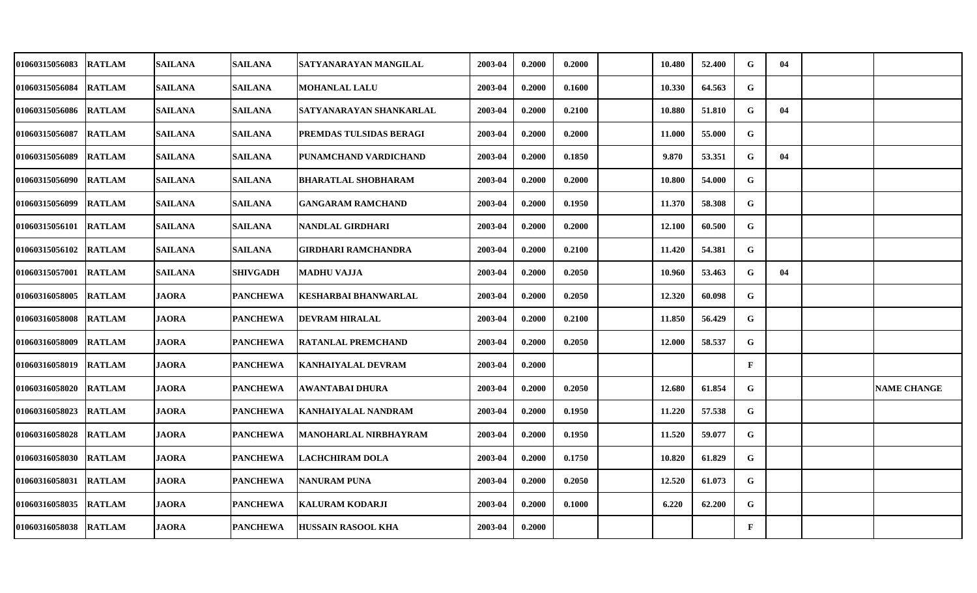| 01060315056083 | <b>RATLAM</b> | <b>SAILANA</b> | <b>SAILANA</b>  | SATYANARAYAN MANGILAL        | 2003-04 | 0.2000 | 0.2000 | 10.480 | 52.400 | G            | 04 |                    |
|----------------|---------------|----------------|-----------------|------------------------------|---------|--------|--------|--------|--------|--------------|----|--------------------|
| 01060315056084 | <b>RATLAM</b> | <b>SAILANA</b> | <b>SAILANA</b>  | <b>MOHANLAL LALU</b>         | 2003-04 | 0.2000 | 0.1600 | 10.330 | 64.563 | G            |    |                    |
| 01060315056086 | <b>RATLAM</b> | <b>SAILANA</b> | <b>SAILANA</b>  | SATYANARAYAN SHANKARLAL      | 2003-04 | 0.2000 | 0.2100 | 10.880 | 51.810 | G            | 04 |                    |
| 01060315056087 | <b>RATLAM</b> | <b>SAILANA</b> | <b>SAILANA</b>  | PREMDAS TULSIDAS BERAGI      | 2003-04 | 0.2000 | 0.2000 | 11.000 | 55.000 | G            |    |                    |
| 01060315056089 | <b>RATLAM</b> | <b>SAILANA</b> | <b>SAILANA</b>  | PUNAMCHAND VARDICHAND        | 2003-04 | 0.2000 | 0.1850 | 9.870  | 53.351 | G            | 04 |                    |
| 01060315056090 | <b>RATLAM</b> | <b>SAILANA</b> | <b>SAILANA</b>  | <b>BHARATLAL SHOBHARAM</b>   | 2003-04 | 0.2000 | 0.2000 | 10.800 | 54.000 | G            |    |                    |
| 01060315056099 | <b>RATLAM</b> | <b>SAILANA</b> | <b>SAILANA</b>  | <b>GANGARAM RAMCHAND</b>     | 2003-04 | 0.2000 | 0.1950 | 11.370 | 58.308 | G            |    |                    |
| 01060315056101 | <b>RATLAM</b> | <b>SAILANA</b> | <b>SAILANA</b>  | NANDLAL GIRDHARI             | 2003-04 | 0.2000 | 0.2000 | 12.100 | 60.500 | $\mathbf G$  |    |                    |
| 01060315056102 | <b>RATLAM</b> | <b>SAILANA</b> | <b>SAILANA</b>  | GIRDHARI RAMCHANDRA          | 2003-04 | 0.2000 | 0.2100 | 11.420 | 54.381 | G            |    |                    |
| 01060315057001 | <b>RATLAM</b> | <b>SAILANA</b> | <b>SHIVGADH</b> | <b>MADHU VAJJA</b>           | 2003-04 | 0.2000 | 0.2050 | 10.960 | 53.463 | G            | 04 |                    |
| 01060316058005 | <b>RATLAM</b> | <b>JAORA</b>   | <b>PANCHEWA</b> | KESHARBAI BHANWARLAL         | 2003-04 | 0.2000 | 0.2050 | 12.320 | 60.098 | $\mathbf G$  |    |                    |
| 01060316058008 | <b>RATLAM</b> | <b>JAORA</b>   | <b>PANCHEWA</b> | <b>DEVRAM HIRALAL</b>        | 2003-04 | 0.2000 | 0.2100 | 11.850 | 56.429 | G            |    |                    |
| 01060316058009 | <b>RATLAM</b> | <b>JAORA</b>   | <b>PANCHEWA</b> | <b>RATANLAL PREMCHAND</b>    | 2003-04 | 0.2000 | 0.2050 | 12.000 | 58.537 | G            |    |                    |
| 01060316058019 | <b>RATLAM</b> | <b>JAORA</b>   | <b>PANCHEWA</b> | KANHAIYALAL DEVRAM           | 2003-04 | 0.2000 |        |        |        | $\mathbf{F}$ |    |                    |
| 01060316058020 | <b>RATLAM</b> | <b>JAORA</b>   | <b>PANCHEWA</b> | <b>AWANTABAI DHURA</b>       | 2003-04 | 0.2000 | 0.2050 | 12.680 | 61.854 | G            |    | <b>NAME CHANGE</b> |
| 01060316058023 | <b>RATLAM</b> | <b>JAORA</b>   | <b>PANCHEWA</b> | KANHAIYALAL NANDRAM          | 2003-04 | 0.2000 | 0.1950 | 11.220 | 57.538 | G            |    |                    |
| 01060316058028 | <b>RATLAM</b> | <b>JAORA</b>   | <b>PANCHEWA</b> | <b>MANOHARLAL NIRBHAYRAM</b> | 2003-04 | 0.2000 | 0.1950 | 11.520 | 59.077 | G            |    |                    |
| 01060316058030 | <b>RATLAM</b> | <b>JAORA</b>   | <b>PANCHEWA</b> | <b>LACHCHIRAM DOLA</b>       | 2003-04 | 0.2000 | 0.1750 | 10.820 | 61.829 | G            |    |                    |
| 01060316058031 | <b>RATLAM</b> | <b>JAORA</b>   | <b>PANCHEWA</b> | <b>NANURAM PUNA</b>          | 2003-04 | 0.2000 | 0.2050 | 12.520 | 61.073 | G            |    |                    |
| 01060316058035 | <b>RATLAM</b> | <b>JAORA</b>   | <b>PANCHEWA</b> | <b>KALURAM KODARJI</b>       | 2003-04 | 0.2000 | 0.1000 | 6.220  | 62.200 | G            |    |                    |
| 01060316058038 | <b>RATLAM</b> | <b>JAORA</b>   | <b>PANCHEWA</b> | <b>HUSSAIN RASOOL KHA</b>    | 2003-04 | 0.2000 |        |        |        | $\mathbf{F}$ |    |                    |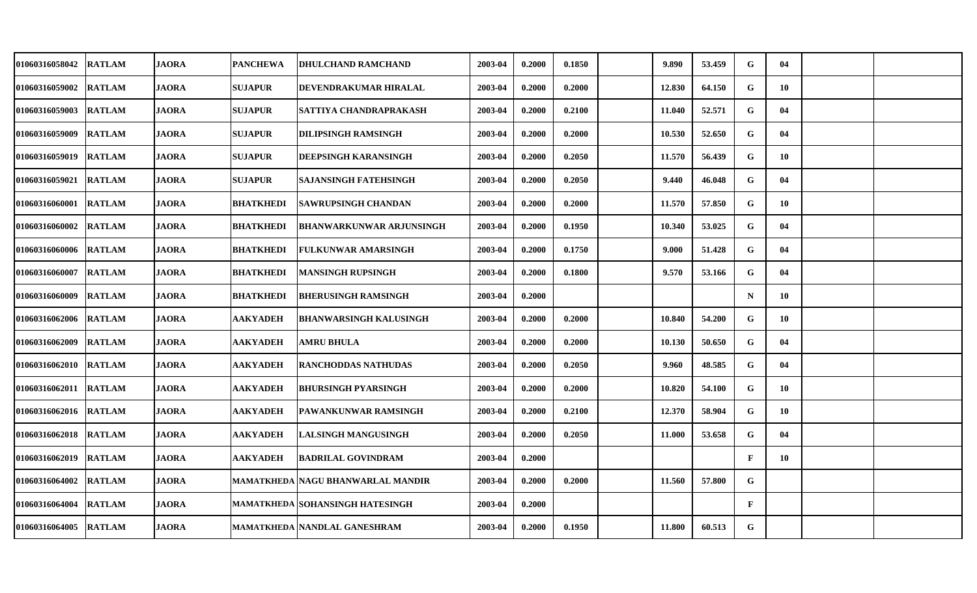| 01060316058042         | <b>RATLAM</b> | <b>JAORA</b> | <b>PANCHEWA</b>  | <b>DHULCHAND RAMCHAND</b>              | 2003-04 | 0.2000 | 0.1850 | 9.890  | 53.459 | G            | 04 |  |
|------------------------|---------------|--------------|------------------|----------------------------------------|---------|--------|--------|--------|--------|--------------|----|--|
| 01060316059002         | <b>RATLAM</b> | <b>JAORA</b> | <b>SUJAPUR</b>   | DEVENDRAKUMAR HIRALAL                  | 2003-04 | 0.2000 | 0.2000 | 12.830 | 64.150 | G            | 10 |  |
| 01060316059003 RATLAM  |               | <b>JAORA</b> | <b>SUJAPUR</b>   | SATTIYA CHANDRAPRAKASH                 | 2003-04 | 0.2000 | 0.2100 | 11.040 | 52.571 | G            | 04 |  |
| 01060316059009         | <b>RATLAM</b> | <b>JAORA</b> | <b>SUJAPUR</b>   | <b>DILIPSINGH RAMSINGH</b>             | 2003-04 | 0.2000 | 0.2000 | 10.530 | 52.650 | G            | 04 |  |
| 01060316059019 RATLAM  |               | <b>JAORA</b> | <b>SUJAPUR</b>   | DEEPSINGH KARANSINGH                   | 2003-04 | 0.2000 | 0.2050 | 11.570 | 56.439 | G            | 10 |  |
| 01060316059021         | <b>RATLAM</b> | <b>JAORA</b> | <b>SUJAPUR</b>   | <b>SAJANSINGH FATEHSINGH</b>           | 2003-04 | 0.2000 | 0.2050 | 9.440  | 46.048 | G            | 04 |  |
| 01060316060001 RATLAM  |               | <b>JAORA</b> | <b>BHATKHEDI</b> | <b>SAWRUPSINGH CHANDAN</b>             | 2003-04 | 0.2000 | 0.2000 | 11.570 | 57.850 | G            | 10 |  |
| 01060316060002         | <b>RATLAM</b> | <b>JAORA</b> | <b>BHATKHEDI</b> | <b>BHANWARKUNWAR ARJUNSINGH</b>        | 2003-04 | 0.2000 | 0.1950 | 10.340 | 53.025 | G            | 04 |  |
| 01060316060006         | <b>RATLAM</b> | <b>JAORA</b> | <b>BHATKHEDI</b> | <b>FULKUNWAR AMARSINGH</b>             | 2003-04 | 0.2000 | 0.1750 | 9.000  | 51.428 | G            | 04 |  |
| 01060316060007         | <b>RATLAM</b> | <b>JAORA</b> | <b>BHATKHEDI</b> | <b>MANSINGH RUPSINGH</b>               | 2003-04 | 0.2000 | 0.1800 | 9.570  | 53.166 | G            | 04 |  |
| 01060316060009         | <b>RATLAM</b> | <b>JAORA</b> | <b>BHATKHEDI</b> | <b>BHERUSINGH RAMSINGH</b>             | 2003-04 | 0.2000 |        |        |        | $\mathbf N$  | 10 |  |
| 01060316062006 RATLAM  |               | <b>JAORA</b> | <b>AAKYADEH</b>  | <b>BHANWARSINGH KALUSINGH</b>          | 2003-04 | 0.2000 | 0.2000 | 10.840 | 54.200 | G            | 10 |  |
| 01060316062009 RATLAM  |               | <b>JAORA</b> | <b>AAKYADEH</b>  | <b>AMRU BHULA</b>                      | 2003-04 | 0.2000 | 0.2000 | 10.130 | 50.650 | G            | 04 |  |
| 01060316062010 RATLAM  |               | <b>JAORA</b> | <b>AAKYADEH</b>  | <b>RANCHODDAS NATHUDAS</b>             | 2003-04 | 0.2000 | 0.2050 | 9.960  | 48.585 | G            | 04 |  |
| 01060316062011  RATLAM |               | <b>JAORA</b> | <b>AAKYADEH</b>  | <b>BHURSINGH PYARSINGH</b>             | 2003-04 | 0.2000 | 0.2000 | 10.820 | 54.100 | G            | 10 |  |
| 01060316062016 RATLAM  |               | <b>JAORA</b> | <b>AAKYADEH</b>  | PAWANKUNWAR RAMSINGH                   | 2003-04 | 0.2000 | 0.2100 | 12.370 | 58.904 | G            | 10 |  |
| 01060316062018 RATLAM  |               | <b>JAORA</b> | <b>AAKYADEH</b>  | <b>LALSINGH MANGUSINGH</b>             | 2003-04 | 0.2000 | 0.2050 | 11.000 | 53.658 | G            | 04 |  |
| 01060316062019         | <b>RATLAM</b> | <b>JAORA</b> | <b>AAKYADEH</b>  | <b>BADRILAL GOVINDRAM</b>              | 2003-04 | 0.2000 |        |        |        | $\mathbf{F}$ | 10 |  |
| 01060316064002         | <b>RATLAM</b> | <b>JAORA</b> |                  | MAMATKHEDA   NAGU BHANWARLAL MANDIR    | 2003-04 | 0.2000 | 0.2000 | 11.560 | 57.800 | G            |    |  |
| 01060316064004         | <b>RATLAM</b> | <b>JAORA</b> |                  | <b>MAMATKHEDA SOHANSINGH HATESINGH</b> | 2003-04 | 0.2000 |        |        |        | $\mathbf{F}$ |    |  |
| 01060316064005 RATLAM  |               | <b>JAORA</b> |                  | <b>MAMATKHEDA NANDLAL GANESHRAM</b>    | 2003-04 | 0.2000 | 0.1950 | 11.800 | 60.513 | G            |    |  |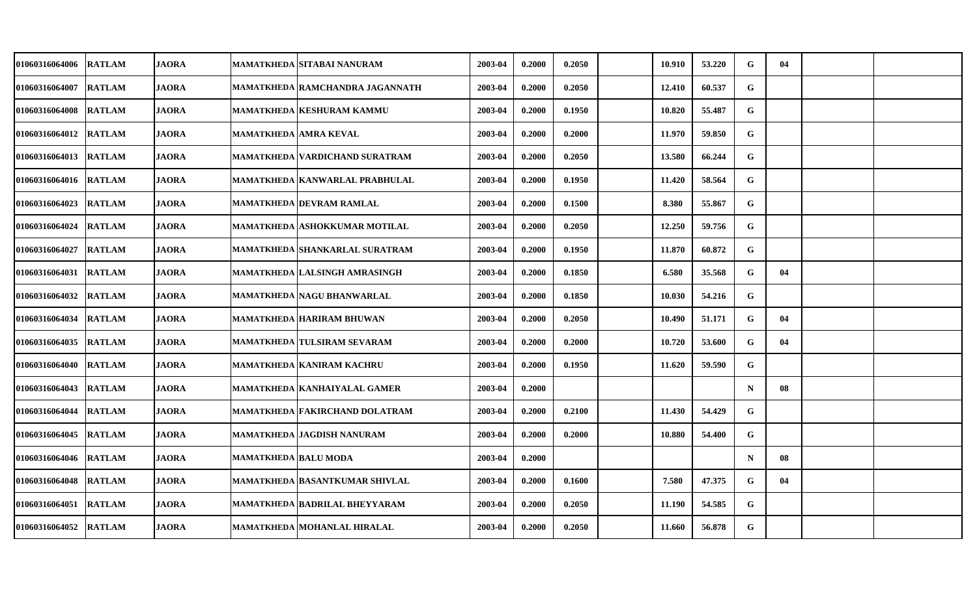| <b>01060316064006</b> | <b>RATLAM</b> | <b>JAORA</b> |                              | MAMATKHEDA  SITABAI NANURAM            | 2003-04 | 0.2000 | 0.2050 | 10.910 | 53.220 | G           | 04 |  |
|-----------------------|---------------|--------------|------------------------------|----------------------------------------|---------|--------|--------|--------|--------|-------------|----|--|
| 01060316064007        | <b>RATLAM</b> | <b>JAORA</b> |                              | <b>MAMATKHEDA RAMCHANDRA JAGANNATH</b> | 2003-04 | 0.2000 | 0.2050 | 12.410 | 60.537 | G           |    |  |
| <b>01060316064008</b> | <b>RATLAM</b> | <b>JAORA</b> |                              | <b>MAMATKHEDA KESHURAM KAMMU</b>       | 2003-04 | 0.2000 | 0.1950 | 10.820 | 55.487 | G           |    |  |
| 01060316064012        | <b>RATLAM</b> | <b>JAORA</b> | <b>MAMATKHEDA AMRA KEVAL</b> |                                        | 2003-04 | 0.2000 | 0.2000 | 11.970 | 59.850 | G           |    |  |
| <b>01060316064013</b> | <b>RATLAM</b> | <b>JAORA</b> |                              | MAMATKHEDA   VARDICHAND SURATRAM       | 2003-04 | 0.2000 | 0.2050 | 13.580 | 66.244 | G           |    |  |
| 01060316064016        | <b>RATLAM</b> | <b>JAORA</b> |                              | MAMATKHEDA KANWARLAL PRABHULAL         | 2003-04 | 0.2000 | 0.1950 | 11.420 | 58.564 | $\mathbf G$ |    |  |
| 01060316064023        | <b>RATLAM</b> | <b>JAORA</b> |                              | <b>MAMATKHEDA DEVRAM RAMLAL</b>        | 2003-04 | 0.2000 | 0.1500 | 8.380  | 55.867 | G           |    |  |
| 01060316064024        | <b>RATLAM</b> | <b>JAORA</b> |                              | <b>MAMATKHEDA ASHOKKUMAR MOTILAL</b>   | 2003-04 | 0.2000 | 0.2050 | 12.250 | 59.756 | G           |    |  |
| 01060316064027        | <b>RATLAM</b> | <b>JAORA</b> |                              | MAMATKHEDA SHANKARLAL SURATRAM         | 2003-04 | 0.2000 | 0.1950 | 11.870 | 60.872 | G           |    |  |
| 01060316064031        | <b>RATLAM</b> | <b>JAORA</b> |                              | MAMATKHEDA   LALSINGH AMRASINGH        | 2003-04 | 0.2000 | 0.1850 | 6.580  | 35.568 | G           | 04 |  |
| <b>01060316064032</b> | <b>RATLAM</b> | <b>JAORA</b> |                              | MAMATKHEDA   NAGU BHANWARLAL           | 2003-04 | 0.2000 | 0.1850 | 10.030 | 54.216 | G           |    |  |
| <b>01060316064034</b> | <b>RATLAM</b> | <b>JAORA</b> |                              | <b>MAMATKHEDA HARIRAM BHUWAN</b>       | 2003-04 | 0.2000 | 0.2050 | 10.490 | 51.171 | G           | 04 |  |
| 01060316064035        | <b>RATLAM</b> | <b>JAORA</b> |                              | MAMATKHEDA   TULSIRAM SEVARAM          | 2003-04 | 0.2000 | 0.2000 | 10.720 | 53.600 | G           | 04 |  |
| 01060316064040        | <b>RATLAM</b> | <b>JAORA</b> |                              | MAMATKHEDA KANIRAM KACHRU              | 2003-04 | 0.2000 | 0.1950 | 11.620 | 59.590 | G           |    |  |
| 01060316064043        | <b>RATLAM</b> | <b>JAORA</b> |                              | <b>MAMATKHEDA KANHAIYALAL GAMER</b>    | 2003-04 | 0.2000 |        |        |        | $\mathbf N$ | 08 |  |
| <b>01060316064044</b> | <b>RATLAM</b> | <b>JAORA</b> |                              | <b>MAMATKHEDA FAKIRCHAND DOLATRAM</b>  | 2003-04 | 0.2000 | 0.2100 | 11.430 | 54.429 | G           |    |  |
| 01060316064045        | <b>RATLAM</b> | <b>JAORA</b> |                              | MAMATKHEDA JAGDISH NANURAM             | 2003-04 | 0.2000 | 0.2000 | 10.880 | 54.400 | G           |    |  |
| 01060316064046        | <b>RATLAM</b> | <b>JAORA</b> | MAMATKHEDA  BALU MODA        |                                        | 2003-04 | 0.2000 |        |        |        | $\mathbf N$ | 08 |  |
| 01060316064048        | <b>RATLAM</b> | <b>JAORA</b> |                              | MAMATKHEDA  BASANTKUMAR SHIVLAL        | 2003-04 | 0.2000 | 0.1600 | 7.580  | 47.375 | G           | 04 |  |
| 01060316064051        | <b>RATLAM</b> | <b>JAORA</b> |                              | <b>MAMATKHEDA BADRILAL BHEYYARAM</b>   | 2003-04 | 0.2000 | 0.2050 | 11.190 | 54.585 | G           |    |  |
| <b>01060316064052</b> | <b>RATLAM</b> | <b>JAORA</b> |                              | <b>MAMATKHEDA MOHANLAL HIRALAL</b>     | 2003-04 | 0.2000 | 0.2050 | 11.660 | 56.878 | G           |    |  |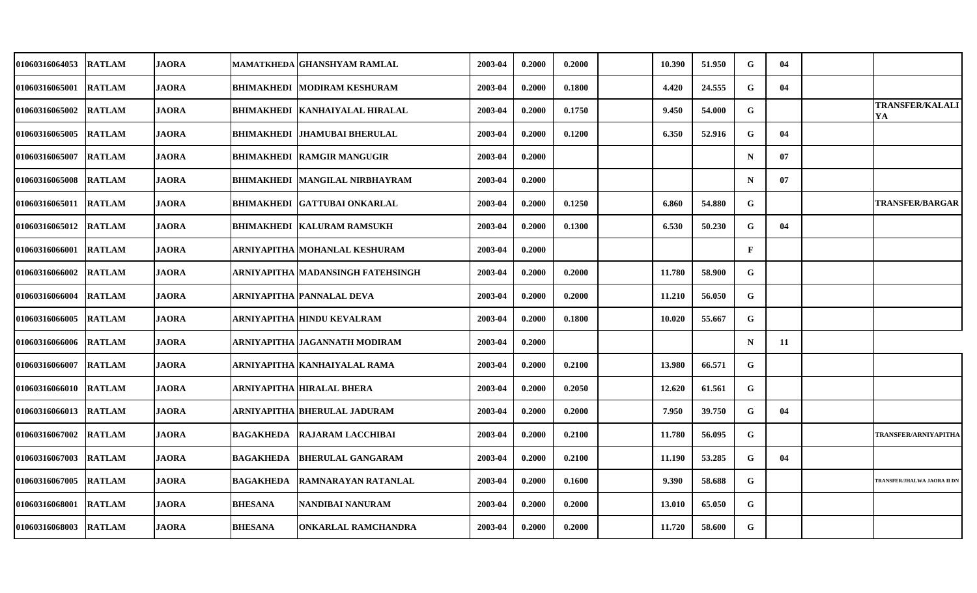| <b>01060316064053</b> | <b>RATLAM</b> | <b>JAORA</b> |                  | MAMATKHEDA GHANSHYAM RAMLAL             | 2003-04 | 0.2000 | 0.2000 | 10.390 | 51.950 | G            | 04 |                                    |
|-----------------------|---------------|--------------|------------------|-----------------------------------------|---------|--------|--------|--------|--------|--------------|----|------------------------------------|
| 01060316065001        | <b>RATLAM</b> | <b>JAORA</b> |                  | BHIMAKHEDI MODIRAM KESHURAM             | 2003-04 | 0.2000 | 0.1800 | 4.420  | 24.555 | G            | 04 |                                    |
| <b>01060316065002</b> | <b>RATLAM</b> | <b>JAORA</b> |                  | <b>BHIMAKHEDI   KANHAIYALAL HIRALAL</b> | 2003-04 | 0.2000 | 0.1750 | 9.450  | 54.000 | G            |    | <b>TRANSFER/KALALI</b><br>YA       |
| 01060316065005        | <b>RATLAM</b> | <b>JAORA</b> |                  | <b>BHIMAKHEDI JHAMUBAI BHERULAL</b>     | 2003-04 | 0.2000 | 0.1200 | 6.350  | 52.916 | G            | 04 |                                    |
| 01060316065007        | <b>RATLAM</b> | <b>JAORA</b> |                  | <b>BHIMAKHEDI   RAMGIR MANGUGIR</b>     | 2003-04 | 0.2000 |        |        |        | $\mathbf N$  | 07 |                                    |
| 01060316065008        | <b>RATLAM</b> | <b>JAORA</b> |                  | <b>BHIMAKHEDI MANGILAL NIRBHAYRAM</b>   | 2003-04 | 0.2000 |        |        |        | $\mathbf N$  | 07 |                                    |
| 01060316065011        | <b>RATLAM</b> | JAORA        |                  | <b>BHIMAKHEDI GATTUBAI ONKARLAL</b>     | 2003-04 | 0.2000 | 0.1250 | 6.860  | 54.880 | G            |    | <b>TRANSFER/BARGAR</b>             |
| 01060316065012        | <b>RATLAM</b> | <b>JAORA</b> |                  | <b>BHIMAKHEDI KALURAM RAMSUKH</b>       | 2003-04 | 0.2000 | 0.1300 | 6.530  | 50.230 | G            | 04 |                                    |
| 01060316066001        | <b>RATLAM</b> | <b>JAORA</b> |                  | ARNIYAPITHA  MOHANLAL KESHURAM          | 2003-04 | 0.2000 |        |        |        | $\mathbf{F}$ |    |                                    |
| 01060316066002        | <b>RATLAM</b> | <b>JAORA</b> |                  | ARNIYAPITHA  MADANSINGH FATEHSINGH      | 2003-04 | 0.2000 | 0.2000 | 11.780 | 58.900 | G            |    |                                    |
| 01060316066004        | <b>RATLAM</b> | <b>JAORA</b> |                  | ARNIYAPITHA  PANNALAL DEVA              | 2003-04 | 0.2000 | 0.2000 | 11.210 | 56.050 | G            |    |                                    |
| 01060316066005        | <b>RATLAM</b> | <b>JAORA</b> |                  | ARNIYAPITHA  HINDU KEVALRAM             | 2003-04 | 0.2000 | 0.1800 | 10.020 | 55.667 | G            |    |                                    |
| 01060316066006        | <b>RATLAM</b> | <b>JAORA</b> |                  | ARNIYAPITHA  JAGANNATH MODIRAM          | 2003-04 | 0.2000 |        |        |        | $\mathbf N$  | 11 |                                    |
| 01060316066007        | <b>RATLAM</b> | <b>JAORA</b> |                  | ARNIYAPITHA  KANHAIYALAL RAMA           | 2003-04 | 0.2000 | 0.2100 | 13.980 | 66.571 | G            |    |                                    |
| 01060316066010        | <b>RATLAM</b> | <b>JAORA</b> |                  | ARNIYAPITHA HIRALAL BHERA               | 2003-04 | 0.2000 | 0.2050 | 12.620 | 61.561 | G            |    |                                    |
| <b>01060316066013</b> | <b>RATLAM</b> | JAORA        |                  | ARNIYAPITHA  BHERULAL JADURAM           | 2003-04 | 0.2000 | 0.2000 | 7.950  | 39.750 | G            | 04 |                                    |
| <b>01060316067002</b> | <b>RATLAM</b> | <b>JAORA</b> |                  | <b>BAGAKHEDA RAJARAM LACCHIBAI</b>      | 2003-04 | 0.2000 | 0.2100 | 11.780 | 56.095 | G            |    | TRANSFER/ARNIYAPITHA               |
| 01060316067003        | <b>RATLAM</b> | <b>JAORA</b> | <b>BAGAKHEDA</b> | <b>BHERULAL GANGARAM</b>                | 2003-04 | 0.2000 | 0.2100 | 11.190 | 53.285 | ${\bf G}$    | 04 |                                    |
| 01060316067005        | <b>RATLAM</b> | <b>JAORA</b> |                  | <b>BAGAKHEDA RAMNARAYAN RATANLAL</b>    | 2003-04 | 0.2000 | 0.1600 | 9.390  | 58.688 | G            |    | <b>TRANSFER/JHALWA JAORA II DN</b> |
| 01060316068001        | <b>RATLAM</b> | <b>JAORA</b> | <b>BHESANA</b>   | NANDIBAI NANURAM                        | 2003-04 | 0.2000 | 0.2000 | 13.010 | 65.050 | G            |    |                                    |
| 01060316068003        | <b>RATLAM</b> | <b>JAORA</b> | <b>BHESANA</b>   | <b>ONKARLAL RAMCHANDRA</b>              | 2003-04 | 0.2000 | 0.2000 | 11.720 | 58.600 | G            |    |                                    |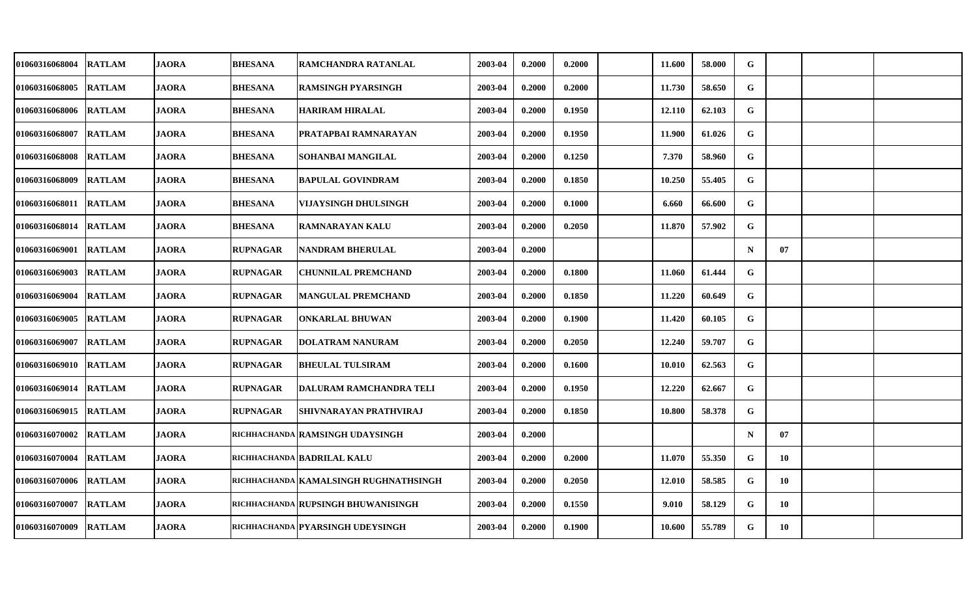| 01060316068004        | <b>RATLAM</b> | <b>JAORA</b> | <b>BHESANA</b>  | RAMCHANDRA RATANLAL                     | 2003-04 | 0.2000 | 0.2000 | 11.600 | 58.000 | G           |    |  |
|-----------------------|---------------|--------------|-----------------|-----------------------------------------|---------|--------|--------|--------|--------|-------------|----|--|
| 01060316068005        | <b>RATLAM</b> | <b>JAORA</b> | <b>BHESANA</b>  | <b>RAMSINGH PYARSINGH</b>               | 2003-04 | 0.2000 | 0.2000 | 11.730 | 58.650 | G           |    |  |
| 01060316068006 RATLAM |               | <b>JAORA</b> | <b>BHESANA</b>  | <b>HARIRAM HIRALAL</b>                  | 2003-04 | 0.2000 | 0.1950 | 12.110 | 62.103 | G           |    |  |
| 01060316068007        | <b>RATLAM</b> | <b>JAORA</b> | <b>BHESANA</b>  | PRATAPBAI RAMNARAYAN                    | 2003-04 | 0.2000 | 0.1950 | 11.900 | 61.026 | G           |    |  |
| 01060316068008 RATLAM |               | <b>JAORA</b> | <b>BHESANA</b>  | SOHANBAI MANGILAL                       | 2003-04 | 0.2000 | 0.1250 | 7.370  | 58.960 | G           |    |  |
| 01060316068009        | <b>RATLAM</b> | <b>JAORA</b> | <b>BHESANA</b>  | <b>BAPULAL GOVINDRAM</b>                | 2003-04 | 0.2000 | 0.1850 | 10.250 | 55.405 | G           |    |  |
| 01060316068011 RATLAM |               | <b>JAORA</b> | <b>BHESANA</b>  | VIJAYSINGH DHULSINGH                    | 2003-04 | 0.2000 | 0.1000 | 6.660  | 66.600 | G           |    |  |
| 01060316068014 RATLAM |               | <b>JAORA</b> | <b>BHESANA</b>  | <b>RAMNARAYAN KALU</b>                  | 2003-04 | 0.2000 | 0.2050 | 11.870 | 57.902 | G           |    |  |
| 01060316069001        | <b>RATLAM</b> | <b>JAORA</b> | <b>RUPNAGAR</b> | NANDRAM BHERULAL                        | 2003-04 | 0.2000 |        |        |        | $\mathbf N$ | 07 |  |
| 01060316069003        | <b>RATLAM</b> | <b>JAORA</b> | <b>RUPNAGAR</b> | <b>CHUNNILAL PREMCHAND</b>              | 2003-04 | 0.2000 | 0.1800 | 11.060 | 61.444 | G           |    |  |
| 01060316069004        | <b>RATLAM</b> | <b>JAORA</b> | <b>RUPNAGAR</b> | <b>MANGULAL PREMCHAND</b>               | 2003-04 | 0.2000 | 0.1850 | 11.220 | 60.649 | G           |    |  |
| 01060316069005 RATLAM |               | <b>JAORA</b> | <b>RUPNAGAR</b> | <b>ONKARLAL BHUWAN</b>                  | 2003-04 | 0.2000 | 0.1900 | 11.420 | 60.105 | G           |    |  |
| 01060316069007        | <b>RATLAM</b> | <b>JAORA</b> | <b>RUPNAGAR</b> | <b>DOLATRAM NANURAM</b>                 | 2003-04 | 0.2000 | 0.2050 | 12.240 | 59.707 | G           |    |  |
| 01060316069010 RATLAM |               | <b>JAORA</b> | <b>RUPNAGAR</b> | <b>BHEULAL TULSIRAM</b>                 | 2003-04 | 0.2000 | 0.1600 | 10.010 | 62.563 | G           |    |  |
| 01060316069014        | <b>RATLAM</b> | <b>JAORA</b> | <b>RUPNAGAR</b> | DALURAM RAMCHANDRA TELI                 | 2003-04 | 0.2000 | 0.1950 | 12.220 | 62.667 | G           |    |  |
| 01060316069015 RATLAM |               | <b>JAORA</b> | <b>RUPNAGAR</b> | SHIVNARAYAN PRATHVIRAJ                  | 2003-04 | 0.2000 | 0.1850 | 10.800 | 58.378 | G           |    |  |
| 01060316070002        | <b>RATLAM</b> | <b>JAORA</b> |                 | RICHHACHANDA RAMSINGH UDAYSINGH         | 2003-04 | 0.2000 |        |        |        | $\mathbf N$ | 07 |  |
| 01060316070004        | <b>RATLAM</b> | <b>JAORA</b> |                 | RICHHACHANDA BADRILAL KALU              | 2003-04 | 0.2000 | 0.2000 | 11.070 | 55.350 | G           | 10 |  |
| 01060316070006 RATLAM |               | <b>JAORA</b> |                 | richhachanda   KAMALSINGH RUGHNATHSINGH | 2003-04 | 0.2000 | 0.2050 | 12.010 | 58.585 | G           | 10 |  |
| 01060316070007        | <b>RATLAM</b> | <b>JAORA</b> |                 | richhachanda RupSinGH BHUWANISINGH      | 2003-04 | 0.2000 | 0.1550 | 9.010  | 58.129 | G           | 10 |  |
| 01060316070009 RATLAM |               | <b>JAORA</b> |                 | richhachanda   PYARSINGH UDEYSINGH      | 2003-04 | 0.2000 | 0.1900 | 10.600 | 55.789 | G           | 10 |  |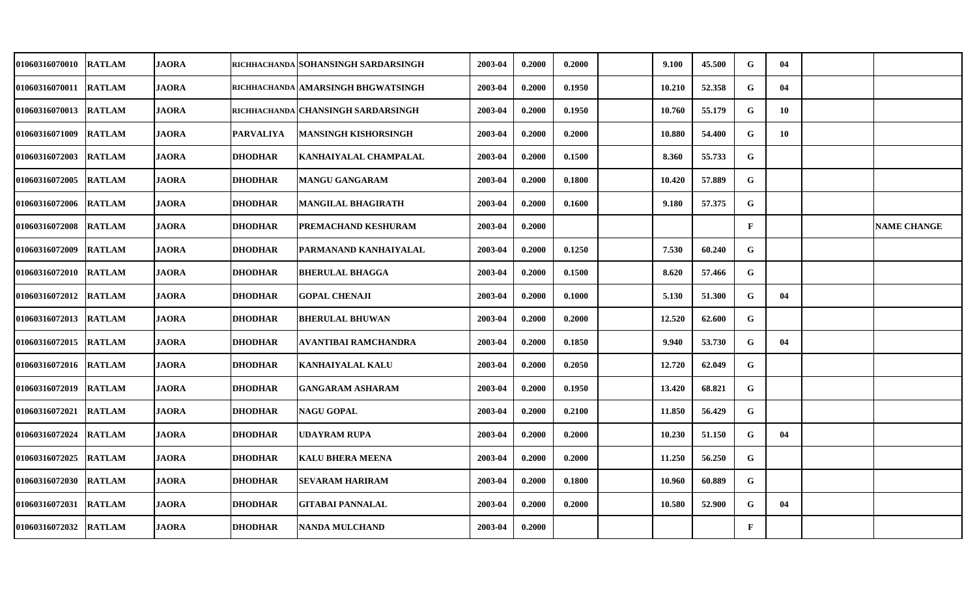| 01060316070010        | <b>RATLAM</b> | <b>JAORA</b> |                  | richhachanda SOHANSINGH SARDARSINGH | 2003-04 | 0.2000 | 0.2000 | 9.100  | 45.500 | G            | 04 |                    |
|-----------------------|---------------|--------------|------------------|-------------------------------------|---------|--------|--------|--------|--------|--------------|----|--------------------|
| 01060316070011        | <b>RATLAM</b> | <b>JAORA</b> |                  | RICHHACHANDA AMARSINGH BHGWATSINGH  | 2003-04 | 0.2000 | 0.1950 | 10.210 | 52.358 | G            | 04 |                    |
| <b>01060316070013</b> | <b>RATLAM</b> | <b>JAORA</b> |                  | RICHHACHANDA CHANSINGH SARDARSINGH  | 2003-04 | 0.2000 | 0.1950 | 10.760 | 55.179 | G            | 10 |                    |
| 01060316071009        | <b>RATLAM</b> | <b>JAORA</b> | <b>PARVALIYA</b> | MANSINGH KISHORSINGH                | 2003-04 | 0.2000 | 0.2000 | 10.880 | 54.400 | G            | 10 |                    |
| <b>01060316072003</b> | <b>RATLAM</b> | <b>JAORA</b> | <b>DHODHAR</b>   | KANHAIYALAL CHAMPALAL               | 2003-04 | 0.2000 | 0.1500 | 8.360  | 55.733 | G            |    |                    |
| 01060316072005        | <b>RATLAM</b> | <b>JAORA</b> | <b>DHODHAR</b>   | <b>MANGU GANGARAM</b>               | 2003-04 | 0.2000 | 0.1800 | 10.420 | 57.889 | G            |    |                    |
| 01060316072006        | <b>RATLAM</b> | <b>JAORA</b> | <b>DHODHAR</b>   | MANGILAL BHAGIRATH                  | 2003-04 | 0.2000 | 0.1600 | 9.180  | 57.375 | G            |    |                    |
| 01060316072008        | <b>RATLAM</b> | <b>JAORA</b> | <b>DHODHAR</b>   | PREMACHAND KESHURAM                 | 2003-04 | 0.2000 |        |        |        | $\mathbf F$  |    | <b>NAME CHANGE</b> |
| 01060316072009        | <b>RATLAM</b> | <b>JAORA</b> | <b>DHODHAR</b>   | PARMANAND KANHAIYALAL               | 2003-04 | 0.2000 | 0.1250 | 7.530  | 60.240 | G            |    |                    |
| 01060316072010        | <b>RATLAM</b> | <b>JAORA</b> | <b>DHODHAR</b>   | <b>BHERULAL BHAGGA</b>              | 2003-04 | 0.2000 | 0.1500 | 8.620  | 57.466 | G            |    |                    |
| <b>01060316072012</b> | <b>RATLAM</b> | <b>JAORA</b> | <b>DHODHAR</b>   | <b>GOPAL CHENAJI</b>                | 2003-04 | 0.2000 | 0.1000 | 5.130  | 51.300 | G            | 04 |                    |
| <b>01060316072013</b> | <b>RATLAM</b> | <b>JAORA</b> | <b>DHODHAR</b>   | <b>BHERULAL BHUWAN</b>              | 2003-04 | 0.2000 | 0.2000 | 12.520 | 62.600 | G            |    |                    |
| 01060316072015        | <b>RATLAM</b> | <b>JAORA</b> | <b>DHODHAR</b>   | AVANTIBAI RAMCHANDRA                | 2003-04 | 0.2000 | 0.1850 | 9.940  | 53.730 | G            | 04 |                    |
| 01060316072016        | <b>RATLAM</b> | <b>JAORA</b> | <b>DHODHAR</b>   | KANHAIYALAL KALU                    | 2003-04 | 0.2000 | 0.2050 | 12.720 | 62.049 | G            |    |                    |
| <b>01060316072019</b> | <b>RATLAM</b> | <b>JAORA</b> | <b>DHODHAR</b>   | <b>GANGARAM ASHARAM</b>             | 2003-04 | 0.2000 | 0.1950 | 13.420 | 68.821 | G            |    |                    |
| <b>01060316072021</b> | <b>RATLAM</b> | <b>JAORA</b> | <b>DHODHAR</b>   | <b>NAGU GOPAL</b>                   | 2003-04 | 0.2000 | 0.2100 | 11.850 | 56.429 | G            |    |                    |
| 01060316072024        | <b>RATLAM</b> | <b>JAORA</b> | <b>DHODHAR</b>   | UDAYRAM RUPA                        | 2003-04 | 0.2000 | 0.2000 | 10.230 | 51.150 | G            | 04 |                    |
| 01060316072025        | <b>RATLAM</b> | <b>JAORA</b> | <b>DHODHAR</b>   | <b>KALU BHERA MEENA</b>             | 2003-04 | 0.2000 | 0.2000 | 11.250 | 56.250 | G            |    |                    |
| 01060316072030        | <b>RATLAM</b> | <b>JAORA</b> | <b>DHODHAR</b>   | <b>SEVARAM HARIRAM</b>              | 2003-04 | 0.2000 | 0.1800 | 10.960 | 60.889 | G            |    |                    |
| 01060316072031        | <b>RATLAM</b> | <b>JAORA</b> | <b>DHODHAR</b>   | <b>GITABAI PANNALAL</b>             | 2003-04 | 0.2000 | 0.2000 | 10.580 | 52.900 | G            | 04 |                    |
| <b>01060316072032</b> | <b>RATLAM</b> | <b>JAORA</b> | <b>DHODHAR</b>   | <b>NANDA MULCHAND</b>               | 2003-04 | 0.2000 |        |        |        | $\mathbf{F}$ |    |                    |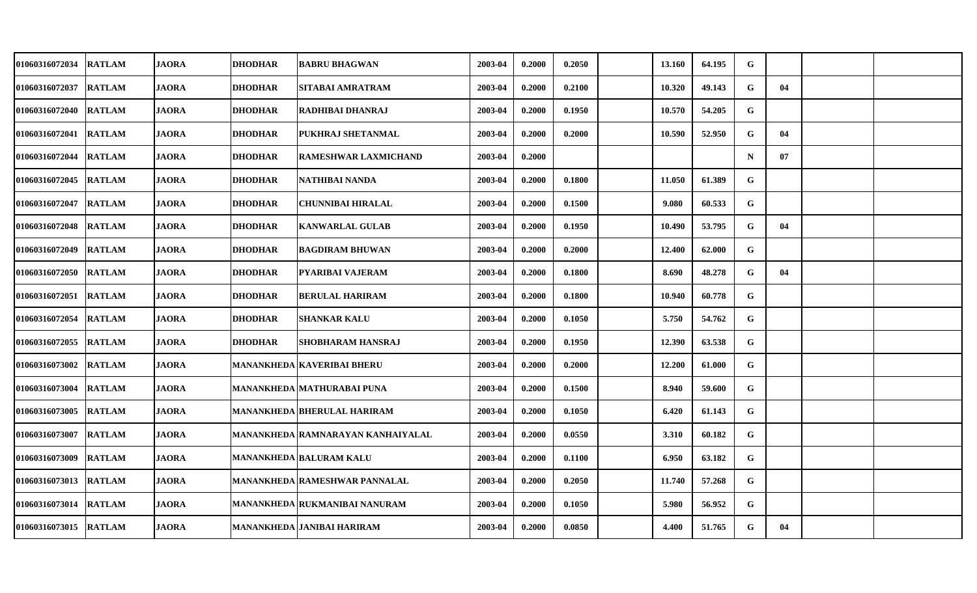| 01060316072034        | <b>RATLAM</b> | <b>JAORA</b> | <b>DHODHAR</b> | <b>BABRU BHAGWAN</b>                 | 2003-04 | 0.2000 | 0.2050 | 13.160 | 64.195 | G           |    |  |
|-----------------------|---------------|--------------|----------------|--------------------------------------|---------|--------|--------|--------|--------|-------------|----|--|
| 01060316072037        | <b>RATLAM</b> | <b>JAORA</b> | <b>DHODHAR</b> | SITABAI AMRATRAM                     | 2003-04 | 0.2000 | 0.2100 | 10.320 | 49.143 | G           | 04 |  |
| 01060316072040        | <b>RATLAM</b> | <b>JAORA</b> | <b>DHODHAR</b> | RADHIBAI DHANRAJ                     | 2003-04 | 0.2000 | 0.1950 | 10.570 | 54.205 | G           |    |  |
| 01060316072041        | <b>RATLAM</b> | <b>JAORA</b> | <b>DHODHAR</b> | PUKHRAJ SHETANMAL                    | 2003-04 | 0.2000 | 0.2000 | 10.590 | 52.950 | G           | 04 |  |
| 01060316072044        | <b>RATLAM</b> | <b>JAORA</b> | <b>DHODHAR</b> | RAMESHWAR LAXMICHAND                 | 2003-04 | 0.2000 |        |        |        | $\mathbf N$ | 07 |  |
| 01060316072045        | <b>RATLAM</b> | <b>JAORA</b> | <b>DHODHAR</b> | NATHIBAI NANDA                       | 2003-04 | 0.2000 | 0.1800 | 11.050 | 61.389 | G           |    |  |
| 01060316072047        | <b>RATLAM</b> | <b>JAORA</b> | <b>DHODHAR</b> | CHUNNIBAI HIRALAL                    | 2003-04 | 0.2000 | 0.1500 | 9.080  | 60.533 | G           |    |  |
| 01060316072048        | <b>RATLAM</b> | <b>JAORA</b> | <b>DHODHAR</b> | <b>KANWARLAL GULAB</b>               | 2003-04 | 0.2000 | 0.1950 | 10.490 | 53.795 | G           | 04 |  |
| 01060316072049        | <b>RATLAM</b> | <b>JAORA</b> | <b>DHODHAR</b> | <b>BAGDIRAM BHUWAN</b>               | 2003-04 | 0.2000 | 0.2000 | 12.400 | 62.000 | G           |    |  |
| 01060316072050        | <b>RATLAM</b> | <b>JAORA</b> | <b>DHODHAR</b> | PYARIBAI VAJERAM                     | 2003-04 | 0.2000 | 0.1800 | 8.690  | 48.278 | G           | 04 |  |
| 01060316072051        | <b>RATLAM</b> | <b>JAORA</b> | <b>DHODHAR</b> | <b>BERULAL HARIRAM</b>               | 2003-04 | 0.2000 | 0.1800 | 10.940 | 60.778 | $\mathbf G$ |    |  |
| 01060316072054 RATLAM |               | <b>JAORA</b> | <b>DHODHAR</b> | <b>SHANKAR KALU</b>                  | 2003-04 | 0.2000 | 0.1050 | 5.750  | 54.762 | G           |    |  |
| 01060316072055        | <b>RATLAM</b> | <b>JAORA</b> | <b>DHODHAR</b> | <b>SHOBHARAM HANSRAJ</b>             | 2003-04 | 0.2000 | 0.1950 | 12.390 | 63.538 | G           |    |  |
| 01060316073002        | <b>RATLAM</b> | <b>JAORA</b> |                | MANANKHEDA   KAVERIBAI BHERU         | 2003-04 | 0.2000 | 0.2000 | 12.200 | 61.000 | G           |    |  |
| 01060316073004        | <b>RATLAM</b> | <b>JAORA</b> |                | <b>MANANKHEDA MATHURABAI PUNA</b>    | 2003-04 | 0.2000 | 0.1500 | 8.940  | 59.600 | G           |    |  |
| 01060316073005        | <b>RATLAM</b> | <b>JAORA</b> |                | <b>MANANKHEDA BHERULAL HARIRAM</b>   | 2003-04 | 0.2000 | 0.1050 | 6.420  | 61.143 | G           |    |  |
| 01060316073007        | <b>RATLAM</b> | <b>JAORA</b> |                | MANANKHEDA RAMNARAYAN KANHAIYALAL    | 2003-04 | 0.2000 | 0.0550 | 3.310  | 60.182 | G           |    |  |
| 01060316073009        | <b>RATLAM</b> | <b>JAORA</b> |                | <b>MANANKHEDA BALURAM KALU</b>       | 2003-04 | 0.2000 | 0.1100 | 6.950  | 63.182 | G           |    |  |
| 01060316073013        | <b>RATLAM</b> | <b>JAORA</b> |                | <b>MANANKHEDA RAMESHWAR PANNALAL</b> | 2003-04 | 0.2000 | 0.2050 | 11.740 | 57.268 | G           |    |  |
| 01060316073014        | <b>RATLAM</b> | <b>JAORA</b> |                | <b>MANANKHEDA RUKMANIBAI NANURAM</b> | 2003-04 | 0.2000 | 0.1050 | 5.980  | 56.952 | G           |    |  |
| 01060316073015 RATLAM |               | <b>JAORA</b> |                | MANANKHEDA JANIBAI HARIRAM           | 2003-04 | 0.2000 | 0.0850 | 4.400  | 51.765 | G           | 04 |  |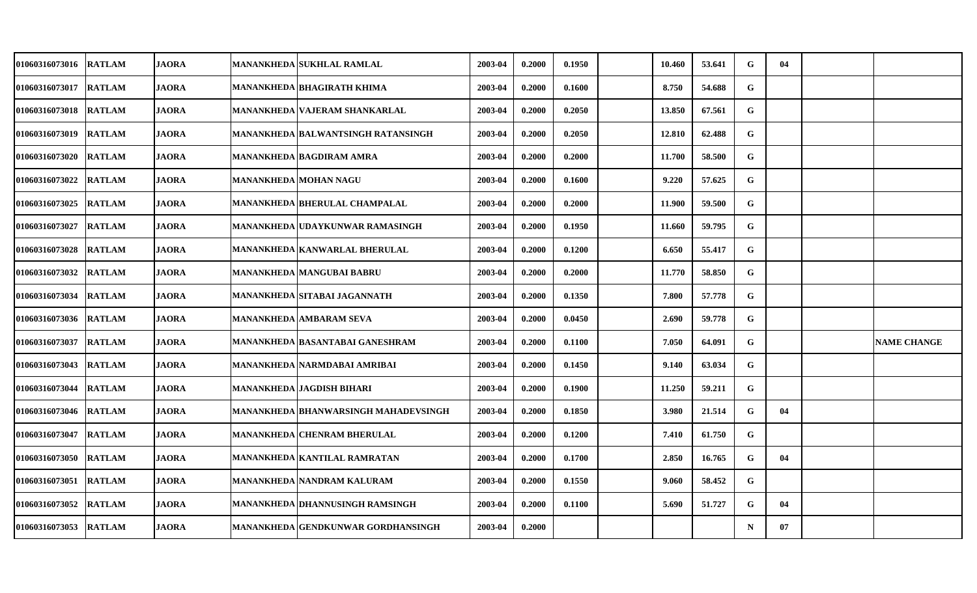| 01060316073016 | <b>RATLAM</b> | <b>JAORA</b> | <b>MANANKHEDA SUKHLAL RAMLAL</b>       | 2003-04 | 0.2000 | 0.1950 | 10.460 | 53.641 | G           | 04 |                    |
|----------------|---------------|--------------|----------------------------------------|---------|--------|--------|--------|--------|-------------|----|--------------------|
| 01060316073017 | <b>RATLAM</b> | <b>JAORA</b> | MANANKHEDA BHAGIRATH KHIMA             | 2003-04 | 0.2000 | 0.1600 | 8.750  | 54.688 | $\mathbf G$ |    |                    |
| 01060316073018 | <b>RATLAM</b> | <b>JAORA</b> | MANANKHEDA VAJERAM SHANKARLAL          | 2003-04 | 0.2000 | 0.2050 | 13.850 | 67.561 | G           |    |                    |
| 01060316073019 | <b>RATLAM</b> | <b>JAORA</b> | MANANKHEDA  BALWANTSINGH RATANSINGH    | 2003-04 | 0.2000 | 0.2050 | 12.810 | 62.488 | G           |    |                    |
| 01060316073020 | <b>RATLAM</b> | <b>JAORA</b> | <b>MANANKHEDA BAGDIRAM AMRA</b>        | 2003-04 | 0.2000 | 0.2000 | 11.700 | 58.500 | G           |    |                    |
| 01060316073022 | <b>RATLAM</b> | <b>JAORA</b> | MANANKHEDA MOHAN NAGU                  | 2003-04 | 0.2000 | 0.1600 | 9.220  | 57.625 | G           |    |                    |
| 01060316073025 | <b>RATLAM</b> | <b>JAORA</b> | MANANKHEDA BHERULAL CHAMPALAL          | 2003-04 | 0.2000 | 0.2000 | 11.900 | 59.500 | G           |    |                    |
| 01060316073027 | <b>RATLAM</b> | <b>JAORA</b> | MANANKHEDA   UDAYKUNWAR RAMASINGH      | 2003-04 | 0.2000 | 0.1950 | 11.660 | 59.795 | G           |    |                    |
| 01060316073028 | <b>RATLAM</b> | <b>JAORA</b> | <b>MANANKHEDA KANWARLAL BHERULAL</b>   | 2003-04 | 0.2000 | 0.1200 | 6.650  | 55.417 | G           |    |                    |
| 01060316073032 | <b>RATLAM</b> | <b>JAORA</b> | <b>MANANKHEDA MANGUBAI BABRU</b>       | 2003-04 | 0.2000 | 0.2000 | 11.770 | 58.850 | G           |    |                    |
| 01060316073034 | <b>RATLAM</b> | <b>JAORA</b> | MANANKHEDA SITABAI JAGANNATH           | 2003-04 | 0.2000 | 0.1350 | 7.800  | 57.778 | G           |    |                    |
| 01060316073036 | <b>RATLAM</b> | <b>JAORA</b> | <b>MANANKHEDA AMBARAM SEVA</b>         | 2003-04 | 0.2000 | 0.0450 | 2.690  | 59.778 | G           |    |                    |
| 01060316073037 | <b>RATLAM</b> | <b>JAORA</b> | MANANKHEDA  BASANTABAI GANESHRAM       | 2003-04 | 0.2000 | 0.1100 | 7.050  | 64.091 | G           |    | <b>NAME CHANGE</b> |
| 01060316073043 | <b>RATLAM</b> | <b>JAORA</b> | MANANKHEDA   NARMDABAI AMRIBAI         | 2003-04 | 0.2000 | 0.1450 | 9.140  | 63.034 | G           |    |                    |
| 01060316073044 | <b>RATLAM</b> | <b>JAORA</b> | <b>MANANKHEDA JAGDISH BIHARI</b>       | 2003-04 | 0.2000 | 0.1900 | 11.250 | 59.211 | $\mathbf G$ |    |                    |
| 01060316073046 | <b>RATLAM</b> | <b>JAORA</b> | MANANKHEDA  BHANWARSINGH MAHADEVSINGH  | 2003-04 | 0.2000 | 0.1850 | 3.980  | 21.514 | G           | 04 |                    |
| 01060316073047 | <b>RATLAM</b> | <b>JAORA</b> | <b>MANANKHEDA CHENRAM BHERULAL</b>     | 2003-04 | 0.2000 | 0.1200 | 7.410  | 61.750 | G           |    |                    |
| 01060316073050 | <b>RATLAM</b> | <b>JAORA</b> | <b>MANANKHEDA KANTILAL RAMRATAN</b>    | 2003-04 | 0.2000 | 0.1700 | 2.850  | 16.765 | G           | 04 |                    |
| 01060316073051 | <b>RATLAM</b> | <b>JAORA</b> | <b>MANANKHEDA NANDRAM KALURAM</b>      | 2003-04 | 0.2000 | 0.1550 | 9.060  | 58.452 | G           |    |                    |
| 01060316073052 | <b>RATLAM</b> | <b>JAORA</b> | <b>MANANKHEDA DHANNUSINGH RAMSINGH</b> | 2003-04 | 0.2000 | 0.1100 | 5.690  | 51.727 | G           | 04 |                    |
| 01060316073053 | <b>RATLAM</b> | <b>JAORA</b> | MANANKHEDA   GENDKUNWAR GORDHANSINGH   | 2003-04 | 0.2000 |        |        |        | $\mathbf N$ | 07 |                    |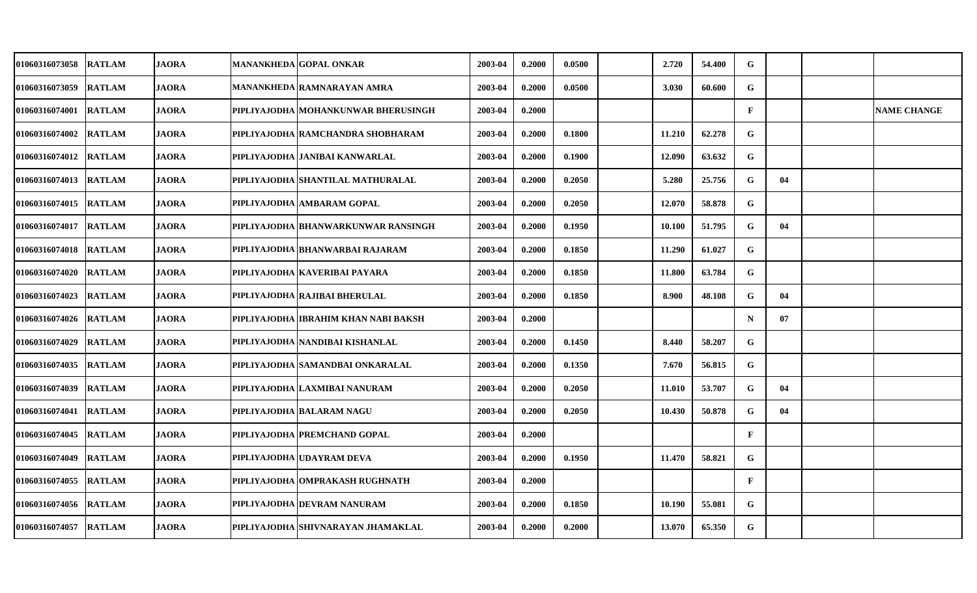| 01060316073058        | <b>RATLAM</b> | <b>JAORA</b> | <b>MANANKHEDA GOPAL ONKAR</b>         | 2003-04 | 0.2000 | 0.0500 | 2.720  | 54.400 | G            |    |                    |
|-----------------------|---------------|--------------|---------------------------------------|---------|--------|--------|--------|--------|--------------|----|--------------------|
| 01060316073059        | <b>RATLAM</b> | <b>JAORA</b> | MANANKHEDA RAMNARAYAN AMRA            | 2003-04 | 0.2000 | 0.0500 | 3.030  | 60.600 | G            |    |                    |
| <b>01060316074001</b> | <b>RATLAM</b> | <b>JAORA</b> | PIPLIYAJODHA MOHANKUNWAR BHERUSINGH   | 2003-04 | 0.2000 |        |        |        | $\mathbf{F}$ |    | <b>NAME CHANGE</b> |
| <b>01060316074002</b> | <b>RATLAM</b> | <b>JAORA</b> | PIPLIYAJODHA RAMCHANDRA SHOBHARAM     | 2003-04 | 0.2000 | 0.1800 | 11.210 | 62,278 | G            |    |                    |
| <b>01060316074012</b> | <b>RATLAM</b> | <b>JAORA</b> | PIPLIYAJODHA JANIBAI KANWARLAL        | 2003-04 | 0.2000 | 0.1900 | 12.090 | 63.632 | G            |    |                    |
| <b>01060316074013</b> | <b>RATLAM</b> | <b>JAORA</b> | PIPLIYAJODHA SHANTILAL MATHURALAL     | 2003-04 | 0.2000 | 0.2050 | 5.280  | 25.756 | G            | 04 |                    |
| 01060316074015        | <b>RATLAM</b> | <b>JAORA</b> | PIPLIYAJODHA AMBARAM GOPAL            | 2003-04 | 0.2000 | 0.2050 | 12.070 | 58.878 | G            |    |                    |
| <b>01060316074017</b> | <b>RATLAM</b> | <b>JAORA</b> | PIPLIYAJODHA BHANWARKUNWAR RANSINGH   | 2003-04 | 0.2000 | 0.1950 | 10.100 | 51.795 | G            | 04 |                    |
| 01060316074018        | <b>RATLAM</b> | <b>JAORA</b> | PIPLIYAJODHA BHANWARBAI RAJARAM       | 2003-04 | 0.2000 | 0.1850 | 11.290 | 61.027 | G            |    |                    |
| 01060316074020        | <b>RATLAM</b> | <b>JAORA</b> | PIPLIYAJODHA KAVERIBAI PAYARA         | 2003-04 | 0.2000 | 0.1850 | 11.800 | 63.784 | G            |    |                    |
| <b>01060316074023</b> | <b>RATLAM</b> | <b>JAORA</b> | PIPLIYAJODHA RAJIBAI BHERULAL         | 2003-04 | 0.2000 | 0.1850 | 8.900  | 48.108 | G            | 04 |                    |
| <b>01060316074026</b> | <b>RATLAM</b> | <b>JAORA</b> | PIPLIYAJODHA  IBRAHIM KHAN NABI BAKSH | 2003-04 | 0.2000 |        |        |        | N            | 07 |                    |
| 01060316074029        | <b>RATLAM</b> | <b>JAORA</b> | PIPLIYAJODHA   NANDIBAI KISHANLAL     | 2003-04 | 0.2000 | 0.1450 | 8.440  | 58.207 | G            |    |                    |
| 01060316074035        | <b>RATLAM</b> | <b>JAORA</b> | PIPLIYAJODHA SAMANDBAI ONKARALAL      | 2003-04 | 0.2000 | 0.1350 | 7.670  | 56.815 | G            |    |                    |
| <b>01060316074039</b> | <b>RATLAM</b> | <b>JAORA</b> | PIPLIYAJODHA LAXMIBAI NANURAM         | 2003-04 | 0.2000 | 0.2050 | 11.010 | 53.707 | G            | 04 |                    |
| <b>01060316074041</b> | <b>RATLAM</b> | JAORA        | PIPLIYAJODHA BALARAM NAGU             | 2003-04 | 0.2000 | 0.2050 | 10.430 | 50.878 | G            | 04 |                    |
| <b>01060316074045</b> | <b>RATLAM</b> | <b>JAORA</b> | <b>PIPLIYAJODHA PREMCHAND GOPAL</b>   | 2003-04 | 0.2000 |        |        |        | $\mathbf{F}$ |    |                    |
| 01060316074049        | <b>RATLAM</b> | <b>JAORA</b> | PIPLIYAJODHA UDAYRAM DEVA             | 2003-04 | 0.2000 | 0.1950 | 11.470 | 58.821 | G            |    |                    |
| 01060316074055        | <b>RATLAM</b> | <b>JAORA</b> | PIPLIYAJODHA OMPRAKASH RUGHNATH       | 2003-04 | 0.2000 |        |        |        | $\mathbf{F}$ |    |                    |
| 01060316074056        | <b>RATLAM</b> | <b>JAORA</b> | PIPLIYAJODHA DEVRAM NANURAM           | 2003-04 | 0.2000 | 0.1850 | 10.190 | 55.081 | G            |    |                    |
| <b>01060316074057</b> | <b>RATLAM</b> | <b>JAORA</b> | PIPLIYAJODHA  SHIVNARAYAN JHAMAKLAL   | 2003-04 | 0.2000 | 0.2000 | 13.070 | 65.350 | G            |    |                    |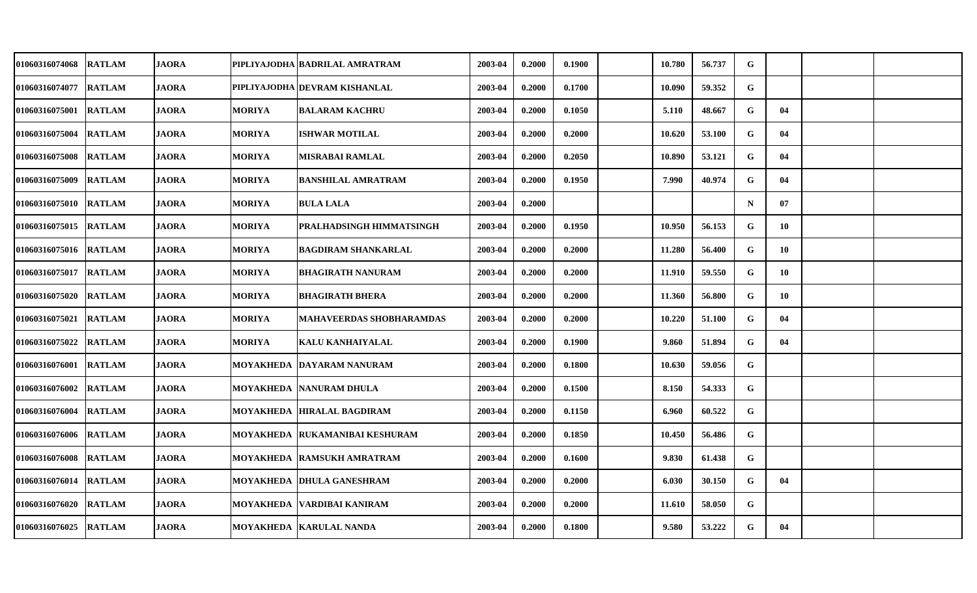| 01060316074068        | <b>RATLAM</b> | <b>JAORA</b> |               | PIPLIYAJODHA BADRILAL AMRATRAM   | 2003-04 | 0.2000 | 0.1900 | 10.780 | 56.737 | G           |    |  |
|-----------------------|---------------|--------------|---------------|----------------------------------|---------|--------|--------|--------|--------|-------------|----|--|
| 01060316074077        | <b>RATLAM</b> | <b>JAORA</b> |               | PIPLIYAJODHA DEVRAM KISHANLAL    | 2003-04 | 0.2000 | 0.1700 | 10.090 | 59.352 | G           |    |  |
| 01060316075001 RATLAM |               | <b>JAORA</b> | <b>MORIYA</b> | <b>BALARAM KACHRU</b>            | 2003-04 | 0.2000 | 0.1050 | 5.110  | 48.667 | G           | 04 |  |
| 01060316075004        | <b>RATLAM</b> | <b>JAORA</b> | <b>MORIYA</b> | <b>ISHWAR MOTILAL</b>            | 2003-04 | 0.2000 | 0.2000 | 10.620 | 53.100 | G           | 04 |  |
| 01060316075008 RATLAM |               | <b>JAORA</b> | <b>MORIYA</b> | <b>MISRABAI RAMLAL</b>           | 2003-04 | 0.2000 | 0.2050 | 10.890 | 53.121 | G           | 04 |  |
| 01060316075009        | <b>RATLAM</b> | <b>JAORA</b> | <b>MORIYA</b> | <b>BANSHILAL AMRATRAM</b>        | 2003-04 | 0.2000 | 0.1950 | 7.990  | 40.974 | G           | 04 |  |
| 01060316075010 RATLAM |               | <b>JAORA</b> | <b>MORIYA</b> | <b>BULA LALA</b>                 | 2003-04 | 0.2000 |        |        |        | $\mathbf N$ | 07 |  |
| 01060316075015 RATLAM |               | <b>JAORA</b> | <b>MORIYA</b> | PRALHADSINGH HIMMATSINGH         | 2003-04 | 0.2000 | 0.1950 | 10.950 | 56.153 | G           | 10 |  |
| 01060316075016        | <b>RATLAM</b> | <b>JAORA</b> | <b>MORIYA</b> | <b>BAGDIRAM SHANKARLAL</b>       | 2003-04 | 0.2000 | 0.2000 | 11.280 | 56.400 | G           | 10 |  |
| 01060316075017        | <b>RATLAM</b> | <b>JAORA</b> | <b>MORIYA</b> | <b>BHAGIRATH NANURAM</b>         | 2003-04 | 0.2000 | 0.2000 | 11.910 | 59.550 | G           | 10 |  |
| 01060316075020        | <b>RATLAM</b> | <b>JAORA</b> | <b>MORIYA</b> | <b>BHAGIRATH BHERA</b>           | 2003-04 | 0.2000 | 0.2000 | 11.360 | 56.800 | G           | 10 |  |
| 01060316075021 RATLAM |               | <b>JAORA</b> | <b>MORIYA</b> | MAHAVEERDAS SHOBHARAMDAS         | 2003-04 | 0.2000 | 0.2000 | 10.220 | 51.100 | G           | 04 |  |
| 01060316075022        | <b>RATLAM</b> | <b>JAORA</b> | <b>MORIYA</b> | <b>KALU KANHAIYALAL</b>          | 2003-04 | 0.2000 | 0.1900 | 9.860  | 51.894 | G           | 04 |  |
| 01060316076001 RATLAM |               | <b>JAORA</b> | MOYAKHEDA     | DAYARAM NANURAM                  | 2003-04 | 0.2000 | 0.1800 | 10.630 | 59.056 | G           |    |  |
| 01060316076002        | <b>RATLAM</b> | <b>JAORA</b> |               | <b>MOYAKHEDA NANURAM DHULA</b>   | 2003-04 | 0.2000 | 0.1500 | 8.150  | 54.333 | G           |    |  |
| 01060316076004 RATLAM |               | <b>JAORA</b> | MOYAKHEDA     | <b>HIRALAL BAGDIRAM</b>          | 2003-04 | 0.2000 | 0.1150 | 6.960  | 60.522 | G           |    |  |
| 01060316076006 RATLAM |               | <b>JAORA</b> |               | MOYAKHEDA RUKAMANIBAI KESHURAM   | 2003-04 | 0.2000 | 0.1850 | 10.450 | 56.486 | G           |    |  |
| 01060316076008        | <b>RATLAM</b> | <b>JAORA</b> |               | MOYAKHEDA  RAMSUKH AMRATRAM      | 2003-04 | 0.2000 | 0.1600 | 9.830  | 61.438 | G           |    |  |
| 01060316076014        | <b>RATLAM</b> | <b>JAORA</b> |               | <b>MOYAKHEDA DHULA GANESHRAM</b> | 2003-04 | 0.2000 | 0.2000 | 6.030  | 30.150 | G           | 04 |  |
| 01060316076020        | <b>RATLAM</b> | <b>JAORA</b> |               | MOYAKHEDA  VARDIBAI KANIRAM      | 2003-04 | 0.2000 | 0.2000 | 11.610 | 58.050 | G           |    |  |
| 01060316076025 RATLAM |               | <b>JAORA</b> |               | MOYAKHEDA  KARULAL NANDA         | 2003-04 | 0.2000 | 0.1800 | 9.580  | 53.222 | G           | 04 |  |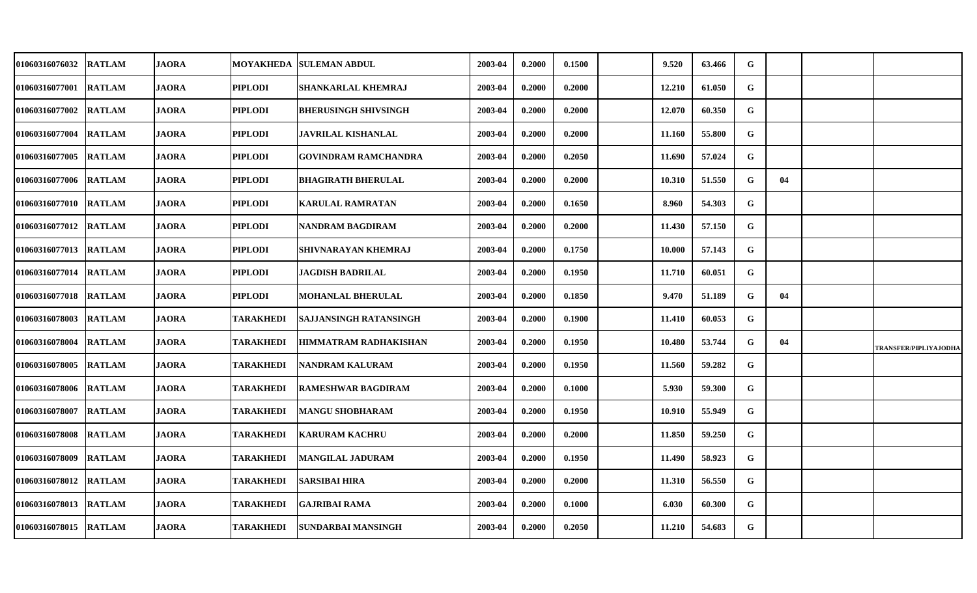| 01060316076032        | <b>RATLAM</b> | <b>JAORA</b> | MOYAKHEDA        | <b>SULEMAN ABDUL</b>        | 2003-04 | 0.2000 | 0.1500 | 9.520  | 63.466 | G |    |                              |
|-----------------------|---------------|--------------|------------------|-----------------------------|---------|--------|--------|--------|--------|---|----|------------------------------|
| 01060316077001        | <b>RATLAM</b> | <b>JAORA</b> | <b>PIPLODI</b>   | SHANKARLAL KHEMRAJ          | 2003-04 | 0.2000 | 0.2000 | 12.210 | 61.050 | G |    |                              |
| 01060316077002        | <b>RATLAM</b> | <b>JAORA</b> | <b>PIPLODI</b>   | <b>BHERUSINGH SHIVSINGH</b> | 2003-04 | 0.2000 | 0.2000 | 12.070 | 60.350 | G |    |                              |
| 01060316077004        | <b>RATLAM</b> | <b>JAORA</b> | <b>PIPLODI</b>   | <b>JAVRILAL KISHANLAL</b>   | 2003-04 | 0.2000 | 0.2000 | 11.160 | 55.800 | G |    |                              |
| 01060316077005        | <b>RATLAM</b> | <b>JAORA</b> | <b>PIPLODI</b>   | GOVINDRAM RAMCHANDRA        | 2003-04 | 0.2000 | 0.2050 | 11.690 | 57.024 | G |    |                              |
| 01060316077006        | <b>RATLAM</b> | <b>JAORA</b> | <b>PIPLODI</b>   | <b>BHAGIRATH BHERULAL</b>   | 2003-04 | 0.2000 | 0.2000 | 10.310 | 51.550 | G | 04 |                              |
| 01060316077010        | <b>RATLAM</b> | <b>JAORA</b> | <b>PIPLODI</b>   | <b>KARULAL RAMRATAN</b>     | 2003-04 | 0.2000 | 0.1650 | 8.960  | 54.303 | G |    |                              |
| 01060316077012        | <b>RATLAM</b> | <b>JAORA</b> | <b>PIPLODI</b>   | <b>NANDRAM BAGDIRAM</b>     | 2003-04 | 0.2000 | 0.2000 | 11.430 | 57.150 | G |    |                              |
| 01060316077013        | <b>RATLAM</b> | <b>JAORA</b> | <b>PIPLODI</b>   | SHIVNARAYAN KHEMRAJ         | 2003-04 | 0.2000 | 0.1750 | 10.000 | 57.143 | G |    |                              |
| 01060316077014        | <b>RATLAM</b> | <b>JAORA</b> | <b>PIPLODI</b>   | <b>JAGDISH BADRILAL</b>     | 2003-04 | 0.2000 | 0.1950 | 11.710 | 60.051 | G |    |                              |
| 01060316077018        | <b>RATLAM</b> | <b>JAORA</b> | <b>PIPLODI</b>   | <b>MOHANLAL BHERULAL</b>    | 2003-04 | 0.2000 | 0.1850 | 9.470  | 51.189 | G | 04 |                              |
| 01060316078003 RATLAM |               | <b>JAORA</b> | <b>TARAKHEDI</b> | SAJJANSINGH RATANSINGH      | 2003-04 | 0.2000 | 0.1900 | 11.410 | 60.053 | G |    |                              |
| 01060316078004        | <b>RATLAM</b> | <b>JAORA</b> | <b>TARAKHEDI</b> | HIMMATRAM RADHAKISHAN       | 2003-04 | 0.2000 | 0.1950 | 10.480 | 53.744 | G | 04 | <b>TRANSFER/PIPLIYAJODHA</b> |
| 01060316078005        | <b>RATLAM</b> | <b>JAORA</b> | <b>TARAKHEDI</b> | NANDRAM KALURAM             | 2003-04 | 0.2000 | 0.1950 | 11.560 | 59.282 | G |    |                              |
| 01060316078006        | <b>RATLAM</b> | <b>JAORA</b> | <b>TARAKHEDI</b> | <b>RAMESHWAR BAGDIRAM</b>   | 2003-04 | 0.2000 | 0.1000 | 5.930  | 59.300 | G |    |                              |
| 01060316078007        | <b>RATLAM</b> | <b>JAORA</b> | <b>TARAKHEDI</b> | <b>MANGU SHOBHARAM</b>      | 2003-04 | 0.2000 | 0.1950 | 10.910 | 55.949 | G |    |                              |
| 01060316078008        | <b>RATLAM</b> | <b>JAORA</b> | <b>TARAKHEDI</b> | <b>KARURAM KACHRU</b>       | 2003-04 | 0.2000 | 0.2000 | 11.850 | 59.250 | G |    |                              |
| 01060316078009        | <b>RATLAM</b> | <b>JAORA</b> | <b>TARAKHEDI</b> | <b>MANGILAL JADURAM</b>     | 2003-04 | 0.2000 | 0.1950 | 11.490 | 58.923 | G |    |                              |
| 01060316078012        | <b>RATLAM</b> | <b>JAORA</b> | <b>TARAKHEDI</b> | <b>SARSIBAI HIRA</b>        | 2003-04 | 0.2000 | 0.2000 | 11.310 | 56.550 | G |    |                              |
| 01060316078013        | <b>RATLAM</b> | <b>JAORA</b> | <b>TARAKHEDI</b> | <b>GAJRIBAI RAMA</b>        | 2003-04 | 0.2000 | 0.1000 | 6.030  | 60.300 | G |    |                              |
| 01060316078015        | <b>RATLAM</b> | <b>JAORA</b> | <b>TARAKHEDI</b> | SUNDARBAI MANSINGH          | 2003-04 | 0.2000 | 0.2050 | 11.210 | 54.683 | G |    |                              |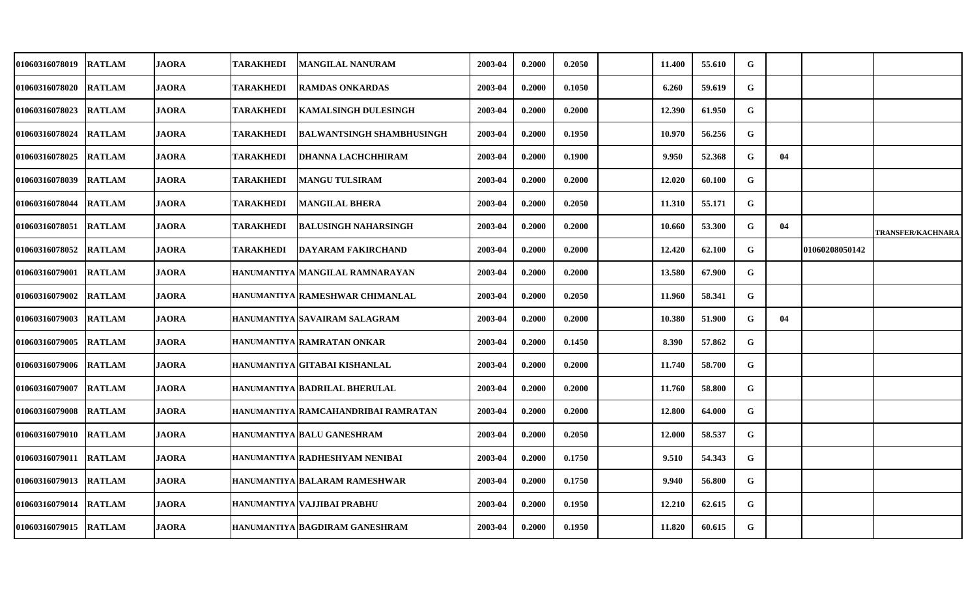| 01060316078019        | <b>RATLAM</b> | <b>JAORA</b> | TARAKHEDI        | <b>MANGILAL NANURAM</b>             | 2003-04 | 0.2000 | 0.2050 | 11.400 | 55.610 | G           |    |                |                          |
|-----------------------|---------------|--------------|------------------|-------------------------------------|---------|--------|--------|--------|--------|-------------|----|----------------|--------------------------|
| 01060316078020        | <b>RATLAM</b> | <b>JAORA</b> | <b>TARAKHEDI</b> | <b>RAMDAS ONKARDAS</b>              | 2003-04 | 0.2000 | 0.1050 | 6.260  | 59.619 | $\mathbf G$ |    |                |                          |
| <b>01060316078023</b> | <b>RATLAM</b> | <b>JAORA</b> | TARAKHEDI        | <b>KAMALSINGH DULESINGH</b>         | 2003-04 | 0.2000 | 0.2000 | 12.390 | 61.950 | G           |    |                |                          |
| 01060316078024        | <b>RATLAM</b> | <b>JAORA</b> | <b>TARAKHEDI</b> | <b>BALWANTSINGH SHAMBHUSINGH</b>    | 2003-04 | 0.2000 | 0.1950 | 10.970 | 56.256 | G           |    |                |                          |
| <b>01060316078025</b> | <b>RATLAM</b> | <b>JAORA</b> | TARAKHEDI        | <b>DHANNA LACHCHHIRAM</b>           | 2003-04 | 0.2000 | 0.1900 | 9.950  | 52.368 | G           | 04 |                |                          |
| 01060316078039        | <b>RATLAM</b> | <b>JAORA</b> | <b>TARAKHEDI</b> | <b>MANGU TULSIRAM</b>               | 2003-04 | 0.2000 | 0.2000 | 12.020 | 60.100 | $\mathbf G$ |    |                |                          |
| 01060316078044        | <b>RATLAM</b> | <b>JAORA</b> | TARAKHEDI        | <b>MANGILAL BHERA</b>               | 2003-04 | 0.2000 | 0.2050 | 11.310 | 55.171 | G           |    |                |                          |
| 01060316078051        | <b>RATLAM</b> | <b>JAORA</b> | TARAKHEDI        | <b>BALUSINGH NAHARSINGH</b>         | 2003-04 | 0.2000 | 0.2000 | 10.660 | 53.300 | G           | 04 |                | <b>TRANSFER/KACHNARA</b> |
| 01060316078052        | <b>RATLAM</b> | <b>JAORA</b> | <b>TARAKHEDI</b> | <b>DAYARAM FAKIRCHAND</b>           | 2003-04 | 0.2000 | 0.2000 | 12.420 | 62.100 | G           |    | 01060208050142 |                          |
| 01060316079001        | <b>RATLAM</b> | <b>JAORA</b> |                  | HANUMANTIYA MANGILAL RAMNARAYAN     | 2003-04 | 0.2000 | 0.2000 | 13.580 | 67.900 | G           |    |                |                          |
| <b>01060316079002</b> | <b>RATLAM</b> | <b>JAORA</b> |                  | HANUMANTIYA RAMESHWAR CHIMANLAL     | 2003-04 | 0.2000 | 0.2050 | 11.960 | 58.341 | G           |    |                |                          |
| <b>01060316079003</b> | <b>RATLAM</b> | <b>JAORA</b> |                  | HANUMANTIYA SAVAIRAM SALAGRAM       | 2003-04 | 0.2000 | 0.2000 | 10.380 | 51.900 | G           | 04 |                |                          |
| 01060316079005        | <b>RATLAM</b> | <b>JAORA</b> |                  | HANUMANTIYA RAMRATAN ONKAR          | 2003-04 | 0.2000 | 0.1450 | 8.390  | 57.862 | G           |    |                |                          |
| 01060316079006        | <b>RATLAM</b> | <b>JAORA</b> |                  | HANUMANTIYA GITABAI KISHANLAL       | 2003-04 | 0.2000 | 0.2000 | 11.740 | 58.700 | G           |    |                |                          |
| 01060316079007        | <b>RATLAM</b> | <b>JAORA</b> |                  | HANUMANTIYA BADRILAL BHERULAL       | 2003-04 | 0.2000 | 0.2000 | 11.760 | 58.800 | G           |    |                |                          |
| <b>01060316079008</b> | <b>RATLAM</b> | <b>JAORA</b> |                  | HANUMANTIYA RAMCAHANDRIBAI RAMRATAN | 2003-04 | 0.2000 | 0.2000 | 12.800 | 64.000 | G           |    |                |                          |
| 01060316079010        | <b>RATLAM</b> | <b>JAORA</b> |                  | HANUMANTIYA BALU GANESHRAM          | 2003-04 | 0.2000 | 0.2050 | 12.000 | 58.537 | G           |    |                |                          |
| 01060316079011        | <b>RATLAM</b> | <b>JAORA</b> |                  | HANUMANTIYA RADHESHYAM NENIBAI      | 2003-04 | 0.2000 | 0.1750 | 9.510  | 54.343 | ${\bf G}$   |    |                |                          |
| 01060316079013        | <b>RATLAM</b> | <b>JAORA</b> |                  | HANUMANTIYA BALARAM RAMESHWAR       | 2003-04 | 0.2000 | 0.1750 | 9.940  | 56.800 | G           |    |                |                          |
| <b>01060316079014</b> | <b>RATLAM</b> | <b>JAORA</b> |                  | HANUMANTIYA VAJJIBAI PRABHU         | 2003-04 | 0.2000 | 0.1950 | 12.210 | 62.615 | G           |    |                |                          |
| 01060316079015        | <b>RATLAM</b> | <b>JAORA</b> |                  | HANUMANTIYA BAGDIRAM GANESHRAM      | 2003-04 | 0.2000 | 0.1950 | 11.820 | 60.615 | G           |    |                |                          |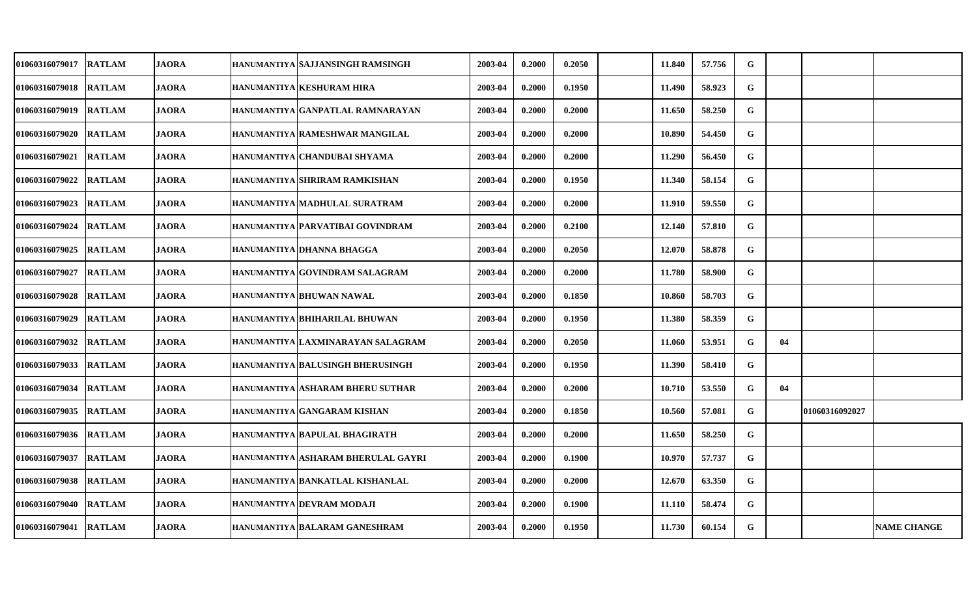| 01060316079017        | <b>RATLAM</b> | <b>JAORA</b> | HANUMANTIYA SAJJANSINGH RAMSINGH   | 2003-04 | 0.2000 | 0.2050 | 11.840 | 57.756 | G         |    |                |                    |
|-----------------------|---------------|--------------|------------------------------------|---------|--------|--------|--------|--------|-----------|----|----------------|--------------------|
| 01060316079018        | <b>RATLAM</b> | <b>JAORA</b> | HANUMANTIYA KESHURAM HIRA          | 2003-04 | 0.2000 | 0.1950 | 11.490 | 58.923 | G         |    |                |                    |
| <b>01060316079019</b> | <b>RATLAM</b> | <b>JAORA</b> | HANUMANTIYA GANPATLAL RAMNARAYAN   | 2003-04 | 0.2000 | 0.2000 | 11.650 | 58.250 | G         |    |                |                    |
| 01060316079020        | <b>RATLAM</b> | <b>JAORA</b> | HANUMANTIYA RAMESHWAR MANGILAL     | 2003-04 | 0.2000 | 0.2000 | 10.890 | 54.450 | G         |    |                |                    |
| <b>01060316079021</b> | <b>RATLAM</b> | <b>JAORA</b> | HANUMANTIYA CHANDUBAI SHYAMA       | 2003-04 | 0.2000 | 0.2000 | 11.290 | 56.450 | G         |    |                |                    |
| 01060316079022        | <b>RATLAM</b> | <b>JAORA</b> | HANUMANTIYA SHRIRAM RAMKISHAN      | 2003-04 | 0.2000 | 0.1950 | 11.340 | 58.154 | G         |    |                |                    |
| <b>01060316079023</b> | <b>RATLAM</b> | JAORA        | HANUMANTIYA MADHULAL SURATRAM      | 2003-04 | 0.2000 | 0.2000 | 11.910 | 59.550 | G         |    |                |                    |
| 01060316079024        | <b>RATLAM</b> | <b>JAORA</b> | HANUMANTIYA PARVATIBAI GOVINDRAM   | 2003-04 | 0.2000 | 0.2100 | 12.140 | 57.810 | G         |    |                |                    |
| 01060316079025        | <b>RATLAM</b> | <b>JAORA</b> | HANUMANTIYA DHANNA BHAGGA          | 2003-04 | 0.2000 | 0.2050 | 12.070 | 58.878 | G         |    |                |                    |
| 01060316079027        | <b>RATLAM</b> | <b>JAORA</b> | HANUMANTIYA GOVINDRAM SALAGRAM     | 2003-04 | 0.2000 | 0.2000 | 11.780 | 58.900 | G         |    |                |                    |
| <b>01060316079028</b> | <b>RATLAM</b> | <b>JAORA</b> | HANUMANTIYA BHUWAN NAWAL           | 2003-04 | 0.2000 | 0.1850 | 10.860 | 58.703 | G         |    |                |                    |
| <b>01060316079029</b> | <b>RATLAM</b> | <b>JAORA</b> | HANUMANTIYA BHIHARILAL BHUWAN      | 2003-04 | 0.2000 | 0.1950 | 11.380 | 58.359 | G         |    |                |                    |
| 01060316079032        | <b>RATLAM</b> | <b>JAORA</b> | HANUMANTIYA LAXMINARAYAN SALAGRAM  | 2003-04 | 0.2000 | 0.2050 | 11.060 | 53.951 | G         | 04 |                |                    |
| 01060316079033        | <b>RATLAM</b> | <b>JAORA</b> | HANUMANTIYA BALUSINGH BHERUSINGH   | 2003-04 | 0.2000 | 0.1950 | 11.390 | 58.410 | G         |    |                |                    |
| 01060316079034        | RATLAM        | <b>JAORA</b> | HANUMANTIYA ASHARAM BHERU SUTHAR   | 2003-04 | 0.2000 | 0.2000 | 10.710 | 53.550 | G         | 04 |                |                    |
| 01060316079035        | <b>RATLAM</b> | JAORA        | HANUMANTIYA GANGARAM KISHAN        | 2003-04 | 0.2000 | 0.1850 | 10.560 | 57.081 | G         |    | 01060316092027 |                    |
| 01060316079036        | <b>RATLAM</b> | <b>JAORA</b> | HANUMANTIYA BAPULAL BHAGIRATH      | 2003-04 | 0.2000 | 0.2000 | 11.650 | 58.250 | G         |    |                |                    |
| 01060316079037        | <b>RATLAM</b> | <b>JAORA</b> | HANUMANTIYA ASHARAM BHERULAL GAYRI | 2003-04 | 0.2000 | 0.1900 | 10.970 | 57.737 | ${\bf G}$ |    |                |                    |
| 01060316079038        | <b>RATLAM</b> | <b>JAORA</b> | HANUMANTIYA BANKATLAL KISHANLAL    | 2003-04 | 0.2000 | 0.2000 | 12.670 | 63.350 | G         |    |                |                    |
| 01060316079040        | <b>RATLAM</b> | <b>JAORA</b> | HANUMANTIYA DEVRAM MODAJI          | 2003-04 | 0.2000 | 0.1900 | 11.110 | 58.474 | G         |    |                |                    |
| 01060316079041        | <b>RATLAM</b> | <b>JAORA</b> | HANUMANTIYA BALARAM GANESHRAM      | 2003-04 | 0.2000 | 0.1950 | 11.730 | 60.154 | G         |    |                | <b>NAME CHANGE</b> |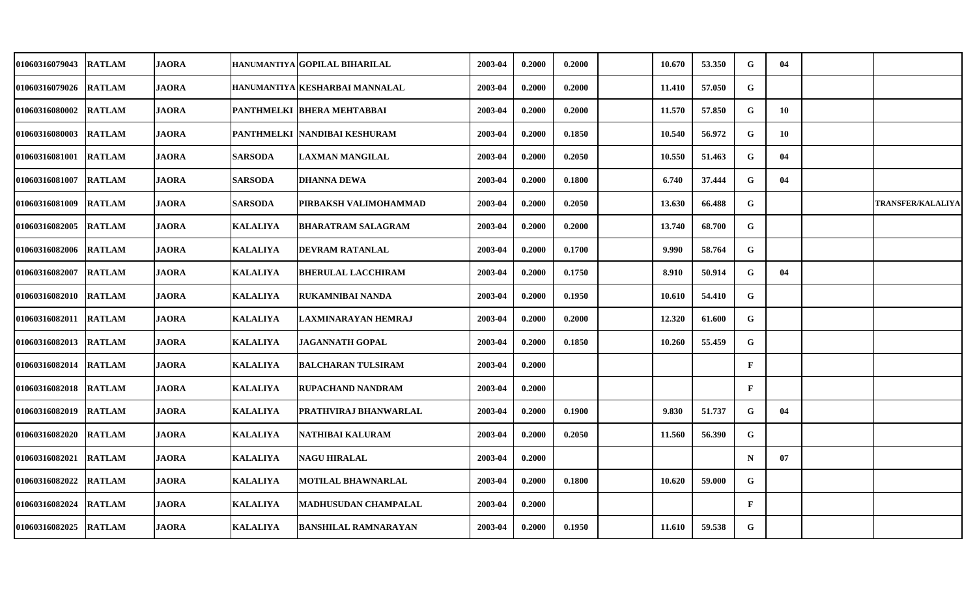| 01060316079043        | <b>RATLAM</b> | <b>JAORA</b> |                 | HANUMANTIYA GOPILAL BIHARILAL         | 2003-04 | 0.2000 | 0.2000 | 10.670 | 53.350 | G            | 04 |                          |
|-----------------------|---------------|--------------|-----------------|---------------------------------------|---------|--------|--------|--------|--------|--------------|----|--------------------------|
| 01060316079026        | <b>RATLAM</b> | <b>JAORA</b> |                 | HANUMANTIYA KESHARBAI MANNALAL        | 2003-04 | 0.2000 | 0.2000 | 11.410 | 57.050 | G            |    |                          |
| <b>01060316080002</b> | <b>RATLAM</b> | <b>JAORA</b> |                 | <b>PANTHMELKI BHERA MEHTABBAI</b>     | 2003-04 | 0.2000 | 0.2000 | 11.570 | 57.850 | G            | 10 |                          |
| 01060316080003        | <b>RATLAM</b> | <b>JAORA</b> |                 | <b>PANTHMELKI   NANDIBAI KESHURAM</b> | 2003-04 | 0.2000 | 0.1850 | 10.540 | 56.972 | G            | 10 |                          |
| <b>01060316081001</b> | <b>RATLAM</b> | <b>JAORA</b> | <b>SARSODA</b>  | <b>LAXMAN MANGILAL</b>                | 2003-04 | 0.2000 | 0.2050 | 10.550 | 51.463 | G            | 04 |                          |
| 01060316081007        | <b>RATLAM</b> | <b>JAORA</b> | <b>SARSODA</b>  | <b>DHANNA DEWA</b>                    | 2003-04 | 0.2000 | 0.1800 | 6.740  | 37.444 | G            | 04 |                          |
| <b>01060316081009</b> | <b>RATLAM</b> | JAORA        | <b>SARSODA</b>  | PIRBAKSH VALIMOHAMMAD                 | 2003-04 | 0.2000 | 0.2050 | 13.630 | 66.488 | G            |    | <b>TRANSFER/KALALIYA</b> |
| 01060316082005        | <b>RATLAM</b> | <b>JAORA</b> | <b>KALALIYA</b> | <b>BHARATRAM SALAGRAM</b>             | 2003-04 | 0.2000 | 0.2000 | 13.740 | 68.700 | G            |    |                          |
| 01060316082006        | <b>RATLAM</b> | <b>JAORA</b> | <b>KALALIYA</b> | <b>DEVRAM RATANLAL</b>                | 2003-04 | 0.2000 | 0.1700 | 9.990  | 58.764 | G            |    |                          |
| 01060316082007        | <b>RATLAM</b> | <b>JAORA</b> | <b>KALALIYA</b> | <b>BHERULAL LACCHIRAM</b>             | 2003-04 | 0.2000 | 0.1750 | 8.910  | 50.914 | G            | 04 |                          |
| <b>01060316082010</b> | <b>RATLAM</b> | <b>JAORA</b> | <b>KALALIYA</b> | <b>RUKAMNIBAI NANDA</b>               | 2003-04 | 0.2000 | 0.1950 | 10.610 | 54.410 | G            |    |                          |
| <b>01060316082011</b> | <b>RATLAM</b> | <b>JAORA</b> | <b>KALALIYA</b> | LAXMINARAYAN HEMRAJ                   | 2003-04 | 0.2000 | 0.2000 | 12.320 | 61.600 | G            |    |                          |
| 01060316082013        | <b>RATLAM</b> | <b>JAORA</b> | <b>KALALIYA</b> | <b>JAGANNATH GOPAL</b>                | 2003-04 | 0.2000 | 0.1850 | 10.260 | 55.459 | G            |    |                          |
| 01060316082014        | <b>RATLAM</b> | <b>JAORA</b> | <b>KALALIYA</b> | <b>BALCHARAN TULSIRAM</b>             | 2003-04 | 0.2000 |        |        |        | $\mathbf{F}$ |    |                          |
| 01060316082018        | <b>RATLAM</b> | <b>JAORA</b> | <b>KALALIYA</b> | <b>RUPACHAND NANDRAM</b>              | 2003-04 | 0.2000 |        |        |        | $\mathbf{F}$ |    |                          |
| <b>01060316082019</b> | <b>RATLAM</b> | JAORA        | <b>KALALIYA</b> | PRATHVIRAJ BHANWARLAL                 | 2003-04 | 0.2000 | 0.1900 | 9.830  | 51.737 | G            | 04 |                          |
| <b>01060316082020</b> | <b>RATLAM</b> | <b>JAORA</b> | <b>KALALIYA</b> | NATHIBAI KALURAM                      | 2003-04 | 0.2000 | 0.2050 | 11.560 | 56.390 | G            |    |                          |
| 01060316082021        | <b>RATLAM</b> | <b>JAORA</b> | <b>KALALIYA</b> | <b>NAGU HIRALAL</b>                   | 2003-04 | 0.2000 |        |        |        | $\mathbf N$  | 07 |                          |
| 01060316082022        | <b>RATLAM</b> | <b>JAORA</b> | <b>KALALIYA</b> | <b>MOTILAL BHAWNARLAL</b>             | 2003-04 | 0.2000 | 0.1800 | 10.620 | 59.000 | G            |    |                          |
| <b>01060316082024</b> | <b>RATLAM</b> | <b>JAORA</b> | <b>KALALIYA</b> | <b>MADHUSUDAN CHAMPALAL</b>           | 2003-04 | 0.2000 |        |        |        | $\mathbf{F}$ |    |                          |
| <b>01060316082025</b> | <b>RATLAM</b> | <b>JAORA</b> | <b>KALALIYA</b> | <b>BANSHILAL RAMNARAYAN</b>           | 2003-04 | 0.2000 | 0.1950 | 11.610 | 59.538 | G            |    |                          |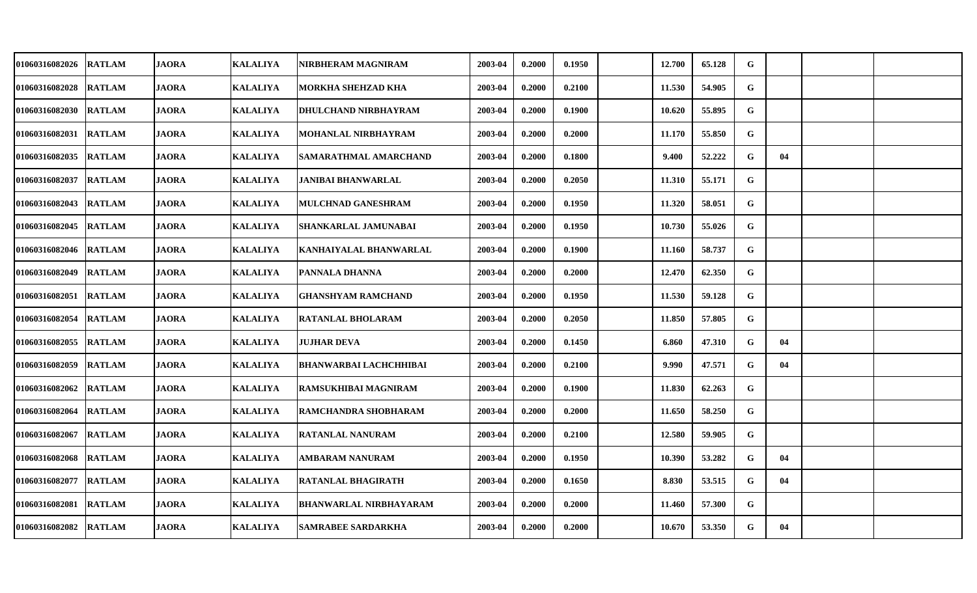| 01060316082026 | <b>RATLAM</b> | <b>JAORA</b> | <b>KALALIYA</b> | NIRBHERAM MAGNIRAM          | 2003-04 | 0.2000 | 0.1950 | 12.700 | 65.128 | G |    |  |
|----------------|---------------|--------------|-----------------|-----------------------------|---------|--------|--------|--------|--------|---|----|--|
| 01060316082028 | <b>RATLAM</b> | <b>JAORA</b> | <b>KALALIYA</b> | <b>MORKHA SHEHZAD KHA</b>   | 2003-04 | 0.2000 | 0.2100 | 11.530 | 54.905 | G |    |  |
| 01060316082030 | <b>RATLAM</b> | <b>JAORA</b> | <b>KALALIYA</b> | <b>DHULCHAND NIRBHAYRAM</b> | 2003-04 | 0.2000 | 0.1900 | 10.620 | 55.895 | G |    |  |
| 01060316082031 | <b>RATLAM</b> | <b>JAORA</b> | <b>KALALIYA</b> | MOHANLAL NIRBHAYRAM         | 2003-04 | 0.2000 | 0.2000 | 11.170 | 55.850 | G |    |  |
| 01060316082035 | <b>RATLAM</b> | <b>JAORA</b> | <b>KALALIYA</b> | SAMARATHMAL AMARCHAND       | 2003-04 | 0.2000 | 0.1800 | 9.400  | 52.222 | G | 04 |  |
| 01060316082037 | <b>RATLAM</b> | <b>JAORA</b> | <b>KALALIYA</b> | <b>JANIBAI BHANWARLAL</b>   | 2003-04 | 0.2000 | 0.2050 | 11.310 | 55.171 | G |    |  |
| 01060316082043 | <b>RATLAM</b> | <b>JAORA</b> | <b>KALALIYA</b> | MULCHNAD GANESHRAM          | 2003-04 | 0.2000 | 0.1950 | 11.320 | 58.051 | G |    |  |
| 01060316082045 | <b>RATLAM</b> | <b>JAORA</b> | <b>KALALIYA</b> | SHANKARLAL JAMUNABAI        | 2003-04 | 0.2000 | 0.1950 | 10.730 | 55.026 | G |    |  |
| 01060316082046 | <b>RATLAM</b> | <b>JAORA</b> | <b>KALALIYA</b> | KANHAIYALAL BHANWARLAL      | 2003-04 | 0.2000 | 0.1900 | 11.160 | 58.737 | G |    |  |
| 01060316082049 | <b>RATLAM</b> | <b>JAORA</b> | <b>KALALIYA</b> | PANNALA DHANNA              | 2003-04 | 0.2000 | 0.2000 | 12.470 | 62.350 | G |    |  |
| 01060316082051 | <b>RATLAM</b> | <b>JAORA</b> | <b>KALALIYA</b> | <b>GHANSHYAM RAMCHAND</b>   | 2003-04 | 0.2000 | 0.1950 | 11.530 | 59.128 | G |    |  |
| 01060316082054 | <b>RATLAM</b> | <b>JAORA</b> | <b>KALALIYA</b> | <b>RATANLAL BHOLARAM</b>    | 2003-04 | 0.2000 | 0.2050 | 11.850 | 57.805 | G |    |  |
| 01060316082055 | <b>RATLAM</b> | <b>JAORA</b> | <b>KALALIYA</b> | <b>JUJHAR DEVA</b>          | 2003-04 | 0.2000 | 0.1450 | 6.860  | 47.310 | G | 04 |  |
| 01060316082059 | <b>RATLAM</b> | <b>JAORA</b> | <b>KALALIYA</b> | BHANWARBAI LACHCHHIBAI      | 2003-04 | 0.2000 | 0.2100 | 9.990  | 47.571 | G | 04 |  |
| 01060316082062 | <b>RATLAM</b> | <b>JAORA</b> | <b>KALALIYA</b> | RAMSUKHIBAI MAGNIRAM        | 2003-04 | 0.2000 | 0.1900 | 11.830 | 62.263 | G |    |  |
| 01060316082064 | <b>RATLAM</b> | <b>JAORA</b> | <b>KALALIYA</b> | RAMCHANDRA SHOBHARAM        | 2003-04 | 0.2000 | 0.2000 | 11.650 | 58.250 | G |    |  |
| 01060316082067 | <b>RATLAM</b> | <b>JAORA</b> | <b>KALALIYA</b> | <b>RATANLAL NANURAM</b>     | 2003-04 | 0.2000 | 0.2100 | 12.580 | 59.905 | G |    |  |
| 01060316082068 | <b>RATLAM</b> | <b>JAORA</b> | <b>KALALIYA</b> | AMBARAM NANURAM             | 2003-04 | 0.2000 | 0.1950 | 10.390 | 53.282 | G | 04 |  |
| 01060316082077 | <b>RATLAM</b> | <b>JAORA</b> | <b>KALALIYA</b> | RATANLAL BHAGIRATH          | 2003-04 | 0.2000 | 0.1650 | 8.830  | 53.515 | G | 04 |  |
| 01060316082081 | <b>RATLAM</b> | <b>JAORA</b> | <b>KALALIYA</b> | BHANWARLAL NIRBHAYARAM      | 2003-04 | 0.2000 | 0.2000 | 11.460 | 57.300 | G |    |  |
| 01060316082082 | <b>RATLAM</b> | <b>JAORA</b> | <b>KALALIYA</b> | <b>SAMRABEE SARDARKHA</b>   | 2003-04 | 0.2000 | 0.2000 | 10.670 | 53.350 | G | 04 |  |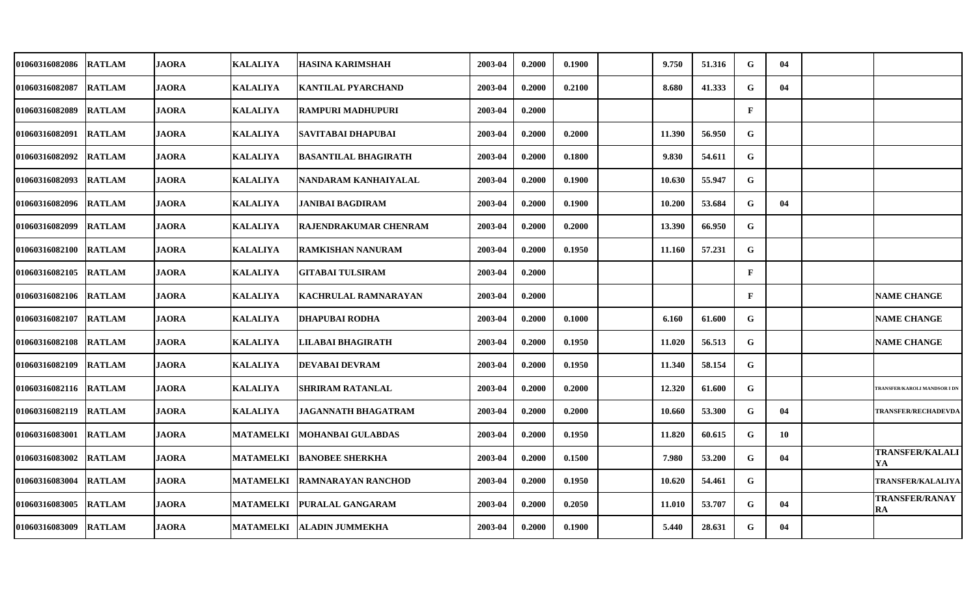| <b>01060316082086</b> | <b>RATLAM</b> | <b>JAORA</b> | <b>KALALIYA</b>  | HASINA KARIMSHAH          | 2003-04 | 0.2000 | 0.1900 | 9.750  | 51.316 | G            | 04 |                                     |
|-----------------------|---------------|--------------|------------------|---------------------------|---------|--------|--------|--------|--------|--------------|----|-------------------------------------|
| 01060316082087        | <b>RATLAM</b> | <b>JAORA</b> | <b>KALALIYA</b>  | KANTILAL PYARCHAND        | 2003-04 | 0.2000 | 0.2100 | 8.680  | 41.333 | G            | 04 |                                     |
| <b>01060316082089</b> | <b>RATLAM</b> | <b>JAORA</b> | <b>KALALIYA</b>  | <b>RAMPURI MADHUPURI</b>  | 2003-04 | 0.2000 |        |        |        | $\mathbf{F}$ |    |                                     |
| 01060316082091        | <b>RATLAM</b> | <b>JAORA</b> | <b>KALALIYA</b>  | SAVITABAI DHAPUBAI        | 2003-04 | 0.2000 | 0.2000 | 11.390 | 56.950 | G            |    |                                     |
| <b>01060316082092</b> | <b>RATLAM</b> | <b>JAORA</b> | <b>KALALIYA</b>  | BASANTILAL BHAGIRATH      | 2003-04 | 0.2000 | 0.1800 | 9.830  | 54.611 | G            |    |                                     |
| 01060316082093        | <b>RATLAM</b> | <b>JAORA</b> | <b>KALALIYA</b>  | NANDARAM KANHAIYALAL      | 2003-04 | 0.2000 | 0.1900 | 10.630 | 55.947 | $\mathbf G$  |    |                                     |
| 01060316082096        | <b>RATLAM</b> | <b>JAORA</b> | <b>KALALIYA</b>  | JANIBAI BAGDIRAM          | 2003-04 | 0.2000 | 0.1900 | 10.200 | 53.684 | G            | 04 |                                     |
| 01060316082099        | <b>RATLAM</b> | <b>JAORA</b> | <b>KALALIYA</b>  | RAJENDRAKUMAR CHENRAM     | 2003-04 | 0.2000 | 0.2000 | 13.390 | 66.950 | G            |    |                                     |
| 01060316082100        | <b>RATLAM</b> | <b>JAORA</b> | <b>KALALIYA</b>  | RAMKISHAN NANURAM         | 2003-04 | 0.2000 | 0.1950 | 11.160 | 57.231 | G            |    |                                     |
| <b>01060316082105</b> | <b>RATLAM</b> | <b>JAORA</b> | <b>KALALIYA</b>  | <b>GITABAI TULSIRAM</b>   | 2003-04 | 0.2000 |        |        |        | $\mathbf{F}$ |    |                                     |
| <b>01060316082106</b> | <b>RATLAM</b> | <b>JAORA</b> | <b>KALALIYA</b>  | KACHRULAL RAMNARAYAN      | 2003-04 | 0.2000 |        |        |        | $\mathbf{F}$ |    | <b>NAME CHANGE</b>                  |
| <b>01060316082107</b> | <b>RATLAM</b> | <b>JAORA</b> | <b>KALALIYA</b>  | <b>DHAPUBAI RODHA</b>     | 2003-04 | 0.2000 | 0.1000 | 6.160  | 61.600 | G            |    | <b>NAME CHANGE</b>                  |
| 01060316082108        | <b>RATLAM</b> | <b>JAORA</b> | <b>KALALIYA</b>  | LILABAI BHAGIRATH         | 2003-04 | 0.2000 | 0.1950 | 11.020 | 56.513 | G            |    | <b>NAME CHANGE</b>                  |
| 01060316082109        | <b>RATLAM</b> | <b>JAORA</b> | <b>KALALIYA</b>  | DEVABAI DEVRAM            | 2003-04 | 0.2000 | 0.1950 | 11.340 | 58.154 | G            |    |                                     |
| <b>01060316082116</b> | <b>RATLAM</b> | <b>JAORA</b> | <b>KALALIYA</b>  | <b>SHRIRAM RATANLAL</b>   | 2003-04 | 0.2000 | 0.2000 | 12.320 | 61.600 | G            |    | <b>TRANSFER/KAROLI MANDSOR I DN</b> |
| <b>01060316082119</b> | <b>RATLAM</b> | <b>JAORA</b> | <b>KALALIYA</b>  | JAGANNATH BHAGATRAM       | 2003-04 | 0.2000 | 0.2000 | 10.660 | 53.300 | G            | 04 | <b>TRANSFER/RECHADEVDA</b>          |
| 01060316083001        | <b>RATLAM</b> | <b>JAORA</b> | <b>MATAMELKI</b> | <b>MOHANBAI GULABDAS</b>  | 2003-04 | 0.2000 | 0.1950 | 11.820 | 60.615 | G            | 10 |                                     |
| 01060316083002        | <b>RATLAM</b> | <b>JAORA</b> | <b>MATAMELKI</b> | <b>BANOBEE SHERKHA</b>    | 2003-04 | 0.2000 | 0.1500 | 7.980  | 53.200 | $\mathbf G$  | 04 | <b>TRANSFER/KALALI</b><br>YA        |
| 01060316083004        | <b>RATLAM</b> | <b>JAORA</b> | <b>MATAMELKI</b> | <b>RAMNARAYAN RANCHOD</b> | 2003-04 | 0.2000 | 0.1950 | 10.620 | 54.461 | G            |    | TRANSFER/KALALIYA                   |
| 01060316083005        | <b>RATLAM</b> | <b>JAORA</b> | <b>MATAMELKI</b> | PURALAL GANGARAM          | 2003-04 | 0.2000 | 0.2050 | 11.010 | 53.707 | G            | 04 | <b>TRANSFER/RANAY</b><br>RA         |
| 01060316083009        | <b>RATLAM</b> | <b>JAORA</b> | <b>MATAMELKI</b> | <b>ALADIN JUMMEKHA</b>    | 2003-04 | 0.2000 | 0.1900 | 5.440  | 28.631 | G            | 04 |                                     |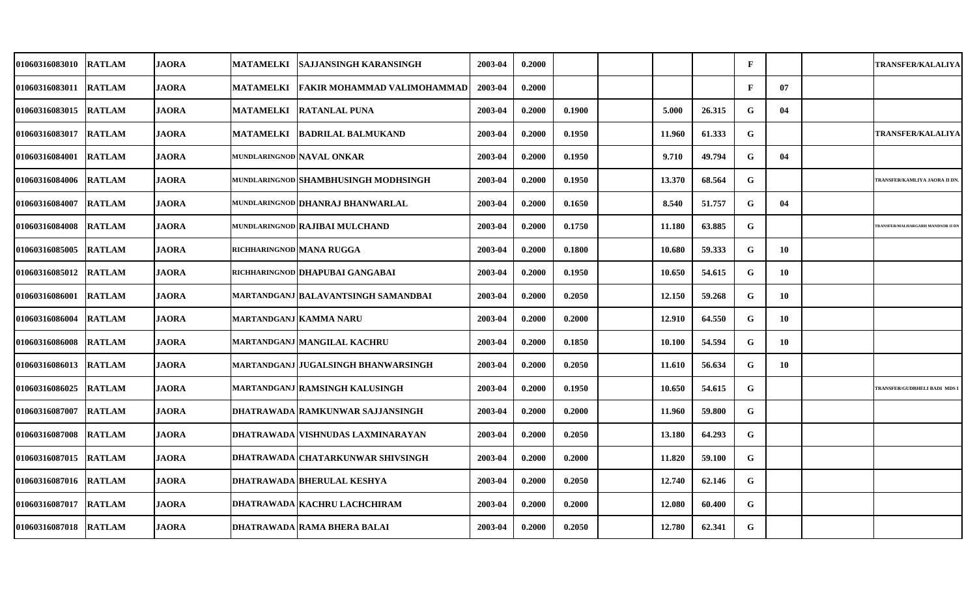| 01060316083010         | <b>RATLAM</b> | <b>JAORA</b> | <b>MATAMELKI</b>         | <b>SAJJANSINGH KARANSINGH</b>        | 2003-04 | 0.2000 |        |        |        | $\mathbf{F}$ |     | <b>TRANSFER/KALALIYA</b>          |
|------------------------|---------------|--------------|--------------------------|--------------------------------------|---------|--------|--------|--------|--------|--------------|-----|-----------------------------------|
| 01060316083011         | <b>RATLAM</b> | <b>JAORA</b> | <b>MATAMELKI</b>         | <b>FAKIR MOHAMMAD VALIMOHAMMAD</b>   | 2003-04 | 0.2000 |        |        |        | $\mathbf{F}$ | 07  |                                   |
| 01060316083015  RATLAM |               | <b>JAORA</b> |                          | MATAMELKI   RATANLAL PUNA            | 2003-04 | 0.2000 | 0.1900 | 5.000  | 26.315 | G            | 04  |                                   |
| 01060316083017         | <b>RATLAM</b> | <b>JAORA</b> |                          | MATAMELKI  BADRILAL BALMUKAND        | 2003-04 | 0.2000 | 0.1950 | 11.960 | 61.333 | G            |     | <b>TRANSFER/KALALIYA</b>          |
| 01060316084001  RATLAM |               | JAORA        |                          | mundlaringnod NAVAL ONKAR            | 2003-04 | 0.2000 | 0.1950 | 9.710  | 49.794 | G            | 04  |                                   |
| 01060316084006 RATLAM  |               | <b>JAORA</b> |                          | MUNDLARINGNOD SHAMBHUSINGH MODHSINGH | 2003-04 | 0.2000 | 0.1950 | 13.370 | 68.564 | G            |     | TRANSFER/KAMLIYA JAORA II DN      |
| <b>01060316084007</b>  | <b>RATLAM</b> | JAORA        |                          | MUNDLARINGNOD DHANRAJ BHANWARLAL     | 2003-04 | 0.2000 | 0.1650 | 8.540  | 51.757 | G            | 04  |                                   |
| <b>01060316084008</b>  | <b>RATLAM</b> | <b>JAORA</b> |                          | MUNDLARINGNOD RAJIBAI MULCHAND       | 2003-04 | 0.2000 | 0.1750 | 11.180 | 63.885 | G            |     | TRANSFER/MALHARGARH MANDSOR II DN |
| 01060316085005         | <b>RATLAM</b> | <b>JAORA</b> | richharingnod MANA RUGGA |                                      | 2003-04 | 0.2000 | 0.1800 | 10.680 | 59.333 | G            | 10  |                                   |
| 01060316085012         | <b>RATLAM</b> | <b>JAORA</b> |                          | richharingnod DHAPUBAI GANGABAI      | 2003-04 | 0.2000 | 0.1950 | 10.650 | 54.615 | G            | 10  |                                   |
| <b>01060316086001</b>  | <b>RATLAM</b> | <b>JAORA</b> |                          | MARTANDGANJ BALAVANTSINGH SAMANDBAI  | 2003-04 | 0.2000 | 0.2050 | 12.150 | 59.268 | G            | 10  |                                   |
| <b>01060316086004</b>  | <b>RATLAM</b> | <b>JAORA</b> |                          | MARTANDGANJ KAMMA NARU               | 2003-04 | 0.2000 | 0.2000 | 12.910 | 64.550 | G            | -10 |                                   |
| 01060316086008         | <b>RATLAM</b> | <b>JAORA</b> |                          | MARTANDGANJ MANGILAL KACHRU          | 2003-04 | 0.2000 | 0.1850 | 10.100 | 54.594 | G            | 10  |                                   |
| 01060316086013 RATLAM  |               | <b>JAORA</b> |                          | MARTANDGANJ JUGALSINGH BHANWARSINGH  | 2003-04 | 0.2000 | 0.2050 | 11.610 | 56.634 | G            | 10  |                                   |
| 01060316086025         | <b>RATLAM</b> | <b>JAORA</b> |                          | MARTANDGANJ RAMSINGH KALUSINGH       | 2003-04 | 0.2000 | 0.1950 | 10.650 | 54.615 | G            |     | TRANSFER/GUDBHELI BADI MDS I      |
| <b>01060316087007</b>  | <b>RATLAM</b> | JAORA        |                          | DHATRAWADA  RAMKUNWAR SAJJANSINGH    | 2003-04 | 0.2000 | 0.2000 | 11.960 | 59.800 | G            |     |                                   |
| 01060316087008         | <b>RATLAM</b> | <b>JAORA</b> |                          | DHATRAWADA   VISHNUDAS LAXMINARAYAN  | 2003-04 | 0.2000 | 0.2050 | 13.180 | 64.293 | G            |     |                                   |
| 01060316087015         | <b>RATLAM</b> | <b>JAORA</b> |                          | DHATRAWADA CHATARKUNWAR SHIVSINGH    | 2003-04 | 0.2000 | 0.2000 | 11.820 | 59.100 | ${\bf G}$    |     |                                   |
| 01060316087016         | <b>RATLAM</b> | <b>JAORA</b> |                          | <b>DHATRAWADA BHERULAL KESHYA</b>    | 2003-04 | 0.2000 | 0.2050 | 12.740 | 62.146 | G            |     |                                   |
| 01060316087017         | <b>RATLAM</b> | <b>JAORA</b> |                          | DHATRAWADA KACHRU LACHCHIRAM         | 2003-04 | 0.2000 | 0.2000 | 12.080 | 60.400 | G            |     |                                   |
| 01060316087018 RATLAM  |               | JAORA        |                          | DHATRAWADA RAMA BHERA BALAI          | 2003-04 | 0.2000 | 0.2050 | 12.780 | 62.341 | G            |     |                                   |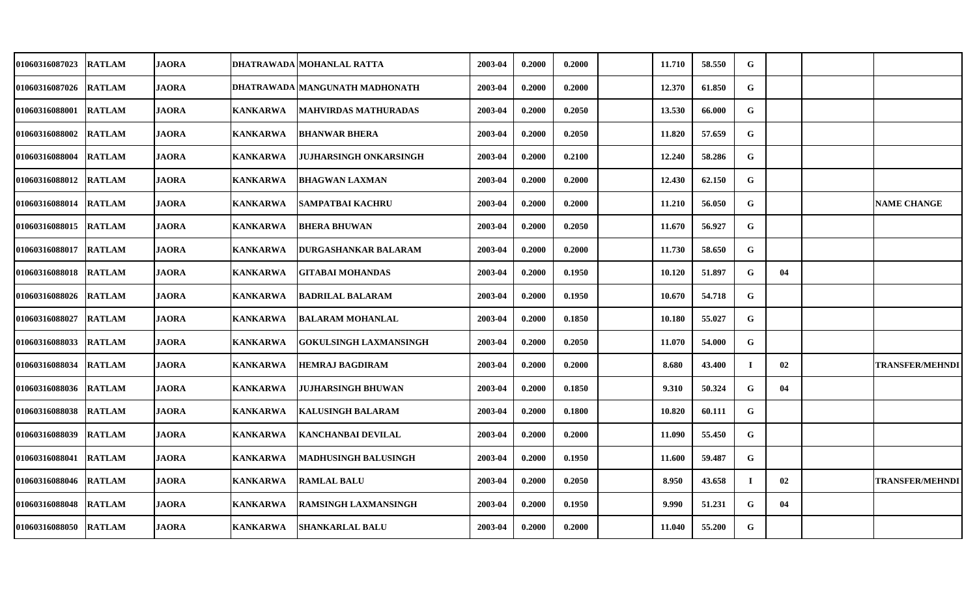| 01060316087023        | <b>RATLAM</b> | <b>JAORA</b> |                 | DHATRAWADA MOHANLAL RATTA      | 2003-04 | 0.2000 | 0.2000 | 11.710 | 58.550 | G           |    |                        |
|-----------------------|---------------|--------------|-----------------|--------------------------------|---------|--------|--------|--------|--------|-------------|----|------------------------|
| 01060316087026        | <b>RATLAM</b> | <b>JAORA</b> |                 | DHATRAWADA MANGUNATH MADHONATH | 2003-04 | 0.2000 | 0.2000 | 12.370 | 61.850 | $\mathbf G$ |    |                        |
| <b>01060316088001</b> | <b>RATLAM</b> | <b>JAORA</b> | KANKARWA        | <b>MAHVIRDAS MATHURADAS</b>    | 2003-04 | 0.2000 | 0.2050 | 13.530 | 66.000 | G           |    |                        |
| <b>01060316088002</b> | <b>RATLAM</b> | <b>JAORA</b> | <b>KANKARWA</b> | <b>BHANWAR BHERA</b>           | 2003-04 | 0.2000 | 0.2050 | 11.820 | 57.659 | G           |    |                        |
| <b>01060316088004</b> | <b>RATLAM</b> | <b>JAORA</b> | <b>KANKARWA</b> | JUJHARSINGH ONKARSINGH         | 2003-04 | 0.2000 | 0.2100 | 12.240 | 58.286 | G           |    |                        |
| 01060316088012        | <b>RATLAM</b> | <b>JAORA</b> | KANKARWA        | <b>BHAGWAN LAXMAN</b>          | 2003-04 | 0.2000 | 0.2000 | 12.430 | 62.150 | $\mathbf G$ |    |                        |
| 01060316088014        | <b>RATLAM</b> | <b>JAORA</b> | <b>KANKARWA</b> | SAMPATBAI KACHRU               | 2003-04 | 0.2000 | 0.2000 | 11.210 | 56.050 | G           |    | <b>NAME CHANGE</b>     |
| 01060316088015        | <b>RATLAM</b> | <b>JAORA</b> | <b>KANKARWA</b> | <b>BHERA BHUWAN</b>            | 2003-04 | 0.2000 | 0.2050 | 11.670 | 56.927 | G           |    |                        |
| 01060316088017        | <b>RATLAM</b> | <b>JAORA</b> | <b>KANKARWA</b> | DURGASHANKAR BALARAM           | 2003-04 | 0.2000 | 0.2000 | 11.730 | 58.650 | G           |    |                        |
| 01060316088018        | <b>RATLAM</b> | <b>JAORA</b> | <b>KANKARWA</b> | <b>GITABAI MOHANDAS</b>        | 2003-04 | 0.2000 | 0.1950 | 10.120 | 51.897 | G           | 04 |                        |
| <b>01060316088026</b> | <b>RATLAM</b> | <b>JAORA</b> | <b>KANKARWA</b> | <b>BADRILAL BALARAM</b>        | 2003-04 | 0.2000 | 0.1950 | 10.670 | 54.718 | G           |    |                        |
| <b>01060316088027</b> | <b>RATLAM</b> | <b>JAORA</b> | KANKARWA        | <b>BALARAM MOHANLAL</b>        | 2003-04 | 0.2000 | 0.1850 | 10.180 | 55.027 | G           |    |                        |
| 01060316088033        | <b>RATLAM</b> | <b>JAORA</b> | <b>KANKARWA</b> | <b>GOKULSINGH LAXMANSINGH</b>  | 2003-04 | 0.2000 | 0.2050 | 11.070 | 54.000 | G           |    |                        |
| 01060316088034        | <b>RATLAM</b> | <b>JAORA</b> | <b>KANKARWA</b> | HEMRAJ BAGDIRAM                | 2003-04 | 0.2000 | 0.2000 | 8.680  | 43.400 | $\bf{l}$    | 02 | <b>TRANSFER/MEHNDI</b> |
| 01060316088036        | <b>RATLAM</b> | <b>JAORA</b> | <b>KANKARWA</b> | <b>JUJHARSINGH BHUWAN</b>      | 2003-04 | 0.2000 | 0.1850 | 9.310  | 50.324 | G           | 04 |                        |
| 01060316088038        | <b>RATLAM</b> | <b>JAORA</b> | <b>KANKARWA</b> | KALUSINGH BALARAM              | 2003-04 | 0.2000 | 0.1800 | 10.820 | 60.111 | G           |    |                        |
| 01060316088039        | <b>RATLAM</b> | <b>JAORA</b> | <b>KANKARWA</b> | <b>KANCHANBAI DEVILAL</b>      | 2003-04 | 0.2000 | 0.2000 | 11.090 | 55.450 | $\mathbf G$ |    |                        |
| 01060316088041        | <b>RATLAM</b> | <b>JAORA</b> | <b>KANKARWA</b> | MADHUSINGH BALUSINGH           | 2003-04 | 0.2000 | 0.1950 | 11.600 | 59.487 | ${\bf G}$   |    |                        |
| 01060316088046        | <b>RATLAM</b> | <b>JAORA</b> | <b>KANKARWA</b> | <b>RAMLAL BALU</b>             | 2003-04 | 0.2000 | 0.2050 | 8.950  | 43.658 | -1          | 02 | <b>TRANSFER/MEHNDI</b> |
| 01060316088048        | <b>RATLAM</b> | <b>JAORA</b> | <b>KANKARWA</b> | <b>RAMSINGH LAXMANSINGH</b>    | 2003-04 | 0.2000 | 0.1950 | 9.990  | 51.231 | G           | 04 |                        |
| <b>01060316088050</b> | <b>RATLAM</b> | <b>JAORA</b> | KANKARWA        | <b>SHANKARLAL BALU</b>         | 2003-04 | 0.2000 | 0.2000 | 11.040 | 55.200 | G           |    |                        |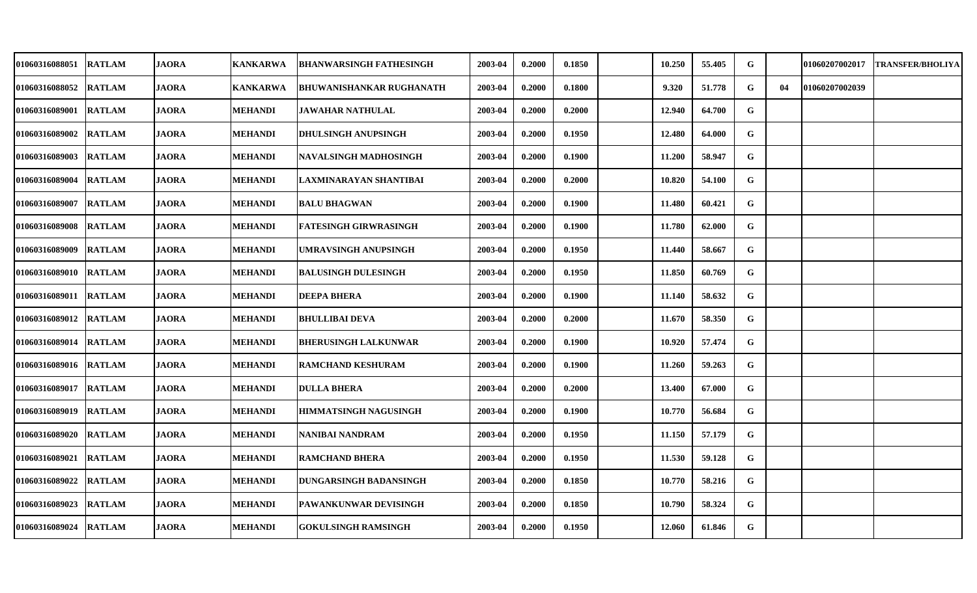| 01060316088051        | <b>RATLAM</b> | <b>JAORA</b> | <b>KANKARWA</b> | <b>BHANWARSINGH FATHESINGH</b>  | 2003-04 | 0.2000 | 0.1850 | 10.250 | 55.405 | G |    | 01060207002017 | <b>TRANSFER/BHOLIYA</b> |
|-----------------------|---------------|--------------|-----------------|---------------------------------|---------|--------|--------|--------|--------|---|----|----------------|-------------------------|
| <b>01060316088052</b> | <b>RATLAM</b> | <b>JAORA</b> | <b>KANKARWA</b> | <b>BHUWANISHANKAR RUGHANATH</b> | 2003-04 | 0.2000 | 0.1800 | 9.320  | 51.778 | G | 04 | 01060207002039 |                         |
| <b>01060316089001</b> | <b>RATLAM</b> | <b>JAORA</b> | <b>MEHANDI</b>  | <b>JAWAHAR NATHULAL</b>         | 2003-04 | 0.2000 | 0.2000 | 12.940 | 64.700 | G |    |                |                         |
| <b>01060316089002</b> | <b>RATLAM</b> | <b>JAORA</b> | <b>MEHANDI</b>  | <b>DHULSINGH ANUPSINGH</b>      | 2003-04 | 0.2000 | 0.1950 | 12.480 | 64.000 | G |    |                |                         |
| <b>01060316089003</b> | <b>RATLAM</b> | <b>JAORA</b> | <b>MEHANDI</b>  | NAVALSINGH MADHOSINGH           | 2003-04 | 0.2000 | 0.1900 | 11.200 | 58.947 | G |    |                |                         |
| 01060316089004        | <b>RATLAM</b> | <b>JAORA</b> | <b>MEHANDI</b>  | LAXMINARAYAN SHANTIBAI          | 2003-04 | 0.2000 | 0.2000 | 10.820 | 54.100 | G |    |                |                         |
| <b>01060316089007</b> | <b>RATLAM</b> | <b>JAORA</b> | <b>MEHANDI</b>  | <b>BALU BHAGWAN</b>             | 2003-04 | 0.2000 | 0.1900 | 11.480 | 60.421 | G |    |                |                         |
| 01060316089008        | <b>RATLAM</b> | <b>JAORA</b> | <b>MEHANDI</b>  | FATESINGH GIRWRASINGH           | 2003-04 | 0.2000 | 0.1900 | 11.780 | 62.000 | G |    |                |                         |
| 01060316089009        | <b>RATLAM</b> | <b>JAORA</b> | MEHANDI         | UMRAVSINGH ANUPSINGH            | 2003-04 | 0.2000 | 0.1950 | 11.440 | 58.667 | G |    |                |                         |
| 01060316089010        | <b>RATLAM</b> | <b>JAORA</b> | <b>MEHANDI</b>  | <b>BALUSINGH DULESINGH</b>      | 2003-04 | 0.2000 | 0.1950 | 11.850 | 60.769 | G |    |                |                         |
| <b>01060316089011</b> | <b>RATLAM</b> | <b>JAORA</b> | <b>MEHANDI</b>  | <b>DEEPA BHERA</b>              | 2003-04 | 0.2000 | 0.1900 | 11.140 | 58.632 | G |    |                |                         |
| <b>01060316089012</b> | <b>RATLAM</b> | <b>JAORA</b> | <b>MEHANDI</b>  | <b>BHULLIBAI DEVA</b>           | 2003-04 | 0.2000 | 0.2000 | 11.670 | 58.350 | G |    |                |                         |
| 01060316089014        | <b>RATLAM</b> | <b>JAORA</b> | <b>MEHANDI</b>  | <b>BHERUSINGH LALKUNWAR</b>     | 2003-04 | 0.2000 | 0.1900 | 10.920 | 57.474 | G |    |                |                         |
| <b>01060316089016</b> | <b>RATLAM</b> | <b>JAORA</b> | <b>MEHANDI</b>  | RAMCHAND KESHURAM               | 2003-04 | 0.2000 | 0.1900 | 11.260 | 59.263 | G |    |                |                         |
| 01060316089017        | <b>RATLAM</b> | <b>JAORA</b> | <b>MEHANDI</b>  | <b>DULLA BHERA</b>              | 2003-04 | 0.2000 | 0.2000 | 13.400 | 67.000 | G |    |                |                         |
| 01060316089019        | <b>RATLAM</b> | <b>JAORA</b> | <b>MEHANDI</b>  | <b>HIMMATSINGH NAGUSINGH</b>    | 2003-04 | 0.2000 | 0.1900 | 10.770 | 56.684 | G |    |                |                         |
| <b>01060316089020</b> | <b>RATLAM</b> | <b>JAORA</b> | <b>MEHANDI</b>  | NANIBAI NANDRAM                 | 2003-04 | 0.2000 | 0.1950 | 11.150 | 57.179 | G |    |                |                         |
| 01060316089021        | <b>RATLAM</b> | <b>JAORA</b> | <b>MEHANDI</b>  | <b>RAMCHAND BHERA</b>           | 2003-04 | 0.2000 | 0.1950 | 11.530 | 59.128 | G |    |                |                         |
| 01060316089022        | <b>RATLAM</b> | <b>JAORA</b> | <b>MEHANDI</b>  | <b>DUNGARSINGH BADANSINGH</b>   | 2003-04 | 0.2000 | 0.1850 | 10.770 | 58.216 | G |    |                |                         |
| <b>01060316089023</b> | <b>RATLAM</b> | <b>JAORA</b> | <b>MEHANDI</b>  | PAWANKUNWAR DEVISINGH           | 2003-04 | 0.2000 | 0.1850 | 10.790 | 58.324 | G |    |                |                         |
| 01060316089024        | <b>RATLAM</b> | <b>JAORA</b> | <b>MEHANDI</b>  | <b>GOKULSINGH RAMSINGH</b>      | 2003-04 | 0.2000 | 0.1950 | 12.060 | 61.846 | G |    |                |                         |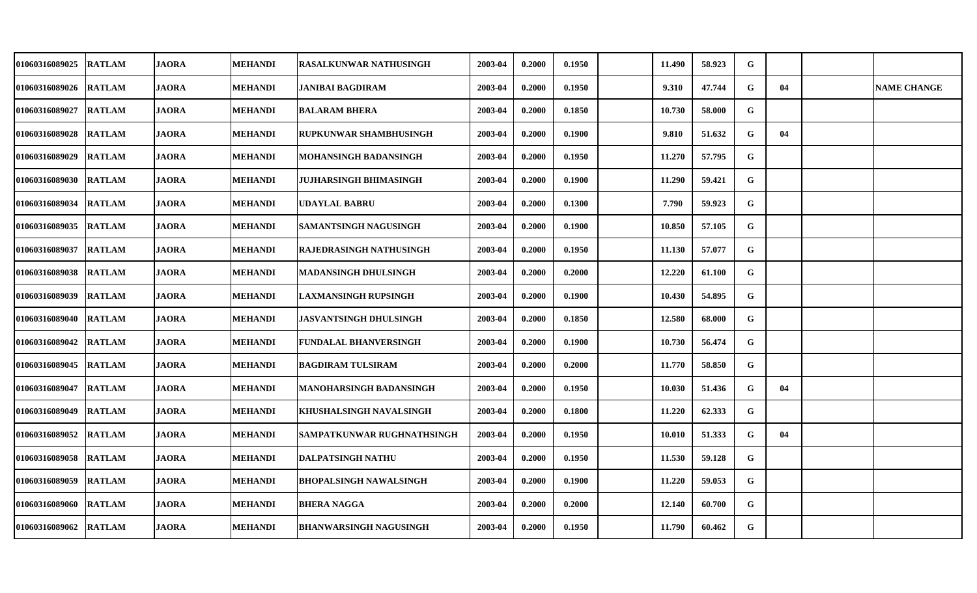| <b>01060316089025</b> | <b>RATLAM</b> | <b>JAORA</b> | <b>MEHANDI</b> | <b>RASALKUNWAR NATHUSINGH</b>  | 2003-04 | 0.2000 | 0.1950 | 11.490 | 58.923 | G           |    |                    |
|-----------------------|---------------|--------------|----------------|--------------------------------|---------|--------|--------|--------|--------|-------------|----|--------------------|
| 01060316089026        | <b>RATLAM</b> | <b>JAORA</b> | <b>MEHANDI</b> | <b>JANIBAI BAGDIRAM</b>        | 2003-04 | 0.2000 | 0.1950 | 9.310  | 47.744 | G           | 04 | <b>NAME CHANGE</b> |
| <b>01060316089027</b> | <b>RATLAM</b> | <b>JAORA</b> | <b>MEHANDI</b> | <b>BALARAM BHERA</b>           | 2003-04 | 0.2000 | 0.1850 | 10.730 | 58.000 | G           |    |                    |
| 01060316089028        | <b>RATLAM</b> | <b>JAORA</b> | <b>MEHANDI</b> | RUPKUNWAR SHAMBHUSINGH         | 2003-04 | 0.2000 | 0.1900 | 9.810  | 51.632 | G           | 04 |                    |
| 01060316089029        | <b>RATLAM</b> | <b>JAORA</b> | <b>MEHANDI</b> | MOHANSINGH BADANSINGH          | 2003-04 | 0.2000 | 0.1950 | 11.270 | 57.795 | G           |    |                    |
| 01060316089030        | <b>RATLAM</b> | <b>JAORA</b> | <b>MEHANDI</b> | <b>JUJHARSINGH BHIMASINGH</b>  | 2003-04 | 0.2000 | 0.1900 | 11.290 | 59.421 | G           |    |                    |
| 01060316089034        | <b>RATLAM</b> | <b>JAORA</b> | <b>MEHANDI</b> | UDAYLAL BABRU                  | 2003-04 | 0.2000 | 0.1300 | 7.790  | 59.923 | G           |    |                    |
| 01060316089035        | <b>RATLAM</b> | <b>JAORA</b> | <b>MEHANDI</b> | SAMANTSINGH NAGUSINGH          | 2003-04 | 0.2000 | 0.1900 | 10.850 | 57.105 | $\mathbf G$ |    |                    |
| 01060316089037        | <b>RATLAM</b> | <b>JAORA</b> | <b>MEHANDI</b> | <b>RAJEDRASINGH NATHUSINGH</b> | 2003-04 | 0.2000 | 0.1950 | 11.130 | 57.077 | G           |    |                    |
| 01060316089038        | <b>RATLAM</b> | <b>JAORA</b> | <b>MEHANDI</b> | MADANSINGH DHULSINGH           | 2003-04 | 0.2000 | 0.2000 | 12.220 | 61.100 | G           |    |                    |
| 01060316089039        | <b>RATLAM</b> | <b>JAORA</b> | <b>MEHANDI</b> | <b>LAXMANSINGH RUPSINGH</b>    | 2003-04 | 0.2000 | 0.1900 | 10.430 | 54.895 | G           |    |                    |
| <b>01060316089040</b> | <b>RATLAM</b> | <b>JAORA</b> | <b>MEHANDI</b> | JASVANTSINGH DHULSINGH         | 2003-04 | 0.2000 | 0.1850 | 12.580 | 68.000 | G           |    |                    |
| 01060316089042        | <b>RATLAM</b> | <b>JAORA</b> | <b>MEHANDI</b> | FUNDALAL BHANVERSINGH          | 2003-04 | 0.2000 | 0.1900 | 10.730 | 56.474 | G           |    |                    |
| <b>01060316089045</b> | <b>RATLAM</b> | <b>JAORA</b> | <b>MEHANDI</b> | <b>BAGDIRAM TULSIRAM</b>       | 2003-04 | 0.2000 | 0.2000 | 11.770 | 58.850 | G           |    |                    |
| 01060316089047        | <b>RATLAM</b> | <b>JAORA</b> | <b>MEHANDI</b> | <b>MANOHARSINGH BADANSINGH</b> | 2003-04 | 0.2000 | 0.1950 | 10.030 | 51.436 | G           | 04 |                    |
| 01060316089049        | <b>RATLAM</b> | <b>JAORA</b> | <b>MEHANDI</b> | KHUSHALSINGH NAVALSINGH        | 2003-04 | 0.2000 | 0.1800 | 11.220 | 62.333 | G           |    |                    |
| 01060316089052        | <b>RATLAM</b> | <b>JAORA</b> | <b>MEHANDI</b> | SAMPATKUNWAR RUGHNATHSINGH     | 2003-04 | 0.2000 | 0.1950 | 10.010 | 51.333 | G           | 04 |                    |
| 01060316089058        | <b>RATLAM</b> | <b>JAORA</b> | <b>MEHANDI</b> | <b>DALPATSINGH NATHU</b>       | 2003-04 | 0.2000 | 0.1950 | 11.530 | 59.128 | G           |    |                    |
| 01060316089059        | <b>RATLAM</b> | <b>JAORA</b> | <b>MEHANDI</b> | BHOPALSINGH NAWALSINGH         | 2003-04 | 0.2000 | 0.1900 | 11.220 | 59.053 | G           |    |                    |
| 01060316089060        | <b>RATLAM</b> | <b>JAORA</b> | <b>MEHANDI</b> | <b>BHERA NAGGA</b>             | 2003-04 | 0.2000 | 0.2000 | 12.140 | 60.700 | G           |    |                    |
| 01060316089062        | <b>RATLAM</b> | <b>JAORA</b> | <b>MEHANDI</b> | <b>BHANWARSINGH NAGUSINGH</b>  | 2003-04 | 0.2000 | 0.1950 | 11.790 | 60.462 | G           |    |                    |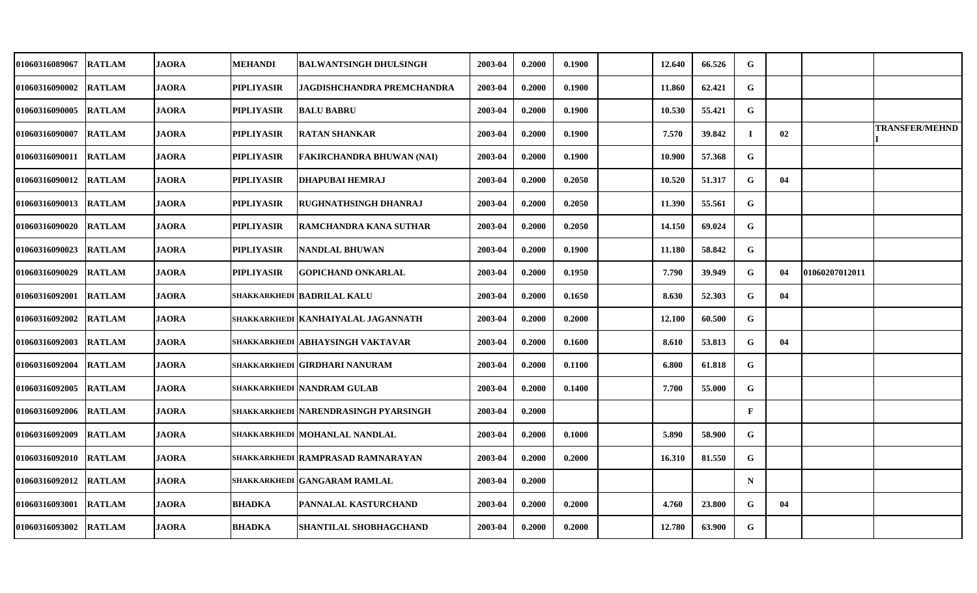| 01060316089067        | <b>RATLAM</b> | <b>JAORA</b> | <b>MEHANDI</b>    | BALWANTSINGH DHULSINGH                 | 2003-04 | 0.2000 | 0.1900 | 12.640 | 66.526 | G            |    |                |                       |
|-----------------------|---------------|--------------|-------------------|----------------------------------------|---------|--------|--------|--------|--------|--------------|----|----------------|-----------------------|
| 01060316090002        | <b>RATLAM</b> | <b>JAORA</b> | <b>PIPLIYASIR</b> | JAGDISHCHANDRA PREMCHANDRA             | 2003-04 | 0.2000 | 0.1900 | 11.860 | 62.421 | G            |    |                |                       |
| <b>01060316090005</b> | <b>RATLAM</b> | <b>JAORA</b> | <b>PIPLIYASIR</b> | <b>BALU BABRU</b>                      | 2003-04 | 0.2000 | 0.1900 | 10.530 | 55.421 | G            |    |                |                       |
| 01060316090007        | <b>RATLAM</b> | <b>JAORA</b> | <b>PIPLIYASIR</b> | <b>RATAN SHANKAR</b>                   | 2003-04 | 0.2000 | 0.1900 | 7.570  | 39.842 | $\bf{I}$     | 02 |                | <b>TRANSFER/MEHND</b> |
| 01060316090011        | <b>RATLAM</b> | <b>JAORA</b> | <b>PIPLIYASIR</b> | <b>FAKIRCHANDRA BHUWAN (NAI)</b>       | 2003-04 | 0.2000 | 0.1900 | 10.900 | 57.368 | G            |    |                |                       |
| <b>01060316090012</b> | <b>RATLAM</b> | <b>JAORA</b> | <b>PIPLIYASIR</b> | <b>DHAPUBAI HEMRAJ</b>                 | 2003-04 | 0.2000 | 0.2050 | 10.520 | 51.317 | G            | 04 |                |                       |
| <b>01060316090013</b> | <b>RATLAM</b> | <b>JAORA</b> | <b>PIPLIYASIR</b> | <b>RUGHNATHSINGH DHANRAJ</b>           | 2003-04 | 0.2000 | 0.2050 | 11.390 | 55.561 | G            |    |                |                       |
| <b>01060316090020</b> | <b>RATLAM</b> | <b>JAORA</b> | <b>PIPLIYASIR</b> | <b>RAMCHANDRA KANA SUTHAR</b>          | 2003-04 | 0.2000 | 0.2050 | 14.150 | 69.024 | G            |    |                |                       |
| 01060316090023        | <b>RATLAM</b> | <b>JAORA</b> | <b>PIPLIYASIR</b> | NANDLAL BHUWAN                         | 2003-04 | 0.2000 | 0.1900 | 11.180 | 58.842 | G            |    |                |                       |
| 01060316090029        | <b>RATLAM</b> | <b>JAORA</b> | <b>PIPLIYASIR</b> | <b>GOPICHAND ONKARLAL</b>              | 2003-04 | 0.2000 | 0.1950 | 7.790  | 39.949 | G            | 04 | 01060207012011 |                       |
| 01060316092001        | <b>RATLAM</b> | <b>JAORA</b> |                   | <b>SHAKKARKHEDI BADRILAL KALU</b>      | 2003-04 | 0.2000 | 0.1650 | 8.630  | 52.303 | G            | 04 |                |                       |
| <b>01060316092002</b> | <b>RATLAM</b> | <b>JAORA</b> |                   | SHAKKARKHEDI   KANHAIYALAL JAGANNATH   | 2003-04 | 0.2000 | 0.2000 | 12.100 | 60.500 | G            |    |                |                       |
| 01060316092003        | <b>RATLAM</b> | <b>JAORA</b> |                   | SHAKKARKHEDI ABHAYSINGH VAKTAVAR       | 2003-04 | 0.2000 | 0.1600 | 8.610  | 53.813 | G            | 04 |                |                       |
| 01060316092004        | <b>RATLAM</b> | <b>JAORA</b> |                   | <b>SHAKKARKHEDI GIRDHARI NANURAM</b>   | 2003-04 | 0.2000 | 0.1100 | 6.800  | 61.818 | G            |    |                |                       |
| <b>01060316092005</b> | <b>RATLAM</b> | <b>JAORA</b> |                   | <b>SHAKKARKHEDI NANDRAM GULAB</b>      | 2003-04 | 0.2000 | 0.1400 | 7.700  | 55.000 | G            |    |                |                       |
| 01060316092006        | <b>RATLAM</b> | <b>JAORA</b> |                   | SHAKKARKHEDI   NARENDRASINGH PYARSINGH | 2003-04 | 0.2000 |        |        |        | $\mathbf{F}$ |    |                |                       |
| 01060316092009        | <b>RATLAM</b> | <b>JAORA</b> |                   | SHAKKARKHEDI MOHANLAL NANDLAL          | 2003-04 | 0.2000 | 0.1000 | 5.890  | 58.900 | G            |    |                |                       |
| 01060316092010        | <b>RATLAM</b> | <b>JAORA</b> |                   | SHAKKARKHEDI RAMPRASAD RAMNARAYAN      | 2003-04 | 0.2000 | 0.2000 | 16.310 | 81.550 | G            |    |                |                       |
| 01060316092012        | <b>RATLAM</b> | <b>JAORA</b> |                   | SHAKKARKHEDI GANGARAM RAMLAL           | 2003-04 | 0.2000 |        |        |        | $\mathbf N$  |    |                |                       |
| 01060316093001        | <b>RATLAM</b> | <b>JAORA</b> | <b>BHADKA</b>     | PANNALAL KASTURCHAND                   | 2003-04 | 0.2000 | 0.2000 | 4.760  | 23.800 | G            | 04 |                |                       |
| <b>01060316093002</b> | <b>RATLAM</b> | <b>JAORA</b> | <b>BHADKA</b>     | SHANTILAL SHOBHAGCHAND                 | 2003-04 | 0.2000 | 0.2000 | 12.780 | 63.900 | G            |    |                |                       |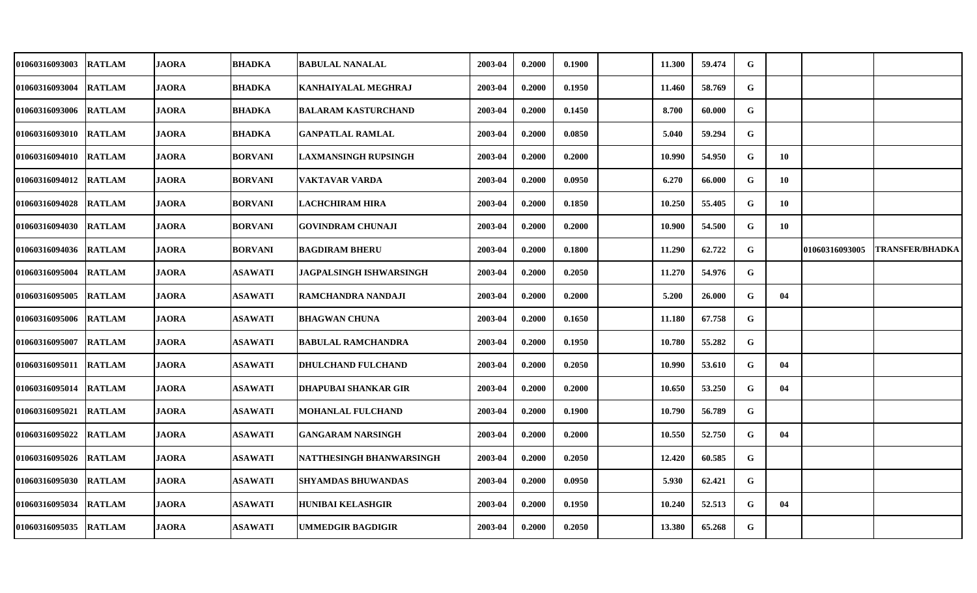| 01060316093003        | <b>RATLAM</b> | <b>JAORA</b> | <b>BHADKA</b>  | <b>BABULAL NANALAL</b>         | 2003-04 | 0.2000 | 0.1900 | 11.300 | 59.474 | G |    |                |                        |
|-----------------------|---------------|--------------|----------------|--------------------------------|---------|--------|--------|--------|--------|---|----|----------------|------------------------|
| 01060316093004        | <b>RATLAM</b> | <b>JAORA</b> | <b>BHADKA</b>  | KANHAIYALAL MEGHRAJ            | 2003-04 | 0.2000 | 0.1950 | 11.460 | 58.769 | G |    |                |                        |
| 01060316093006 RATLAM |               | <b>JAORA</b> | <b>BHADKA</b>  | <b>BALARAM KASTURCHAND</b>     | 2003-04 | 0.2000 | 0.1450 | 8.700  | 60.000 | G |    |                |                        |
| 01060316093010 RATLAM |               | <b>JAORA</b> | <b>BHADKA</b>  | <b>GANPATLAL RAMLAL</b>        | 2003-04 | 0.2000 | 0.0850 | 5.040  | 59.294 | G |    |                |                        |
| 01060316094010 RATLAM |               | <b>JAORA</b> | <b>BORVANI</b> | LAXMANSINGH RUPSINGH           | 2003-04 | 0.2000 | 0.2000 | 10.990 | 54.950 | G | 10 |                |                        |
| 01060316094012        | <b>RATLAM</b> | <b>JAORA</b> | <b>BORVANI</b> | <b>VAKTAVAR VARDA</b>          | 2003-04 | 0.2000 | 0.0950 | 6.270  | 66.000 | G | 10 |                |                        |
| 01060316094028        | <b>RATLAM</b> | <b>JAORA</b> | <b>BORVANI</b> | LACHCHIRAM HIRA                | 2003-04 | 0.2000 | 0.1850 | 10.250 | 55.405 | G | 10 |                |                        |
| 01060316094030 RATLAM |               | <b>JAORA</b> | <b>BORVANI</b> | <b>GOVINDRAM CHUNAJI</b>       | 2003-04 | 0.2000 | 0.2000 | 10.900 | 54.500 | G | 10 |                |                        |
| 01060316094036        | <b>RATLAM</b> | <b>JAORA</b> | <b>BORVANI</b> | <b>BAGDIRAM BHERU</b>          | 2003-04 | 0.2000 | 0.1800 | 11.290 | 62.722 | G |    | 01060316093005 | <b>TRANSFER/BHADKA</b> |
| 01060316095004        | <b>RATLAM</b> | <b>JAORA</b> | <b>ASAWATI</b> | <b>JAGPALSINGH ISHWARSINGH</b> | 2003-04 | 0.2000 | 0.2050 | 11.270 | 54.976 | G |    |                |                        |
| 01060316095005        | <b>RATLAM</b> | <b>JAORA</b> | <b>ASAWATI</b> | RAMCHANDRA NANDAJI             | 2003-04 | 0.2000 | 0.2000 | 5.200  | 26.000 | G | 04 |                |                        |
| 01060316095006 RATLAM |               | <b>JAORA</b> | <b>ASAWATI</b> | <b>BHAGWAN CHUNA</b>           | 2003-04 | 0.2000 | 0.1650 | 11.180 | 67.758 | G |    |                |                        |
| 01060316095007        | <b>RATLAM</b> | <b>JAORA</b> | <b>ASAWATI</b> | <b>BABULAL RAMCHANDRA</b>      | 2003-04 | 0.2000 | 0.1950 | 10.780 | 55.282 | G |    |                |                        |
| 01060316095011 RATLAM |               | <b>JAORA</b> | <b>ASAWATI</b> | <b>DHULCHAND FULCHAND</b>      | 2003-04 | 0.2000 | 0.2050 | 10.990 | 53.610 | G | 04 |                |                        |
| 01060316095014        | <b>RATLAM</b> | <b>JAORA</b> | <b>ASAWATI</b> | <b>DHAPUBAI SHANKAR GIR</b>    | 2003-04 | 0.2000 | 0.2000 | 10.650 | 53.250 | G | 04 |                |                        |
| 01060316095021 RATLAM |               | <b>JAORA</b> | <b>ASAWATI</b> | <b>MOHANLAL FULCHAND</b>       | 2003-04 | 0.2000 | 0.1900 | 10.790 | 56.789 | G |    |                |                        |
| 01060316095022        | <b>RATLAM</b> | <b>JAORA</b> | <b>ASAWATI</b> | <b>GANGARAM NARSINGH</b>       | 2003-04 | 0.2000 | 0.2000 | 10.550 | 52.750 | G | 04 |                |                        |
| 01060316095026        | <b>RATLAM</b> | <b>JAORA</b> | <b>ASAWATI</b> | NATTHESINGH BHANWARSINGH       | 2003-04 | 0.2000 | 0.2050 | 12.420 | 60.585 | G |    |                |                        |
| 01060316095030        | <b>RATLAM</b> | <b>JAORA</b> | <b>ASAWATI</b> | <b>SHYAMDAS BHUWANDAS</b>      | 2003-04 | 0.2000 | 0.0950 | 5.930  | 62.421 | G |    |                |                        |
| 01060316095034        | <b>RATLAM</b> | <b>JAORA</b> | <b>ASAWATI</b> | <b>HUNIBAI KELASHGIR</b>       | 2003-04 | 0.2000 | 0.1950 | 10.240 | 52.513 | G | 04 |                |                        |
| 01060316095035 RATLAM |               | <b>JAORA</b> | <b>ASAWATI</b> | <b>UMMEDGIR BAGDIGIR</b>       | 2003-04 | 0.2000 | 0.2050 | 13.380 | 65.268 | G |    |                |                        |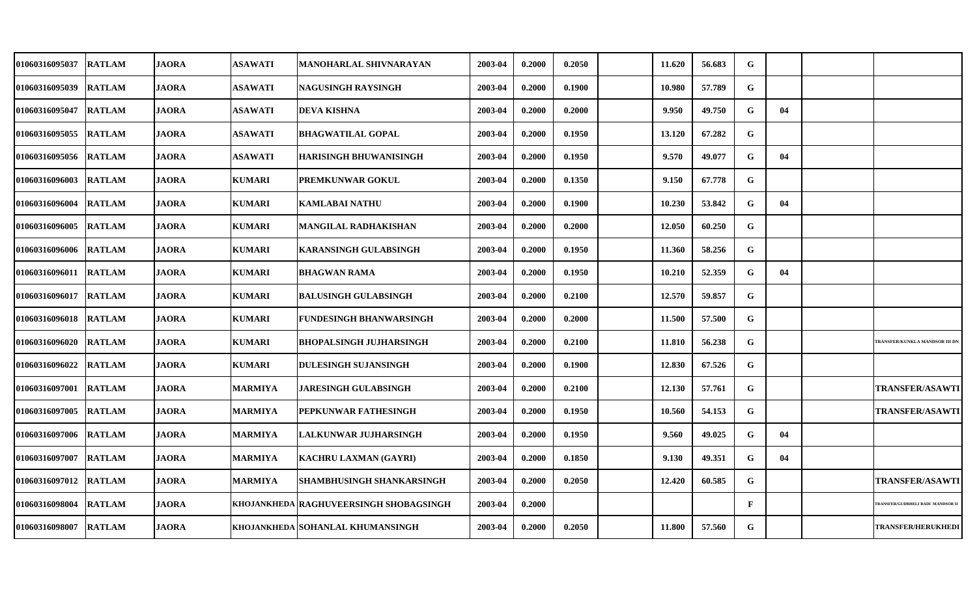| 01060316095037 | <b>RATLAM</b> | <b>JAORA</b> | <b>ASAWATI</b> | MANOHARLAL SHIVNARAYAN                 | 2003-04 | 0.2000 | 0.2050 | 11.620 | 56.683 | G            |    |                                  |
|----------------|---------------|--------------|----------------|----------------------------------------|---------|--------|--------|--------|--------|--------------|----|----------------------------------|
| 01060316095039 | <b>RATLAM</b> | <b>JAORA</b> | <b>ASAWATI</b> | NAGUSINGH RAYSINGH                     | 2003-04 | 0.2000 | 0.1900 | 10.980 | 57.789 | G            |    |                                  |
| 01060316095047 | <b>RATLAM</b> | <b>JAORA</b> | <b>ASAWATI</b> | <b>DEVA KISHNA</b>                     | 2003-04 | 0.2000 | 0.2000 | 9.950  | 49.750 | G            | 04 |                                  |
| 01060316095055 | <b>RATLAM</b> | <b>JAORA</b> | <b>ASAWATI</b> | <b>BHAGWATILAL GOPAL</b>               | 2003-04 | 0.2000 | 0.1950 | 13.120 | 67.282 | G            |    |                                  |
| 01060316095056 | <b>RATLAM</b> | <b>JAORA</b> | <b>ASAWATI</b> | <b>HARISINGH BHUWANISINGH</b>          | 2003-04 | 0.2000 | 0.1950 | 9.570  | 49.077 | G            | 04 |                                  |
| 01060316096003 | <b>RATLAM</b> | <b>JAORA</b> | <b>KUMARI</b>  | <b>PREMKUNWAR GOKUL</b>                | 2003-04 | 0.2000 | 0.1350 | 9.150  | 67.778 | G            |    |                                  |
| 01060316096004 | <b>RATLAM</b> | <b>JAORA</b> | <b>KUMARI</b>  | <b>KAMLABAI NATHU</b>                  | 2003-04 | 0.2000 | 0.1900 | 10.230 | 53.842 | G            | 04 |                                  |
| 01060316096005 | <b>RATLAM</b> | <b>JAORA</b> | <b>KUMARI</b>  | MANGILAL RADHAKISHAN                   | 2003-04 | 0.2000 | 0.2000 | 12.050 | 60.250 | G            |    |                                  |
| 01060316096006 | <b>RATLAM</b> | <b>JAORA</b> | <b>KUMARI</b>  | <b>KARANSINGH GULABSINGH</b>           | 2003-04 | 0.2000 | 0.1950 | 11.360 | 58.256 | G            |    |                                  |
| 01060316096011 | <b>RATLAM</b> | <b>JAORA</b> | <b>KUMARI</b>  | <b>BHAGWAN RAMA</b>                    | 2003-04 | 0.2000 | 0.1950 | 10.210 | 52.359 | G            | 04 |                                  |
| 01060316096017 | <b>RATLAM</b> | <b>JAORA</b> | <b>KUMARI</b>  | <b>BALUSINGH GULABSINGH</b>            | 2003-04 | 0.2000 | 0.2100 | 12.570 | 59.857 | G            |    |                                  |
| 01060316096018 | <b>RATLAM</b> | <b>JAORA</b> | <b>KUMARI</b>  | FUNDESINGH BHANWARSINGH                | 2003-04 | 0.2000 | 0.2000 | 11.500 | 57.500 | G            |    |                                  |
| 01060316096020 | <b>RATLAM</b> | <b>JAORA</b> | <b>KUMARI</b>  | <b>BHOPALSINGH JUJHARSINGH</b>         | 2003-04 | 0.2000 | 0.2100 | 11.810 | 56.238 | G            |    | TRANSFER/KUNKLA MANDSOR III DI   |
| 01060316096022 | <b>RATLAM</b> | <b>JAORA</b> | <b>KUMARI</b>  | <b>DULESINGH SUJANSINGH</b>            | 2003-04 | 0.2000 | 0.1900 | 12.830 | 67.526 | G            |    |                                  |
| 01060316097001 | <b>RATLAM</b> | <b>JAORA</b> | <b>MARMIYA</b> | JARESINGH GULABSINGH                   | 2003-04 | 0.2000 | 0.2100 | 12.130 | 57.761 | G            |    | <b>TRANSFER/ASAWTI</b>           |
| 01060316097005 | <b>RATLAM</b> | <b>JAORA</b> | <b>MARMIYA</b> | PEPKUNWAR FATHESINGH                   | 2003-04 | 0.2000 | 0.1950 | 10.560 | 54.153 | G            |    | <b>TRANSFER/ASAWTI</b>           |
| 01060316097006 | <b>RATLAM</b> | <b>JAORA</b> | <b>MARMIYA</b> | LALKUNWAR JUJHARSINGH                  | 2003-04 | 0.2000 | 0.1950 | 9.560  | 49.025 | G            | 04 |                                  |
| 01060316097007 | <b>RATLAM</b> | <b>JAORA</b> | <b>MARMIYA</b> | <b>KACHRU LAXMAN (GAYRI)</b>           | 2003-04 | 0.2000 | 0.1850 | 9.130  | 49.351 | G            | 04 |                                  |
| 01060316097012 | <b>RATLAM</b> | <b>JAORA</b> | <b>MARMIYA</b> | SHAMBHUSINGH SHANKARSINGH              | 2003-04 | 0.2000 | 0.2050 | 12.420 | 60.585 | G            |    | <b>TRANSFER/ASAWTI</b>           |
| 01060316098004 | <b>RATLAM</b> | <b>JAORA</b> |                | KHOJANKHEDA RAGHUVEERSINGH SHOBAGSINGH | 2003-04 | 0.2000 |        |        |        | $\mathbf{F}$ |    | TRANSFER/GUDBHELI BADI MANDSOR I |
| 01060316098007 | <b>RATLAM</b> | <b>JAORA</b> |                | KHOJANKHEDA SOHANLAL KHUMANSINGH       | 2003-04 | 0.2000 | 0.2050 | 11.800 | 57.560 | G            |    | <b>TRANSFER/HERUKHEDI</b>        |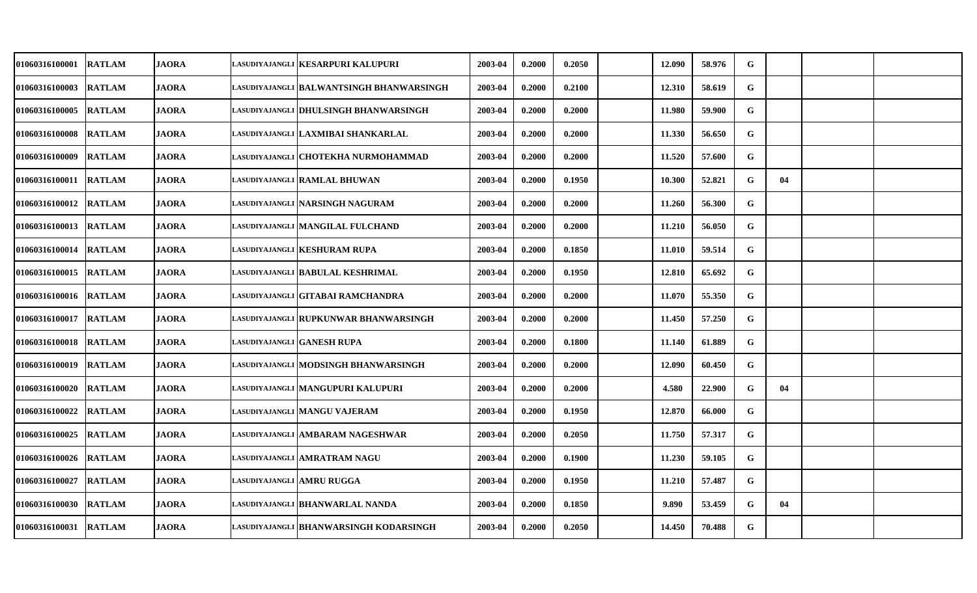| 01060316100001        | <b>RATLAM</b> | <b>JAORA</b> | LASUDIYAJANGLI KESARPURI KALUPURI        | 2003-04 | 0.2000 | 0.2050 | 12.090 | 58.976 | G           |    |  |
|-----------------------|---------------|--------------|------------------------------------------|---------|--------|--------|--------|--------|-------------|----|--|
| <b>01060316100003</b> | <b>RATLAM</b> | <b>JAORA</b> | LASUDIYAJANGLI BALWANTSINGH BHANWARSINGH | 2003-04 | 0.2000 | 0.2100 | 12.310 | 58.619 | G           |    |  |
| <b>01060316100005</b> | <b>RATLAM</b> | <b>JAORA</b> | lasudiyajangli  DHULSINGH BHANWARSINGH   | 2003-04 | 0.2000 | 0.2000 | 11.980 | 59.900 | G           |    |  |
| <b>01060316100008</b> | <b>RATLAM</b> | <b>JAORA</b> | LASUDIYAJANGLI   LAXMIBAI SHANKARLAL     | 2003-04 | 0.2000 | 0.2000 | 11.330 | 56.650 | ${\bf G}$   |    |  |
| <b>01060316100009</b> | <b>RATLAM</b> | <b>JAORA</b> | LASUDIYAJANGLI   CHOTEKHA NURMOHAMMAD    | 2003-04 | 0.2000 | 0.2000 | 11.520 | 57.600 | G           |    |  |
| 01060316100011        | <b>RATLAM</b> | <b>JAORA</b> | LASUDIYAJANGLI RAMLAL BHUWAN             | 2003-04 | 0.2000 | 0.1950 | 10.300 | 52.821 | G           | 04 |  |
| <b>01060316100012</b> | <b>RATLAM</b> | <b>JAORA</b> | LASUDIYAJANGLI NARSINGH NAGURAM          | 2003-04 | 0.2000 | 0.2000 | 11.260 | 56.300 | G           |    |  |
| 01060316100013        | <b>RATLAM</b> | <b>JAORA</b> | LASUDIYAJANGLI MANGILAL FULCHAND         | 2003-04 | 0.2000 | 0.2000 | 11.210 | 56.050 | G           |    |  |
| 01060316100014        | <b>RATLAM</b> | <b>JAORA</b> | LASUDIYAJANGLI KESHURAM RUPA             | 2003-04 | 0.2000 | 0.1850 | 11.010 | 59.514 | G           |    |  |
| 01060316100015        | <b>RATLAM</b> | <b>JAORA</b> | LASUDIYAJANGLI BABULAL KESHRIMAL         | 2003-04 | 0.2000 | 0.1950 | 12.810 | 65.692 | G           |    |  |
| 01060316100016        | <b>RATLAM</b> | <b>JAORA</b> | LASUDIYAJANGLI   GITABAI RAMCHANDRA      | 2003-04 | 0.2000 | 0.2000 | 11.070 | 55.350 | G           |    |  |
| <b>01060316100017</b> | <b>RATLAM</b> | <b>JAORA</b> | lasudiyajangli   RUPKUNWAR BHANWARSINGH  | 2003-04 | 0.2000 | 0.2000 | 11.450 | 57.250 | G           |    |  |
| <b>01060316100018</b> | <b>RATLAM</b> | <b>JAORA</b> | lasudiyajangli  GANESH RUPA              | 2003-04 | 0.2000 | 0.1800 | 11.140 | 61.889 | $\mathbf G$ |    |  |
| 01060316100019        | <b>RATLAM</b> | <b>JAORA</b> | LASUDIYAJANGLI  MODSINGH BHANWARSINGH    | 2003-04 | 0.2000 | 0.2000 | 12.090 | 60.450 | G           |    |  |
| 01060316100020        | <b>RATLAM</b> | <b>JAORA</b> | LASUDIYAJANGLI MANGUPURI KALUPURI        | 2003-04 | 0.2000 | 0.2000 | 4.580  | 22.900 | G           | 04 |  |
| <b>01060316100022</b> | <b>RATLAM</b> | <b>JAORA</b> | lasudiyajangli  MANGU VAJERAM            | 2003-04 | 0.2000 | 0.1950 | 12.870 | 66.000 | G           |    |  |
| 01060316100025        | <b>RATLAM</b> | <b>JAORA</b> | lasudiyajangli  ambaram nageshwar        | 2003-04 | 0.2000 | 0.2050 | 11.750 | 57.317 | G           |    |  |
| 01060316100026        | <b>RATLAM</b> | <b>JAORA</b> | LASUDIYAJANGLI   AMRATRAM NAGU           | 2003-04 | 0.2000 | 0.1900 | 11.230 | 59.105 | ${\bf G}$   |    |  |
| 01060316100027        | <b>RATLAM</b> | <b>JAORA</b> | LASUDIYAJANGLI AMRU RUGGA                | 2003-04 | 0.2000 | 0.1950 | 11.210 | 57.487 | G           |    |  |
| 01060316100030        | <b>RATLAM</b> | <b>JAORA</b> | LASUDIYAJANGLI BHANWARLAL NANDA          | 2003-04 | 0.2000 | 0.1850 | 9.890  | 53.459 | G           | 04 |  |
| <b>01060316100031</b> | <b>RATLAM</b> | <b>JAORA</b> | lasudiyajangli  BHANWARSINGH KODARSINGH  | 2003-04 | 0.2000 | 0.2050 | 14.450 | 70.488 | G           |    |  |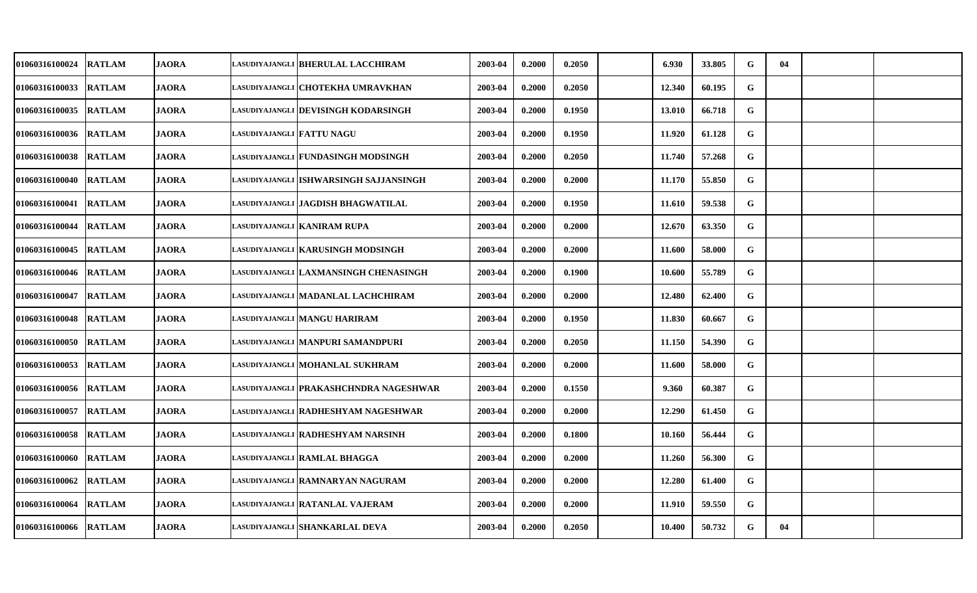| 01060316100024        | <b>RATLAM</b> | <b>JAORA</b> |                           | LASUDIYAJANGLI BHERULAL LACCHIRAM        | 2003-04 | 0.2000 | 0.2050 | 6.930  | 33.805 | G | 04 |  |
|-----------------------|---------------|--------------|---------------------------|------------------------------------------|---------|--------|--------|--------|--------|---|----|--|
| <b>01060316100033</b> | <b>RATLAM</b> | <b>JAORA</b> |                           | LASUDIYAJANGLI   CHOTEKHA UMRAVKHAN      | 2003-04 | 0.2000 | 0.2050 | 12.340 | 60.195 | G |    |  |
| <b>01060316100035</b> | <b>RATLAM</b> | <b>JAORA</b> |                           | lasudiyajangli  DEVISINGH KODARSINGH     | 2003-04 | 0.2000 | 0.1950 | 13.010 | 66.718 | G |    |  |
| <b>01060316100036</b> | <b>RATLAM</b> | <b>JAORA</b> | LASUDIYAJANGLI FATTU NAGU |                                          | 2003-04 | 0.2000 | 0.1950 | 11.920 | 61.128 | G |    |  |
| <b>01060316100038</b> | <b>RATLAM</b> | <b>JAORA</b> |                           | LASUDIYAJANGLI   FUNDASINGH MODSINGH     | 2003-04 | 0.2000 | 0.2050 | 11.740 | 57.268 | G |    |  |
| 01060316100040        | <b>RATLAM</b> | <b>JAORA</b> |                           | lasudiyajangli  ISHWARSINGH SAJJANSINGH  | 2003-04 | 0.2000 | 0.2000 | 11.170 | 55.850 | G |    |  |
| <b>01060316100041</b> | <b>RATLAM</b> | <b>JAORA</b> |                           | lasudiyajangli  JAGDISH BHAGWATILAL      | 2003-04 | 0.2000 | 0.1950 | 11.610 | 59.538 | G |    |  |
| 01060316100044        | <b>RATLAM</b> | <b>JAORA</b> |                           | LASUDIYAJANGLI KANIRAM RUPA              | 2003-04 | 0.2000 | 0.2000 | 12.670 | 63.350 | G |    |  |
| 01060316100045        | <b>RATLAM</b> | <b>JAORA</b> |                           | lasudiyajangli   KARUSINGH MODSINGH      | 2003-04 | 0.2000 | 0.2000 | 11.600 | 58.000 | G |    |  |
| 01060316100046        | <b>RATLAM</b> | <b>JAORA</b> |                           | lasudiyajangli  LAXMANSINGH CHENASINGH   | 2003-04 | 0.2000 | 0.1900 | 10.600 | 55.789 | G |    |  |
| <b>01060316100047</b> | <b>RATLAM</b> | <b>JAORA</b> |                           | LASUDIYAJANGLI   MADANLAL LACHCHIRAM     | 2003-04 | 0.2000 | 0.2000 | 12.480 | 62.400 | G |    |  |
| 01060316100048        | <b>RATLAM</b> | <b>JAORA</b> |                           | lasudiyajangli  MANGU HARIRAM            | 2003-04 | 0.2000 | 0.1950 | 11.830 | 60.667 | G |    |  |
| <b>01060316100050</b> | <b>RATLAM</b> | <b>JAORA</b> |                           | lasudiyajangli  MANPURI SAMANDPURI       | 2003-04 | 0.2000 | 0.2050 | 11.150 | 54.390 | G |    |  |
| <b>01060316100053</b> | <b>RATLAM</b> | <b>JAORA</b> |                           | lasudiyajangli  MOHANLAL SUKHRAM         | 2003-04 | 0.2000 | 0.2000 | 11.600 | 58.000 | G |    |  |
| 01060316100056        | <b>RATLAM</b> | <b>JAORA</b> |                           | lasudiyajangli   PRAKASHCHNDRA NAGESHWAR | 2003-04 | 0.2000 | 0.1550 | 9.360  | 60.387 | G |    |  |
| <b>01060316100057</b> | <b>RATLAM</b> | <b>JAORA</b> |                           | lasudiyajangli  RADHESHYAM NAGESHWAR     | 2003-04 | 0.2000 | 0.2000 | 12.290 | 61.450 | G |    |  |
| 01060316100058        | <b>RATLAM</b> | <b>JAORA</b> |                           | lasudiyajangli   RADHESHYAM NARSINH      | 2003-04 | 0.2000 | 0.1800 | 10.160 | 56.444 | G |    |  |
| 01060316100060        | <b>RATLAM</b> | <b>JAORA</b> |                           | LASUDIYAJANGLI RAMLAL BHAGGA             | 2003-04 | 0.2000 | 0.2000 | 11.260 | 56.300 | G |    |  |
| 01060316100062        | <b>RATLAM</b> | <b>JAORA</b> |                           | LASUDIYAJANGLI RAMNARYAN NAGURAM         | 2003-04 | 0.2000 | 0.2000 | 12.280 | 61.400 | G |    |  |
| <b>01060316100064</b> | <b>RATLAM</b> | <b>JAORA</b> |                           | lasudiyajangli  RATANLAL VAJERAM         | 2003-04 | 0.2000 | 0.2000 | 11.910 | 59.550 | G |    |  |
| 01060316100066        | <b>RATLAM</b> | <b>JAORA</b> |                           | lasudiyajangli   SHANKARLAL DEVA         | 2003-04 | 0.2000 | 0.2050 | 10.400 | 50.732 | G | 04 |  |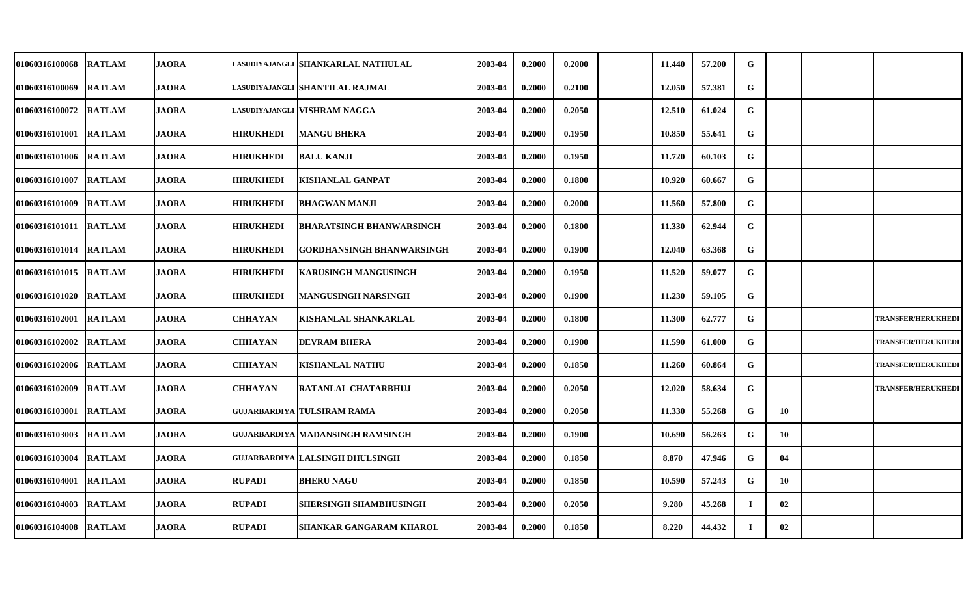| <b>01060316100068</b> | <b>RATLAM</b> | <b>JAORA</b> |                  | LASUDIYAJANGLI SHANKARLAL NATHULAL     | 2003-04 | 0.2000 | 0.2000 | 11.440 | 57.200 | G  |    |                           |
|-----------------------|---------------|--------------|------------------|----------------------------------------|---------|--------|--------|--------|--------|----|----|---------------------------|
| 01060316100069        | <b>RATLAM</b> | <b>JAORA</b> |                  | LASUDIYAJANGLI SHANTILAL RAJMAL        | 2003-04 | 0.2000 | 0.2100 | 12.050 | 57.381 | G  |    |                           |
| <b>01060316100072</b> | <b>RATLAM</b> | <b>JAORA</b> |                  | LASUDIYAJANGLI VISHRAM NAGGA           | 2003-04 | 0.2000 | 0.2050 | 12.510 | 61.024 | G  |    |                           |
| <b>01060316101001</b> | <b>RATLAM</b> | <b>JAORA</b> | <b>HIRUKHEDI</b> | <b>MANGU BHERA</b>                     | 2003-04 | 0.2000 | 0.1950 | 10.850 | 55.641 | G  |    |                           |
| <b>01060316101006</b> | <b>RATLAM</b> | <b>JAORA</b> | <b>HIRUKHEDI</b> | <b>BALU KANJI</b>                      | 2003-04 | 0.2000 | 0.1950 | 11.720 | 60.103 | G  |    |                           |
| <b>01060316101007</b> | <b>RATLAM</b> | <b>JAORA</b> | <b>HIRUKHEDI</b> | <b>KISHANLAL GANPAT</b>                | 2003-04 | 0.2000 | 0.1800 | 10.920 | 60.667 | G  |    |                           |
| 01060316101009        | <b>RATLAM</b> | JAORA        | <b>HIRUKHEDI</b> | <b>BHAGWAN MANJI</b>                   | 2003-04 | 0.2000 | 0.2000 | 11.560 | 57.800 | G  |    |                           |
| 01060316101011        | <b>RATLAM</b> | <b>JAORA</b> | <b>HIRUKHEDI</b> | BHARATSINGH BHANWARSINGH               | 2003-04 | 0.2000 | 0.1800 | 11.330 | 62.944 | G  |    |                           |
| <b>01060316101014</b> | <b>RATLAM</b> | <b>JAORA</b> | <b>HIRUKHEDI</b> | GORDHANSINGH BHANWARSINGH              | 2003-04 | 0.2000 | 0.1900 | 12.040 | 63.368 | G  |    |                           |
| 01060316101015        | <b>RATLAM</b> | <b>JAORA</b> | <b>HIRUKHEDI</b> | <b>KARUSINGH MANGUSINGH</b>            | 2003-04 | 0.2000 | 0.1950 | 11.520 | 59.077 | G  |    |                           |
| <b>01060316101020</b> | <b>RATLAM</b> | <b>JAORA</b> | <b>HIRUKHEDI</b> | MANGUSINGH NARSINGH                    | 2003-04 | 0.2000 | 0.1900 | 11.230 | 59.105 | G  |    |                           |
| <b>01060316102001</b> | <b>RATLAM</b> | <b>JAORA</b> | <b>CHHAYAN</b>   | KISHANLAL SHANKARLAL                   | 2003-04 | 0.2000 | 0.1800 | 11.300 | 62.777 | G  |    | <b>TRANSFER/HERUKHEDI</b> |
| 01060316102002        | <b>RATLAM</b> | <b>JAORA</b> | <b>CHHAYAN</b>   | <b>DEVRAM BHERA</b>                    | 2003-04 | 0.2000 | 0.1900 | 11.590 | 61.000 | G  |    | <b>TRANSFER/HERUKHEDI</b> |
| <b>01060316102006</b> | <b>RATLAM</b> | <b>JAORA</b> | <b>CHHAYAN</b>   | <b>KISHANLAL NATHU</b>                 | 2003-04 | 0.2000 | 0.1850 | 11.260 | 60.864 | G  |    | <b>TRANSFER/HERUKHEDI</b> |
| 01060316102009        | <b>RATLAM</b> | <b>JAORA</b> | <b>CHHAYAN</b>   | <b>RATANLAL CHATARBHUJ</b>             | 2003-04 | 0.2000 | 0.2050 | 12.020 | 58.634 | G  |    | <b>TRANSFER/HERUKHEDI</b> |
| <b>01060316103001</b> | <b>RATLAM</b> | <b>JAORA</b> |                  | <b>GUJARBARDIYA TULSIRAM RAMA</b>      | 2003-04 | 0.2000 | 0.2050 | 11.330 | 55.268 | G  | 10 |                           |
| 01060316103003        | <b>RATLAM</b> | <b>JAORA</b> |                  | GUJARBARDIYA MADANSINGH RAMSINGH       | 2003-04 | 0.2000 | 0.1900 | 10.690 | 56.263 | G  | 10 |                           |
| 01060316103004        | <b>RATLAM</b> | JAORA        |                  | <b>GUJARBARDIYA LALSINGH DHULSINGH</b> | 2003-04 | 0.2000 | 0.1850 | 8.870  | 47.946 | G  | 04 |                           |
| 01060316104001        | <b>RATLAM</b> | <b>JAORA</b> | <b>RUPADI</b>    | <b>BHERU NAGU</b>                      | 2003-04 | 0.2000 | 0.1850 | 10.590 | 57.243 | G  | 10 |                           |
| 01060316104003        | <b>RATLAM</b> | <b>JAORA</b> | <b>RUPADI</b>    | SHERSINGH SHAMBHUSINGH                 | 2003-04 | 0.2000 | 0.2050 | 9.280  | 45.268 |    | 02 |                           |
| <b>01060316104008</b> | <b>RATLAM</b> | <b>JAORA</b> | <b>RUPADI</b>    | <b>SHANKAR GANGARAM KHAROL</b>         | 2003-04 | 0.2000 | 0.1850 | 8.220  | 44.432 | Т. | 02 |                           |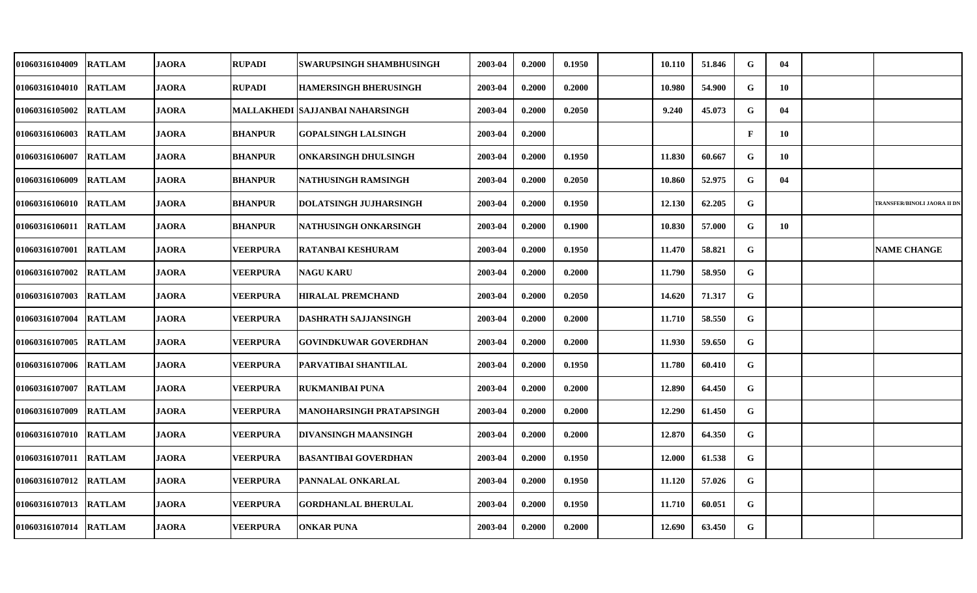| 01060316104009        | <b>RATLAM</b> | <b>JAORA</b> | <b>RUPADI</b>   | SWARUPSINGH SHAMBHUSINGH         | 2003-04 | 0.2000 | 0.1950 | 10.110 | 51.846 | G            | 04 |                                    |
|-----------------------|---------------|--------------|-----------------|----------------------------------|---------|--------|--------|--------|--------|--------------|----|------------------------------------|
| <b>01060316104010</b> | <b>RATLAM</b> | <b>JAORA</b> | <b>RUPADI</b>   | <b>HAMERSINGH BHERUSINGH</b>     | 2003-04 | 0.2000 | 0.2000 | 10.980 | 54.900 | G            | 10 |                                    |
| <b>01060316105002</b> | <b>RATLAM</b> | <b>JAORA</b> |                 | MALLAKHEDI  SAJJANBAI NAHARSINGH | 2003-04 | 0.2000 | 0.2050 | 9.240  | 45.073 | G            | 04 |                                    |
| 01060316106003        | <b>RATLAM</b> | <b>JAORA</b> | <b>BHANPUR</b>  | <b>GOPALSINGH LALSINGH</b>       | 2003-04 | 0.2000 |        |        |        | $\mathbf{F}$ | 10 |                                    |
| <b>01060316106007</b> | <b>RATLAM</b> | <b>JAORA</b> | <b>BHANPUR</b>  | ONKARSINGH DHULSINGH             | 2003-04 | 0.2000 | 0.1950 | 11.830 | 60.667 | G            | 10 |                                    |
| 01060316106009        | <b>RATLAM</b> | <b>JAORA</b> | <b>BHANPUR</b>  | NATHUSINGH RAMSINGH              | 2003-04 | 0.2000 | 0.2050 | 10.860 | 52.975 | G            | 04 |                                    |
| <b>01060316106010</b> | <b>RATLAM</b> | <b>JAORA</b> | <b>BHANPUR</b>  | DOLATSINGH JUJHARSINGH           | 2003-04 | 0.2000 | 0.1950 | 12.130 | 62.205 | G            |    | <b>TRANSFER/BINOLI JAORA II DN</b> |
| 01060316106011        | <b>RATLAM</b> | <b>JAORA</b> | <b>BHANPUR</b>  | NATHUSINGH ONKARSINGH            | 2003-04 | 0.2000 | 0.1900 | 10.830 | 57.000 | G            | 10 |                                    |
| 01060316107001        | <b>RATLAM</b> | <b>JAORA</b> | VEERPURA        | RATANBAI KESHURAM                | 2003-04 | 0.2000 | 0.1950 | 11.470 | 58.821 | G            |    | <b>NAME CHANGE</b>                 |
| 01060316107002        | <b>RATLAM</b> | <b>JAORA</b> | <b>VEERPURA</b> | <b>NAGU KARU</b>                 | 2003-04 | 0.2000 | 0.2000 | 11.790 | 58.950 | G            |    |                                    |
| <b>01060316107003</b> | <b>RATLAM</b> | <b>JAORA</b> | VEERPURA        | <b>HIRALAL PREMCHAND</b>         | 2003-04 | 0.2000 | 0.2050 | 14.620 | 71.317 | G            |    |                                    |
| <b>01060316107004</b> | <b>RATLAM</b> | <b>JAORA</b> | <b>VEERPURA</b> | <b>DASHRATH SAJJANSINGH</b>      | 2003-04 | 0.2000 | 0.2000 | 11.710 | 58.550 | G            |    |                                    |
| <b>01060316107005</b> | <b>RATLAM</b> | <b>JAORA</b> | VEERPURA        | <b>GOVINDKUWAR GOVERDHAN</b>     | 2003-04 | 0.2000 | 0.2000 | 11.930 | 59.650 | G            |    |                                    |
| <b>01060316107006</b> | <b>RATLAM</b> | <b>JAORA</b> | <b>VEERPURA</b> | PARVATIBAI SHANTILAL             | 2003-04 | 0.2000 | 0.1950 | 11.780 | 60.410 | G            |    |                                    |
| <b>01060316107007</b> | <b>RATLAM</b> | <b>JAORA</b> | <b>VEERPURA</b> | <b>RUKMANIBAI PUNA</b>           | 2003-04 | 0.2000 | 0.2000 | 12.890 | 64.450 | G            |    |                                    |
| 01060316107009        | <b>RATLAM</b> | <b>JAORA</b> | VEERPURA        | MANOHARSINGH PRATAPSINGH         | 2003-04 | 0.2000 | 0.2000 | 12.290 | 61.450 | G            |    |                                    |
| 01060316107010        | <b>RATLAM</b> | <b>JAORA</b> | <b>VEERPURA</b> | DIVANSINGH MAANSINGH             | 2003-04 | 0.2000 | 0.2000 | 12.870 | 64.350 | G            |    |                                    |
| 01060316107011        | <b>RATLAM</b> | <b>JAORA</b> | VEERPURA        | BASANTIBAI GOVERDHAN             | 2003-04 | 0.2000 | 0.1950 | 12.000 | 61.538 | G            |    |                                    |
| 01060316107012        | <b>RATLAM</b> | <b>JAORA</b> | <b>VEERPURA</b> | PANNALAL ONKARLAL                | 2003-04 | 0.2000 | 0.1950 | 11.120 | 57.026 | G            |    |                                    |
| 01060316107013        | <b>RATLAM</b> | <b>JAORA</b> | VEERPURA        | <b>GORDHANLAL BHERULAL</b>       | 2003-04 | 0.2000 | 0.1950 | 11.710 | 60.051 | G            |    |                                    |
| <b>01060316107014</b> | <b>RATLAM</b> | <b>JAORA</b> | <b>VEERPURA</b> | <b>ONKAR PUNA</b>                | 2003-04 | 0.2000 | 0.2000 | 12.690 | 63.450 | G            |    |                                    |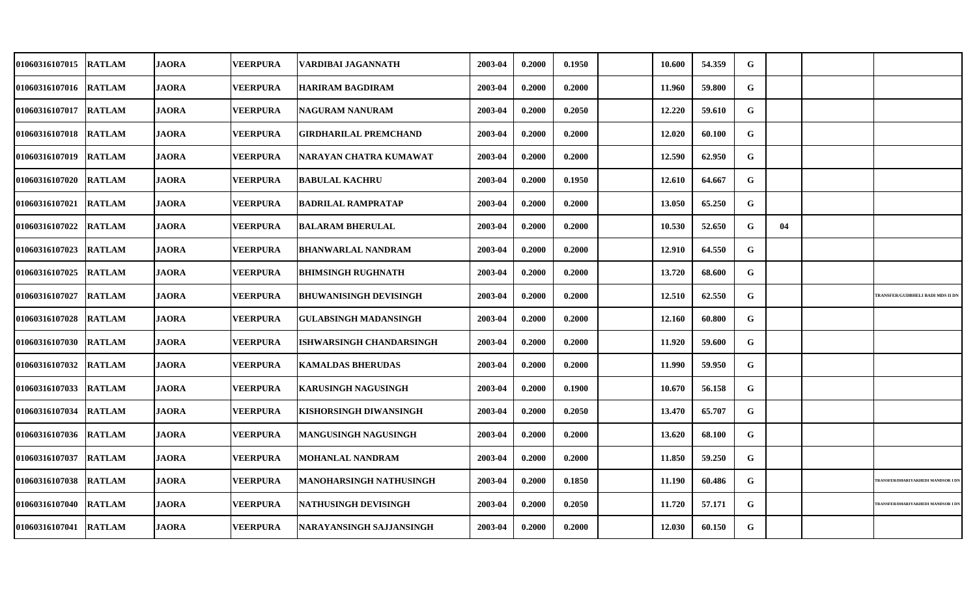| 01060316107015        | <b>RATLAM</b> | <b>JAORA</b> | <b>VEERPURA</b> | VARDIBAI JAGANNATH              | 2003-04 | 0.2000 | 0.1950 | 10.600 | 54.359 | G         |    |                                   |
|-----------------------|---------------|--------------|-----------------|---------------------------------|---------|--------|--------|--------|--------|-----------|----|-----------------------------------|
| <b>01060316107016</b> | <b>RATLAM</b> | <b>JAORA</b> | <b>VEERPURA</b> | <b>HARIRAM BAGDIRAM</b>         | 2003-04 | 0.2000 | 0.2000 | 11.960 | 59.800 | G         |    |                                   |
| 01060316107017        | <b>RATLAM</b> | <b>JAORA</b> | <b>VEERPURA</b> | <b>NAGURAM NANURAM</b>          | 2003-04 | 0.2000 | 0.2050 | 12.220 | 59.610 | G         |    |                                   |
| <b>01060316107018</b> | <b>RATLAM</b> | <b>JAORA</b> | <b>VEERPURA</b> | GIRDHARILAL PREMCHAND           | 2003-04 | 0.2000 | 0.2000 | 12.020 | 60.100 | G         |    |                                   |
| 01060316107019        | <b>RATLAM</b> | <b>JAORA</b> | <b>VEERPURA</b> | NARAYAN CHATRA KUMAWAT          | 2003-04 | 0.2000 | 0.2000 | 12.590 | 62.950 | G         |    |                                   |
| 01060316107020        | <b>RATLAM</b> | <b>JAORA</b> | <b>VEERPURA</b> | <b>BABULAL KACHRU</b>           | 2003-04 | 0.2000 | 0.1950 | 12.610 | 64.667 | G         |    |                                   |
| 01060316107021        | <b>RATLAM</b> | <b>JAORA</b> | <b>VEERPURA</b> | <b>BADRILAL RAMPRATAP</b>       | 2003-04 | 0.2000 | 0.2000 | 13.050 | 65.250 | G         |    |                                   |
| 01060316107022        | <b>RATLAM</b> | <b>JAORA</b> | VEERPURA        | <b>BALARAM BHERULAL</b>         | 2003-04 | 0.2000 | 0.2000 | 10.530 | 52.650 | G         | 04 |                                   |
| 01060316107023        | <b>RATLAM</b> | <b>JAORA</b> | <b>VEERPURA</b> | <b>BHANWARLAL NANDRAM</b>       | 2003-04 | 0.2000 | 0.2000 | 12.910 | 64.550 | G         |    |                                   |
| 01060316107025        | <b>RATLAM</b> | <b>JAORA</b> | <b>VEERPURA</b> | <b>BHIMSINGH RUGHNATH</b>       | 2003-04 | 0.2000 | 0.2000 | 13.720 | 68.600 | G         |    |                                   |
| 01060316107027        | <b>RATLAM</b> | <b>JAORA</b> | <b>VEERPURA</b> | <b>BHUWANISINGH DEVISINGH</b>   | 2003-04 | 0.2000 | 0.2000 | 12.510 | 62.550 | ${\bf G}$ |    | TRANSFER/GUDBHELI BADI MDS II DN  |
| 01060316107028        | <b>RATLAM</b> | <b>JAORA</b> | <b>VEERPURA</b> | <b>GULABSINGH MADANSINGH</b>    | 2003-04 | 0.2000 | 0.2000 | 12.160 | 60.800 | G         |    |                                   |
| 01060316107030        | <b>RATLAM</b> | <b>JAORA</b> | <b>VEERPURA</b> | <b>ISHWARSINGH CHANDARSINGH</b> | 2003-04 | 0.2000 | 0.2000 | 11.920 | 59.600 | G         |    |                                   |
| 01060316107032        | <b>RATLAM</b> | <b>JAORA</b> | <b>VEERPURA</b> | <b>KAMALDAS BHERUDAS</b>        | 2003-04 | 0.2000 | 0.2000 | 11.990 | 59.950 | G         |    |                                   |
| 01060316107033        | <b>RATLAM</b> | <b>JAORA</b> | <b>VEERPURA</b> | KARUSINGH NAGUSINGH             | 2003-04 | 0.2000 | 0.1900 | 10.670 | 56.158 | G         |    |                                   |
| 01060316107034        | <b>RATLAM</b> | <b>JAORA</b> | <b>VEERPURA</b> | KISHORSINGH DIWANSINGH          | 2003-04 | 0.2000 | 0.2050 | 13.470 | 65.707 | G         |    |                                   |
| 01060316107036        | <b>RATLAM</b> | <b>JAORA</b> | <b>VEERPURA</b> | <b>MANGUSINGH NAGUSINGH</b>     | 2003-04 | 0.2000 | 0.2000 | 13.620 | 68.100 | G         |    |                                   |
| 01060316107037        | <b>RATLAM</b> | <b>JAORA</b> | <b>VEERPURA</b> | MOHANLAL NANDRAM                | 2003-04 | 0.2000 | 0.2000 | 11.850 | 59.250 | G         |    |                                   |
| 01060316107038        | <b>RATLAM</b> | <b>JAORA</b> | <b>VEERPURA</b> | MANOHARSINGH NATHUSINGH         | 2003-04 | 0.2000 | 0.1850 | 11.190 | 60.486 | G         |    | TRANSFER/DHARIYAKHEDI MANDSOR I D |
| 01060316107040        | <b>RATLAM</b> | <b>JAORA</b> | <b>VEERPURA</b> | <b>NATHUSINGH DEVISINGH</b>     | 2003-04 | 0.2000 | 0.2050 | 11.720 | 57.171 | G         |    | TRANSFER/DHARIYAKHEDI MANDSOR I D |
| 01060316107041        | <b>RATLAM</b> | <b>JAORA</b> | <b>VEERPURA</b> | NARAYANSINGH SAJJANSINGH        | 2003-04 | 0.2000 | 0.2000 | 12.030 | 60.150 | G         |    |                                   |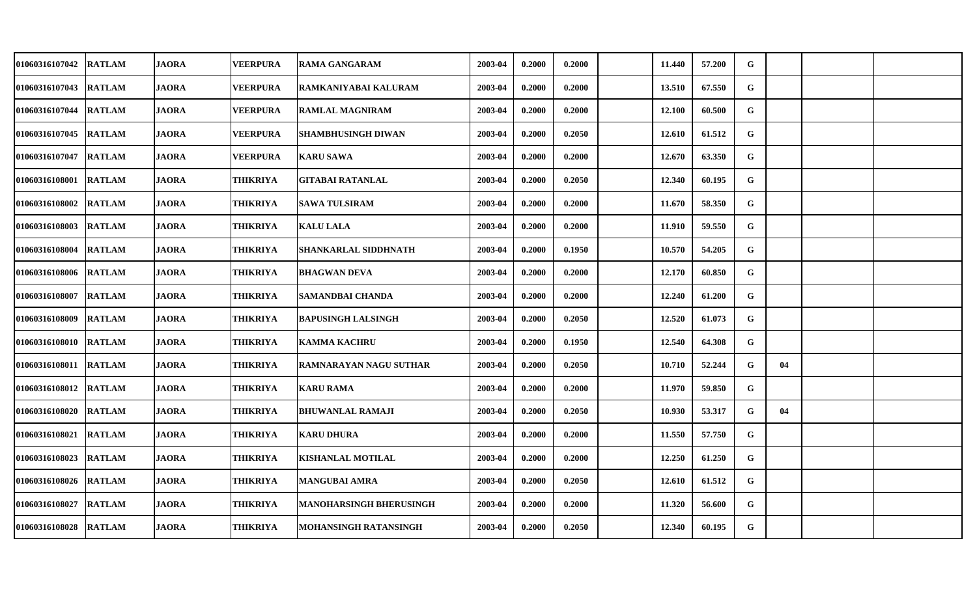| 01060316107042 RATLAM  |               | <b>JAORA</b> | <b>VEERPURA</b> | <b>RAMA GANGARAM</b>      | 2003-04 | 0.2000 | 0.2000 | 11.440 | 57.200 | ${\bf G}$ |    |  |
|------------------------|---------------|--------------|-----------------|---------------------------|---------|--------|--------|--------|--------|-----------|----|--|
| 01060316107043 RATLAM  |               | <b>JAORA</b> | <b>VEERPURA</b> | RAMKANIYABAI KALURAM      | 2003-04 | 0.2000 | 0.2000 | 13.510 | 67.550 | G         |    |  |
| 01060316107044 RATLAM  |               | <b>JAORA</b> | <b>VEERPURA</b> | <b>RAMLAL MAGNIRAM</b>    | 2003-04 | 0.2000 | 0.2000 | 12.100 | 60.500 | G         |    |  |
| 01060316107045 RATLAM  |               | <b>JAORA</b> | <b>VEERPURA</b> | <b>SHAMBHUSINGH DIWAN</b> | 2003-04 | 0.2000 | 0.2050 | 12.610 | 61.512 | G         |    |  |
| 01060316107047 RATLAM  |               | <b>JAORA</b> | <b>VEERPURA</b> | <b>KARU SAWA</b>          | 2003-04 | 0.2000 | 0.2000 | 12.670 | 63.350 | G         |    |  |
| 01060316108001 RATLAM  |               | <b>JAORA</b> | <b>THIKRIYA</b> | <b>GITABAI RATANLAL</b>   | 2003-04 | 0.2000 | 0.2050 | 12.340 | 60.195 | G         |    |  |
| 01060316108002 RATLAM  |               | <b>JAORA</b> | <b>THIKRIYA</b> | <b>SAWA TULSIRAM</b>      | 2003-04 | 0.2000 | 0.2000 | 11.670 | 58.350 | G         |    |  |
| 01060316108003 RATLAM  |               | <b>JAORA</b> | THIKRIYA        | <b>KALU LALA</b>          | 2003-04 | 0.2000 | 0.2000 | 11.910 | 59.550 | G         |    |  |
| 01060316108004         | <b>RATLAM</b> | <b>JAORA</b> | <b>THIKRIYA</b> | SHANKARLAL SIDDHNATH      | 2003-04 | 0.2000 | 0.1950 | 10.570 | 54.205 | G         |    |  |
| 01060316108006 RATLAM  |               | <b>JAORA</b> | <b>THIKRIYA</b> | <b>BHAGWAN DEVA</b>       | 2003-04 | 0.2000 | 0.2000 | 12.170 | 60.850 | G         |    |  |
| 01060316108007         | <b>RATLAM</b> | <b>JAORA</b> | <b>THIKRIYA</b> | <b>SAMANDBAI CHANDA</b>   | 2003-04 | 0.2000 | 0.2000 | 12.240 | 61.200 | G         |    |  |
| 01060316108009 RATLAM  |               | <b>JAORA</b> | THIKRIYA        | <b>BAPUSINGH LALSINGH</b> | 2003-04 | 0.2000 | 0.2050 | 12.520 | 61.073 | G         |    |  |
| 01060316108010 RATLAM  |               | <b>JAORA</b> | THIKRIYA        | <b>KAMMA KACHRU</b>       | 2003-04 | 0.2000 | 0.1950 | 12.540 | 64.308 | G         |    |  |
| 01060316108011 RATLAM  |               | <b>JAORA</b> | <b>THIKRIYA</b> | RAMNARAYAN NAGU SUTHAR    | 2003-04 | 0.2000 | 0.2050 | 10.710 | 52.244 | G         | 04 |  |
| 01060316108012  RATLAM |               | <b>JAORA</b> | <b>THIKRIYA</b> | <b>KARU RAMA</b>          | 2003-04 | 0.2000 | 0.2000 | 11.970 | 59.850 | G         |    |  |
| 01060316108020 RATLAM  |               | <b>JAORA</b> | <b>THIKRIYA</b> | <b>BHUWANLAL RAMAJI</b>   | 2003-04 | 0.2000 | 0.2050 | 10.930 | 53.317 | G         | 04 |  |
| 01060316108021 RATLAM  |               | <b>JAORA</b> | THIKRIYA        | <b>KARU DHURA</b>         | 2003-04 | 0.2000 | 0.2000 | 11.550 | 57.750 | G         |    |  |
| 01060316108023         | <b>RATLAM</b> | <b>JAORA</b> | THIKRIYA        | <b>KISHANLAL MOTILAL</b>  | 2003-04 | 0.2000 | 0.2000 | 12.250 | 61.250 | G         |    |  |
| 01060316108026 RATLAM  |               | <b>JAORA</b> | <b>THIKRIYA</b> | <b>MANGUBAI AMRA</b>      | 2003-04 | 0.2000 | 0.2050 | 12.610 | 61.512 | G         |    |  |
| 01060316108027         | <b>RATLAM</b> | <b>JAORA</b> | THIKRIYA        | MANOHARSINGH BHERUSINGH   | 2003-04 | 0.2000 | 0.2000 | 11.320 | 56.600 | G         |    |  |
| 01060316108028 RATLAM  |               | <b>JAORA</b> | THIKRIYA        | MOHANSINGH RATANSINGH     | 2003-04 | 0.2000 | 0.2050 | 12.340 | 60.195 | G         |    |  |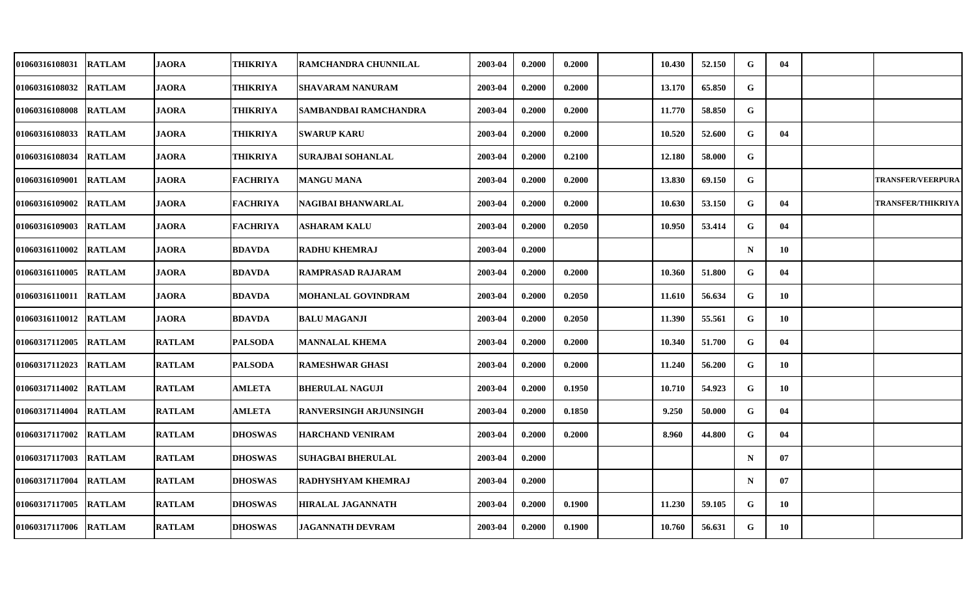| 01060316108031        | <b>RATLAM</b> | <b>JAORA</b>  | <b>THIKRIYA</b> | <b>RAMCHANDRA CHUNNILAL</b> | 2003-04 | 0.2000 | 0.2000 | 10.430 | 52.150 | G           | 04 |                          |
|-----------------------|---------------|---------------|-----------------|-----------------------------|---------|--------|--------|--------|--------|-------------|----|--------------------------|
| 01060316108032        | <b>RATLAM</b> | <b>JAORA</b>  | <b>THIKRIYA</b> | <b>SHAVARAM NANURAM</b>     | 2003-04 | 0.2000 | 0.2000 | 13.170 | 65.850 | G           |    |                          |
| 01060316108008 RATLAM |               | <b>JAORA</b>  | <b>THIKRIYA</b> | SAMBANDBAI RAMCHANDRA       | 2003-04 | 0.2000 | 0.2000 | 11.770 | 58.850 | G           |    |                          |
| 01060316108033        | <b>RATLAM</b> | <b>JAORA</b>  | <b>THIKRIYA</b> | <b>SWARUP KARU</b>          | 2003-04 | 0.2000 | 0.2000 | 10.520 | 52.600 | G           | 04 |                          |
| 01060316108034        | <b>RATLAM</b> | <b>JAORA</b>  | THIKRIYA        | <b>SURAJBAI SOHANLAL</b>    | 2003-04 | 0.2000 | 0.2100 | 12.180 | 58.000 | G           |    |                          |
| 01060316109001        | <b>RATLAM</b> | <b>JAORA</b>  | <b>FACHRIYA</b> | <b>MANGU MANA</b>           | 2003-04 | 0.2000 | 0.2000 | 13.830 | 69.150 | $\mathbf G$ |    | <b>TRANSFER/VEERPURA</b> |
| 01060316109002        | <b>RATLAM</b> | <b>JAORA</b>  | <b>FACHRIYA</b> | NAGIBAI BHANWARLAL          | 2003-04 | 0.2000 | 0.2000 | 10.630 | 53.150 | G           | 04 | <b>TRANSFER/THIKRIYA</b> |
| 01060316109003        | <b>RATLAM</b> | <b>JAORA</b>  | <b>FACHRIYA</b> | ASHARAM KALU                | 2003-04 | 0.2000 | 0.2050 | 10.950 | 53.414 | G           | 04 |                          |
| 01060316110002        | <b>RATLAM</b> | <b>JAORA</b>  | <b>BDAVDA</b>   | <b>RADHU KHEMRAJ</b>        | 2003-04 | 0.2000 |        |        |        | $\mathbf N$ | 10 |                          |
| 01060316110005        | <b>RATLAM</b> | <b>JAORA</b>  | <b>BDAVDA</b>   | RAMPRASAD RAJARAM           | 2003-04 | 0.2000 | 0.2000 | 10.360 | 51.800 | G           | 04 |                          |
| 01060316110011        | <b>RATLAM</b> | <b>JAORA</b>  | <b>BDAVDA</b>   | MOHANLAL GOVINDRAM          | 2003-04 | 0.2000 | 0.2050 | 11.610 | 56.634 | G           | 10 |                          |
| 01060316110012 RATLAM |               | <b>JAORA</b>  | <b>BDAVDA</b>   | <b>BALU MAGANJI</b>         | 2003-04 | 0.2000 | 0.2050 | 11.390 | 55.561 | G           | 10 |                          |
| 01060317112005        | <b>RATLAM</b> | <b>RATLAM</b> | <b>PALSODA</b>  | <b>MANNALAL KHEMA</b>       | 2003-04 | 0.2000 | 0.2000 | 10.340 | 51.700 | G           | 04 |                          |
| 01060317112023        | <b>RATLAM</b> | <b>RATLAM</b> | <b>PALSODA</b>  | <b>RAMESHWAR GHASI</b>      | 2003-04 | 0.2000 | 0.2000 | 11.240 | 56.200 | G           | 10 |                          |
| 01060317114002        | <b>RATLAM</b> | <b>RATLAM</b> | <b>AMLETA</b>   | <b>BHERULAL NAGUJI</b>      | 2003-04 | 0.2000 | 0.1950 | 10.710 | 54.923 | G           | 10 |                          |
| 01060317114004        | <b>RATLAM</b> | <b>RATLAM</b> | <b>AMLETA</b>   | RANVERSINGH ARJUNSINGH      | 2003-04 | 0.2000 | 0.1850 | 9.250  | 50.000 | G           | 04 |                          |
| 01060317117002        | <b>RATLAM</b> | <b>RATLAM</b> | <b>DHOSWAS</b>  | <b>HARCHAND VENIRAM</b>     | 2003-04 | 0.2000 | 0.2000 | 8.960  | 44.800 | G           | 04 |                          |
| 01060317117003        | <b>RATLAM</b> | <b>RATLAM</b> | <b>DHOSWAS</b>  | <b>SUHAGBAI BHERULAL</b>    | 2003-04 | 0.2000 |        |        |        | $\mathbf N$ | 07 |                          |
| 01060317117004        | <b>RATLAM</b> | <b>RATLAM</b> | <b>DHOSWAS</b>  | RADHYSHYAM KHEMRAJ          | 2003-04 | 0.2000 |        |        |        | $\mathbf N$ | 07 |                          |
| 01060317117005        | <b>RATLAM</b> | <b>RATLAM</b> | <b>DHOSWAS</b>  | HIRALAL JAGANNATH           | 2003-04 | 0.2000 | 0.1900 | 11.230 | 59.105 | G           | 10 |                          |
| 01060317117006 RATLAM |               | <b>RATLAM</b> | <b>DHOSWAS</b>  | <b>JAGANNATH DEVRAM</b>     | 2003-04 | 0.2000 | 0.1900 | 10.760 | 56.631 | G           | 10 |                          |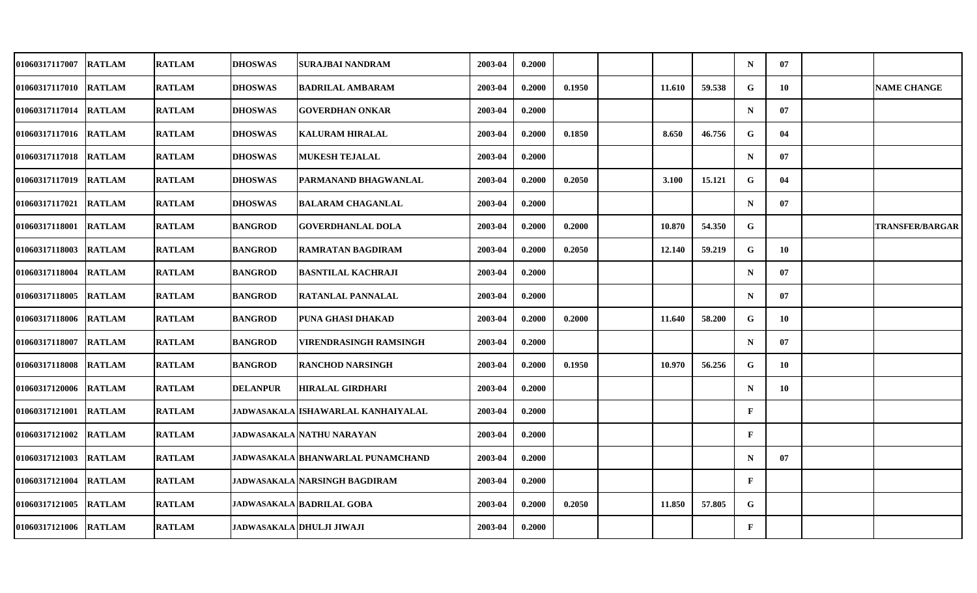| 01060317117007        | <b>RATLAM</b> | <b>RATLAM</b> | <b>DHOSWAS</b>  | SURAJBAI NANDRAM                         | 2003-04 | 0.2000 |        |        |        | $\mathbf N$  | 07 |                        |
|-----------------------|---------------|---------------|-----------------|------------------------------------------|---------|--------|--------|--------|--------|--------------|----|------------------------|
| 01060317117010        | <b>RATLAM</b> | <b>RATLAM</b> | <b>DHOSWAS</b>  | <b>BADRILAL AMBARAM</b>                  | 2003-04 | 0.2000 | 0.1950 | 11.610 | 59.538 | ${\bf G}$    | 10 | <b>NAME CHANGE</b>     |
| 01060317117014        | <b>RATLAM</b> | <b>RATLAM</b> | <b>DHOSWAS</b>  | <b>GOVERDHAN ONKAR</b>                   | 2003-04 | 0.2000 |        |        |        | $\mathbf N$  | 07 |                        |
| 01060317117016        | <b>RATLAM</b> | <b>RATLAM</b> | <b>DHOSWAS</b>  | <b>KALURAM HIRALAL</b>                   | 2003-04 | 0.2000 | 0.1850 | 8.650  | 46.756 | G            | 04 |                        |
| 01060317117018        | <b>RATLAM</b> | <b>RATLAM</b> | <b>DHOSWAS</b>  | <b>MUKESH TEJALAL</b>                    | 2003-04 | 0.2000 |        |        |        | $\mathbf N$  | 07 |                        |
| 01060317117019        | <b>RATLAM</b> | <b>RATLAM</b> | <b>DHOSWAS</b>  | PARMANAND BHAGWANLAL                     | 2003-04 | 0.2000 | 0.2050 | 3.100  | 15.121 | G            | 04 |                        |
| 01060317117021        | <b>RATLAM</b> | <b>RATLAM</b> | <b>DHOSWAS</b>  | <b>BALARAM CHAGANLAL</b>                 | 2003-04 | 0.2000 |        |        |        | $\mathbf N$  | 07 |                        |
| 01060317118001        | <b>RATLAM</b> | <b>RATLAM</b> | <b>BANGROD</b>  | <b>GOVERDHANLAL DOLA</b>                 | 2003-04 | 0.2000 | 0.2000 | 10.870 | 54.350 | G            |    | <b>TRANSFER/BARGAR</b> |
| 01060317118003        | <b>RATLAM</b> | <b>RATLAM</b> | <b>BANGROD</b>  | <b>RAMRATAN BAGDIRAM</b>                 | 2003-04 | 0.2000 | 0.2050 | 12.140 | 59.219 | G            | 10 |                        |
| 01060317118004        | <b>RATLAM</b> | <b>RATLAM</b> | <b>BANGROD</b>  | <b>BASNTILAL KACHRAJI</b>                | 2003-04 | 0.2000 |        |        |        | $\mathbf N$  | 07 |                        |
| 01060317118005        | <b>RATLAM</b> | <b>RATLAM</b> | <b>BANGROD</b>  | <b>RATANLAL PANNALAL</b>                 | 2003-04 | 0.2000 |        |        |        | $\mathbf N$  | 07 |                        |
| 01060317118006        | <b>RATLAM</b> | <b>RATLAM</b> | <b>BANGROD</b>  | PUNA GHASI DHAKAD                        | 2003-04 | 0.2000 | 0.2000 | 11.640 | 58.200 | G            | 10 |                        |
| 01060317118007        | <b>RATLAM</b> | <b>RATLAM</b> | <b>BANGROD</b>  | VIRENDRASINGH RAMSINGH                   | 2003-04 | 0.2000 |        |        |        | $\mathbf N$  | 07 |                        |
| 01060317118008 RATLAM |               | <b>RATLAM</b> | <b>BANGROD</b>  | <b>RANCHOD NARSINGH</b>                  | 2003-04 | 0.2000 | 0.1950 | 10.970 | 56.256 | G            | 10 |                        |
| 01060317120006 RATLAM |               | <b>RATLAM</b> | <b>DELANPUR</b> | <b>HIRALAL GIRDHARI</b>                  | 2003-04 | 0.2000 |        |        |        | $\mathbf N$  | 10 |                        |
| 01060317121001        | <b>RATLAM</b> | <b>RATLAM</b> |                 | JADWASAKALA ISHAWARLAL KANHAIYALAL       | 2003-04 | 0.2000 |        |        |        | F            |    |                        |
| 01060317121002        | <b>RATLAM</b> | <b>RATLAM</b> |                 | <b>JADWASAKALA NATHU NARAYAN</b>         | 2003-04 | 0.2000 |        |        |        | $\mathbf{F}$ |    |                        |
| 01060317121003 RATLAM |               | <b>RATLAM</b> |                 | <b>JADWASAKALA BHANWARLAL PUNAMCHAND</b> | 2003-04 | 0.2000 |        |        |        | $\mathbf N$  | 07 |                        |
| 01060317121004        | <b>RATLAM</b> | <b>RATLAM</b> |                 | <b>JADWASAKALA NARSINGH BAGDIRAM</b>     | 2003-04 | 0.2000 |        |        |        | $\mathbf{F}$ |    |                        |
| 01060317121005        | <b>RATLAM</b> | <b>RATLAM</b> |                 | <b>JADWASAKALA BADRILAL GOBA</b>         | 2003-04 | 0.2000 | 0.2050 | 11.850 | 57.805 | G            |    |                        |
| 01060317121006        | <b>RATLAM</b> | <b>RATLAM</b> |                 | <b>JADWASAKALA DHULJI JIWAJI</b>         | 2003-04 | 0.2000 |        |        |        | $\mathbf{F}$ |    |                        |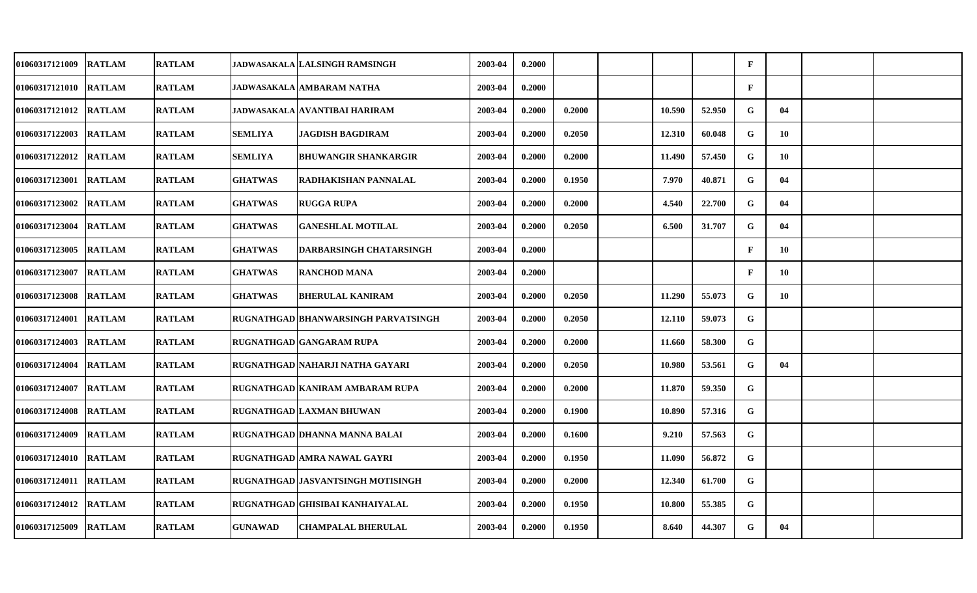| <b>01060317121009</b> | <b>RATLAM</b> | <b>RATLAM</b> |                | JADWASAKALA LALSINGH RAMSINGH       | 2003-04 | 0.2000 |        |        |        | $\mathbf{F}$ |     |  |
|-----------------------|---------------|---------------|----------------|-------------------------------------|---------|--------|--------|--------|--------|--------------|-----|--|
| 01060317121010        | <b>RATLAM</b> | <b>RATLAM</b> |                | JADWASAKALA AMBARAM NATHA           | 2003-04 | 0.2000 |        |        |        | $\mathbf{F}$ |     |  |
| <b>01060317121012</b> | <b>RATLAM</b> | <b>RATLAM</b> |                | JADWASAKALA AVANTIBAI HARIRAM       | 2003-04 | 0.2000 | 0.2000 | 10.590 | 52.950 | G            | 04  |  |
| 01060317122003        | <b>RATLAM</b> | <b>RATLAM</b> | <b>SEMLIYA</b> | JAGDISH BAGDIRAM                    | 2003-04 | 0.2000 | 0.2050 | 12.310 | 60.048 | G            | 10  |  |
| 01060317122012        | <b>RATLAM</b> | <b>RATLAM</b> | <b>SEMLIYA</b> | BHUWANGIR SHANKARGIR                | 2003-04 | 0.2000 | 0.2000 | 11.490 | 57.450 | G            | -10 |  |
| 01060317123001        | <b>RATLAM</b> | <b>RATLAM</b> | <b>GHATWAS</b> | RADHAKISHAN PANNALAL                | 2003-04 | 0.2000 | 0.1950 | 7.970  | 40.871 | G            | 04  |  |
| <b>01060317123002</b> | <b>RATLAM</b> | <b>RATLAM</b> | <b>GHATWAS</b> | RUGGA RUPA                          | 2003-04 | 0.2000 | 0.2000 | 4.540  | 22.700 | G            | 04  |  |
| 01060317123004        | <b>RATLAM</b> | <b>RATLAM</b> | <b>GHATWAS</b> | <b>GANESHLAL MOTILAL</b>            | 2003-04 | 0.2000 | 0.2050 | 6.500  | 31.707 | G            | 04  |  |
| 01060317123005        | <b>RATLAM</b> | <b>RATLAM</b> | <b>GHATWAS</b> | <b>DARBARSINGH CHATARSINGH</b>      | 2003-04 | 0.2000 |        |        |        | $\mathbf{F}$ | 10  |  |
| 01060317123007        | <b>RATLAM</b> | <b>RATLAM</b> | <b>GHATWAS</b> | <b>RANCHOD MANA</b>                 | 2003-04 | 0.2000 |        |        |        | $\mathbf{F}$ | 10  |  |
| 01060317123008        | <b>RATLAM</b> | <b>RATLAM</b> | <b>GHATWAS</b> | <b>BHERULAL KANIRAM</b>             | 2003-04 | 0.2000 | 0.2050 | 11.290 | 55.073 | G            | 10  |  |
| <b>01060317124001</b> | <b>RATLAM</b> | <b>RATLAM</b> |                | RUGNATHGAD BHANWARSINGH PARVATSINGH | 2003-04 | 0.2000 | 0.2050 | 12.110 | 59.073 | G            |     |  |
| 01060317124003        | <b>RATLAM</b> | <b>RATLAM</b> |                | RUGNATHGAD GANGARAM RUPA            | 2003-04 | 0.2000 | 0.2000 | 11.660 | 58.300 | G            |     |  |
| 01060317124004        | <b>RATLAM</b> | <b>RATLAM</b> |                | RUGNATHGAD NAHARJI NATHA GAYARI     | 2003-04 | 0.2000 | 0.2050 | 10.980 | 53.561 | G            | 04  |  |
| 01060317124007        | <b>RATLAM</b> | <b>RATLAM</b> |                | RUGNATHGAD KANIRAM AMBARAM RUPA     | 2003-04 | 0.2000 | 0.2000 | 11.870 | 59.350 | G            |     |  |
| <b>01060317124008</b> | <b>RATLAM</b> | <b>RATLAM</b> |                | RUGNATHGAD LAXMAN BHUWAN            | 2003-04 | 0.2000 | 0.1900 | 10.890 | 57.316 | G            |     |  |
| 01060317124009        | <b>RATLAM</b> | <b>RATLAM</b> |                | RUGNATHGAD DHANNA MANNA BALAI       | 2003-04 | 0.2000 | 0.1600 | 9.210  | 57.563 | G            |     |  |
| 01060317124010        | <b>RATLAM</b> | <b>RATLAM</b> |                | RUGNATHGAD AMRA NAWAL GAYRI         | 2003-04 | 0.2000 | 0.1950 | 11.090 | 56.872 | G            |     |  |
| 01060317124011        | <b>RATLAM</b> | <b>RATLAM</b> |                | RUGNATHGAD JASVANTSINGH MOTISINGH   | 2003-04 | 0.2000 | 0.2000 | 12.340 | 61.700 | G            |     |  |
| 01060317124012        | <b>RATLAM</b> | <b>RATLAM</b> |                | RUGNATHGAD GHISIBAI KANHAIYALAL     | 2003-04 | 0.2000 | 0.1950 | 10.800 | 55.385 | G            |     |  |
| 01060317125009        | <b>RATLAM</b> | <b>RATLAM</b> | <b>GUNAWAD</b> | <b>CHAMPALAL BHERULAL</b>           | 2003-04 | 0.2000 | 0.1950 | 8.640  | 44.307 | G            | 04  |  |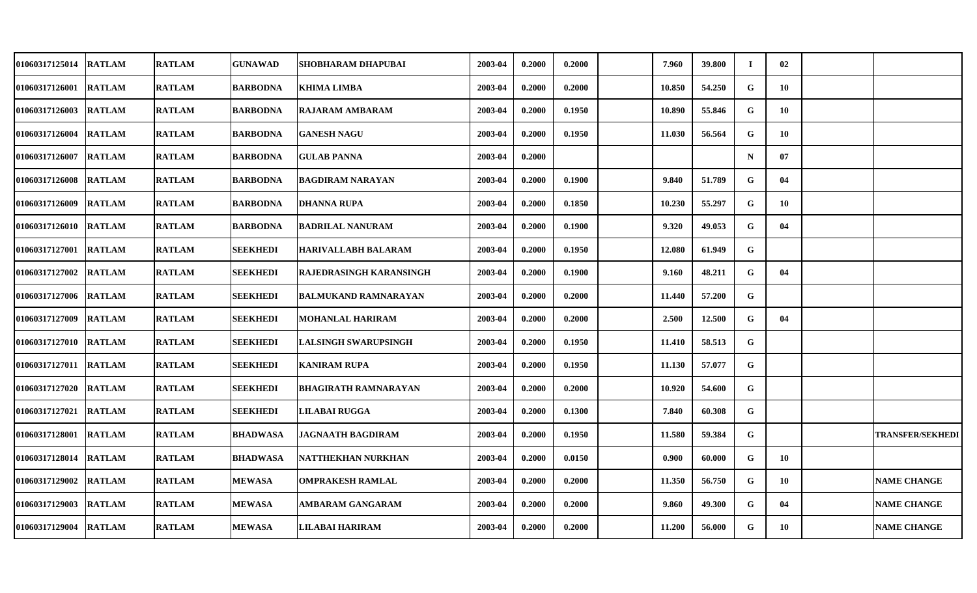| <b>01060317125014</b> | <b>RATLAM</b> | <b>RATLAM</b> | <b>GUNAWAD</b>  | SHOBHARAM DHAPUBAI          | 2003-04 | 0.2000 | 0.2000 | 7.960  | 39.800 | Т.          | 02 |                         |
|-----------------------|---------------|---------------|-----------------|-----------------------------|---------|--------|--------|--------|--------|-------------|----|-------------------------|
| <b>01060317126001</b> | <b>RATLAM</b> | <b>RATLAM</b> | <b>BARBODNA</b> | <b>KHIMA LIMBA</b>          | 2003-04 | 0.2000 | 0.2000 | 10.850 | 54.250 | $\mathbf G$ | 10 |                         |
| <b>01060317126003</b> | <b>RATLAM</b> | <b>RATLAM</b> | <b>BARBODNA</b> | RAJARAM AMBARAM             | 2003-04 | 0.2000 | 0.1950 | 10.890 | 55.846 | G           | 10 |                         |
| 01060317126004        | <b>RATLAM</b> | <b>RATLAM</b> | <b>BARBODNA</b> | <b>GANESH NAGU</b>          | 2003-04 | 0.2000 | 0.1950 | 11.030 | 56.564 | G           | 10 |                         |
| 01060317126007        | <b>RATLAM</b> | <b>RATLAM</b> | <b>BARBODNA</b> | <b>GULAB PANNA</b>          | 2003-04 | 0.2000 |        |        |        | $\mathbf N$ | 07 |                         |
| 01060317126008        | <b>RATLAM</b> | <b>RATLAM</b> | <b>BARBODNA</b> | <b>BAGDIRAM NARAYAN</b>     | 2003-04 | 0.2000 | 0.1900 | 9.840  | 51.789 | G           | 04 |                         |
| <b>01060317126009</b> | <b>RATLAM</b> | <b>RATLAM</b> | <b>BARBODNA</b> | <b>DHANNA RUPA</b>          | 2003-04 | 0.2000 | 0.1850 | 10.230 | 55.297 | G           | 10 |                         |
| 01060317126010        | <b>RATLAM</b> | <b>RATLAM</b> | <b>BARBODNA</b> | <b>BADRILAL NANURAM</b>     | 2003-04 | 0.2000 | 0.1900 | 9.320  | 49.053 | $\mathbf G$ | 04 |                         |
| 01060317127001        | <b>RATLAM</b> | <b>RATLAM</b> | <b>SEEKHEDI</b> | HARIVALLABH BALARAM         | 2003-04 | 0.2000 | 0.1950 | 12.080 | 61.949 | G           |    |                         |
| <b>01060317127002</b> | <b>RATLAM</b> | <b>RATLAM</b> | <b>SEEKHEDI</b> | RAJEDRASINGH KARANSINGH     | 2003-04 | 0.2000 | 0.1900 | 9.160  | 48.211 | G           | 04 |                         |
| 01060317127006        | <b>RATLAM</b> | <b>RATLAM</b> | <b>SEEKHEDI</b> | <b>BALMUKAND RAMNARAYAN</b> | 2003-04 | 0.2000 | 0.2000 | 11.440 | 57.200 | G           |    |                         |
| <b>01060317127009</b> | <b>RATLAM</b> | <b>RATLAM</b> | <b>SEEKHEDI</b> | MOHANLAL HARIRAM            | 2003-04 | 0.2000 | 0.2000 | 2.500  | 12.500 | G           | 04 |                         |
| 01060317127010        | <b>RATLAM</b> | <b>RATLAM</b> | <b>SEEKHEDI</b> | LALSINGH SWARUPSINGH        | 2003-04 | 0.2000 | 0.1950 | 11.410 | 58.513 | G           |    |                         |
| 01060317127011        | <b>RATLAM</b> | <b>RATLAM</b> | <b>SEEKHEDI</b> | <b>KANIRAM RUPA</b>         | 2003-04 | 0.2000 | 0.1950 | 11.130 | 57.077 | G           |    |                         |
| 01060317127020        | <b>RATLAM</b> | <b>RATLAM</b> | <b>SEEKHEDI</b> | <b>BHAGIRATH RAMNARAYAN</b> | 2003-04 | 0.2000 | 0.2000 | 10.920 | 54.600 | G           |    |                         |
| 01060317127021        | <b>RATLAM</b> | <b>RATLAM</b> | SEEKHEDI        | <b>LILABAI RUGGA</b>        | 2003-04 | 0.2000 | 0.1300 | 7.840  | 60.308 | $\mathbf G$ |    |                         |
| 01060317128001        | <b>RATLAM</b> | <b>RATLAM</b> | <b>BHADWASA</b> | <b>JAGNAATH BAGDIRAM</b>    | 2003-04 | 0.2000 | 0.1950 | 11.580 | 59.384 | G           |    | <b>TRANSFER/SEKHEDI</b> |
| 01060317128014        | <b>RATLAM</b> | <b>RATLAM</b> | <b>BHADWASA</b> | <b>NATTHEKHAN NURKHAN</b>   | 2003-04 | 0.2000 | 0.0150 | 0.900  | 60.000 | G           | 10 |                         |
| 01060317129002        | <b>RATLAM</b> | <b>RATLAM</b> | <b>MEWASA</b>   | <b>OMPRAKESH RAMLAL</b>     | 2003-04 | 0.2000 | 0.2000 | 11.350 | 56.750 | G           | 10 | <b>NAME CHANGE</b>      |
| 01060317129003        | <b>RATLAM</b> | <b>RATLAM</b> | <b>MEWASA</b>   | AMBARAM GANGARAM            | 2003-04 | 0.2000 | 0.2000 | 9.860  | 49.300 | G           | 04 | <b>NAME CHANGE</b>      |
| <b>01060317129004</b> | <b>RATLAM</b> | <b>RATLAM</b> | <b>MEWASA</b>   | LILABAI HARIRAM             | 2003-04 | 0.2000 | 0.2000 | 11.200 | 56.000 | G           | 10 | <b>NAME CHANGE</b>      |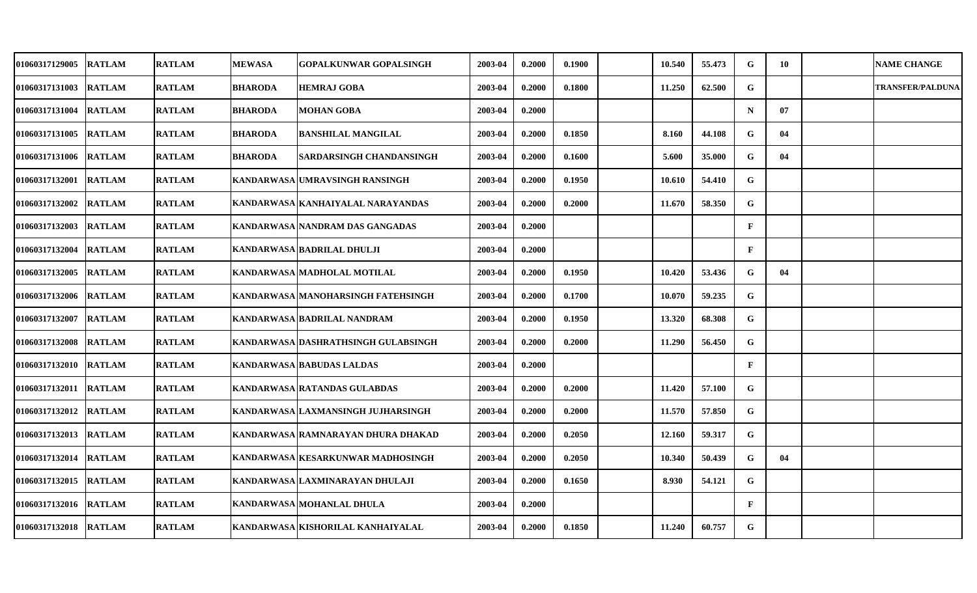| <b>01060317129005</b> | <b>RATLAM</b> | <b>RATLAM</b> | <b>MEWASA</b>  | <b>GOPALKUNWAR GOPALSINGH</b>       | 2003-04 | 0.2000 | 0.1900 | 10.540 | 55.473 | G            | 10 | <b>NAME CHANGE</b>      |
|-----------------------|---------------|---------------|----------------|-------------------------------------|---------|--------|--------|--------|--------|--------------|----|-------------------------|
| 01060317131003        | <b>RATLAM</b> | <b>RATLAM</b> | <b>BHARODA</b> | <b>HEMRAJ GOBA</b>                  | 2003-04 | 0.2000 | 0.1800 | 11.250 | 62.500 | ${\bf G}$    |    | <b>TRANSFER/PALDUNA</b> |
| 01060317131004        | <b>RATLAM</b> | <b>RATLAM</b> | <b>BHARODA</b> | <b>MOHAN GOBA</b>                   | 2003-04 | 0.2000 |        |        |        | $\mathbf N$  | 07 |                         |
| 01060317131005        | <b>RATLAM</b> | <b>RATLAM</b> | <b>BHARODA</b> | <b>BANSHILAL MANGILAL</b>           | 2003-04 | 0.2000 | 0.1850 | 8.160  | 44.108 | G            | 04 |                         |
| <b>01060317131006</b> | <b>RATLAM</b> | <b>RATLAM</b> | <b>BHARODA</b> | SARDARSINGH CHANDANSINGH            | 2003-04 | 0.2000 | 0.1600 | 5.600  | 35.000 | G            | 04 |                         |
| 01060317132001        | RATLAM        | <b>RATLAM</b> |                | KANDARWASA UMRAVSINGH RANSINGH      | 2003-04 | 0.2000 | 0.1950 | 10.610 | 54.410 | G            |    |                         |
| <b>01060317132002</b> | <b>RATLAM</b> | <b>RATLAM</b> |                | KANDARWASA KANHAIYALAL NARAYANDAS   | 2003-04 | 0.2000 | 0.2000 | 11.670 | 58.350 | G            |    |                         |
| 01060317132003        | <b>RATLAM</b> | <b>RATLAM</b> |                | KANDARWASA NANDRAM DAS GANGADAS     | 2003-04 | 0.2000 |        |        |        | $\mathbf F$  |    |                         |
| 01060317132004        | <b>RATLAM</b> | <b>RATLAM</b> |                | KANDARWASA BADRILAL DHULJI          | 2003-04 | 0.2000 |        |        |        | $\mathbf{F}$ |    |                         |
| 01060317132005        | <b>RATLAM</b> | <b>RATLAM</b> |                | KANDARWASA MADHOLAL MOTILAL         | 2003-04 | 0.2000 | 0.1950 | 10.420 | 53.436 | G            | 04 |                         |
| 01060317132006        | <b>RATLAM</b> | <b>RATLAM</b> |                | KANDARWASA MANOHARSINGH FATEHSINGH  | 2003-04 | 0.2000 | 0.1700 | 10.070 | 59.235 | G            |    |                         |
| <b>01060317132007</b> | <b>RATLAM</b> | <b>RATLAM</b> |                | KANDARWASA BADRILAL NANDRAM         | 2003-04 | 0.2000 | 0.1950 | 13.320 | 68.308 | G            |    |                         |
| 01060317132008        | <b>RATLAM</b> | <b>RATLAM</b> |                | KANDARWASA DASHRATHSINGH GULABSINGH | 2003-04 | 0.2000 | 0.2000 | 11.290 | 56.450 | G            |    |                         |
| 01060317132010        | <b>RATLAM</b> | <b>RATLAM</b> |                | KANDARWASA BABUDAS LALDAS           | 2003-04 | 0.2000 |        |        |        | F            |    |                         |
| 01060317132011        | <b>RATLAM</b> | <b>RATLAM</b> |                | KANDARWASA RATANDAS GULABDAS        | 2003-04 | 0.2000 | 0.2000 | 11.420 | 57.100 | G            |    |                         |
| <b>01060317132012</b> | <b>RATLAM</b> | <b>RATLAM</b> |                | KANDARWASA LAXMANSINGH JUJHARSINGH  | 2003-04 | 0.2000 | 0.2000 | 11.570 | 57.850 | G            |    |                         |
| 01060317132013        | <b>RATLAM</b> | <b>RATLAM</b> |                | KANDARWASA RAMNARAYAN DHURA DHAKAD  | 2003-04 | 0.2000 | 0.2050 | 12.160 | 59.317 | G            |    |                         |
| 01060317132014        | <b>RATLAM</b> | <b>RATLAM</b> |                | KANDARWASA KESARKUNWAR MADHOSINGH   | 2003-04 | 0.2000 | 0.2050 | 10.340 | 50.439 | G            | 04 |                         |
| 01060317132015        | <b>RATLAM</b> | <b>RATLAM</b> |                | KANDARWASA LAXMINARAYAN DHULAJI     | 2003-04 | 0.2000 | 0.1650 | 8.930  | 54.121 | G            |    |                         |
| 01060317132016        | <b>RATLAM</b> | <b>RATLAM</b> |                | KANDARWASA MOHANLAL DHULA           | 2003-04 | 0.2000 |        |        |        | $\mathbf{F}$ |    |                         |
| <b>01060317132018</b> | <b>RATLAM</b> | <b>RATLAM</b> |                | KANDARWASA KISHORILAL KANHAIYALAL   | 2003-04 | 0.2000 | 0.1850 | 11.240 | 60.757 | G            |    |                         |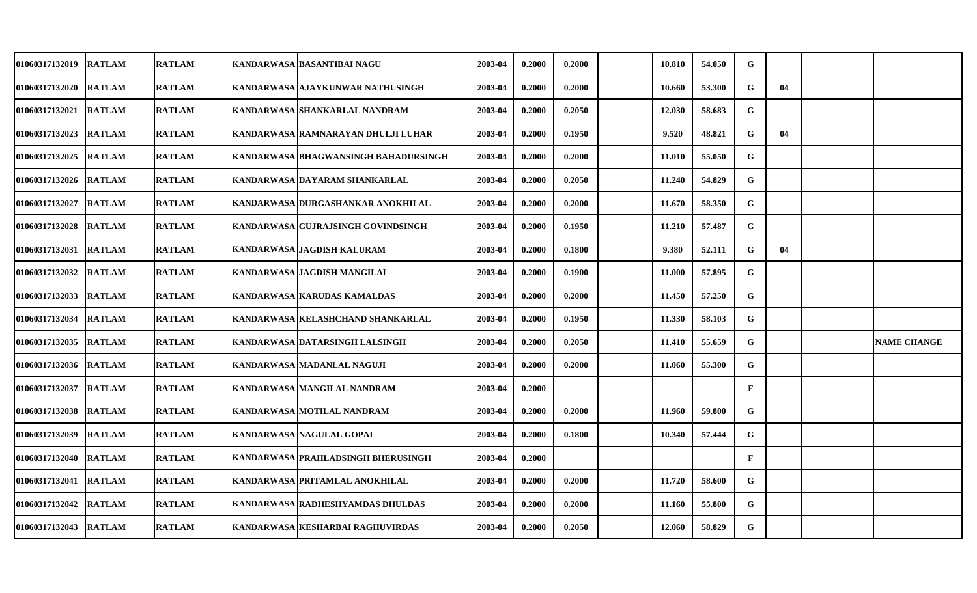| 01060317132019        | <b>RATLAM</b> | <b>RATLAM</b> | KANDARWASA   BASANTIBAI NAGU         | 2003-04 | 0.2000 | 0.2000 | 10.810 | 54.050 | G            |    |                    |
|-----------------------|---------------|---------------|--------------------------------------|---------|--------|--------|--------|--------|--------------|----|--------------------|
| <b>01060317132020</b> | <b>RATLAM</b> | <b>RATLAM</b> | KANDARWASA AJAYKUNWAR NATHUSINGH     | 2003-04 | 0.2000 | 0.2000 | 10.660 | 53.300 | G            | 04 |                    |
| <b>01060317132021</b> | <b>RATLAM</b> | <b>RATLAM</b> | KANDARWASA SHANKARLAL NANDRAM        | 2003-04 | 0.2000 | 0.2050 | 12.030 | 58.683 | G            |    |                    |
| 01060317132023        | <b>RATLAM</b> | <b>RATLAM</b> | KANDARWASA RAMNARAYAN DHULJI LUHAR   | 2003-04 | 0.2000 | 0.1950 | 9.520  | 48.821 | $\mathbf G$  | 04 |                    |
| <b>01060317132025</b> | <b>RATLAM</b> | <b>RATLAM</b> | KANDARWASA BHAGWANSINGH BAHADURSINGH | 2003-04 | 0.2000 | 0.2000 | 11.010 | 55.050 | G            |    |                    |
| 01060317132026        | <b>RATLAM</b> | <b>RATLAM</b> | KANDARWASA DAYARAM SHANKARLAL        | 2003-04 | 0.2000 | 0.2050 | 11.240 | 54.829 | G            |    |                    |
| <b>01060317132027</b> | <b>RATLAM</b> | <b>RATLAM</b> | KANDARWASA DURGASHANKAR ANOKHILAL    | 2003-04 | 0.2000 | 0.2000 | 11.670 | 58.350 | G            |    |                    |
| 01060317132028        | <b>RATLAM</b> | <b>RATLAM</b> | KANDARWASA GUJRAJSINGH GOVINDSINGH   | 2003-04 | 0.2000 | 0.1950 | 11.210 | 57.487 | G            |    |                    |
| 01060317132031        | <b>RATLAM</b> | <b>RATLAM</b> | KANDARWASA JAGDISH KALURAM           | 2003-04 | 0.2000 | 0.1800 | 9.380  | 52.111 | G            | 04 |                    |
| 01060317132032        | <b>RATLAM</b> | <b>RATLAM</b> | KANDARWASA JAGDISH MANGILAL          | 2003-04 | 0.2000 | 0.1900 | 11.000 | 57.895 | G            |    |                    |
| <b>01060317132033</b> | <b>RATLAM</b> | <b>RATLAM</b> | KANDARWASA KARUDAS KAMALDAS          | 2003-04 | 0.2000 | 0.2000 | 11.450 | 57.250 | G            |    |                    |
| <b>01060317132034</b> | <b>RATLAM</b> | <b>RATLAM</b> | KANDARWASA KELASHCHAND SHANKARLAL    | 2003-04 | 0.2000 | 0.1950 | 11.330 | 58.103 | G            |    |                    |
| 01060317132035        | <b>RATLAM</b> | <b>RATLAM</b> | KANDARWASA DATARSINGH LALSINGH       | 2003-04 | 0.2000 | 0.2050 | 11.410 | 55.659 | G            |    | <b>NAME CHANGE</b> |
| <b>01060317132036</b> | <b>RATLAM</b> | <b>RATLAM</b> | KANDARWASA MADANLAL NAGUJI           | 2003-04 | 0.2000 | 0.2000 | 11.060 | 55.300 | G            |    |                    |
| 01060317132037        | <b>RATLAM</b> | <b>RATLAM</b> | KANDARWASA MANGILAL NANDRAM          | 2003-04 | 0.2000 |        |        |        | $\mathbf{F}$ |    |                    |
| <b>01060317132038</b> | <b>RATLAM</b> | <b>RATLAM</b> | KANDARWASA MOTILAL NANDRAM           | 2003-04 | 0.2000 | 0.2000 | 11.960 | 59.800 | G            |    |                    |
| 01060317132039        | <b>RATLAM</b> | <b>RATLAM</b> | KANDARWASA NAGULAL GOPAL             | 2003-04 | 0.2000 | 0.1800 | 10.340 | 57.444 | G            |    |                    |
| 01060317132040        | <b>RATLAM</b> | <b>RATLAM</b> | KANDARWASA PRAHLADSINGH BHERUSINGH   | 2003-04 | 0.2000 |        |        |        | $\mathbf{F}$ |    |                    |
| 01060317132041        | <b>RATLAM</b> | <b>RATLAM</b> | KANDARWASA PRITAMLAL ANOKHILAL       | 2003-04 | 0.2000 | 0.2000 | 11.720 | 58.600 | G            |    |                    |
| 01060317132042        | <b>RATLAM</b> | <b>RATLAM</b> | KANDARWASA RADHESHYAMDAS DHULDAS     | 2003-04 | 0.2000 | 0.2000 | 11.160 | 55.800 | G            |    |                    |
| <b>01060317132043</b> | <b>RATLAM</b> | <b>RATLAM</b> | KANDARWASA KESHARBAI RAGHUVIRDAS     | 2003-04 | 0.2000 | 0.2050 | 12.060 | 58.829 | G            |    |                    |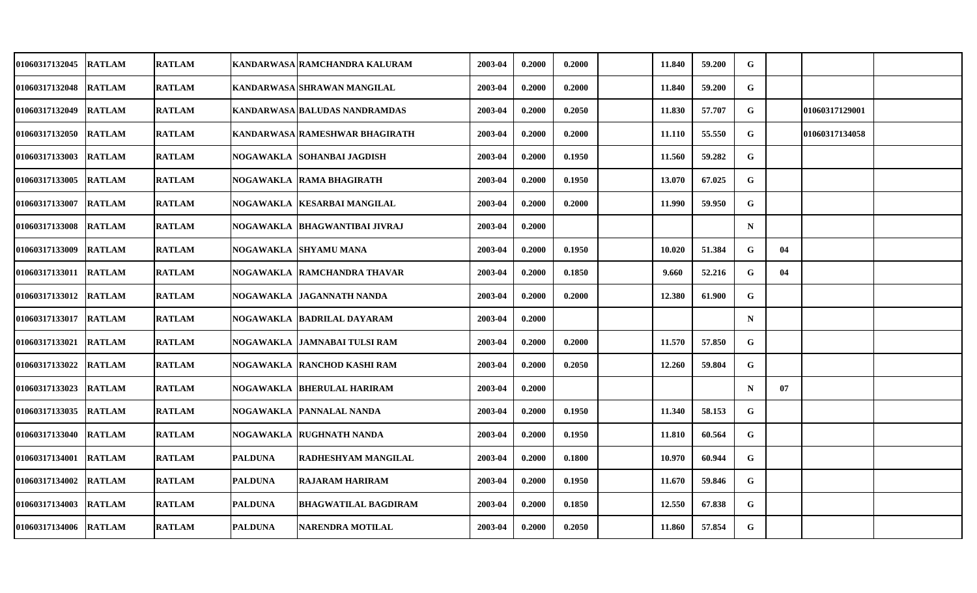| 01060317132045        | <b>RATLAM</b> | <b>RATLAM</b> |                  | KANDARWASA RAMCHANDRA KALURAM   | 2003-04 | 0.2000 | 0.2000 | 11.840 | 59.200 | G           |    |                |  |
|-----------------------|---------------|---------------|------------------|---------------------------------|---------|--------|--------|--------|--------|-------------|----|----------------|--|
| 01060317132048        | <b>RATLAM</b> | <b>RATLAM</b> |                  | KANDARWASA SHRAWAN MANGILAL     | 2003-04 | 0.2000 | 0.2000 | 11.840 | 59.200 | $\mathbf G$ |    |                |  |
| 01060317132049        | <b>RATLAM</b> | <b>RATLAM</b> |                  | KANDARWASA BALUDAS NANDRAMDAS   | 2003-04 | 0.2000 | 0.2050 | 11.830 | 57.707 | G           |    | 01060317129001 |  |
| 01060317132050        | <b>RATLAM</b> | <b>RATLAM</b> |                  | KANDARWASA RAMESHWAR BHAGIRATH  | 2003-04 | 0.2000 | 0.2000 | 11.110 | 55.550 | G           |    | 01060317134058 |  |
| 01060317133003 RATLAM |               | <b>RATLAM</b> |                  | NOGAWAKLA  SOHANBAI JAGDISH     | 2003-04 | 0.2000 | 0.1950 | 11.560 | 59.282 | G           |    |                |  |
| 01060317133005        | <b>RATLAM</b> | <b>RATLAM</b> |                  | NOGAWAKLA RAMA BHAGIRATH        | 2003-04 | 0.2000 | 0.1950 | 13.070 | 67.025 | G           |    |                |  |
| 01060317133007        | <b>RATLAM</b> | <b>RATLAM</b> |                  | NOGAWAKLA  KESARBAI MANGILAL    | 2003-04 | 0.2000 | 0.2000 | 11.990 | 59.950 | G           |    |                |  |
| 01060317133008        | <b>RATLAM</b> | <b>RATLAM</b> |                  | NOGAWAKLA   BHAGWANTIBAI JIVRAJ | 2003-04 | 0.2000 |        |        |        | $\mathbf N$ |    |                |  |
| 01060317133009        | <b>RATLAM</b> | <b>RATLAM</b> | <b>NOGAWAKLA</b> | <b>SHYAMU MANA</b>              | 2003-04 | 0.2000 | 0.1950 | 10.020 | 51.384 | G           | 04 |                |  |
| 01060317133011        | <b>RATLAM</b> | <b>RATLAM</b> |                  | NOGAWAKLA RAMCHANDRA THAVAR     | 2003-04 | 0.2000 | 0.1850 | 9.660  | 52.216 | G           | 04 |                |  |
| 01060317133012        | <b>RATLAM</b> | <b>RATLAM</b> |                  | NOGAWAKLA  JAGANNATH NANDA      | 2003-04 | 0.2000 | 0.2000 | 12.380 | 61.900 | G           |    |                |  |
| 01060317133017        | <b>RATLAM</b> | <b>RATLAM</b> |                  | NOGAWAKLA  BADRILAL DAYARAM     | 2003-04 | 0.2000 |        |        |        | $\mathbf N$ |    |                |  |
| 01060317133021        | <b>RATLAM</b> | <b>RATLAM</b> |                  | NOGAWAKLA  JAMNABAI TULSI RAM   | 2003-04 | 0.2000 | 0.2000 | 11.570 | 57.850 | G           |    |                |  |
| 01060317133022        | <b>RATLAM</b> | <b>RATLAM</b> |                  | NOGAWAKLA  RANCHOD KASHI RAM    | 2003-04 | 0.2000 | 0.2050 | 12.260 | 59.804 | G           |    |                |  |
| 01060317133023 RATLAM |               | <b>RATLAM</b> |                  | NOGAWAKLA BHERULAL HARIRAM      | 2003-04 | 0.2000 |        |        |        | $\mathbf N$ | 07 |                |  |
| 01060317133035 RATLAM |               | <b>RATLAM</b> |                  | NOGAWAKLA  PANNALAL NANDA       | 2003-04 | 0.2000 | 0.1950 | 11.340 | 58.153 | G           |    |                |  |
| 01060317133040        | <b>RATLAM</b> | <b>RATLAM</b> | <b>NOGAWAKLA</b> | <b>RUGHNATH NANDA</b>           | 2003-04 | 0.2000 | 0.1950 | 11.810 | 60.564 | G           |    |                |  |
| 01060317134001        | <b>RATLAM</b> | <b>RATLAM</b> | <b>PALDUNA</b>   | RADHESHYAM MANGILAL             | 2003-04 | 0.2000 | 0.1800 | 10.970 | 60.944 | G           |    |                |  |
| 01060317134002        | <b>RATLAM</b> | <b>RATLAM</b> | <b>PALDUNA</b>   | <b>RAJARAM HARIRAM</b>          | 2003-04 | 0.2000 | 0.1950 | 11.670 | 59.846 | G           |    |                |  |
| 01060317134003        | <b>RATLAM</b> | <b>RATLAM</b> | <b>PALDUNA</b>   | <b>BHAGWATILAL BAGDIRAM</b>     | 2003-04 | 0.2000 | 0.1850 | 12.550 | 67.838 | G           |    |                |  |
| 01060317134006 RATLAM |               | <b>RATLAM</b> | <b>PALDUNA</b>   | NARENDRA MOTILAL                | 2003-04 | 0.2000 | 0.2050 | 11.860 | 57.854 | G           |    |                |  |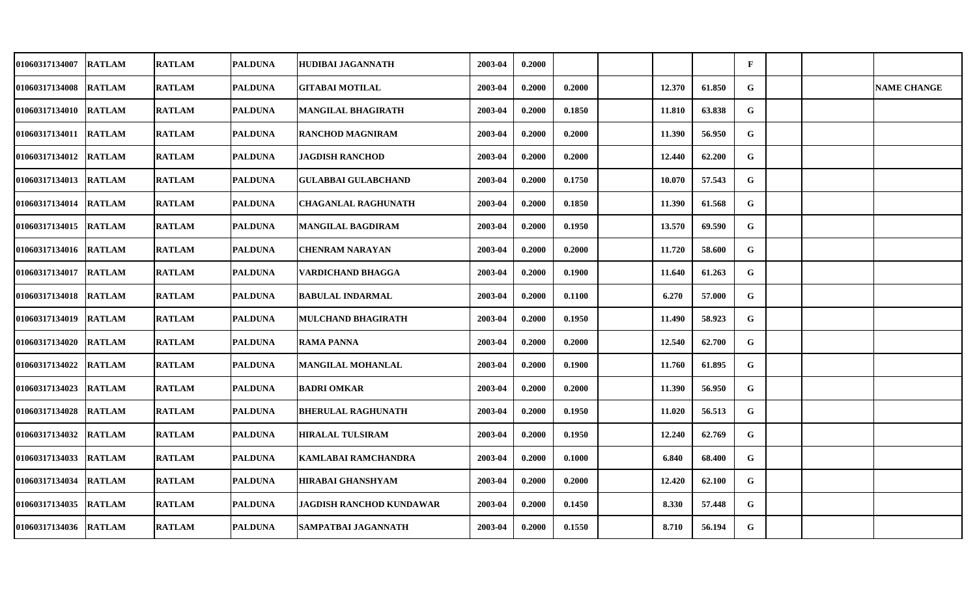| <b>01060317134007</b> | <b>RATLAM</b> | <b>RATLAM</b> | <b>PALDUNA</b> | HUDIBAI JAGANNATH               | 2003-04 | 0.2000 |        |        |        | $\mathbf F$ |  |                    |
|-----------------------|---------------|---------------|----------------|---------------------------------|---------|--------|--------|--------|--------|-------------|--|--------------------|
| 01060317134008        | <b>RATLAM</b> | <b>RATLAM</b> | <b>PALDUNA</b> | <b>GITABAI MOTILAL</b>          | 2003-04 | 0.2000 | 0.2000 | 12.370 | 61.850 | G           |  | <b>NAME CHANGE</b> |
| <b>01060317134010</b> | <b>RATLAM</b> | <b>RATLAM</b> | <b>PALDUNA</b> | MANGILAL BHAGIRATH              | 2003-04 | 0.2000 | 0.1850 | 11.810 | 63.838 | G           |  |                    |
| 01060317134011        | <b>RATLAM</b> | <b>RATLAM</b> | <b>PALDUNA</b> | <b>RANCHOD MAGNIRAM</b>         | 2003-04 | 0.2000 | 0.2000 | 11.390 | 56.950 | G           |  |                    |
| 01060317134012        | <b>RATLAM</b> | <b>RATLAM</b> | <b>PALDUNA</b> | <b>JAGDISH RANCHOD</b>          | 2003-04 | 0.2000 | 0.2000 | 12.440 | 62.200 | G           |  |                    |
| 01060317134013        | <b>RATLAM</b> | <b>RATLAM</b> | <b>PALDUNA</b> | <b>GULABBAI GULABCHAND</b>      | 2003-04 | 0.2000 | 0.1750 | 10.070 | 57.543 | G           |  |                    |
| 01060317134014        | <b>RATLAM</b> | <b>RATLAM</b> | <b>PALDUNA</b> | <b>CHAGANLAL RAGHUNATH</b>      | 2003-04 | 0.2000 | 0.1850 | 11.390 | 61.568 | G           |  |                    |
| 01060317134015        | <b>RATLAM</b> | <b>RATLAM</b> | <b>PALDUNA</b> | <b>MANGILAL BAGDIRAM</b>        | 2003-04 | 0.2000 | 0.1950 | 13.570 | 69.590 | $\mathbf G$ |  |                    |
| 01060317134016        | <b>RATLAM</b> | <b>RATLAM</b> | <b>PALDUNA</b> | <b>CHENRAM NARAYAN</b>          | 2003-04 | 0.2000 | 0.2000 | 11.720 | 58.600 | G           |  |                    |
| 01060317134017        | <b>RATLAM</b> | <b>RATLAM</b> | <b>PALDUNA</b> | VARDICHAND BHAGGA               | 2003-04 | 0.2000 | 0.1900 | 11.640 | 61.263 | G           |  |                    |
| 01060317134018        | <b>RATLAM</b> | <b>RATLAM</b> | <b>PALDUNA</b> | <b>BABULAL INDARMAL</b>         | 2003-04 | 0.2000 | 0.1100 | 6.270  | 57.000 | G           |  |                    |
| <b>01060317134019</b> | <b>RATLAM</b> | <b>RATLAM</b> | <b>PALDUNA</b> | <b>MULCHAND BHAGIRATH</b>       | 2003-04 | 0.2000 | 0.1950 | 11.490 | 58.923 | G           |  |                    |
| 01060317134020        | <b>RATLAM</b> | <b>RATLAM</b> | <b>PALDUNA</b> | <b>RAMA PANNA</b>               | 2003-04 | 0.2000 | 0.2000 | 12.540 | 62.700 | G           |  |                    |
| 01060317134022        | <b>RATLAM</b> | <b>RATLAM</b> | <b>PALDUNA</b> | <b>MANGILAL MOHANLAL</b>        | 2003-04 | 0.2000 | 0.1900 | 11.760 | 61.895 | G           |  |                    |
| 01060317134023        | <b>RATLAM</b> | <b>RATLAM</b> | <b>PALDUNA</b> | <b>BADRI OMKAR</b>              | 2003-04 | 0.2000 | 0.2000 | 11.390 | 56.950 | G           |  |                    |
| 01060317134028        | <b>RATLAM</b> | <b>RATLAM</b> | <b>PALDUNA</b> | <b>BHERULAL RAGHUNATH</b>       | 2003-04 | 0.2000 | 0.1950 | 11.020 | 56.513 | G           |  |                    |
| 01060317134032        | <b>RATLAM</b> | <b>RATLAM</b> | <b>PALDUNA</b> | <b>HIRALAL TULSIRAM</b>         | 2003-04 | 0.2000 | 0.1950 | 12.240 | 62.769 | G           |  |                    |
| 01060317134033        | <b>RATLAM</b> | <b>RATLAM</b> | <b>PALDUNA</b> | KAMLABAI RAMCHANDRA             | 2003-04 | 0.2000 | 0.1000 | 6.840  | 68.400 | G           |  |                    |
| 01060317134034        | <b>RATLAM</b> | <b>RATLAM</b> | <b>PALDUNA</b> | <b>HIRABAI GHANSHYAM</b>        | 2003-04 | 0.2000 | 0.2000 | 12.420 | 62.100 | G           |  |                    |
| 01060317134035        | <b>RATLAM</b> | <b>RATLAM</b> | <b>PALDUNA</b> | <b>JAGDISH RANCHOD KUNDAWAR</b> | 2003-04 | 0.2000 | 0.1450 | 8.330  | 57.448 | G           |  |                    |
| <b>01060317134036</b> | <b>RATLAM</b> | <b>RATLAM</b> | <b>PALDUNA</b> | SAMPATBAI JAGANNATH             | 2003-04 | 0.2000 | 0.1550 | 8.710  | 56.194 | G           |  |                    |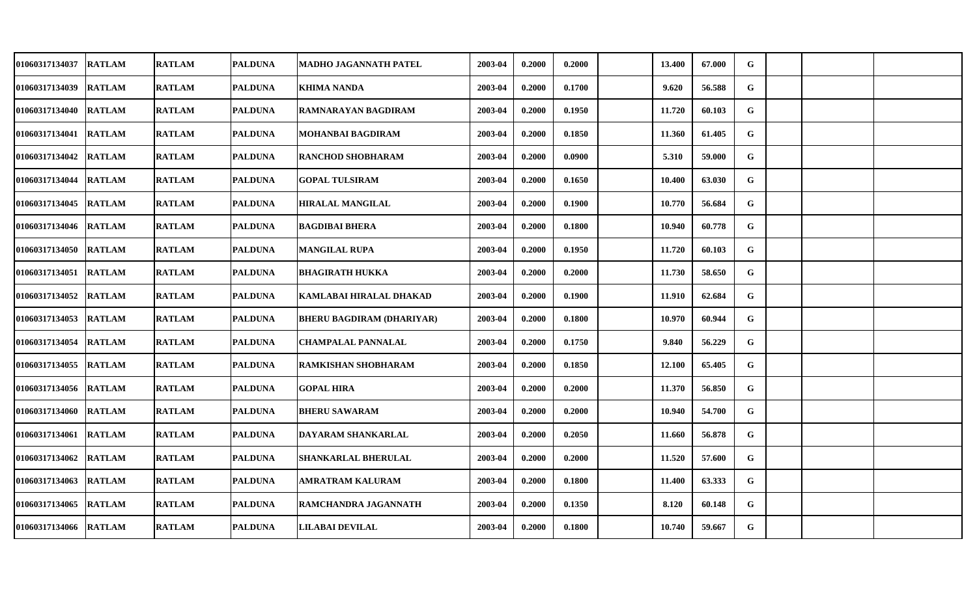| 01060317134037        | <b>RATLAM</b> | <b>RATLAM</b> | <b>PALDUNA</b> | MADHO JAGANNATH PATEL            | 2003-04 | 0.2000 | 0.2000 | 13.400 | 67.000 | G |  |  |
|-----------------------|---------------|---------------|----------------|----------------------------------|---------|--------|--------|--------|--------|---|--|--|
| 01060317134039        | <b>RATLAM</b> | <b>RATLAM</b> | <b>PALDUNA</b> | <b>KHIMA NANDA</b>               | 2003-04 | 0.2000 | 0.1700 | 9.620  | 56.588 | G |  |  |
| 01060317134040        | <b>RATLAM</b> | <b>RATLAM</b> | <b>PALDUNA</b> | RAMNARAYAN BAGDIRAM              | 2003-04 | 0.2000 | 0.1950 | 11.720 | 60.103 | G |  |  |
| 01060317134041        | <b>RATLAM</b> | <b>RATLAM</b> | <b>PALDUNA</b> | MOHANBAI BAGDIRAM                | 2003-04 | 0.2000 | 0.1850 | 11.360 | 61.405 | G |  |  |
| 01060317134042        | <b>RATLAM</b> | <b>RATLAM</b> | <b>PALDUNA</b> | RANCHOD SHOBHARAM                | 2003-04 | 0.2000 | 0.0900 | 5.310  | 59.000 | G |  |  |
| 01060317134044        | <b>RATLAM</b> | <b>RATLAM</b> | <b>PALDUNA</b> | <b>GOPAL TULSIRAM</b>            | 2003-04 | 0.2000 | 0.1650 | 10.400 | 63.030 | G |  |  |
| 01060317134045        | <b>RATLAM</b> | <b>RATLAM</b> | <b>PALDUNA</b> | <b>HIRALAL MANGILAL</b>          | 2003-04 | 0.2000 | 0.1900 | 10.770 | 56.684 | G |  |  |
| 01060317134046        | <b>RATLAM</b> | <b>RATLAM</b> | <b>PALDUNA</b> | <b>BAGDIBAI BHERA</b>            | 2003-04 | 0.2000 | 0.1800 | 10.940 | 60.778 | G |  |  |
| 01060317134050        | <b>RATLAM</b> | <b>RATLAM</b> | <b>PALDUNA</b> | <b>MANGILAL RUPA</b>             | 2003-04 | 0.2000 | 0.1950 | 11.720 | 60.103 | G |  |  |
| 01060317134051        | <b>RATLAM</b> | <b>RATLAM</b> | <b>PALDUNA</b> | <b>BHAGIRATH HUKKA</b>           | 2003-04 | 0.2000 | 0.2000 | 11.730 | 58.650 | G |  |  |
| 01060317134052        | <b>RATLAM</b> | <b>RATLAM</b> | <b>PALDUNA</b> | KAMLABAI HIRALAL DHAKAD          | 2003-04 | 0.2000 | 0.1900 | 11.910 | 62.684 | G |  |  |
| 01060317134053 RATLAM |               | <b>RATLAM</b> | <b>PALDUNA</b> | <b>BHERU BAGDIRAM (DHARIYAR)</b> | 2003-04 | 0.2000 | 0.1800 | 10.970 | 60.944 | G |  |  |
| 01060317134054        | <b>RATLAM</b> | <b>RATLAM</b> | <b>PALDUNA</b> | <b>CHAMPALAL PANNALAL</b>        | 2003-04 | 0.2000 | 0.1750 | 9.840  | 56.229 | G |  |  |
| 01060317134055        | <b>RATLAM</b> | <b>RATLAM</b> | <b>PALDUNA</b> | RAMKISHAN SHOBHARAM              | 2003-04 | 0.2000 | 0.1850 | 12.100 | 65.405 | G |  |  |
| 01060317134056        | <b>RATLAM</b> | <b>RATLAM</b> | <b>PALDUNA</b> | <b>GOPAL HIRA</b>                | 2003-04 | 0.2000 | 0.2000 | 11.370 | 56.850 | G |  |  |
| 01060317134060        | <b>RATLAM</b> | <b>RATLAM</b> | <b>PALDUNA</b> | <b>BHERU SAWARAM</b>             | 2003-04 | 0.2000 | 0.2000 | 10.940 | 54.700 | G |  |  |
| 01060317134061        | <b>RATLAM</b> | <b>RATLAM</b> | <b>PALDUNA</b> | DAYARAM SHANKARLAL               | 2003-04 | 0.2000 | 0.2050 | 11.660 | 56.878 | G |  |  |
| 01060317134062        | <b>RATLAM</b> | <b>RATLAM</b> | <b>PALDUNA</b> | SHANKARLAL BHERULAL              | 2003-04 | 0.2000 | 0.2000 | 11.520 | 57.600 | G |  |  |
| 01060317134063        | <b>RATLAM</b> | <b>RATLAM</b> | <b>PALDUNA</b> | AMRATRAM KALURAM                 | 2003-04 | 0.2000 | 0.1800 | 11.400 | 63.333 | G |  |  |
| 01060317134065        | <b>RATLAM</b> | <b>RATLAM</b> | <b>PALDUNA</b> | RAMCHANDRA JAGANNATH             | 2003-04 | 0.2000 | 0.1350 | 8.120  | 60.148 | G |  |  |
| 01060317134066 RATLAM |               | <b>RATLAM</b> | <b>PALDUNA</b> | <b>LILABAI DEVILAL</b>           | 2003-04 | 0.2000 | 0.1800 | 10.740 | 59.667 | G |  |  |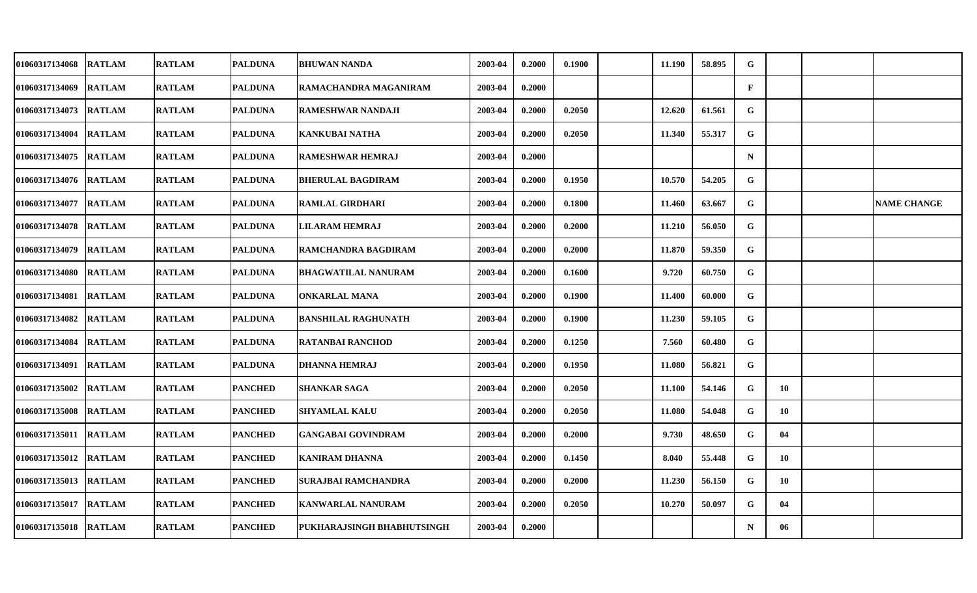| <b>01060317134068</b> | <b>RATLAM</b> | <b>RATLAM</b> | <b>PALDUNA</b> | <b>BHUWAN NANDA</b>        | 2003-04 | 0.2000 | 0.1900 | 11.190 | 58.895 | G            |    |                    |
|-----------------------|---------------|---------------|----------------|----------------------------|---------|--------|--------|--------|--------|--------------|----|--------------------|
| 01060317134069        | <b>RATLAM</b> | <b>RATLAM</b> | <b>PALDUNA</b> | RAMACHANDRA MAGANIRAM      | 2003-04 | 0.2000 |        |        |        | $\mathbf{F}$ |    |                    |
| <b>01060317134073</b> | <b>RATLAM</b> | <b>RATLAM</b> | <b>PALDUNA</b> | <b>RAMESHWAR NANDAJI</b>   | 2003-04 | 0.2000 | 0.2050 | 12.620 | 61.561 | G            |    |                    |
| 01060317134004        | <b>RATLAM</b> | <b>RATLAM</b> | <b>PALDUNA</b> | <b>KANKUBAI NATHA</b>      | 2003-04 | 0.2000 | 0.2050 | 11.340 | 55.317 | G            |    |                    |
| 01060317134075        | <b>RATLAM</b> | <b>RATLAM</b> | <b>PALDUNA</b> | RAMESHWAR HEMRAJ           | 2003-04 | 0.2000 |        |        |        | $\mathbf N$  |    |                    |
| 01060317134076        | <b>RATLAM</b> | <b>RATLAM</b> | <b>PALDUNA</b> | <b>BHERULAL BAGDIRAM</b>   | 2003-04 | 0.2000 | 0.1950 | 10.570 | 54.205 | G            |    |                    |
| 01060317134077        | <b>RATLAM</b> | <b>RATLAM</b> | <b>PALDUNA</b> | <b>RAMLAL GIRDHARI</b>     | 2003-04 | 0.2000 | 0.1800 | 11.460 | 63.667 | G            |    | <b>NAME CHANGE</b> |
| 01060317134078        | <b>RATLAM</b> | <b>RATLAM</b> | <b>PALDUNA</b> | <b>LILARAM HEMRAJ</b>      | 2003-04 | 0.2000 | 0.2000 | 11.210 | 56.050 | G            |    |                    |
| 01060317134079        | <b>RATLAM</b> | <b>RATLAM</b> | <b>PALDUNA</b> | RAMCHANDRA BAGDIRAM        | 2003-04 | 0.2000 | 0.2000 | 11.870 | 59.350 | G            |    |                    |
| 01060317134080        | <b>RATLAM</b> | <b>RATLAM</b> | <b>PALDUNA</b> | <b>BHAGWATILAL NANURAM</b> | 2003-04 | 0.2000 | 0.1600 | 9.720  | 60.750 | G            |    |                    |
| 01060317134081        | <b>RATLAM</b> | <b>RATLAM</b> | <b>PALDUNA</b> | ONKARLAL MANA              | 2003-04 | 0.2000 | 0.1900 | 11.400 | 60.000 | G            |    |                    |
| <b>01060317134082</b> | <b>RATLAM</b> | <b>RATLAM</b> | <b>PALDUNA</b> | <b>BANSHILAL RAGHUNATH</b> | 2003-04 | 0.2000 | 0.1900 | 11.230 | 59.105 | G            |    |                    |
| 01060317134084        | <b>RATLAM</b> | <b>RATLAM</b> | <b>PALDUNA</b> | <b>RATANBAI RANCHOD</b>    | 2003-04 | 0.2000 | 0.1250 | 7.560  | 60.480 | G            |    |                    |
| <b>01060317134091</b> | <b>RATLAM</b> | <b>RATLAM</b> | <b>PALDUNA</b> | DHANNA HEMRAJ              | 2003-04 | 0.2000 | 0.1950 | 11.080 | 56.821 | G            |    |                    |
| 01060317135002        | <b>RATLAM</b> | <b>RATLAM</b> | <b>PANCHED</b> | SHANKAR SAGA               | 2003-04 | 0.2000 | 0.2050 | 11.100 | 54.146 | G            | 10 |                    |
| 01060317135008        | <b>RATLAM</b> | <b>RATLAM</b> | <b>PANCHED</b> | <b>SHYAMLAL KALU</b>       | 2003-04 | 0.2000 | 0.2050 | 11.080 | 54.048 | G            | 10 |                    |
| 01060317135011        | <b>RATLAM</b> | <b>RATLAM</b> | <b>PANCHED</b> | <b>GANGABAI GOVINDRAM</b>  | 2003-04 | 0.2000 | 0.2000 | 9.730  | 48.650 | $\mathbf G$  | 04 |                    |
| 01060317135012        | <b>RATLAM</b> | <b>RATLAM</b> | <b>PANCHED</b> | <b>KANIRAM DHANNA</b>      | 2003-04 | 0.2000 | 0.1450 | 8.040  | 55.448 | G            | 10 |                    |
| 01060317135013        | <b>RATLAM</b> | <b>RATLAM</b> | <b>PANCHED</b> | <b>SURAJBAI RAMCHANDRA</b> | 2003-04 | 0.2000 | 0.2000 | 11.230 | 56.150 | G            | 10 |                    |
| 01060317135017        | <b>RATLAM</b> | <b>RATLAM</b> | <b>PANCHED</b> | <b>KANWARLAL NANURAM</b>   | 2003-04 | 0.2000 | 0.2050 | 10.270 | 50.097 | G            | 04 |                    |
| <b>01060317135018</b> | <b>RATLAM</b> | <b>RATLAM</b> | <b>PANCHED</b> | PUKHARAJSINGH BHABHUTSINGH | 2003-04 | 0.2000 |        |        |        | $\mathbf N$  | 06 |                    |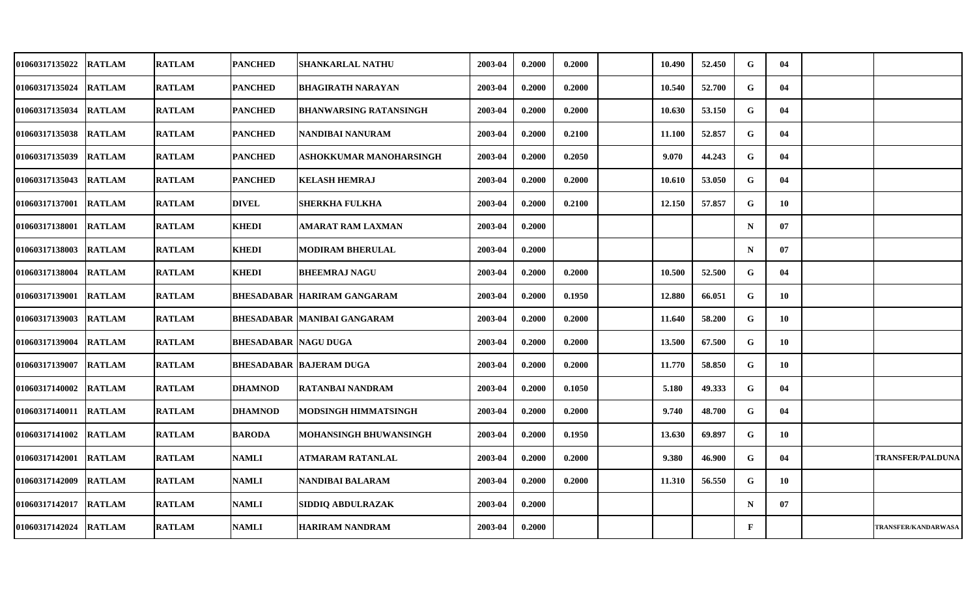| 01060317135022 | <b>RATLAM</b> | <b>RATLAM</b> | <b>PANCHED</b>              | <b>SHANKARLAL NATHU</b>            | 2003-04 | 0.2000 | 0.2000 | 10.490 | 52.450 | G            | 04 |                         |
|----------------|---------------|---------------|-----------------------------|------------------------------------|---------|--------|--------|--------|--------|--------------|----|-------------------------|
| 01060317135024 | <b>RATLAM</b> | <b>RATLAM</b> | <b>PANCHED</b>              | <b>BHAGIRATH NARAYAN</b>           | 2003-04 | 0.2000 | 0.2000 | 10.540 | 52.700 | G            | 04 |                         |
| 01060317135034 | <b>RATLAM</b> | <b>RATLAM</b> | <b>PANCHED</b>              | <b>BHANWARSING RATANSINGH</b>      | 2003-04 | 0.2000 | 0.2000 | 10.630 | 53.150 | G            | 04 |                         |
| 01060317135038 | <b>RATLAM</b> | <b>RATLAM</b> | <b>PANCHED</b>              | NANDIBAI NANURAM                   | 2003-04 | 0.2000 | 0.2100 | 11.100 | 52.857 | G            | 04 |                         |
| 01060317135039 | <b>RATLAM</b> | <b>RATLAM</b> | <b>PANCHED</b>              | ASHOKKUMAR MANOHARSINGH            | 2003-04 | 0.2000 | 0.2050 | 9.070  | 44.243 | G            | 04 |                         |
| 01060317135043 | <b>RATLAM</b> | <b>RATLAM</b> | <b>PANCHED</b>              | <b>KELASH HEMRAJ</b>               | 2003-04 | 0.2000 | 0.2000 | 10.610 | 53.050 | G            | 04 |                         |
| 01060317137001 | <b>RATLAM</b> | <b>RATLAM</b> | <b>DIVEL</b>                | SHERKHA FULKHA                     | 2003-04 | 0.2000 | 0.2100 | 12.150 | 57.857 | G            | 10 |                         |
| 01060317138001 | <b>RATLAM</b> | <b>RATLAM</b> | <b>KHEDI</b>                | <b>AMARAT RAM LAXMAN</b>           | 2003-04 | 0.2000 |        |        |        | $\mathbf N$  | 07 |                         |
| 01060317138003 | <b>RATLAM</b> | <b>RATLAM</b> | <b>KHEDI</b>                | <b>MODIRAM BHERULAL</b>            | 2003-04 | 0.2000 |        |        |        | $\mathbf N$  | 07 |                         |
| 01060317138004 | <b>RATLAM</b> | <b>RATLAM</b> | <b>KHEDI</b>                | <b>BHEEMRAJ NAGU</b>               | 2003-04 | 0.2000 | 0.2000 | 10.500 | 52.500 | G            | 04 |                         |
| 01060317139001 | <b>RATLAM</b> | <b>RATLAM</b> |                             | <b>BHESADABAR HARIRAM GANGARAM</b> | 2003-04 | 0.2000 | 0.1950 | 12.880 | 66.051 | G            | 10 |                         |
| 01060317139003 | <b>RATLAM</b> | <b>RATLAM</b> |                             | BHESADABAR   MANIBAI GANGARAM      | 2003-04 | 0.2000 | 0.2000 | 11.640 | 58.200 | G            | 10 |                         |
| 01060317139004 | <b>RATLAM</b> | <b>RATLAM</b> | <b>BHESADABAR NAGU DUGA</b> |                                    | 2003-04 | 0.2000 | 0.2000 | 13.500 | 67.500 | G            | 10 |                         |
| 01060317139007 | <b>RATLAM</b> | <b>RATLAM</b> |                             | <b>BHESADABAR BAJERAM DUGA</b>     | 2003-04 | 0.2000 | 0.2000 | 11.770 | 58.850 | G            | 10 |                         |
| 01060317140002 | <b>RATLAM</b> | <b>RATLAM</b> | <b>DHAMNOD</b>              | <b>RATANBAI NANDRAM</b>            | 2003-04 | 0.2000 | 0.1050 | 5.180  | 49.333 | G            | 04 |                         |
| 01060317140011 | <b>RATLAM</b> | <b>RATLAM</b> | <b>DHAMNOD</b>              | MODSINGH HIMMATSINGH               | 2003-04 | 0.2000 | 0.2000 | 9.740  | 48.700 | G            | 04 |                         |
| 01060317141002 | <b>RATLAM</b> | <b>RATLAM</b> | <b>BARODA</b>               | MOHANSINGH BHUWANSINGH             | 2003-04 | 0.2000 | 0.1950 | 13.630 | 69.897 | G            | 10 |                         |
| 01060317142001 | <b>RATLAM</b> | <b>RATLAM</b> | <b>NAMLI</b>                | ATMARAM RATANLAL                   | 2003-04 | 0.2000 | 0.2000 | 9.380  | 46.900 | G            | 04 | <b>TRANSFER/PALDUNA</b> |
| 01060317142009 | <b>RATLAM</b> | <b>RATLAM</b> | <b>NAMLI</b>                | NANDIBAI BALARAM                   | 2003-04 | 0.2000 | 0.2000 | 11.310 | 56.550 | G            | 10 |                         |
| 01060317142017 | <b>RATLAM</b> | <b>RATLAM</b> | <b>NAMLI</b>                | SIDDIQ ABDULRAZAK                  | 2003-04 | 0.2000 |        |        |        | $\mathbf N$  | 07 |                         |
| 01060317142024 | <b>RATLAM</b> | <b>RATLAM</b> | <b>NAMLI</b>                | <b>HARIRAM NANDRAM</b>             | 2003-04 | 0.2000 |        |        |        | $\mathbf{F}$ |    | TRANSFER/KANDARWASA     |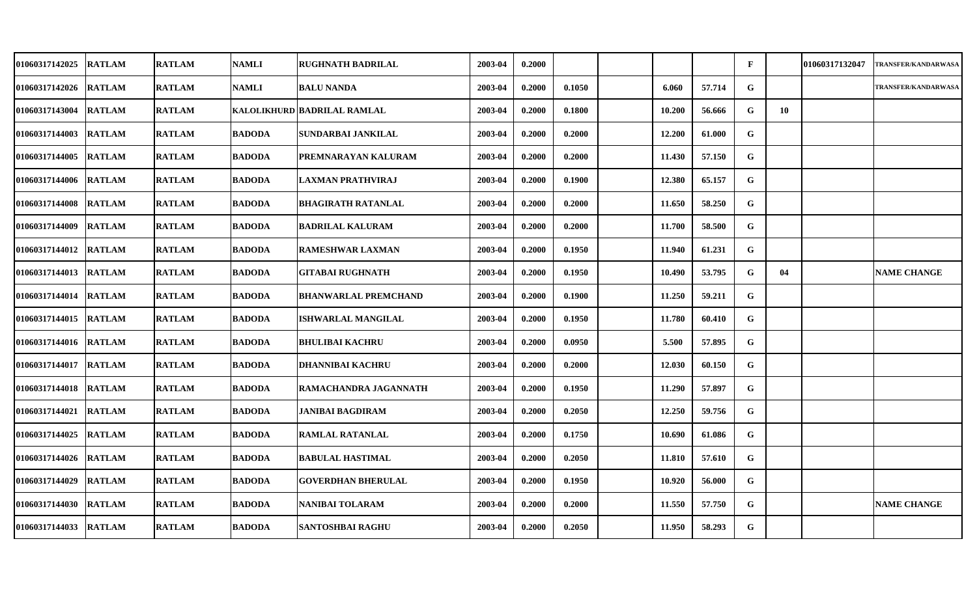| <b>01060317142025</b> | <b>RATLAM</b> | <b>RATLAM</b> | <b>NAMLI</b>  | <b>RUGHNATH BADRILAL</b>    | 2003-04 | 0.2000 |        |        |        | $\mathbf{F}$ |    | 01060317132047 | <b>TRANSFER/KANDARWASA</b> |
|-----------------------|---------------|---------------|---------------|-----------------------------|---------|--------|--------|--------|--------|--------------|----|----------------|----------------------------|
| 01060317142026        | <b>RATLAM</b> | <b>RATLAM</b> | <b>NAMLI</b>  | <b>BALU NANDA</b>           | 2003-04 | 0.2000 | 0.1050 | 6.060  | 57.714 | G            |    |                | <b>TRANSFER/KANDARWASA</b> |
| <b>01060317143004</b> | <b>RATLAM</b> | <b>RATLAM</b> |               | KALOLIKHURD BADRILAL RAMLAL | 2003-04 | 0.2000 | 0.1800 | 10.200 | 56.666 | G            | 10 |                |                            |
| 01060317144003        | <b>RATLAM</b> | <b>RATLAM</b> | <b>BADODA</b> | SUNDARBAI JANKILAL          | 2003-04 | 0.2000 | 0.2000 | 12.200 | 61.000 | G            |    |                |                            |
| <b>01060317144005</b> | <b>RATLAM</b> | <b>RATLAM</b> | <b>BADODA</b> | PREMNARAYAN KALURAM         | 2003-04 | 0.2000 | 0.2000 | 11.430 | 57.150 | G            |    |                |                            |
| 01060317144006        | <b>RATLAM</b> | <b>RATLAM</b> | <b>BADODA</b> | <b>LAXMAN PRATHVIRAJ</b>    | 2003-04 | 0.2000 | 0.1900 | 12.380 | 65.157 | G            |    |                |                            |
| 01060317144008        | <b>RATLAM</b> | <b>RATLAM</b> | <b>BADODA</b> | <b>BHAGIRATH RATANLAL</b>   | 2003-04 | 0.2000 | 0.2000 | 11.650 | 58.250 | G            |    |                |                            |
| 01060317144009        | <b>RATLAM</b> | <b>RATLAM</b> | <b>BADODA</b> | <b>BADRILAL KALURAM</b>     | 2003-04 | 0.2000 | 0.2000 | 11.700 | 58.500 | G            |    |                |                            |
| 01060317144012        | <b>RATLAM</b> | <b>RATLAM</b> | <b>BADODA</b> | <b>RAMESHWAR LAXMAN</b>     | 2003-04 | 0.2000 | 0.1950 | 11.940 | 61.231 | G            |    |                |                            |
| 01060317144013        | <b>RATLAM</b> | <b>RATLAM</b> | <b>BADODA</b> | <b>GITABAI RUGHNATH</b>     | 2003-04 | 0.2000 | 0.1950 | 10.490 | 53.795 | G            | 04 |                | <b>NAME CHANGE</b>         |
| <b>01060317144014</b> | <b>RATLAM</b> | <b>RATLAM</b> | <b>BADODA</b> | <b>BHANWARLAL PREMCHAND</b> | 2003-04 | 0.2000 | 0.1900 | 11.250 | 59.211 | G            |    |                |                            |
| <b>01060317144015</b> | <b>RATLAM</b> | <b>RATLAM</b> | <b>BADODA</b> | ISHWARLAL MANGILAL          | 2003-04 | 0.2000 | 0.1950 | 11.780 | 60.410 | G            |    |                |                            |
| 01060317144016        | <b>RATLAM</b> | <b>RATLAM</b> | <b>BADODA</b> | <b>BHULIBAI KACHRU</b>      | 2003-04 | 0.2000 | 0.0950 | 5.500  | 57.895 | G            |    |                |                            |
| 01060317144017        | <b>RATLAM</b> | <b>RATLAM</b> | <b>BADODA</b> | DHANNIBAI KACHRU            | 2003-04 | 0.2000 | 0.2000 | 12.030 | 60.150 | G            |    |                |                            |
| 01060317144018        | <b>RATLAM</b> | <b>RATLAM</b> | <b>BADODA</b> | RAMACHANDRA JAGANNATH       | 2003-04 | 0.2000 | 0.1950 | 11.290 | 57.897 | G            |    |                |                            |
| <b>01060317144021</b> | <b>RATLAM</b> | <b>RATLAM</b> | <b>BADODA</b> | JANIBAI BAGDIRAM            | 2003-04 | 0.2000 | 0.2050 | 12.250 | 59.756 | G            |    |                |                            |
| 01060317144025        | <b>RATLAM</b> | <b>RATLAM</b> | <b>BADODA</b> | <b>RAMLAL RATANLAL</b>      | 2003-04 | 0.2000 | 0.1750 | 10.690 | 61.086 | $\mathbf G$  |    |                |                            |
| 01060317144026        | <b>RATLAM</b> | <b>RATLAM</b> | <b>BADODA</b> | <b>BABULAL HASTIMAL</b>     | 2003-04 | 0.2000 | 0.2050 | 11.810 | 57.610 | ${\bf G}$    |    |                |                            |
| 01060317144029        | <b>RATLAM</b> | <b>RATLAM</b> | <b>BADODA</b> | <b>GOVERDHAN BHERULAL</b>   | 2003-04 | 0.2000 | 0.1950 | 10.920 | 56.000 | G            |    |                |                            |
| 01060317144030        | <b>RATLAM</b> | <b>RATLAM</b> | <b>BADODA</b> | NANIBAI TOLARAM             | 2003-04 | 0.2000 | 0.2000 | 11.550 | 57.750 | G            |    |                | <b>NAME CHANGE</b>         |
| 01060317144033        | <b>RATLAM</b> | <b>RATLAM</b> | <b>BADODA</b> | SANTOSHBAI RAGHU            | 2003-04 | 0.2000 | 0.2050 | 11.950 | 58.293 | G            |    |                |                            |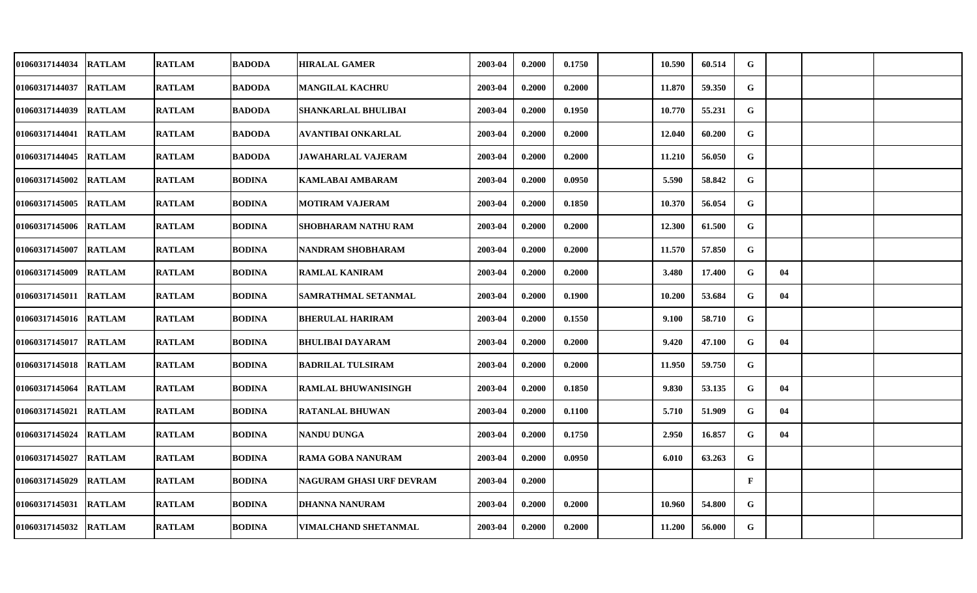| 01060317144034 RATLAM |               | <b>RATLAM</b> | <b>BADODA</b> | <b>HIRALAL GAMER</b>       | 2003-04 | 0.2000 | 0.1750 | 10.590 | 60.514 | G            |    |  |
|-----------------------|---------------|---------------|---------------|----------------------------|---------|--------|--------|--------|--------|--------------|----|--|
| 01060317144037        | <b>RATLAM</b> | <b>RATLAM</b> | <b>BADODA</b> | <b>MANGILAL KACHRU</b>     | 2003-04 | 0.2000 | 0.2000 | 11.870 | 59.350 | G            |    |  |
| 01060317144039 RATLAM |               | <b>RATLAM</b> | <b>BADODA</b> | SHANKARLAL BHULIBAI        | 2003-04 | 0.2000 | 0.1950 | 10.770 | 55.231 | G            |    |  |
| 01060317144041 RATLAM |               | <b>RATLAM</b> | <b>BADODA</b> | AVANTIBAI ONKARLAL         | 2003-04 | 0.2000 | 0.2000 | 12.040 | 60.200 | G            |    |  |
| 01060317144045 RATLAM |               | <b>RATLAM</b> | <b>BADODA</b> | <b>JAWAHARLAL VAJERAM</b>  | 2003-04 | 0.2000 | 0.2000 | 11.210 | 56.050 | G            |    |  |
| 01060317145002        | <b>RATLAM</b> | <b>RATLAM</b> | <b>BODINA</b> | <b>KAMLABAI AMBARAM</b>    | 2003-04 | 0.2000 | 0.0950 | 5.590  | 58.842 | G            |    |  |
| 01060317145005 RATLAM |               | <b>RATLAM</b> | <b>BODINA</b> | <b>MOTIRAM VAJERAM</b>     | 2003-04 | 0.2000 | 0.1850 | 10.370 | 56.054 | G            |    |  |
| 01060317145006 RATLAM |               | <b>RATLAM</b> | <b>BODINA</b> | <b>SHOBHARAM NATHU RAM</b> | 2003-04 | 0.2000 | 0.2000 | 12.300 | 61.500 | G            |    |  |
| 01060317145007        | <b>RATLAM</b> | <b>RATLAM</b> | <b>BODINA</b> | NANDRAM SHOBHARAM          | 2003-04 | 0.2000 | 0.2000 | 11.570 | 57.850 | G            |    |  |
| 01060317145009 RATLAM |               | <b>RATLAM</b> | <b>BODINA</b> | <b>RAMLAL KANIRAM</b>      | 2003-04 | 0.2000 | 0.2000 | 3.480  | 17.400 | G            | 04 |  |
| 01060317145011 RATLAM |               | <b>RATLAM</b> | <b>BODINA</b> | SAMRATHMAL SETANMAL        | 2003-04 | 0.2000 | 0.1900 | 10.200 | 53.684 | $\mathbf{G}$ | 04 |  |
| 01060317145016 RATLAM |               | <b>RATLAM</b> | <b>BODINA</b> | <b>BHERULAL HARIRAM</b>    | 2003-04 | 0.2000 | 0.1550 | 9.100  | 58.710 | G            |    |  |
| 01060317145017        | <b>RATLAM</b> | <b>RATLAM</b> | <b>BODINA</b> | <b>BHULIBAI DAYARAM</b>    | 2003-04 | 0.2000 | 0.2000 | 9.420  | 47.100 | G            | 04 |  |
| 01060317145018 RATLAM |               | <b>RATLAM</b> | <b>BODINA</b> | <b>BADRILAL TULSIRAM</b>   | 2003-04 | 0.2000 | 0.2000 | 11.950 | 59.750 | G            |    |  |
| 01060317145064        | <b>RATLAM</b> | <b>RATLAM</b> | <b>BODINA</b> | <b>RAMLAL BHUWANISINGH</b> | 2003-04 | 0.2000 | 0.1850 | 9.830  | 53.135 | G            | 04 |  |
| 01060317145021 RATLAM |               | <b>RATLAM</b> | <b>BODINA</b> | <b>RATANLAL BHUWAN</b>     | 2003-04 | 0.2000 | 0.1100 | 5.710  | 51.909 | G            | 04 |  |
| 01060317145024 RATLAM |               | <b>RATLAM</b> | <b>BODINA</b> | <b>NANDU DUNGA</b>         | 2003-04 | 0.2000 | 0.1750 | 2.950  | 16.857 | G            | 04 |  |
| 01060317145027        | <b>RATLAM</b> | <b>RATLAM</b> | <b>BODINA</b> | <b>RAMA GOBA NANURAM</b>   | 2003-04 | 0.2000 | 0.0950 | 6.010  | 63.263 | G            |    |  |
| 01060317145029        | <b>RATLAM</b> | <b>RATLAM</b> | <b>BODINA</b> | NAGURAM GHASI URF DEVRAM   | 2003-04 | 0.2000 |        |        |        | $\mathbf{F}$ |    |  |
| 01060317145031        | <b>RATLAM</b> | <b>RATLAM</b> | <b>BODINA</b> | <b>DHANNA NANURAM</b>      | 2003-04 | 0.2000 | 0.2000 | 10.960 | 54.800 | G            |    |  |
| 01060317145032 RATLAM |               | <b>RATLAM</b> | <b>BODINA</b> | VIMALCHAND SHETANMAL       | 2003-04 | 0.2000 | 0.2000 | 11.200 | 56.000 | G            |    |  |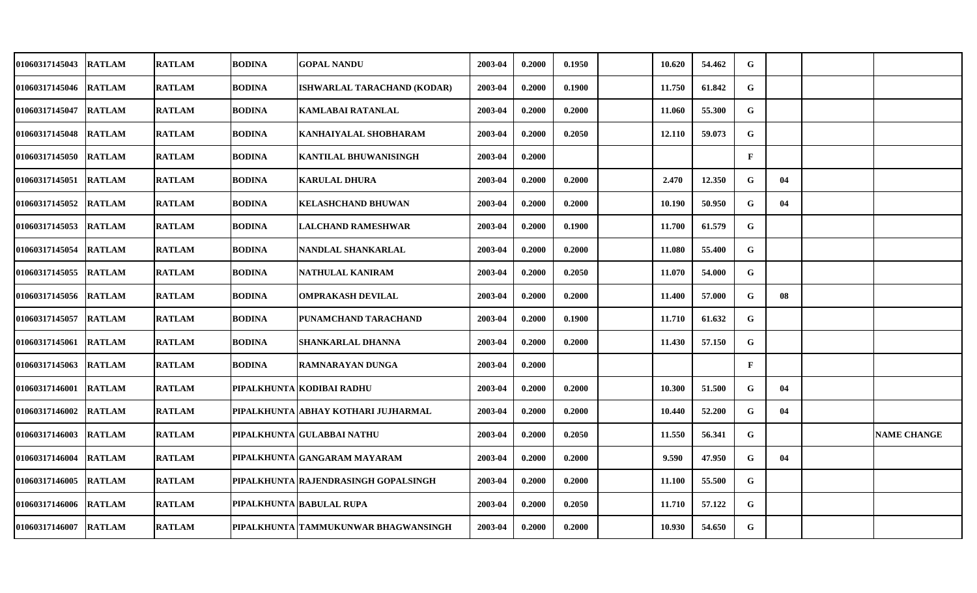| <b>01060317145043</b> | <b>RATLAM</b> | <b>RATLAM</b> | <b>BODINA</b> | GOPAL NANDU                          | 2003-04 | 0.2000 | 0.1950 | 10.620 | 54.462 | G            |    |                    |
|-----------------------|---------------|---------------|---------------|--------------------------------------|---------|--------|--------|--------|--------|--------------|----|--------------------|
| 01060317145046        | <b>RATLAM</b> | <b>RATLAM</b> | <b>BODINA</b> | ISHWARLAL TARACHAND (KODAR)          | 2003-04 | 0.2000 | 0.1900 | 11.750 | 61.842 | G            |    |                    |
| <b>01060317145047</b> | <b>RATLAM</b> | <b>RATLAM</b> | <b>BODINA</b> | <b>KAMLABAI RATANLAL</b>             | 2003-04 | 0.2000 | 0.2000 | 11.060 | 55.300 | G            |    |                    |
| 01060317145048        | <b>RATLAM</b> | <b>RATLAM</b> | <b>BODINA</b> | KANHAIYALAL SHOBHARAM                | 2003-04 | 0.2000 | 0.2050 | 12.110 | 59.073 | G            |    |                    |
| 01060317145050        | <b>RATLAM</b> | <b>RATLAM</b> | <b>BODINA</b> | KANTILAL BHUWANISINGH                | 2003-04 | 0.2000 |        |        |        | $\mathbf{F}$ |    |                    |
| 01060317145051        | <b>RATLAM</b> | <b>RATLAM</b> | <b>BODINA</b> | <b>KARULAL DHURA</b>                 | 2003-04 | 0.2000 | 0.2000 | 2.470  | 12.350 | G            | 04 |                    |
| 01060317145052        | <b>RATLAM</b> | <b>RATLAM</b> | <b>BODINA</b> | KELASHCHAND BHUWAN                   | 2003-04 | 0.2000 | 0.2000 | 10.190 | 50.950 | G            | 04 |                    |
| 01060317145053        | <b>RATLAM</b> | <b>RATLAM</b> | <b>BODINA</b> | <b>LALCHAND RAMESHWAR</b>            | 2003-04 | 0.2000 | 0.1900 | 11.700 | 61.579 | $\mathbf G$  |    |                    |
| 01060317145054        | <b>RATLAM</b> | <b>RATLAM</b> | <b>BODINA</b> | NANDLAL SHANKARLAL                   | 2003-04 | 0.2000 | 0.2000 | 11.080 | 55.400 | G            |    |                    |
| 01060317145055        | <b>RATLAM</b> | <b>RATLAM</b> | <b>BODINA</b> | NATHULAL KANIRAM                     | 2003-04 | 0.2000 | 0.2050 | 11.070 | 54.000 | G            |    |                    |
| 01060317145056        | <b>RATLAM</b> | <b>RATLAM</b> | <b>BODINA</b> | <b>OMPRAKASH DEVILAL</b>             | 2003-04 | 0.2000 | 0.2000 | 11.400 | 57.000 | G            | 08 |                    |
| 01060317145057        | <b>RATLAM</b> | <b>RATLAM</b> | <b>BODINA</b> | PUNAMCHAND TARACHAND                 | 2003-04 | 0.2000 | 0.1900 | 11.710 | 61.632 | G            |    |                    |
| 01060317145061        | <b>RATLAM</b> | <b>RATLAM</b> | <b>BODINA</b> | SHANKARLAL DHANNA                    | 2003-04 | 0.2000 | 0.2000 | 11.430 | 57.150 | G            |    |                    |
| 01060317145063        | <b>RATLAM</b> | <b>RATLAM</b> | <b>BODINA</b> | <b>RAMNARAYAN DUNGA</b>              | 2003-04 | 0.2000 |        |        |        | $\mathbf{F}$ |    |                    |
| 01060317146001        | <b>RATLAM</b> | <b>RATLAM</b> |               | PIPALKHUNTA KODIBAI RADHU            | 2003-04 | 0.2000 | 0.2000 | 10.300 | 51.500 | G            | 04 |                    |
| 01060317146002        | <b>RATLAM</b> | <b>RATLAM</b> |               | PIPALKHUNTA ABHAY KOTHARI JUJHARMAL  | 2003-04 | 0.2000 | 0.2000 | 10.440 | 52.200 | G            | 04 |                    |
| 01060317146003        | <b>RATLAM</b> | <b>RATLAM</b> |               | PIPALKHUNTA GULABBAI NATHU           | 2003-04 | 0.2000 | 0.2050 | 11.550 | 56.341 | G            |    | <b>NAME CHANGE</b> |
| 01060317146004        | <b>RATLAM</b> | <b>RATLAM</b> |               | PIPALKHUNTA GANGARAM MAYARAM         | 2003-04 | 0.2000 | 0.2000 | 9.590  | 47.950 | G            | 04 |                    |
| 01060317146005        | <b>RATLAM</b> | <b>RATLAM</b> |               | PIPALKHUNTA RAJENDRASINGH GOPALSINGH | 2003-04 | 0.2000 | 0.2000 | 11.100 | 55.500 | G            |    |                    |
| 01060317146006        | <b>RATLAM</b> | <b>RATLAM</b> |               | PIPALKHUNTA BABULAL RUPA             | 2003-04 | 0.2000 | 0.2050 | 11.710 | 57.122 | G            |    |                    |
| 01060317146007        | <b>RATLAM</b> | <b>RATLAM</b> |               | PIPALKHUNTA TAMMUKUNWAR BHAGWANSINGH | 2003-04 | 0.2000 | 0.2000 | 10.930 | 54.650 | G            |    |                    |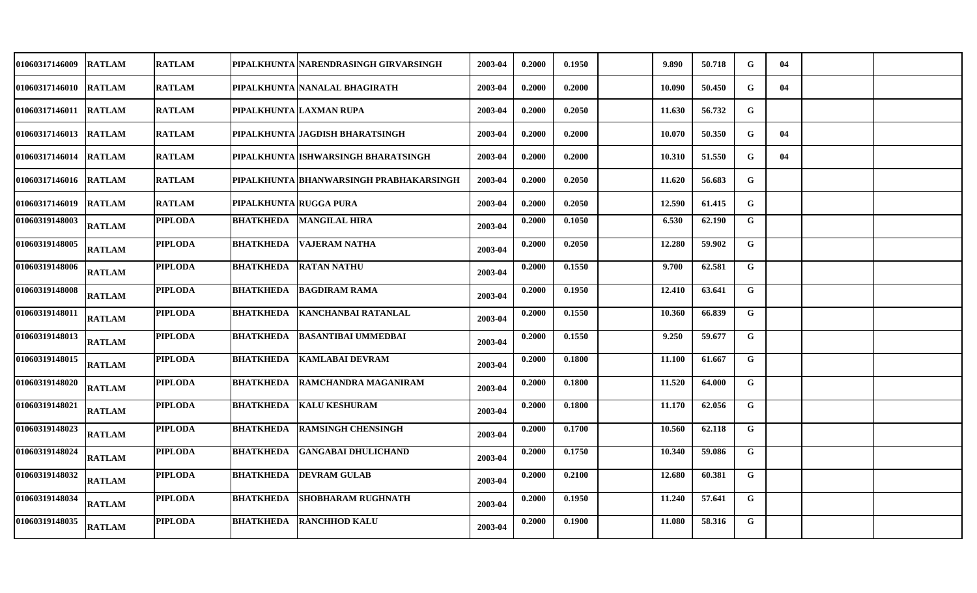| 01060317146009        | <b>RATLAM</b> | <b>RATLAM</b>  |                        | PIPALKHUNTA NARENDRASINGH GIRVARSINGH    | 2003-04 | 0.2000 | 0.1950 | 9.890  | 50.718 | G            | 04 |  |
|-----------------------|---------------|----------------|------------------------|------------------------------------------|---------|--------|--------|--------|--------|--------------|----|--|
| 01060317146010        | <b>RATLAM</b> | <b>RATLAM</b>  |                        | PIPALKHUNTA   NANALAL BHAGIRATH          | 2003-04 | 0.2000 | 0.2000 | 10.090 | 50.450 | G            | 04 |  |
| <b>01060317146011</b> | <b>RATLAM</b> | <b>RATLAM</b>  |                        | PIPALKHUNTA LAXMAN RUPA                  | 2003-04 | 0.2000 | 0.2050 | 11.630 | 56.732 | G            |    |  |
| 01060317146013        | <b>RATLAM</b> | <b>RATLAM</b>  |                        | PIPALKHUNTA   JAGDISH BHARATSINGH        | 2003-04 | 0.2000 | 0.2000 | 10.070 | 50.350 | $\mathbf G$  | 04 |  |
| <b>01060317146014</b> | <b>RATLAM</b> | <b>RATLAM</b>  |                        | PIPALKHUNTA   ISHWARSINGH BHARATSINGH    | 2003-04 | 0.2000 | 0.2000 | 10.310 | 51.550 | G            | 04 |  |
| 01060317146016        | <b>RATLAM</b> | <b>RATLAM</b>  |                        | PIPALKHUNTA  BHANWARSINGH PRABHAKARSINGH | 2003-04 | 0.2000 | 0.2050 | 11.620 | 56.683 | G            |    |  |
| 01060317146019        | <b>RATLAM</b> | <b>RATLAM</b>  | PIPALKHUNTA RUGGA PURA |                                          | 2003-04 | 0.2000 | 0.2050 | 12.590 | 61.415 | G            |    |  |
| 01060319148003        | <b>RATLAM</b> | <b>PIPLODA</b> |                        | <b>BHATKHEDA MANGILAL HIRA</b>           | 2003-04 | 0.2000 | 0.1050 | 6.530  | 62.190 | G            |    |  |
| 01060319148005        | <b>RATLAM</b> | <b>PIPLODA</b> |                        | <b>BHATKHEDA VAJERAM NATHA</b>           | 2003-04 | 0.2000 | 0.2050 | 12.280 | 59.902 | $\mathbf G$  |    |  |
| 01060319148006        | <b>RATLAM</b> | <b>PIPLODA</b> |                        | <b>BHATKHEDA RATAN NATHU</b>             | 2003-04 | 0.2000 | 0.1550 | 9.700  | 62.581 | $\mathbf G$  |    |  |
| 01060319148008        | <b>RATLAM</b> | <b>PIPLODA</b> | <b>BHATKHEDA</b>       | <b>BAGDIRAM RAMA</b>                     | 2003-04 | 0.2000 | 0.1950 | 12.410 | 63.641 | $\mathbf G$  |    |  |
| 01060319148011        | <b>RATLAM</b> | <b>PIPLODA</b> | <b>BHATKHEDA</b>       | KANCHANBAI RATANLAL                      | 2003-04 | 0.2000 | 0.1550 | 10.360 | 66.839 | G            |    |  |
| 01060319148013        | <b>RATLAM</b> | <b>PIPLODA</b> | <b>BHATKHEDA</b>       | <b>BASANTIBAI UMMEDBAI</b>               | 2003-04 | 0.2000 | 0.1550 | 9.250  | 59.677 | $\mathbf G$  |    |  |
| 01060319148015        | <b>RATLAM</b> | <b>PIPLODA</b> | <b>BHATKHEDA</b>       | <b>KAMLABAI DEVRAM</b>                   | 2003-04 | 0.2000 | 0.1800 | 11.100 | 61.667 | G            |    |  |
| 01060319148020        | <b>RATLAM</b> | <b>PIPLODA</b> |                        | <b>BHATKHEDA RAMCHANDRA MAGANIRAM</b>    | 2003-04 | 0.2000 | 0.1800 | 11.520 | 64.000 | $\mathbf G$  |    |  |
| 01060319148021        | <b>RATLAM</b> | <b>PIPLODA</b> | BHATKHEDA              | <b>KALU KESHURAM</b>                     | 2003-04 | 0.2000 | 0.1800 | 11.170 | 62.056 | G            |    |  |
| 01060319148023        | <b>RATLAM</b> | <b>PIPLODA</b> |                        | <b>BHATKHEDA RAMSINGH CHENSINGH</b>      | 2003-04 | 0.2000 | 0.1700 | 10.560 | 62.118 | $\mathbf G$  |    |  |
| 01060319148024        | <b>RATLAM</b> | <b>PIPLODA</b> | <b>BHATKHEDA</b>       | <b>GANGABAI DHULICHAND</b>               | 2003-04 | 0.2000 | 0.1750 | 10.340 | 59.086 | $\mathbf G$  |    |  |
| 01060319148032        | <b>RATLAM</b> | <b>PIPLODA</b> |                        | <b>BHATKHEDA  DEVRAM GULAB</b>           | 2003-04 | 0.2000 | 0.2100 | 12.680 | 60.381 | $\mathbf G$  |    |  |
| 01060319148034        | <b>RATLAM</b> | <b>PIPLODA</b> | <b>BHATKHEDA</b>       | <b>SHOBHARAM RUGHNATH</b>                | 2003-04 | 0.2000 | 0.1950 | 11.240 | 57.641 | $\mathbf G$  |    |  |
| 01060319148035        | <b>RATLAM</b> | <b>PIPLODA</b> | <b>BHATKHEDA</b>       | <b>RANCHHOD KALU</b>                     | 2003-04 | 0.2000 | 0.1900 | 11.080 | 58.316 | $\mathbf{G}$ |    |  |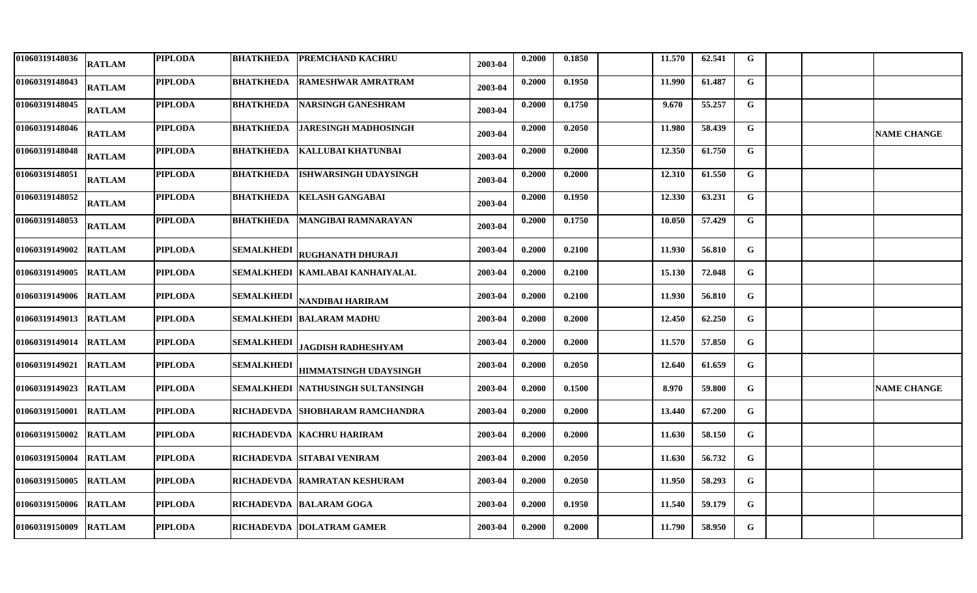| 01060319148036        | <b>RATLAM</b> | <b>PIPLODA</b> |                   | <b>BHATKHEDA PREMCHAND KACHRU</b>    | 2003-04 | 0.2000 | 0.1850 | 11.570 | 62.541 | $\mathbf G$    |  |                    |
|-----------------------|---------------|----------------|-------------------|--------------------------------------|---------|--------|--------|--------|--------|----------------|--|--------------------|
| 01060319148043        | <b>RATLAM</b> | <b>PIPLODA</b> | <b>BHATKHEDA</b>  | <b>RAMESHWAR AMRATRAM</b>            | 2003-04 | 0.2000 | 0.1950 | 11.990 | 61.487 | $\mathbf G$    |  |                    |
| 01060319148045        | <b>RATLAM</b> | <b>PIPLODA</b> | <b>BHATKHEDA</b>  | <b>NARSINGH GANESHRAM</b>            | 2003-04 | 0.2000 | 0.1750 | 9.670  | 55.257 | G              |  |                    |
| 01060319148046        | <b>RATLAM</b> | <b>PIPLODA</b> | <b>BHATKHEDA</b>  | <b>JARESINGH MADHOSINGH</b>          | 2003-04 | 0.2000 | 0.2050 | 11.980 | 58.439 | $\mathbf G$    |  | <b>NAME CHANGE</b> |
| 01060319148048        | <b>RATLAM</b> | <b>PIPLODA</b> | <b>BHATKHEDA</b>  | KALLUBAI KHATUNBAI                   | 2003-04 | 0.2000 | 0.2000 | 12.350 | 61.750 | $\overline{G}$ |  |                    |
| 01060319148051        | <b>RATLAM</b> | <b>PIPLODA</b> | <b>BHATKHEDA</b>  | IISHWARSINGH UDAYSINGH               | 2003-04 | 0.2000 | 0.2000 | 12.310 | 61.550 | $\mathbf{G}$   |  |                    |
| 01060319148052        | <b>RATLAM</b> | <b>PIPLODA</b> | <b>BHATKHEDA</b>  | <b>KELASH GANGABAI</b>               | 2003-04 | 0.2000 | 0.1950 | 12.330 | 63.231 | G              |  |                    |
| 01060319148053        | <b>RATLAM</b> | <b>PIPLODA</b> |                   | <b>BHATKHEDA MANGIBAI RAMNARAYAN</b> | 2003-04 | 0.2000 | 0.1750 | 10.050 | 57.429 | $\mathbf G$    |  |                    |
| 01060319149002        | <b>RATLAM</b> | <b>PIPLODA</b> | <b>SEMALKHEDI</b> | <b>RUGHANATH DHURAJI</b>             | 2003-04 | 0.2000 | 0.2100 | 11.930 | 56.810 | G              |  |                    |
| 01060319149005        | <b>RATLAM</b> | <b>PIPLODA</b> |                   | SEMALKHEDI  KAMLABAI KANHAIYALAL     | 2003-04 | 0.2000 | 0.2100 | 15.130 | 72.048 | G              |  |                    |
| 01060319149006        | <b>RATLAM</b> | <b>PIPLODA</b> | SEMALKHEDI        | NANDIBAI HARIRAM                     | 2003-04 | 0.2000 | 0.2100 | 11.930 | 56.810 | G              |  |                    |
| 01060319149013        | <b>RATLAM</b> | <b>PIPLODA</b> |                   | SEMALKHEDI  BALARAM MADHU            | 2003-04 | 0.2000 | 0.2000 | 12.450 | 62.250 | G              |  |                    |
| 01060319149014        | <b>RATLAM</b> | <b>PIPLODA</b> | <b>SEMALKHEDI</b> | <b>JAGDISH RADHESHYAM</b>            | 2003-04 | 0.2000 | 0.2000 | 11.570 | 57.850 | G              |  |                    |
| 01060319149021        | <b>RATLAM</b> | <b>PIPLODA</b> | <b>SEMALKHEDI</b> | <b>HIMMATSINGH UDAYSINGH</b>         | 2003-04 | 0.2000 | 0.2050 | 12.640 | 61.659 | G              |  |                    |
| 01060319149023        | <b>RATLAM</b> | <b>PIPLODA</b> |                   | SEMALKHEDI  NATHUSINGH SULTANSINGH   | 2003-04 | 0.2000 | 0.1500 | 8.970  | 59.800 | G              |  | <b>NAME CHANGE</b> |
| 01060319150001        | <b>RATLAM</b> | <b>PIPLODA</b> |                   | RICHADEVDA  SHOBHARAM RAMCHANDRA     | 2003-04 | 0.2000 | 0.2000 | 13.440 | 67.200 | G              |  |                    |
| 01060319150002        | <b>RATLAM</b> | <b>PIPLODA</b> |                   | RICHADEVDA   KACHRU HARIRAM          | 2003-04 | 0.2000 | 0.2000 | 11.630 | 58.150 | G              |  |                    |
| 01060319150004        | <b>RATLAM</b> | <b>PIPLODA</b> |                   | RICHADEVDA  SITABAI VENIRAM          | 2003-04 | 0.2000 | 0.2050 | 11.630 | 56.732 | G              |  |                    |
| 01060319150005        | <b>RATLAM</b> | <b>PIPLODA</b> |                   | RICHADEVDA  RAMRATAN KESHURAM        | 2003-04 | 0.2000 | 0.2050 | 11.950 | 58.293 | G              |  |                    |
| <b>01060319150006</b> | <b>RATLAM</b> | <b>PIPLODA</b> |                   | RICHADEVDA BALARAM GOGA              | 2003-04 | 0.2000 | 0.1950 | 11.540 | 59.179 | G              |  |                    |
| <b>01060319150009</b> | <b>RATLAM</b> | <b>PIPLODA</b> |                   | RICHADEVDA  DOLATRAM GAMER           | 2003-04 | 0.2000 | 0.2000 | 11.790 | 58.950 | G              |  |                    |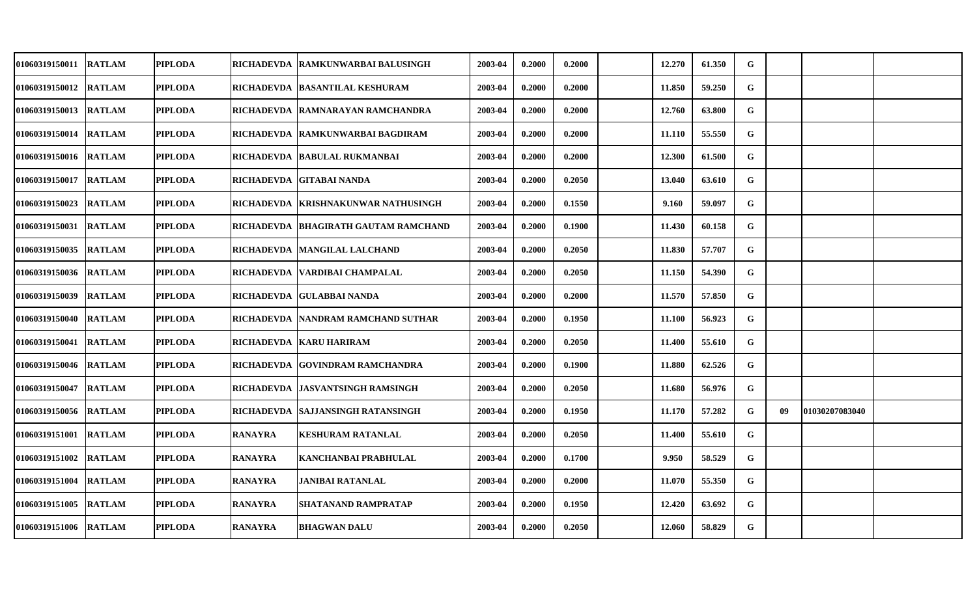| <b>01060319150011</b> | <b>RATLAM</b> | <b>PIPLODA</b> |                | RICHADEVDA   RAMKUNWARBAI BALUSINGH    | 2003-04 | 0.2000 | 0.2000 | 12.270 | 61.350 | G           |    |                |  |
|-----------------------|---------------|----------------|----------------|----------------------------------------|---------|--------|--------|--------|--------|-------------|----|----------------|--|
| 01060319150012        | <b>RATLAM</b> | <b>PIPLODA</b> |                | RICHADEVDA  BASANTILAL KESHURAM        | 2003-04 | 0.2000 | 0.2000 | 11.850 | 59.250 | G           |    |                |  |
| <b>01060319150013</b> | <b>RATLAM</b> | <b>PIPLODA</b> |                | RICHADEVDA RAMNARAYAN RAMCHANDRA       | 2003-04 | 0.2000 | 0.2000 | 12.760 | 63.800 | G           |    |                |  |
| 01060319150014        | <b>RATLAM</b> | <b>PIPLODA</b> |                | RICHADEVDA RAMKUNWARBAI BAGDIRAM       | 2003-04 | 0.2000 | 0.2000 | 11.110 | 55.550 | G           |    |                |  |
| 01060319150016        | <b>RATLAM</b> | <b>PIPLODA</b> |                | RICHADEVDA  BABULAL RUKMANBAI          | 2003-04 | 0.2000 | 0.2000 | 12.300 | 61.500 | G           |    |                |  |
| 01060319150017        | <b>RATLAM</b> | <b>PIPLODA</b> |                | RICHADEVDA GITABAI NANDA               | 2003-04 | 0.2000 | 0.2050 | 13.040 | 63.610 | G           |    |                |  |
| <b>01060319150023</b> | <b>RATLAM</b> | <b>PIPLODA</b> | RICHADEVDA     | <b>KRISHNAKUNWAR NATHUSINGH</b>        | 2003-04 | 0.2000 | 0.1550 | 9.160  | 59.097 | G           |    |                |  |
| 01060319150031        | <b>RATLAM</b> | <b>PIPLODA</b> |                | RICHADEVDA   BHAGIRATH GAUTAM RAMCHAND | 2003-04 | 0.2000 | 0.1900 | 11.430 | 60.158 | G           |    |                |  |
| 01060319150035        | <b>RATLAM</b> | <b>PIPLODA</b> |                | RICHADEVDA   MANGILAL LALCHAND         | 2003-04 | 0.2000 | 0.2050 | 11.830 | 57.707 | G           |    |                |  |
| 01060319150036        | <b>RATLAM</b> | <b>PIPLODA</b> |                | RICHADEVDA   VARDIBAI CHAMPALAL        | 2003-04 | 0.2000 | 0.2050 | 11.150 | 54.390 | G           |    |                |  |
| 01060319150039        | <b>RATLAM</b> | <b>PIPLODA</b> |                | RICHADEVDA GULABBAI NANDA              | 2003-04 | 0.2000 | 0.2000 | 11.570 | 57.850 | $\mathbf G$ |    |                |  |
| <b>01060319150040</b> | <b>RATLAM</b> | <b>PIPLODA</b> |                | RICHADEVDA  NANDRAM RAMCHAND SUTHAR    | 2003-04 | 0.2000 | 0.1950 | 11.100 | 56.923 | G           |    |                |  |
| 01060319150041        | <b>RATLAM</b> | <b>PIPLODA</b> |                | RICHADEVDA   KARU HARIRAM              | 2003-04 | 0.2000 | 0.2050 | 11.400 | 55.610 | $\mathbf G$ |    |                |  |
| 01060319150046        | <b>RATLAM</b> | <b>PIPLODA</b> |                | RICHADEVDA GOVINDRAM RAMCHANDRA        | 2003-04 | 0.2000 | 0.1900 | 11.880 | 62.526 | G           |    |                |  |
| 01060319150047        | <b>RATLAM</b> | <b>PIPLODA</b> |                | RICHADEVDA  JASVANTSINGH RAMSINGH      | 2003-04 | 0.2000 | 0.2050 | 11.680 | 56.976 | G           |    |                |  |
| <b>01060319150056</b> | <b>RATLAM</b> | <b>PIPLODA</b> |                | RICHADEVDA  SAJJANSINGH RATANSINGH     | 2003-04 | 0.2000 | 0.1950 | 11.170 | 57.282 | G           | 09 | 01030207083040 |  |
| 01060319151001        | <b>RATLAM</b> | <b>PIPLODA</b> | <b>RANAYRA</b> | <b>KESHURAM RATANLAL</b>               | 2003-04 | 0.2000 | 0.2050 | 11.400 | 55.610 | G           |    |                |  |
| 01060319151002        | <b>RATLAM</b> | <b>PIPLODA</b> | <b>RANAYRA</b> | KANCHANBAI PRABHULAL                   | 2003-04 | 0.2000 | 0.1700 | 9.950  | 58.529 | G           |    |                |  |
| 01060319151004        | <b>RATLAM</b> | <b>PIPLODA</b> | <b>RANAYRA</b> | JANIBAI RATANLAL                       | 2003-04 | 0.2000 | 0.2000 | 11.070 | 55.350 | G           |    |                |  |
| 01060319151005        | <b>RATLAM</b> | <b>PIPLODA</b> | <b>RANAYRA</b> | SHATANAND RAMPRATAP                    | 2003-04 | 0.2000 | 0.1950 | 12.420 | 63.692 | G           |    |                |  |
| 01060319151006        | <b>RATLAM</b> | <b>PIPLODA</b> | <b>RANAYRA</b> | <b>BHAGWAN DALU</b>                    | 2003-04 | 0.2000 | 0.2050 | 12.060 | 58.829 | G           |    |                |  |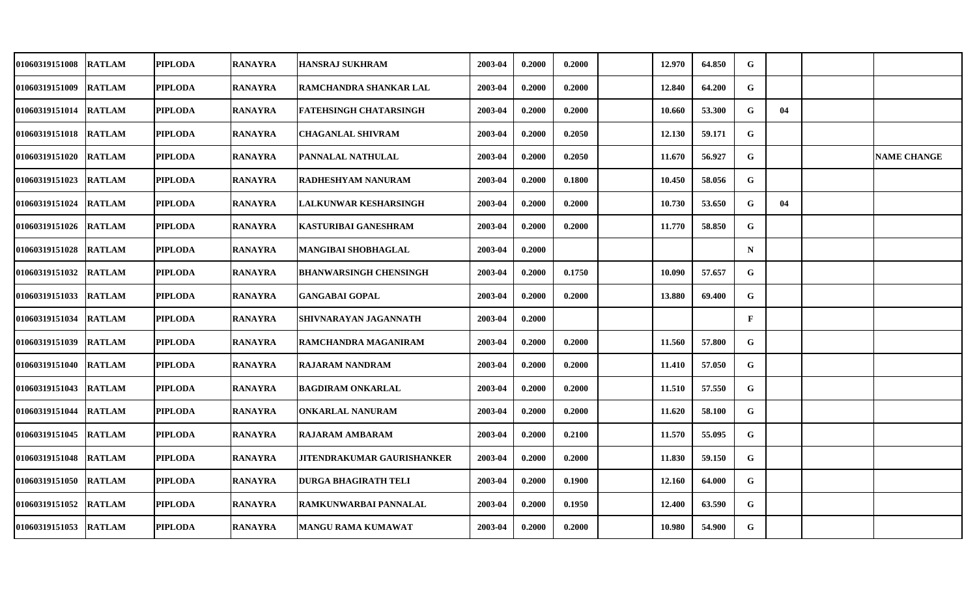| <b>01060319151008</b> | <b>RATLAM</b> | <b>PIPLODA</b> | <b>RANAYRA</b> | <b>HANSRAJ SUKHRAM</b>            | 2003-04 | 0.2000 | 0.2000 | 12.970 | 64.850 | G            |    |                    |
|-----------------------|---------------|----------------|----------------|-----------------------------------|---------|--------|--------|--------|--------|--------------|----|--------------------|
| 01060319151009        | <b>RATLAM</b> | <b>PIPLODA</b> | <b>RANAYRA</b> | RAMCHANDRA SHANKAR LAL            | 2003-04 | 0.2000 | 0.2000 | 12.840 | 64.200 | G            |    |                    |
| 01060319151014 RATLAM |               | <b>PIPLODA</b> | <b>RANAYRA</b> | FATEHSINGH CHATARSINGH            | 2003-04 | 0.2000 | 0.2000 | 10.660 | 53.300 | G            | 04 |                    |
| 01060319151018        | <b>RATLAM</b> | <b>PIPLODA</b> | <b>RANAYRA</b> | <b>CHAGANLAL SHIVRAM</b>          | 2003-04 | 0.2000 | 0.2050 | 12.130 | 59.171 | G            |    |                    |
| 01060319151020        | <b>RATLAM</b> | <b>PIPLODA</b> | <b>RANAYRA</b> | PANNALAL NATHULAL                 | 2003-04 | 0.2000 | 0.2050 | 11.670 | 56.927 | G            |    | <b>NAME CHANGE</b> |
| 01060319151023        | <b>RATLAM</b> | <b>PIPLODA</b> | <b>RANAYRA</b> | RADHESHYAM NANURAM                | 2003-04 | 0.2000 | 0.1800 | 10.450 | 58.056 | G            |    |                    |
| 01060319151024        | <b>RATLAM</b> | <b>PIPLODA</b> | <b>RANAYRA</b> | <b>LALKUNWAR KESHARSINGH</b>      | 2003-04 | 0.2000 | 0.2000 | 10.730 | 53.650 | G            | 04 |                    |
| 01060319151026        | <b>RATLAM</b> | <b>PIPLODA</b> | <b>RANAYRA</b> | <b>KASTURIBAI GANESHRAM</b>       | 2003-04 | 0.2000 | 0.2000 | 11.770 | 58.850 | G            |    |                    |
| 01060319151028        | <b>RATLAM</b> | <b>PIPLODA</b> | <b>RANAYRA</b> | MANGIBAI SHOBHAGLAL               | 2003-04 | 0.2000 |        |        |        | $\mathbf N$  |    |                    |
| 01060319151032        | <b>RATLAM</b> | <b>PIPLODA</b> | <b>RANAYRA</b> | <b>BHANWARSINGH CHENSINGH</b>     | 2003-04 | 0.2000 | 0.1750 | 10.090 | 57.657 | G            |    |                    |
| 01060319151033        | <b>RATLAM</b> | <b>PIPLODA</b> | <b>RANAYRA</b> | <b>GANGABAI GOPAL</b>             | 2003-04 | 0.2000 | 0.2000 | 13.880 | 69.400 | $\mathbf G$  |    |                    |
| 01060319151034        | <b>RATLAM</b> | <b>PIPLODA</b> | <b>RANAYRA</b> | SHIVNARAYAN JAGANNATH             | 2003-04 | 0.2000 |        |        |        | $\mathbf{F}$ |    |                    |
| 01060319151039        | <b>RATLAM</b> | <b>PIPLODA</b> | <b>RANAYRA</b> | RAMCHANDRA MAGANIRAM              | 2003-04 | 0.2000 | 0.2000 | 11.560 | 57.800 | G            |    |                    |
| 01060319151040        | <b>RATLAM</b> | <b>PIPLODA</b> | <b>RANAYRA</b> | <b>RAJARAM NANDRAM</b>            | 2003-04 | 0.2000 | 0.2000 | 11.410 | 57.050 | G            |    |                    |
| 01060319151043        | <b>RATLAM</b> | <b>PIPLODA</b> | <b>RANAYRA</b> | <b>BAGDIRAM ONKARLAL</b>          | 2003-04 | 0.2000 | 0.2000 | 11.510 | 57.550 | G            |    |                    |
| 01060319151044        | <b>RATLAM</b> | <b>PIPLODA</b> | <b>RANAYRA</b> | ONKARLAL NANURAM                  | 2003-04 | 0.2000 | 0.2000 | 11.620 | 58.100 | G            |    |                    |
| 01060319151045        | <b>RATLAM</b> | <b>PIPLODA</b> | <b>RANAYRA</b> | <b>RAJARAM AMBARAM</b>            | 2003-04 | 0.2000 | 0.2100 | 11.570 | 55.095 | G            |    |                    |
| 01060319151048        | <b>RATLAM</b> | <b>PIPLODA</b> | <b>RANAYRA</b> | <b>JITENDRAKUMAR GAURISHANKER</b> | 2003-04 | 0.2000 | 0.2000 | 11.830 | 59.150 | G            |    |                    |
| 01060319151050        | <b>RATLAM</b> | <b>PIPLODA</b> | <b>RANAYRA</b> | <b>DURGA BHAGIRATH TELI</b>       | 2003-04 | 0.2000 | 0.1900 | 12.160 | 64.000 | G            |    |                    |
| 01060319151052        | <b>RATLAM</b> | <b>PIPLODA</b> | <b>RANAYRA</b> | RAMKUNWARBAI PANNALAL             | 2003-04 | 0.2000 | 0.1950 | 12.400 | 63.590 | G            |    |                    |
| 01060319151053 RATLAM |               | <b>PIPLODA</b> | <b>RANAYRA</b> | MANGU RAMA KUMAWAT                | 2003-04 | 0.2000 | 0.2000 | 10.980 | 54.900 | G            |    |                    |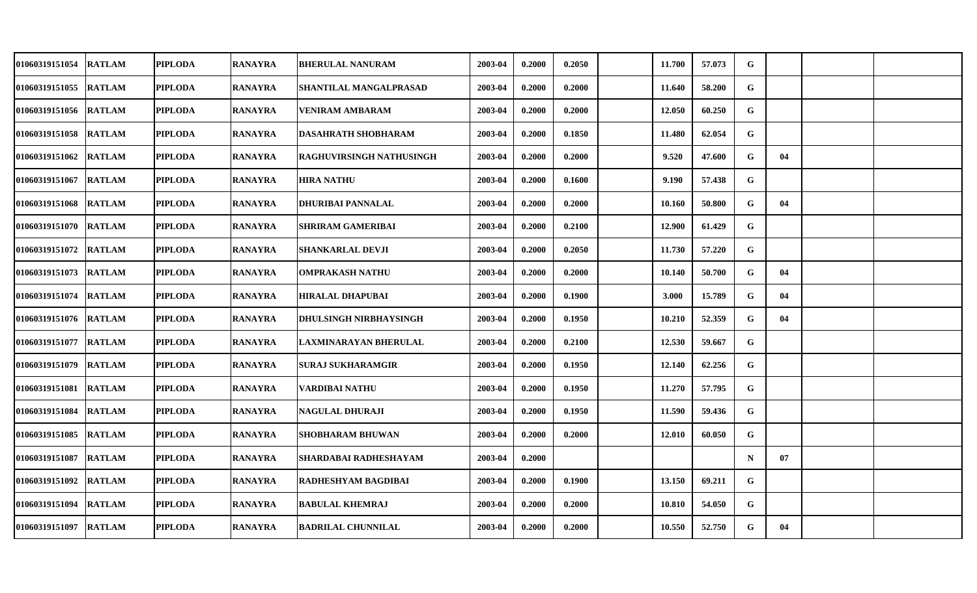| <b>01060319151054</b> | <b>RATLAM</b> | <b>PIPLODA</b> | <b>RANAYRA</b> | <b>BHERULAL NANURAM</b>       | 2003-04 | 0.2000 | 0.2050 | 11.700 | 57.073 | G           |    |  |
|-----------------------|---------------|----------------|----------------|-------------------------------|---------|--------|--------|--------|--------|-------------|----|--|
| 01060319151055        | <b>RATLAM</b> | <b>PIPLODA</b> | <b>RANAYRA</b> | SHANTILAL MANGALPRASAD        | 2003-04 | 0.2000 | 0.2000 | 11.640 | 58.200 | G           |    |  |
| <b>01060319151056</b> | <b>RATLAM</b> | <b>PIPLODA</b> | <b>RANAYRA</b> | <b>VENIRAM AMBARAM</b>        | 2003-04 | 0.2000 | 0.2000 | 12.050 | 60.250 | G           |    |  |
| 01060319151058        | <b>RATLAM</b> | <b>PIPLODA</b> | <b>RANAYRA</b> | <b>DASAHRATH SHOBHARAM</b>    | 2003-04 | 0.2000 | 0.1850 | 11.480 | 62.054 | G           |    |  |
| <b>01060319151062</b> | <b>RATLAM</b> | <b>PIPLODA</b> | <b>RANAYRA</b> | RAGHUVIRSINGH NATHUSINGH      | 2003-04 | 0.2000 | 0.2000 | 9.520  | 47.600 | G           | 04 |  |
| 01060319151067        | <b>RATLAM</b> | <b>PIPLODA</b> | <b>RANAYRA</b> | <b>HIRA NATHU</b>             | 2003-04 | 0.2000 | 0.1600 | 9.190  | 57.438 | G           |    |  |
| 01060319151068        | <b>RATLAM</b> | <b>PIPLODA</b> | <b>RANAYRA</b> | <b>DHURIBAI PANNALAL</b>      | 2003-04 | 0.2000 | 0.2000 | 10.160 | 50.800 | G           | 04 |  |
| 01060319151070        | <b>RATLAM</b> | <b>PIPLODA</b> | <b>RANAYRA</b> | <b>SHRIRAM GAMERIBAI</b>      | 2003-04 | 0.2000 | 0.2100 | 12.900 | 61.429 | G           |    |  |
| 01060319151072        | <b>RATLAM</b> | <b>PIPLODA</b> | <b>RANAYRA</b> | <b>SHANKARLAL DEVJI</b>       | 2003-04 | 0.2000 | 0.2050 | 11.730 | 57.220 | G           |    |  |
| 01060319151073        | <b>RATLAM</b> | <b>PIPLODA</b> | <b>RANAYRA</b> | <b>OMPRAKASH NATHU</b>        | 2003-04 | 0.2000 | 0.2000 | 10.140 | 50.700 | G           | 04 |  |
| <b>01060319151074</b> | <b>RATLAM</b> | <b>PIPLODA</b> | <b>RANAYRA</b> | <b>HIRALAL DHAPUBAI</b>       | 2003-04 | 0.2000 | 0.1900 | 3.000  | 15.789 | G           | 04 |  |
| <b>01060319151076</b> | <b>RATLAM</b> | <b>PIPLODA</b> | <b>RANAYRA</b> | <b>DHULSINGH NIRBHAYSINGH</b> | 2003-04 | 0.2000 | 0.1950 | 10.210 | 52.359 | G           | 04 |  |
| 01060319151077        | <b>RATLAM</b> | <b>PIPLODA</b> | <b>RANAYRA</b> | LAXMINARAYAN BHERULAL         | 2003-04 | 0.2000 | 0.2100 | 12.530 | 59.667 | G           |    |  |
| 01060319151079        | <b>RATLAM</b> | <b>PIPLODA</b> | <b>RANAYRA</b> | SURAJ SUKHARAMGIR             | 2003-04 | 0.2000 | 0.1950 | 12.140 | 62.256 | G           |    |  |
| 01060319151081        | <b>RATLAM</b> | <b>PIPLODA</b> | <b>RANAYRA</b> | VARDIBAI NATHU                | 2003-04 | 0.2000 | 0.1950 | 11.270 | 57.795 | G           |    |  |
| <b>01060319151084</b> | <b>RATLAM</b> | <b>PIPLODA</b> | <b>RANAYRA</b> | <b>NAGULAL DHURAJI</b>        | 2003-04 | 0.2000 | 0.1950 | 11.590 | 59.436 | G           |    |  |
| 01060319151085        | <b>RATLAM</b> | <b>PIPLODA</b> | <b>RANAYRA</b> | <b>SHOBHARAM BHUWAN</b>       | 2003-04 | 0.2000 | 0.2000 | 12.010 | 60.050 | $\mathbf G$ |    |  |
| 01060319151087        | <b>RATLAM</b> | <b>PIPLODA</b> | <b>RANAYRA</b> | SHARDABAI RADHESHAYAM         | 2003-04 | 0.2000 |        |        |        | $\mathbf N$ | 07 |  |
| 01060319151092        | <b>RATLAM</b> | <b>PIPLODA</b> | <b>RANAYRA</b> | RADHESHYAM BAGDIBAI           | 2003-04 | 0.2000 | 0.1900 | 13.150 | 69.211 | G           |    |  |
| <b>01060319151094</b> | <b>RATLAM</b> | <b>PIPLODA</b> | <b>RANAYRA</b> | <b>BABULAL KHEMRAJ</b>        | 2003-04 | 0.2000 | 0.2000 | 10.810 | 54.050 | G           |    |  |
| 01060319151097        | <b>RATLAM</b> | PIPLODA        | <b>RANAYRA</b> | <b>BADRILAL CHUNNILAL</b>     | 2003-04 | 0.2000 | 0.2000 | 10.550 | 52.750 | G           | 04 |  |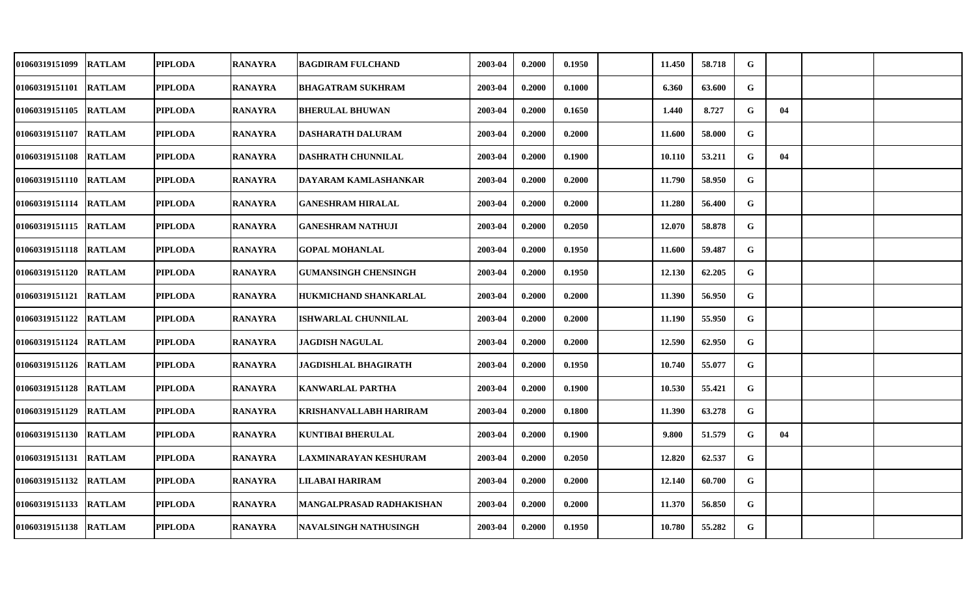| 01060319151099        | <b>RATLAM</b> | PIPLODA        | <b>RANAYRA</b> | <b>BAGDIRAM FULCHAND</b>      | 2003-04 | 0.2000 | 0.1950 | 11.450 | 58.718 | G |    |  |
|-----------------------|---------------|----------------|----------------|-------------------------------|---------|--------|--------|--------|--------|---|----|--|
| 01060319151101 RATLAM |               | <b>PIPLODA</b> | <b>RANAYRA</b> | <b>BHAGATRAM SUKHRAM</b>      | 2003-04 | 0.2000 | 0.1000 | 6.360  | 63.600 | G |    |  |
| 01060319151105 RATLAM |               | <b>PIPLODA</b> | <b>RANAYRA</b> | <b>BHERULAL BHUWAN</b>        | 2003-04 | 0.2000 | 0.1650 | 1.440  | 8.727  | G | 04 |  |
| 01060319151107        | <b>RATLAM</b> | <b>PIPLODA</b> | <b>RANAYRA</b> | <b>DASHARATH DALURAM</b>      | 2003-04 | 0.2000 | 0.2000 | 11.600 | 58.000 | G |    |  |
| 01060319151108 RATLAM |               | <b>PIPLODA</b> | <b>RANAYRA</b> | <b>DASHRATH CHUNNILAL</b>     | 2003-04 | 0.2000 | 0.1900 | 10.110 | 53.211 | G | 04 |  |
| 01060319151110 RATLAM |               | <b>PIPLODA</b> | <b>RANAYRA</b> | DAYARAM KAMLASHANKAR          | 2003-04 | 0.2000 | 0.2000 | 11.790 | 58.950 | G |    |  |
| 01060319151114 RATLAM |               | <b>PIPLODA</b> | <b>RANAYRA</b> | <b>GANESHRAM HIRALAL</b>      | 2003-04 | 0.2000 | 0.2000 | 11.280 | 56.400 | G |    |  |
| 01060319151115 RATLAM |               | <b>PIPLODA</b> | <b>RANAYRA</b> | <b>GANESHRAM NATHUJI</b>      | 2003-04 | 0.2000 | 0.2050 | 12.070 | 58.878 | G |    |  |
| 01060319151118 RATLAM |               | <b>PIPLODA</b> | <b>RANAYRA</b> | <b>GOPAL MOHANLAL</b>         | 2003-04 | 0.2000 | 0.1950 | 11.600 | 59.487 | G |    |  |
| 01060319151120 RATLAM |               | <b>PIPLODA</b> | <b>RANAYRA</b> | <b>GUMANSINGH CHENSINGH</b>   | 2003-04 | 0.2000 | 0.1950 | 12.130 | 62.205 | G |    |  |
| 01060319151121 RATLAM |               | <b>PIPLODA</b> | <b>RANAYRA</b> | <b>HUKMICHAND SHANKARLAL</b>  | 2003-04 | 0.2000 | 0.2000 | 11.390 | 56.950 | G |    |  |
| 01060319151122 RATLAM |               | PIPLODA        | <b>RANAYRA</b> | <b>ISHWARLAL CHUNNILAL</b>    | 2003-04 | 0.2000 | 0.2000 | 11.190 | 55.950 | G |    |  |
| 01060319151124 RATLAM |               | <b>PIPLODA</b> | <b>RANAYRA</b> | <b>JAGDISH NAGULAL</b>        | 2003-04 | 0.2000 | 0.2000 | 12.590 | 62.950 | G |    |  |
| 01060319151126 RATLAM |               | <b>PIPLODA</b> | <b>RANAYRA</b> | JAGDISHLAL BHAGIRATH          | 2003-04 | 0.2000 | 0.1950 | 10.740 | 55.077 | G |    |  |
| 01060319151128 RATLAM |               | <b>PIPLODA</b> | <b>RANAYRA</b> | <b>KANWARLAL PARTHA</b>       | 2003-04 | 0.2000 | 0.1900 | 10.530 | 55.421 | G |    |  |
| 01060319151129 RATLAM |               | <b>PIPLODA</b> | <b>RANAYRA</b> | <b>KRISHANVALLABH HARIRAM</b> | 2003-04 | 0.2000 | 0.1800 | 11.390 | 63.278 | G |    |  |
| 01060319151130 RATLAM |               | <b>PIPLODA</b> | <b>RANAYRA</b> | <b>KUNTIBAI BHERULAL</b>      | 2003-04 | 0.2000 | 0.1900 | 9.800  | 51.579 | G | 04 |  |
| 01060319151131        | <b>RATLAM</b> | <b>PIPLODA</b> | <b>RANAYRA</b> | LAXMINARAYAN KESHURAM         | 2003-04 | 0.2000 | 0.2050 | 12.820 | 62.537 | G |    |  |
| 01060319151132        | <b>RATLAM</b> | <b>PIPLODA</b> | <b>RANAYRA</b> | LILABAI HARIRAM               | 2003-04 | 0.2000 | 0.2000 | 12.140 | 60.700 | G |    |  |
| 01060319151133 RATLAM |               | <b>PIPLODA</b> | <b>RANAYRA</b> | MANGALPRASAD RADHAKISHAN      | 2003-04 | 0.2000 | 0.2000 | 11.370 | 56.850 | G |    |  |
| 01060319151138 RATLAM |               | PIPLODA        | <b>RANAYRA</b> | NAVALSINGH NATHUSINGH         | 2003-04 | 0.2000 | 0.1950 | 10.780 | 55.282 | G |    |  |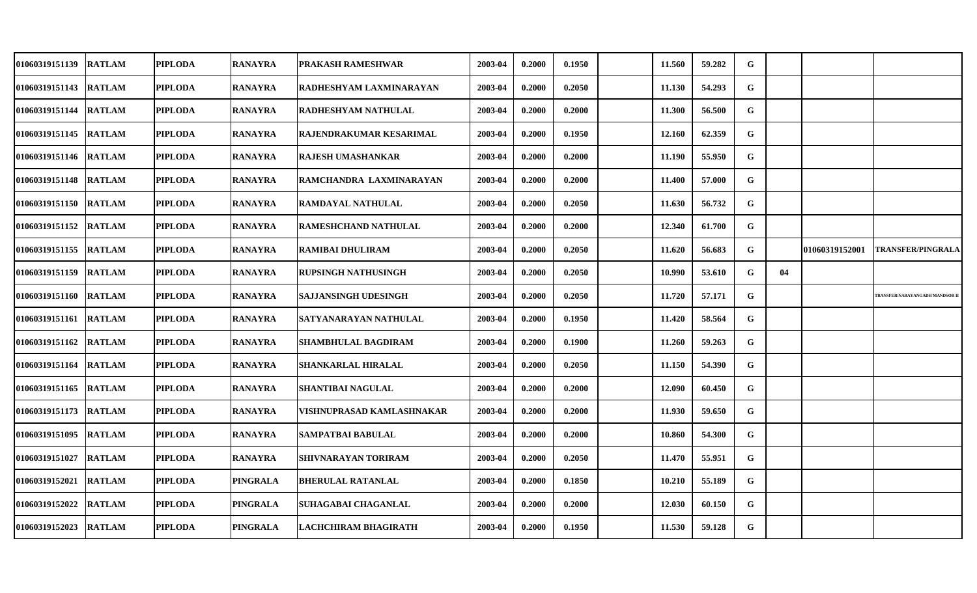| 01060319151139        | <b>RATLAM</b> | <b>PIPLODA</b> | <b>RANAYRA</b>  | PRAKASH RAMESHWAR           | 2003-04 | 0.2000 | 0.1950 | 11.560 | 59.282 | G           |    |                |                                     |
|-----------------------|---------------|----------------|-----------------|-----------------------------|---------|--------|--------|--------|--------|-------------|----|----------------|-------------------------------------|
| 01060319151143        | <b>RATLAM</b> | <b>PIPLODA</b> | <b>RANAYRA</b>  | RADHESHYAM LAXMINARAYAN     | 2003-04 | 0.2000 | 0.2050 | 11.130 | 54.293 | G           |    |                |                                     |
| 01060319151144 RATLAM |               | <b>PIPLODA</b> | <b>RANAYRA</b>  | RADHESHYAM NATHULAL         | 2003-04 | 0.2000 | 0.2000 | 11.300 | 56.500 | G           |    |                |                                     |
| 01060319151145        | <b>RATLAM</b> | <b>PIPLODA</b> | <b>RANAYRA</b>  | RAJENDRAKUMAR KESARIMAL     | 2003-04 | 0.2000 | 0.1950 | 12.160 | 62.359 | G           |    |                |                                     |
| 01060319151146        | <b>RATLAM</b> | <b>PIPLODA</b> | <b>RANAYRA</b>  | <b>RAJESH UMASHANKAR</b>    | 2003-04 | 0.2000 | 0.2000 | 11.190 | 55.950 | G           |    |                |                                     |
| 01060319151148        | <b>RATLAM</b> | <b>PIPLODA</b> | <b>RANAYRA</b>  | RAMCHANDRA LAXMINARAYAN     | 2003-04 | 0.2000 | 0.2000 | 11.400 | 57.000 | G           |    |                |                                     |
| 01060319151150        | <b>RATLAM</b> | <b>PIPLODA</b> | <b>RANAYRA</b>  | <b>RAMDAYAL NATHULAL</b>    | 2003-04 | 0.2000 | 0.2050 | 11.630 | 56.732 | G           |    |                |                                     |
| 01060319151152        | <b>RATLAM</b> | <b>PIPLODA</b> | <b>RANAYRA</b>  | <b>RAMESHCHAND NATHULAL</b> | 2003-04 | 0.2000 | 0.2000 | 12.340 | 61.700 | G           |    |                |                                     |
| 01060319151155        | <b>RATLAM</b> | <b>PIPLODA</b> | <b>RANAYRA</b>  | <b>RAMIBAI DHULIRAM</b>     | 2003-04 | 0.2000 | 0.2050 | 11.620 | 56.683 | G           |    | 01060319152001 | <b>TRANSFER/PINGRALA</b>            |
| 01060319151159        | <b>RATLAM</b> | <b>PIPLODA</b> | <b>RANAYRA</b>  | RUPSINGH NATHUSINGH         | 2003-04 | 0.2000 | 0.2050 | 10.990 | 53.610 | G           | 04 |                |                                     |
| 01060319151160        | <b>RATLAM</b> | <b>PIPLODA</b> | <b>RANAYRA</b>  | <b>SAJJANSINGH UDESINGH</b> | 2003-04 | 0.2000 | 0.2050 | 11.720 | 57.171 | $\mathbf G$ |    |                | <b>RANSFER/NARAYANGADH MANDSOR1</b> |
| 01060319151161 RATLAM |               | <b>PIPLODA</b> | <b>RANAYRA</b>  | SATYANARAYAN NATHULAL       | 2003-04 | 0.2000 | 0.1950 | 11.420 | 58.564 | G           |    |                |                                     |
| 01060319151162        | <b>RATLAM</b> | <b>PIPLODA</b> | <b>RANAYRA</b>  | SHAMBHULAL BAGDIRAM         | 2003-04 | 0.2000 | 0.1900 | 11.260 | 59.263 | G           |    |                |                                     |
| 01060319151164 RATLAM |               | <b>PIPLODA</b> | <b>RANAYRA</b>  | SHANKARLAL HIRALAL          | 2003-04 | 0.2000 | 0.2050 | 11.150 | 54.390 | G           |    |                |                                     |
| 01060319151165        | <b>RATLAM</b> | <b>PIPLODA</b> | <b>RANAYRA</b>  | <b>SHANTIBAI NAGULAL</b>    | 2003-04 | 0.2000 | 0.2000 | 12.090 | 60.450 | G           |    |                |                                     |
| 01060319151173 RATLAM |               | <b>PIPLODA</b> | <b>RANAYRA</b>  | VISHNUPRASAD KAMLASHNAKAR   | 2003-04 | 0.2000 | 0.2000 | 11.930 | 59.650 | G           |    |                |                                     |
| 01060319151095        | <b>RATLAM</b> | <b>PIPLODA</b> | <b>RANAYRA</b>  | SAMPATBAI BABULAL           | 2003-04 | 0.2000 | 0.2000 | 10.860 | 54.300 | G           |    |                |                                     |
| 01060319151027        | <b>RATLAM</b> | <b>PIPLODA</b> | <b>RANAYRA</b>  | SHIVNARAYAN TORIRAM         | 2003-04 | 0.2000 | 0.2050 | 11.470 | 55.951 | G           |    |                |                                     |
| 01060319152021        | <b>RATLAM</b> | <b>PIPLODA</b> | <b>PINGRALA</b> | <b>BHERULAL RATANLAL</b>    | 2003-04 | 0.2000 | 0.1850 | 10.210 | 55.189 | G           |    |                |                                     |
| 01060319152022        | <b>RATLAM</b> | <b>PIPLODA</b> | <b>PINGRALA</b> | SUHAGABAI CHAGANLAL         | 2003-04 | 0.2000 | 0.2000 | 12.030 | 60.150 | G           |    |                |                                     |
| 01060319152023        | <b>RATLAM</b> | <b>PIPLODA</b> | <b>PINGRALA</b> | LACHCHIRAM BHAGIRATH        | 2003-04 | 0.2000 | 0.1950 | 11.530 | 59.128 | G           |    |                |                                     |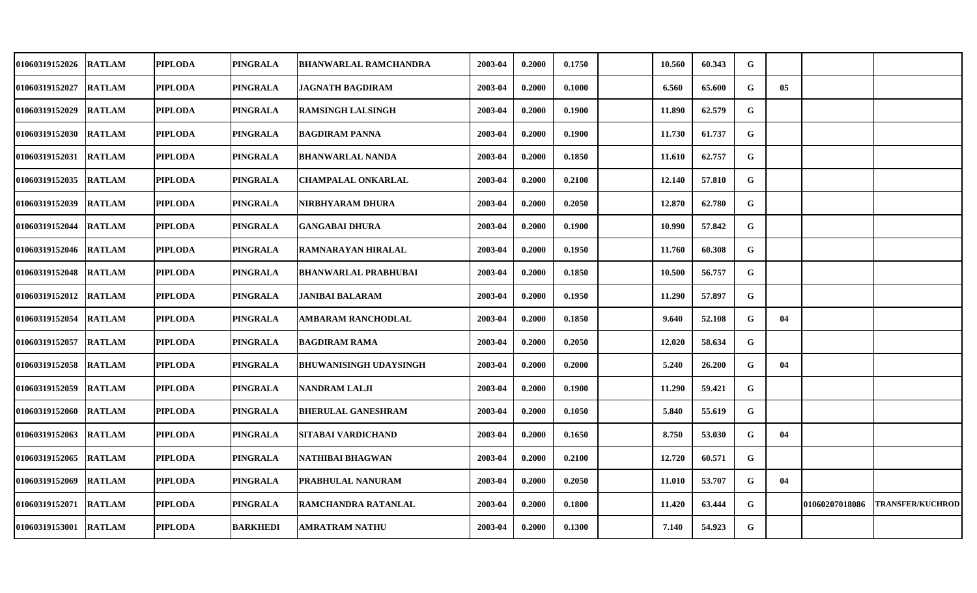| <b>01060319152026</b> | <b>RATLAM</b> | <b>PIPLODA</b> | PINGRALA        | <b>BHANWARLAL RAMCHANDRA</b> | 2003-04 | 0.2000 | 0.1750 | 10.560 | 60.343 | G           |    |                |                         |
|-----------------------|---------------|----------------|-----------------|------------------------------|---------|--------|--------|--------|--------|-------------|----|----------------|-------------------------|
| <b>01060319152027</b> | <b>RATLAM</b> | <b>PIPLODA</b> | <b>PINGRALA</b> | <b>JAGNATH BAGDIRAM</b>      | 2003-04 | 0.2000 | 0.1000 | 6.560  | 65.600 | G           | 05 |                |                         |
| <b>01060319152029</b> | <b>RATLAM</b> | <b>PIPLODA</b> | PINGRALA        | <b>RAMSINGH LALSINGH</b>     | 2003-04 | 0.2000 | 0.1900 | 11.890 | 62.579 | G           |    |                |                         |
| 01060319152030        | <b>RATLAM</b> | <b>PIPLODA</b> | <b>PINGRALA</b> | <b>BAGDIRAM PANNA</b>        | 2003-04 | 0.2000 | 0.1900 | 11.730 | 61.737 | G           |    |                |                         |
| 01060319152031        | <b>RATLAM</b> | <b>PIPLODA</b> | PINGRALA        | <b>BHANWARLAL NANDA</b>      | 2003-04 | 0.2000 | 0.1850 | 11.610 | 62.757 | G           |    |                |                         |
| 01060319152035        | <b>RATLAM</b> | <b>PIPLODA</b> | <b>PINGRALA</b> | <b>CHAMPALAL ONKARLAL</b>    | 2003-04 | 0.2000 | 0.2100 | 12.140 | 57.810 | G           |    |                |                         |
| <b>01060319152039</b> | <b>RATLAM</b> | <b>PIPLODA</b> | PINGRALA        | NIRBHYARAM DHURA             | 2003-04 | 0.2000 | 0.2050 | 12.870 | 62.780 | G           |    |                |                         |
| 01060319152044        | <b>RATLAM</b> | <b>PIPLODA</b> | PINGRALA        | <b>GANGABAI DHURA</b>        | 2003-04 | 0.2000 | 0.1900 | 10.990 | 57.842 | $\mathbf G$ |    |                |                         |
| 01060319152046        | <b>RATLAM</b> | <b>PIPLODA</b> | <b>PINGRALA</b> | RAMNARAYAN HIRALAL           | 2003-04 | 0.2000 | 0.1950 | 11.760 | 60.308 | ${\bf G}$   |    |                |                         |
| 01060319152048        | <b>RATLAM</b> | <b>PIPLODA</b> | <b>PINGRALA</b> | <b>BHANWARLAL PRABHUBAI</b>  | 2003-04 | 0.2000 | 0.1850 | 10.500 | 56.757 | G           |    |                |                         |
| 01060319152012        | <b>RATLAM</b> | <b>PIPLODA</b> | <b>PINGRALA</b> | <b>JANIBAI BALARAM</b>       | 2003-04 | 0.2000 | 0.1950 | 11.290 | 57.897 | G           |    |                |                         |
| <b>01060319152054</b> | <b>RATLAM</b> | <b>PIPLODA</b> | <b>PINGRALA</b> | AMBARAM RANCHODLAL           | 2003-04 | 0.2000 | 0.1850 | 9.640  | 52.108 | G           | 04 |                |                         |
| 01060319152057        | <b>RATLAM</b> | <b>PIPLODA</b> | <b>PINGRALA</b> | <b>BAGDIRAM RAMA</b>         | 2003-04 | 0.2000 | 0.2050 | 12.020 | 58.634 | G           |    |                |                         |
| <b>01060319152058</b> | <b>RATLAM</b> | <b>PIPLODA</b> | <b>PINGRALA</b> | BHUWANISINGH UDAYSINGH       | 2003-04 | 0.2000 | 0.2000 | 5.240  | 26.200 | G           | 04 |                |                         |
| 01060319152059        | <b>RATLAM</b> | <b>PIPLODA</b> | <b>PINGRALA</b> | <b>NANDRAM LALJI</b>         | 2003-04 | 0.2000 | 0.1900 | 11.290 | 59.421 | G           |    |                |                         |
| <b>01060319152060</b> | <b>RATLAM</b> | <b>PIPLODA</b> | PINGRALA        | <b>BHERULAL GANESHRAM</b>    | 2003-04 | 0.2000 | 0.1050 | 5.840  | 55.619 | $\mathbf G$ |    |                |                         |
| 01060319152063        | <b>RATLAM</b> | <b>PIPLODA</b> | <b>PINGRALA</b> | SITABAI VARDICHAND           | 2003-04 | 0.2000 | 0.1650 | 8.750  | 53.030 | $\mathbf G$ | 04 |                |                         |
| 01060319152065        | <b>RATLAM</b> | <b>PIPLODA</b> | <b>PINGRALA</b> | NATHIBAI BHAGWAN             | 2003-04 | 0.2000 | 0.2100 | 12.720 | 60.571 | G           |    |                |                         |
| 01060319152069        | <b>RATLAM</b> | <b>PIPLODA</b> | <b>PINGRALA</b> | PRABHULAL NANURAM            | 2003-04 | 0.2000 | 0.2050 | 11.010 | 53.707 | G           | 04 |                |                         |
| 01060319152071        | <b>RATLAM</b> | <b>PIPLODA</b> | PINGRALA        | RAMCHANDRA RATANLAL          | 2003-04 | 0.2000 | 0.1800 | 11.420 | 63.444 | ${\bf G}$   |    | 01060207018086 | <b>TRANSFER/KUCHROD</b> |
| <b>01060319153001</b> | <b>RATLAM</b> | <b>PIPLODA</b> | <b>BARKHEDI</b> | AMRATRAM NATHU               | 2003-04 | 0.2000 | 0.1300 | 7.140  | 54.923 | G           |    |                |                         |
|                       |               |                |                 |                              |         |        |        |        |        |             |    |                |                         |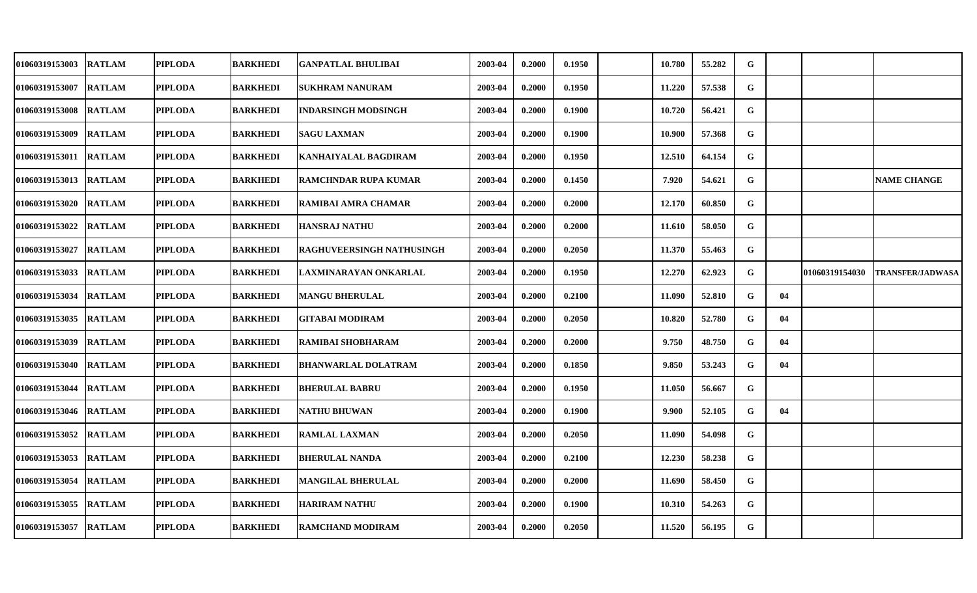| 01060319153003        | <b>RATLAM</b> | <b>PIPLODA</b> | <b>BARKHEDI</b> | <b>GANPATLAL BHULIBAI</b>   | 2003-04 | 0.2000 | 0.1950 | 10.780 | 55.282 | G |    |                |                         |
|-----------------------|---------------|----------------|-----------------|-----------------------------|---------|--------|--------|--------|--------|---|----|----------------|-------------------------|
| 01060319153007        | <b>RATLAM</b> | <b>PIPLODA</b> | <b>BARKHEDI</b> | SUKHRAM NANURAM             | 2003-04 | 0.2000 | 0.1950 | 11.220 | 57.538 | G |    |                |                         |
| 01060319153008 RATLAM |               | <b>PIPLODA</b> | <b>BARKHEDI</b> | <b>INDARSINGH MODSINGH</b>  | 2003-04 | 0.2000 | 0.1900 | 10.720 | 56.421 | G |    |                |                         |
| 01060319153009        | <b>RATLAM</b> | <b>PIPLODA</b> | <b>BARKHEDI</b> | <b>SAGU LAXMAN</b>          | 2003-04 | 0.2000 | 0.1900 | 10.900 | 57.368 | G |    |                |                         |
| 01060319153011        | <b>RATLAM</b> | <b>PIPLODA</b> | <b>BARKHEDI</b> | KANHAIYALAL BAGDIRAM        | 2003-04 | 0.2000 | 0.1950 | 12.510 | 64.154 | G |    |                |                         |
| 01060319153013        | <b>RATLAM</b> | <b>PIPLODA</b> | <b>BARKHEDI</b> | <b>RAMCHNDAR RUPA KUMAR</b> | 2003-04 | 0.2000 | 0.1450 | 7.920  | 54.621 | G |    |                | <b>NAME CHANGE</b>      |
| 01060319153020        | <b>RATLAM</b> | <b>PIPLODA</b> | <b>BARKHEDI</b> | RAMIBAI AMRA CHAMAR         | 2003-04 | 0.2000 | 0.2000 | 12.170 | 60.850 | G |    |                |                         |
| 01060319153022        | <b>RATLAM</b> | <b>PIPLODA</b> | <b>BARKHEDI</b> | <b>HANSRAJ NATHU</b>        | 2003-04 | 0.2000 | 0.2000 | 11.610 | 58.050 | G |    |                |                         |
| 01060319153027        | <b>RATLAM</b> | <b>PIPLODA</b> | <b>BARKHEDI</b> | RAGHUVEERSINGH NATHUSINGH   | 2003-04 | 0.2000 | 0.2050 | 11.370 | 55.463 | G |    |                |                         |
| 01060319153033        | <b>RATLAM</b> | <b>PIPLODA</b> | <b>BARKHEDI</b> | LAXMINARAYAN ONKARLAL       | 2003-04 | 0.2000 | 0.1950 | 12.270 | 62.923 | G |    | 01060319154030 | <b>TRANSFER/JADWASA</b> |
| 01060319153034        | <b>RATLAM</b> | <b>PIPLODA</b> | <b>BARKHEDI</b> | <b>MANGU BHERULAL</b>       | 2003-04 | 0.2000 | 0.2100 | 11.090 | 52.810 | G | 04 |                |                         |
| 01060319153035        | <b>RATLAM</b> | <b>PIPLODA</b> | <b>BARKHEDI</b> | GITABAI MODIRAM             | 2003-04 | 0.2000 | 0.2050 | 10.820 | 52.780 | G | 04 |                |                         |
| 01060319153039        | <b>RATLAM</b> | <b>PIPLODA</b> | <b>BARKHEDI</b> | RAMIBAI SHOBHARAM           | 2003-04 | 0.2000 | 0.2000 | 9.750  | 48.750 | G | 04 |                |                         |
| 01060319153040        | <b>RATLAM</b> | <b>PIPLODA</b> | <b>BARKHEDI</b> | <b>BHANWARLAL DOLATRAM</b>  | 2003-04 | 0.2000 | 0.1850 | 9.850  | 53.243 | G | 04 |                |                         |
| 01060319153044        | <b>RATLAM</b> | <b>PIPLODA</b> | <b>BARKHEDI</b> | <b>BHERULAL BABRU</b>       | 2003-04 | 0.2000 | 0.1950 | 11.050 | 56.667 | G |    |                |                         |
| 01060319153046        | <b>RATLAM</b> | <b>PIPLODA</b> | <b>BARKHEDI</b> | NATHU BHUWAN                | 2003-04 | 0.2000 | 0.1900 | 9.900  | 52.105 | G | 04 |                |                         |
| 01060319153052        | <b>RATLAM</b> | <b>PIPLODA</b> | <b>BARKHEDI</b> | <b>RAMLAL LAXMAN</b>        | 2003-04 | 0.2000 | 0.2050 | 11.090 | 54.098 | G |    |                |                         |
| 01060319153053        | <b>RATLAM</b> | <b>PIPLODA</b> | <b>BARKHEDI</b> | <b>BHERULAL NANDA</b>       | 2003-04 | 0.2000 | 0.2100 | 12.230 | 58.238 | G |    |                |                         |
| 01060319153054        | <b>RATLAM</b> | <b>PIPLODA</b> | <b>BARKHEDI</b> | <b>MANGILAL BHERULAL</b>    | 2003-04 | 0.2000 | 0.2000 | 11.690 | 58.450 | G |    |                |                         |
| 01060319153055        | <b>RATLAM</b> | <b>PIPLODA</b> | <b>BARKHEDI</b> | <b>HARIRAM NATHU</b>        | 2003-04 | 0.2000 | 0.1900 | 10.310 | 54.263 | G |    |                |                         |
| 01060319153057        | <b>RATLAM</b> | <b>PIPLODA</b> | <b>BARKHEDI</b> | <b>RAMCHAND MODIRAM</b>     | 2003-04 | 0.2000 | 0.2050 | 11.520 | 56.195 | G |    |                |                         |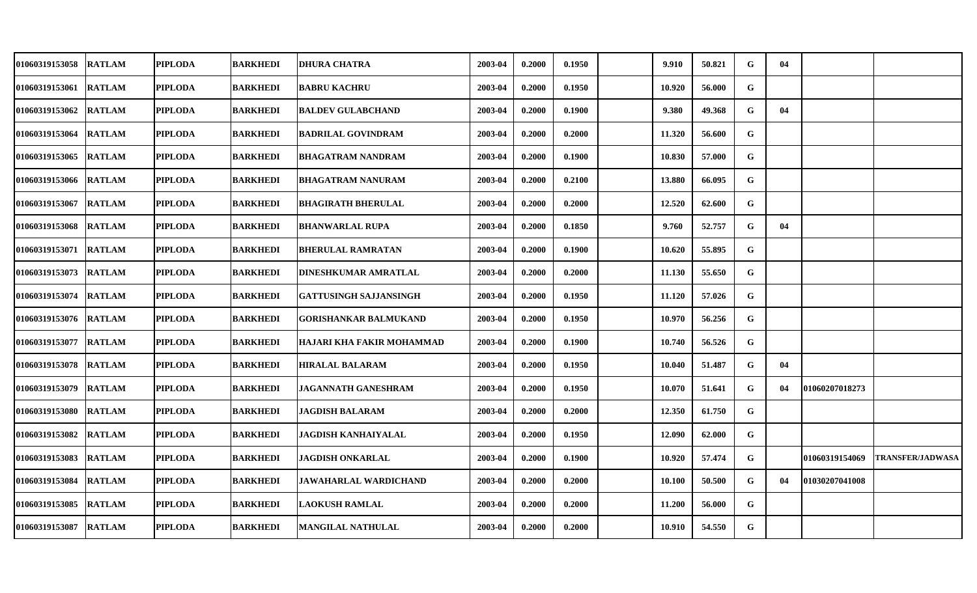| 01060319153058 RATLAM |               | <b>PIPLODA</b> | <b>BARKHEDI</b> | <b>DHURA CHATRA</b>         | 2003-04 | 0.2000 | 0.1950 | 9.910  | 50.821 | G | 04 |                |                         |
|-----------------------|---------------|----------------|-----------------|-----------------------------|---------|--------|--------|--------|--------|---|----|----------------|-------------------------|
| 01060319153061        | <b>RATLAM</b> | <b>PIPLODA</b> | <b>BARKHEDI</b> | <b>BABRU KACHRU</b>         | 2003-04 | 0.2000 | 0.1950 | 10.920 | 56.000 | G |    |                |                         |
| 01060319153062 RATLAM |               | <b>PIPLODA</b> | <b>BARKHEDI</b> | <b>BALDEV GULABCHAND</b>    | 2003-04 | 0.2000 | 0.1900 | 9.380  | 49.368 | G | 04 |                |                         |
| 01060319153064        | <b>RATLAM</b> | <b>PIPLODA</b> | <b>BARKHEDI</b> | <b>BADRILAL GOVINDRAM</b>   | 2003-04 | 0.2000 | 0.2000 | 11.320 | 56.600 | G |    |                |                         |
| 01060319153065        | <b>RATLAM</b> | <b>PIPLODA</b> | <b>BARKHEDI</b> | BHAGATRAM NANDRAM           | 2003-04 | 0.2000 | 0.1900 | 10.830 | 57.000 | G |    |                |                         |
| 01060319153066 RATLAM |               | <b>PIPLODA</b> | <b>BARKHEDI</b> | <b>BHAGATRAM NANURAM</b>    | 2003-04 | 0.2000 | 0.2100 | 13.880 | 66.095 | G |    |                |                         |
| 01060319153067        | <b>RATLAM</b> | <b>PIPLODA</b> | <b>BARKHEDI</b> | BHAGIRATH BHERULAL          | 2003-04 | 0.2000 | 0.2000 | 12.520 | 62.600 | G |    |                |                         |
| 01060319153068 RATLAM |               | <b>PIPLODA</b> | <b>BARKHEDI</b> | <b>BHANWARLAL RUPA</b>      | 2003-04 | 0.2000 | 0.1850 | 9.760  | 52.757 | G | 04 |                |                         |
| 01060319153071        | <b>RATLAM</b> | <b>PIPLODA</b> | <b>BARKHEDI</b> | <b>BHERULAL RAMRATAN</b>    | 2003-04 | 0.2000 | 0.1900 | 10.620 | 55.895 | G |    |                |                         |
| 01060319153073 RATLAM |               | <b>PIPLODA</b> | <b>BARKHEDI</b> | <b>DINESHKUMAR AMRATLAL</b> | 2003-04 | 0.2000 | 0.2000 | 11.130 | 55.650 | G |    |                |                         |
| 01060319153074        | <b>RATLAM</b> | <b>PIPLODA</b> | <b>BARKHEDI</b> | GATTUSINGH SAJJANSINGH      | 2003-04 | 0.2000 | 0.1950 | 11.120 | 57.026 | G |    |                |                         |
| 01060319153076 RATLAM |               | <b>PIPLODA</b> | <b>BARKHEDI</b> | GORISHANKAR BALMUKAND       | 2003-04 | 0.2000 | 0.1950 | 10.970 | 56.256 | G |    |                |                         |
| 01060319153077        | <b>RATLAM</b> | <b>PIPLODA</b> | <b>BARKHEDI</b> | HAJARI KHA FAKIR MOHAMMAD   | 2003-04 | 0.2000 | 0.1900 | 10.740 | 56.526 | G |    |                |                         |
| 01060319153078 RATLAM |               | <b>PIPLODA</b> | <b>BARKHEDI</b> | <b>HIRALAL BALARAM</b>      | 2003-04 | 0.2000 | 0.1950 | 10.040 | 51.487 | G | 04 |                |                         |
| 01060319153079        | <b>RATLAM</b> | <b>PIPLODA</b> | <b>BARKHEDI</b> | <b>JAGANNATH GANESHRAM</b>  | 2003-04 | 0.2000 | 0.1950 | 10.070 | 51.641 | G | 04 | 01060207018273 |                         |
| 01060319153080 RATLAM |               | PIPLODA        | <b>BARKHEDI</b> | <b>JAGDISH BALARAM</b>      | 2003-04 | 0.2000 | 0.2000 | 12.350 | 61.750 | G |    |                |                         |
| 01060319153082        | <b>RATLAM</b> | <b>PIPLODA</b> | <b>BARKHEDI</b> | <b>JAGDISH KANHAIYALAL</b>  | 2003-04 | 0.2000 | 0.1950 | 12.090 | 62.000 | G |    |                |                         |
| 01060319153083        | <b>RATLAM</b> | <b>PIPLODA</b> | <b>BARKHEDI</b> | <b>JAGDISH ONKARLAL</b>     | 2003-04 | 0.2000 | 0.1900 | 10.920 | 57.474 | G |    | 01060319154069 | <b>TRANSFER/JADWASA</b> |
| 01060319153084        | <b>RATLAM</b> | <b>PIPLODA</b> | <b>BARKHEDI</b> | JAWAHARLAL WARDICHAND       | 2003-04 | 0.2000 | 0.2000 | 10.100 | 50.500 | G | 04 | 01030207041008 |                         |
| 01060319153085        | <b>RATLAM</b> | <b>PIPLODA</b> | <b>BARKHEDI</b> | <b>LAOKUSH RAMLAL</b>       | 2003-04 | 0.2000 | 0.2000 | 11.200 | 56.000 | G |    |                |                         |
| 01060319153087 RATLAM |               | PIPLODA        | <b>BARKHEDI</b> | <b>MANGILAL NATHULAL</b>    | 2003-04 | 0.2000 | 0.2000 | 10.910 | 54.550 | G |    |                |                         |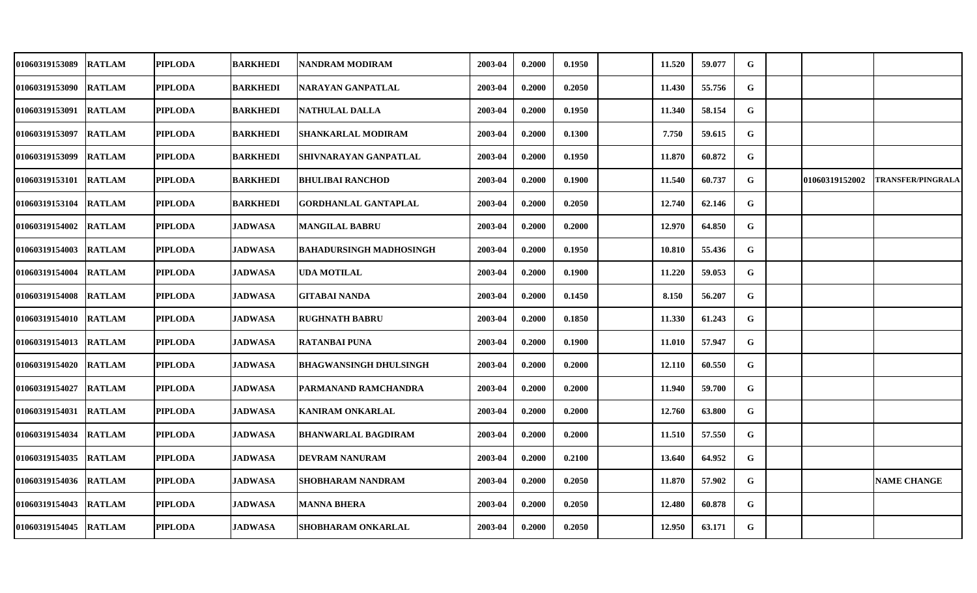| 01060319153089 RATLAM  |               | <b>PIPLODA</b> | <b>BARKHEDI</b> | NANDRAM MODIRAM                | 2003-04 | 0.2000 | 0.1950 | 11.520 | 59.077 | G |                |                          |
|------------------------|---------------|----------------|-----------------|--------------------------------|---------|--------|--------|--------|--------|---|----------------|--------------------------|
| 01060319153090 RATLAM  |               | <b>PIPLODA</b> | <b>BARKHEDI</b> | NARAYAN GANPATLAL              | 2003-04 | 0.2000 | 0.2050 | 11.430 | 55.756 | G |                |                          |
| 01060319153091 RATLAM  |               | <b>PIPLODA</b> | <b>BARKHEDI</b> | <b>NATHULAL DALLA</b>          | 2003-04 | 0.2000 | 0.1950 | 11.340 | 58.154 | G |                |                          |
| 01060319153097         | <b>RATLAM</b> | <b>PIPLODA</b> | <b>BARKHEDI</b> | SHANKARLAL MODIRAM             | 2003-04 | 0.2000 | 0.1300 | 7.750  | 59.615 | G |                |                          |
| 01060319153099         | <b>RATLAM</b> | <b>PIPLODA</b> | <b>BARKHEDI</b> | SHIVNARAYAN GANPATLAL          | 2003-04 | 0.2000 | 0.1950 | 11.870 | 60.872 | G |                |                          |
| 01060319153101  RATLAM |               | <b>PIPLODA</b> | <b>BARKHEDI</b> | <b>BHULIBAI RANCHOD</b>        | 2003-04 | 0.2000 | 0.1900 | 11.540 | 60.737 | G | 01060319152002 | <b>TRANSFER/PINGRALA</b> |
| 01060319153104         | <b>RATLAM</b> | <b>PIPLODA</b> | <b>BARKHEDI</b> | GORDHANLAL GANTAPLAL           | 2003-04 | 0.2000 | 0.2050 | 12.740 | 62.146 | G |                |                          |
| 01060319154002         | <b>RATLAM</b> | <b>PIPLODA</b> | <b>JADWASA</b>  | <b>MANGILAL BABRU</b>          | 2003-04 | 0.2000 | 0.2000 | 12.970 | 64.850 | G |                |                          |
| 01060319154003         | <b>RATLAM</b> | <b>PIPLODA</b> | <b>JADWASA</b>  | <b>BAHADURSINGH MADHOSINGH</b> | 2003-04 | 0.2000 | 0.1950 | 10.810 | 55.436 | G |                |                          |
| 01060319154004         | <b>RATLAM</b> | <b>PIPLODA</b> | <b>JADWASA</b>  | UDA MOTILAL                    | 2003-04 | 0.2000 | 0.1900 | 11.220 | 59.053 | G |                |                          |
| 01060319154008 RATLAM  |               | <b>PIPLODA</b> | <b>JADWASA</b>  | GITABAI NANDA                  | 2003-04 | 0.2000 | 0.1450 | 8.150  | 56.207 | G |                |                          |
| 01060319154010 RATLAM  |               | <b>PIPLODA</b> | <b>JADWASA</b>  | <b>RUGHNATH BABRU</b>          | 2003-04 | 0.2000 | 0.1850 | 11.330 | 61.243 | G |                |                          |
| 01060319154013 RATLAM  |               | <b>PIPLODA</b> | <b>JADWASA</b>  | <b>RATANBAI PUNA</b>           | 2003-04 | 0.2000 | 0.1900 | 11.010 | 57.947 | G |                |                          |
| 01060319154020 RATLAM  |               | <b>PIPLODA</b> | <b>JADWASA</b>  | BHAGWANSINGH DHULSINGH         | 2003-04 | 0.2000 | 0.2000 | 12.110 | 60.550 | G |                |                          |
| 01060319154027         | <b>RATLAM</b> | <b>PIPLODA</b> | <b>JADWASA</b>  | PARMANAND RAMCHANDRA           | 2003-04 | 0.2000 | 0.2000 | 11.940 | 59.700 | G |                |                          |
| 01060319154031 RATLAM  |               | PIPLODA        | <b>JADWASA</b>  | KANIRAM ONKARLAL               | 2003-04 | 0.2000 | 0.2000 | 12.760 | 63.800 | G |                |                          |
| 01060319154034         | <b>RATLAM</b> | <b>PIPLODA</b> | <b>JADWASA</b>  | <b>BHANWARLAL BAGDIRAM</b>     | 2003-04 | 0.2000 | 0.2000 | 11.510 | 57.550 | G |                |                          |
| 01060319154035         | <b>RATLAM</b> | <b>PIPLODA</b> | <b>JADWASA</b>  | DEVRAM NANURAM                 | 2003-04 | 0.2000 | 0.2100 | 13.640 | 64.952 | G |                |                          |
| 01060319154036 RATLAM  |               | <b>PIPLODA</b> | <b>JADWASA</b>  | SHOBHARAM NANDRAM              | 2003-04 | 0.2000 | 0.2050 | 11.870 | 57.902 | G |                | <b>NAME CHANGE</b>       |
| 01060319154043         | <b>RATLAM</b> | <b>PIPLODA</b> | <b>JADWASA</b>  | <b>MANNA BHERA</b>             | 2003-04 | 0.2000 | 0.2050 | 12.480 | 60.878 | G |                |                          |
| 01060319154045 RATLAM  |               | PIPLODA        | <b>JADWASA</b>  | SHOBHARAM ONKARLAL             | 2003-04 | 0.2000 | 0.2050 | 12.950 | 63.171 | G |                |                          |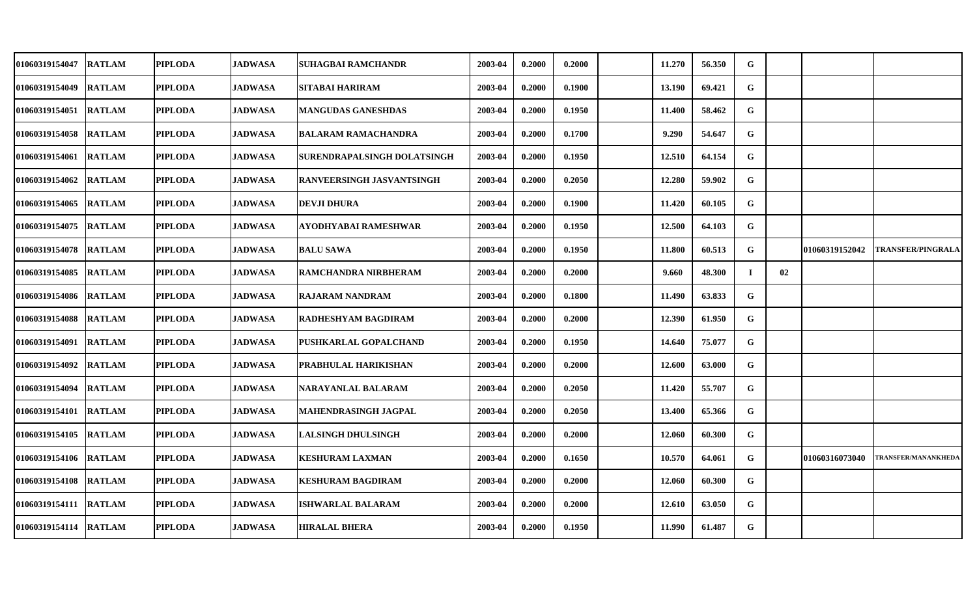| 01060319154047        | <b>RATLAM</b> | <b>PIPLODA</b> | <b>JADWASA</b> | SUHAGBAI RAMCHANDR               | 2003-04 | 0.2000 | 0.2000 | 11.270 | 56.350 | G  |    |                |                            |
|-----------------------|---------------|----------------|----------------|----------------------------------|---------|--------|--------|--------|--------|----|----|----------------|----------------------------|
| 01060319154049        | <b>RATLAM</b> | <b>PIPLODA</b> | <b>JADWASA</b> | SITABAI HARIRAM                  | 2003-04 | 0.2000 | 0.1900 | 13.190 | 69.421 | G  |    |                |                            |
| 01060319154051        | <b>RATLAM</b> | <b>PIPLODA</b> | <b>JADWASA</b> | MANGUDAS GANESHDAS               | 2003-04 | 0.2000 | 0.1950 | 11.400 | 58.462 | G  |    |                |                            |
| 01060319154058        | <b>RATLAM</b> | <b>PIPLODA</b> | <b>JADWASA</b> | <b>BALARAM RAMACHANDRA</b>       | 2003-04 | 0.2000 | 0.1700 | 9.290  | 54.647 | G  |    |                |                            |
| 01060319154061        | <b>RATLAM</b> | <b>PIPLODA</b> | <b>JADWASA</b> | SURENDRAPALSINGH DOLATSINGH      | 2003-04 | 0.2000 | 0.1950 | 12.510 | 64.154 | G  |    |                |                            |
| 01060319154062        | <b>RATLAM</b> | <b>PIPLODA</b> | <b>JADWASA</b> | <b>RANVEERSINGH JASVANTSINGH</b> | 2003-04 | 0.2000 | 0.2050 | 12.280 | 59.902 | G  |    |                |                            |
| 01060319154065        | <b>RATLAM</b> | <b>PIPLODA</b> | <b>JADWASA</b> | <b>DEVJI DHURA</b>               | 2003-04 | 0.2000 | 0.1900 | 11.420 | 60.105 | G  |    |                |                            |
| 01060319154075        | <b>RATLAM</b> | <b>PIPLODA</b> | <b>JADWASA</b> | AYODHYABAI RAMESHWAR             | 2003-04 | 0.2000 | 0.1950 | 12.500 | 64.103 | G  |    |                |                            |
| 01060319154078        | <b>RATLAM</b> | <b>PIPLODA</b> | <b>JADWASA</b> | <b>BALU SAWA</b>                 | 2003-04 | 0.2000 | 0.1950 | 11.800 | 60.513 | G  |    | 01060319152042 | <b>TRANSFER/PINGRALA</b>   |
| 01060319154085        | <b>RATLAM</b> | <b>PIPLODA</b> | <b>JADWASA</b> | RAMCHANDRA NIRBHERAM             | 2003-04 | 0.2000 | 0.2000 | 9.660  | 48.300 | Т. | 02 |                |                            |
| 01060319154086        | <b>RATLAM</b> | <b>PIPLODA</b> | <b>JADWASA</b> | <b>RAJARAM NANDRAM</b>           | 2003-04 | 0.2000 | 0.1800 | 11.490 | 63.833 | G  |    |                |                            |
| 01060319154088        | <b>RATLAM</b> | <b>PIPLODA</b> | <b>JADWASA</b> | RADHESHYAM BAGDIRAM              | 2003-04 | 0.2000 | 0.2000 | 12.390 | 61.950 | G  |    |                |                            |
| 01060319154091        | <b>RATLAM</b> | <b>PIPLODA</b> | <b>JADWASA</b> | PUSHKARLAL GOPALCHAND            | 2003-04 | 0.2000 | 0.1950 | 14.640 | 75.077 | G  |    |                |                            |
| 01060319154092        | <b>RATLAM</b> | <b>PIPLODA</b> | <b>JADWASA</b> | PRABHULAL HARIKISHAN             | 2003-04 | 0.2000 | 0.2000 | 12.600 | 63.000 | G  |    |                |                            |
| 01060319154094        | <b>RATLAM</b> | <b>PIPLODA</b> | <b>JADWASA</b> | NARAYANLAL BALARAM               | 2003-04 | 0.2000 | 0.2050 | 11.420 | 55.707 | G  |    |                |                            |
| 01060319154101        | <b>RATLAM</b> | <b>PIPLODA</b> | <b>JADWASA</b> | MAHENDRASINGH JAGPAL             | 2003-04 | 0.2000 | 0.2050 | 13.400 | 65.366 | G  |    |                |                            |
| 01060319154105        | <b>RATLAM</b> | <b>PIPLODA</b> | <b>JADWASA</b> | <b>LALSINGH DHULSINGH</b>        | 2003-04 | 0.2000 | 0.2000 | 12.060 | 60.300 | G  |    |                |                            |
| 01060319154106        | <b>RATLAM</b> | <b>PIPLODA</b> | <b>JADWASA</b> | <b>KESHURAM LAXMAN</b>           | 2003-04 | 0.2000 | 0.1650 | 10.570 | 64.061 | G  |    | 01060316073040 | <b>TRANSFER/MANANKHEDA</b> |
| 01060319154108        | <b>RATLAM</b> | <b>PIPLODA</b> | <b>JADWASA</b> | KESHURAM BAGDIRAM                | 2003-04 | 0.2000 | 0.2000 | 12.060 | 60.300 | G  |    |                |                            |
| 01060319154111        | <b>RATLAM</b> | <b>PIPLODA</b> | <b>JADWASA</b> | ISHWARLAL BALARAM                | 2003-04 | 0.2000 | 0.2000 | 12.610 | 63.050 | G  |    |                |                            |
| 01060319154114 RATLAM |               | <b>PIPLODA</b> | <b>JADWASA</b> | <b>HIRALAL BHERA</b>             | 2003-04 | 0.2000 | 0.1950 | 11.990 | 61.487 | G  |    |                |                            |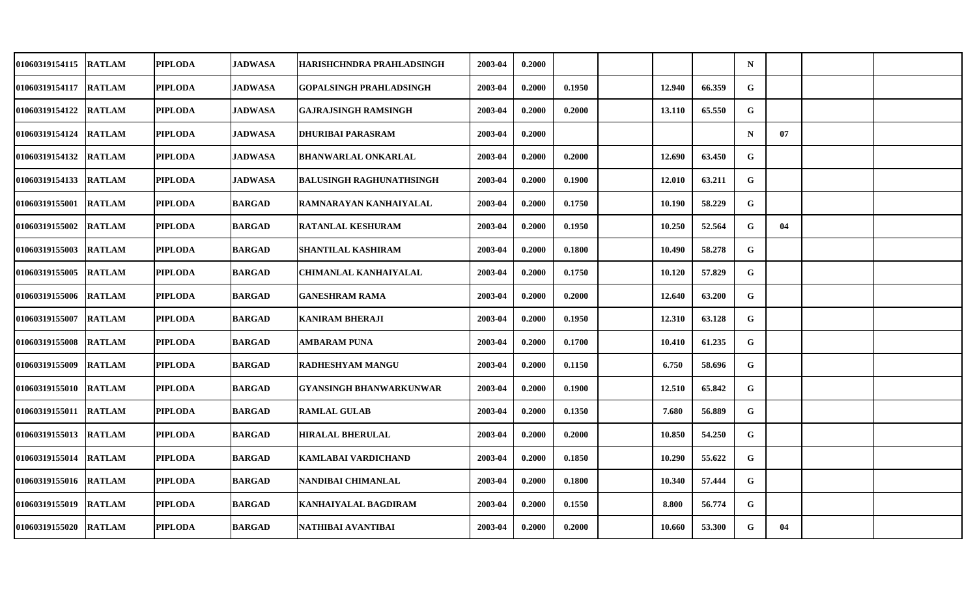| 01060319154115 RATLAM |               | PIPLODA        | <b>JADWASA</b> | HARISHCHNDRA PRAHLADSINGH       | 2003-04 | 0.2000 |        |        |        | $\mathbf N$  |    |  |
|-----------------------|---------------|----------------|----------------|---------------------------------|---------|--------|--------|--------|--------|--------------|----|--|
| 01060319154117        | <b>RATLAM</b> | <b>PIPLODA</b> | <b>JADWASA</b> | <b>GOPALSINGH PRAHLADSINGH</b>  | 2003-04 | 0.2000 | 0.1950 | 12.940 | 66.359 | $\mathbf{G}$ |    |  |
| 01060319154122 RATLAM |               | <b>PIPLODA</b> | <b>JADWASA</b> | <b>GAJRAJSINGH RAMSINGH</b>     | 2003-04 | 0.2000 | 0.2000 | 13.110 | 65.550 | G            |    |  |
| 01060319154124        | <b>RATLAM</b> | <b>PIPLODA</b> | <b>JADWASA</b> | <b>DHURIBAI PARASRAM</b>        | 2003-04 | 0.2000 |        |        |        | $\mathbf N$  | 07 |  |
| 01060319154132 RATLAM |               | <b>PIPLODA</b> | <b>JADWASA</b> | <b>BHANWARLAL ONKARLAL</b>      | 2003-04 | 0.2000 | 0.2000 | 12.690 | 63.450 | G            |    |  |
| 01060319154133        | <b>RATLAM</b> | <b>PIPLODA</b> | <b>JADWASA</b> | <b>BALUSINGH RAGHUNATHSINGH</b> | 2003-04 | 0.2000 | 0.1900 | 12.010 | 63.211 | G            |    |  |
| 01060319155001 RATLAM |               | <b>PIPLODA</b> | <b>BARGAD</b>  | RAMNARAYAN KANHAIYALAL          | 2003-04 | 0.2000 | 0.1750 | 10.190 | 58.229 | G            |    |  |
| 01060319155002        | <b>RATLAM</b> | <b>PIPLODA</b> | <b>BARGAD</b>  | <b>RATANLAL KESHURAM</b>        | 2003-04 | 0.2000 | 0.1950 | 10.250 | 52.564 | G            | 04 |  |
| 01060319155003        | <b>RATLAM</b> | <b>PIPLODA</b> | <b>BARGAD</b>  | <b>SHANTILAL KASHIRAM</b>       | 2003-04 | 0.2000 | 0.1800 | 10.490 | 58.278 | G            |    |  |
| 01060319155005        | <b>RATLAM</b> | <b>PIPLODA</b> | <b>BARGAD</b>  | <b>CHIMANLAL KANHAIYALAL</b>    | 2003-04 | 0.2000 | 0.1750 | 10.120 | 57.829 | G            |    |  |
| 01060319155006        | <b>RATLAM</b> | <b>PIPLODA</b> | <b>BARGAD</b>  | <b>GANESHRAM RAMA</b>           | 2003-04 | 0.2000 | 0.2000 | 12.640 | 63.200 | G            |    |  |
| 01060319155007 RATLAM |               | PIPLODA        | <b>BARGAD</b>  | <b>KANIRAM BHERAJI</b>          | 2003-04 | 0.2000 | 0.1950 | 12.310 | 63.128 | G            |    |  |
| 01060319155008        | <b>RATLAM</b> | <b>PIPLODA</b> | <b>BARGAD</b>  | AMBARAM PUNA                    | 2003-04 | 0.2000 | 0.1700 | 10.410 | 61.235 | G            |    |  |
| 01060319155009 RATLAM |               | <b>PIPLODA</b> | <b>BARGAD</b>  | RADHESHYAM MANGU                | 2003-04 | 0.2000 | 0.1150 | 6.750  | 58.696 | G            |    |  |
| 01060319155010 RATLAM |               | <b>PIPLODA</b> | <b>BARGAD</b>  | <b>GYANSINGH BHANWARKUNWAR</b>  | 2003-04 | 0.2000 | 0.1900 | 12.510 | 65.842 | G            |    |  |
| 01060319155011 RATLAM |               | <b>PIPLODA</b> | <b>BARGAD</b>  | <b>RAMLAL GULAB</b>             | 2003-04 | 0.2000 | 0.1350 | 7.680  | 56.889 | G            |    |  |
| 01060319155013 RATLAM |               | <b>PIPLODA</b> | <b>BARGAD</b>  | <b>HIRALAL BHERULAL</b>         | 2003-04 | 0.2000 | 0.2000 | 10.850 | 54.250 | $\mathbf G$  |    |  |
| 01060319155014        | <b>RATLAM</b> | <b>PIPLODA</b> | <b>BARGAD</b>  | KAMLABAI VARDICHAND             | 2003-04 | 0.2000 | 0.1850 | 10.290 | 55.622 | G            |    |  |
| 01060319155016 RATLAM |               | <b>PIPLODA</b> | <b>BARGAD</b>  | NANDIBAI CHIMANLAL              | 2003-04 | 0.2000 | 0.1800 | 10.340 | 57.444 | G            |    |  |
| 01060319155019 RATLAM |               | <b>PIPLODA</b> | <b>BARGAD</b>  | <b>KANHAIYALAL BAGDIRAM</b>     | 2003-04 | 0.2000 | 0.1550 | 8.800  | 56.774 | G            |    |  |
| 01060319155020 RATLAM |               | PIPLODA        | <b>BARGAD</b>  | NATHIBAI AVANTIBAI              | 2003-04 | 0.2000 | 0.2000 | 10.660 | 53.300 | G            | 04 |  |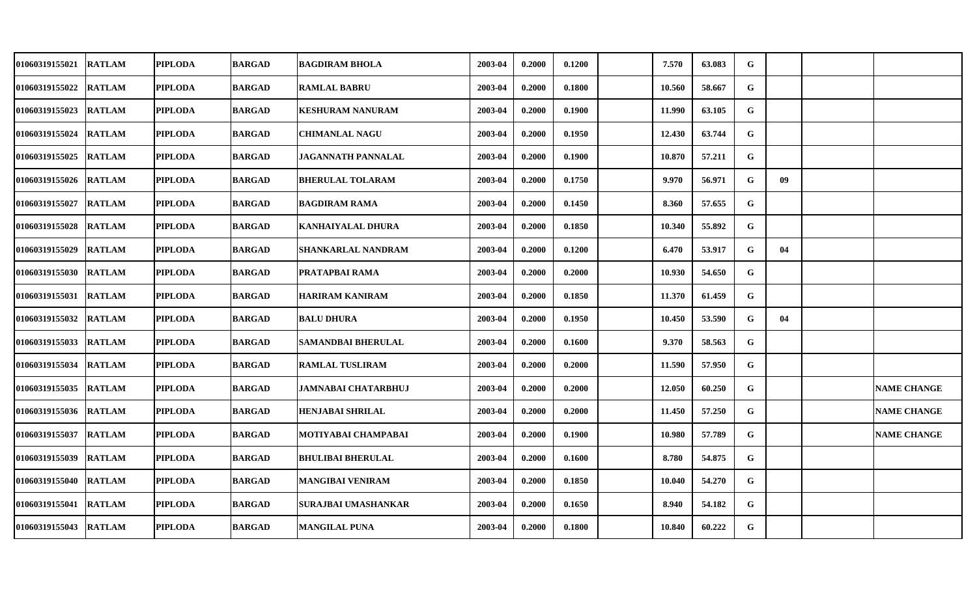| 01060319155021 RATLAM |               | PIPLODA        | <b>BARGAD</b> | <b>BAGDIRAM BHOLA</b>      | 2003-04 | 0.2000 | 0.1200 | 7.570  | 63.083 | G |    |                    |
|-----------------------|---------------|----------------|---------------|----------------------------|---------|--------|--------|--------|--------|---|----|--------------------|
| 01060319155022        | <b>RATLAM</b> | <b>PIPLODA</b> | <b>BARGAD</b> | <b>RAMLAL BABRU</b>        | 2003-04 | 0.2000 | 0.1800 | 10.560 | 58.667 | G |    |                    |
| 01060319155023 RATLAM |               | <b>PIPLODA</b> | <b>BARGAD</b> | <b>KESHURAM NANURAM</b>    | 2003-04 | 0.2000 | 0.1900 | 11.990 | 63.105 | G |    |                    |
| 01060319155024        | <b>RATLAM</b> | <b>PIPLODA</b> | <b>BARGAD</b> | <b>CHIMANLAL NAGU</b>      | 2003-04 | 0.2000 | 0.1950 | 12.430 | 63.744 | G |    |                    |
| 01060319155025        | <b>RATLAM</b> | <b>PIPLODA</b> | <b>BARGAD</b> | <b>JAGANNATH PANNALAL</b>  | 2003-04 | 0.2000 | 0.1900 | 10.870 | 57.211 | G |    |                    |
| 01060319155026 RATLAM |               | <b>PIPLODA</b> | <b>BARGAD</b> | <b>BHERULAL TOLARAM</b>    | 2003-04 | 0.2000 | 0.1750 | 9.970  | 56.971 | G | 09 |                    |
| 01060319155027        | <b>RATLAM</b> | <b>PIPLODA</b> | <b>BARGAD</b> | <b>BAGDIRAM RAMA</b>       | 2003-04 | 0.2000 | 0.1450 | 8.360  | 57.655 | G |    |                    |
| 01060319155028 RATLAM |               | <b>PIPLODA</b> | <b>BARGAD</b> | <b>KANHAIYALAL DHURA</b>   | 2003-04 | 0.2000 | 0.1850 | 10.340 | 55.892 | G |    |                    |
| 01060319155029        | <b>RATLAM</b> | <b>PIPLODA</b> | <b>BARGAD</b> | <b>SHANKARLAL NANDRAM</b>  | 2003-04 | 0.2000 | 0.1200 | 6.470  | 53.917 | G | 04 |                    |
| 01060319155030 RATLAM |               | <b>PIPLODA</b> | <b>BARGAD</b> | PRATAPBAI RAMA             | 2003-04 | 0.2000 | 0.2000 | 10.930 | 54.650 | G |    |                    |
| 01060319155031        | <b>RATLAM</b> | <b>PIPLODA</b> | <b>BARGAD</b> | <b>HARIRAM KANIRAM</b>     | 2003-04 | 0.2000 | 0.1850 | 11.370 | 61.459 | G |    |                    |
| 01060319155032 RATLAM |               | <b>PIPLODA</b> | <b>BARGAD</b> | <b>BALU DHURA</b>          | 2003-04 | 0.2000 | 0.1950 | 10.450 | 53.590 | G | 04 |                    |
| 01060319155033 RATLAM |               | <b>PIPLODA</b> | <b>BARGAD</b> | <b>SAMANDBAI BHERULAL</b>  | 2003-04 | 0.2000 | 0.1600 | 9.370  | 58.563 | G |    |                    |
| 01060319155034        | <b>RATLAM</b> | <b>PIPLODA</b> | <b>BARGAD</b> | <b>RAMLAL TUSLIRAM</b>     | 2003-04 | 0.2000 | 0.2000 | 11.590 | 57.950 | G |    |                    |
| 01060319155035 RATLAM |               | <b>PIPLODA</b> | <b>BARGAD</b> | <b>JAMNABAI CHATARBHUJ</b> | 2003-04 | 0.2000 | 0.2000 | 12.050 | 60.250 | G |    | <b>NAME CHANGE</b> |
| 01060319155036 RATLAM |               | <b>PIPLODA</b> | <b>BARGAD</b> | HENJABAI SHRILAL           | 2003-04 | 0.2000 | 0.2000 | 11.450 | 57.250 | G |    | <b>NAME CHANGE</b> |
| 01060319155037        | <b>RATLAM</b> | <b>PIPLODA</b> | <b>BARGAD</b> | MOTIYABAI CHAMPABAI        | 2003-04 | 0.2000 | 0.1900 | 10.980 | 57.789 | G |    | <b>NAME CHANGE</b> |
| 01060319155039        | <b>RATLAM</b> | <b>PIPLODA</b> | <b>BARGAD</b> | <b>BHULIBAI BHERULAL</b>   | 2003-04 | 0.2000 | 0.1600 | 8.780  | 54.875 | G |    |                    |
| 01060319155040        | <b>RATLAM</b> | <b>PIPLODA</b> | <b>BARGAD</b> | <b>MANGIBAI VENIRAM</b>    | 2003-04 | 0.2000 | 0.1850 | 10.040 | 54.270 | G |    |                    |
| 01060319155041        | <b>RATLAM</b> | <b>PIPLODA</b> | <b>BARGAD</b> | SURAJBAI UMASHANKAR        | 2003-04 | 0.2000 | 0.1650 | 8.940  | 54.182 | G |    |                    |
| 01060319155043 RATLAM |               | PIPLODA        | <b>BARGAD</b> | <b>MANGILAL PUNA</b>       | 2003-04 | 0.2000 | 0.1800 | 10.840 | 60.222 | G |    |                    |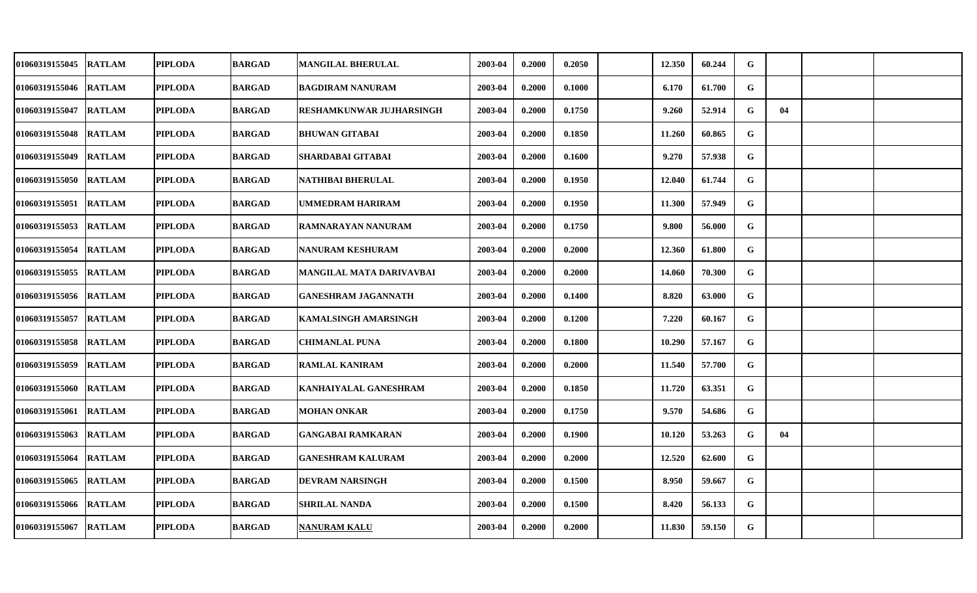| 01060319155045 RATLAM |               | PIPLODA        | <b>BARGAD</b> | <b>MANGILAL BHERULAL</b>        | 2003-04 | 0.2000 | 0.2050 | 12.350 | 60.244 | G           |    |  |
|-----------------------|---------------|----------------|---------------|---------------------------------|---------|--------|--------|--------|--------|-------------|----|--|
| 01060319155046        | <b>RATLAM</b> | <b>PIPLODA</b> | <b>BARGAD</b> | <b>BAGDIRAM NANURAM</b>         | 2003-04 | 0.2000 | 0.1000 | 6.170  | 61.700 | G           |    |  |
| 01060319155047        | <b>RATLAM</b> | <b>PIPLODA</b> | <b>BARGAD</b> | <b>RESHAMKUNWAR JUJHARSINGH</b> | 2003-04 | 0.2000 | 0.1750 | 9.260  | 52.914 | G           | 04 |  |
| 01060319155048        | <b>RATLAM</b> | <b>PIPLODA</b> | <b>BARGAD</b> | <b>BHUWAN GITABAI</b>           | 2003-04 | 0.2000 | 0.1850 | 11.260 | 60.865 | G           |    |  |
| 01060319155049 RATLAM |               | <b>PIPLODA</b> | <b>BARGAD</b> | SHARDABAI GITABAI               | 2003-04 | 0.2000 | 0.1600 | 9.270  | 57.938 | G           |    |  |
| 01060319155050 RATLAM |               | <b>PIPLODA</b> | <b>BARGAD</b> | <b>NATHIBAI BHERULAL</b>        | 2003-04 | 0.2000 | 0.1950 | 12.040 | 61.744 | G           |    |  |
| 01060319155051 RATLAM |               | <b>PIPLODA</b> | <b>BARGAD</b> | <b>UMMEDRAM HARIRAM</b>         | 2003-04 | 0.2000 | 0.1950 | 11.300 | 57.949 | G           |    |  |
| 01060319155053 RATLAM |               | <b>PIPLODA</b> | <b>BARGAD</b> | <b>RAMNARAYAN NANURAM</b>       | 2003-04 | 0.2000 | 0.1750 | 9.800  | 56.000 | G           |    |  |
| 01060319155054        | <b>RATLAM</b> | <b>PIPLODA</b> | <b>BARGAD</b> | NANURAM KESHURAM                | 2003-04 | 0.2000 | 0.2000 | 12.360 | 61.800 | G           |    |  |
| 01060319155055 RATLAM |               | <b>PIPLODA</b> | <b>BARGAD</b> | MANGILAL MATA DARIVAVBAI        | 2003-04 | 0.2000 | 0.2000 | 14.060 | 70.300 | G           |    |  |
| 01060319155056        | <b>RATLAM</b> | <b>PIPLODA</b> | <b>BARGAD</b> | <b>GANESHRAM JAGANNATH</b>      | 2003-04 | 0.2000 | 0.1400 | 8.820  | 63.000 | G           |    |  |
| 01060319155057 RATLAM |               | PIPLODA        | <b>BARGAD</b> | <b>KAMALSINGH AMARSINGH</b>     | 2003-04 | 0.2000 | 0.1200 | 7.220  | 60.167 | G           |    |  |
| 01060319155058        | <b>RATLAM</b> | <b>PIPLODA</b> | <b>BARGAD</b> | <b>CHIMANLAL PUNA</b>           | 2003-04 | 0.2000 | 0.1800 | 10.290 | 57.167 | G           |    |  |
| 01060319155059        | <b>RATLAM</b> | <b>PIPLODA</b> | <b>BARGAD</b> | <b>RAMLAL KANIRAM</b>           | 2003-04 | 0.2000 | 0.2000 | 11.540 | 57.700 | G           |    |  |
| 01060319155060 RATLAM |               | <b>PIPLODA</b> | <b>BARGAD</b> | <b>KANHAIYALAL GANESHRAM</b>    | 2003-04 | 0.2000 | 0.1850 | 11.720 | 63.351 | G           |    |  |
| 01060319155061 RATLAM |               | <b>PIPLODA</b> | <b>BARGAD</b> | <b>MOHAN ONKAR</b>              | 2003-04 | 0.2000 | 0.1750 | 9.570  | 54.686 | G           |    |  |
| 01060319155063        | <b>RATLAM</b> | <b>PIPLODA</b> | <b>BARGAD</b> | <b>GANGABAI RAMKARAN</b>        | 2003-04 | 0.2000 | 0.1900 | 10.120 | 53.263 | $\mathbf G$ | 04 |  |
| 01060319155064        | <b>RATLAM</b> | <b>PIPLODA</b> | <b>BARGAD</b> | <b>GANESHRAM KALURAM</b>        | 2003-04 | 0.2000 | 0.2000 | 12.520 | 62.600 | G           |    |  |
| 01060319155065        | <b>RATLAM</b> | <b>PIPLODA</b> | <b>BARGAD</b> | <b>DEVRAM NARSINGH</b>          | 2003-04 | 0.2000 | 0.1500 | 8.950  | 59.667 | G           |    |  |
| 01060319155066        | <b>RATLAM</b> | <b>PIPLODA</b> | <b>BARGAD</b> | <b>SHRILAL NANDA</b>            | 2003-04 | 0.2000 | 0.1500 | 8.420  | 56.133 | G           |    |  |
| 01060319155067 RATLAM |               | PIPLODA        | <b>BARGAD</b> | NANURAM KALU                    | 2003-04 | 0.2000 | 0.2000 | 11.830 | 59.150 | G           |    |  |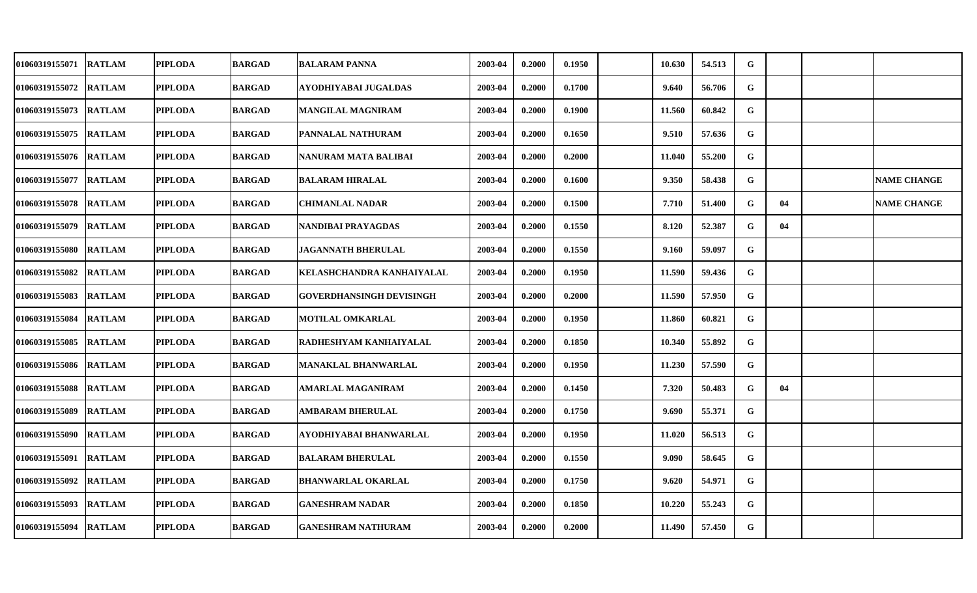| 01060319155071 RATLAM |               | PIPLODA        | <b>BARGAD</b> | <b>BALARAM PANNA</b>            | 2003-04 | 0.2000 | 0.1950 | 10.630 | 54.513 | $\mathbf G$  |    |                    |
|-----------------------|---------------|----------------|---------------|---------------------------------|---------|--------|--------|--------|--------|--------------|----|--------------------|
| 01060319155072        | <b>RATLAM</b> | <b>PIPLODA</b> | <b>BARGAD</b> | AYODHIYABAI JUGALDAS            | 2003-04 | 0.2000 | 0.1700 | 9.640  | 56.706 | $\mathbf G$  |    |                    |
| 01060319155073 RATLAM |               | <b>PIPLODA</b> | <b>BARGAD</b> | MANGILAL MAGNIRAM               | 2003-04 | 0.2000 | 0.1900 | 11.560 | 60.842 | G            |    |                    |
| 01060319155075 RATLAM |               | <b>PIPLODA</b> | <b>BARGAD</b> | PANNALAL NATHURAM               | 2003-04 | 0.2000 | 0.1650 | 9.510  | 57.636 | G            |    |                    |
| 01060319155076 RATLAM |               | <b>PIPLODA</b> | <b>BARGAD</b> | NANURAM MATA BALIBAI            | 2003-04 | 0.2000 | 0.2000 | 11.040 | 55.200 | G            |    |                    |
| 01060319155077        | <b>RATLAM</b> | <b>PIPLODA</b> | <b>BARGAD</b> | <b>BALARAM HIRALAL</b>          | 2003-04 | 0.2000 | 0.1600 | 9.350  | 58.438 | G            |    | <b>NAME CHANGE</b> |
| 01060319155078        | <b>RATLAM</b> | <b>PIPLODA</b> | <b>BARGAD</b> | <b>CHIMANLAL NADAR</b>          | 2003-04 | 0.2000 | 0.1500 | 7.710  | 51.400 | G            | 04 | <b>NAME CHANGE</b> |
| 01060319155079 RATLAM |               | <b>PIPLODA</b> | <b>BARGAD</b> | NANDIBAI PRAYAGDAS              | 2003-04 | 0.2000 | 0.1550 | 8.120  | 52.387 | $\mathbf G$  | 04 |                    |
| 01060319155080        | <b>RATLAM</b> | <b>PIPLODA</b> | <b>BARGAD</b> | <b>JAGANNATH BHERULAL</b>       | 2003-04 | 0.2000 | 0.1550 | 9.160  | 59.097 | G            |    |                    |
| 01060319155082        | <b>RATLAM</b> | <b>PIPLODA</b> | <b>BARGAD</b> | KELASHCHANDRA KANHAIYALAL       | 2003-04 | 0.2000 | 0.1950 | 11.590 | 59.436 | G            |    |                    |
| 01060319155083        | <b>RATLAM</b> | <b>PIPLODA</b> | <b>BARGAD</b> | <b>GOVERDHANSINGH DEVISINGH</b> | 2003-04 | 0.2000 | 0.2000 | 11.590 | 57.950 | G            |    |                    |
| 01060319155084 RATLAM |               | <b>PIPLODA</b> | <b>BARGAD</b> | <b>MOTILAL OMKARLAL</b>         | 2003-04 | 0.2000 | 0.1950 | 11.860 | 60.821 | G            |    |                    |
| 01060319155085        | <b>RATLAM</b> | <b>PIPLODA</b> | <b>BARGAD</b> | RADHESHYAM KANHAIYALAL          | 2003-04 | 0.2000 | 0.1850 | 10.340 | 55.892 | G            |    |                    |
| 01060319155086 RATLAM |               | <b>PIPLODA</b> | <b>BARGAD</b> | MANAKLAL BHANWARLAL             | 2003-04 | 0.2000 | 0.1950 | 11.230 | 57.590 | G            |    |                    |
| 01060319155088        | <b>RATLAM</b> | PIPLODA        | <b>BARGAD</b> | AMARLAL MAGANIRAM               | 2003-04 | 0.2000 | 0.1450 | 7.320  | 50.483 | G            | 04 |                    |
| 01060319155089        | <b>RATLAM</b> | PIPLODA        | <b>BARGAD</b> | AMBARAM BHERULAL                | 2003-04 | 0.2000 | 0.1750 | 9.690  | 55.371 | G            |    |                    |
| 01060319155090 RATLAM |               | <b>PIPLODA</b> | <b>BARGAD</b> | AYODHIYABAI BHANWARLAL          | 2003-04 | 0.2000 | 0.1950 | 11.020 | 56.513 | $\mathbf{G}$ |    |                    |
| 01060319155091        | <b>RATLAM</b> | <b>PIPLODA</b> | <b>BARGAD</b> | <b>BALARAM BHERULAL</b>         | 2003-04 | 0.2000 | 0.1550 | 9.090  | 58.645 | G            |    |                    |
| 01060319155092        | <b>RATLAM</b> | <b>PIPLODA</b> | <b>BARGAD</b> | <b>BHANWARLAL OKARLAL</b>       | 2003-04 | 0.2000 | 0.1750 | 9.620  | 54.971 | G            |    |                    |
| 01060319155093        | <b>RATLAM</b> | <b>PIPLODA</b> | <b>BARGAD</b> | <b>GANESHRAM NADAR</b>          | 2003-04 | 0.2000 | 0.1850 | 10.220 | 55.243 | G            |    |                    |
| 01060319155094 RATLAM |               | PIPLODA        | <b>BARGAD</b> | <b>GANESHRAM NATHURAM</b>       | 2003-04 | 0.2000 | 0.2000 | 11.490 | 57.450 | G            |    |                    |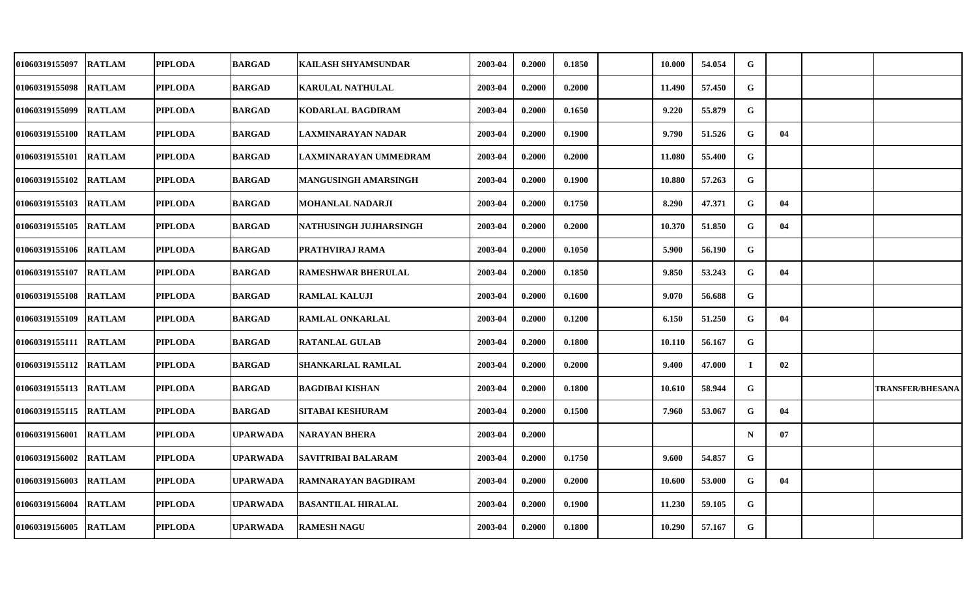| 01060319155097        | <b>RATLAM</b> | <b>PIPLODA</b> | <b>BARGAD</b>   | <b>KAILASH SHYAMSUNDAR</b> | 2003-04 | 0.2000 | 0.1850 | 10.000 | 54.054 | G           |    |                         |
|-----------------------|---------------|----------------|-----------------|----------------------------|---------|--------|--------|--------|--------|-------------|----|-------------------------|
| 01060319155098        | <b>RATLAM</b> | <b>PIPLODA</b> | <b>BARGAD</b>   | <b>KARULAL NATHULAL</b>    | 2003-04 | 0.2000 | 0.2000 | 11.490 | 57.450 | G           |    |                         |
| 01060319155099        | <b>RATLAM</b> | <b>PIPLODA</b> | <b>BARGAD</b>   | <b>KODARLAL BAGDIRAM</b>   | 2003-04 | 0.2000 | 0.1650 | 9.220  | 55.879 | G           |    |                         |
| 01060319155100        | <b>RATLAM</b> | <b>PIPLODA</b> | <b>BARGAD</b>   | LAXMINARAYAN NADAR         | 2003-04 | 0.2000 | 0.1900 | 9.790  | 51.526 | G           | 04 |                         |
| 01060319155101        | <b>RATLAM</b> | <b>PIPLODA</b> | <b>BARGAD</b>   | LAXMINARAYAN UMMEDRAM      | 2003-04 | 0.2000 | 0.2000 | 11.080 | 55.400 | G           |    |                         |
| 01060319155102        | <b>RATLAM</b> | <b>PIPLODA</b> | <b>BARGAD</b>   | MANGUSINGH AMARSINGH       | 2003-04 | 0.2000 | 0.1900 | 10.880 | 57.263 | G           |    |                         |
| 01060319155103        | <b>RATLAM</b> | <b>PIPLODA</b> | <b>BARGAD</b>   | MOHANLAL NADARJI           | 2003-04 | 0.2000 | 0.1750 | 8.290  | 47.371 | G           | 04 |                         |
| 01060319155105        | <b>RATLAM</b> | <b>PIPLODA</b> | <b>BARGAD</b>   | NATHUSINGH JUJHARSINGH     | 2003-04 | 0.2000 | 0.2000 | 10.370 | 51.850 | G           | 04 |                         |
| 01060319155106        | <b>RATLAM</b> | <b>PIPLODA</b> | <b>BARGAD</b>   | PRATHVIRAJ RAMA            | 2003-04 | 0.2000 | 0.1050 | 5.900  | 56.190 | G           |    |                         |
| 01060319155107        | <b>RATLAM</b> | <b>PIPLODA</b> | <b>BARGAD</b>   | <b>RAMESHWAR BHERULAL</b>  | 2003-04 | 0.2000 | 0.1850 | 9.850  | 53.243 | G           | 04 |                         |
| 01060319155108        | <b>RATLAM</b> | <b>PIPLODA</b> | <b>BARGAD</b>   | <b>RAMLAL KALUJI</b>       | 2003-04 | 0.2000 | 0.1600 | 9.070  | 56.688 | G           |    |                         |
| 01060319155109 RATLAM |               | <b>PIPLODA</b> | <b>BARGAD</b>   | <b>RAMLAL ONKARLAL</b>     | 2003-04 | 0.2000 | 0.1200 | 6.150  | 51.250 | G           | 04 |                         |
| 01060319155111        | <b>RATLAM</b> | <b>PIPLODA</b> | <b>BARGAD</b>   | <b>RATANLAL GULAB</b>      | 2003-04 | 0.2000 | 0.1800 | 10.110 | 56.167 | G           |    |                         |
| 01060319155112        | <b>RATLAM</b> | <b>PIPLODA</b> | <b>BARGAD</b>   | <b>SHANKARLAL RAMLAL</b>   | 2003-04 | 0.2000 | 0.2000 | 9.400  | 47.000 | $\mathbf I$ | 02 |                         |
| 01060319155113        | <b>RATLAM</b> | <b>PIPLODA</b> | <b>BARGAD</b>   | <b>BAGDIBAI KISHAN</b>     | 2003-04 | 0.2000 | 0.1800 | 10.610 | 58.944 | G           |    | <b>TRANSFER/BHESANA</b> |
| 01060319155115        | <b>RATLAM</b> | <b>PIPLODA</b> | <b>BARGAD</b>   | SITABAI KESHURAM           | 2003-04 | 0.2000 | 0.1500 | 7.960  | 53.067 | G           | 04 |                         |
| 01060319156001        | <b>RATLAM</b> | <b>PIPLODA</b> | UPARWADA        | NARAYAN BHERA              | 2003-04 | 0.2000 |        |        |        | $\mathbf N$ | 07 |                         |
| 01060319156002        | <b>RATLAM</b> | <b>PIPLODA</b> | <b>UPARWADA</b> | <b>SAVITRIBAI BALARAM</b>  | 2003-04 | 0.2000 | 0.1750 | 9.600  | 54.857 | G           |    |                         |
| 01060319156003        | <b>RATLAM</b> | <b>PIPLODA</b> | UPARWADA        | RAMNARAYAN BAGDIRAM        | 2003-04 | 0.2000 | 0.2000 | 10.600 | 53.000 | G           | 04 |                         |
| 01060319156004        | <b>RATLAM</b> | <b>PIPLODA</b> | UPARWADA        | <b>BASANTILAL HIRALAL</b>  | 2003-04 | 0.2000 | 0.1900 | 11.230 | 59.105 | G           |    |                         |
| 01060319156005        | <b>RATLAM</b> | <b>PIPLODA</b> | UPARWADA        | <b>RAMESH NAGU</b>         | 2003-04 | 0.2000 | 0.1800 | 10.290 | 57.167 | G           |    |                         |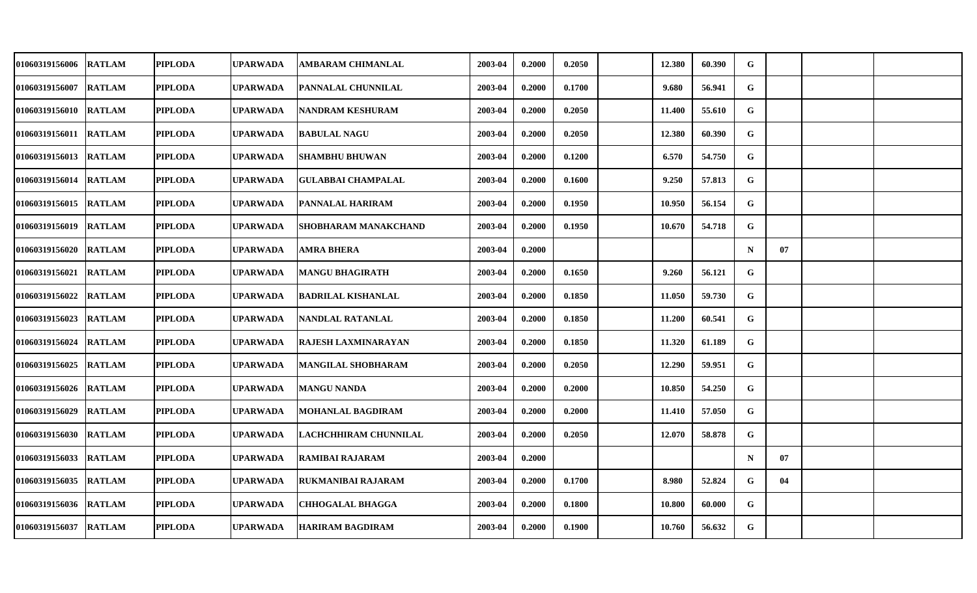| <b>01060319156006</b> | <b>RATLAM</b> | <b>PIPLODA</b> | UPARWADA        | <b>AMBARAM CHIMANLAL</b>   | 2003-04 | 0.2000 | 0.2050 | 12.380 | 60.390 | ${\bf G}$   |    |  |
|-----------------------|---------------|----------------|-----------------|----------------------------|---------|--------|--------|--------|--------|-------------|----|--|
| 01060319156007        | <b>RATLAM</b> | <b>PIPLODA</b> | UPARWADA        | PANNALAL CHUNNILAL         | 2003-04 | 0.2000 | 0.1700 | 9.680  | 56.941 | $\mathbf G$ |    |  |
| <b>01060319156010</b> | <b>RATLAM</b> | <b>PIPLODA</b> | UPARWADA        | NANDRAM KESHURAM           | 2003-04 | 0.2000 | 0.2050 | 11.400 | 55.610 | G           |    |  |
| 01060319156011        | <b>RATLAM</b> | <b>PIPLODA</b> | <b>UPARWADA</b> | <b>BABULAL NAGU</b>        | 2003-04 | 0.2000 | 0.2050 | 12.380 | 60.390 | $\mathbf G$ |    |  |
| <b>01060319156013</b> | <b>RATLAM</b> | <b>PIPLODA</b> | UPARWADA        | <b>SHAMBHU BHUWAN</b>      | 2003-04 | 0.2000 | 0.1200 | 6.570  | 54.750 | G           |    |  |
| 01060319156014        | <b>RATLAM</b> | <b>PIPLODA</b> | <b>UPARWADA</b> | <b>GULABBAI CHAMPALAL</b>  | 2003-04 | 0.2000 | 0.1600 | 9.250  | 57.813 | $\mathbf G$ |    |  |
| 01060319156015        | <b>RATLAM</b> | <b>PIPLODA</b> | UPARWADA        | PANNALAL HARIRAM           | 2003-04 | 0.2000 | 0.1950 | 10.950 | 56.154 | G           |    |  |
| 01060319156019        | <b>RATLAM</b> | <b>PIPLODA</b> | <b>UPARWADA</b> | SHOBHARAM MANAKCHAND       | 2003-04 | 0.2000 | 0.1950 | 10.670 | 54.718 | G           |    |  |
| 01060319156020        | <b>RATLAM</b> | <b>PIPLODA</b> | <b>UPARWADA</b> | AMRA BHERA                 | 2003-04 | 0.2000 |        |        |        | $\mathbf N$ | 07 |  |
| 01060319156021        | <b>RATLAM</b> | <b>PIPLODA</b> | <b>UPARWADA</b> | <b>MANGU BHAGIRATH</b>     | 2003-04 | 0.2000 | 0.1650 | 9.260  | 56.121 | G           |    |  |
| <b>01060319156022</b> | <b>RATLAM</b> | <b>PIPLODA</b> | UPARWADA        | <b>BADRILAL KISHANLAL</b>  | 2003-04 | 0.2000 | 0.1850 | 11.050 | 59.730 | G           |    |  |
| <b>01060319156023</b> | <b>RATLAM</b> | <b>PIPLODA</b> | <b>UPARWADA</b> | NANDLAL RATANLAL           | 2003-04 | 0.2000 | 0.1850 | 11.200 | 60.541 | G           |    |  |
| 01060319156024        | <b>RATLAM</b> | <b>PIPLODA</b> | UPARWADA        | <b>RAJESH LAXMINARAYAN</b> | 2003-04 | 0.2000 | 0.1850 | 11.320 | 61.189 | G           |    |  |
| 01060319156025        | <b>RATLAM</b> | <b>PIPLODA</b> | <b>UPARWADA</b> | MANGILAL SHOBHARAM         | 2003-04 | 0.2000 | 0.2050 | 12.290 | 59.951 | G           |    |  |
| 01060319156026        | <b>RATLAM</b> | <b>PIPLODA</b> | UPARWADA        | <b>MANGU NANDA</b>         | 2003-04 | 0.2000 | 0.2000 | 10.850 | 54.250 | G           |    |  |
| <b>01060319156029</b> | <b>RATLAM</b> | <b>PIPLODA</b> | UPARWADA        | MOHANLAL BAGDIRAM          | 2003-04 | 0.2000 | 0.2000 | 11.410 | 57.050 | G           |    |  |
| 01060319156030        | <b>RATLAM</b> | <b>PIPLODA</b> | UPARWADA        | LACHCHHIRAM CHUNNILAL      | 2003-04 | 0.2000 | 0.2050 | 12.070 | 58.878 | G           |    |  |
| 01060319156033        | <b>RATLAM</b> | <b>PIPLODA</b> | UPARWADA        | RAMIBAI RAJARAM            | 2003-04 | 0.2000 |        |        |        | $\mathbf N$ | 07 |  |
| 01060319156035        | <b>RATLAM</b> | <b>PIPLODA</b> | UPARWADA        | RUKMANIBAI RAJARAM         | 2003-04 | 0.2000 | 0.1700 | 8.980  | 52.824 | G           | 04 |  |
| 01060319156036        | <b>RATLAM</b> | <b>PIPLODA</b> | UPARWADA        | <b>CHHOGALAL BHAGGA</b>    | 2003-04 | 0.2000 | 0.1800 | 10.800 | 60.000 | G           |    |  |
| 01060319156037        | <b>RATLAM</b> | <b>PIPLODA</b> | <b>UPARWADA</b> | <b>HARIRAM BAGDIRAM</b>    | 2003-04 | 0.2000 | 0.1900 | 10.760 | 56.632 | G           |    |  |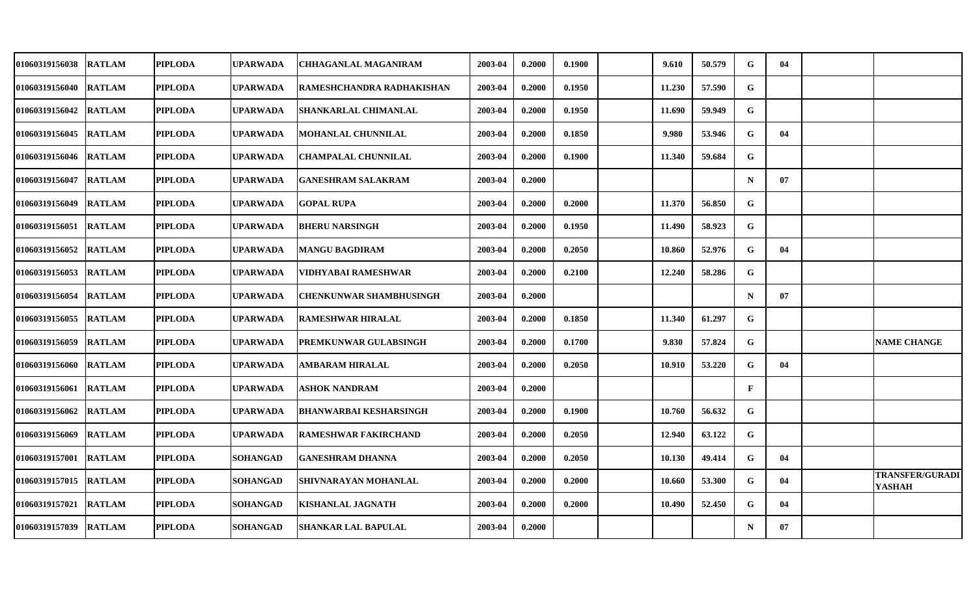| <b>01060319156038</b> | <b>RATLAM</b> | <b>PIPLODA</b> | <b>UPARWADA</b> | <b>CHHAGANLAL MAGANIRAM</b>    | 2003-04 | 0.2000 | 0.1900 | 9.610  | 50.579 | G           | -04 |                                         |
|-----------------------|---------------|----------------|-----------------|--------------------------------|---------|--------|--------|--------|--------|-------------|-----|-----------------------------------------|
| 01060319156040        | <b>RATLAM</b> | <b>PIPLODA</b> | <b>UPARWADA</b> | RAMESHCHANDRA RADHAKISHAN      | 2003-04 | 0.2000 | 0.1950 | 11.230 | 57.590 | G           |     |                                         |
| <b>01060319156042</b> | <b>RATLAM</b> | <b>PIPLODA</b> | <b>UPARWADA</b> | SHANKARLAL CHIMANLAL           | 2003-04 | 0.2000 | 0.1950 | 11.690 | 59.949 | G           |     |                                         |
| 01060319156045        | <b>RATLAM</b> | <b>PIPLODA</b> | <b>UPARWADA</b> | <b>MOHANLAL CHUNNILAL</b>      | 2003-04 | 0.2000 | 0.1850 | 9.980  | 53.946 | G           | 04  |                                         |
| <b>01060319156046</b> | <b>RATLAM</b> | <b>PIPLODA</b> | <b>UPARWADA</b> | <b>CHAMPALAL CHUNNILAL</b>     | 2003-04 | 0.2000 | 0.1900 | 11.340 | 59.684 | G           |     |                                         |
| <b>01060319156047</b> | <b>RATLAM</b> | <b>PIPLODA</b> | <b>UPARWADA</b> | <b>GANESHRAM SALAKRAM</b>      | 2003-04 | 0.2000 |        |        |        | $\mathbf N$ | 07  |                                         |
| 01060319156049        | <b>RATLAM</b> | <b>PIPLODA</b> | <b>UPARWADA</b> | <b>GOPAL RUPA</b>              | 2003-04 | 0.2000 | 0.2000 | 11.370 | 56.850 | G           |     |                                         |
| 01060319156051        | <b>RATLAM</b> | <b>PIPLODA</b> | <b>UPARWADA</b> | <b>BHERU NARSINGH</b>          | 2003-04 | 0.2000 | 0.1950 | 11.490 | 58.923 | G           |     |                                         |
| 01060319156052        | <b>RATLAM</b> | <b>PIPLODA</b> | <b>UPARWADA</b> | <b>MANGU BAGDIRAM</b>          | 2003-04 | 0.2000 | 0.2050 | 10.860 | 52.976 | G           | 04  |                                         |
| 01060319156053        | <b>RATLAM</b> | <b>PIPLODA</b> | <b>UPARWADA</b> | VIDHYABAI RAMESHWAR            | 2003-04 | 0.2000 | 0.2100 | 12.240 | 58.286 | G           |     |                                         |
| <b>01060319156054</b> | <b>RATLAM</b> | <b>PIPLODA</b> | <b>UPARWADA</b> | <b>CHENKUNWAR SHAMBHUSINGH</b> | 2003-04 | 0.2000 |        |        |        | $\mathbf N$ | 07  |                                         |
| <b>01060319156055</b> | <b>RATLAM</b> | <b>PIPLODA</b> | <b>UPARWADA</b> | <b>RAMESHWAR HIRALAL</b>       | 2003-04 | 0.2000 | 0.1850 | 11.340 | 61.297 | G           |     |                                         |
| 01060319156059        | <b>RATLAM</b> | <b>PIPLODA</b> | <b>UPARWADA</b> | PREMKUNWAR GULABSINGH          | 2003-04 | 0.2000 | 0.1700 | 9.830  | 57.824 | G           |     | <b>NAME CHANGE</b>                      |
| 01060319156060        | <b>RATLAM</b> | <b>PIPLODA</b> | <b>UPARWADA</b> | AMBARAM HIRALAL                | 2003-04 | 0.2000 | 0.2050 | 10.910 | 53.220 | G           | 04  |                                         |
| 01060319156061        | <b>RATLAM</b> | <b>PIPLODA</b> | <b>UPARWADA</b> | <b>ASHOK NANDRAM</b>           | 2003-04 | 0.2000 |        |        |        | F           |     |                                         |
| <b>01060319156062</b> | <b>RATLAM</b> | <b>PIPLODA</b> | <b>UPARWADA</b> | <b>BHANWARBAI KESHARSINGH</b>  | 2003-04 | 0.2000 | 0.1900 | 10.760 | 56.632 | G           |     |                                         |
| <b>01060319156069</b> | <b>RATLAM</b> | <b>PIPLODA</b> | <b>UPARWADA</b> | <b>RAMESHWAR FAKIRCHAND</b>    | 2003-04 | 0.2000 | 0.2050 | 12.940 | 63.122 | $\mathbf G$ |     |                                         |
| 01060319157001        | <b>RATLAM</b> | <b>PIPLODA</b> | <b>SOHANGAD</b> | <b>GANESHRAM DHANNA</b>        | 2003-04 | 0.2000 | 0.2050 | 10.130 | 49.414 | G           | 04  |                                         |
| 01060319157015        | <b>RATLAM</b> | <b>PIPLODA</b> | <b>SOHANGAD</b> | SHIVNARAYAN MOHANLAL           | 2003-04 | 0.2000 | 0.2000 | 10.660 | 53.300 | G           | 04  | <b>TRANSFER/GURADI</b><br><b>YASHAH</b> |
| 01060319157021        | <b>RATLAM</b> | <b>PIPLODA</b> | SOHANGAD        | KISHANLAL JAGNATH              | 2003-04 | 0.2000 | 0.2000 | 10.490 | 52.450 | G           | 04  |                                         |
| <b>01060319157039</b> | <b>RATLAM</b> | <b>PIPLODA</b> | SOHANGAD        | <b>SHANKAR LAL BAPULAL</b>     | 2003-04 | 0.2000 |        |        |        | $\mathbf N$ | 07  |                                         |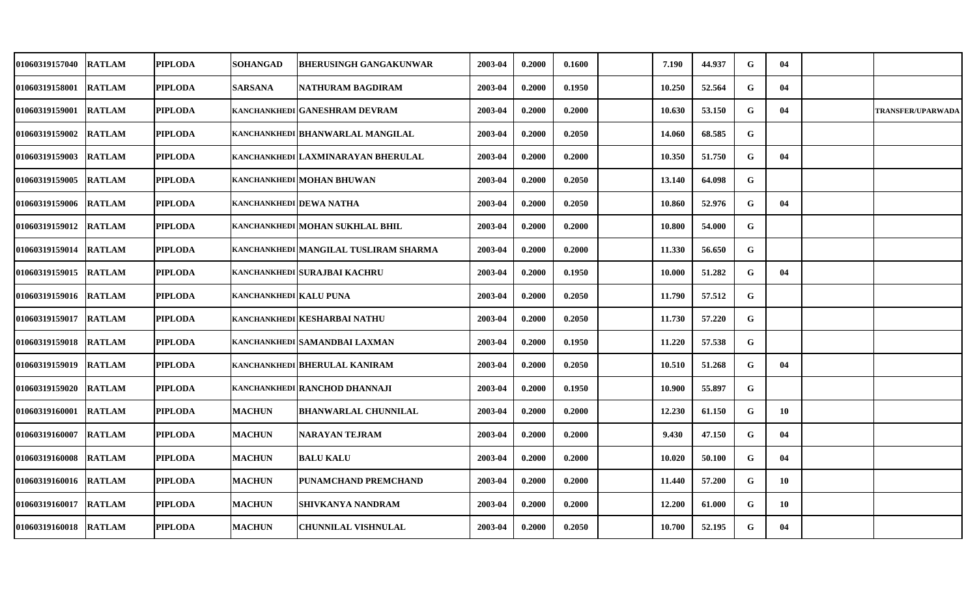| <b>01060319157040</b>  | <b>RATLAM</b> | <b>PIPLODA</b> | <b>SOHANGAD</b>               | <b>BHERUSINGH GANGAKUNWAR</b>         | 2003-04 | 0.2000 | 0.1600 | 7.190  | 44.937 | G | 04  |                          |
|------------------------|---------------|----------------|-------------------------------|---------------------------------------|---------|--------|--------|--------|--------|---|-----|--------------------------|
| 01060319158001         | <b>RATLAM</b> | <b>PIPLODA</b> | <b>SARSANA</b>                | NATHURAM BAGDIRAM                     | 2003-04 | 0.2000 | 0.1950 | 10.250 | 52.564 | G | 04  |                          |
| 01060319159001         | <b>RATLAM</b> | <b>PIPLODA</b> |                               | KANCHANKHEDI GANESHRAM DEVRAM         | 2003-04 | 0.2000 | 0.2000 | 10.630 | 53.150 | G | 04  | <b>TRANSFER/UPARWADA</b> |
| 01060319159002         | <b>RATLAM</b> | <b>PIPLODA</b> |                               | KANCHANKHEDI BHANWARLAL MANGILAL      | 2003-04 | 0.2000 | 0.2050 | 14.060 | 68.585 | G |     |                          |
| 01060319159003         | <b>RATLAM</b> | <b>PIPLODA</b> |                               | KANCHANKHEDI LAXMINARAYAN BHERULAL    | 2003-04 | 0.2000 | 0.2000 | 10.350 | 51.750 | G | 04  |                          |
| 01060319159005         | <b>RATLAM</b> | <b>PIPLODA</b> |                               | KANCHANKHEDI MOHAN BHUWAN             | 2003-04 | 0.2000 | 0.2050 | 13.140 | 64.098 | G |     |                          |
| 01060319159006  RATLAM |               | <b>PIPLODA</b> | KANCHANKHEDI DEWA NATHA       |                                       | 2003-04 | 0.2000 | 0.2050 | 10.860 | 52.976 | G | 04  |                          |
| 01060319159012         | <b>RATLAM</b> | <b>PIPLODA</b> |                               | KANCHANKHEDI MOHAN SUKHLAL BHIL       | 2003-04 | 0.2000 | 0.2000 | 10.800 | 54.000 | G |     |                          |
| 01060319159014         | <b>RATLAM</b> | <b>PIPLODA</b> |                               | KANCHANKHEDI MANGILAL TUSLIRAM SHARMA | 2003-04 | 0.2000 | 0.2000 | 11.330 | 56.650 | G |     |                          |
| 01060319159015         | <b>RATLAM</b> | <b>PIPLODA</b> |                               | KANCHANKHEDI SURAJBAI KACHRU          | 2003-04 | 0.2000 | 0.1950 | 10.000 | 51.282 | G | 04  |                          |
| 01060319159016         | <b>RATLAM</b> | <b>PIPLODA</b> | <b>KANCHANKHEDI KALU PUNA</b> |                                       | 2003-04 | 0.2000 | 0.2050 | 11.790 | 57.512 | G |     |                          |
| <b>01060319159017</b>  | <b>RATLAM</b> | <b>PIPLODA</b> |                               | KANCHANKHEDI KESHARBAI NATHU          | 2003-04 | 0.2000 | 0.2050 | 11.730 | 57.220 | G |     |                          |
| 01060319159018         | <b>RATLAM</b> | <b>PIPLODA</b> |                               | KANCHANKHEDI SAMANDBAI LAXMAN         | 2003-04 | 0.2000 | 0.1950 | 11.220 | 57.538 | G |     |                          |
| 01060319159019         | <b>RATLAM</b> | PIPLODA        |                               | KANCHANKHEDI BHERULAL KANIRAM         | 2003-04 | 0.2000 | 0.2050 | 10.510 | 51.268 | G | 04  |                          |
| 01060319159020         | <b>RATLAM</b> | <b>PIPLODA</b> |                               | KANCHANKHEDI RANCHOD DHANNAJI         | 2003-04 | 0.2000 | 0.1950 | 10.900 | 55.897 | G |     |                          |
| 01060319160001         | <b>RATLAM</b> | <b>PIPLODA</b> | <b>MACHUN</b>                 | <b>BHANWARLAL CHUNNILAL</b>           | 2003-04 | 0.2000 | 0.2000 | 12.230 | 61.150 | G | -10 |                          |
| 01060319160007         | <b>RATLAM</b> | <b>PIPLODA</b> | <b>MACHUN</b>                 | <b>NARAYAN TEJRAM</b>                 | 2003-04 | 0.2000 | 0.2000 | 9.430  | 47.150 | G | 04  |                          |
| 01060319160008         | <b>RATLAM</b> | <b>PIPLODA</b> | <b>MACHUN</b>                 | <b>BALU KALU</b>                      | 2003-04 | 0.2000 | 0.2000 | 10.020 | 50.100 | G | 04  |                          |
| 01060319160016         | <b>RATLAM</b> | <b>PIPLODA</b> | <b>MACHUN</b>                 | PUNAMCHAND PREMCHAND                  | 2003-04 | 0.2000 | 0.2000 | 11.440 | 57.200 | G | 10  |                          |
| 01060319160017         | <b>RATLAM</b> | <b>PIPLODA</b> | <b>MACHUN</b>                 | SHIVKANYA NANDRAM                     | 2003-04 | 0.2000 | 0.2000 | 12.200 | 61.000 | G | 10  |                          |
| 01060319160018  RATLAM |               | <b>PIPLODA</b> | <b>MACHUN</b>                 | <b>CHUNNILAL VISHNULAL</b>            | 2003-04 | 0.2000 | 0.2050 | 10.700 | 52.195 | G | 04  |                          |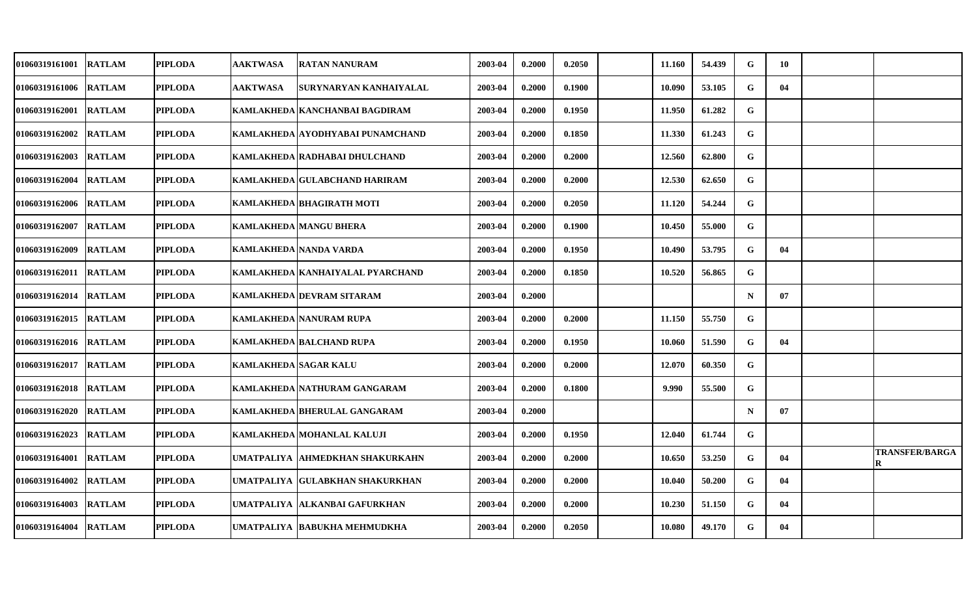| 01060319161001        | <b>RATLAM</b> | <b>PIPLODA</b> | <b>AAKTWASA</b>       | <b>RATAN NANURAM</b>               | 2003-04 | 0.2000 | 0.2050 | 11.160 | 54.439 | G           | - 10 |                            |
|-----------------------|---------------|----------------|-----------------------|------------------------------------|---------|--------|--------|--------|--------|-------------|------|----------------------------|
| 01060319161006        | <b>RATLAM</b> | <b>PIPLODA</b> | <b>AAKTWASA</b>       | SURYNARYAN KANHAIYALAL             | 2003-04 | 0.2000 | 0.1900 | 10.090 | 53.105 | G           | 04   |                            |
| <b>01060319162001</b> | <b>RATLAM</b> | <b>PIPLODA</b> |                       | KAMLAKHEDA   KANCHANBAI BAGDIRAM   | 2003-04 | 0.2000 | 0.1950 | 11.950 | 61.282 | G           |      |                            |
| <b>01060319162002</b> | <b>RATLAM</b> | <b>PIPLODA</b> |                       | KAMLAKHEDA   AYODHYABAI PUNAMCHAND | 2003-04 | 0.2000 | 0.1850 | 11.330 | 61.243 | ${\bf G}$   |      |                            |
| <b>01060319162003</b> | <b>RATLAM</b> | <b>PIPLODA</b> |                       | KAMLAKHEDA RADHABAI DHULCHAND      | 2003-04 | 0.2000 | 0.2000 | 12.560 | 62.800 | G           |      |                            |
| 01060319162004        | <b>RATLAM</b> | <b>PIPLODA</b> |                       | KAMLAKHEDA   GULABCHAND HARIRAM    | 2003-04 | 0.2000 | 0.2000 | 12.530 | 62.650 | $\mathbf G$ |      |                            |
| 01060319162006        | <b>RATLAM</b> | <b>PIPLODA</b> |                       | KAMLAKHEDA  BHAGIRATH MOTI         | 2003-04 | 0.2000 | 0.2050 | 11.120 | 54.244 | G           |      |                            |
| 01060319162007        | <b>RATLAM</b> | <b>PIPLODA</b> |                       | <b>KAMLAKHEDA MANGU BHERA</b>      | 2003-04 | 0.2000 | 0.1900 | 10.450 | 55.000 | G           |      |                            |
| 01060319162009        | <b>RATLAM</b> | <b>PIPLODA</b> |                       | KAMLAKHEDA NANDA VARDA             | 2003-04 | 0.2000 | 0.1950 | 10.490 | 53.795 | G           | 04   |                            |
| 01060319162011        | <b>RATLAM</b> | <b>PIPLODA</b> |                       | KAMLAKHEDA   KANHAIYALAL PYARCHAND | 2003-04 | 0.2000 | 0.1850 | 10.520 | 56.865 | G           |      |                            |
| <b>01060319162014</b> | <b>RATLAM</b> | <b>PIPLODA</b> |                       | KAMLAKHEDA DEVRAM SITARAM          | 2003-04 | 0.2000 |        |        |        | $\mathbf N$ | 07   |                            |
| <b>01060319162015</b> | <b>RATLAM</b> | <b>PIPLODA</b> |                       | KAMLAKHEDA   NANURAM RUPA          | 2003-04 | 0.2000 | 0.2000 | 11.150 | 55.750 | G           |      |                            |
| 01060319162016        | <b>RATLAM</b> | <b>PIPLODA</b> |                       | KAMLAKHEDA BALCHAND RUPA           | 2003-04 | 0.2000 | 0.1950 | 10.060 | 51.590 | G           | 04   |                            |
| 01060319162017        | <b>RATLAM</b> | <b>PIPLODA</b> | KAMLAKHEDA SAGAR KALU |                                    | 2003-04 | 0.2000 | 0.2000 | 12.070 | 60.350 | G           |      |                            |
| 01060319162018        | <b>RATLAM</b> | <b>PIPLODA</b> |                       | KAMLAKHEDA   NATHURAM GANGARAM     | 2003-04 | 0.2000 | 0.1800 | 9.990  | 55.500 | G           |      |                            |
| <b>01060319162020</b> | <b>RATLAM</b> | <b>PIPLODA</b> |                       | KAMLAKHEDA   BHERULAL GANGARAM     | 2003-04 | 0.2000 |        |        |        | $\mathbf N$ | 07   |                            |
| 01060319162023        | <b>RATLAM</b> | <b>PIPLODA</b> |                       | KAMLAKHEDA MOHANLAL KALUJI         | 2003-04 | 0.2000 | 0.1950 | 12.040 | 61.744 | G           |      |                            |
| 01060319164001        | <b>RATLAM</b> | <b>PIPLODA</b> |                       | UMATPALIYA  AHMEDKHAN SHAKURKAHN   | 2003-04 | 0.2000 | 0.2000 | 10.650 | 53.250 | $\mathbf G$ | 04   | <b>TRANSFER/BARGA</b><br>R |
| 01060319164002        | <b>RATLAM</b> | <b>PIPLODA</b> |                       | UMATPALIYA GULABKHAN SHAKURKHAN    | 2003-04 | 0.2000 | 0.2000 | 10.040 | 50.200 | G           | 04   |                            |
| 01060319164003        | <b>RATLAM</b> | <b>PIPLODA</b> |                       | UMATPALIYA  ALKANBAI GAFURKHAN     | 2003-04 | 0.2000 | 0.2000 | 10.230 | 51.150 | G           | 04   |                            |
| 01060319164004        | <b>RATLAM</b> | <b>PIPLODA</b> |                       | UMATPALIYA  BABUKHA MEHMUDKHA      | 2003-04 | 0.2000 | 0.2050 | 10.080 | 49.170 | G           | 04   |                            |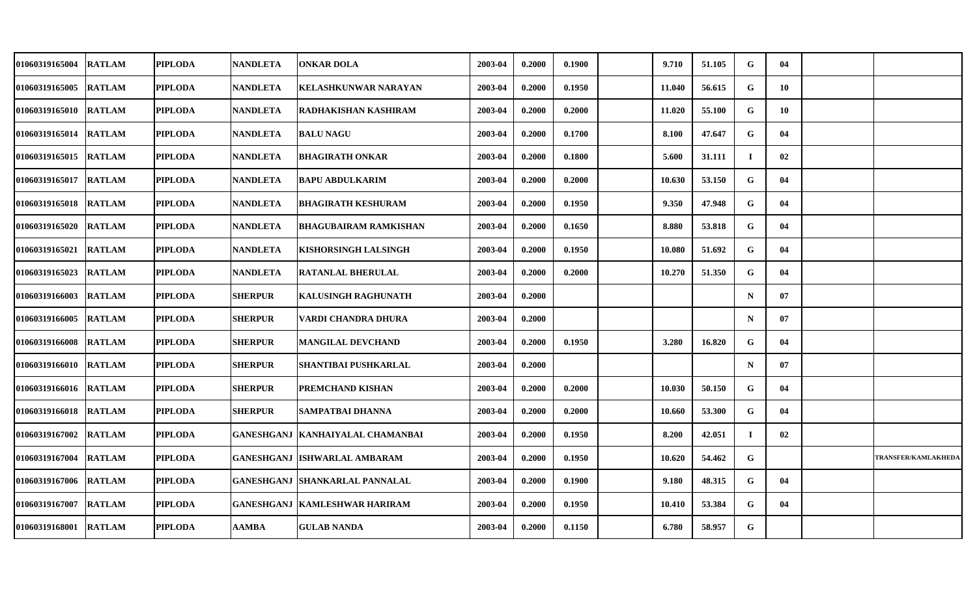| 01060319165004 | <b>RATLAM</b> | <b>PIPLODA</b> | <b>NANDLETA</b> | <b>ONKAR DOLA</b>                      | 2003-04 | 0.2000 | 0.1900 | 9.710  | 51.105 | G           | 04 |                            |
|----------------|---------------|----------------|-----------------|----------------------------------------|---------|--------|--------|--------|--------|-------------|----|----------------------------|
| 01060319165005 | <b>RATLAM</b> | <b>PIPLODA</b> | <b>NANDLETA</b> | <b>KELASHKUNWAR NARAYAN</b>            | 2003-04 | 0.2000 | 0.1950 | 11.040 | 56.615 | G           | 10 |                            |
| 01060319165010 | <b>RATLAM</b> | <b>PIPLODA</b> | <b>NANDLETA</b> | RADHAKISHAN KASHIRAM                   | 2003-04 | 0.2000 | 0.2000 | 11.020 | 55.100 | G           | 10 |                            |
| 01060319165014 | <b>RATLAM</b> | <b>PIPLODA</b> | <b>NANDLETA</b> | <b>BALU NAGU</b>                       | 2003-04 | 0.2000 | 0.1700 | 8.100  | 47.647 | G           | 04 |                            |
| 01060319165015 | <b>RATLAM</b> | <b>PIPLODA</b> | <b>NANDLETA</b> | <b>BHAGIRATH ONKAR</b>                 | 2003-04 | 0.2000 | 0.1800 | 5.600  | 31.111 | Т.          | 02 |                            |
| 01060319165017 | <b>RATLAM</b> | <b>PIPLODA</b> | <b>NANDLETA</b> | <b>BAPU ABDULKARIM</b>                 | 2003-04 | 0.2000 | 0.2000 | 10.630 | 53.150 | G           | 04 |                            |
| 01060319165018 | <b>RATLAM</b> | <b>PIPLODA</b> | <b>NANDLETA</b> | <b>BHAGIRATH KESHURAM</b>              | 2003-04 | 0.2000 | 0.1950 | 9.350  | 47.948 | G           | 04 |                            |
| 01060319165020 | <b>RATLAM</b> | <b>PIPLODA</b> | <b>NANDLETA</b> | <b>BHAGUBAIRAM RAMKISHAN</b>           | 2003-04 | 0.2000 | 0.1650 | 8.880  | 53.818 | G           | 04 |                            |
| 01060319165021 | <b>RATLAM</b> | <b>PIPLODA</b> | <b>NANDLETA</b> | <b>KISHORSINGH LALSINGH</b>            | 2003-04 | 0.2000 | 0.1950 | 10.080 | 51.692 | G           | 04 |                            |
| 01060319165023 | <b>RATLAM</b> | <b>PIPLODA</b> | <b>NANDLETA</b> | <b>RATANLAL BHERULAL</b>               | 2003-04 | 0.2000 | 0.2000 | 10.270 | 51.350 | G           | 04 |                            |
| 01060319166003 | <b>RATLAM</b> | <b>PIPLODA</b> | <b>SHERPUR</b>  | <b>KALUSINGH RAGHUNATH</b>             | 2003-04 | 0.2000 |        |        |        | $\mathbf N$ | 07 |                            |
| 01060319166005 | <b>RATLAM</b> | <b>PIPLODA</b> | <b>SHERPUR</b>  | VARDI CHANDRA DHURA                    | 2003-04 | 0.2000 |        |        |        | $\mathbf N$ | 07 |                            |
| 01060319166008 | <b>RATLAM</b> | <b>PIPLODA</b> | <b>SHERPUR</b>  | <b>MANGILAL DEVCHAND</b>               | 2003-04 | 0.2000 | 0.1950 | 3.280  | 16.820 | G           | 04 |                            |
| 01060319166010 | <b>RATLAM</b> | <b>PIPLODA</b> | <b>SHERPUR</b>  | SHANTIBAI PUSHKARLAL                   | 2003-04 | 0.2000 |        |        |        | $\mathbf N$ | 07 |                            |
| 01060319166016 | <b>RATLAM</b> | <b>PIPLODA</b> | <b>SHERPUR</b>  | PREMCHAND KISHAN                       | 2003-04 | 0.2000 | 0.2000 | 10.030 | 50.150 | G           | 04 |                            |
| 01060319166018 | <b>RATLAM</b> | <b>PIPLODA</b> | <b>SHERPUR</b>  | SAMPATBAI DHANNA                       | 2003-04 | 0.2000 | 0.2000 | 10.660 | 53.300 | G           | 04 |                            |
| 01060319167002 | <b>RATLAM</b> | <b>PIPLODA</b> |                 | GANESHGANJ   KANHAIYALAL CHAMANBAI     | 2003-04 | 0.2000 | 0.1950 | 8.200  | 42.051 | $\bf{I}$    | 02 |                            |
| 01060319167004 | <b>RATLAM</b> | <b>PIPLODA</b> |                 | <b>GANESHGANJ ISHWARLAL AMBARAM</b>    | 2003-04 | 0.2000 | 0.1950 | 10.620 | 54.462 | G           |    | <b>TRANSFER/KAMLAKHEDA</b> |
| 01060319167006 | <b>RATLAM</b> | <b>PIPLODA</b> |                 | <b>GANESHGANJ SHANKARLAL PANNALAL</b>  | 2003-04 | 0.2000 | 0.1900 | 9.180  | 48.315 | G           | 04 |                            |
| 01060319167007 | <b>RATLAM</b> | <b>PIPLODA</b> |                 | <b>GANESHGANJ   KAMLESHWAR HARIRAM</b> | 2003-04 | 0.2000 | 0.1950 | 10.410 | 53.384 | G           | 04 |                            |
| 01060319168001 | <b>RATLAM</b> | <b>PIPLODA</b> | AAMBA           | <b>GULAB NANDA</b>                     | 2003-04 | 0.2000 | 0.1150 | 6.780  | 58.957 | G           |    |                            |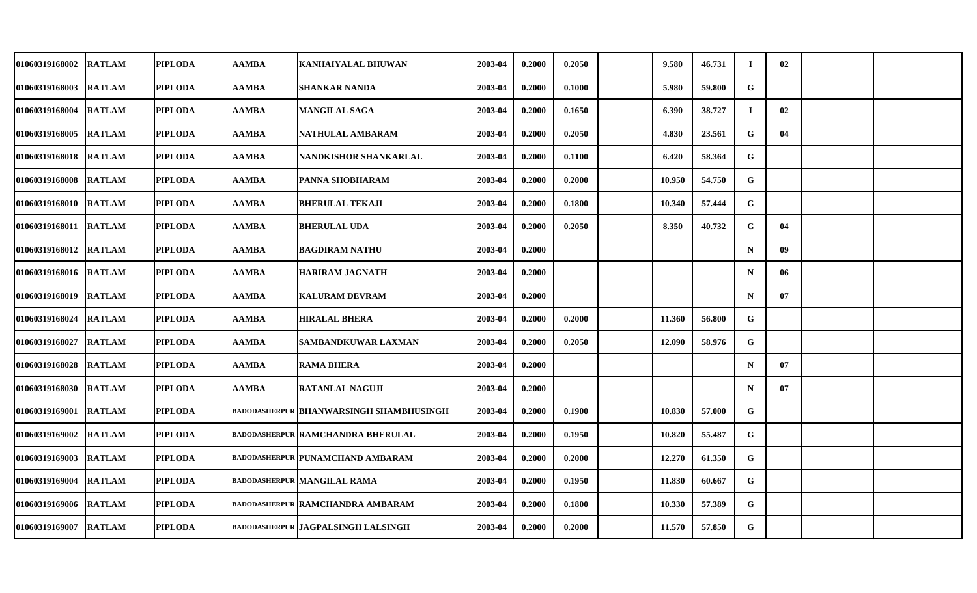| 01060319168002        | <b>RATLAM</b> | PIPLODA        | AAMBA        | <b>KANHAIYALAL BHUWAN</b>                 | 2003-04 | 0.2000 | 0.2050 | 9.580  | 46.731 | Т.          | 02 |  |
|-----------------------|---------------|----------------|--------------|-------------------------------------------|---------|--------|--------|--------|--------|-------------|----|--|
| 01060319168003        | <b>RATLAM</b> | <b>PIPLODA</b> | AAMBA        | <b>SHANKAR NANDA</b>                      | 2003-04 | 0.2000 | 0.1000 | 5.980  | 59.800 | G           |    |  |
| 01060319168004 RATLAM |               | <b>PIPLODA</b> | AAMBA        | <b>MANGILAL SAGA</b>                      | 2003-04 | 0.2000 | 0.1650 | 6.390  | 38.727 | $\bf{I}$    | 02 |  |
| 01060319168005        | <b>RATLAM</b> | <b>PIPLODA</b> | AAMBA        | NATHULAL AMBARAM                          | 2003-04 | 0.2000 | 0.2050 | 4.830  | 23.561 | G           | 04 |  |
| 01060319168018 RATLAM |               | <b>PIPLODA</b> | AAMBA        | NANDKISHOR SHANKARLAL                     | 2003-04 | 0.2000 | 0.1100 | 6.420  | 58.364 | G           |    |  |
| 01060319168008        | <b>RATLAM</b> | <b>PIPLODA</b> | AAMBA        | PANNA SHOBHARAM                           | 2003-04 | 0.2000 | 0.2000 | 10.950 | 54.750 | G           |    |  |
| 01060319168010 RATLAM |               | <b>PIPLODA</b> | AAMBA        | <b>BHERULAL TEKAJI</b>                    | 2003-04 | 0.2000 | 0.1800 | 10.340 | 57.444 | G           |    |  |
| 01060319168011 RATLAM |               | <b>PIPLODA</b> | <b>AAMBA</b> | <b>BHERULAL UDA</b>                       | 2003-04 | 0.2000 | 0.2050 | 8.350  | 40.732 | G           | 04 |  |
| 01060319168012        | <b>RATLAM</b> | <b>PIPLODA</b> | AAMBA        | <b>BAGDIRAM NATHU</b>                     | 2003-04 | 0.2000 |        |        |        | $\mathbf N$ | 09 |  |
| 01060319168016 RATLAM |               | <b>PIPLODA</b> | AAMBA        | <b>HARIRAM JAGNATH</b>                    | 2003-04 | 0.2000 |        |        |        | $\mathbf N$ | 06 |  |
| 01060319168019 RATLAM |               | <b>PIPLODA</b> | AAMBA        | <b>KALURAM DEVRAM</b>                     | 2003-04 | 0.2000 |        |        |        | $\mathbf N$ | 07 |  |
| 01060319168024 RATLAM |               | PIPLODA        | AAMBA        | <b>HIRALAL BHERA</b>                      | 2003-04 | 0.2000 | 0.2000 | 11.360 | 56.800 | G           |    |  |
| 01060319168027        | <b>RATLAM</b> | <b>PIPLODA</b> | AAMBA        | SAMBANDKUWAR LAXMAN                       | 2003-04 | 0.2000 | 0.2050 | 12.090 | 58.976 | G           |    |  |
| 01060319168028        | <b>RATLAM</b> | <b>PIPLODA</b> | AAMBA        | <b>RAMA BHERA</b>                         | 2003-04 | 0.2000 |        |        |        | $\mathbf N$ | 07 |  |
| 01060319168030 RATLAM |               | <b>PIPLODA</b> | <b>AAMBA</b> | <b>RATANLAL NAGUJI</b>                    | 2003-04 | 0.2000 |        |        |        | $\mathbf N$ | 07 |  |
| 01060319169001 RATLAM |               | <b>PIPLODA</b> |              | badodasherpur   BHANWARSINGH SHAMBHUSINGH | 2003-04 | 0.2000 | 0.1900 | 10.830 | 57.000 | G           |    |  |
| 01060319169002        | <b>RATLAM</b> | <b>PIPLODA</b> |              | <b>BADODASHERPUR RAMCHANDRA BHERULAL</b>  | 2003-04 | 0.2000 | 0.1950 | 10.820 | 55.487 | $\mathbf G$ |    |  |
| 01060319169003        | <b>RATLAM</b> | <b>PIPLODA</b> |              | <b>BADODASHERPUR PUNAMCHAND AMBARAM</b>   | 2003-04 | 0.2000 | 0.2000 | 12.270 | 61.350 | G           |    |  |
| 01060319169004        | <b>RATLAM</b> | <b>PIPLODA</b> |              | <b>BADODASHERPUR MANGILAL RAMA</b>        | 2003-04 | 0.2000 | 0.1950 | 11.830 | 60.667 | G           |    |  |
| 01060319169006        | <b>RATLAM</b> | <b>PIPLODA</b> |              | <b>BADODASHERPUR RAMCHANDRA AMBARAM</b>   | 2003-04 | 0.2000 | 0.1800 | 10.330 | 57.389 | G           |    |  |
| 01060319169007 RATLAM |               | PIPLODA        |              | badodasherpur   JAGPALSINGH LALSINGH      | 2003-04 | 0.2000 | 0.2000 | 11.570 | 57.850 | G           |    |  |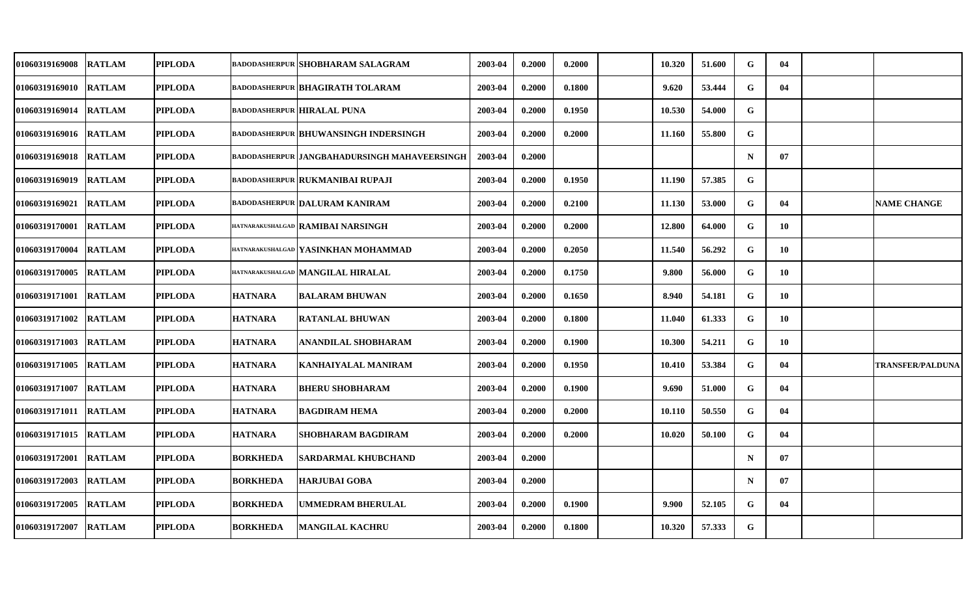| <b>RATLAM</b>          | PIPLODA        |                 |                                                                                                                              | 2003-04                                                                                                                                                                                                                                                                                                                                                                                                                                                                                                    | 0.2000 | 0.2000 | 10.320 | 51.600 | G           | 04 |                         |
|------------------------|----------------|-----------------|------------------------------------------------------------------------------------------------------------------------------|------------------------------------------------------------------------------------------------------------------------------------------------------------------------------------------------------------------------------------------------------------------------------------------------------------------------------------------------------------------------------------------------------------------------------------------------------------------------------------------------------------|--------|--------|--------|--------|-------------|----|-------------------------|
| <b>RATLAM</b>          | <b>PIPLODA</b> |                 |                                                                                                                              | 2003-04                                                                                                                                                                                                                                                                                                                                                                                                                                                                                                    | 0.2000 | 0.1800 | 9.620  | 53.444 | G           | 04 |                         |
| <b>RATLAM</b>          | <b>PIPLODA</b> |                 |                                                                                                                              | 2003-04                                                                                                                                                                                                                                                                                                                                                                                                                                                                                                    | 0.2000 | 0.1950 | 10.530 | 54.000 | G           |    |                         |
| <b>RATLAM</b>          | <b>PIPLODA</b> |                 |                                                                                                                              | 2003-04                                                                                                                                                                                                                                                                                                                                                                                                                                                                                                    | 0.2000 | 0.2000 | 11.160 | 55.800 | G           |    |                         |
| <b>RATLAM</b>          | PIPLODA        |                 |                                                                                                                              | 2003-04                                                                                                                                                                                                                                                                                                                                                                                                                                                                                                    | 0.2000 |        |        |        | $\mathbf N$ | 07 |                         |
| <b>RATLAM</b>          | <b>PIPLODA</b> |                 |                                                                                                                              | 2003-04                                                                                                                                                                                                                                                                                                                                                                                                                                                                                                    | 0.2000 | 0.1950 | 11.190 | 57.385 | G           |    |                         |
| <b>RATLAM</b>          | <b>PIPLODA</b> |                 |                                                                                                                              | 2003-04                                                                                                                                                                                                                                                                                                                                                                                                                                                                                                    | 0.2000 | 0.2100 | 11.130 | 53.000 | G           | 04 | <b>NAME CHANGE</b>      |
| <b>RATLAM</b>          | <b>PIPLODA</b> |                 |                                                                                                                              | 2003-04                                                                                                                                                                                                                                                                                                                                                                                                                                                                                                    | 0.2000 | 0.2000 | 12.800 | 64.000 | G           | 10 |                         |
| <b>RATLAM</b>          | <b>PIPLODA</b> |                 |                                                                                                                              | 2003-04                                                                                                                                                                                                                                                                                                                                                                                                                                                                                                    | 0.2000 | 0.2050 | 11.540 | 56.292 | G           | 10 |                         |
| <b>RATLAM</b>          | <b>PIPLODA</b> |                 |                                                                                                                              | 2003-04                                                                                                                                                                                                                                                                                                                                                                                                                                                                                                    | 0.2000 | 0.1750 | 9.800  | 56.000 | G           | 10 |                         |
| <b>RATLAM</b>          | <b>PIPLODA</b> |                 |                                                                                                                              | 2003-04                                                                                                                                                                                                                                                                                                                                                                                                                                                                                                    | 0.2000 | 0.1650 | 8.940  | 54.181 | G           | 10 |                         |
| <b>RATLAM</b>          | <b>PIPLODA</b> |                 | <b>RATANLAL BHUWAN</b>                                                                                                       | 2003-04                                                                                                                                                                                                                                                                                                                                                                                                                                                                                                    | 0.2000 | 0.1800 | 11.040 | 61.333 | G           | 10 |                         |
| <b>RATLAM</b>          | <b>PIPLODA</b> |                 | ANANDILAL SHOBHARAM                                                                                                          | 2003-04                                                                                                                                                                                                                                                                                                                                                                                                                                                                                                    | 0.2000 | 0.1900 | 10.300 | 54.211 | G           | 10 |                         |
| <b>RATLAM</b>          | PIPLODA        | <b>HATNARA</b>  | KANHAIYALAL MANIRAM                                                                                                          | 2003-04                                                                                                                                                                                                                                                                                                                                                                                                                                                                                                    | 0.2000 | 0.1950 | 10.410 | 53.384 | G           | 04 | <b>TRANSFER/PALDUNA</b> |
| <b>RATLAM</b>          | <b>PIPLODA</b> |                 |                                                                                                                              | 2003-04                                                                                                                                                                                                                                                                                                                                                                                                                                                                                                    | 0.2000 | 0.1900 | 9.690  | 51.000 | G           | 04 |                         |
| 01060319171011  RATLAM | PIPLODA        | <b>HATNARA</b>  | <b>BAGDIRAM HEMA</b>                                                                                                         | 2003-04                                                                                                                                                                                                                                                                                                                                                                                                                                                                                                    | 0.2000 | 0.2000 | 10.110 | 50.550 | G           | 04 |                         |
| <b>RATLAM</b>          | <b>PIPLODA</b> |                 | <b>SHOBHARAM BAGDIRAM</b>                                                                                                    | 2003-04                                                                                                                                                                                                                                                                                                                                                                                                                                                                                                    | 0.2000 | 0.2000 | 10.020 | 50.100 | G           | 04 |                         |
| <b>RATLAM</b>          | <b>PIPLODA</b> | <b>BORKHEDA</b> | SARDARMAL KHUBCHAND                                                                                                          | 2003-04                                                                                                                                                                                                                                                                                                                                                                                                                                                                                                    | 0.2000 |        |        |        | $\mathbf N$ | 07 |                         |
| <b>RATLAM</b>          | <b>PIPLODA</b> |                 |                                                                                                                              | 2003-04                                                                                                                                                                                                                                                                                                                                                                                                                                                                                                    | 0.2000 |        |        |        | $\mathbf N$ | 07 |                         |
| <b>RATLAM</b>          | PIPLODA        | <b>BORKHEDA</b> | <b>UMMEDRAM BHERULAL</b>                                                                                                     | 2003-04                                                                                                                                                                                                                                                                                                                                                                                                                                                                                                    | 0.2000 | 0.1900 | 9.900  | 52.105 | G           | 04 |                         |
| <b>RATLAM</b>          | <b>PIPLODA</b> |                 | <b>MANGILAL KACHRU</b>                                                                                                       | 2003-04                                                                                                                                                                                                                                                                                                                                                                                                                                                                                                    | 0.2000 | 0.1800 | 10.320 | 57.333 | G           |    |                         |
|                        |                |                 | <b>HATNARA</b><br><b>HATNARA</b><br><b>HATNARA</b><br><b>HATNARA</b><br><b>HATNARA</b><br><b>BORKHEDA</b><br><b>BORKHEDA</b> | <b>BADODASHERPUR SHOBHARAM SALAGRAM</b><br><b>BADODASHERPUR BHAGIRATH TOLARAM</b><br><b>BADODASHERPUR HIRALAL PUNA</b><br><b>BADODASHERPUR BHUWANSINGH INDERSINGH</b><br><b>BADODASHERPUR JANGBAHADURSINGH MAHAVEERSINGH</b><br><b>BADODASHERPUR RUKMANIBAI RUPAJI</b><br><b>BADODASHERPUR DALURAM KANIRAM</b><br>HATNARAKUSHALGAD RAMIBAI NARSINGH<br>HATNARAKUSHALGAD YASINKHAN MOHAMMAD<br>HATNARAKUSHALGAD MANGILAL HIRALAL<br><b>BALARAM BHUWAN</b><br><b>BHERU SHOBHARAM</b><br><b>HARJUBAI GOBA</b> |        |        |        |        |             |    |                         |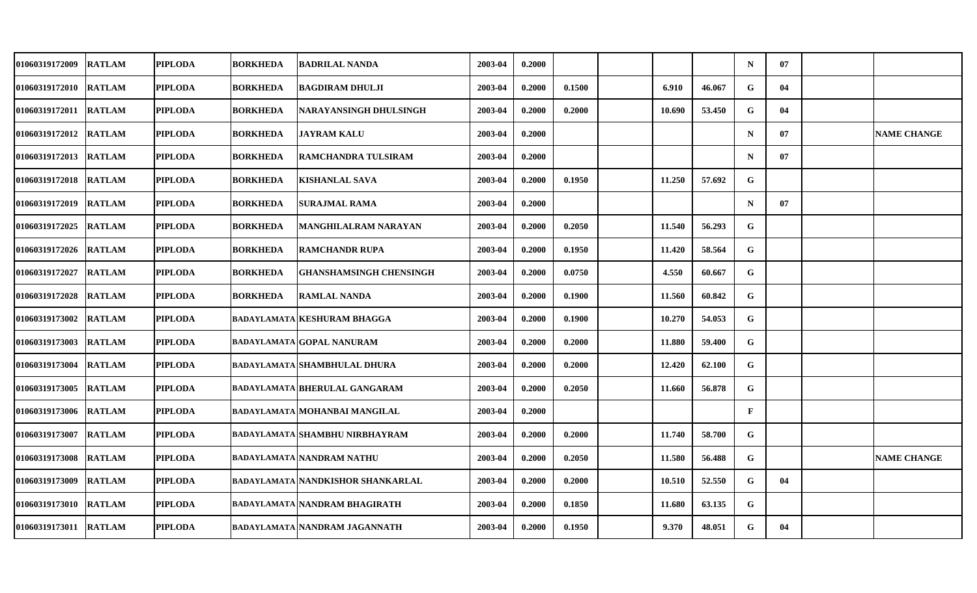| 01060319172009        | <b>RATLAM</b> | <b>PIPLODA</b> | <b>BORKHEDA</b> | <b>BADRILAL NANDA</b>                    | 2003-04 | 0.2000 |        |        |        | $\mathbf N$ | 07 |                    |
|-----------------------|---------------|----------------|-----------------|------------------------------------------|---------|--------|--------|--------|--------|-------------|----|--------------------|
| 01060319172010        | <b>RATLAM</b> | <b>PIPLODA</b> | <b>BORKHEDA</b> | <b>BAGDIRAM DHULJI</b>                   | 2003-04 | 0.2000 | 0.1500 | 6.910  | 46.067 | ${\bf G}$   | 04 |                    |
| 01060319172011        | <b>RATLAM</b> | <b>PIPLODA</b> | <b>BORKHEDA</b> | NARAYANSINGH DHULSINGH                   | 2003-04 | 0.2000 | 0.2000 | 10.690 | 53.450 | G           | 04 |                    |
| 01060319172012        | <b>RATLAM</b> | <b>PIPLODA</b> | <b>BORKHEDA</b> | <b>JAYRAM KALU</b>                       | 2003-04 | 0.2000 |        |        |        | $\mathbf N$ | 07 | <b>NAME CHANGE</b> |
| 01060319172013        | <b>RATLAM</b> | <b>PIPLODA</b> | <b>BORKHEDA</b> | <b>RAMCHANDRA TULSIRAM</b>               | 2003-04 | 0.2000 |        |        |        | $\mathbf N$ | 07 |                    |
| 01060319172018        | <b>RATLAM</b> | <b>PIPLODA</b> | <b>BORKHEDA</b> | <b>KISHANLAL SAVA</b>                    | 2003-04 | 0.2000 | 0.1950 | 11.250 | 57.692 | G           |    |                    |
| 01060319172019        | <b>RATLAM</b> | <b>PIPLODA</b> | <b>BORKHEDA</b> | <b>SURAJMAL RAMA</b>                     | 2003-04 | 0.2000 |        |        |        | $\mathbf N$ | 07 |                    |
| 01060319172025        | <b>RATLAM</b> | <b>PIPLODA</b> | <b>BORKHEDA</b> | MANGHILALRAM NARAYAN                     | 2003-04 | 0.2000 | 0.2050 | 11.540 | 56.293 | G           |    |                    |
| 01060319172026        | <b>RATLAM</b> | <b>PIPLODA</b> | <b>BORKHEDA</b> | <b>RAMCHANDR RUPA</b>                    | 2003-04 | 0.2000 | 0.1950 | 11.420 | 58.564 | G           |    |                    |
| 01060319172027        | <b>RATLAM</b> | <b>PIPLODA</b> | <b>BORKHEDA</b> | <b>GHANSHAMSINGH CHENSINGH</b>           | 2003-04 | 0.2000 | 0.0750 | 4.550  | 60.667 | G           |    |                    |
| 01060319172028        | <b>RATLAM</b> | <b>PIPLODA</b> | <b>BORKHEDA</b> | <b>RAMLAL NANDA</b>                      | 2003-04 | 0.2000 | 0.1900 | 11.560 | 60.842 | G           |    |                    |
| 01060319173002        | <b>RATLAM</b> | <b>PIPLODA</b> |                 | <b>BADAYLAMATA KESHURAM BHAGGA</b>       | 2003-04 | 0.2000 | 0.1900 | 10.270 | 54.053 | G           |    |                    |
| 01060319173003        | <b>RATLAM</b> | <b>PIPLODA</b> |                 | <b>BADAYLAMATA GOPAL NANURAM</b>         | 2003-04 | 0.2000 | 0.2000 | 11.880 | 59.400 | G           |    |                    |
| 01060319173004        | <b>RATLAM</b> | <b>PIPLODA</b> |                 | <b>BADAYLAMATA SHAMBHULAL DHURA</b>      | 2003-04 | 0.2000 | 0.2000 | 12.420 | 62.100 | G           |    |                    |
| 01060319173005        | <b>RATLAM</b> | <b>PIPLODA</b> |                 | <b>BADAYLAMATA BHERULAL GANGARAM</b>     | 2003-04 | 0.2000 | 0.2050 | 11.660 | 56.878 | G           |    |                    |
| 01060319173006 RATLAM |               | <b>PIPLODA</b> |                 | BADAYLAMATA MOHANBAI MANGILAL            | 2003-04 | 0.2000 |        |        |        | F           |    |                    |
| 01060319173007        | <b>RATLAM</b> | <b>PIPLODA</b> |                 | <b>BADAYLAMATA SHAMBHU NIRBHAYRAM</b>    | 2003-04 | 0.2000 | 0.2000 | 11.740 | 58.700 | G           |    |                    |
| 01060319173008 RATLAM |               | <b>PIPLODA</b> |                 | <b>BADAYLAMATA NANDRAM NATHU</b>         | 2003-04 | 0.2000 | 0.2050 | 11.580 | 56.488 | G           |    | <b>NAME CHANGE</b> |
| 01060319173009        | <b>RATLAM</b> | <b>PIPLODA</b> |                 | <b>BADAYLAMATA NANDKISHOR SHANKARLAL</b> | 2003-04 | 0.2000 | 0.2000 | 10.510 | 52.550 | G           | 04 |                    |
| 01060319173010        | <b>RATLAM</b> | <b>PIPLODA</b> |                 | BADAYLAMATA  NANDRAM BHAGIRATH           | 2003-04 | 0.2000 | 0.1850 | 11.680 | 63.135 | G           |    |                    |
| 01060319173011        | <b>RATLAM</b> | <b>PIPLODA</b> |                 | <b>BADAYLAMATA NANDRAM JAGANNATH</b>     | 2003-04 | 0.2000 | 0.1950 | 9.370  | 48.051 | G           | 04 |                    |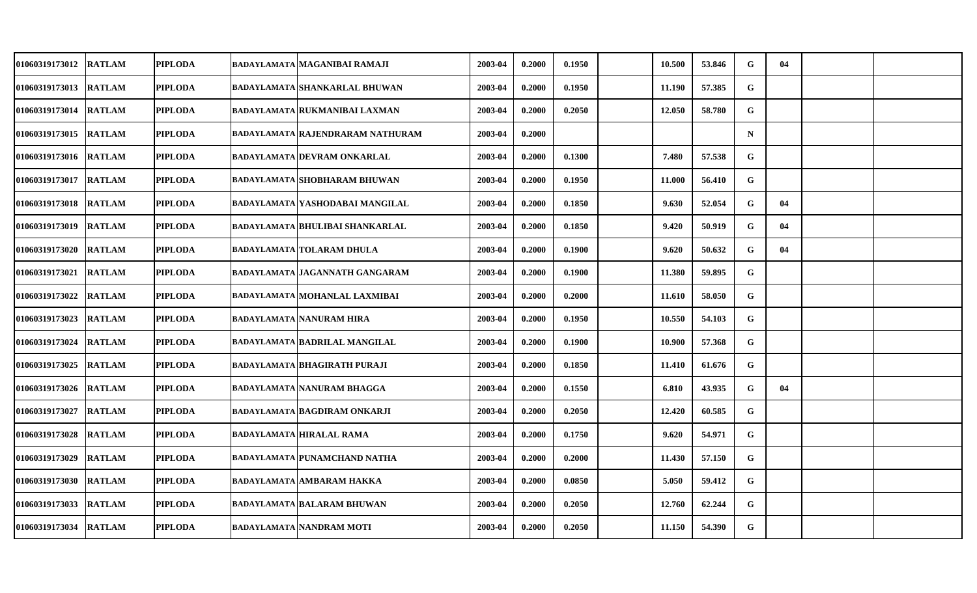| <b>01060319173012</b> | <b>RATLAM</b> | <b>PIPLODA</b> | BADAYLAMATA MAGANIBAI RAMAJI            | 2003-04 | 0.2000 | 0.1950 | 10.500 | 53.846 | G           | 04 |  |
|-----------------------|---------------|----------------|-----------------------------------------|---------|--------|--------|--------|--------|-------------|----|--|
| 01060319173013        | <b>RATLAM</b> | <b>PIPLODA</b> | <b>BADAYLAMATA SHANKARLAL BHUWAN</b>    | 2003-04 | 0.2000 | 0.1950 | 11.190 | 57.385 | $\mathbf G$ |    |  |
| <b>01060319173014</b> | <b>RATLAM</b> | <b>PIPLODA</b> | <b>BADAYLAMATA RUKMANIBAI LAXMAN</b>    | 2003-04 | 0.2000 | 0.2050 | 12.050 | 58.780 | G           |    |  |
| 01060319173015        | <b>RATLAM</b> | <b>PIPLODA</b> | <b>BADAYLAMATA RAJENDRARAM NATHURAM</b> | 2003-04 | 0.2000 |        |        |        | $\mathbf N$ |    |  |
| <b>01060319173016</b> | <b>RATLAM</b> | <b>PIPLODA</b> | BADAYLAMATA DEVRAM ONKARLAL             | 2003-04 | 0.2000 | 0.1300 | 7.480  | 57.538 | G           |    |  |
| 01060319173017        | <b>RATLAM</b> | <b>PIPLODA</b> | <b>BADAYLAMATA SHOBHARAM BHUWAN</b>     | 2003-04 | 0.2000 | 0.1950 | 11.000 | 56.410 | $\mathbf G$ |    |  |
| 01060319173018        | <b>RATLAM</b> | <b>PIPLODA</b> | BADAYLAMATA YASHODABAI MANGILAL         | 2003-04 | 0.2000 | 0.1850 | 9.630  | 52.054 | G           | 04 |  |
| 01060319173019        | <b>RATLAM</b> | <b>PIPLODA</b> | <b>BADAYLAMATA BHULIBAI SHANKARLAL</b>  | 2003-04 | 0.2000 | 0.1850 | 9.420  | 50.919 | G           | 04 |  |
| 01060319173020        | <b>RATLAM</b> | <b>PIPLODA</b> | <b>BADAYLAMATA TOLARAM DHULA</b>        | 2003-04 | 0.2000 | 0.1900 | 9.620  | 50.632 | G           | 04 |  |
| 01060319173021        | <b>RATLAM</b> | <b>PIPLODA</b> | BADAYLAMATA JAGANNATH GANGARAM          | 2003-04 | 0.2000 | 0.1900 | 11.380 | 59.895 | G           |    |  |
| <b>01060319173022</b> | <b>RATLAM</b> | <b>PIPLODA</b> | <b>BADAYLAMATA MOHANLAL LAXMIBAI</b>    | 2003-04 | 0.2000 | 0.2000 | 11.610 | 58.050 | G           |    |  |
| <b>01060319173023</b> | <b>RATLAM</b> | <b>PIPLODA</b> | <b>BADAYLAMATA NANURAM HIRA</b>         | 2003-04 | 0.2000 | 0.1950 | 10.550 | 54.103 | G           |    |  |
| 01060319173024        | <b>RATLAM</b> | <b>PIPLODA</b> | <b>BADAYLAMATA BADRILAL MANGILAL</b>    | 2003-04 | 0.2000 | 0.1900 | 10.900 | 57.368 | G           |    |  |
| 01060319173025        | <b>RATLAM</b> | <b>PIPLODA</b> | BADAYLAMATA BHAGIRATH PURAJI            | 2003-04 | 0.2000 | 0.1850 | 11.410 | 61.676 | G           |    |  |
| 01060319173026        | <b>RATLAM</b> | <b>PIPLODA</b> | <b>BADAYLAMATA NANURAM BHAGGA</b>       | 2003-04 | 0.2000 | 0.1550 | 6.810  | 43.935 | G           | 04 |  |
| <b>01060319173027</b> | <b>RATLAM</b> | <b>PIPLODA</b> | BADAYLAMATA BAGDIRAM ONKARJI            | 2003-04 | 0.2000 | 0.2050 | 12.420 | 60.585 | G           |    |  |
| 01060319173028        | <b>RATLAM</b> | <b>PIPLODA</b> | <b>BADAYLAMATA HIRALAL RAMA</b>         | 2003-04 | 0.2000 | 0.1750 | 9.620  | 54.971 | G           |    |  |
| 01060319173029        | <b>RATLAM</b> | <b>PIPLODA</b> | <b>BADAYLAMATA PUNAMCHAND NATHA</b>     | 2003-04 | 0.2000 | 0.2000 | 11.430 | 57.150 | ${\bf G}$   |    |  |
| 01060319173030        | <b>RATLAM</b> | <b>PIPLODA</b> | <b>BADAYLAMATA AMBARAM HAKKA</b>        | 2003-04 | 0.2000 | 0.0850 | 5.050  | 59.412 | G           |    |  |
| 01060319173033        | <b>RATLAM</b> | <b>PIPLODA</b> | BADAYLAMATA BALARAM BHUWAN              | 2003-04 | 0.2000 | 0.2050 | 12.760 | 62.244 | G           |    |  |
| 01060319173034        | <b>RATLAM</b> | <b>PIPLODA</b> | <b>BADAYLAMATA NANDRAM MOTI</b>         | 2003-04 | 0.2000 | 0.2050 | 11.150 | 54.390 | G           |    |  |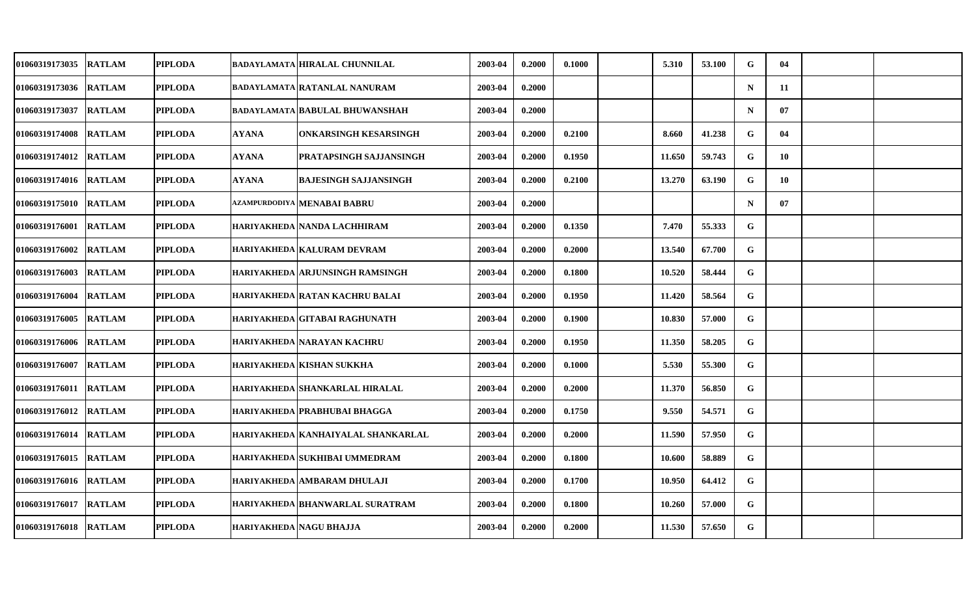| 01060319173035        | <b>RATLAM</b> | <b>PIPLODA</b> |                         | <b>BADAYLAMATA HIRALAL CHUNNILAL</b>   | 2003-04 | 0.2000 | 0.1000 | 5.310  | 53.100 | G           | 04 |  |
|-----------------------|---------------|----------------|-------------------------|----------------------------------------|---------|--------|--------|--------|--------|-------------|----|--|
| 01060319173036        | <b>RATLAM</b> | <b>PIPLODA</b> |                         | BADAYLAMATA RATANLAL NANURAM           | 2003-04 | 0.2000 |        |        |        | $\mathbf N$ | 11 |  |
| <b>01060319173037</b> | <b>RATLAM</b> | <b>PIPLODA</b> |                         | <b>BADAYLAMATA BABULAL BHUWANSHAH</b>  | 2003-04 | 0.2000 |        |        |        | $\mathbf N$ | 07 |  |
| 01060319174008        | <b>RATLAM</b> | <b>PIPLODA</b> | <b>AYANA</b>            | ONKARSINGH KESARSINGH                  | 2003-04 | 0.2000 | 0.2100 | 8.660  | 41.238 | G           | 04 |  |
| <b>01060319174012</b> | <b>RATLAM</b> | <b>PIPLODA</b> | AYANA                   | PRATAPSINGH SAJJANSINGH                | 2003-04 | 0.2000 | 0.1950 | 11.650 | 59.743 | G           | 10 |  |
| 01060319174016        | <b>RATLAM</b> | <b>PIPLODA</b> | <b>AYANA</b>            | <b>BAJESINGH SAJJANSINGH</b>           | 2003-04 | 0.2000 | 0.2100 | 13.270 | 63.190 | G           | 10 |  |
| <b>01060319175010</b> | <b>RATLAM</b> | <b>PIPLODA</b> |                         | azampurdodiya   MENABAI BABRU          | 2003-04 | 0.2000 |        |        |        | $\mathbf N$ | 07 |  |
| 01060319176001        | <b>RATLAM</b> | <b>PIPLODA</b> |                         | HARIYAKHEDA NANDA LACHHIRAM            | 2003-04 | 0.2000 | 0.1350 | 7.470  | 55.333 | G           |    |  |
| 01060319176002        | <b>RATLAM</b> | <b>PIPLODA</b> |                         | HARIYAKHEDA KALURAM DEVRAM             | 2003-04 | 0.2000 | 0.2000 | 13.540 | 67.700 | ${\bf G}$   |    |  |
| 01060319176003        | <b>RATLAM</b> | <b>PIPLODA</b> |                         | HARIYAKHEDA ARJUNSINGH RAMSINGH        | 2003-04 | 0.2000 | 0.1800 | 10.520 | 58.444 | G           |    |  |
| <b>01060319176004</b> | <b>RATLAM</b> | <b>PIPLODA</b> |                         | HARIYAKHEDA   RATAN KACHRU BALAI       | 2003-04 | 0.2000 | 0.1950 | 11.420 | 58.564 | G           |    |  |
| <b>01060319176005</b> | <b>RATLAM</b> | <b>PIPLODA</b> |                         | HARIYAKHEDA GITABAI RAGHUNATH          | 2003-04 | 0.2000 | 0.1900 | 10.830 | 57.000 | G           |    |  |
| 01060319176006        | <b>RATLAM</b> | <b>PIPLODA</b> |                         | HARIYAKHEDA NARAYAN KACHRU             | 2003-04 | 0.2000 | 0.1950 | 11.350 | 58.205 | G           |    |  |
| 01060319176007        | <b>RATLAM</b> | <b>PIPLODA</b> |                         | HARIYAKHEDA KISHAN SUKKHA              | 2003-04 | 0.2000 | 0.1000 | 5.530  | 55.300 | G           |    |  |
| 01060319176011        | <b>RATLAM</b> | <b>PIPLODA</b> |                         | HARIYAKHEDA SHANKARLAL HIRALAL         | 2003-04 | 0.2000 | 0.2000 | 11.370 | 56.850 | G           |    |  |
| 01060319176012        | <b>RATLAM</b> | <b>PIPLODA</b> |                         | HARIYAKHEDA PRABHUBAI BHAGGA           | 2003-04 | 0.2000 | 0.1750 | 9.550  | 54.571 | G           |    |  |
| 01060319176014        | <b>RATLAM</b> | <b>PIPLODA</b> |                         | HARIYAKHEDA KANHAIYALAL SHANKARLAL     | 2003-04 | 0.2000 | 0.2000 | 11.590 | 57.950 | G           |    |  |
| 01060319176015        | <b>RATLAM</b> | <b>PIPLODA</b> |                         | HARIYAKHEDA SUKHIBAI UMMEDRAM          | 2003-04 | 0.2000 | 0.1800 | 10.600 | 58.889 | G           |    |  |
| 01060319176016        | <b>RATLAM</b> | <b>PIPLODA</b> |                         | HARIYAKHEDA AMBARAM DHULAJI            | 2003-04 | 0.2000 | 0.1700 | 10.950 | 64.412 | G           |    |  |
| 01060319176017        | <b>RATLAM</b> | <b>PIPLODA</b> |                         | <b>HARIYAKHEDA BHANWARLAL SURATRAM</b> | 2003-04 | 0.2000 | 0.1800 | 10.260 | 57.000 | G           |    |  |
| <b>01060319176018</b> | <b>RATLAM</b> | <b>PIPLODA</b> | HARIYAKHEDA NAGU BHAJJA |                                        | 2003-04 | 0.2000 | 0.2000 | 11.530 | 57.650 | G           |    |  |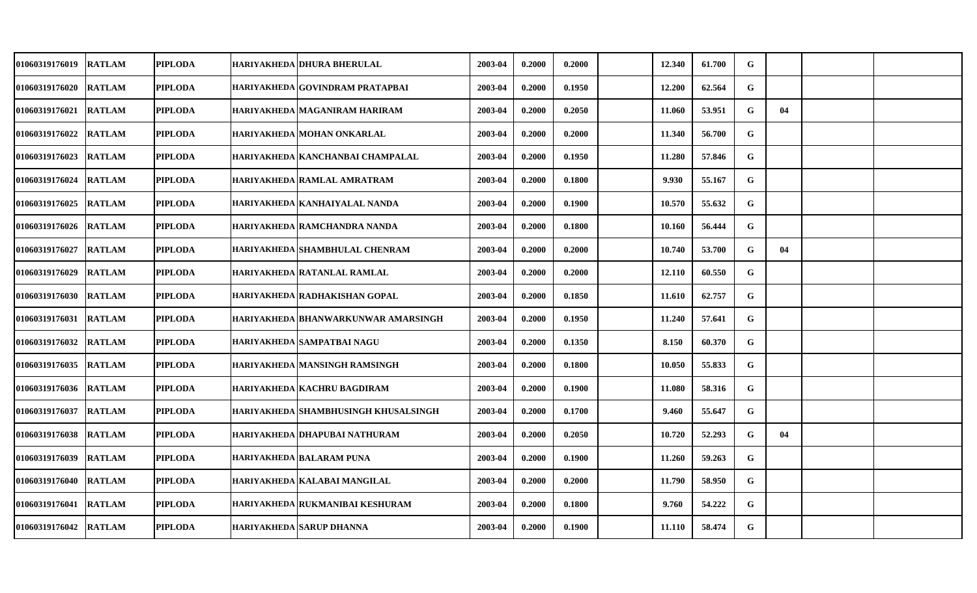| 01060319176019        | <b>RATLAM</b> | <b>PIPLODA</b> | HARIYAKHEDA DHURA BHERULAL            | 2003-04 | 0.2000 | 0.2000 | 12.340 | 61.700 | G           |    |  |
|-----------------------|---------------|----------------|---------------------------------------|---------|--------|--------|--------|--------|-------------|----|--|
| 01060319176020        | <b>RATLAM</b> | <b>PIPLODA</b> | HARIYAKHEDA GOVINDRAM PRATAPBAI       | 2003-04 | 0.2000 | 0.1950 | 12.200 | 62.564 | G           |    |  |
| 01060319176021        | <b>RATLAM</b> | <b>PIPLODA</b> | HARIYAKHEDA MAGANIRAM HARIRAM         | 2003-04 | 0.2000 | 0.2050 | 11.060 | 53.951 | G           | 04 |  |
| 01060319176022        | <b>RATLAM</b> | <b>PIPLODA</b> | HARIYAKHEDA MOHAN ONKARLAL            | 2003-04 | 0.2000 | 0.2000 | 11.340 | 56.700 | G           |    |  |
| 01060319176023        | <b>RATLAM</b> | <b>PIPLODA</b> | HARIYAKHEDA KANCHANBAI CHAMPALAL      | 2003-04 | 0.2000 | 0.1950 | 11.280 | 57.846 | G           |    |  |
| 01060319176024        | <b>RATLAM</b> | <b>PIPLODA</b> | HARIYAKHEDA RAMLAL AMRATRAM           | 2003-04 | 0.2000 | 0.1800 | 9.930  | 55.167 | G           |    |  |
| 01060319176025        | <b>RATLAM</b> | <b>PIPLODA</b> | HARIYAKHEDA   KANHAIYALAL NANDA       | 2003-04 | 0.2000 | 0.1900 | 10.570 | 55.632 | G           |    |  |
| 01060319176026        | <b>RATLAM</b> | <b>PIPLODA</b> | HARIYAKHEDA RAMCHANDRA NANDA          | 2003-04 | 0.2000 | 0.1800 | 10.160 | 56.444 | G           |    |  |
| 01060319176027        | <b>RATLAM</b> | <b>PIPLODA</b> | <b>HARIYAKHEDA SHAMBHULAL CHENRAM</b> | 2003-04 | 0.2000 | 0.2000 | 10.740 | 53.700 | G           | 04 |  |
| 01060319176029        | <b>RATLAM</b> | <b>PIPLODA</b> | HARIYAKHEDA RATANLAL RAMLAL           | 2003-04 | 0.2000 | 0.2000 | 12.110 | 60.550 | G           |    |  |
| 01060319176030        | <b>RATLAM</b> | <b>PIPLODA</b> | HARIYAKHEDA RADHAKISHAN GOPAL         | 2003-04 | 0.2000 | 0.1850 | 11.610 | 62.757 | $\mathbf G$ |    |  |
| 01060319176031        | <b>RATLAM</b> | <b>PIPLODA</b> | HARIYAKHEDA   BHANWARKUNWAR AMARSINGH | 2003-04 | 0.2000 | 0.1950 | 11.240 | 57.641 | G           |    |  |
| 01060319176032        | <b>RATLAM</b> | <b>PIPLODA</b> | HARIYAKHEDA SAMPATBAI NAGU            | 2003-04 | 0.2000 | 0.1350 | 8.150  | 60.370 | G           |    |  |
| 01060319176035        | <b>RATLAM</b> | <b>PIPLODA</b> | HARIYAKHEDA MANSINGH RAMSINGH         | 2003-04 | 0.2000 | 0.1800 | 10.050 | 55.833 | G           |    |  |
| 01060319176036        | <b>RATLAM</b> | <b>PIPLODA</b> | HARIYAKHEDA KACHRU BAGDIRAM           | 2003-04 | 0.2000 | 0.1900 | 11.080 | 58.316 | G           |    |  |
| 01060319176037        | <b>RATLAM</b> | <b>PIPLODA</b> | HARIYAKHEDA SHAMBHUSINGH KHUSALSINGH  | 2003-04 | 0.2000 | 0.1700 | 9.460  | 55.647 | G           |    |  |
| 01060319176038        | <b>RATLAM</b> | <b>PIPLODA</b> | HARIYAKHEDA DHAPUBAI NATHURAM         | 2003-04 | 0.2000 | 0.2050 | 10.720 | 52.293 | G           | 04 |  |
| 01060319176039        | <b>RATLAM</b> | <b>PIPLODA</b> | <b>HARIYAKHEDA BALARAM PUNA</b>       | 2003-04 | 0.2000 | 0.1900 | 11.260 | 59.263 | G           |    |  |
| 01060319176040        | <b>RATLAM</b> | <b>PIPLODA</b> | HARIYAKHEDA KALABAI MANGILAL          | 2003-04 | 0.2000 | 0.2000 | 11.790 | 58.950 | G           |    |  |
| 01060319176041        | <b>RATLAM</b> | <b>PIPLODA</b> | HARIYAKHEDA RUKMANIBAI KESHURAM       | 2003-04 | 0.2000 | 0.1800 | 9.760  | 54.222 | G           |    |  |
| 01060319176042 RATLAM |               | <b>PIPLODA</b> | <b>HARIYAKHEDA SARUP DHANNA</b>       | 2003-04 | 0.2000 | 0.1900 | 11.110 | 58.474 | G           |    |  |